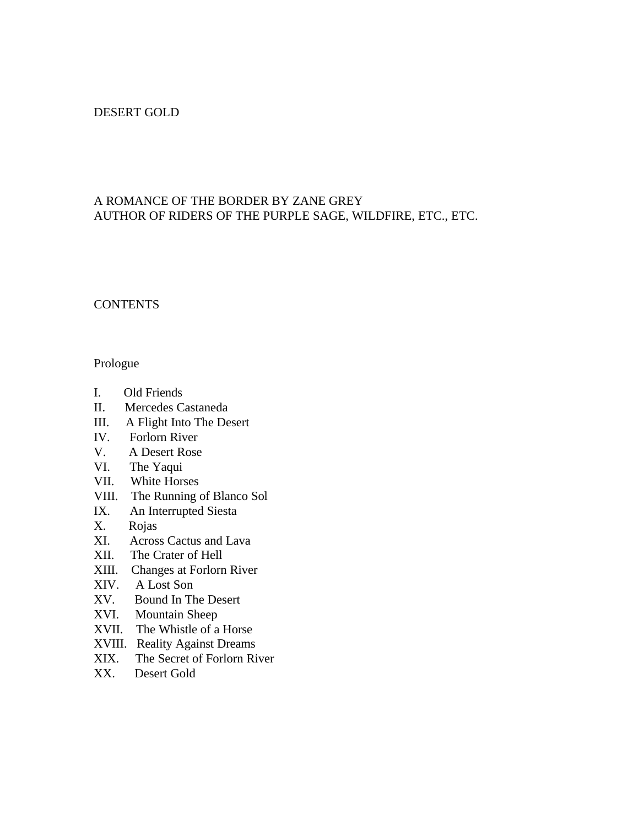# DESERT GOLD

# A ROMANCE OF THE BORDER BY ZANE GREY AUTHOR OF RIDERS OF THE PURPLE SAGE, WILDFIRE, ETC., ETC.

# **CONTENTS**

### Prologue

- I. Old Friends
- II. Mercedes Castaneda
- III. A Flight Into The Desert
- IV. Forlorn River
- V. A Desert Rose
- VI. The Yaqui
- VII. White Horses
- VIII. The Running of Blanco Sol
- IX. An Interrupted Siesta
- X. Rojas
- XI. Across Cactus and Lava
- XII. The Crater of Hell
- XIII. Changes at Forlorn River
- XIV. A Lost Son
- XV. Bound In The Desert
- XVI. Mountain Sheep
- XVII. The Whistle of a Horse
- XVIII. Reality Against Dreams
- XIX. The Secret of Forlorn River
- XX. Desert Gold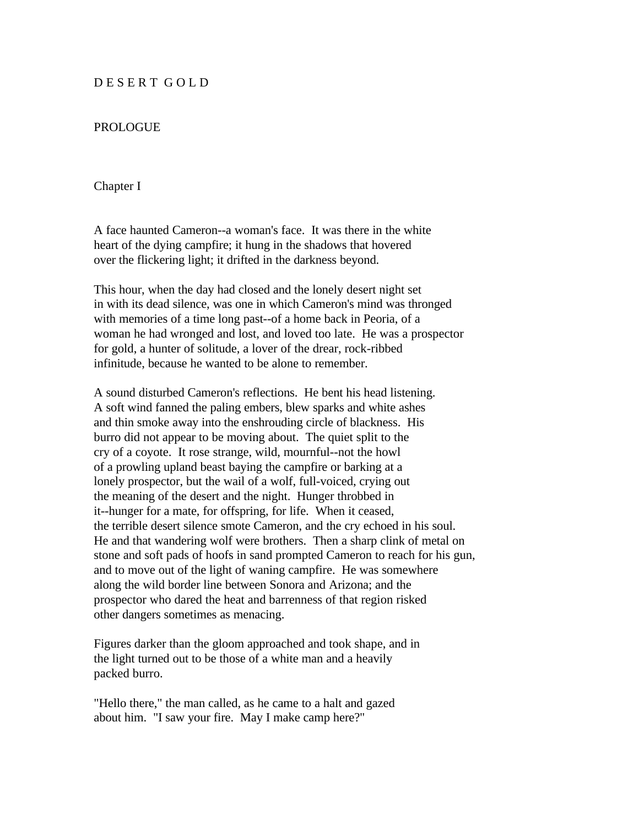# D E S E R T G O L D

## PROLOGUE

#### Chapter I

A face haunted Cameron--a woman's face. It was there in the white heart of the dying campfire; it hung in the shadows that hovered over the flickering light; it drifted in the darkness beyond.

This hour, when the day had closed and the lonely desert night set in with its dead silence, was one in which Cameron's mind was thronged with memories of a time long past--of a home back in Peoria, of a woman he had wronged and lost, and loved too late. He was a prospector for gold, a hunter of solitude, a lover of the drear, rock-ribbed infinitude, because he wanted to be alone to remember.

A sound disturbed Cameron's reflections. He bent his head listening. A soft wind fanned the paling embers, blew sparks and white ashes and thin smoke away into the enshrouding circle of blackness. His burro did not appear to be moving about. The quiet split to the cry of a coyote. It rose strange, wild, mournful--not the howl of a prowling upland beast baying the campfire or barking at a lonely prospector, but the wail of a wolf, full-voiced, crying out the meaning of the desert and the night. Hunger throbbed in it--hunger for a mate, for offspring, for life. When it ceased, the terrible desert silence smote Cameron, and the cry echoed in his soul. He and that wandering wolf were brothers. Then a sharp clink of metal on stone and soft pads of hoofs in sand prompted Cameron to reach for his gun, and to move out of the light of waning campfire. He was somewhere along the wild border line between Sonora and Arizona; and the prospector who dared the heat and barrenness of that region risked other dangers sometimes as menacing.

Figures darker than the gloom approached and took shape, and in the light turned out to be those of a white man and a heavily packed burro.

"Hello there," the man called, as he came to a halt and gazed about him. "I saw your fire. May I make camp here?"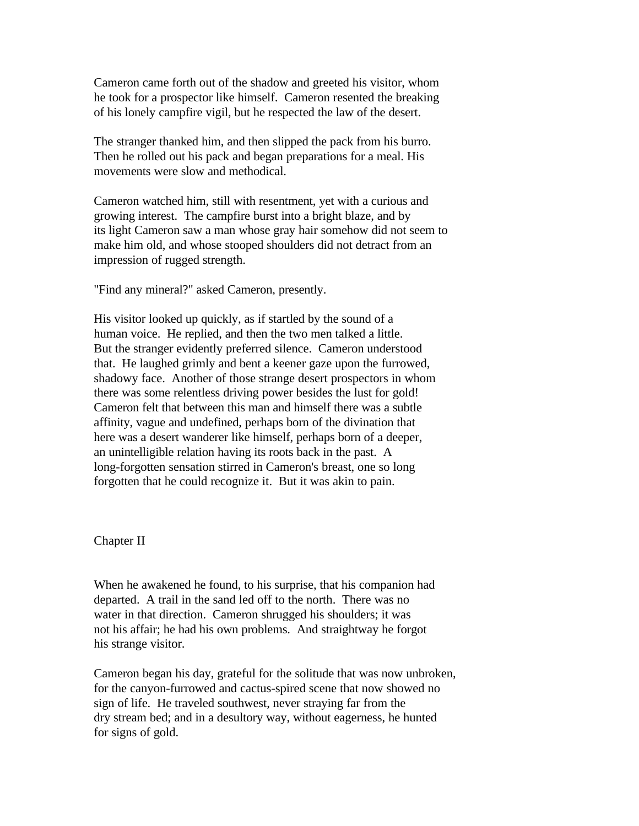Cameron came forth out of the shadow and greeted his visitor, whom he took for a prospector like himself. Cameron resented the breaking of his lonely campfire vigil, but he respected the law of the desert.

The stranger thanked him, and then slipped the pack from his burro. Then he rolled out his pack and began preparations for a meal. His movements were slow and methodical.

Cameron watched him, still with resentment, yet with a curious and growing interest. The campfire burst into a bright blaze, and by its light Cameron saw a man whose gray hair somehow did not seem to make him old, and whose stooped shoulders did not detract from an impression of rugged strength.

"Find any mineral?" asked Cameron, presently.

His visitor looked up quickly, as if startled by the sound of a human voice. He replied, and then the two men talked a little. But the stranger evidently preferred silence. Cameron understood that. He laughed grimly and bent a keener gaze upon the furrowed, shadowy face. Another of those strange desert prospectors in whom there was some relentless driving power besides the lust for gold! Cameron felt that between this man and himself there was a subtle affinity, vague and undefined, perhaps born of the divination that here was a desert wanderer like himself, perhaps born of a deeper, an unintelligible relation having its roots back in the past. A long-forgotten sensation stirred in Cameron's breast, one so long forgotten that he could recognize it. But it was akin to pain.

## Chapter II

When he awakened he found, to his surprise, that his companion had departed. A trail in the sand led off to the north. There was no water in that direction. Cameron shrugged his shoulders; it was not his affair; he had his own problems. And straightway he forgot his strange visitor.

Cameron began his day, grateful for the solitude that was now unbroken, for the canyon-furrowed and cactus-spired scene that now showed no sign of life. He traveled southwest, never straying far from the dry stream bed; and in a desultory way, without eagerness, he hunted for signs of gold.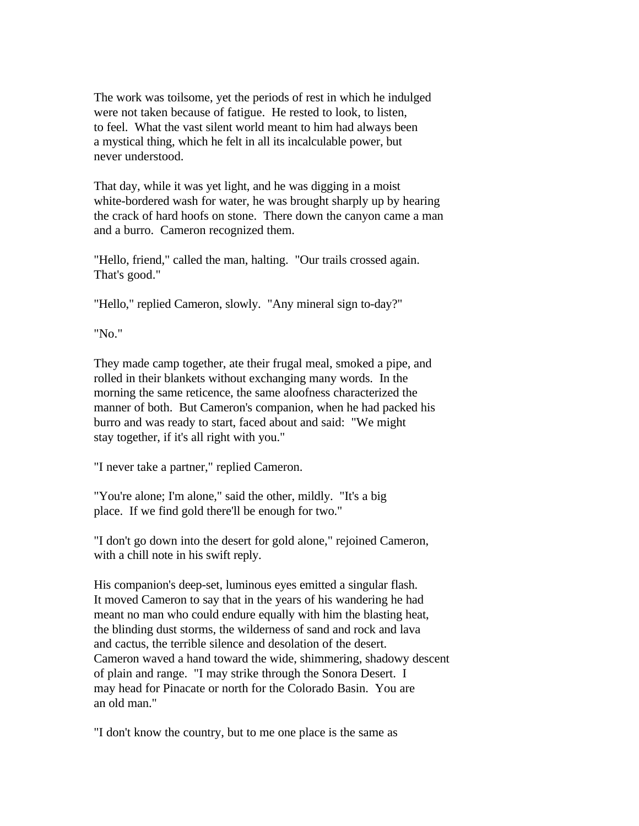The work was toilsome, yet the periods of rest in which he indulged were not taken because of fatigue. He rested to look, to listen, to feel. What the vast silent world meant to him had always been a mystical thing, which he felt in all its incalculable power, but never understood.

That day, while it was yet light, and he was digging in a moist white-bordered wash for water, he was brought sharply up by hearing the crack of hard hoofs on stone. There down the canyon came a man and a burro. Cameron recognized them.

"Hello, friend," called the man, halting. "Our trails crossed again. That's good."

"Hello," replied Cameron, slowly. "Any mineral sign to-day?"

"No."

They made camp together, ate their frugal meal, smoked a pipe, and rolled in their blankets without exchanging many words. In the morning the same reticence, the same aloofness characterized the manner of both. But Cameron's companion, when he had packed his burro and was ready to start, faced about and said: "We might stay together, if it's all right with you."

"I never take a partner," replied Cameron.

"You're alone; I'm alone," said the other, mildly. "It's a big place. If we find gold there'll be enough for two."

"I don't go down into the desert for gold alone," rejoined Cameron, with a chill note in his swift reply.

His companion's deep-set, luminous eyes emitted a singular flash. It moved Cameron to say that in the years of his wandering he had meant no man who could endure equally with him the blasting heat, the blinding dust storms, the wilderness of sand and rock and lava and cactus, the terrible silence and desolation of the desert. Cameron waved a hand toward the wide, shimmering, shadowy descent of plain and range. "I may strike through the Sonora Desert. I may head for Pinacate or north for the Colorado Basin. You are an old man."

"I don't know the country, but to me one place is the same as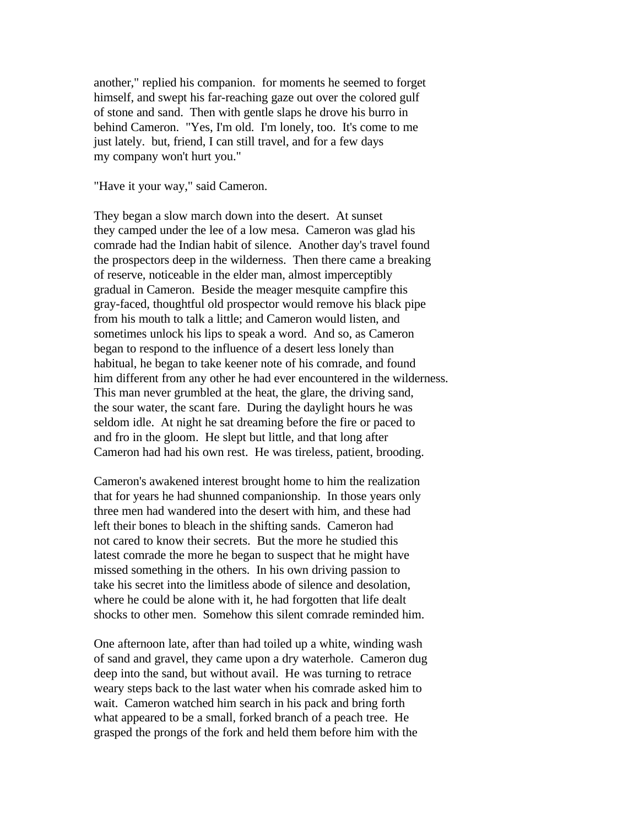another," replied his companion. for moments he seemed to forget himself, and swept his far-reaching gaze out over the colored gulf of stone and sand. Then with gentle slaps he drove his burro in behind Cameron. "Yes, I'm old. I'm lonely, too. It's come to me just lately. but, friend, I can still travel, and for a few days my company won't hurt you."

"Have it your way," said Cameron.

They began a slow march down into the desert. At sunset they camped under the lee of a low mesa. Cameron was glad his comrade had the Indian habit of silence. Another day's travel found the prospectors deep in the wilderness. Then there came a breaking of reserve, noticeable in the elder man, almost imperceptibly gradual in Cameron. Beside the meager mesquite campfire this gray-faced, thoughtful old prospector would remove his black pipe from his mouth to talk a little; and Cameron would listen, and sometimes unlock his lips to speak a word. And so, as Cameron began to respond to the influence of a desert less lonely than habitual, he began to take keener note of his comrade, and found him different from any other he had ever encountered in the wilderness. This man never grumbled at the heat, the glare, the driving sand, the sour water, the scant fare. During the daylight hours he was seldom idle. At night he sat dreaming before the fire or paced to and fro in the gloom. He slept but little, and that long after Cameron had had his own rest. He was tireless, patient, brooding.

Cameron's awakened interest brought home to him the realization that for years he had shunned companionship. In those years only three men had wandered into the desert with him, and these had left their bones to bleach in the shifting sands. Cameron had not cared to know their secrets. But the more he studied this latest comrade the more he began to suspect that he might have missed something in the others. In his own driving passion to take his secret into the limitless abode of silence and desolation, where he could be alone with it, he had forgotten that life dealt shocks to other men. Somehow this silent comrade reminded him.

One afternoon late, after than had toiled up a white, winding wash of sand and gravel, they came upon a dry waterhole. Cameron dug deep into the sand, but without avail. He was turning to retrace weary steps back to the last water when his comrade asked him to wait. Cameron watched him search in his pack and bring forth what appeared to be a small, forked branch of a peach tree. He grasped the prongs of the fork and held them before him with the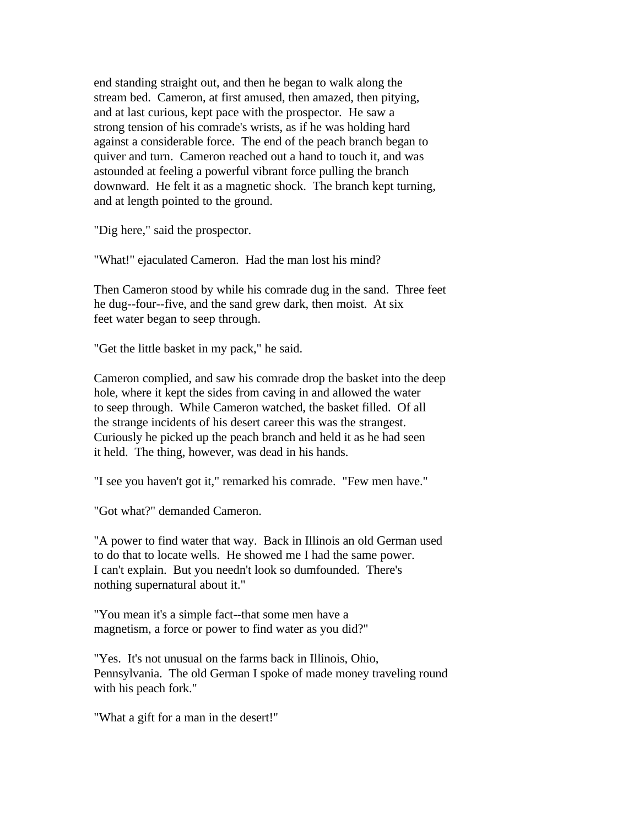end standing straight out, and then he began to walk along the stream bed. Cameron, at first amused, then amazed, then pitying, and at last curious, kept pace with the prospector. He saw a strong tension of his comrade's wrists, as if he was holding hard against a considerable force. The end of the peach branch began to quiver and turn. Cameron reached out a hand to touch it, and was astounded at feeling a powerful vibrant force pulling the branch downward. He felt it as a magnetic shock. The branch kept turning, and at length pointed to the ground.

"Dig here," said the prospector.

"What!" ejaculated Cameron. Had the man lost his mind?

Then Cameron stood by while his comrade dug in the sand. Three feet he dug--four--five, and the sand grew dark, then moist. At six feet water began to seep through.

"Get the little basket in my pack," he said.

Cameron complied, and saw his comrade drop the basket into the deep hole, where it kept the sides from caving in and allowed the water to seep through. While Cameron watched, the basket filled. Of all the strange incidents of his desert career this was the strangest. Curiously he picked up the peach branch and held it as he had seen it held. The thing, however, was dead in his hands.

"I see you haven't got it," remarked his comrade. "Few men have."

"Got what?" demanded Cameron.

"A power to find water that way. Back in Illinois an old German used to do that to locate wells. He showed me I had the same power. I can't explain. But you needn't look so dumfounded. There's nothing supernatural about it."

"You mean it's a simple fact--that some men have a magnetism, a force or power to find water as you did?"

"Yes. It's not unusual on the farms back in Illinois, Ohio, Pennsylvania. The old German I spoke of made money traveling round with his peach fork."

"What a gift for a man in the desert!"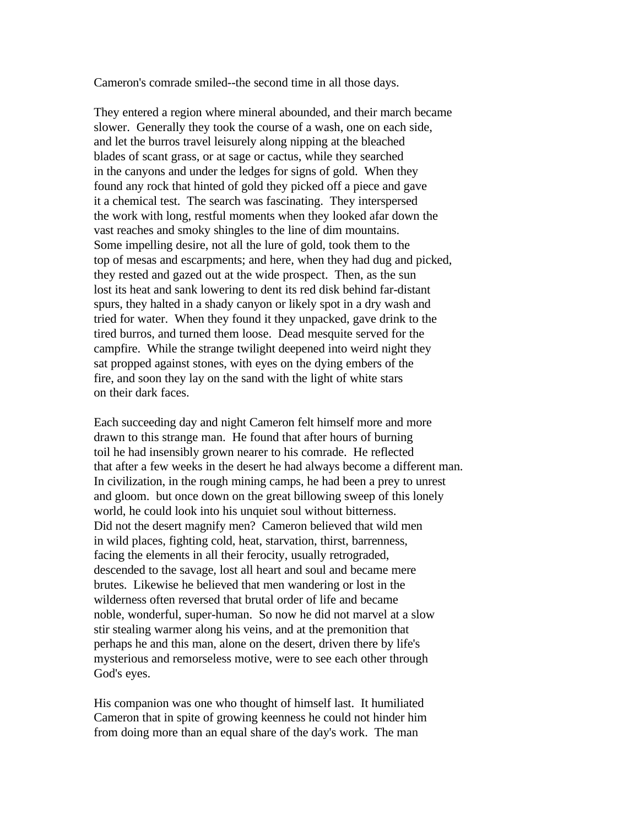Cameron's comrade smiled--the second time in all those days.

They entered a region where mineral abounded, and their march became slower. Generally they took the course of a wash, one on each side, and let the burros travel leisurely along nipping at the bleached blades of scant grass, or at sage or cactus, while they searched in the canyons and under the ledges for signs of gold. When they found any rock that hinted of gold they picked off a piece and gave it a chemical test. The search was fascinating. They interspersed the work with long, restful moments when they looked afar down the vast reaches and smoky shingles to the line of dim mountains. Some impelling desire, not all the lure of gold, took them to the top of mesas and escarpments; and here, when they had dug and picked, they rested and gazed out at the wide prospect. Then, as the sun lost its heat and sank lowering to dent its red disk behind far-distant spurs, they halted in a shady canyon or likely spot in a dry wash and tried for water. When they found it they unpacked, gave drink to the tired burros, and turned them loose. Dead mesquite served for the campfire. While the strange twilight deepened into weird night they sat propped against stones, with eyes on the dying embers of the fire, and soon they lay on the sand with the light of white stars on their dark faces.

Each succeeding day and night Cameron felt himself more and more drawn to this strange man. He found that after hours of burning toil he had insensibly grown nearer to his comrade. He reflected that after a few weeks in the desert he had always become a different man. In civilization, in the rough mining camps, he had been a prey to unrest and gloom. but once down on the great billowing sweep of this lonely world, he could look into his unquiet soul without bitterness. Did not the desert magnify men? Cameron believed that wild men in wild places, fighting cold, heat, starvation, thirst, barrenness, facing the elements in all their ferocity, usually retrograded, descended to the savage, lost all heart and soul and became mere brutes. Likewise he believed that men wandering or lost in the wilderness often reversed that brutal order of life and became noble, wonderful, super-human. So now he did not marvel at a slow stir stealing warmer along his veins, and at the premonition that perhaps he and this man, alone on the desert, driven there by life's mysterious and remorseless motive, were to see each other through God's eyes.

His companion was one who thought of himself last. It humiliated Cameron that in spite of growing keenness he could not hinder him from doing more than an equal share of the day's work. The man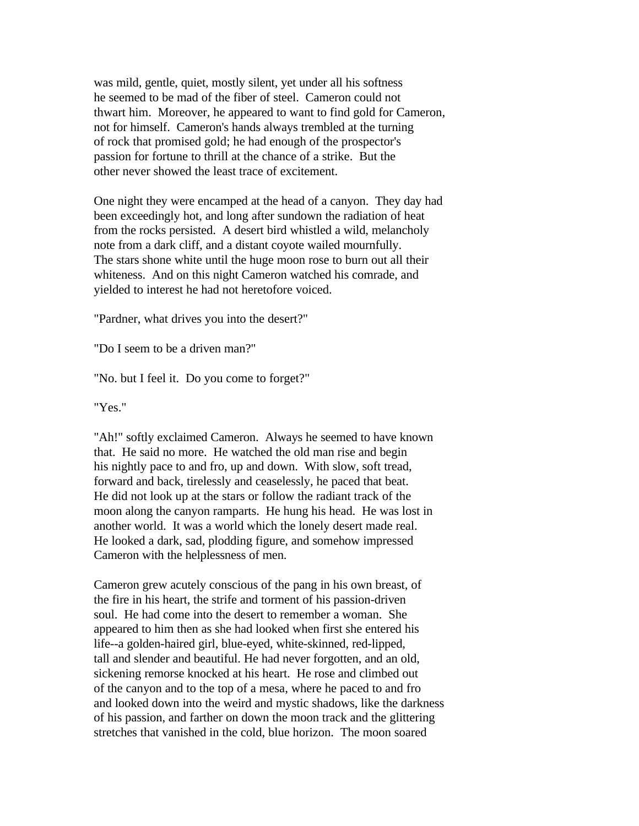was mild, gentle, quiet, mostly silent, yet under all his softness he seemed to be mad of the fiber of steel. Cameron could not thwart him. Moreover, he appeared to want to find gold for Cameron, not for himself. Cameron's hands always trembled at the turning of rock that promised gold; he had enough of the prospector's passion for fortune to thrill at the chance of a strike. But the other never showed the least trace of excitement.

One night they were encamped at the head of a canyon. They day had been exceedingly hot, and long after sundown the radiation of heat from the rocks persisted. A desert bird whistled a wild, melancholy note from a dark cliff, and a distant coyote wailed mournfully. The stars shone white until the huge moon rose to burn out all their whiteness. And on this night Cameron watched his comrade, and yielded to interest he had not heretofore voiced.

"Pardner, what drives you into the desert?"

"Do I seem to be a driven man?"

"No. but I feel it. Do you come to forget?"

"Yes."

"Ah!" softly exclaimed Cameron. Always he seemed to have known that. He said no more. He watched the old man rise and begin his nightly pace to and fro, up and down. With slow, soft tread, forward and back, tirelessly and ceaselessly, he paced that beat. He did not look up at the stars or follow the radiant track of the moon along the canyon ramparts. He hung his head. He was lost in another world. It was a world which the lonely desert made real. He looked a dark, sad, plodding figure, and somehow impressed Cameron with the helplessness of men.

Cameron grew acutely conscious of the pang in his own breast, of the fire in his heart, the strife and torment of his passion-driven soul. He had come into the desert to remember a woman. She appeared to him then as she had looked when first she entered his life--a golden-haired girl, blue-eyed, white-skinned, red-lipped, tall and slender and beautiful. He had never forgotten, and an old, sickening remorse knocked at his heart. He rose and climbed out of the canyon and to the top of a mesa, where he paced to and fro and looked down into the weird and mystic shadows, like the darkness of his passion, and farther on down the moon track and the glittering stretches that vanished in the cold, blue horizon. The moon soared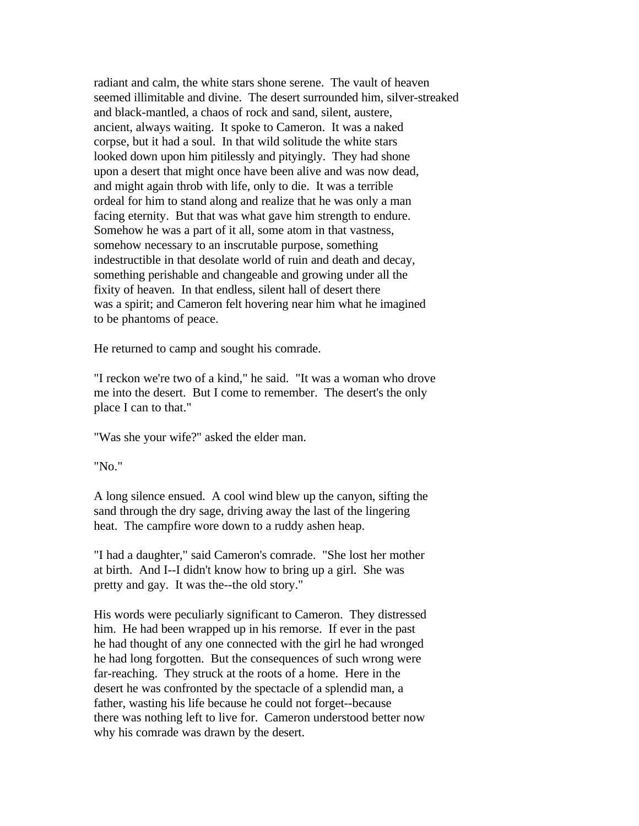radiant and calm, the white stars shone serene. The vault of heaven seemed illimitable and divine. The desert surrounded him, silver-streaked and black-mantled, a chaos of rock and sand, silent, austere, ancient, always waiting. It spoke to Cameron. It was a naked corpse, but it had a soul. In that wild solitude the white stars looked down upon him pitilessly and pityingly. They had shone upon a desert that might once have been alive and was now dead, and might again throb with life, only to die. It was a terrible ordeal for him to stand along and realize that he was only a man facing eternity. But that was what gave him strength to endure. Somehow he was a part of it all, some atom in that vastness, somehow necessary to an inscrutable purpose, something indestructible in that desolate world of ruin and death and decay, something perishable and changeable and growing under all the fixity of heaven. In that endless, silent hall of desert there was a spirit; and Cameron felt hovering near him what he imagined to be phantoms of peace.

He returned to camp and sought his comrade.

"I reckon we're two of a kind," he said. "It was a woman who drove me into the desert. But I come to remember. The desert's the only place I can to that."

"Was she your wife?" asked the elder man.

"No."

A long silence ensued. A cool wind blew up the canyon, sifting the sand through the dry sage, driving away the last of the lingering heat. The campfire wore down to a ruddy ashen heap.

"I had a daughter," said Cameron's comrade. "She lost her mother at birth. And I--I didn't know how to bring up a girl. She was pretty and gay. It was the--the old story."

His words were peculiarly significant to Cameron. They distressed him. He had been wrapped up in his remorse. If ever in the past he had thought of any one connected with the girl he had wronged he had long forgotten. But the consequences of such wrong were far-reaching. They struck at the roots of a home. Here in the desert he was confronted by the spectacle of a splendid man, a father, wasting his life because he could not forget--because there was nothing left to live for. Cameron understood better now why his comrade was drawn by the desert.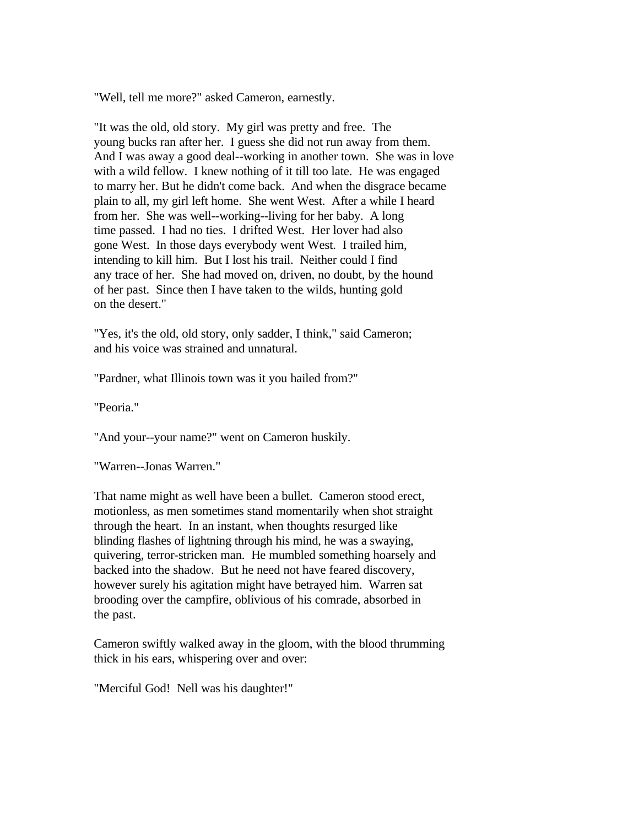"Well, tell me more?" asked Cameron, earnestly.

"It was the old, old story. My girl was pretty and free. The young bucks ran after her. I guess she did not run away from them. And I was away a good deal--working in another town. She was in love with a wild fellow. I knew nothing of it till too late. He was engaged to marry her. But he didn't come back. And when the disgrace became plain to all, my girl left home. She went West. After a while I heard from her. She was well--working--living for her baby. A long time passed. I had no ties. I drifted West. Her lover had also gone West. In those days everybody went West. I trailed him, intending to kill him. But I lost his trail. Neither could I find any trace of her. She had moved on, driven, no doubt, by the hound of her past. Since then I have taken to the wilds, hunting gold on the desert."

"Yes, it's the old, old story, only sadder, I think," said Cameron; and his voice was strained and unnatural.

"Pardner, what Illinois town was it you hailed from?"

"Peoria."

"And your--your name?" went on Cameron huskily.

"Warren--Jonas Warren."

That name might as well have been a bullet. Cameron stood erect, motionless, as men sometimes stand momentarily when shot straight through the heart. In an instant, when thoughts resurged like blinding flashes of lightning through his mind, he was a swaying, quivering, terror-stricken man. He mumbled something hoarsely and backed into the shadow. But he need not have feared discovery, however surely his agitation might have betrayed him. Warren sat brooding over the campfire, oblivious of his comrade, absorbed in the past.

Cameron swiftly walked away in the gloom, with the blood thrumming thick in his ears, whispering over and over:

"Merciful God! Nell was his daughter!"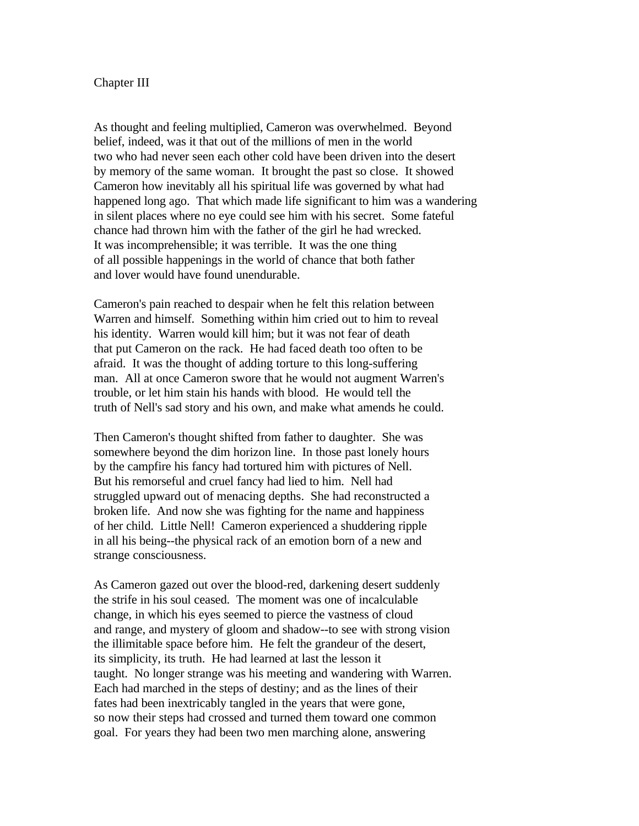### Chapter III

As thought and feeling multiplied, Cameron was overwhelmed. Beyond belief, indeed, was it that out of the millions of men in the world two who had never seen each other cold have been driven into the desert by memory of the same woman. It brought the past so close. It showed Cameron how inevitably all his spiritual life was governed by what had happened long ago. That which made life significant to him was a wandering in silent places where no eye could see him with his secret. Some fateful chance had thrown him with the father of the girl he had wrecked. It was incomprehensible; it was terrible. It was the one thing of all possible happenings in the world of chance that both father and lover would have found unendurable.

Cameron's pain reached to despair when he felt this relation between Warren and himself. Something within him cried out to him to reveal his identity. Warren would kill him; but it was not fear of death that put Cameron on the rack. He had faced death too often to be afraid. It was the thought of adding torture to this long-suffering man. All at once Cameron swore that he would not augment Warren's trouble, or let him stain his hands with blood. He would tell the truth of Nell's sad story and his own, and make what amends he could.

Then Cameron's thought shifted from father to daughter. She was somewhere beyond the dim horizon line. In those past lonely hours by the campfire his fancy had tortured him with pictures of Nell. But his remorseful and cruel fancy had lied to him. Nell had struggled upward out of menacing depths. She had reconstructed a broken life. And now she was fighting for the name and happiness of her child. Little Nell! Cameron experienced a shuddering ripple in all his being--the physical rack of an emotion born of a new and strange consciousness.

As Cameron gazed out over the blood-red, darkening desert suddenly the strife in his soul ceased. The moment was one of incalculable change, in which his eyes seemed to pierce the vastness of cloud and range, and mystery of gloom and shadow--to see with strong vision the illimitable space before him. He felt the grandeur of the desert, its simplicity, its truth. He had learned at last the lesson it taught. No longer strange was his meeting and wandering with Warren. Each had marched in the steps of destiny; and as the lines of their fates had been inextricably tangled in the years that were gone, so now their steps had crossed and turned them toward one common goal. For years they had been two men marching alone, answering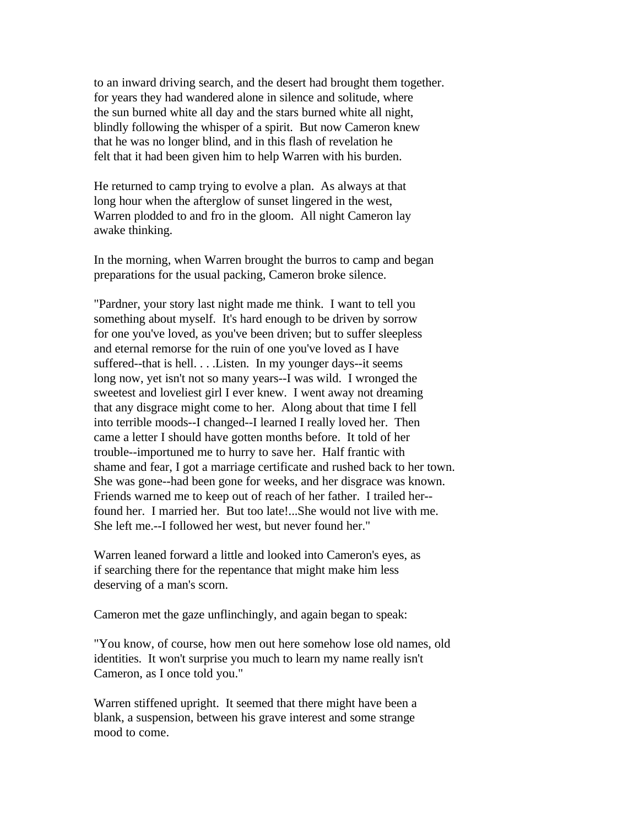to an inward driving search, and the desert had brought them together. for years they had wandered alone in silence and solitude, where the sun burned white all day and the stars burned white all night, blindly following the whisper of a spirit. But now Cameron knew that he was no longer blind, and in this flash of revelation he felt that it had been given him to help Warren with his burden.

He returned to camp trying to evolve a plan. As always at that long hour when the afterglow of sunset lingered in the west, Warren plodded to and fro in the gloom. All night Cameron lay awake thinking.

In the morning, when Warren brought the burros to camp and began preparations for the usual packing, Cameron broke silence.

"Pardner, your story last night made me think. I want to tell you something about myself. It's hard enough to be driven by sorrow for one you've loved, as you've been driven; but to suffer sleepless and eternal remorse for the ruin of one you've loved as I have suffered--that is hell. . . .Listen. In my younger days--it seems long now, yet isn't not so many years--I was wild. I wronged the sweetest and loveliest girl I ever knew. I went away not dreaming that any disgrace might come to her. Along about that time I fell into terrible moods--I changed--I learned I really loved her. Then came a letter I should have gotten months before. It told of her trouble--importuned me to hurry to save her. Half frantic with shame and fear, I got a marriage certificate and rushed back to her town. She was gone--had been gone for weeks, and her disgrace was known. Friends warned me to keep out of reach of her father. I trailed her- found her. I married her. But too late!...She would not live with me. She left me.--I followed her west, but never found her."

Warren leaned forward a little and looked into Cameron's eyes, as if searching there for the repentance that might make him less deserving of a man's scorn.

Cameron met the gaze unflinchingly, and again began to speak:

"You know, of course, how men out here somehow lose old names, old identities. It won't surprise you much to learn my name really isn't Cameron, as I once told you."

Warren stiffened upright. It seemed that there might have been a blank, a suspension, between his grave interest and some strange mood to come.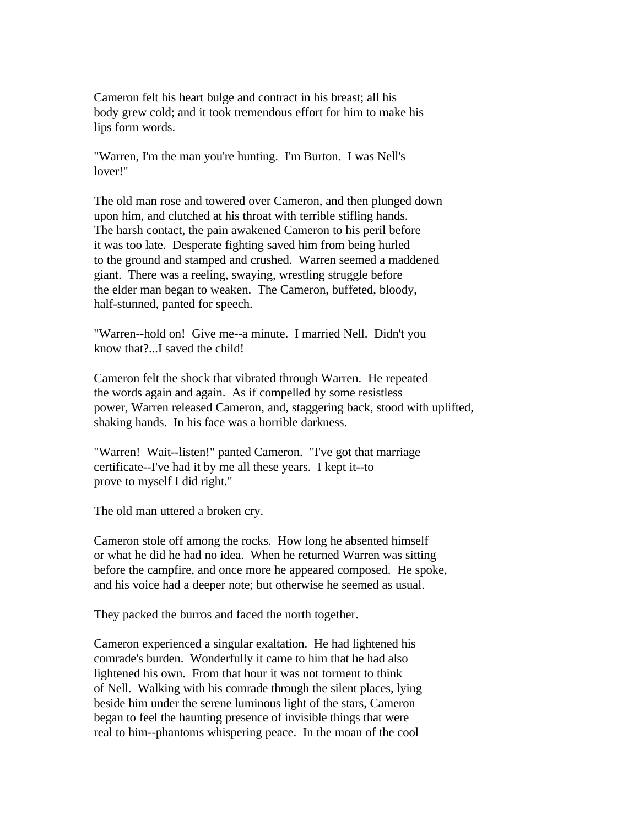Cameron felt his heart bulge and contract in his breast; all his body grew cold; and it took tremendous effort for him to make his lips form words.

"Warren, I'm the man you're hunting. I'm Burton. I was Nell's lover!"

The old man rose and towered over Cameron, and then plunged down upon him, and clutched at his throat with terrible stifling hands. The harsh contact, the pain awakened Cameron to his peril before it was too late. Desperate fighting saved him from being hurled to the ground and stamped and crushed. Warren seemed a maddened giant. There was a reeling, swaying, wrestling struggle before the elder man began to weaken. The Cameron, buffeted, bloody, half-stunned, panted for speech.

"Warren--hold on! Give me--a minute. I married Nell. Didn't you know that?...I saved the child!

Cameron felt the shock that vibrated through Warren. He repeated the words again and again. As if compelled by some resistless power, Warren released Cameron, and, staggering back, stood with uplifted, shaking hands. In his face was a horrible darkness.

"Warren! Wait--listen!" panted Cameron. "I've got that marriage certificate--I've had it by me all these years. I kept it--to prove to myself I did right."

The old man uttered a broken cry.

Cameron stole off among the rocks. How long he absented himself or what he did he had no idea. When he returned Warren was sitting before the campfire, and once more he appeared composed. He spoke, and his voice had a deeper note; but otherwise he seemed as usual.

They packed the burros and faced the north together.

Cameron experienced a singular exaltation. He had lightened his comrade's burden. Wonderfully it came to him that he had also lightened his own. From that hour it was not torment to think of Nell. Walking with his comrade through the silent places, lying beside him under the serene luminous light of the stars, Cameron began to feel the haunting presence of invisible things that were real to him--phantoms whispering peace. In the moan of the cool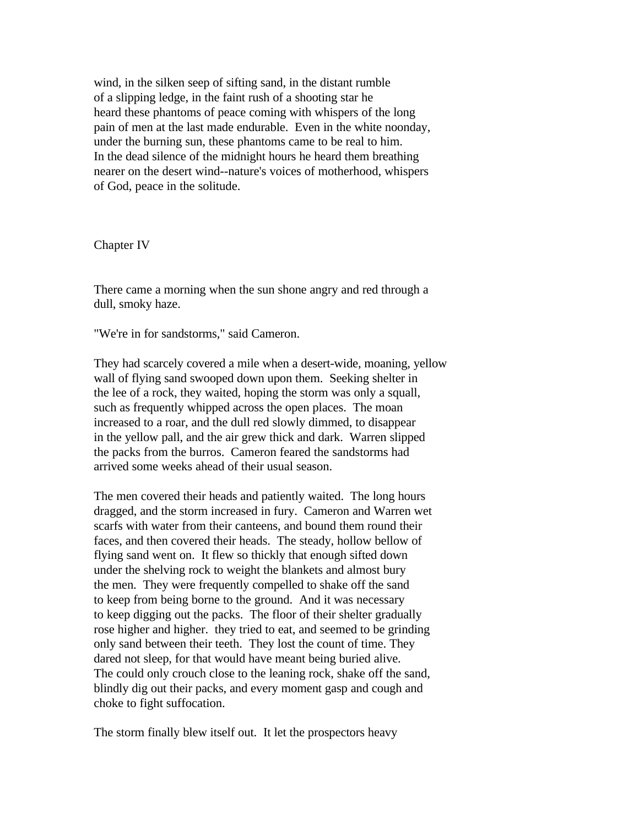wind, in the silken seep of sifting sand, in the distant rumble of a slipping ledge, in the faint rush of a shooting star he heard these phantoms of peace coming with whispers of the long pain of men at the last made endurable. Even in the white noonday, under the burning sun, these phantoms came to be real to him. In the dead silence of the midnight hours he heard them breathing nearer on the desert wind--nature's voices of motherhood, whispers of God, peace in the solitude.

Chapter IV

There came a morning when the sun shone angry and red through a dull, smoky haze.

"We're in for sandstorms," said Cameron.

They had scarcely covered a mile when a desert-wide, moaning, yellow wall of flying sand swooped down upon them. Seeking shelter in the lee of a rock, they waited, hoping the storm was only a squall, such as frequently whipped across the open places. The moan increased to a roar, and the dull red slowly dimmed, to disappear in the yellow pall, and the air grew thick and dark. Warren slipped the packs from the burros. Cameron feared the sandstorms had arrived some weeks ahead of their usual season.

The men covered their heads and patiently waited. The long hours dragged, and the storm increased in fury. Cameron and Warren wet scarfs with water from their canteens, and bound them round their faces, and then covered their heads. The steady, hollow bellow of flying sand went on. It flew so thickly that enough sifted down under the shelving rock to weight the blankets and almost bury the men. They were frequently compelled to shake off the sand to keep from being borne to the ground. And it was necessary to keep digging out the packs. The floor of their shelter gradually rose higher and higher. they tried to eat, and seemed to be grinding only sand between their teeth. They lost the count of time. They dared not sleep, for that would have meant being buried alive. The could only crouch close to the leaning rock, shake off the sand, blindly dig out their packs, and every moment gasp and cough and choke to fight suffocation.

The storm finally blew itself out. It let the prospectors heavy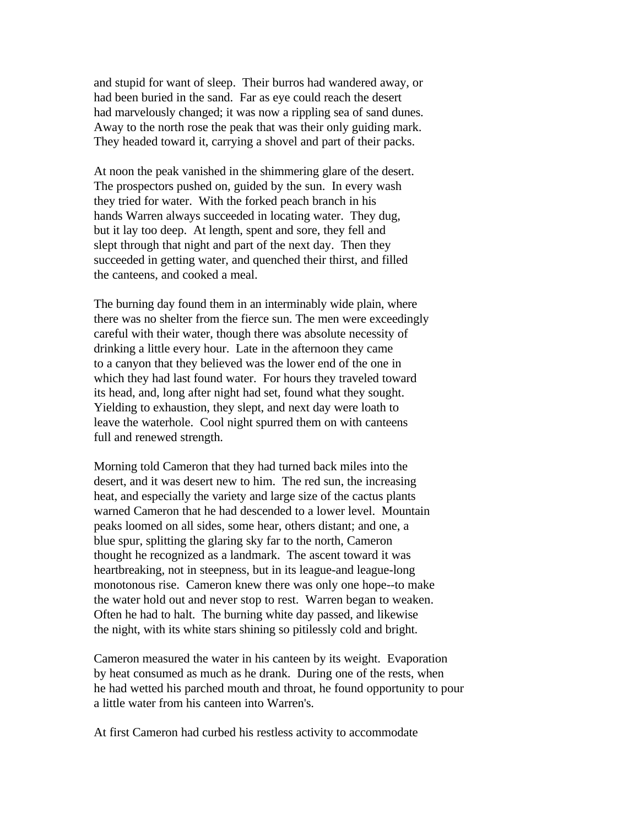and stupid for want of sleep. Their burros had wandered away, or had been buried in the sand. Far as eye could reach the desert had marvelously changed; it was now a rippling sea of sand dunes. Away to the north rose the peak that was their only guiding mark. They headed toward it, carrying a shovel and part of their packs.

At noon the peak vanished in the shimmering glare of the desert. The prospectors pushed on, guided by the sun. In every wash they tried for water. With the forked peach branch in his hands Warren always succeeded in locating water. They dug, but it lay too deep. At length, spent and sore, they fell and slept through that night and part of the next day. Then they succeeded in getting water, and quenched their thirst, and filled the canteens, and cooked a meal.

The burning day found them in an interminably wide plain, where there was no shelter from the fierce sun. The men were exceedingly careful with their water, though there was absolute necessity of drinking a little every hour. Late in the afternoon they came to a canyon that they believed was the lower end of the one in which they had last found water. For hours they traveled toward its head, and, long after night had set, found what they sought. Yielding to exhaustion, they slept, and next day were loath to leave the waterhole. Cool night spurred them on with canteens full and renewed strength.

Morning told Cameron that they had turned back miles into the desert, and it was desert new to him. The red sun, the increasing heat, and especially the variety and large size of the cactus plants warned Cameron that he had descended to a lower level. Mountain peaks loomed on all sides, some hear, others distant; and one, a blue spur, splitting the glaring sky far to the north, Cameron thought he recognized as a landmark. The ascent toward it was heartbreaking, not in steepness, but in its league-and league-long monotonous rise. Cameron knew there was only one hope--to make the water hold out and never stop to rest. Warren began to weaken. Often he had to halt. The burning white day passed, and likewise the night, with its white stars shining so pitilessly cold and bright.

Cameron measured the water in his canteen by its weight. Evaporation by heat consumed as much as he drank. During one of the rests, when he had wetted his parched mouth and throat, he found opportunity to pour a little water from his canteen into Warren's.

At first Cameron had curbed his restless activity to accommodate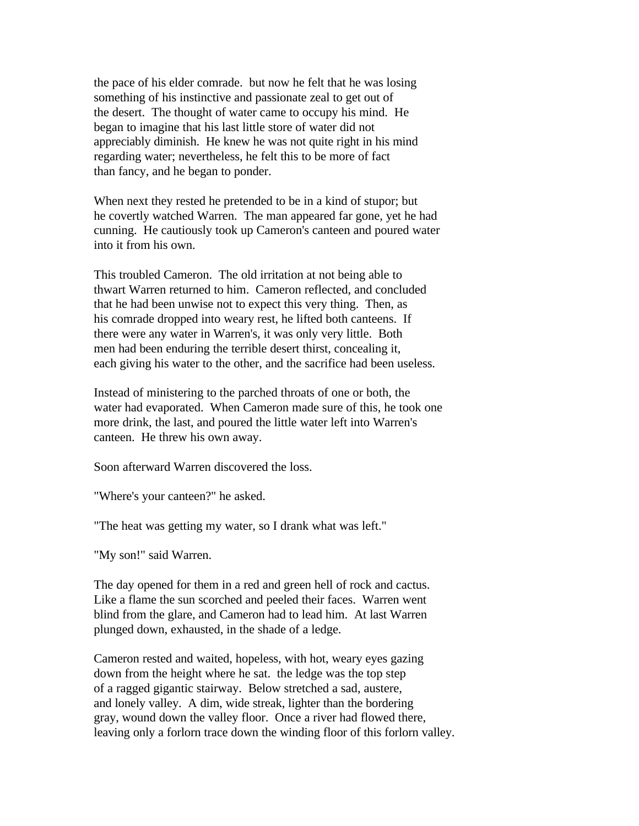the pace of his elder comrade. but now he felt that he was losing something of his instinctive and passionate zeal to get out of the desert. The thought of water came to occupy his mind. He began to imagine that his last little store of water did not appreciably diminish. He knew he was not quite right in his mind regarding water; nevertheless, he felt this to be more of fact than fancy, and he began to ponder.

When next they rested he pretended to be in a kind of stupor; but he covertly watched Warren. The man appeared far gone, yet he had cunning. He cautiously took up Cameron's canteen and poured water into it from his own.

This troubled Cameron. The old irritation at not being able to thwart Warren returned to him. Cameron reflected, and concluded that he had been unwise not to expect this very thing. Then, as his comrade dropped into weary rest, he lifted both canteens. If there were any water in Warren's, it was only very little. Both men had been enduring the terrible desert thirst, concealing it, each giving his water to the other, and the sacrifice had been useless.

Instead of ministering to the parched throats of one or both, the water had evaporated. When Cameron made sure of this, he took one more drink, the last, and poured the little water left into Warren's canteen. He threw his own away.

Soon afterward Warren discovered the loss.

"Where's your canteen?" he asked.

"The heat was getting my water, so I drank what was left."

"My son!" said Warren.

The day opened for them in a red and green hell of rock and cactus. Like a flame the sun scorched and peeled their faces. Warren went blind from the glare, and Cameron had to lead him. At last Warren plunged down, exhausted, in the shade of a ledge.

Cameron rested and waited, hopeless, with hot, weary eyes gazing down from the height where he sat. the ledge was the top step of a ragged gigantic stairway. Below stretched a sad, austere, and lonely valley. A dim, wide streak, lighter than the bordering gray, wound down the valley floor. Once a river had flowed there, leaving only a forlorn trace down the winding floor of this forlorn valley.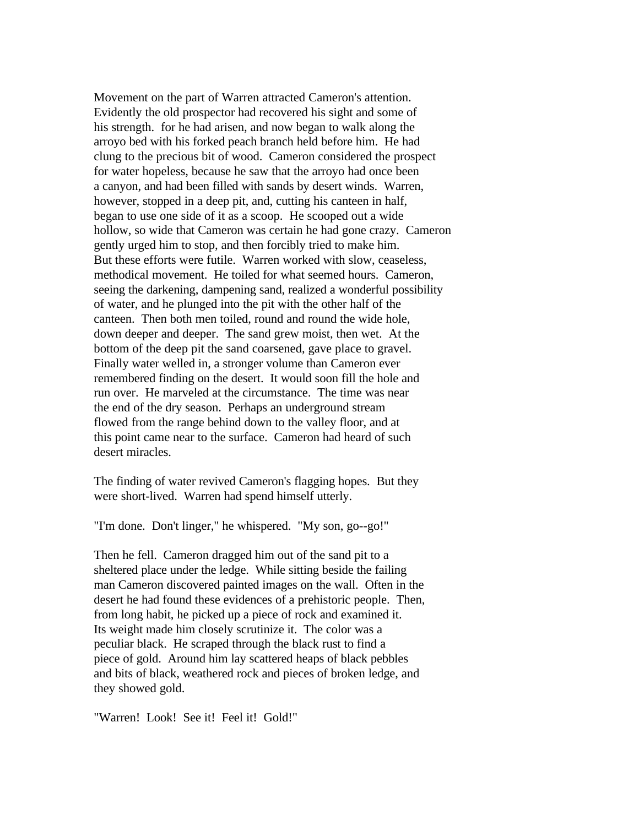Movement on the part of Warren attracted Cameron's attention. Evidently the old prospector had recovered his sight and some of his strength. for he had arisen, and now began to walk along the arroyo bed with his forked peach branch held before him. He had clung to the precious bit of wood. Cameron considered the prospect for water hopeless, because he saw that the arroyo had once been a canyon, and had been filled with sands by desert winds. Warren, however, stopped in a deep pit, and, cutting his canteen in half, began to use one side of it as a scoop. He scooped out a wide hollow, so wide that Cameron was certain he had gone crazy. Cameron gently urged him to stop, and then forcibly tried to make him. But these efforts were futile. Warren worked with slow, ceaseless, methodical movement. He toiled for what seemed hours. Cameron, seeing the darkening, dampening sand, realized a wonderful possibility of water, and he plunged into the pit with the other half of the canteen. Then both men toiled, round and round the wide hole, down deeper and deeper. The sand grew moist, then wet. At the bottom of the deep pit the sand coarsened, gave place to gravel. Finally water welled in, a stronger volume than Cameron ever remembered finding on the desert. It would soon fill the hole and run over. He marveled at the circumstance. The time was near the end of the dry season. Perhaps an underground stream flowed from the range behind down to the valley floor, and at this point came near to the surface. Cameron had heard of such desert miracles.

The finding of water revived Cameron's flagging hopes. But they were short-lived. Warren had spend himself utterly.

"I'm done. Don't linger," he whispered. "My son, go--go!"

Then he fell. Cameron dragged him out of the sand pit to a sheltered place under the ledge. While sitting beside the failing man Cameron discovered painted images on the wall. Often in the desert he had found these evidences of a prehistoric people. Then, from long habit, he picked up a piece of rock and examined it. Its weight made him closely scrutinize it. The color was a peculiar black. He scraped through the black rust to find a piece of gold. Around him lay scattered heaps of black pebbles and bits of black, weathered rock and pieces of broken ledge, and they showed gold.

"Warren! Look! See it! Feel it! Gold!"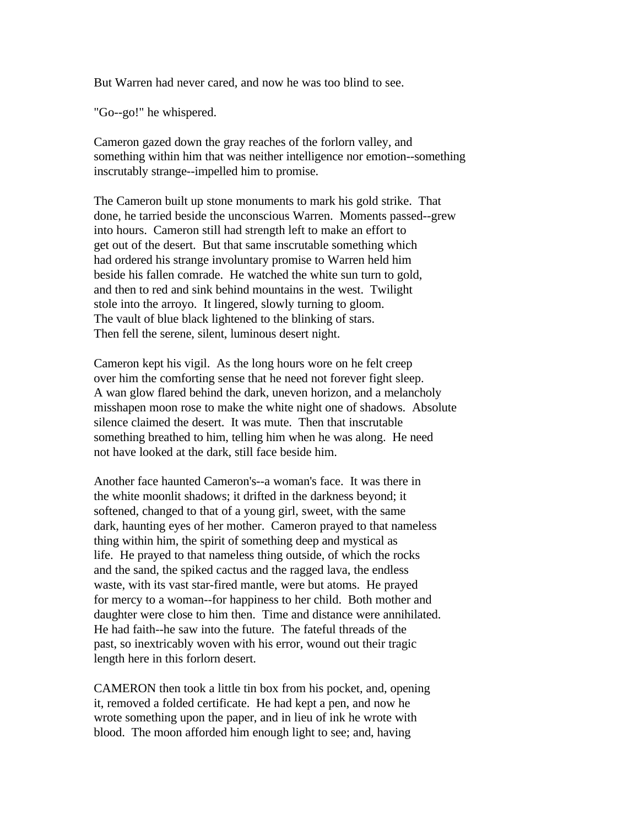But Warren had never cared, and now he was too blind to see.

"Go--go!" he whispered.

Cameron gazed down the gray reaches of the forlorn valley, and something within him that was neither intelligence nor emotion--something inscrutably strange--impelled him to promise.

The Cameron built up stone monuments to mark his gold strike. That done, he tarried beside the unconscious Warren. Moments passed--grew into hours. Cameron still had strength left to make an effort to get out of the desert. But that same inscrutable something which had ordered his strange involuntary promise to Warren held him beside his fallen comrade. He watched the white sun turn to gold, and then to red and sink behind mountains in the west. Twilight stole into the arroyo. It lingered, slowly turning to gloom. The vault of blue black lightened to the blinking of stars. Then fell the serene, silent, luminous desert night.

Cameron kept his vigil. As the long hours wore on he felt creep over him the comforting sense that he need not forever fight sleep. A wan glow flared behind the dark, uneven horizon, and a melancholy misshapen moon rose to make the white night one of shadows. Absolute silence claimed the desert. It was mute. Then that inscrutable something breathed to him, telling him when he was along. He need not have looked at the dark, still face beside him.

Another face haunted Cameron's--a woman's face. It was there in the white moonlit shadows; it drifted in the darkness beyond; it softened, changed to that of a young girl, sweet, with the same dark, haunting eyes of her mother. Cameron prayed to that nameless thing within him, the spirit of something deep and mystical as life. He prayed to that nameless thing outside, of which the rocks and the sand, the spiked cactus and the ragged lava, the endless waste, with its vast star-fired mantle, were but atoms. He prayed for mercy to a woman--for happiness to her child. Both mother and daughter were close to him then. Time and distance were annihilated. He had faith--he saw into the future. The fateful threads of the past, so inextricably woven with his error, wound out their tragic length here in this forlorn desert.

CAMERON then took a little tin box from his pocket, and, opening it, removed a folded certificate. He had kept a pen, and now he wrote something upon the paper, and in lieu of ink he wrote with blood. The moon afforded him enough light to see; and, having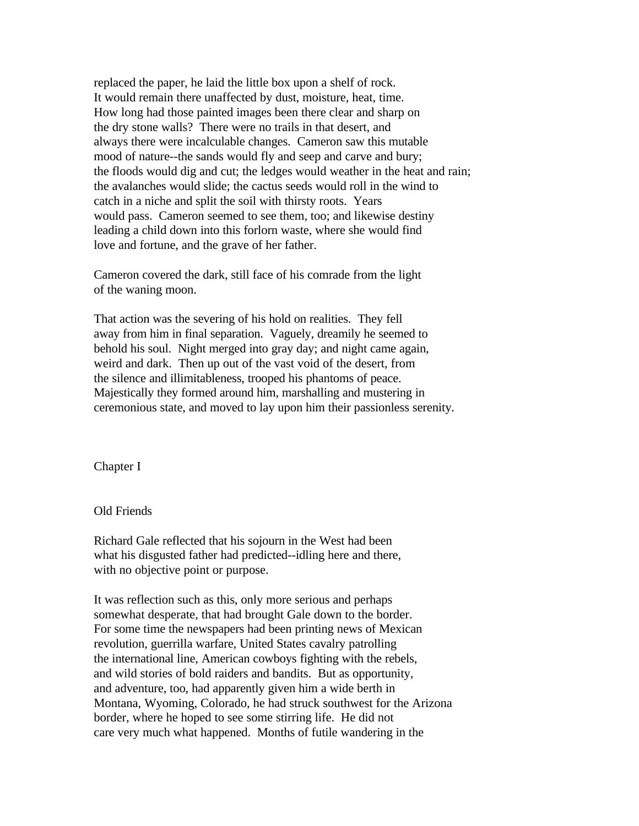replaced the paper, he laid the little box upon a shelf of rock. It would remain there unaffected by dust, moisture, heat, time. How long had those painted images been there clear and sharp on the dry stone walls? There were no trails in that desert, and always there were incalculable changes. Cameron saw this mutable mood of nature--the sands would fly and seep and carve and bury; the floods would dig and cut; the ledges would weather in the heat and rain; the avalanches would slide; the cactus seeds would roll in the wind to catch in a niche and split the soil with thirsty roots. Years would pass. Cameron seemed to see them, too; and likewise destiny leading a child down into this forlorn waste, where she would find love and fortune, and the grave of her father.

Cameron covered the dark, still face of his comrade from the light of the waning moon.

That action was the severing of his hold on realities. They fell away from him in final separation. Vaguely, dreamily he seemed to behold his soul. Night merged into gray day; and night came again, weird and dark. Then up out of the vast void of the desert, from the silence and illimitableness, trooped his phantoms of peace. Majestically they formed around him, marshalling and mustering in ceremonious state, and moved to lay upon him their passionless serenity.

Chapter I

### Old Friends

Richard Gale reflected that his sojourn in the West had been what his disgusted father had predicted--idling here and there, with no objective point or purpose.

It was reflection such as this, only more serious and perhaps somewhat desperate, that had brought Gale down to the border. For some time the newspapers had been printing news of Mexican revolution, guerrilla warfare, United States cavalry patrolling the international line, American cowboys fighting with the rebels, and wild stories of bold raiders and bandits. But as opportunity, and adventure, too, had apparently given him a wide berth in Montana, Wyoming, Colorado, he had struck southwest for the Arizona border, where he hoped to see some stirring life. He did not care very much what happened. Months of futile wandering in the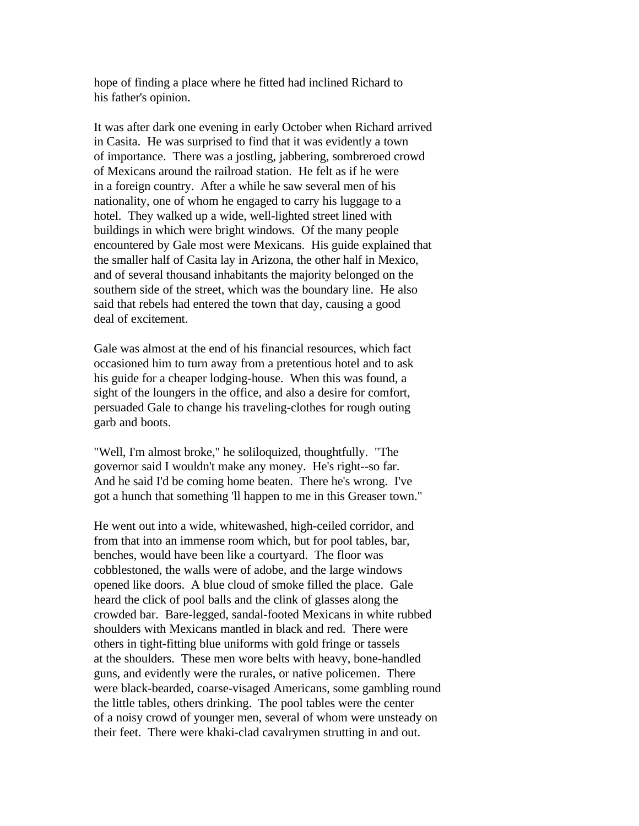hope of finding a place where he fitted had inclined Richard to his father's opinion.

It was after dark one evening in early October when Richard arrived in Casita. He was surprised to find that it was evidently a town of importance. There was a jostling, jabbering, sombreroed crowd of Mexicans around the railroad station. He felt as if he were in a foreign country. After a while he saw several men of his nationality, one of whom he engaged to carry his luggage to a hotel. They walked up a wide, well-lighted street lined with buildings in which were bright windows. Of the many people encountered by Gale most were Mexicans. His guide explained that the smaller half of Casita lay in Arizona, the other half in Mexico, and of several thousand inhabitants the majority belonged on the southern side of the street, which was the boundary line. He also said that rebels had entered the town that day, causing a good deal of excitement.

Gale was almost at the end of his financial resources, which fact occasioned him to turn away from a pretentious hotel and to ask his guide for a cheaper lodging-house. When this was found, a sight of the loungers in the office, and also a desire for comfort, persuaded Gale to change his traveling-clothes for rough outing garb and boots.

"Well, I'm almost broke," he soliloquized, thoughtfully. "The governor said I wouldn't make any money. He's right--so far. And he said I'd be coming home beaten. There he's wrong. I've got a hunch that something 'll happen to me in this Greaser town."

He went out into a wide, whitewashed, high-ceiled corridor, and from that into an immense room which, but for pool tables, bar, benches, would have been like a courtyard. The floor was cobblestoned, the walls were of adobe, and the large windows opened like doors. A blue cloud of smoke filled the place. Gale heard the click of pool balls and the clink of glasses along the crowded bar. Bare-legged, sandal-footed Mexicans in white rubbed shoulders with Mexicans mantled in black and red. There were others in tight-fitting blue uniforms with gold fringe or tassels at the shoulders. These men wore belts with heavy, bone-handled guns, and evidently were the rurales, or native policemen. There were black-bearded, coarse-visaged Americans, some gambling round the little tables, others drinking. The pool tables were the center of a noisy crowd of younger men, several of whom were unsteady on their feet. There were khaki-clad cavalrymen strutting in and out.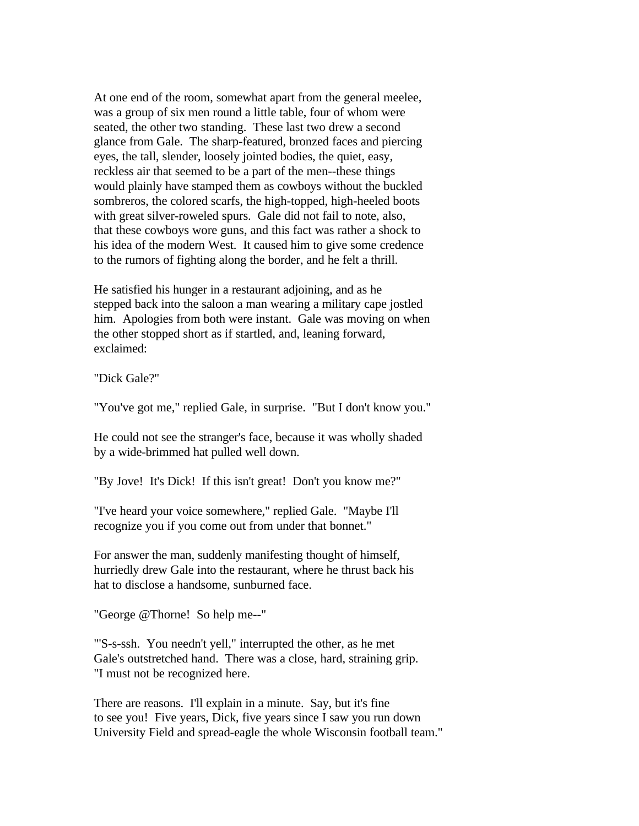At one end of the room, somewhat apart from the general meelee, was a group of six men round a little table, four of whom were seated, the other two standing. These last two drew a second glance from Gale. The sharp-featured, bronzed faces and piercing eyes, the tall, slender, loosely jointed bodies, the quiet, easy, reckless air that seemed to be a part of the men--these things would plainly have stamped them as cowboys without the buckled sombreros, the colored scarfs, the high-topped, high-heeled boots with great silver-roweled spurs. Gale did not fail to note, also, that these cowboys wore guns, and this fact was rather a shock to his idea of the modern West. It caused him to give some credence to the rumors of fighting along the border, and he felt a thrill.

He satisfied his hunger in a restaurant adjoining, and as he stepped back into the saloon a man wearing a military cape jostled him. Apologies from both were instant. Gale was moving on when the other stopped short as if startled, and, leaning forward, exclaimed:

"Dick Gale?"

"You've got me," replied Gale, in surprise. "But I don't know you."

He could not see the stranger's face, because it was wholly shaded by a wide-brimmed hat pulled well down.

"By Jove! It's Dick! If this isn't great! Don't you know me?"

"I've heard your voice somewhere," replied Gale. "Maybe I'll recognize you if you come out from under that bonnet."

For answer the man, suddenly manifesting thought of himself, hurriedly drew Gale into the restaurant, where he thrust back his hat to disclose a handsome, sunburned face.

"George @Thorne! So help me--"

"'S-s-ssh. You needn't yell," interrupted the other, as he met Gale's outstretched hand. There was a close, hard, straining grip. "I must not be recognized here.

There are reasons. I'll explain in a minute. Say, but it's fine to see you! Five years, Dick, five years since I saw you run down University Field and spread-eagle the whole Wisconsin football team."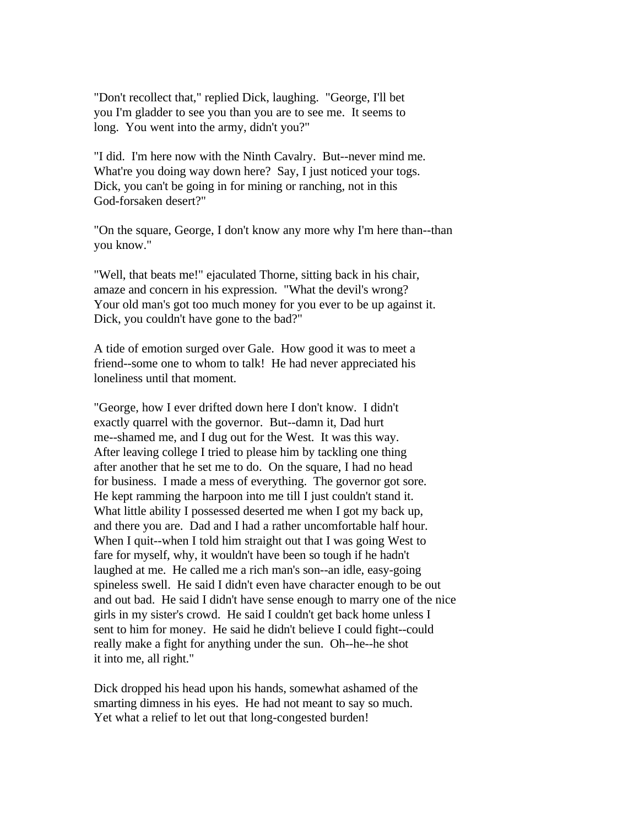"Don't recollect that," replied Dick, laughing. "George, I'll bet you I'm gladder to see you than you are to see me. It seems to long. You went into the army, didn't you?"

"I did. I'm here now with the Ninth Cavalry. But--never mind me. What're you doing way down here? Say, I just noticed your togs. Dick, you can't be going in for mining or ranching, not in this God-forsaken desert?"

"On the square, George, I don't know any more why I'm here than--than you know."

"Well, that beats me!" ejaculated Thorne, sitting back in his chair, amaze and concern in his expression. "What the devil's wrong? Your old man's got too much money for you ever to be up against it. Dick, you couldn't have gone to the bad?"

A tide of emotion surged over Gale. How good it was to meet a friend--some one to whom to talk! He had never appreciated his loneliness until that moment.

"George, how I ever drifted down here I don't know. I didn't exactly quarrel with the governor. But--damn it, Dad hurt me--shamed me, and I dug out for the West. It was this way. After leaving college I tried to please him by tackling one thing after another that he set me to do. On the square, I had no head for business. I made a mess of everything. The governor got sore. He kept ramming the harpoon into me till I just couldn't stand it. What little ability I possessed deserted me when I got my back up, and there you are. Dad and I had a rather uncomfortable half hour. When I quit--when I told him straight out that I was going West to fare for myself, why, it wouldn't have been so tough if he hadn't laughed at me. He called me a rich man's son--an idle, easy-going spineless swell. He said I didn't even have character enough to be out and out bad. He said I didn't have sense enough to marry one of the nice girls in my sister's crowd. He said I couldn't get back home unless I sent to him for money. He said he didn't believe I could fight--could really make a fight for anything under the sun. Oh--he--he shot it into me, all right."

Dick dropped his head upon his hands, somewhat ashamed of the smarting dimness in his eyes. He had not meant to say so much. Yet what a relief to let out that long-congested burden!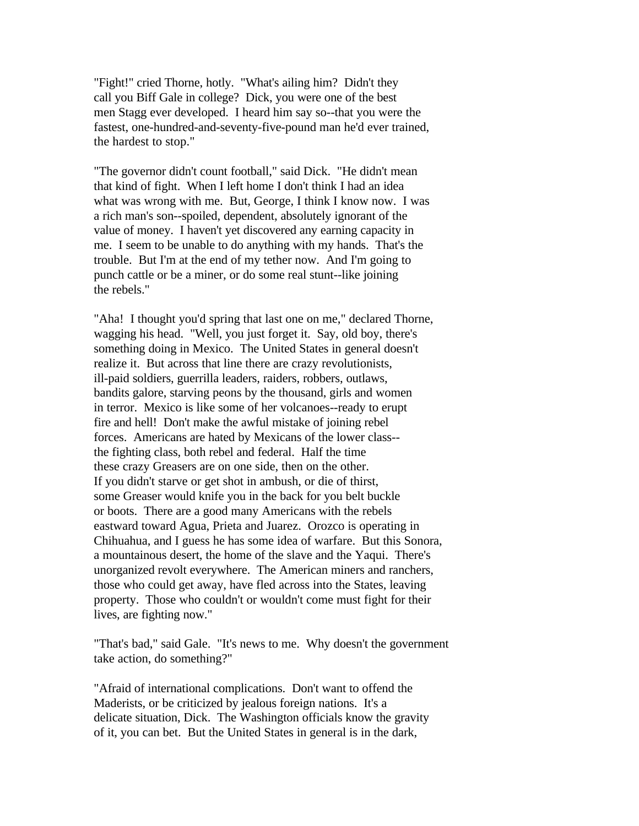"Fight!" cried Thorne, hotly. "What's ailing him? Didn't they call you Biff Gale in college? Dick, you were one of the best men Stagg ever developed. I heard him say so--that you were the fastest, one-hundred-and-seventy-five-pound man he'd ever trained, the hardest to stop."

"The governor didn't count football," said Dick. "He didn't mean that kind of fight. When I left home I don't think I had an idea what was wrong with me. But, George, I think I know now. I was a rich man's son--spoiled, dependent, absolutely ignorant of the value of money. I haven't yet discovered any earning capacity in me. I seem to be unable to do anything with my hands. That's the trouble. But I'm at the end of my tether now. And I'm going to punch cattle or be a miner, or do some real stunt--like joining the rebels."

"Aha! I thought you'd spring that last one on me," declared Thorne, wagging his head. "Well, you just forget it. Say, old boy, there's something doing in Mexico. The United States in general doesn't realize it. But across that line there are crazy revolutionists, ill-paid soldiers, guerrilla leaders, raiders, robbers, outlaws, bandits galore, starving peons by the thousand, girls and women in terror. Mexico is like some of her volcanoes--ready to erupt fire and hell! Don't make the awful mistake of joining rebel forces. Americans are hated by Mexicans of the lower class- the fighting class, both rebel and federal. Half the time these crazy Greasers are on one side, then on the other. If you didn't starve or get shot in ambush, or die of thirst, some Greaser would knife you in the back for you belt buckle or boots. There are a good many Americans with the rebels eastward toward Agua, Prieta and Juarez. Orozco is operating in Chihuahua, and I guess he has some idea of warfare. But this Sonora, a mountainous desert, the home of the slave and the Yaqui. There's unorganized revolt everywhere. The American miners and ranchers, those who could get away, have fled across into the States, leaving property. Those who couldn't or wouldn't come must fight for their lives, are fighting now."

"That's bad," said Gale. "It's news to me. Why doesn't the government take action, do something?"

"Afraid of international complications. Don't want to offend the Maderists, or be criticized by jealous foreign nations. It's a delicate situation, Dick. The Washington officials know the gravity of it, you can bet. But the United States in general is in the dark,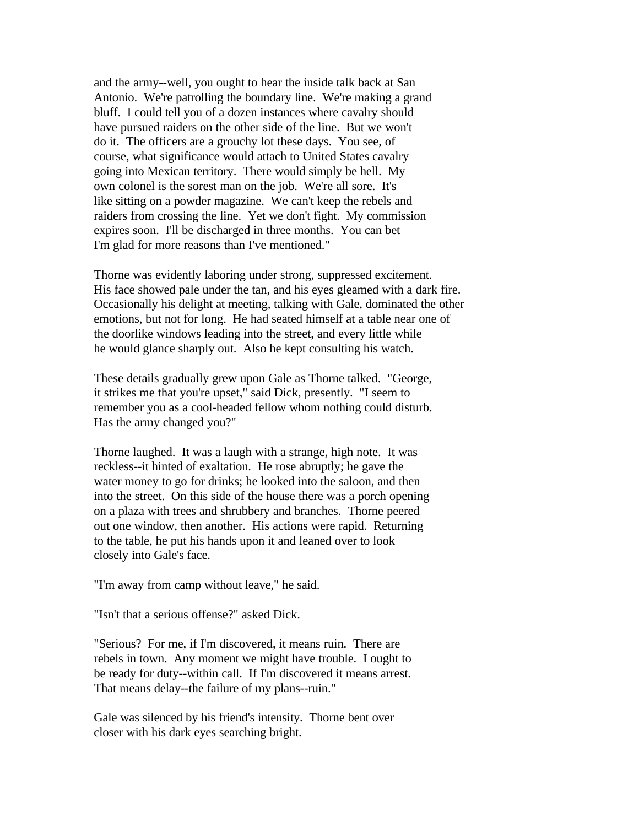and the army--well, you ought to hear the inside talk back at San Antonio. We're patrolling the boundary line. We're making a grand bluff. I could tell you of a dozen instances where cavalry should have pursued raiders on the other side of the line. But we won't do it. The officers are a grouchy lot these days. You see, of course, what significance would attach to United States cavalry going into Mexican territory. There would simply be hell. My own colonel is the sorest man on the job. We're all sore. It's like sitting on a powder magazine. We can't keep the rebels and raiders from crossing the line. Yet we don't fight. My commission expires soon. I'll be discharged in three months. You can bet I'm glad for more reasons than I've mentioned."

Thorne was evidently laboring under strong, suppressed excitement. His face showed pale under the tan, and his eyes gleamed with a dark fire. Occasionally his delight at meeting, talking with Gale, dominated the other emotions, but not for long. He had seated himself at a table near one of the doorlike windows leading into the street, and every little while he would glance sharply out. Also he kept consulting his watch.

These details gradually grew upon Gale as Thorne talked. "George, it strikes me that you're upset," said Dick, presently. "I seem to remember you as a cool-headed fellow whom nothing could disturb. Has the army changed you?"

Thorne laughed. It was a laugh with a strange, high note. It was reckless--it hinted of exaltation. He rose abruptly; he gave the water money to go for drinks; he looked into the saloon, and then into the street. On this side of the house there was a porch opening on a plaza with trees and shrubbery and branches. Thorne peered out one window, then another. His actions were rapid. Returning to the table, he put his hands upon it and leaned over to look closely into Gale's face.

"I'm away from camp without leave," he said.

"Isn't that a serious offense?" asked Dick.

"Serious? For me, if I'm discovered, it means ruin. There are rebels in town. Any moment we might have trouble. I ought to be ready for duty--within call. If I'm discovered it means arrest. That means delay--the failure of my plans--ruin."

Gale was silenced by his friend's intensity. Thorne bent over closer with his dark eyes searching bright.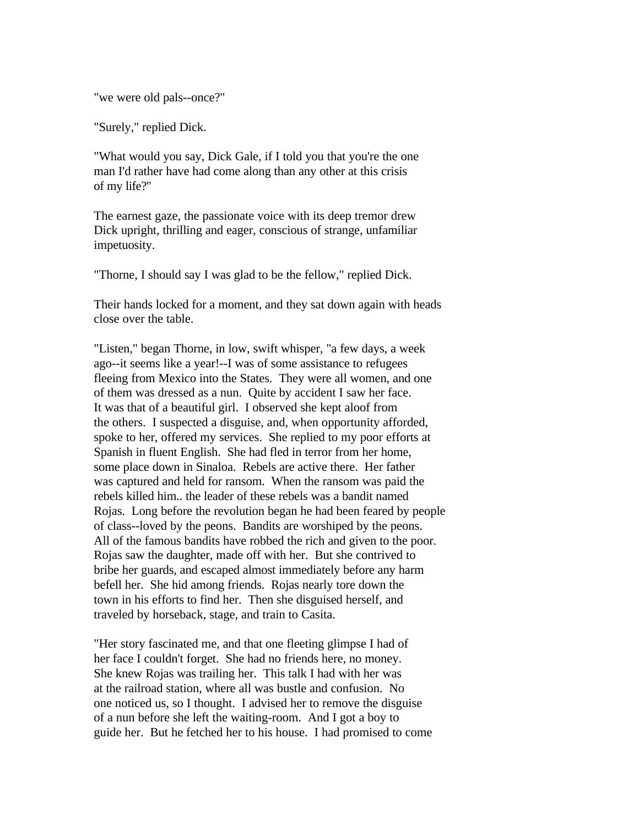"we were old pals--once?"

"Surely," replied Dick.

"What would you say, Dick Gale, if I told you that you're the one man I'd rather have had come along than any other at this crisis of my life?"

The earnest gaze, the passionate voice with its deep tremor drew Dick upright, thrilling and eager, conscious of strange, unfamiliar impetuosity.

"Thorne, I should say I was glad to be the fellow," replied Dick.

Their hands locked for a moment, and they sat down again with heads close over the table.

"Listen," began Thorne, in low, swift whisper, "a few days, a week ago--it seems like a year!--I was of some assistance to refugees fleeing from Mexico into the States. They were all women, and one of them was dressed as a nun. Quite by accident I saw her face. It was that of a beautiful girl. I observed she kept aloof from the others. I suspected a disguise, and, when opportunity afforded, spoke to her, offered my services. She replied to my poor efforts at Spanish in fluent English. She had fled in terror from her home, some place down in Sinaloa. Rebels are active there. Her father was captured and held for ransom. When the ransom was paid the rebels killed him.. the leader of these rebels was a bandit named Rojas. Long before the revolution began he had been feared by people of class--loved by the peons. Bandits are worshiped by the peons. All of the famous bandits have robbed the rich and given to the poor. Rojas saw the daughter, made off with her. But she contrived to bribe her guards, and escaped almost immediately before any harm befell her. She hid among friends. Rojas nearly tore down the town in his efforts to find her. Then she disguised herself, and traveled by horseback, stage, and train to Casita.

"Her story fascinated me, and that one fleeting glimpse I had of her face I couldn't forget. She had no friends here, no money. She knew Rojas was trailing her. This talk I had with her was at the railroad station, where all was bustle and confusion. No one noticed us, so I thought. I advised her to remove the disguise of a nun before she left the waiting-room. And I got a boy to guide her. But he fetched her to his house. I had promised to come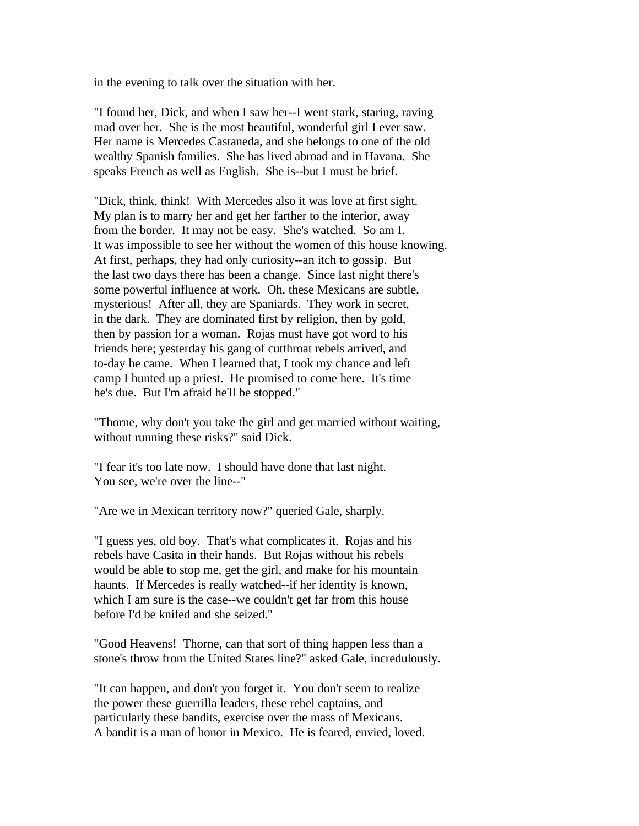in the evening to talk over the situation with her.

"I found her, Dick, and when I saw her--I went stark, staring, raving mad over her. She is the most beautiful, wonderful girl I ever saw. Her name is Mercedes Castaneda, and she belongs to one of the old wealthy Spanish families. She has lived abroad and in Havana. She speaks French as well as English. She is--but I must be brief.

"Dick, think, think! With Mercedes also it was love at first sight. My plan is to marry her and get her farther to the interior, away from the border. It may not be easy. She's watched. So am I. It was impossible to see her without the women of this house knowing. At first, perhaps, they had only curiosity--an itch to gossip. But the last two days there has been a change. Since last night there's some powerful influence at work. Oh, these Mexicans are subtle, mysterious! After all, they are Spaniards. They work in secret, in the dark. They are dominated first by religion, then by gold, then by passion for a woman. Rojas must have got word to his friends here; yesterday his gang of cutthroat rebels arrived, and to-day he came. When I learned that, I took my chance and left camp I hunted up a priest. He promised to come here. It's time he's due. But I'm afraid he'll be stopped."

"Thorne, why don't you take the girl and get married without waiting, without running these risks?" said Dick.

"I fear it's too late now. I should have done that last night. You see, we're over the line--"

"Are we in Mexican territory now?" queried Gale, sharply.

"I guess yes, old boy. That's what complicates it. Rojas and his rebels have Casita in their hands. But Rojas without his rebels would be able to stop me, get the girl, and make for his mountain haunts. If Mercedes is really watched--if her identity is known, which I am sure is the case--we couldn't get far from this house before I'd be knifed and she seized."

"Good Heavens! Thorne, can that sort of thing happen less than a stone's throw from the United States line?" asked Gale, incredulously.

"It can happen, and don't you forget it. You don't seem to realize the power these guerrilla leaders, these rebel captains, and particularly these bandits, exercise over the mass of Mexicans. A bandit is a man of honor in Mexico. He is feared, envied, loved.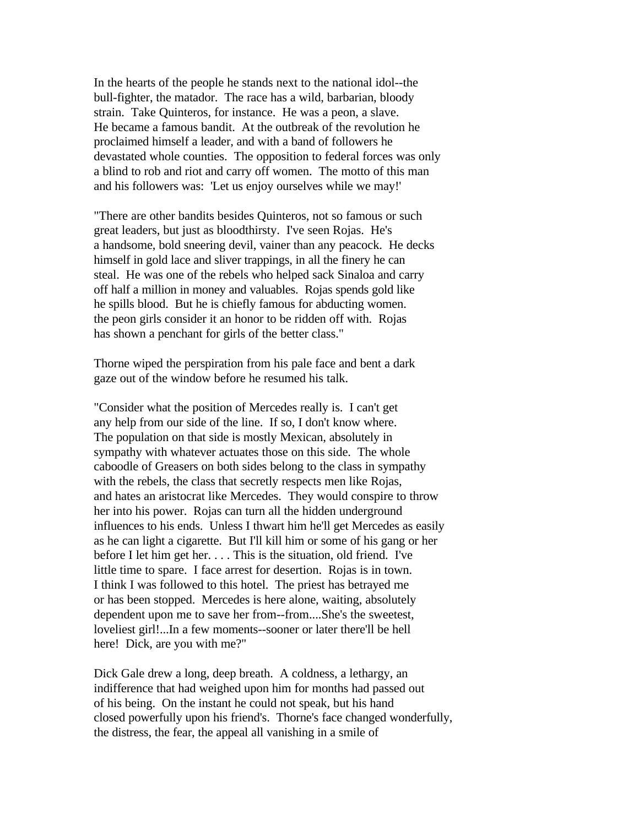In the hearts of the people he stands next to the national idol--the bull-fighter, the matador. The race has a wild, barbarian, bloody strain. Take Quinteros, for instance. He was a peon, a slave. He became a famous bandit. At the outbreak of the revolution he proclaimed himself a leader, and with a band of followers he devastated whole counties. The opposition to federal forces was only a blind to rob and riot and carry off women. The motto of this man and his followers was: 'Let us enjoy ourselves while we may!'

"There are other bandits besides Quinteros, not so famous or such great leaders, but just as bloodthirsty. I've seen Rojas. He's a handsome, bold sneering devil, vainer than any peacock. He decks himself in gold lace and sliver trappings, in all the finery he can steal. He was one of the rebels who helped sack Sinaloa and carry off half a million in money and valuables. Rojas spends gold like he spills blood. But he is chiefly famous for abducting women. the peon girls consider it an honor to be ridden off with. Rojas has shown a penchant for girls of the better class."

Thorne wiped the perspiration from his pale face and bent a dark gaze out of the window before he resumed his talk.

"Consider what the position of Mercedes really is. I can't get any help from our side of the line. If so, I don't know where. The population on that side is mostly Mexican, absolutely in sympathy with whatever actuates those on this side. The whole caboodle of Greasers on both sides belong to the class in sympathy with the rebels, the class that secretly respects men like Rojas, and hates an aristocrat like Mercedes. They would conspire to throw her into his power. Rojas can turn all the hidden underground influences to his ends. Unless I thwart him he'll get Mercedes as easily as he can light a cigarette. But I'll kill him or some of his gang or her before I let him get her. . . . This is the situation, old friend. I've little time to spare. I face arrest for desertion. Rojas is in town. I think I was followed to this hotel. The priest has betrayed me or has been stopped. Mercedes is here alone, waiting, absolutely dependent upon me to save her from--from....She's the sweetest, loveliest girl!...In a few moments--sooner or later there'll be hell here! Dick, are you with me?"

Dick Gale drew a long, deep breath. A coldness, a lethargy, an indifference that had weighed upon him for months had passed out of his being. On the instant he could not speak, but his hand closed powerfully upon his friend's. Thorne's face changed wonderfully, the distress, the fear, the appeal all vanishing in a smile of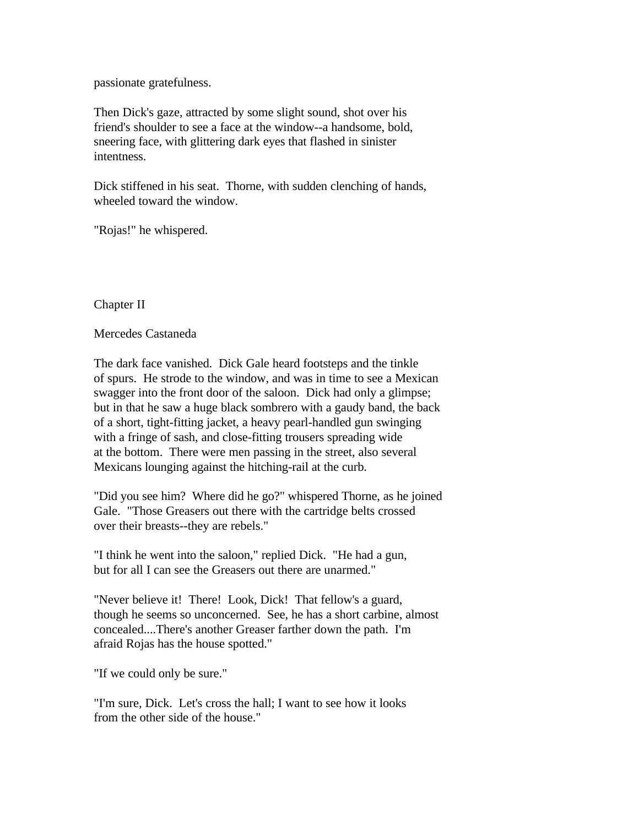passionate gratefulness.

Then Dick's gaze, attracted by some slight sound, shot over his friend's shoulder to see a face at the window--a handsome, bold, sneering face, with glittering dark eyes that flashed in sinister intentness.

Dick stiffened in his seat. Thorne, with sudden clenching of hands, wheeled toward the window.

"Rojas!" he whispered.

Chapter II

Mercedes Castaneda

The dark face vanished. Dick Gale heard footsteps and the tinkle of spurs. He strode to the window, and was in time to see a Mexican swagger into the front door of the saloon. Dick had only a glimpse; but in that he saw a huge black sombrero with a gaudy band, the back of a short, tight-fitting jacket, a heavy pearl-handled gun swinging with a fringe of sash, and close-fitting trousers spreading wide at the bottom. There were men passing in the street, also several Mexicans lounging against the hitching-rail at the curb.

"Did you see him? Where did he go?" whispered Thorne, as he joined Gale. "Those Greasers out there with the cartridge belts crossed over their breasts--they are rebels."

"I think he went into the saloon," replied Dick. "He had a gun, but for all I can see the Greasers out there are unarmed."

"Never believe it! There! Look, Dick! That fellow's a guard, though he seems so unconcerned. See, he has a short carbine, almost concealed....There's another Greaser farther down the path. I'm afraid Rojas has the house spotted."

"If we could only be sure."

"I'm sure, Dick. Let's cross the hall; I want to see how it looks from the other side of the house."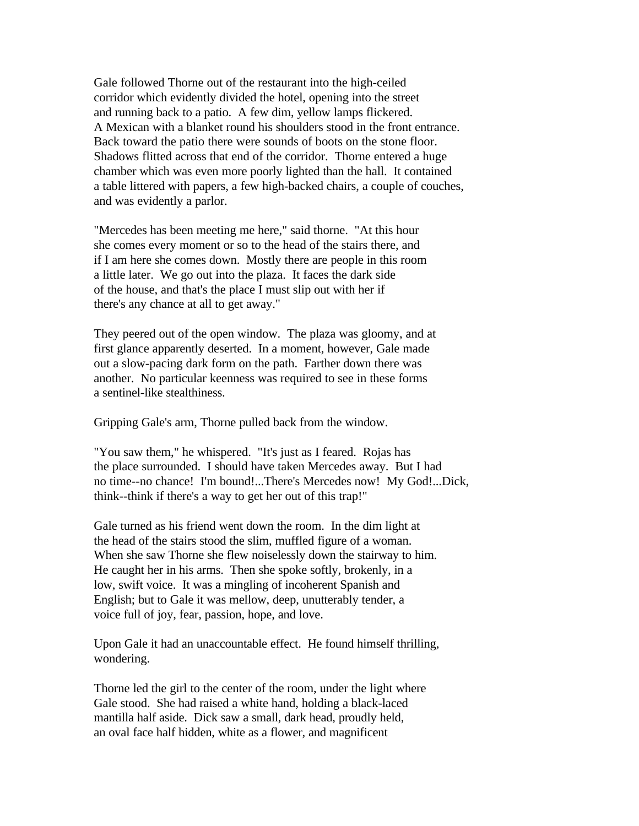Gale followed Thorne out of the restaurant into the high-ceiled corridor which evidently divided the hotel, opening into the street and running back to a patio. A few dim, yellow lamps flickered. A Mexican with a blanket round his shoulders stood in the front entrance. Back toward the patio there were sounds of boots on the stone floor. Shadows flitted across that end of the corridor. Thorne entered a huge chamber which was even more poorly lighted than the hall. It contained a table littered with papers, a few high-backed chairs, a couple of couches, and was evidently a parlor.

"Mercedes has been meeting me here," said thorne. "At this hour she comes every moment or so to the head of the stairs there, and if I am here she comes down. Mostly there are people in this room a little later. We go out into the plaza. It faces the dark side of the house, and that's the place I must slip out with her if there's any chance at all to get away."

They peered out of the open window. The plaza was gloomy, and at first glance apparently deserted. In a moment, however, Gale made out a slow-pacing dark form on the path. Farther down there was another. No particular keenness was required to see in these forms a sentinel-like stealthiness.

Gripping Gale's arm, Thorne pulled back from the window.

"You saw them," he whispered. "It's just as I feared. Rojas has the place surrounded. I should have taken Mercedes away. But I had no time--no chance! I'm bound!...There's Mercedes now! My God!...Dick, think--think if there's a way to get her out of this trap!"

Gale turned as his friend went down the room. In the dim light at the head of the stairs stood the slim, muffled figure of a woman. When she saw Thorne she flew noiselessly down the stairway to him. He caught her in his arms. Then she spoke softly, brokenly, in a low, swift voice. It was a mingling of incoherent Spanish and English; but to Gale it was mellow, deep, unutterably tender, a voice full of joy, fear, passion, hope, and love.

Upon Gale it had an unaccountable effect. He found himself thrilling, wondering.

Thorne led the girl to the center of the room, under the light where Gale stood. She had raised a white hand, holding a black-laced mantilla half aside. Dick saw a small, dark head, proudly held, an oval face half hidden, white as a flower, and magnificent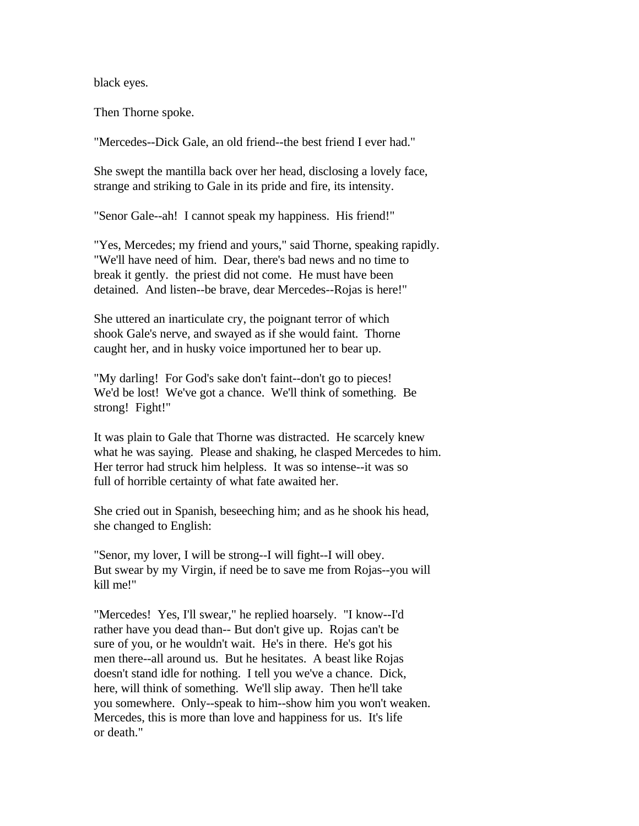black eyes.

Then Thorne spoke.

"Mercedes--Dick Gale, an old friend--the best friend I ever had."

She swept the mantilla back over her head, disclosing a lovely face, strange and striking to Gale in its pride and fire, its intensity.

"Senor Gale--ah! I cannot speak my happiness. His friend!"

"Yes, Mercedes; my friend and yours," said Thorne, speaking rapidly. "We'll have need of him. Dear, there's bad news and no time to break it gently. the priest did not come. He must have been detained. And listen--be brave, dear Mercedes--Rojas is here!"

She uttered an inarticulate cry, the poignant terror of which shook Gale's nerve, and swayed as if she would faint. Thorne caught her, and in husky voice importuned her to bear up.

"My darling! For God's sake don't faint--don't go to pieces! We'd be lost! We've got a chance. We'll think of something. Be strong! Fight!"

It was plain to Gale that Thorne was distracted. He scarcely knew what he was saying. Please and shaking, he clasped Mercedes to him. Her terror had struck him helpless. It was so intense--it was so full of horrible certainty of what fate awaited her.

She cried out in Spanish, beseeching him; and as he shook his head, she changed to English:

"Senor, my lover, I will be strong--I will fight--I will obey. But swear by my Virgin, if need be to save me from Rojas--you will kill me!"

"Mercedes! Yes, I'll swear," he replied hoarsely. "I know--I'd rather have you dead than-- But don't give up. Rojas can't be sure of you, or he wouldn't wait. He's in there. He's got his men there--all around us. But he hesitates. A beast like Rojas doesn't stand idle for nothing. I tell you we've a chance. Dick, here, will think of something. We'll slip away. Then he'll take you somewhere. Only--speak to him--show him you won't weaken. Mercedes, this is more than love and happiness for us. It's life or death."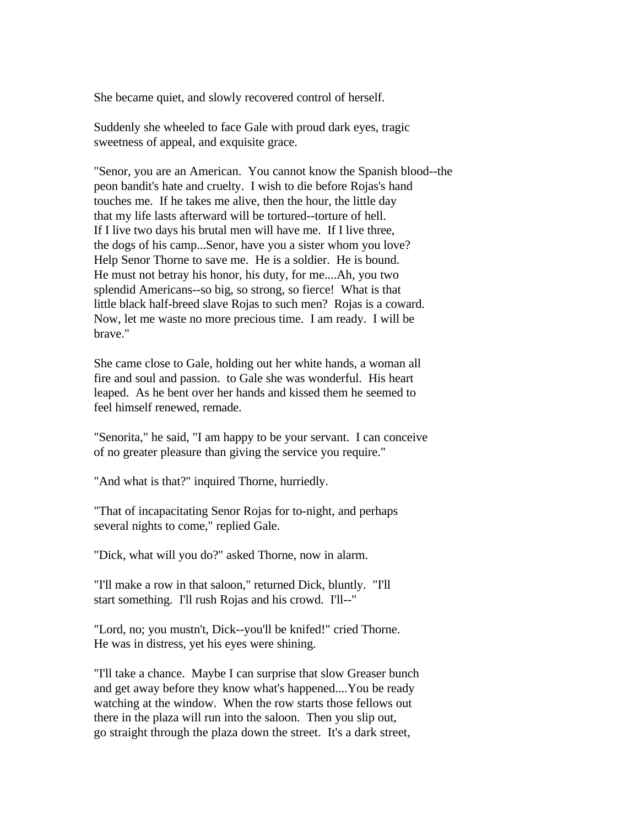She became quiet, and slowly recovered control of herself.

Suddenly she wheeled to face Gale with proud dark eyes, tragic sweetness of appeal, and exquisite grace.

"Senor, you are an American. You cannot know the Spanish blood--the peon bandit's hate and cruelty. I wish to die before Rojas's hand touches me. If he takes me alive, then the hour, the little day that my life lasts afterward will be tortured--torture of hell. If I live two days his brutal men will have me. If I live three, the dogs of his camp...Senor, have you a sister whom you love? Help Senor Thorne to save me. He is a soldier. He is bound. He must not betray his honor, his duty, for me....Ah, you two splendid Americans--so big, so strong, so fierce! What is that little black half-breed slave Rojas to such men? Rojas is a coward. Now, let me waste no more precious time. I am ready. I will be brave."

She came close to Gale, holding out her white hands, a woman all fire and soul and passion. to Gale she was wonderful. His heart leaped. As he bent over her hands and kissed them he seemed to feel himself renewed, remade.

"Senorita," he said, "I am happy to be your servant. I can conceive of no greater pleasure than giving the service you require."

"And what is that?" inquired Thorne, hurriedly.

"That of incapacitating Senor Rojas for to-night, and perhaps several nights to come," replied Gale.

"Dick, what will you do?" asked Thorne, now in alarm.

"I'll make a row in that saloon," returned Dick, bluntly. "I'll start something. I'll rush Rojas and his crowd. I'll--"

"Lord, no; you mustn't, Dick--you'll be knifed!" cried Thorne. He was in distress, yet his eyes were shining.

"I'll take a chance. Maybe I can surprise that slow Greaser bunch and get away before they know what's happened....You be ready watching at the window. When the row starts those fellows out there in the plaza will run into the saloon. Then you slip out, go straight through the plaza down the street. It's a dark street,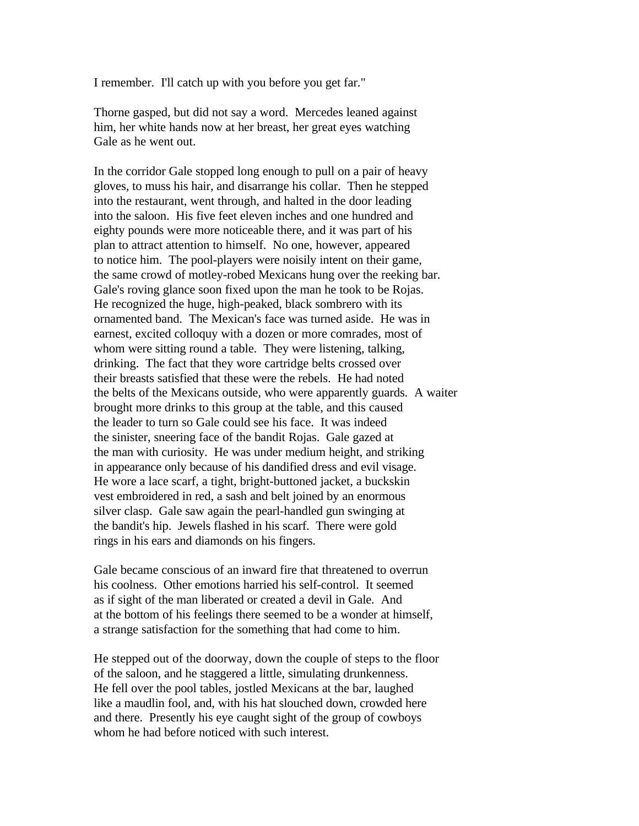I remember. I'll catch up with you before you get far."

Thorne gasped, but did not say a word. Mercedes leaned against him, her white hands now at her breast, her great eyes watching Gale as he went out.

In the corridor Gale stopped long enough to pull on a pair of heavy gloves, to muss his hair, and disarrange his collar. Then he stepped into the restaurant, went through, and halted in the door leading into the saloon. His five feet eleven inches and one hundred and eighty pounds were more noticeable there, and it was part of his plan to attract attention to himself. No one, however, appeared to notice him. The pool-players were noisily intent on their game, the same crowd of motley-robed Mexicans hung over the reeking bar. Gale's roving glance soon fixed upon the man he took to be Rojas. He recognized the huge, high-peaked, black sombrero with its ornamented band. The Mexican's face was turned aside. He was in earnest, excited colloquy with a dozen or more comrades, most of whom were sitting round a table. They were listening, talking, drinking. The fact that they wore cartridge belts crossed over their breasts satisfied that these were the rebels. He had noted the belts of the Mexicans outside, who were apparently guards. A waiter brought more drinks to this group at the table, and this caused the leader to turn so Gale could see his face. It was indeed the sinister, sneering face of the bandit Rojas. Gale gazed at the man with curiosity. He was under medium height, and striking in appearance only because of his dandified dress and evil visage. He wore a lace scarf, a tight, bright-buttoned jacket, a buckskin vest embroidered in red, a sash and belt joined by an enormous silver clasp. Gale saw again the pearl-handled gun swinging at the bandit's hip. Jewels flashed in his scarf. There were gold rings in his ears and diamonds on his fingers.

Gale became conscious of an inward fire that threatened to overrun his coolness. Other emotions harried his self-control. It seemed as if sight of the man liberated or created a devil in Gale. And at the bottom of his feelings there seemed to be a wonder at himself, a strange satisfaction for the something that had come to him.

He stepped out of the doorway, down the couple of steps to the floor of the saloon, and he staggered a little, simulating drunkenness. He fell over the pool tables, jostled Mexicans at the bar, laughed like a maudlin fool, and, with his hat slouched down, crowded here and there. Presently his eye caught sight of the group of cowboys whom he had before noticed with such interest.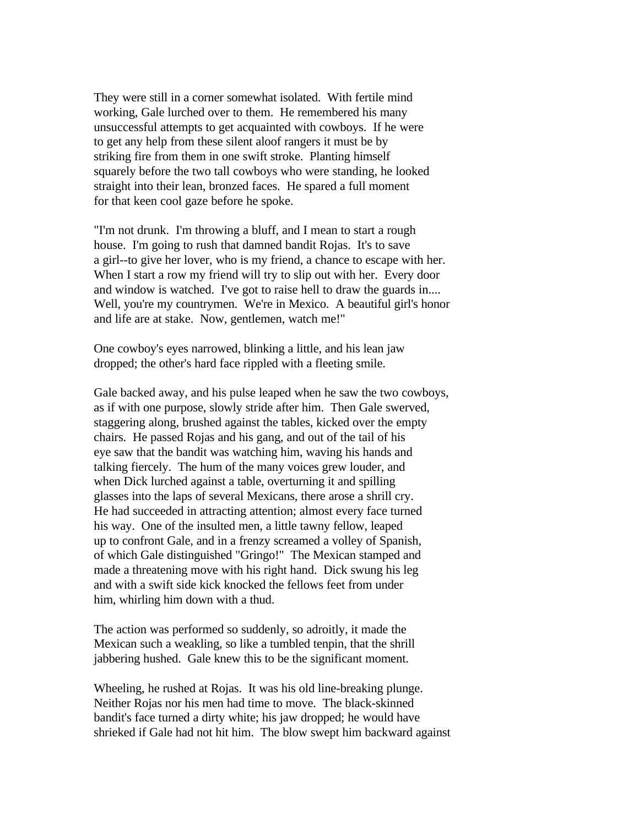They were still in a corner somewhat isolated. With fertile mind working, Gale lurched over to them. He remembered his many unsuccessful attempts to get acquainted with cowboys. If he were to get any help from these silent aloof rangers it must be by striking fire from them in one swift stroke. Planting himself squarely before the two tall cowboys who were standing, he looked straight into their lean, bronzed faces. He spared a full moment for that keen cool gaze before he spoke.

"I'm not drunk. I'm throwing a bluff, and I mean to start a rough house. I'm going to rush that damned bandit Rojas. It's to save a girl--to give her lover, who is my friend, a chance to escape with her. When I start a row my friend will try to slip out with her. Every door and window is watched. I've got to raise hell to draw the guards in.... Well, you're my countrymen. We're in Mexico. A beautiful girl's honor and life are at stake. Now, gentlemen, watch me!"

One cowboy's eyes narrowed, blinking a little, and his lean jaw dropped; the other's hard face rippled with a fleeting smile.

Gale backed away, and his pulse leaped when he saw the two cowboys, as if with one purpose, slowly stride after him. Then Gale swerved, staggering along, brushed against the tables, kicked over the empty chairs. He passed Rojas and his gang, and out of the tail of his eye saw that the bandit was watching him, waving his hands and talking fiercely. The hum of the many voices grew louder, and when Dick lurched against a table, overturning it and spilling glasses into the laps of several Mexicans, there arose a shrill cry. He had succeeded in attracting attention; almost every face turned his way. One of the insulted men, a little tawny fellow, leaped up to confront Gale, and in a frenzy screamed a volley of Spanish, of which Gale distinguished "Gringo!" The Mexican stamped and made a threatening move with his right hand. Dick swung his leg and with a swift side kick knocked the fellows feet from under him, whirling him down with a thud.

The action was performed so suddenly, so adroitly, it made the Mexican such a weakling, so like a tumbled tenpin, that the shrill jabbering hushed. Gale knew this to be the significant moment.

Wheeling, he rushed at Rojas. It was his old line-breaking plunge. Neither Rojas nor his men had time to move. The black-skinned bandit's face turned a dirty white; his jaw dropped; he would have shrieked if Gale had not hit him. The blow swept him backward against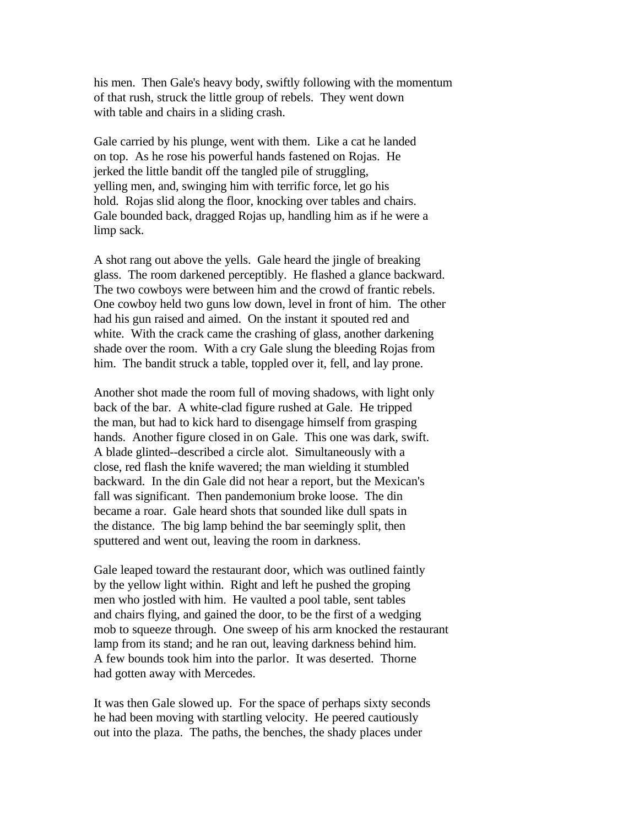his men. Then Gale's heavy body, swiftly following with the momentum of that rush, struck the little group of rebels. They went down with table and chairs in a sliding crash.

Gale carried by his plunge, went with them. Like a cat he landed on top. As he rose his powerful hands fastened on Rojas. He jerked the little bandit off the tangled pile of struggling, yelling men, and, swinging him with terrific force, let go his hold. Rojas slid along the floor, knocking over tables and chairs. Gale bounded back, dragged Rojas up, handling him as if he were a limp sack.

A shot rang out above the yells. Gale heard the jingle of breaking glass. The room darkened perceptibly. He flashed a glance backward. The two cowboys were between him and the crowd of frantic rebels. One cowboy held two guns low down, level in front of him. The other had his gun raised and aimed. On the instant it spouted red and white. With the crack came the crashing of glass, another darkening shade over the room. With a cry Gale slung the bleeding Rojas from him. The bandit struck a table, toppled over it, fell, and lay prone.

Another shot made the room full of moving shadows, with light only back of the bar. A white-clad figure rushed at Gale. He tripped the man, but had to kick hard to disengage himself from grasping hands. Another figure closed in on Gale. This one was dark, swift. A blade glinted--described a circle alot. Simultaneously with a close, red flash the knife wavered; the man wielding it stumbled backward. In the din Gale did not hear a report, but the Mexican's fall was significant. Then pandemonium broke loose. The din became a roar. Gale heard shots that sounded like dull spats in the distance. The big lamp behind the bar seemingly split, then sputtered and went out, leaving the room in darkness.

Gale leaped toward the restaurant door, which was outlined faintly by the yellow light within. Right and left he pushed the groping men who jostled with him. He vaulted a pool table, sent tables and chairs flying, and gained the door, to be the first of a wedging mob to squeeze through. One sweep of his arm knocked the restaurant lamp from its stand; and he ran out, leaving darkness behind him. A few bounds took him into the parlor. It was deserted. Thorne had gotten away with Mercedes.

It was then Gale slowed up. For the space of perhaps sixty seconds he had been moving with startling velocity. He peered cautiously out into the plaza. The paths, the benches, the shady places under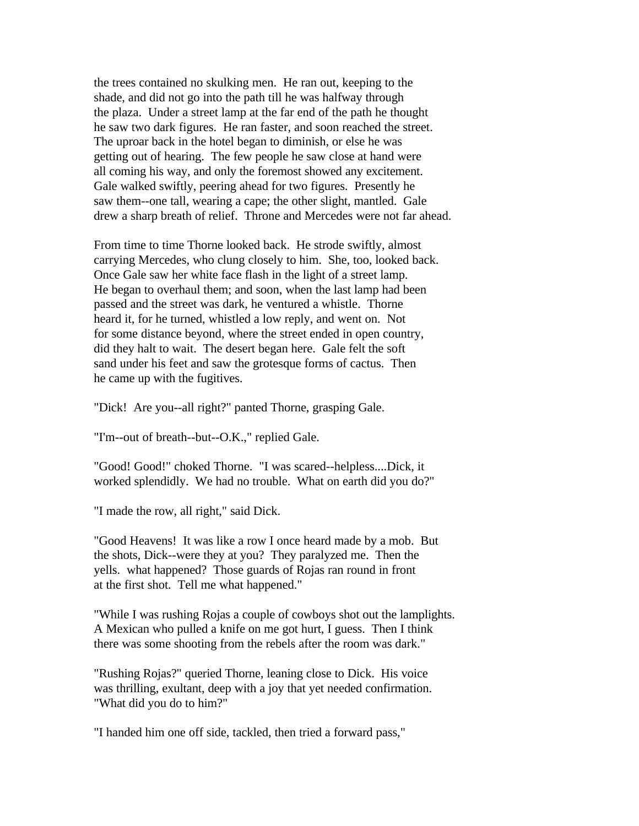the trees contained no skulking men. He ran out, keeping to the shade, and did not go into the path till he was halfway through the plaza. Under a street lamp at the far end of the path he thought he saw two dark figures. He ran faster, and soon reached the street. The uproar back in the hotel began to diminish, or else he was getting out of hearing. The few people he saw close at hand were all coming his way, and only the foremost showed any excitement. Gale walked swiftly, peering ahead for two figures. Presently he saw them--one tall, wearing a cape; the other slight, mantled. Gale drew a sharp breath of relief. Throne and Mercedes were not far ahead.

From time to time Thorne looked back. He strode swiftly, almost carrying Mercedes, who clung closely to him. She, too, looked back. Once Gale saw her white face flash in the light of a street lamp. He began to overhaul them; and soon, when the last lamp had been passed and the street was dark, he ventured a whistle. Thorne heard it, for he turned, whistled a low reply, and went on. Not for some distance beyond, where the street ended in open country, did they halt to wait. The desert began here. Gale felt the soft sand under his feet and saw the grotesque forms of cactus. Then he came up with the fugitives.

"Dick! Are you--all right?" panted Thorne, grasping Gale.

"I'm--out of breath--but--O.K.," replied Gale.

"Good! Good!" choked Thorne. "I was scared--helpless....Dick, it worked splendidly. We had no trouble. What on earth did you do?"

"I made the row, all right," said Dick.

"Good Heavens! It was like a row I once heard made by a mob. But the shots, Dick--were they at you? They paralyzed me. Then the yells. what happened? Those guards of Rojas ran round in front at the first shot. Tell me what happened."

"While I was rushing Rojas a couple of cowboys shot out the lamplights. A Mexican who pulled a knife on me got hurt, I guess. Then I think there was some shooting from the rebels after the room was dark."

"Rushing Rojas?" queried Thorne, leaning close to Dick. His voice was thrilling, exultant, deep with a joy that yet needed confirmation. "What did you do to him?"

"I handed him one off side, tackled, then tried a forward pass,"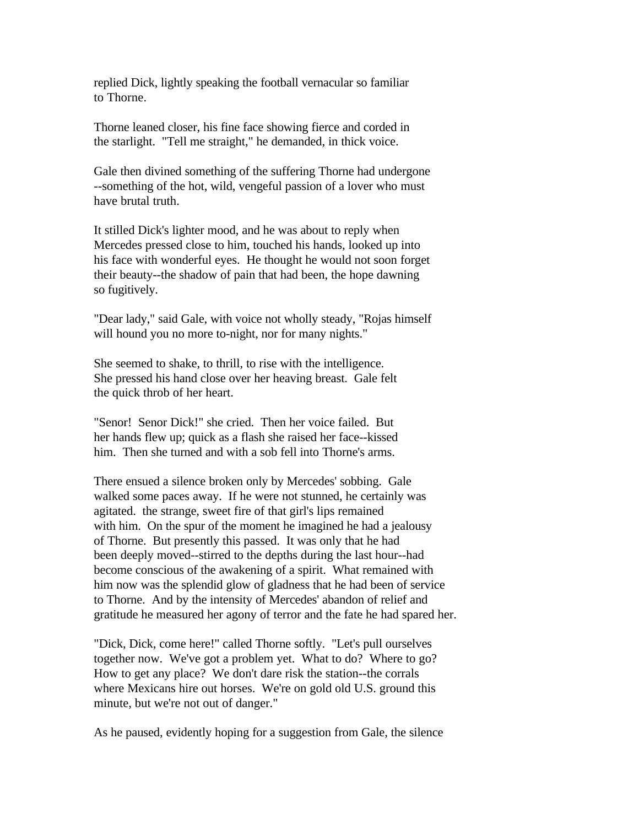replied Dick, lightly speaking the football vernacular so familiar to Thorne.

Thorne leaned closer, his fine face showing fierce and corded in the starlight. "Tell me straight," he demanded, in thick voice.

Gale then divined something of the suffering Thorne had undergone --something of the hot, wild, vengeful passion of a lover who must have brutal truth.

It stilled Dick's lighter mood, and he was about to reply when Mercedes pressed close to him, touched his hands, looked up into his face with wonderful eyes. He thought he would not soon forget their beauty--the shadow of pain that had been, the hope dawning so fugitively.

"Dear lady," said Gale, with voice not wholly steady, "Rojas himself will hound you no more to-night, nor for many nights."

She seemed to shake, to thrill, to rise with the intelligence. She pressed his hand close over her heaving breast. Gale felt the quick throb of her heart.

"Senor! Senor Dick!" she cried. Then her voice failed. But her hands flew up; quick as a flash she raised her face--kissed him. Then she turned and with a sob fell into Thorne's arms.

There ensued a silence broken only by Mercedes' sobbing. Gale walked some paces away. If he were not stunned, he certainly was agitated. the strange, sweet fire of that girl's lips remained with him. On the spur of the moment he imagined he had a jealousy of Thorne. But presently this passed. It was only that he had been deeply moved--stirred to the depths during the last hour--had become conscious of the awakening of a spirit. What remained with him now was the splendid glow of gladness that he had been of service to Thorne. And by the intensity of Mercedes' abandon of relief and gratitude he measured her agony of terror and the fate he had spared her.

"Dick, Dick, come here!" called Thorne softly. "Let's pull ourselves together now. We've got a problem yet. What to do? Where to go? How to get any place? We don't dare risk the station--the corrals where Mexicans hire out horses. We're on gold old U.S. ground this minute, but we're not out of danger."

As he paused, evidently hoping for a suggestion from Gale, the silence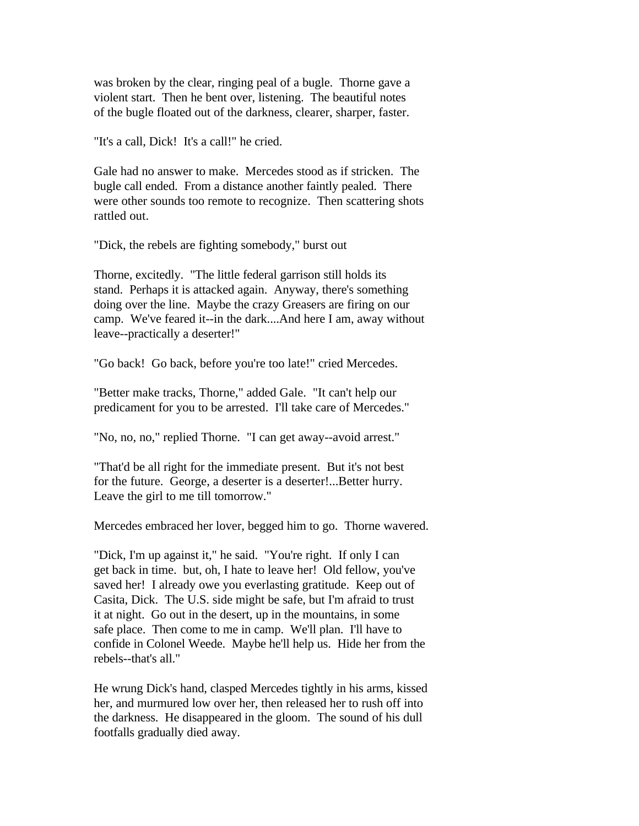was broken by the clear, ringing peal of a bugle. Thorne gave a violent start. Then he bent over, listening. The beautiful notes of the bugle floated out of the darkness, clearer, sharper, faster.

"It's a call, Dick! It's a call!" he cried.

Gale had no answer to make. Mercedes stood as if stricken. The bugle call ended. From a distance another faintly pealed. There were other sounds too remote to recognize. Then scattering shots rattled out.

"Dick, the rebels are fighting somebody," burst out

Thorne, excitedly. "The little federal garrison still holds its stand. Perhaps it is attacked again. Anyway, there's something doing over the line. Maybe the crazy Greasers are firing on our camp. We've feared it--in the dark....And here I am, away without leave--practically a deserter!"

"Go back! Go back, before you're too late!" cried Mercedes.

"Better make tracks, Thorne," added Gale. "It can't help our predicament for you to be arrested. I'll take care of Mercedes."

"No, no, no," replied Thorne. "I can get away--avoid arrest."

"That'd be all right for the immediate present. But it's not best for the future. George, a deserter is a deserter!...Better hurry. Leave the girl to me till tomorrow."

Mercedes embraced her lover, begged him to go. Thorne wavered.

"Dick, I'm up against it," he said. "You're right. If only I can get back in time. but, oh, I hate to leave her! Old fellow, you've saved her! I already owe you everlasting gratitude. Keep out of Casita, Dick. The U.S. side might be safe, but I'm afraid to trust it at night. Go out in the desert, up in the mountains, in some safe place. Then come to me in camp. We'll plan. I'll have to confide in Colonel Weede. Maybe he'll help us. Hide her from the rebels--that's all."

He wrung Dick's hand, clasped Mercedes tightly in his arms, kissed her, and murmured low over her, then released her to rush off into the darkness. He disappeared in the gloom. The sound of his dull footfalls gradually died away.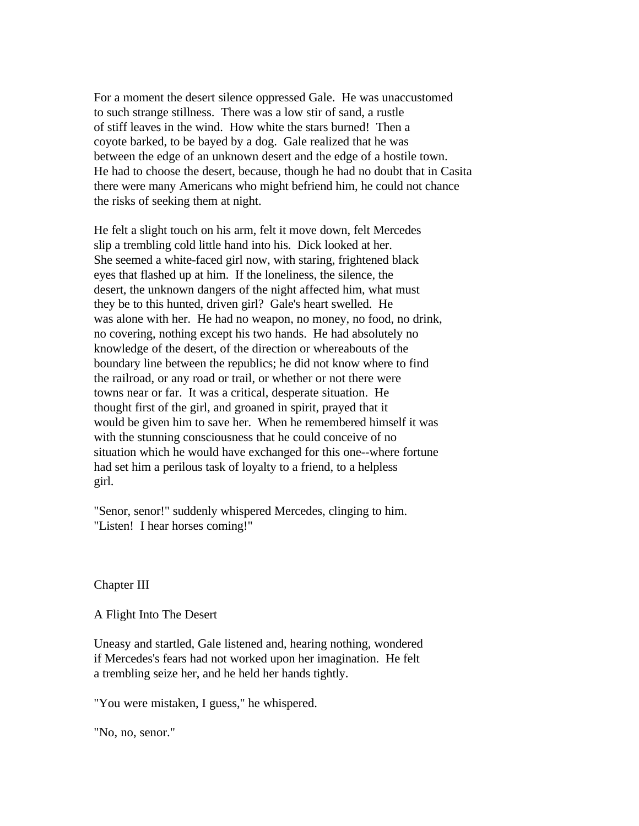For a moment the desert silence oppressed Gale. He was unaccustomed to such strange stillness. There was a low stir of sand, a rustle of stiff leaves in the wind. How white the stars burned! Then a coyote barked, to be bayed by a dog. Gale realized that he was between the edge of an unknown desert and the edge of a hostile town. He had to choose the desert, because, though he had no doubt that in Casita there were many Americans who might befriend him, he could not chance the risks of seeking them at night.

He felt a slight touch on his arm, felt it move down, felt Mercedes slip a trembling cold little hand into his. Dick looked at her. She seemed a white-faced girl now, with staring, frightened black eyes that flashed up at him. If the loneliness, the silence, the desert, the unknown dangers of the night affected him, what must they be to this hunted, driven girl? Gale's heart swelled. He was alone with her. He had no weapon, no money, no food, no drink, no covering, nothing except his two hands. He had absolutely no knowledge of the desert, of the direction or whereabouts of the boundary line between the republics; he did not know where to find the railroad, or any road or trail, or whether or not there were towns near or far. It was a critical, desperate situation. He thought first of the girl, and groaned in spirit, prayed that it would be given him to save her. When he remembered himself it was with the stunning consciousness that he could conceive of no situation which he would have exchanged for this one--where fortune had set him a perilous task of loyalty to a friend, to a helpless girl.

"Senor, senor!" suddenly whispered Mercedes, clinging to him. "Listen! I hear horses coming!"

Chapter III

A Flight Into The Desert

Uneasy and startled, Gale listened and, hearing nothing, wondered if Mercedes's fears had not worked upon her imagination. He felt a trembling seize her, and he held her hands tightly.

"You were mistaken, I guess," he whispered.

"No, no, senor."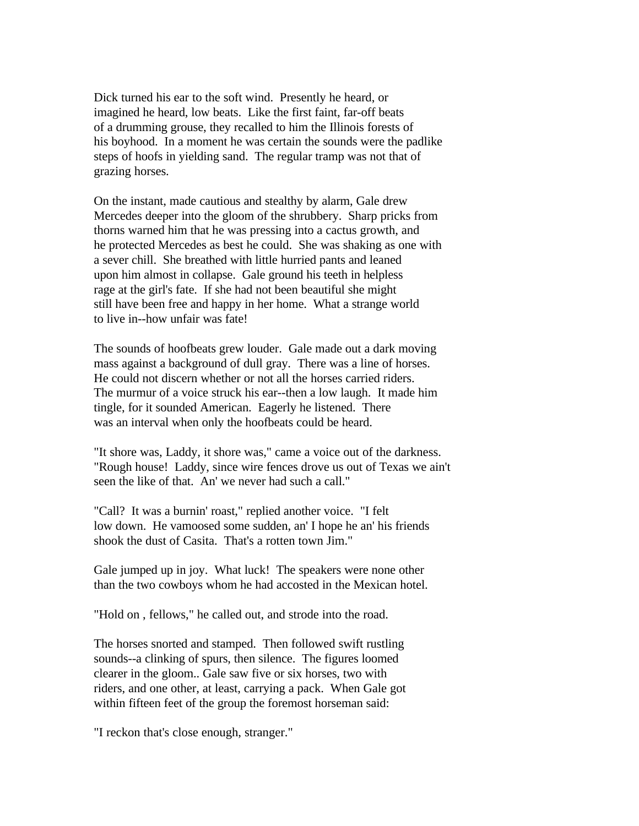Dick turned his ear to the soft wind. Presently he heard, or imagined he heard, low beats. Like the first faint, far-off beats of a drumming grouse, they recalled to him the Illinois forests of his boyhood. In a moment he was certain the sounds were the padlike steps of hoofs in yielding sand. The regular tramp was not that of grazing horses.

On the instant, made cautious and stealthy by alarm, Gale drew Mercedes deeper into the gloom of the shrubbery. Sharp pricks from thorns warned him that he was pressing into a cactus growth, and he protected Mercedes as best he could. She was shaking as one with a sever chill. She breathed with little hurried pants and leaned upon him almost in collapse. Gale ground his teeth in helpless rage at the girl's fate. If she had not been beautiful she might still have been free and happy in her home. What a strange world to live in--how unfair was fate!

The sounds of hoofbeats grew louder. Gale made out a dark moving mass against a background of dull gray. There was a line of horses. He could not discern whether or not all the horses carried riders. The murmur of a voice struck his ear--then a low laugh. It made him tingle, for it sounded American. Eagerly he listened. There was an interval when only the hoofbeats could be heard.

"It shore was, Laddy, it shore was," came a voice out of the darkness. "Rough house! Laddy, since wire fences drove us out of Texas we ain't seen the like of that. An' we never had such a call."

"Call? It was a burnin' roast," replied another voice. "I felt low down. He vamoosed some sudden, an' I hope he an' his friends shook the dust of Casita. That's a rotten town Jim."

Gale jumped up in joy. What luck! The speakers were none other than the two cowboys whom he had accosted in the Mexican hotel.

"Hold on , fellows," he called out, and strode into the road.

The horses snorted and stamped. Then followed swift rustling sounds--a clinking of spurs, then silence. The figures loomed clearer in the gloom.. Gale saw five or six horses, two with riders, and one other, at least, carrying a pack. When Gale got within fifteen feet of the group the foremost horseman said:

"I reckon that's close enough, stranger."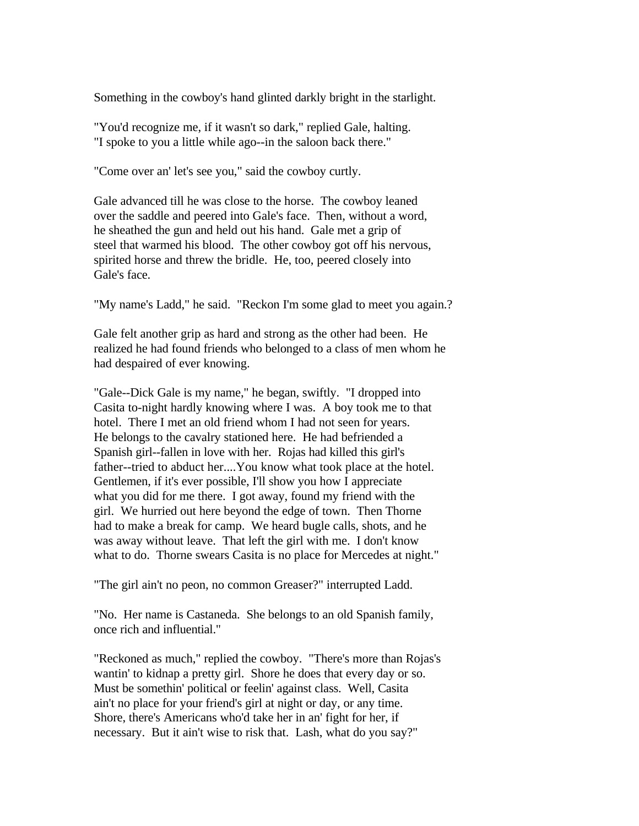Something in the cowboy's hand glinted darkly bright in the starlight.

"You'd recognize me, if it wasn't so dark," replied Gale, halting. "I spoke to you a little while ago--in the saloon back there."

"Come over an' let's see you," said the cowboy curtly.

Gale advanced till he was close to the horse. The cowboy leaned over the saddle and peered into Gale's face. Then, without a word, he sheathed the gun and held out his hand. Gale met a grip of steel that warmed his blood. The other cowboy got off his nervous, spirited horse and threw the bridle. He, too, peered closely into Gale's face.

"My name's Ladd," he said. "Reckon I'm some glad to meet you again.?

Gale felt another grip as hard and strong as the other had been. He realized he had found friends who belonged to a class of men whom he had despaired of ever knowing.

"Gale--Dick Gale is my name," he began, swiftly. "I dropped into Casita to-night hardly knowing where I was. A boy took me to that hotel. There I met an old friend whom I had not seen for years. He belongs to the cavalry stationed here. He had befriended a Spanish girl--fallen in love with her. Rojas had killed this girl's father--tried to abduct her....You know what took place at the hotel. Gentlemen, if it's ever possible, I'll show you how I appreciate what you did for me there. I got away, found my friend with the girl. We hurried out here beyond the edge of town. Then Thorne had to make a break for camp. We heard bugle calls, shots, and he was away without leave. That left the girl with me. I don't know what to do. Thorne swears Casita is no place for Mercedes at night."

"The girl ain't no peon, no common Greaser?" interrupted Ladd.

"No. Her name is Castaneda. She belongs to an old Spanish family, once rich and influential."

"Reckoned as much," replied the cowboy. "There's more than Rojas's wantin' to kidnap a pretty girl. Shore he does that every day or so. Must be somethin' political or feelin' against class. Well, Casita ain't no place for your friend's girl at night or day, or any time. Shore, there's Americans who'd take her in an' fight for her, if necessary. But it ain't wise to risk that. Lash, what do you say?"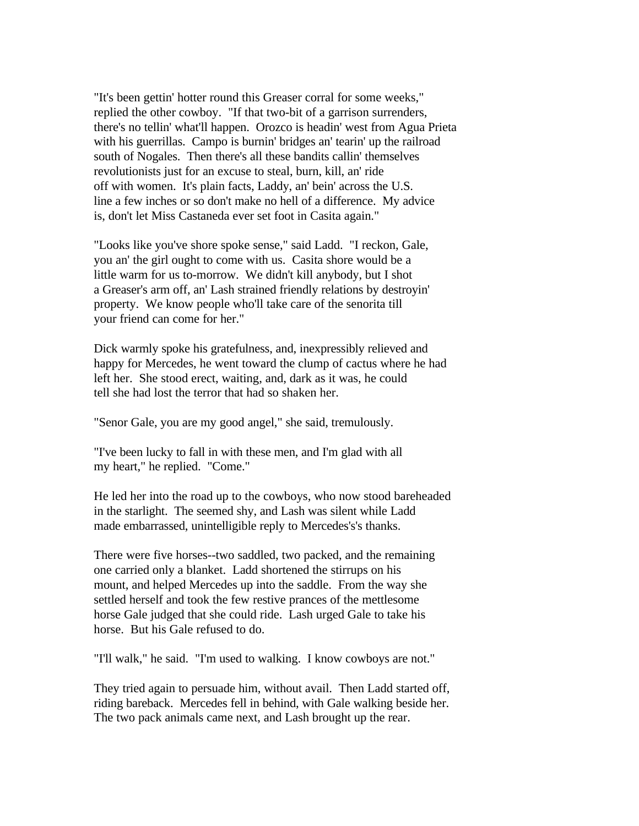"It's been gettin' hotter round this Greaser corral for some weeks," replied the other cowboy. "If that two-bit of a garrison surrenders, there's no tellin' what'll happen. Orozco is headin' west from Agua Prieta with his guerrillas. Campo is burnin' bridges an' tearin' up the railroad south of Nogales. Then there's all these bandits callin' themselves revolutionists just for an excuse to steal, burn, kill, an' ride off with women. It's plain facts, Laddy, an' bein' across the U.S. line a few inches or so don't make no hell of a difference. My advice is, don't let Miss Castaneda ever set foot in Casita again."

"Looks like you've shore spoke sense," said Ladd. "I reckon, Gale, you an' the girl ought to come with us. Casita shore would be a little warm for us to-morrow. We didn't kill anybody, but I shot a Greaser's arm off, an' Lash strained friendly relations by destroyin' property. We know people who'll take care of the senorita till your friend can come for her."

Dick warmly spoke his gratefulness, and, inexpressibly relieved and happy for Mercedes, he went toward the clump of cactus where he had left her. She stood erect, waiting, and, dark as it was, he could tell she had lost the terror that had so shaken her.

"Senor Gale, you are my good angel," she said, tremulously.

"I've been lucky to fall in with these men, and I'm glad with all my heart," he replied. "Come."

He led her into the road up to the cowboys, who now stood bareheaded in the starlight. The seemed shy, and Lash was silent while Ladd made embarrassed, unintelligible reply to Mercedes's's thanks.

There were five horses--two saddled, two packed, and the remaining one carried only a blanket. Ladd shortened the stirrups on his mount, and helped Mercedes up into the saddle. From the way she settled herself and took the few restive prances of the mettlesome horse Gale judged that she could ride. Lash urged Gale to take his horse. But his Gale refused to do.

"I'll walk," he said. "I'm used to walking. I know cowboys are not."

They tried again to persuade him, without avail. Then Ladd started off, riding bareback. Mercedes fell in behind, with Gale walking beside her. The two pack animals came next, and Lash brought up the rear.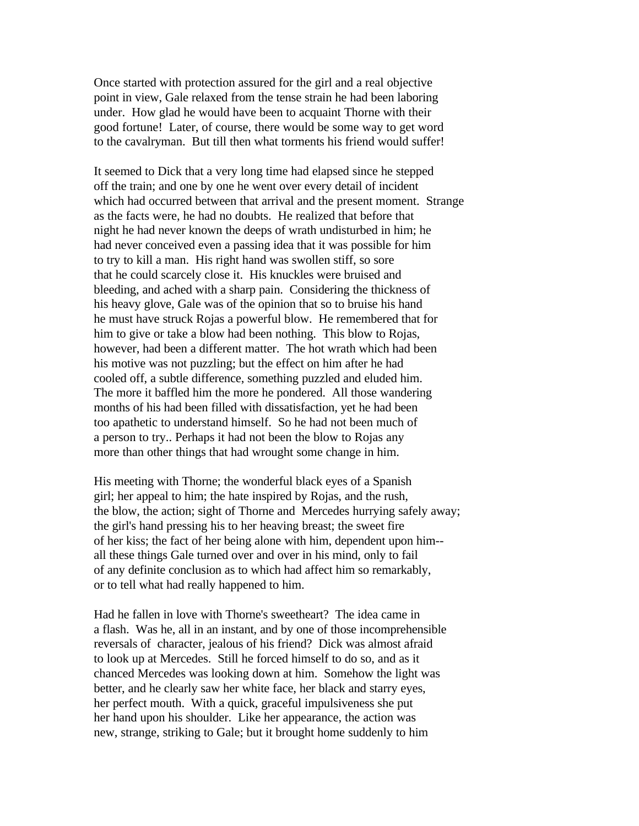Once started with protection assured for the girl and a real objective point in view, Gale relaxed from the tense strain he had been laboring under. How glad he would have been to acquaint Thorne with their good fortune! Later, of course, there would be some way to get word to the cavalryman. But till then what torments his friend would suffer!

It seemed to Dick that a very long time had elapsed since he stepped off the train; and one by one he went over every detail of incident which had occurred between that arrival and the present moment. Strange as the facts were, he had no doubts. He realized that before that night he had never known the deeps of wrath undisturbed in him; he had never conceived even a passing idea that it was possible for him to try to kill a man. His right hand was swollen stiff, so sore that he could scarcely close it. His knuckles were bruised and bleeding, and ached with a sharp pain. Considering the thickness of his heavy glove, Gale was of the opinion that so to bruise his hand he must have struck Rojas a powerful blow. He remembered that for him to give or take a blow had been nothing. This blow to Rojas, however, had been a different matter. The hot wrath which had been his motive was not puzzling; but the effect on him after he had cooled off, a subtle difference, something puzzled and eluded him. The more it baffled him the more he pondered. All those wandering months of his had been filled with dissatisfaction, yet he had been too apathetic to understand himself. So he had not been much of a person to try.. Perhaps it had not been the blow to Rojas any more than other things that had wrought some change in him.

His meeting with Thorne; the wonderful black eyes of a Spanish girl; her appeal to him; the hate inspired by Rojas, and the rush, the blow, the action; sight of Thorne and Mercedes hurrying safely away; the girl's hand pressing his to her heaving breast; the sweet fire of her kiss; the fact of her being alone with him, dependent upon him- all these things Gale turned over and over in his mind, only to fail of any definite conclusion as to which had affect him so remarkably, or to tell what had really happened to him.

Had he fallen in love with Thorne's sweetheart? The idea came in a flash. Was he, all in an instant, and by one of those incomprehensible reversals of character, jealous of his friend? Dick was almost afraid to look up at Mercedes. Still he forced himself to do so, and as it chanced Mercedes was looking down at him. Somehow the light was better, and he clearly saw her white face, her black and starry eyes, her perfect mouth. With a quick, graceful impulsiveness she put her hand upon his shoulder. Like her appearance, the action was new, strange, striking to Gale; but it brought home suddenly to him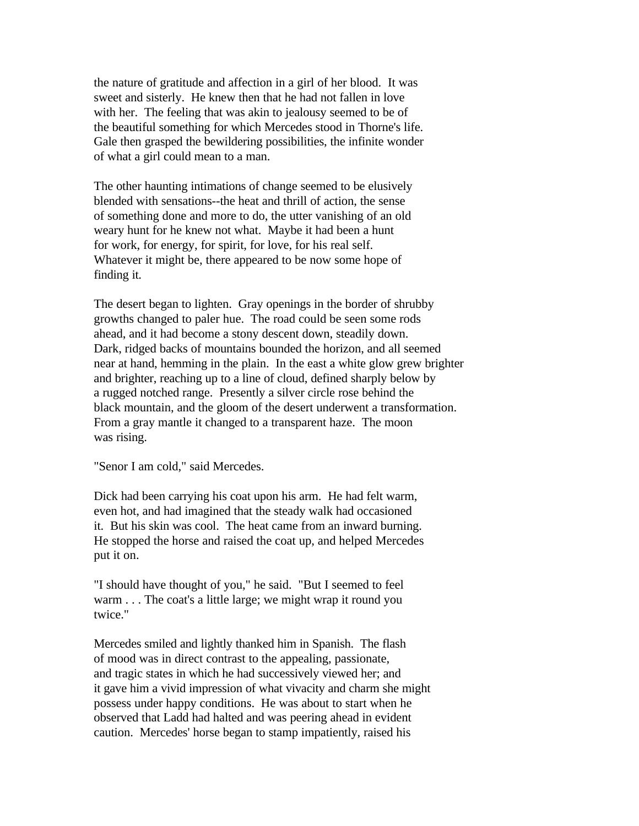the nature of gratitude and affection in a girl of her blood. It was sweet and sisterly. He knew then that he had not fallen in love with her. The feeling that was akin to jealousy seemed to be of the beautiful something for which Mercedes stood in Thorne's life. Gale then grasped the bewildering possibilities, the infinite wonder of what a girl could mean to a man.

The other haunting intimations of change seemed to be elusively blended with sensations--the heat and thrill of action, the sense of something done and more to do, the utter vanishing of an old weary hunt for he knew not what. Maybe it had been a hunt for work, for energy, for spirit, for love, for his real self. Whatever it might be, there appeared to be now some hope of finding it.

The desert began to lighten. Gray openings in the border of shrubby growths changed to paler hue. The road could be seen some rods ahead, and it had become a stony descent down, steadily down. Dark, ridged backs of mountains bounded the horizon, and all seemed near at hand, hemming in the plain. In the east a white glow grew brighter and brighter, reaching up to a line of cloud, defined sharply below by a rugged notched range. Presently a silver circle rose behind the black mountain, and the gloom of the desert underwent a transformation. From a gray mantle it changed to a transparent haze. The moon was rising.

"Senor I am cold," said Mercedes.

Dick had been carrying his coat upon his arm. He had felt warm, even hot, and had imagined that the steady walk had occasioned it. But his skin was cool. The heat came from an inward burning. He stopped the horse and raised the coat up, and helped Mercedes put it on.

"I should have thought of you," he said. "But I seemed to feel warm . . . The coat's a little large; we might wrap it round you twice."

Mercedes smiled and lightly thanked him in Spanish. The flash of mood was in direct contrast to the appealing, passionate, and tragic states in which he had successively viewed her; and it gave him a vivid impression of what vivacity and charm she might possess under happy conditions. He was about to start when he observed that Ladd had halted and was peering ahead in evident caution. Mercedes' horse began to stamp impatiently, raised his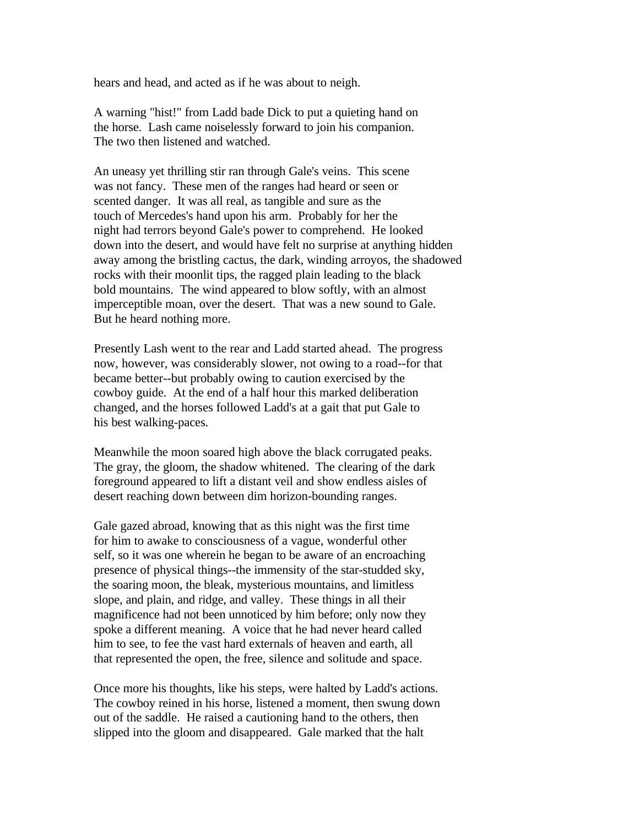hears and head, and acted as if he was about to neigh.

A warning "hist!" from Ladd bade Dick to put a quieting hand on the horse. Lash came noiselessly forward to join his companion. The two then listened and watched.

An uneasy yet thrilling stir ran through Gale's veins. This scene was not fancy. These men of the ranges had heard or seen or scented danger. It was all real, as tangible and sure as the touch of Mercedes's hand upon his arm. Probably for her the night had terrors beyond Gale's power to comprehend. He looked down into the desert, and would have felt no surprise at anything hidden away among the bristling cactus, the dark, winding arroyos, the shadowed rocks with their moonlit tips, the ragged plain leading to the black bold mountains. The wind appeared to blow softly, with an almost imperceptible moan, over the desert. That was a new sound to Gale. But he heard nothing more.

Presently Lash went to the rear and Ladd started ahead. The progress now, however, was considerably slower, not owing to a road--for that became better--but probably owing to caution exercised by the cowboy guide. At the end of a half hour this marked deliberation changed, and the horses followed Ladd's at a gait that put Gale to his best walking-paces.

Meanwhile the moon soared high above the black corrugated peaks. The gray, the gloom, the shadow whitened. The clearing of the dark foreground appeared to lift a distant veil and show endless aisles of desert reaching down between dim horizon-bounding ranges.

Gale gazed abroad, knowing that as this night was the first time for him to awake to consciousness of a vague, wonderful other self, so it was one wherein he began to be aware of an encroaching presence of physical things--the immensity of the star-studded sky, the soaring moon, the bleak, mysterious mountains, and limitless slope, and plain, and ridge, and valley. These things in all their magnificence had not been unnoticed by him before; only now they spoke a different meaning. A voice that he had never heard called him to see, to fee the vast hard externals of heaven and earth, all that represented the open, the free, silence and solitude and space.

Once more his thoughts, like his steps, were halted by Ladd's actions. The cowboy reined in his horse, listened a moment, then swung down out of the saddle. He raised a cautioning hand to the others, then slipped into the gloom and disappeared. Gale marked that the halt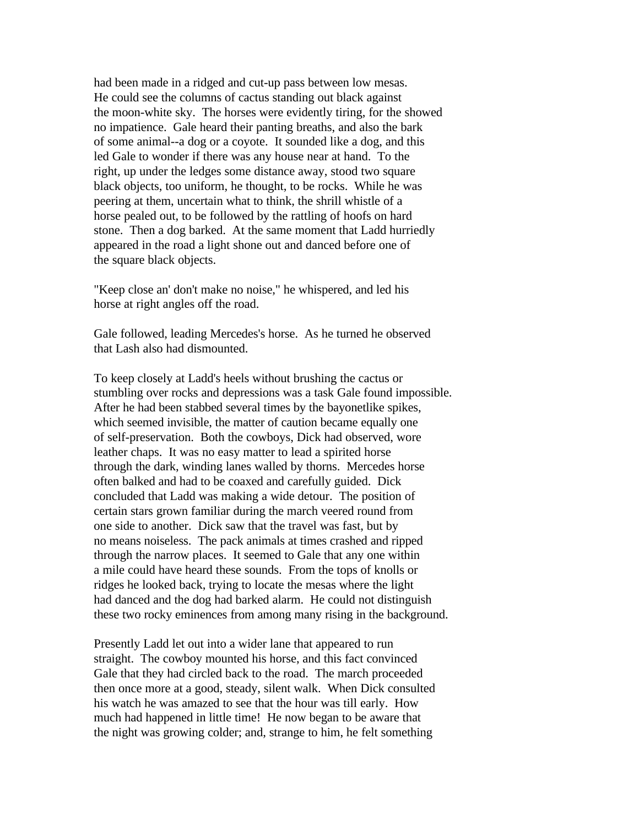had been made in a ridged and cut-up pass between low mesas. He could see the columns of cactus standing out black against the moon-white sky. The horses were evidently tiring, for the showed no impatience. Gale heard their panting breaths, and also the bark of some animal--a dog or a coyote. It sounded like a dog, and this led Gale to wonder if there was any house near at hand. To the right, up under the ledges some distance away, stood two square black objects, too uniform, he thought, to be rocks. While he was peering at them, uncertain what to think, the shrill whistle of a horse pealed out, to be followed by the rattling of hoofs on hard stone. Then a dog barked. At the same moment that Ladd hurriedly appeared in the road a light shone out and danced before one of the square black objects.

"Keep close an' don't make no noise," he whispered, and led his horse at right angles off the road.

Gale followed, leading Mercedes's horse. As he turned he observed that Lash also had dismounted.

To keep closely at Ladd's heels without brushing the cactus or stumbling over rocks and depressions was a task Gale found impossible. After he had been stabbed several times by the bayonetlike spikes, which seemed invisible, the matter of caution became equally one of self-preservation. Both the cowboys, Dick had observed, wore leather chaps. It was no easy matter to lead a spirited horse through the dark, winding lanes walled by thorns. Mercedes horse often balked and had to be coaxed and carefully guided. Dick concluded that Ladd was making a wide detour. The position of certain stars grown familiar during the march veered round from one side to another. Dick saw that the travel was fast, but by no means noiseless. The pack animals at times crashed and ripped through the narrow places. It seemed to Gale that any one within a mile could have heard these sounds. From the tops of knolls or ridges he looked back, trying to locate the mesas where the light had danced and the dog had barked alarm. He could not distinguish these two rocky eminences from among many rising in the background.

Presently Ladd let out into a wider lane that appeared to run straight. The cowboy mounted his horse, and this fact convinced Gale that they had circled back to the road. The march proceeded then once more at a good, steady, silent walk. When Dick consulted his watch he was amazed to see that the hour was till early. How much had happened in little time! He now began to be aware that the night was growing colder; and, strange to him, he felt something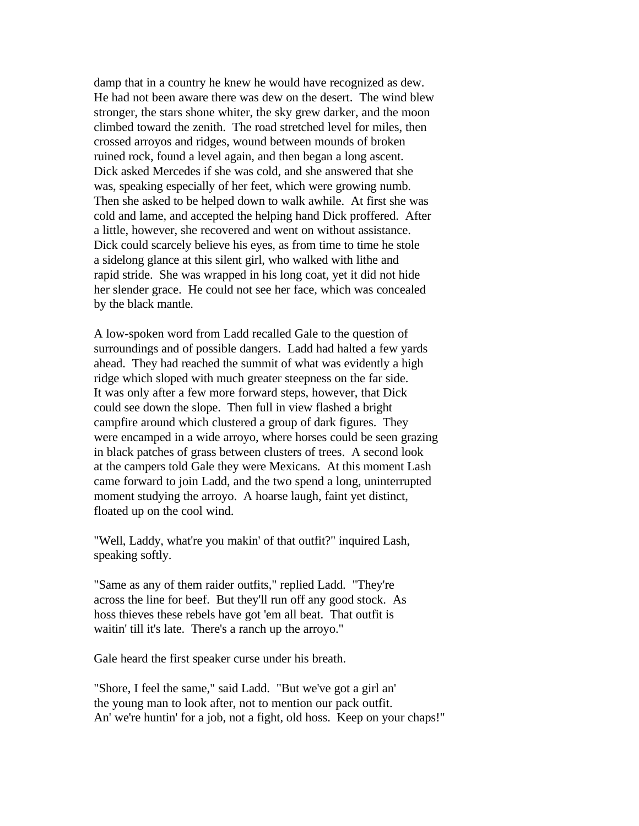damp that in a country he knew he would have recognized as dew. He had not been aware there was dew on the desert. The wind blew stronger, the stars shone whiter, the sky grew darker, and the moon climbed toward the zenith. The road stretched level for miles, then crossed arroyos and ridges, wound between mounds of broken ruined rock, found a level again, and then began a long ascent. Dick asked Mercedes if she was cold, and she answered that she was, speaking especially of her feet, which were growing numb. Then she asked to be helped down to walk awhile. At first she was cold and lame, and accepted the helping hand Dick proffered. After a little, however, she recovered and went on without assistance. Dick could scarcely believe his eyes, as from time to time he stole a sidelong glance at this silent girl, who walked with lithe and rapid stride. She was wrapped in his long coat, yet it did not hide her slender grace. He could not see her face, which was concealed by the black mantle.

A low-spoken word from Ladd recalled Gale to the question of surroundings and of possible dangers. Ladd had halted a few yards ahead. They had reached the summit of what was evidently a high ridge which sloped with much greater steepness on the far side. It was only after a few more forward steps, however, that Dick could see down the slope. Then full in view flashed a bright campfire around which clustered a group of dark figures. They were encamped in a wide arroyo, where horses could be seen grazing in black patches of grass between clusters of trees. A second look at the campers told Gale they were Mexicans. At this moment Lash came forward to join Ladd, and the two spend a long, uninterrupted moment studying the arroyo. A hoarse laugh, faint yet distinct, floated up on the cool wind.

"Well, Laddy, what're you makin' of that outfit?" inquired Lash, speaking softly.

"Same as any of them raider outfits," replied Ladd. "They're across the line for beef. But they'll run off any good stock. As hoss thieves these rebels have got 'em all beat. That outfit is waitin' till it's late. There's a ranch up the arroyo."

Gale heard the first speaker curse under his breath.

"Shore, I feel the same," said Ladd. "But we've got a girl an' the young man to look after, not to mention our pack outfit. An' we're huntin' for a job, not a fight, old hoss. Keep on your chaps!"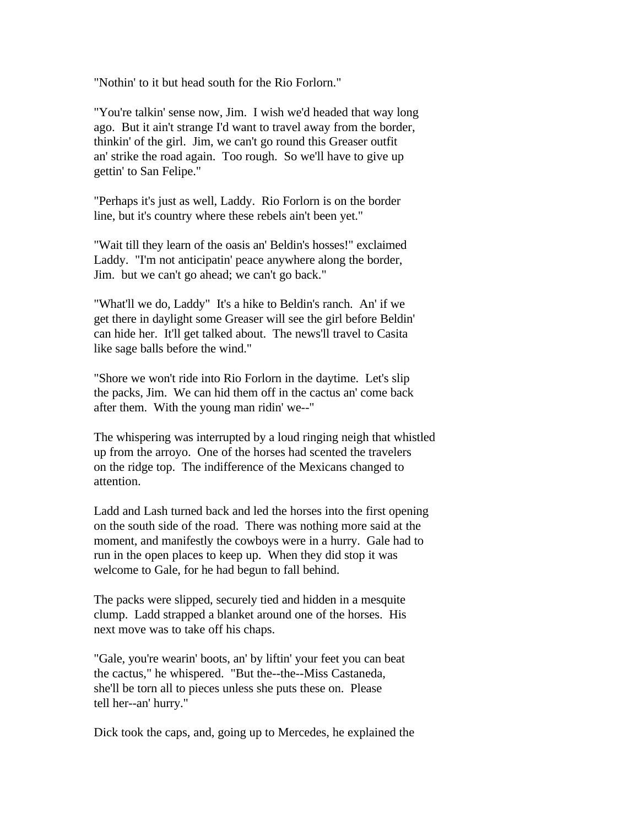"Nothin' to it but head south for the Rio Forlorn."

"You're talkin' sense now, Jim. I wish we'd headed that way long ago. But it ain't strange I'd want to travel away from the border, thinkin' of the girl. Jim, we can't go round this Greaser outfit an' strike the road again. Too rough. So we'll have to give up gettin' to San Felipe."

"Perhaps it's just as well, Laddy. Rio Forlorn is on the border line, but it's country where these rebels ain't been yet."

"Wait till they learn of the oasis an' Beldin's hosses!" exclaimed Laddy. "I'm not anticipatin' peace anywhere along the border, Jim. but we can't go ahead; we can't go back."

"What'll we do, Laddy" It's a hike to Beldin's ranch. An' if we get there in daylight some Greaser will see the girl before Beldin' can hide her. It'll get talked about. The news'll travel to Casita like sage balls before the wind."

"Shore we won't ride into Rio Forlorn in the daytime. Let's slip the packs, Jim. We can hid them off in the cactus an' come back after them. With the young man ridin' we--"

The whispering was interrupted by a loud ringing neigh that whistled up from the arroyo. One of the horses had scented the travelers on the ridge top. The indifference of the Mexicans changed to attention.

Ladd and Lash turned back and led the horses into the first opening on the south side of the road. There was nothing more said at the moment, and manifestly the cowboys were in a hurry. Gale had to run in the open places to keep up. When they did stop it was welcome to Gale, for he had begun to fall behind.

The packs were slipped, securely tied and hidden in a mesquite clump. Ladd strapped a blanket around one of the horses. His next move was to take off his chaps.

"Gale, you're wearin' boots, an' by liftin' your feet you can beat the cactus," he whispered. "But the--the--Miss Castaneda, she'll be torn all to pieces unless she puts these on. Please tell her--an' hurry."

Dick took the caps, and, going up to Mercedes, he explained the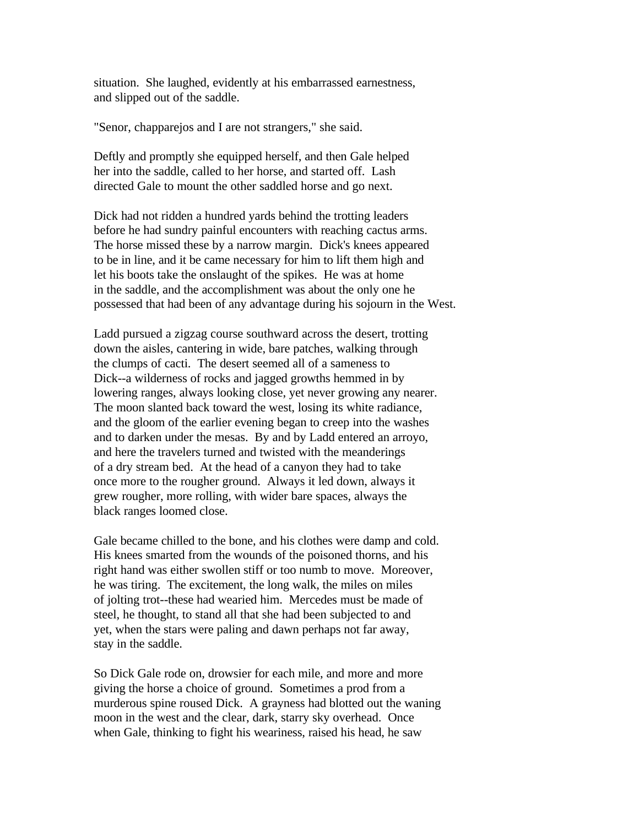situation. She laughed, evidently at his embarrassed earnestness, and slipped out of the saddle.

"Senor, chapparejos and I are not strangers," she said.

Deftly and promptly she equipped herself, and then Gale helped her into the saddle, called to her horse, and started off. Lash directed Gale to mount the other saddled horse and go next.

Dick had not ridden a hundred yards behind the trotting leaders before he had sundry painful encounters with reaching cactus arms. The horse missed these by a narrow margin. Dick's knees appeared to be in line, and it be came necessary for him to lift them high and let his boots take the onslaught of the spikes. He was at home in the saddle, and the accomplishment was about the only one he possessed that had been of any advantage during his sojourn in the West.

Ladd pursued a zigzag course southward across the desert, trotting down the aisles, cantering in wide, bare patches, walking through the clumps of cacti. The desert seemed all of a sameness to Dick--a wilderness of rocks and jagged growths hemmed in by lowering ranges, always looking close, yet never growing any nearer. The moon slanted back toward the west, losing its white radiance, and the gloom of the earlier evening began to creep into the washes and to darken under the mesas. By and by Ladd entered an arroyo, and here the travelers turned and twisted with the meanderings of a dry stream bed. At the head of a canyon they had to take once more to the rougher ground. Always it led down, always it grew rougher, more rolling, with wider bare spaces, always the black ranges loomed close.

Gale became chilled to the bone, and his clothes were damp and cold. His knees smarted from the wounds of the poisoned thorns, and his right hand was either swollen stiff or too numb to move. Moreover, he was tiring. The excitement, the long walk, the miles on miles of jolting trot--these had wearied him. Mercedes must be made of steel, he thought, to stand all that she had been subjected to and yet, when the stars were paling and dawn perhaps not far away, stay in the saddle.

So Dick Gale rode on, drowsier for each mile, and more and more giving the horse a choice of ground. Sometimes a prod from a murderous spine roused Dick. A grayness had blotted out the waning moon in the west and the clear, dark, starry sky overhead. Once when Gale, thinking to fight his weariness, raised his head, he saw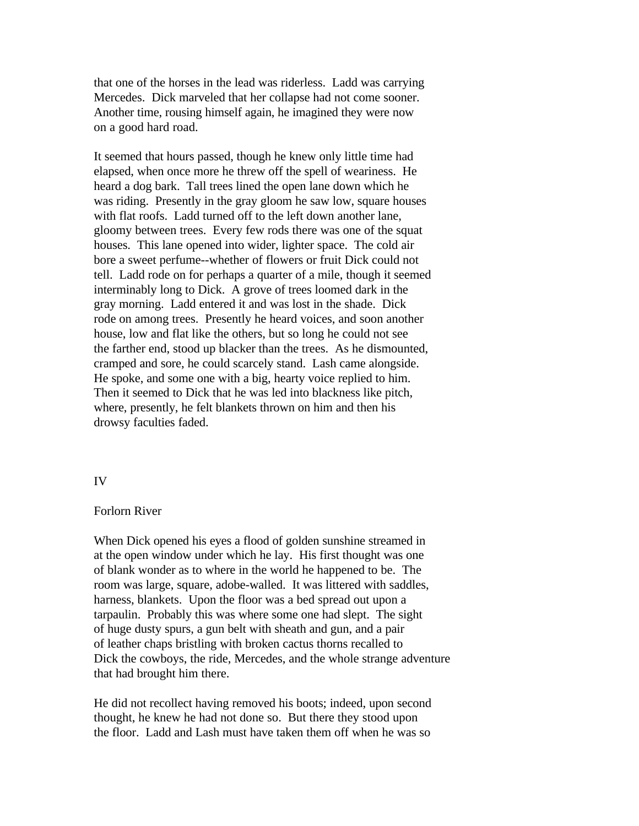that one of the horses in the lead was riderless. Ladd was carrying Mercedes. Dick marveled that her collapse had not come sooner. Another time, rousing himself again, he imagined they were now on a good hard road.

It seemed that hours passed, though he knew only little time had elapsed, when once more he threw off the spell of weariness. He heard a dog bark. Tall trees lined the open lane down which he was riding. Presently in the gray gloom he saw low, square houses with flat roofs. Ladd turned off to the left down another lane, gloomy between trees. Every few rods there was one of the squat houses. This lane opened into wider, lighter space. The cold air bore a sweet perfume--whether of flowers or fruit Dick could not tell. Ladd rode on for perhaps a quarter of a mile, though it seemed interminably long to Dick. A grove of trees loomed dark in the gray morning. Ladd entered it and was lost in the shade. Dick rode on among trees. Presently he heard voices, and soon another house, low and flat like the others, but so long he could not see the farther end, stood up blacker than the trees. As he dismounted, cramped and sore, he could scarcely stand. Lash came alongside. He spoke, and some one with a big, hearty voice replied to him. Then it seemed to Dick that he was led into blackness like pitch, where, presently, he felt blankets thrown on him and then his drowsy faculties faded.

## IV

## Forlorn River

When Dick opened his eyes a flood of golden sunshine streamed in at the open window under which he lay. His first thought was one of blank wonder as to where in the world he happened to be. The room was large, square, adobe-walled. It was littered with saddles, harness, blankets. Upon the floor was a bed spread out upon a tarpaulin. Probably this was where some one had slept. The sight of huge dusty spurs, a gun belt with sheath and gun, and a pair of leather chaps bristling with broken cactus thorns recalled to Dick the cowboys, the ride, Mercedes, and the whole strange adventure that had brought him there.

He did not recollect having removed his boots; indeed, upon second thought, he knew he had not done so. But there they stood upon the floor. Ladd and Lash must have taken them off when he was so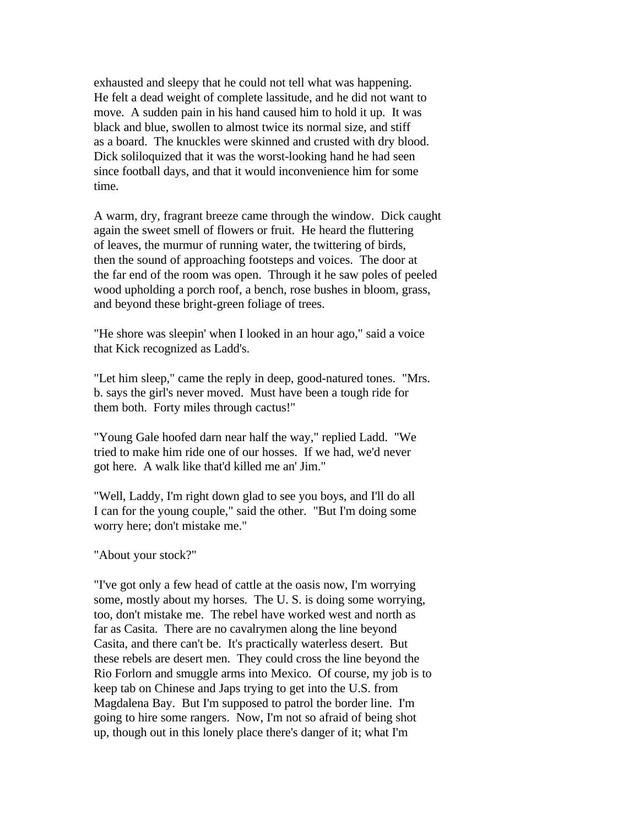exhausted and sleepy that he could not tell what was happening. He felt a dead weight of complete lassitude, and he did not want to move. A sudden pain in his hand caused him to hold it up. It was black and blue, swollen to almost twice its normal size, and stiff as a board. The knuckles were skinned and crusted with dry blood. Dick soliloquized that it was the worst-looking hand he had seen since football days, and that it would inconvenience him for some time.

A warm, dry, fragrant breeze came through the window. Dick caught again the sweet smell of flowers or fruit. He heard the fluttering of leaves, the murmur of running water, the twittering of birds, then the sound of approaching footsteps and voices. The door at the far end of the room was open. Through it he saw poles of peeled wood upholding a porch roof, a bench, rose bushes in bloom, grass, and beyond these bright-green foliage of trees.

"He shore was sleepin' when I looked in an hour ago," said a voice that Kick recognized as Ladd's.

"Let him sleep," came the reply in deep, good-natured tones. "Mrs. b. says the girl's never moved. Must have been a tough ride for them both. Forty miles through cactus!"

"Young Gale hoofed darn near half the way," replied Ladd. "We tried to make him ride one of our hosses. If we had, we'd never got here. A walk like that'd killed me an' Jim."

"Well, Laddy, I'm right down glad to see you boys, and I'll do all I can for the young couple," said the other. "But I'm doing some worry here; don't mistake me."

"About your stock?"

"I've got only a few head of cattle at the oasis now, I'm worrying some, mostly about my horses. The U. S. is doing some worrying, too, don't mistake me. The rebel have worked west and north as far as Casita. There are no cavalrymen along the line beyond Casita, and there can't be. It's practically waterless desert. But these rebels are desert men. They could cross the line beyond the Rio Forlorn and smuggle arms into Mexico. Of course, my job is to keep tab on Chinese and Japs trying to get into the U.S. from Magdalena Bay. But I'm supposed to patrol the border line. I'm going to hire some rangers. Now, I'm not so afraid of being shot up, though out in this lonely place there's danger of it; what I'm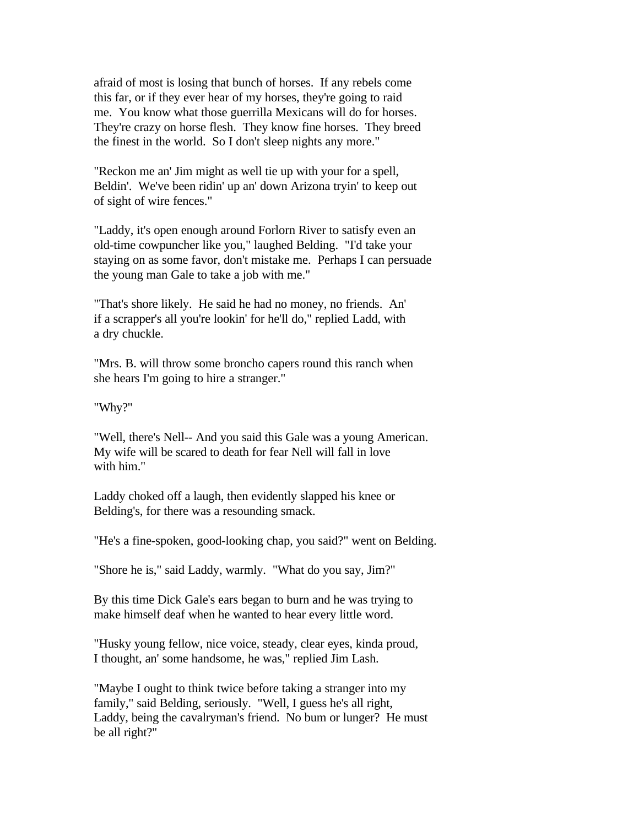afraid of most is losing that bunch of horses. If any rebels come this far, or if they ever hear of my horses, they're going to raid me. You know what those guerrilla Mexicans will do for horses. They're crazy on horse flesh. They know fine horses. They breed the finest in the world. So I don't sleep nights any more."

"Reckon me an' Jim might as well tie up with your for a spell, Beldin'. We've been ridin' up an' down Arizona tryin' to keep out of sight of wire fences."

"Laddy, it's open enough around Forlorn River to satisfy even an old-time cowpuncher like you," laughed Belding. "I'd take your staying on as some favor, don't mistake me. Perhaps I can persuade the young man Gale to take a job with me."

"That's shore likely. He said he had no money, no friends. An' if a scrapper's all you're lookin' for he'll do," replied Ladd, with a dry chuckle.

"Mrs. B. will throw some broncho capers round this ranch when she hears I'm going to hire a stranger."

"Why?"

"Well, there's Nell-- And you said this Gale was a young American. My wife will be scared to death for fear Nell will fall in love with him."

Laddy choked off a laugh, then evidently slapped his knee or Belding's, for there was a resounding smack.

"He's a fine-spoken, good-looking chap, you said?" went on Belding.

"Shore he is," said Laddy, warmly. "What do you say, Jim?"

By this time Dick Gale's ears began to burn and he was trying to make himself deaf when he wanted to hear every little word.

"Husky young fellow, nice voice, steady, clear eyes, kinda proud, I thought, an' some handsome, he was," replied Jim Lash.

"Maybe I ought to think twice before taking a stranger into my family," said Belding, seriously. "Well, I guess he's all right, Laddy, being the cavalryman's friend. No bum or lunger? He must be all right?"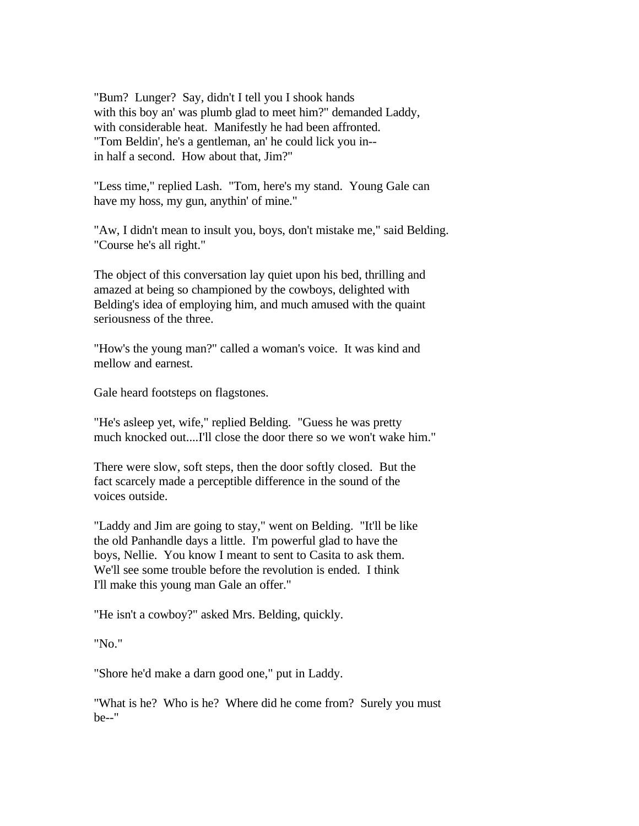"Bum? Lunger? Say, didn't I tell you I shook hands with this boy an' was plumb glad to meet him?" demanded Laddy, with considerable heat. Manifestly he had been affronted. "Tom Beldin', he's a gentleman, an' he could lick you in- in half a second. How about that, Jim?"

"Less time," replied Lash. "Tom, here's my stand. Young Gale can have my hoss, my gun, anythin' of mine."

"Aw, I didn't mean to insult you, boys, don't mistake me," said Belding. "Course he's all right."

The object of this conversation lay quiet upon his bed, thrilling and amazed at being so championed by the cowboys, delighted with Belding's idea of employing him, and much amused with the quaint seriousness of the three.

"How's the young man?" called a woman's voice. It was kind and mellow and earnest.

Gale heard footsteps on flagstones.

"He's asleep yet, wife," replied Belding. "Guess he was pretty much knocked out....I'll close the door there so we won't wake him."

There were slow, soft steps, then the door softly closed. But the fact scarcely made a perceptible difference in the sound of the voices outside.

"Laddy and Jim are going to stay," went on Belding. "It'll be like the old Panhandle days a little. I'm powerful glad to have the boys, Nellie. You know I meant to sent to Casita to ask them. We'll see some trouble before the revolution is ended. I think I'll make this young man Gale an offer."

"He isn't a cowboy?" asked Mrs. Belding, quickly.

"No."

"Shore he'd make a darn good one," put in Laddy.

"What is he? Who is he? Where did he come from? Surely you must be--"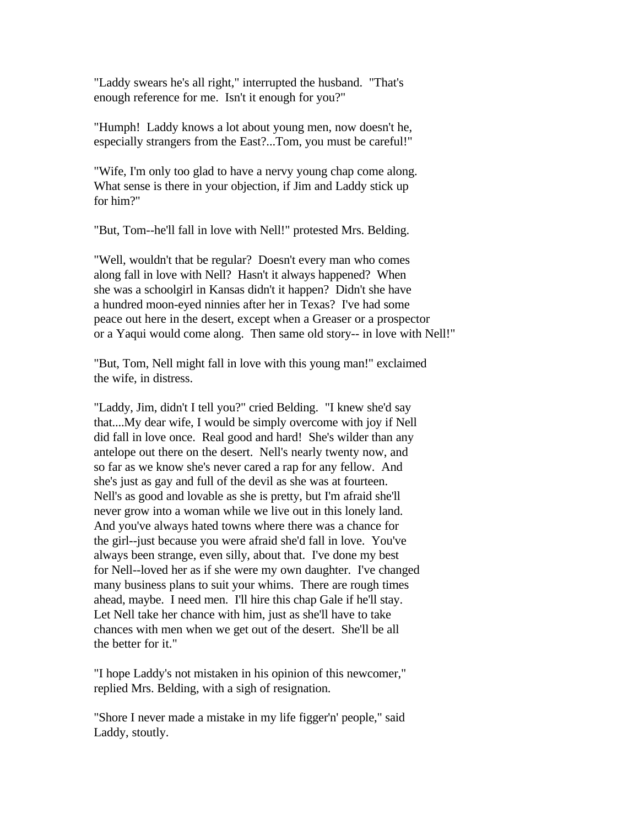"Laddy swears he's all right," interrupted the husband. "That's enough reference for me. Isn't it enough for you?"

"Humph! Laddy knows a lot about young men, now doesn't he, especially strangers from the East?...Tom, you must be careful!"

"Wife, I'm only too glad to have a nervy young chap come along. What sense is there in your objection, if Jim and Laddy stick up for him?"

"But, Tom--he'll fall in love with Nell!" protested Mrs. Belding.

"Well, wouldn't that be regular? Doesn't every man who comes along fall in love with Nell? Hasn't it always happened? When she was a schoolgirl in Kansas didn't it happen? Didn't she have a hundred moon-eyed ninnies after her in Texas? I've had some peace out here in the desert, except when a Greaser or a prospector or a Yaqui would come along. Then same old story-- in love with Nell!"

"But, Tom, Nell might fall in love with this young man!" exclaimed the wife, in distress.

"Laddy, Jim, didn't I tell you?" cried Belding. "I knew she'd say that....My dear wife, I would be simply overcome with joy if Nell did fall in love once. Real good and hard! She's wilder than any antelope out there on the desert. Nell's nearly twenty now, and so far as we know she's never cared a rap for any fellow. And she's just as gay and full of the devil as she was at fourteen. Nell's as good and lovable as she is pretty, but I'm afraid she'll never grow into a woman while we live out in this lonely land. And you've always hated towns where there was a chance for the girl--just because you were afraid she'd fall in love. You've always been strange, even silly, about that. I've done my best for Nell--loved her as if she were my own daughter. I've changed many business plans to suit your whims. There are rough times ahead, maybe. I need men. I'll hire this chap Gale if he'll stay. Let Nell take her chance with him, just as she'll have to take chances with men when we get out of the desert. She'll be all the better for it."

"I hope Laddy's not mistaken in his opinion of this newcomer," replied Mrs. Belding, with a sigh of resignation.

"Shore I never made a mistake in my life figger'n' people," said Laddy, stoutly.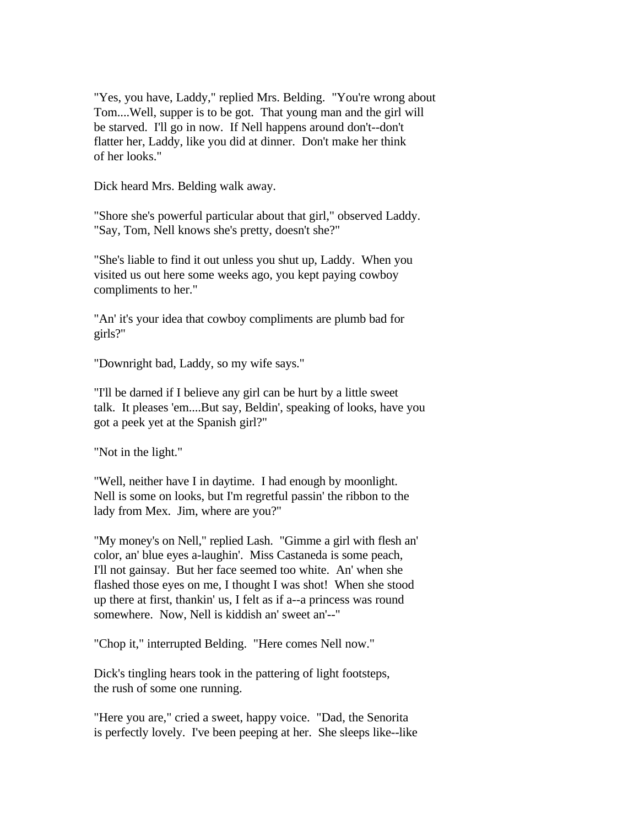"Yes, you have, Laddy," replied Mrs. Belding. "You're wrong about Tom....Well, supper is to be got. That young man and the girl will be starved. I'll go in now. If Nell happens around don't--don't flatter her, Laddy, like you did at dinner. Don't make her think of her looks."

Dick heard Mrs. Belding walk away.

"Shore she's powerful particular about that girl," observed Laddy. "Say, Tom, Nell knows she's pretty, doesn't she?"

"She's liable to find it out unless you shut up, Laddy. When you visited us out here some weeks ago, you kept paying cowboy compliments to her."

"An' it's your idea that cowboy compliments are plumb bad for girls?"

"Downright bad, Laddy, so my wife says."

"I'll be darned if I believe any girl can be hurt by a little sweet talk. It pleases 'em....But say, Beldin', speaking of looks, have you got a peek yet at the Spanish girl?"

"Not in the light."

"Well, neither have I in daytime. I had enough by moonlight. Nell is some on looks, but I'm regretful passin' the ribbon to the lady from Mex. Jim, where are you?"

"My money's on Nell," replied Lash. "Gimme a girl with flesh an' color, an' blue eyes a-laughin'. Miss Castaneda is some peach, I'll not gainsay. But her face seemed too white. An' when she flashed those eyes on me, I thought I was shot! When she stood up there at first, thankin' us, I felt as if a--a princess was round somewhere. Now, Nell is kiddish an' sweet an'--"

"Chop it," interrupted Belding. "Here comes Nell now."

Dick's tingling hears took in the pattering of light footsteps, the rush of some one running.

"Here you are," cried a sweet, happy voice. "Dad, the Senorita is perfectly lovely. I've been peeping at her. She sleeps like--like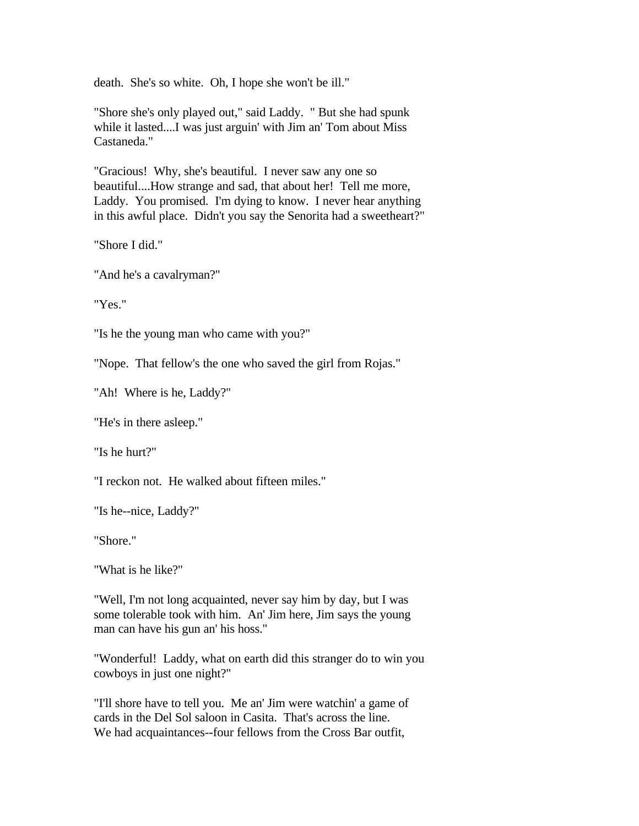death. She's so white. Oh, I hope she won't be ill."

"Shore she's only played out," said Laddy. " But she had spunk while it lasted....I was just arguin' with Jim an' Tom about Miss Castaneda."

"Gracious! Why, she's beautiful. I never saw any one so beautiful....How strange and sad, that about her! Tell me more, Laddy. You promised. I'm dying to know. I never hear anything in this awful place. Didn't you say the Senorita had a sweetheart?"

"Shore I did."

"And he's a cavalryman?"

"Yes."

"Is he the young man who came with you?"

"Nope. That fellow's the one who saved the girl from Rojas."

"Ah! Where is he, Laddy?"

"He's in there asleep."

"Is he hurt?"

"I reckon not. He walked about fifteen miles."

"Is he--nice, Laddy?"

"Shore."

"What is he like?"

"Well, I'm not long acquainted, never say him by day, but I was some tolerable took with him. An' Jim here, Jim says the young man can have his gun an' his hoss."

"Wonderful! Laddy, what on earth did this stranger do to win you cowboys in just one night?"

"I'll shore have to tell you. Me an' Jim were watchin' a game of cards in the Del Sol saloon in Casita. That's across the line. We had acquaintances--four fellows from the Cross Bar outfit,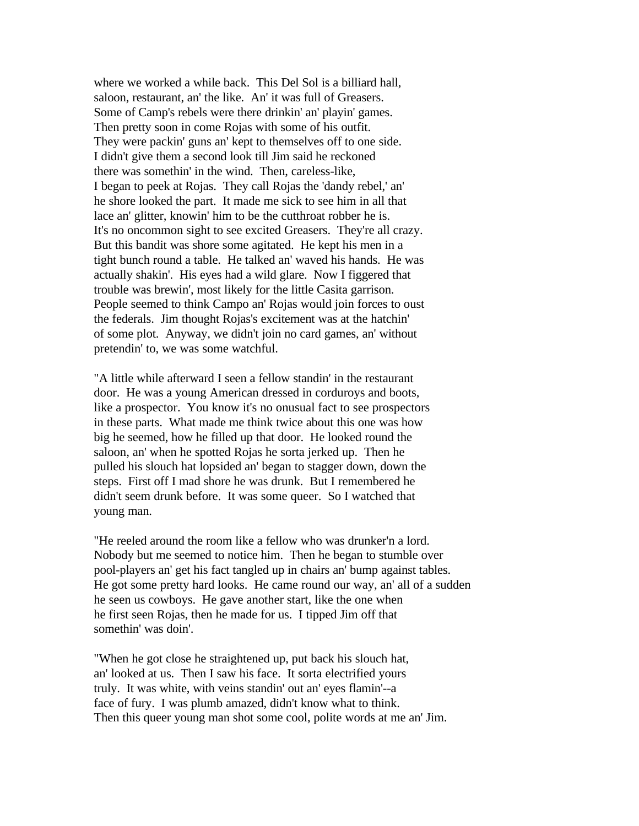where we worked a while back. This Del Sol is a billiard hall, saloon, restaurant, an' the like. An' it was full of Greasers. Some of Camp's rebels were there drinkin' an' playin' games. Then pretty soon in come Rojas with some of his outfit. They were packin' guns an' kept to themselves off to one side. I didn't give them a second look till Jim said he reckoned there was somethin' in the wind. Then, careless-like, I began to peek at Rojas. They call Rojas the 'dandy rebel,' an' he shore looked the part. It made me sick to see him in all that lace an' glitter, knowin' him to be the cutthroat robber he is. It's no oncommon sight to see excited Greasers. They're all crazy. But this bandit was shore some agitated. He kept his men in a tight bunch round a table. He talked an' waved his hands. He was actually shakin'. His eyes had a wild glare. Now I figgered that trouble was brewin', most likely for the little Casita garrison. People seemed to think Campo an' Rojas would join forces to oust the federals. Jim thought Rojas's excitement was at the hatchin' of some plot. Anyway, we didn't join no card games, an' without pretendin' to, we was some watchful.

"A little while afterward I seen a fellow standin' in the restaurant door. He was a young American dressed in corduroys and boots, like a prospector. You know it's no onusual fact to see prospectors in these parts. What made me think twice about this one was how big he seemed, how he filled up that door. He looked round the saloon, an' when he spotted Rojas he sorta jerked up. Then he pulled his slouch hat lopsided an' began to stagger down, down the steps. First off I mad shore he was drunk. But I remembered he didn't seem drunk before. It was some queer. So I watched that young man.

"He reeled around the room like a fellow who was drunker'n a lord. Nobody but me seemed to notice him. Then he began to stumble over pool-players an' get his fact tangled up in chairs an' bump against tables. He got some pretty hard looks. He came round our way, an' all of a sudden he seen us cowboys. He gave another start, like the one when he first seen Rojas, then he made for us. I tipped Jim off that somethin' was doin'.

"When he got close he straightened up, put back his slouch hat, an' looked at us. Then I saw his face. It sorta electrified yours truly. It was white, with veins standin' out an' eyes flamin'--a face of fury. I was plumb amazed, didn't know what to think. Then this queer young man shot some cool, polite words at me an' Jim.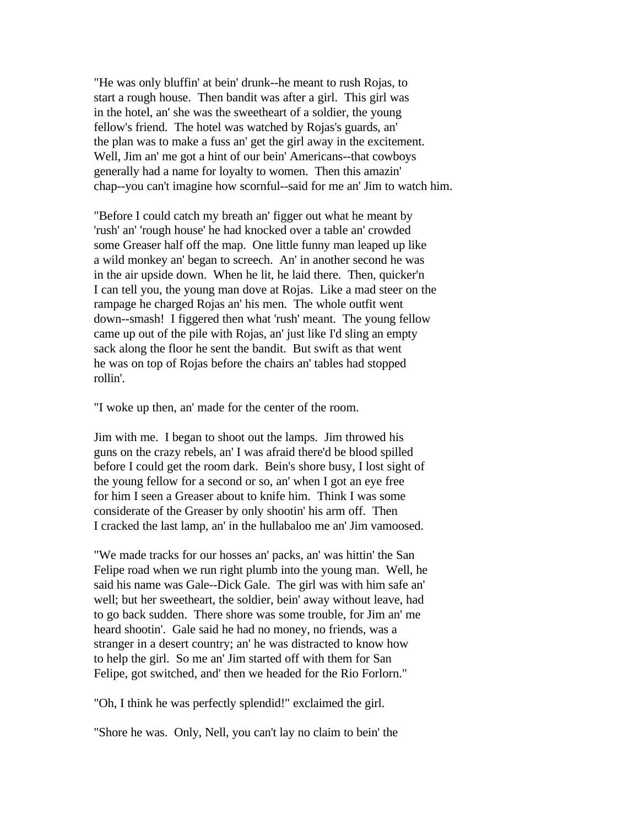"He was only bluffin' at bein' drunk--he meant to rush Rojas, to start a rough house. Then bandit was after a girl. This girl was in the hotel, an' she was the sweetheart of a soldier, the young fellow's friend. The hotel was watched by Rojas's guards, an' the plan was to make a fuss an' get the girl away in the excitement. Well, Jim an' me got a hint of our bein' Americans--that cowboys generally had a name for loyalty to women. Then this amazin' chap--you can't imagine how scornful--said for me an' Jim to watch him.

"Before I could catch my breath an' figger out what he meant by 'rush' an' 'rough house' he had knocked over a table an' crowded some Greaser half off the map. One little funny man leaped up like a wild monkey an' began to screech. An' in another second he was in the air upside down. When he lit, he laid there. Then, quicker'n I can tell you, the young man dove at Rojas. Like a mad steer on the rampage he charged Rojas an' his men. The whole outfit went down--smash! I figgered then what 'rush' meant. The young fellow came up out of the pile with Rojas, an' just like I'd sling an empty sack along the floor he sent the bandit. But swift as that went he was on top of Rojas before the chairs an' tables had stopped rollin'.

"I woke up then, an' made for the center of the room.

Jim with me. I began to shoot out the lamps. Jim throwed his guns on the crazy rebels, an' I was afraid there'd be blood spilled before I could get the room dark. Bein's shore busy, I lost sight of the young fellow for a second or so, an' when I got an eye free for him I seen a Greaser about to knife him. Think I was some considerate of the Greaser by only shootin' his arm off. Then I cracked the last lamp, an' in the hullabaloo me an' Jim vamoosed.

"We made tracks for our hosses an' packs, an' was hittin' the San Felipe road when we run right plumb into the young man. Well, he said his name was Gale--Dick Gale. The girl was with him safe an' well; but her sweetheart, the soldier, bein' away without leave, had to go back sudden. There shore was some trouble, for Jim an' me heard shootin'. Gale said he had no money, no friends, was a stranger in a desert country; an' he was distracted to know how to help the girl. So me an' Jim started off with them for San Felipe, got switched, and' then we headed for the Rio Forlorn."

"Oh, I think he was perfectly splendid!" exclaimed the girl.

"Shore he was. Only, Nell, you can't lay no claim to bein' the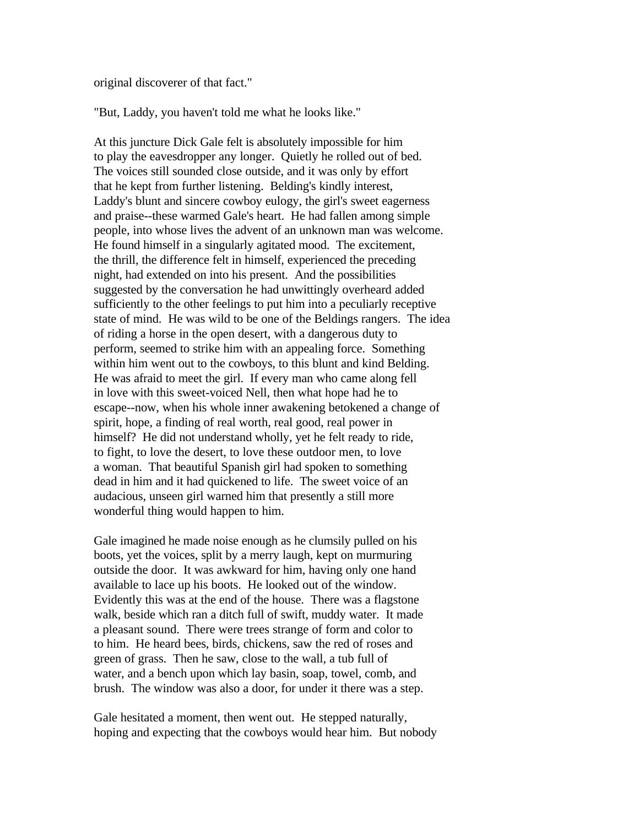original discoverer of that fact."

"But, Laddy, you haven't told me what he looks like."

At this juncture Dick Gale felt is absolutely impossible for him to play the eavesdropper any longer. Quietly he rolled out of bed. The voices still sounded close outside, and it was only by effort that he kept from further listening. Belding's kindly interest, Laddy's blunt and sincere cowboy eulogy, the girl's sweet eagerness and praise--these warmed Gale's heart. He had fallen among simple people, into whose lives the advent of an unknown man was welcome. He found himself in a singularly agitated mood. The excitement, the thrill, the difference felt in himself, experienced the preceding night, had extended on into his present. And the possibilities suggested by the conversation he had unwittingly overheard added sufficiently to the other feelings to put him into a peculiarly receptive state of mind. He was wild to be one of the Beldings rangers. The idea of riding a horse in the open desert, with a dangerous duty to perform, seemed to strike him with an appealing force. Something within him went out to the cowboys, to this blunt and kind Belding. He was afraid to meet the girl. If every man who came along fell in love with this sweet-voiced Nell, then what hope had he to escape--now, when his whole inner awakening betokened a change of spirit, hope, a finding of real worth, real good, real power in himself? He did not understand wholly, yet he felt ready to ride, to fight, to love the desert, to love these outdoor men, to love a woman. That beautiful Spanish girl had spoken to something dead in him and it had quickened to life. The sweet voice of an audacious, unseen girl warned him that presently a still more wonderful thing would happen to him.

Gale imagined he made noise enough as he clumsily pulled on his boots, yet the voices, split by a merry laugh, kept on murmuring outside the door. It was awkward for him, having only one hand available to lace up his boots. He looked out of the window. Evidently this was at the end of the house. There was a flagstone walk, beside which ran a ditch full of swift, muddy water. It made a pleasant sound. There were trees strange of form and color to to him. He heard bees, birds, chickens, saw the red of roses and green of grass. Then he saw, close to the wall, a tub full of water, and a bench upon which lay basin, soap, towel, comb, and brush. The window was also a door, for under it there was a step.

Gale hesitated a moment, then went out. He stepped naturally, hoping and expecting that the cowboys would hear him. But nobody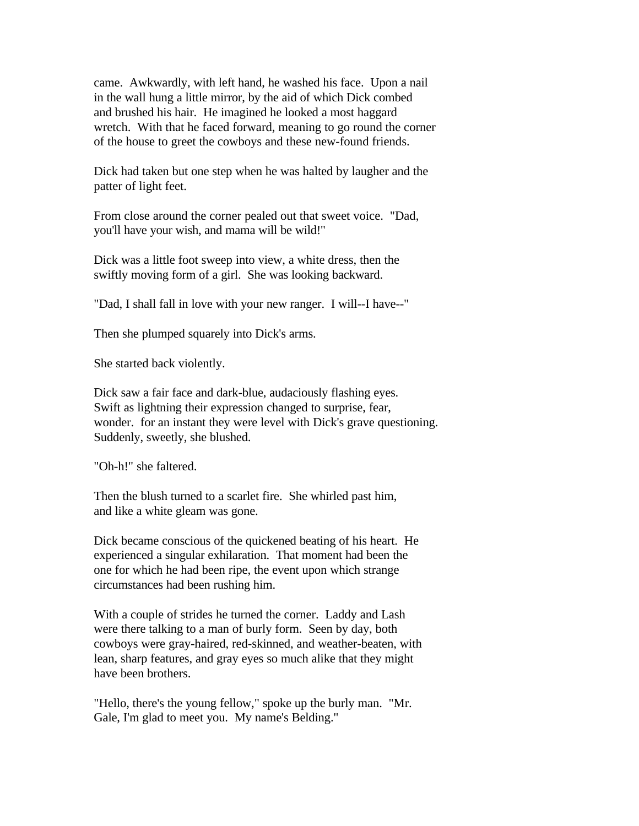came. Awkwardly, with left hand, he washed his face. Upon a nail in the wall hung a little mirror, by the aid of which Dick combed and brushed his hair. He imagined he looked a most haggard wretch. With that he faced forward, meaning to go round the corner of the house to greet the cowboys and these new-found friends.

Dick had taken but one step when he was halted by laugher and the patter of light feet.

From close around the corner pealed out that sweet voice. "Dad, you'll have your wish, and mama will be wild!"

Dick was a little foot sweep into view, a white dress, then the swiftly moving form of a girl. She was looking backward.

"Dad, I shall fall in love with your new ranger. I will--I have--"

Then she plumped squarely into Dick's arms.

She started back violently.

Dick saw a fair face and dark-blue, audaciously flashing eyes. Swift as lightning their expression changed to surprise, fear, wonder. for an instant they were level with Dick's grave questioning. Suddenly, sweetly, she blushed.

"Oh-h!" she faltered.

Then the blush turned to a scarlet fire. She whirled past him, and like a white gleam was gone.

Dick became conscious of the quickened beating of his heart. He experienced a singular exhilaration. That moment had been the one for which he had been ripe, the event upon which strange circumstances had been rushing him.

With a couple of strides he turned the corner. Laddy and Lash were there talking to a man of burly form. Seen by day, both cowboys were gray-haired, red-skinned, and weather-beaten, with lean, sharp features, and gray eyes so much alike that they might have been brothers.

"Hello, there's the young fellow," spoke up the burly man. "Mr. Gale, I'm glad to meet you. My name's Belding."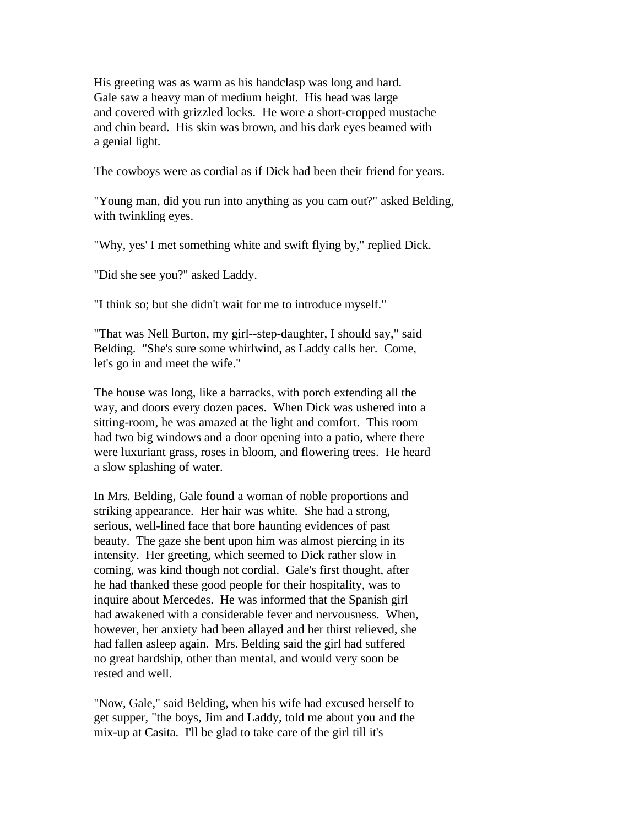His greeting was as warm as his handclasp was long and hard. Gale saw a heavy man of medium height. His head was large and covered with grizzled locks. He wore a short-cropped mustache and chin beard. His skin was brown, and his dark eyes beamed with a genial light.

The cowboys were as cordial as if Dick had been their friend for years.

"Young man, did you run into anything as you cam out?" asked Belding, with twinkling eyes.

"Why, yes' I met something white and swift flying by," replied Dick.

"Did she see you?" asked Laddy.

"I think so; but she didn't wait for me to introduce myself."

"That was Nell Burton, my girl--step-daughter, I should say," said Belding. "She's sure some whirlwind, as Laddy calls her. Come, let's go in and meet the wife."

The house was long, like a barracks, with porch extending all the way, and doors every dozen paces. When Dick was ushered into a sitting-room, he was amazed at the light and comfort. This room had two big windows and a door opening into a patio, where there were luxuriant grass, roses in bloom, and flowering trees. He heard a slow splashing of water.

In Mrs. Belding, Gale found a woman of noble proportions and striking appearance. Her hair was white. She had a strong, serious, well-lined face that bore haunting evidences of past beauty. The gaze she bent upon him was almost piercing in its intensity. Her greeting, which seemed to Dick rather slow in coming, was kind though not cordial. Gale's first thought, after he had thanked these good people for their hospitality, was to inquire about Mercedes. He was informed that the Spanish girl had awakened with a considerable fever and nervousness. When, however, her anxiety had been allayed and her thirst relieved, she had fallen asleep again. Mrs. Belding said the girl had suffered no great hardship, other than mental, and would very soon be rested and well.

"Now, Gale," said Belding, when his wife had excused herself to get supper, "the boys, Jim and Laddy, told me about you and the mix-up at Casita. I'll be glad to take care of the girl till it's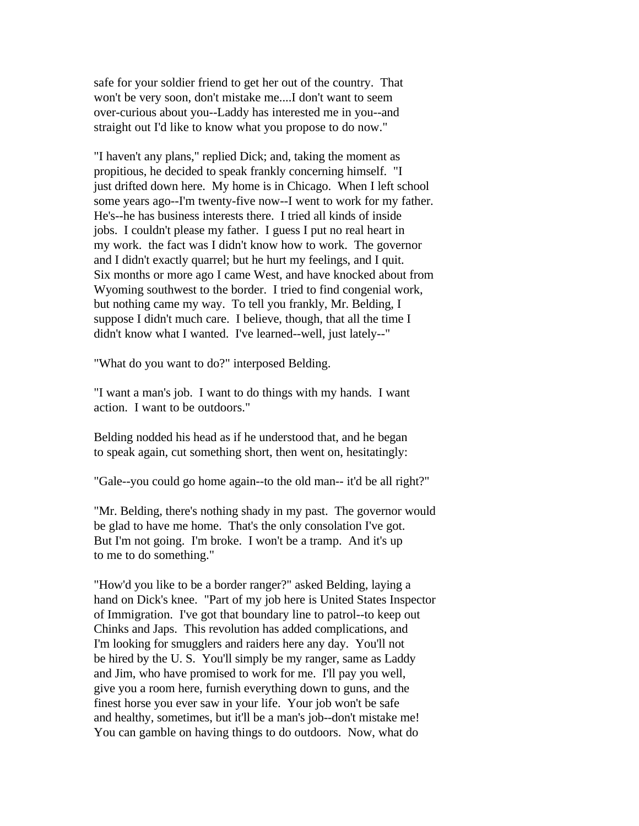safe for your soldier friend to get her out of the country. That won't be very soon, don't mistake me....I don't want to seem over-curious about you--Laddy has interested me in you--and straight out I'd like to know what you propose to do now."

"I haven't any plans," replied Dick; and, taking the moment as propitious, he decided to speak frankly concerning himself. "I just drifted down here. My home is in Chicago. When I left school some years ago--I'm twenty-five now--I went to work for my father. He's--he has business interests there. I tried all kinds of inside jobs. I couldn't please my father. I guess I put no real heart in my work. the fact was I didn't know how to work. The governor and I didn't exactly quarrel; but he hurt my feelings, and I quit. Six months or more ago I came West, and have knocked about from Wyoming southwest to the border. I tried to find congenial work, but nothing came my way. To tell you frankly, Mr. Belding, I suppose I didn't much care. I believe, though, that all the time I didn't know what I wanted. I've learned--well, just lately--"

"What do you want to do?" interposed Belding.

"I want a man's job. I want to do things with my hands. I want action. I want to be outdoors."

Belding nodded his head as if he understood that, and he began to speak again, cut something short, then went on, hesitatingly:

"Gale--you could go home again--to the old man-- it'd be all right?"

"Mr. Belding, there's nothing shady in my past. The governor would be glad to have me home. That's the only consolation I've got. But I'm not going. I'm broke. I won't be a tramp. And it's up to me to do something."

"How'd you like to be a border ranger?" asked Belding, laying a hand on Dick's knee. "Part of my job here is United States Inspector of Immigration. I've got that boundary line to patrol--to keep out Chinks and Japs. This revolution has added complications, and I'm looking for smugglers and raiders here any day. You'll not be hired by the U. S. You'll simply be my ranger, same as Laddy and Jim, who have promised to work for me. I'll pay you well, give you a room here, furnish everything down to guns, and the finest horse you ever saw in your life. Your job won't be safe and healthy, sometimes, but it'll be a man's job--don't mistake me! You can gamble on having things to do outdoors. Now, what do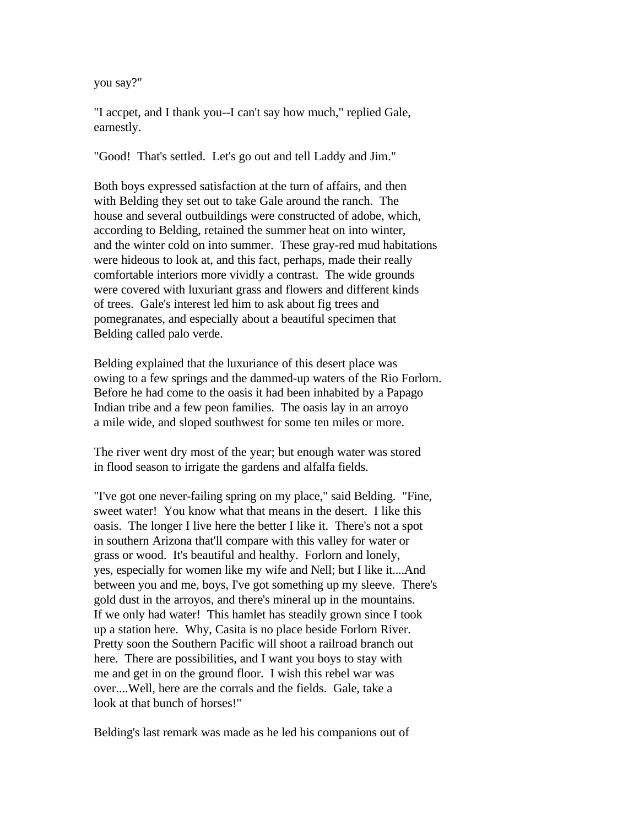you say?"

"I accpet, and I thank you--I can't say how much," replied Gale, earnestly.

"Good! That's settled. Let's go out and tell Laddy and Jim."

Both boys expressed satisfaction at the turn of affairs, and then with Belding they set out to take Gale around the ranch. The house and several outbuildings were constructed of adobe, which, according to Belding, retained the summer heat on into winter, and the winter cold on into summer. These gray-red mud habitations were hideous to look at, and this fact, perhaps, made their really comfortable interiors more vividly a contrast. The wide grounds were covered with luxuriant grass and flowers and different kinds of trees. Gale's interest led him to ask about fig trees and pomegranates, and especially about a beautiful specimen that Belding called palo verde.

Belding explained that the luxuriance of this desert place was owing to a few springs and the dammed-up waters of the Rio Forlorn. Before he had come to the oasis it had been inhabited by a Papago Indian tribe and a few peon families. The oasis lay in an arroyo a mile wide, and sloped southwest for some ten miles or more.

The river went dry most of the year; but enough water was stored in flood season to irrigate the gardens and alfalfa fields.

"I've got one never-failing spring on my place," said Belding. "Fine, sweet water! You know what that means in the desert. I like this oasis. The longer I live here the better I like it. There's not a spot in southern Arizona that'll compare with this valley for water or grass or wood. It's beautiful and healthy. Forlorn and lonely, yes, especially for women like my wife and Nell; but I like it....And between you and me, boys, I've got something up my sleeve. There's gold dust in the arroyos, and there's mineral up in the mountains. If we only had water! This hamlet has steadily grown since I took up a station here. Why, Casita is no place beside Forlorn River. Pretty soon the Southern Pacific will shoot a railroad branch out here. There are possibilities, and I want you boys to stay with me and get in on the ground floor. I wish this rebel war was over....Well, here are the corrals and the fields. Gale, take a look at that bunch of horses!"

Belding's last remark was made as he led his companions out of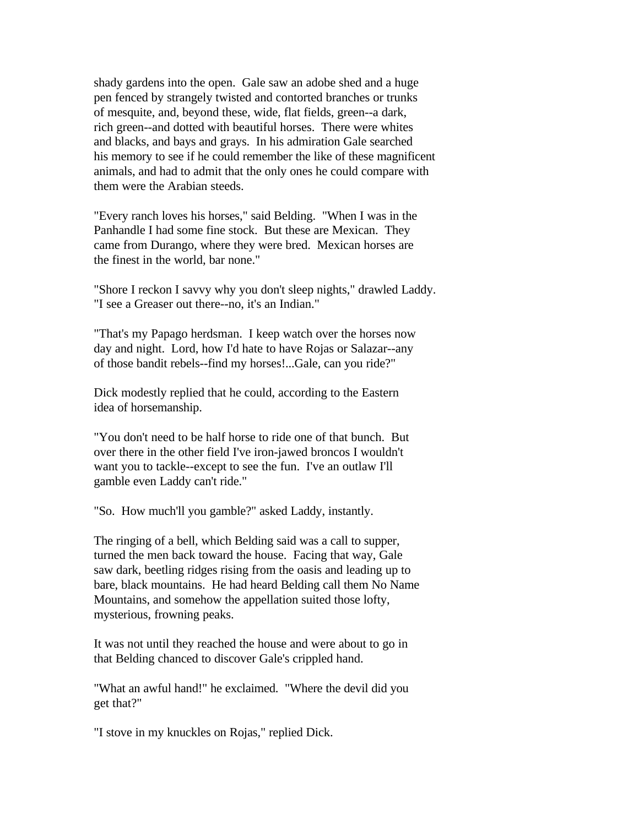shady gardens into the open. Gale saw an adobe shed and a huge pen fenced by strangely twisted and contorted branches or trunks of mesquite, and, beyond these, wide, flat fields, green--a dark, rich green--and dotted with beautiful horses. There were whites and blacks, and bays and grays. In his admiration Gale searched his memory to see if he could remember the like of these magnificent animals, and had to admit that the only ones he could compare with them were the Arabian steeds.

"Every ranch loves his horses," said Belding. "When I was in the Panhandle I had some fine stock. But these are Mexican. They came from Durango, where they were bred. Mexican horses are the finest in the world, bar none."

"Shore I reckon I savvy why you don't sleep nights," drawled Laddy. "I see a Greaser out there--no, it's an Indian."

"That's my Papago herdsman. I keep watch over the horses now day and night. Lord, how I'd hate to have Rojas or Salazar--any of those bandit rebels--find my horses!...Gale, can you ride?"

Dick modestly replied that he could, according to the Eastern idea of horsemanship.

"You don't need to be half horse to ride one of that bunch. But over there in the other field I've iron-jawed broncos I wouldn't want you to tackle--except to see the fun. I've an outlaw I'll gamble even Laddy can't ride."

"So. How much'll you gamble?" asked Laddy, instantly.

The ringing of a bell, which Belding said was a call to supper, turned the men back toward the house. Facing that way, Gale saw dark, beetling ridges rising from the oasis and leading up to bare, black mountains. He had heard Belding call them No Name Mountains, and somehow the appellation suited those lofty, mysterious, frowning peaks.

It was not until they reached the house and were about to go in that Belding chanced to discover Gale's crippled hand.

"What an awful hand!" he exclaimed. "Where the devil did you get that?"

"I stove in my knuckles on Rojas," replied Dick.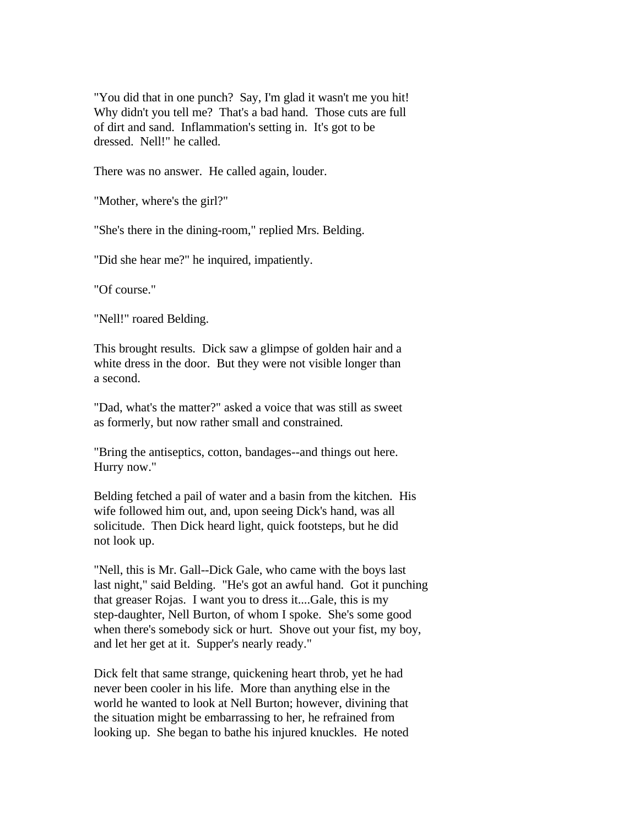"You did that in one punch? Say, I'm glad it wasn't me you hit! Why didn't you tell me? That's a bad hand. Those cuts are full of dirt and sand. Inflammation's setting in. It's got to be dressed. Nell!" he called.

There was no answer. He called again, louder.

"Mother, where's the girl?"

"She's there in the dining-room," replied Mrs. Belding.

"Did she hear me?" he inquired, impatiently.

"Of course."

"Nell!" roared Belding.

This brought results. Dick saw a glimpse of golden hair and a white dress in the door. But they were not visible longer than a second.

"Dad, what's the matter?" asked a voice that was still as sweet as formerly, but now rather small and constrained.

"Bring the antiseptics, cotton, bandages--and things out here. Hurry now."

Belding fetched a pail of water and a basin from the kitchen. His wife followed him out, and, upon seeing Dick's hand, was all solicitude. Then Dick heard light, quick footsteps, but he did not look up.

"Nell, this is Mr. Gall--Dick Gale, who came with the boys last last night," said Belding. "He's got an awful hand. Got it punching that greaser Rojas. I want you to dress it....Gale, this is my step-daughter, Nell Burton, of whom I spoke. She's some good when there's somebody sick or hurt. Shove out your fist, my boy, and let her get at it. Supper's nearly ready."

Dick felt that same strange, quickening heart throb, yet he had never been cooler in his life. More than anything else in the world he wanted to look at Nell Burton; however, divining that the situation might be embarrassing to her, he refrained from looking up. She began to bathe his injured knuckles. He noted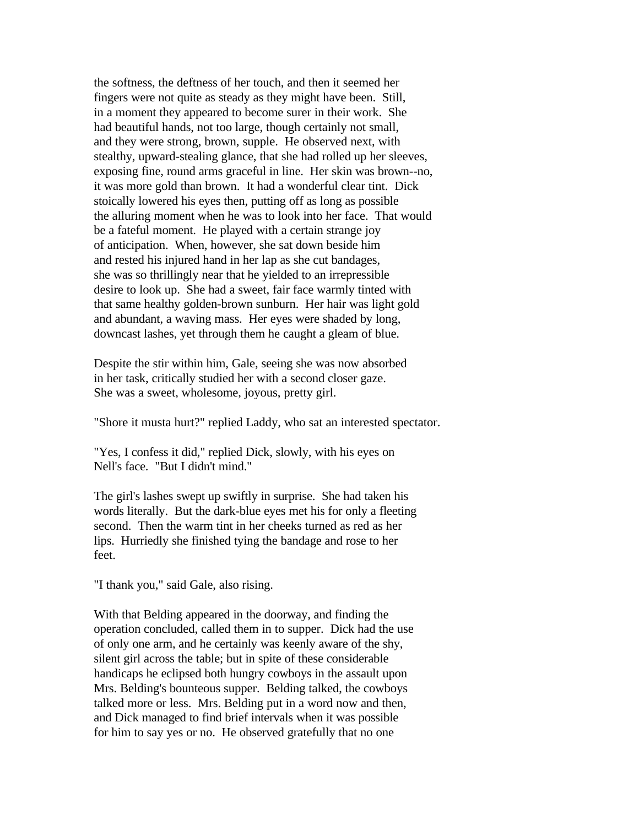the softness, the deftness of her touch, and then it seemed her fingers were not quite as steady as they might have been. Still, in a moment they appeared to become surer in their work. She had beautiful hands, not too large, though certainly not small, and they were strong, brown, supple. He observed next, with stealthy, upward-stealing glance, that she had rolled up her sleeves, exposing fine, round arms graceful in line. Her skin was brown--no, it was more gold than brown. It had a wonderful clear tint. Dick stoically lowered his eyes then, putting off as long as possible the alluring moment when he was to look into her face. That would be a fateful moment. He played with a certain strange joy of anticipation. When, however, she sat down beside him and rested his injured hand in her lap as she cut bandages, she was so thrillingly near that he yielded to an irrepressible desire to look up. She had a sweet, fair face warmly tinted with that same healthy golden-brown sunburn. Her hair was light gold and abundant, a waving mass. Her eyes were shaded by long, downcast lashes, yet through them he caught a gleam of blue.

Despite the stir within him, Gale, seeing she was now absorbed in her task, critically studied her with a second closer gaze. She was a sweet, wholesome, joyous, pretty girl.

"Shore it musta hurt?" replied Laddy, who sat an interested spectator.

"Yes, I confess it did," replied Dick, slowly, with his eyes on Nell's face. "But I didn't mind."

The girl's lashes swept up swiftly in surprise. She had taken his words literally. But the dark-blue eyes met his for only a fleeting second. Then the warm tint in her cheeks turned as red as her lips. Hurriedly she finished tying the bandage and rose to her feet.

"I thank you," said Gale, also rising.

With that Belding appeared in the doorway, and finding the operation concluded, called them in to supper. Dick had the use of only one arm, and he certainly was keenly aware of the shy, silent girl across the table; but in spite of these considerable handicaps he eclipsed both hungry cowboys in the assault upon Mrs. Belding's bounteous supper. Belding talked, the cowboys talked more or less. Mrs. Belding put in a word now and then, and Dick managed to find brief intervals when it was possible for him to say yes or no. He observed gratefully that no one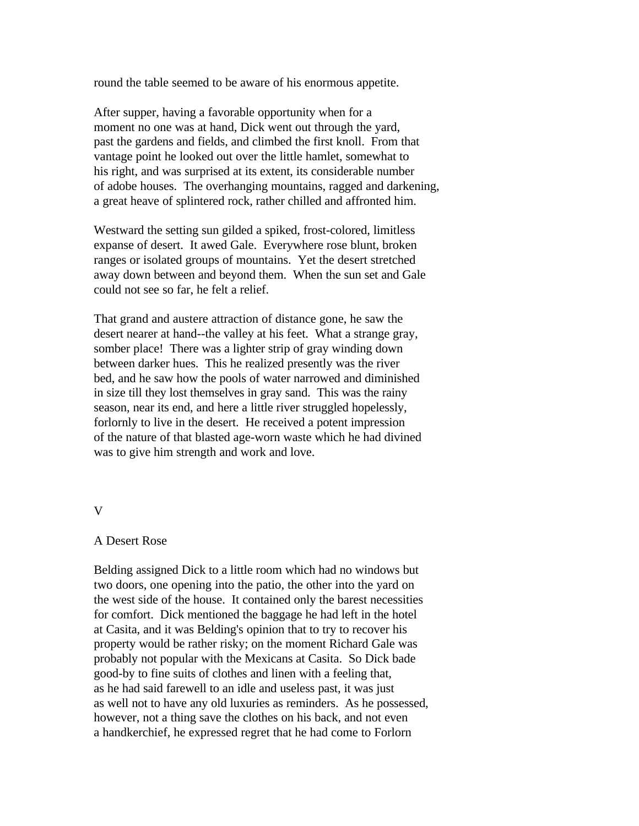round the table seemed to be aware of his enormous appetite.

After supper, having a favorable opportunity when for a moment no one was at hand, Dick went out through the yard, past the gardens and fields, and climbed the first knoll. From that vantage point he looked out over the little hamlet, somewhat to his right, and was surprised at its extent, its considerable number of adobe houses. The overhanging mountains, ragged and darkening, a great heave of splintered rock, rather chilled and affronted him.

Westward the setting sun gilded a spiked, frost-colored, limitless expanse of desert. It awed Gale. Everywhere rose blunt, broken ranges or isolated groups of mountains. Yet the desert stretched away down between and beyond them. When the sun set and Gale could not see so far, he felt a relief.

That grand and austere attraction of distance gone, he saw the desert nearer at hand--the valley at his feet. What a strange gray, somber place! There was a lighter strip of gray winding down between darker hues. This he realized presently was the river bed, and he saw how the pools of water narrowed and diminished in size till they lost themselves in gray sand. This was the rainy season, near its end, and here a little river struggled hopelessly, forlornly to live in the desert. He received a potent impression of the nature of that blasted age-worn waste which he had divined was to give him strength and work and love.

## V

## A Desert Rose

Belding assigned Dick to a little room which had no windows but two doors, one opening into the patio, the other into the yard on the west side of the house. It contained only the barest necessities for comfort. Dick mentioned the baggage he had left in the hotel at Casita, and it was Belding's opinion that to try to recover his property would be rather risky; on the moment Richard Gale was probably not popular with the Mexicans at Casita. So Dick bade good-by to fine suits of clothes and linen with a feeling that, as he had said farewell to an idle and useless past, it was just as well not to have any old luxuries as reminders. As he possessed, however, not a thing save the clothes on his back, and not even a handkerchief, he expressed regret that he had come to Forlorn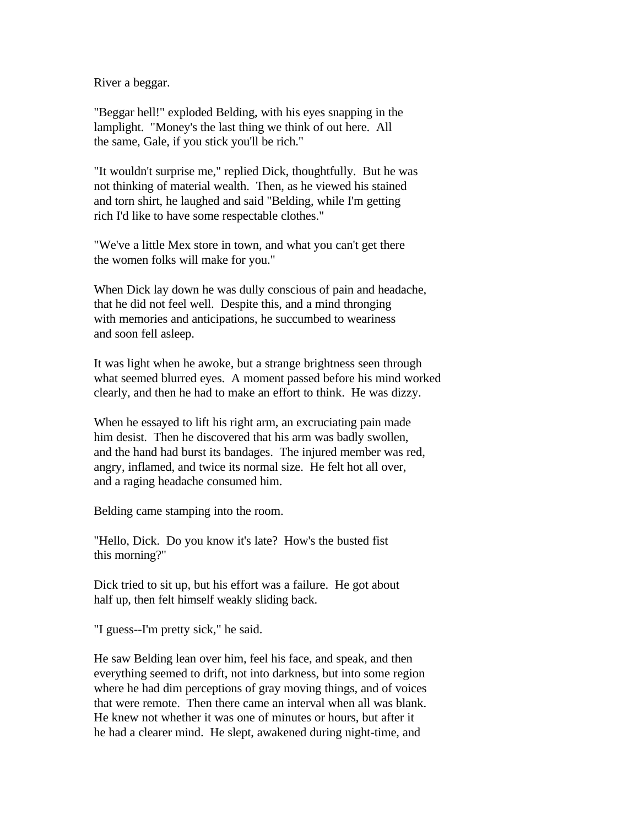River a beggar.

"Beggar hell!" exploded Belding, with his eyes snapping in the lamplight. "Money's the last thing we think of out here. All the same, Gale, if you stick you'll be rich."

"It wouldn't surprise me," replied Dick, thoughtfully. But he was not thinking of material wealth. Then, as he viewed his stained and torn shirt, he laughed and said "Belding, while I'm getting rich I'd like to have some respectable clothes."

"We've a little Mex store in town, and what you can't get there the women folks will make for you."

When Dick lay down he was dully conscious of pain and headache, that he did not feel well. Despite this, and a mind thronging with memories and anticipations, he succumbed to weariness and soon fell asleep.

It was light when he awoke, but a strange brightness seen through what seemed blurred eyes. A moment passed before his mind worked clearly, and then he had to make an effort to think. He was dizzy.

When he essayed to lift his right arm, an excruciating pain made him desist. Then he discovered that his arm was badly swollen, and the hand had burst its bandages. The injured member was red, angry, inflamed, and twice its normal size. He felt hot all over, and a raging headache consumed him.

Belding came stamping into the room.

"Hello, Dick. Do you know it's late? How's the busted fist this morning?"

Dick tried to sit up, but his effort was a failure. He got about half up, then felt himself weakly sliding back.

"I guess--I'm pretty sick," he said.

He saw Belding lean over him, feel his face, and speak, and then everything seemed to drift, not into darkness, but into some region where he had dim perceptions of gray moving things, and of voices that were remote. Then there came an interval when all was blank. He knew not whether it was one of minutes or hours, but after it he had a clearer mind. He slept, awakened during night-time, and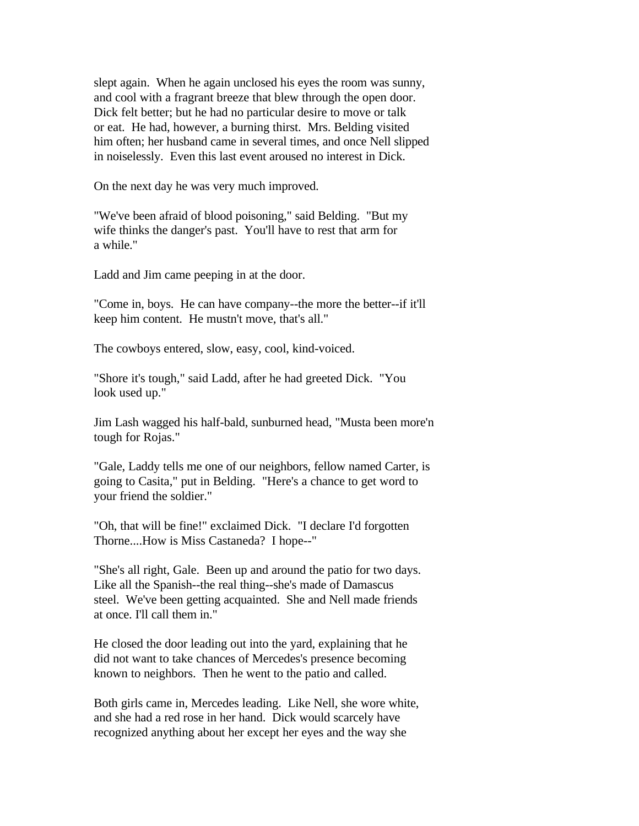slept again. When he again unclosed his eyes the room was sunny, and cool with a fragrant breeze that blew through the open door. Dick felt better; but he had no particular desire to move or talk or eat. He had, however, a burning thirst. Mrs. Belding visited him often; her husband came in several times, and once Nell slipped in noiselessly. Even this last event aroused no interest in Dick.

On the next day he was very much improved.

"We've been afraid of blood poisoning," said Belding. "But my wife thinks the danger's past. You'll have to rest that arm for a while."

Ladd and Jim came peeping in at the door.

"Come in, boys. He can have company--the more the better--if it'll keep him content. He mustn't move, that's all."

The cowboys entered, slow, easy, cool, kind-voiced.

"Shore it's tough," said Ladd, after he had greeted Dick. "You look used up."

Jim Lash wagged his half-bald, sunburned head, "Musta been more'n tough for Rojas."

"Gale, Laddy tells me one of our neighbors, fellow named Carter, is going to Casita," put in Belding. "Here's a chance to get word to your friend the soldier."

"Oh, that will be fine!" exclaimed Dick. "I declare I'd forgotten Thorne....How is Miss Castaneda? I hope--"

"She's all right, Gale. Been up and around the patio for two days. Like all the Spanish--the real thing--she's made of Damascus steel. We've been getting acquainted. She and Nell made friends at once. I'll call them in."

He closed the door leading out into the yard, explaining that he did not want to take chances of Mercedes's presence becoming known to neighbors. Then he went to the patio and called.

Both girls came in, Mercedes leading. Like Nell, she wore white, and she had a red rose in her hand. Dick would scarcely have recognized anything about her except her eyes and the way she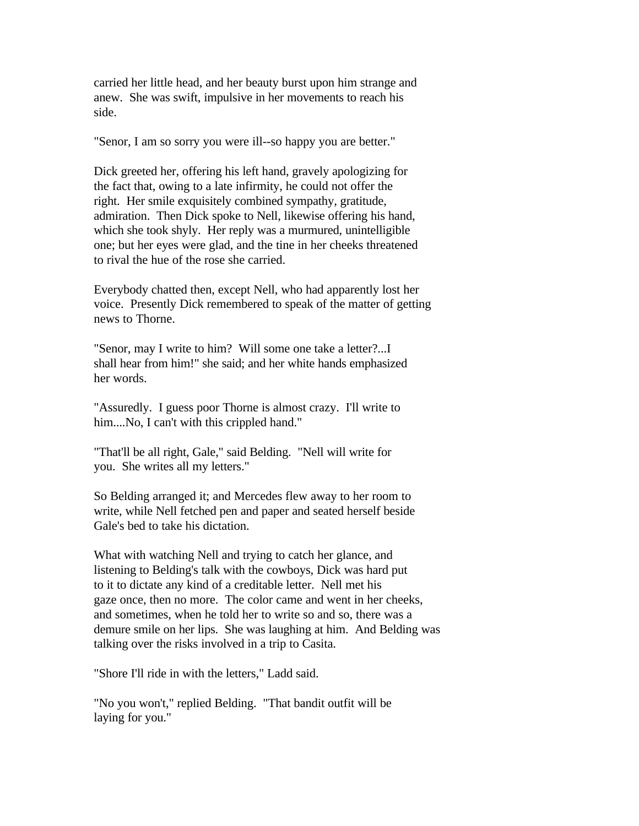carried her little head, and her beauty burst upon him strange and anew. She was swift, impulsive in her movements to reach his side.

"Senor, I am so sorry you were ill--so happy you are better."

Dick greeted her, offering his left hand, gravely apologizing for the fact that, owing to a late infirmity, he could not offer the right. Her smile exquisitely combined sympathy, gratitude, admiration. Then Dick spoke to Nell, likewise offering his hand, which she took shyly. Her reply was a murmured, unintelligible one; but her eyes were glad, and the tine in her cheeks threatened to rival the hue of the rose she carried.

Everybody chatted then, except Nell, who had apparently lost her voice. Presently Dick remembered to speak of the matter of getting news to Thorne.

"Senor, may I write to him? Will some one take a letter?...I shall hear from him!" she said; and her white hands emphasized her words.

"Assuredly. I guess poor Thorne is almost crazy. I'll write to him....No, I can't with this crippled hand."

"That'll be all right, Gale," said Belding. "Nell will write for you. She writes all my letters."

So Belding arranged it; and Mercedes flew away to her room to write, while Nell fetched pen and paper and seated herself beside Gale's bed to take his dictation.

What with watching Nell and trying to catch her glance, and listening to Belding's talk with the cowboys, Dick was hard put to it to dictate any kind of a creditable letter. Nell met his gaze once, then no more. The color came and went in her cheeks, and sometimes, when he told her to write so and so, there was a demure smile on her lips. She was laughing at him. And Belding was talking over the risks involved in a trip to Casita.

"Shore I'll ride in with the letters," Ladd said.

"No you won't," replied Belding. "That bandit outfit will be laying for you."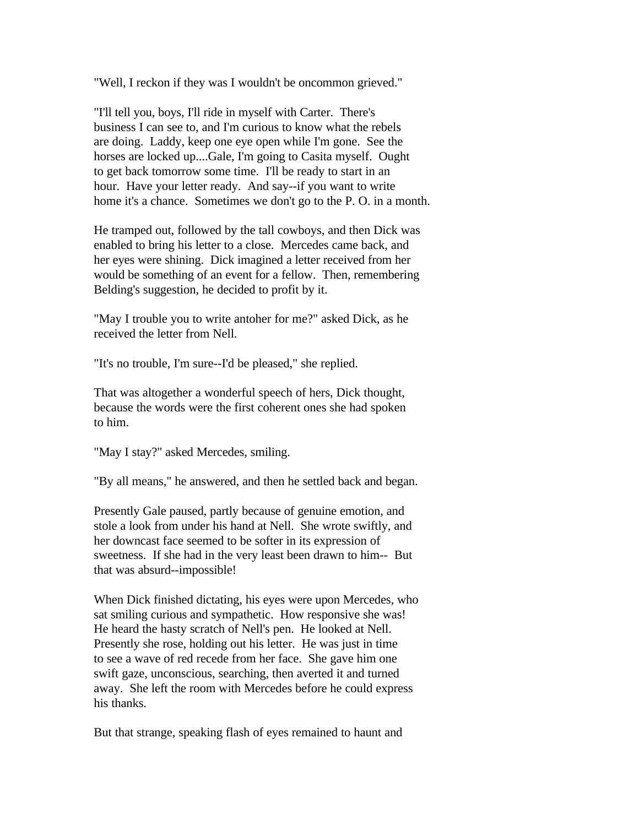"Well, I reckon if they was I wouldn't be oncommon grieved."

"I'll tell you, boys, I'll ride in myself with Carter. There's business I can see to, and I'm curious to know what the rebels are doing. Laddy, keep one eye open while I'm gone. See the horses are locked up....Gale, I'm going to Casita myself. Ought to get back tomorrow some time. I'll be ready to start in an hour. Have your letter ready. And say--if you want to write home it's a chance. Sometimes we don't go to the P. O. in a month.

He tramped out, followed by the tall cowboys, and then Dick was enabled to bring his letter to a close. Mercedes came back, and her eyes were shining. Dick imagined a letter received from her would be something of an event for a fellow. Then, remembering Belding's suggestion, he decided to profit by it.

"May I trouble you to write antoher for me?" asked Dick, as he received the letter from Nell.

"It's no trouble, I'm sure--I'd be pleased," she replied.

That was altogether a wonderful speech of hers, Dick thought, because the words were the first coherent ones she had spoken to him.

"May I stay?" asked Mercedes, smiling.

"By all means," he answered, and then he settled back and began.

Presently Gale paused, partly because of genuine emotion, and stole a look from under his hand at Nell. She wrote swiftly, and her downcast face seemed to be softer in its expression of sweetness. If she had in the very least been drawn to him-- But that was absurd--impossible!

When Dick finished dictating, his eyes were upon Mercedes, who sat smiling curious and sympathetic. How responsive she was! He heard the hasty scratch of Nell's pen. He looked at Nell. Presently she rose, holding out his letter. He was just in time to see a wave of red recede from her face. She gave him one swift gaze, unconscious, searching, then averted it and turned away. She left the room with Mercedes before he could express his thanks.

But that strange, speaking flash of eyes remained to haunt and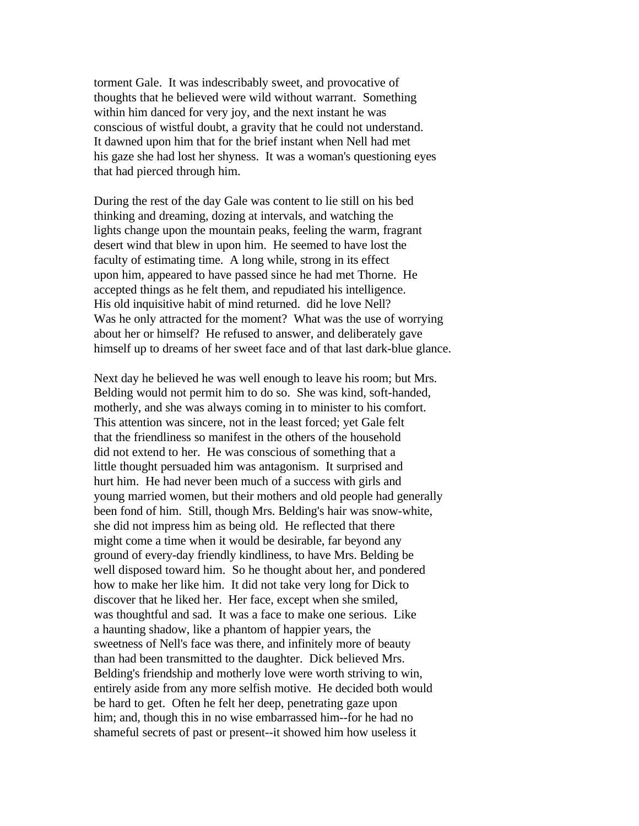torment Gale. It was indescribably sweet, and provocative of thoughts that he believed were wild without warrant. Something within him danced for very joy, and the next instant he was conscious of wistful doubt, a gravity that he could not understand. It dawned upon him that for the brief instant when Nell had met his gaze she had lost her shyness. It was a woman's questioning eyes that had pierced through him.

During the rest of the day Gale was content to lie still on his bed thinking and dreaming, dozing at intervals, and watching the lights change upon the mountain peaks, feeling the warm, fragrant desert wind that blew in upon him. He seemed to have lost the faculty of estimating time. A long while, strong in its effect upon him, appeared to have passed since he had met Thorne. He accepted things as he felt them, and repudiated his intelligence. His old inquisitive habit of mind returned. did he love Nell? Was he only attracted for the moment? What was the use of worrying about her or himself? He refused to answer, and deliberately gave himself up to dreams of her sweet face and of that last dark-blue glance.

Next day he believed he was well enough to leave his room; but Mrs. Belding would not permit him to do so. She was kind, soft-handed, motherly, and she was always coming in to minister to his comfort. This attention was sincere, not in the least forced; yet Gale felt that the friendliness so manifest in the others of the household did not extend to her. He was conscious of something that a little thought persuaded him was antagonism. It surprised and hurt him. He had never been much of a success with girls and young married women, but their mothers and old people had generally been fond of him. Still, though Mrs. Belding's hair was snow-white, she did not impress him as being old. He reflected that there might come a time when it would be desirable, far beyond any ground of every-day friendly kindliness, to have Mrs. Belding be well disposed toward him. So he thought about her, and pondered how to make her like him. It did not take very long for Dick to discover that he liked her. Her face, except when she smiled, was thoughtful and sad. It was a face to make one serious. Like a haunting shadow, like a phantom of happier years, the sweetness of Nell's face was there, and infinitely more of beauty than had been transmitted to the daughter. Dick believed Mrs. Belding's friendship and motherly love were worth striving to win, entirely aside from any more selfish motive. He decided both would be hard to get. Often he felt her deep, penetrating gaze upon him; and, though this in no wise embarrassed him--for he had no shameful secrets of past or present--it showed him how useless it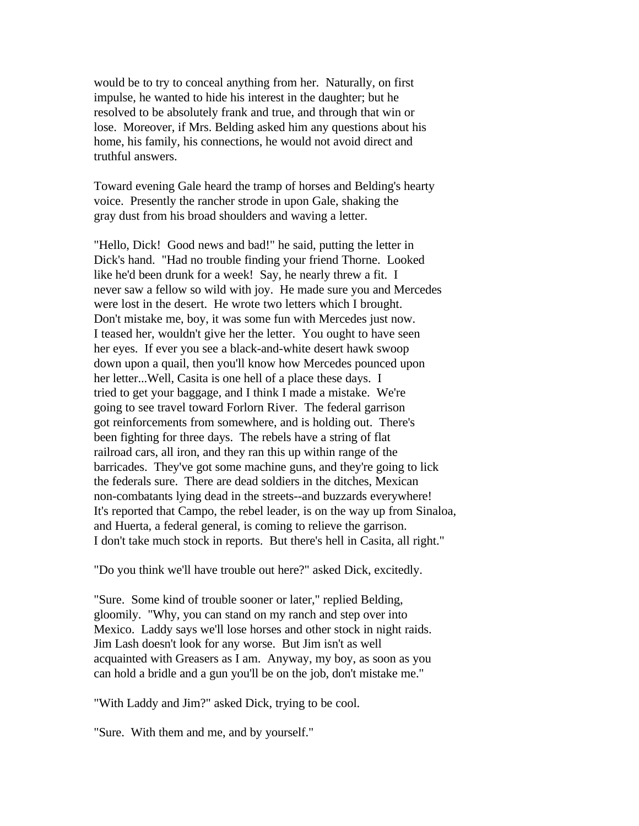would be to try to conceal anything from her. Naturally, on first impulse, he wanted to hide his interest in the daughter; but he resolved to be absolutely frank and true, and through that win or lose. Moreover, if Mrs. Belding asked him any questions about his home, his family, his connections, he would not avoid direct and truthful answers.

Toward evening Gale heard the tramp of horses and Belding's hearty voice. Presently the rancher strode in upon Gale, shaking the gray dust from his broad shoulders and waving a letter.

"Hello, Dick! Good news and bad!" he said, putting the letter in Dick's hand. "Had no trouble finding your friend Thorne. Looked like he'd been drunk for a week! Say, he nearly threw a fit. I never saw a fellow so wild with joy. He made sure you and Mercedes were lost in the desert. He wrote two letters which I brought. Don't mistake me, boy, it was some fun with Mercedes just now. I teased her, wouldn't give her the letter. You ought to have seen her eyes. If ever you see a black-and-white desert hawk swoop down upon a quail, then you'll know how Mercedes pounced upon her letter...Well, Casita is one hell of a place these days. I tried to get your baggage, and I think I made a mistake. We're going to see travel toward Forlorn River. The federal garrison got reinforcements from somewhere, and is holding out. There's been fighting for three days. The rebels have a string of flat railroad cars, all iron, and they ran this up within range of the barricades. They've got some machine guns, and they're going to lick the federals sure. There are dead soldiers in the ditches, Mexican non-combatants lying dead in the streets--and buzzards everywhere! It's reported that Campo, the rebel leader, is on the way up from Sinaloa, and Huerta, a federal general, is coming to relieve the garrison. I don't take much stock in reports. But there's hell in Casita, all right."

"Do you think we'll have trouble out here?" asked Dick, excitedly.

"Sure. Some kind of trouble sooner or later," replied Belding, gloomily. "Why, you can stand on my ranch and step over into Mexico. Laddy says we'll lose horses and other stock in night raids. Jim Lash doesn't look for any worse. But Jim isn't as well acquainted with Greasers as I am. Anyway, my boy, as soon as you can hold a bridle and a gun you'll be on the job, don't mistake me."

"With Laddy and Jim?" asked Dick, trying to be cool.

"Sure. With them and me, and by yourself."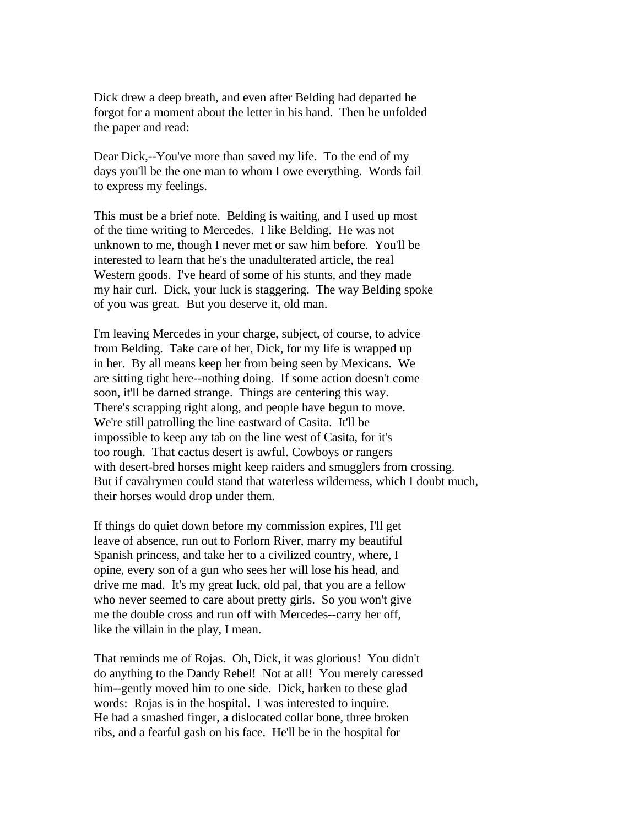Dick drew a deep breath, and even after Belding had departed he forgot for a moment about the letter in his hand. Then he unfolded the paper and read:

Dear Dick,--You've more than saved my life. To the end of my days you'll be the one man to whom I owe everything. Words fail to express my feelings.

This must be a brief note. Belding is waiting, and I used up most of the time writing to Mercedes. I like Belding. He was not unknown to me, though I never met or saw him before. You'll be interested to learn that he's the unadulterated article, the real Western goods. I've heard of some of his stunts, and they made my hair curl. Dick, your luck is staggering. The way Belding spoke of you was great. But you deserve it, old man.

I'm leaving Mercedes in your charge, subject, of course, to advice from Belding. Take care of her, Dick, for my life is wrapped up in her. By all means keep her from being seen by Mexicans. We are sitting tight here--nothing doing. If some action doesn't come soon, it'll be darned strange. Things are centering this way. There's scrapping right along, and people have begun to move. We're still patrolling the line eastward of Casita. It'll be impossible to keep any tab on the line west of Casita, for it's too rough. That cactus desert is awful. Cowboys or rangers with desert-bred horses might keep raiders and smugglers from crossing. But if cavalrymen could stand that waterless wilderness, which I doubt much, their horses would drop under them.

If things do quiet down before my commission expires, I'll get leave of absence, run out to Forlorn River, marry my beautiful Spanish princess, and take her to a civilized country, where, I opine, every son of a gun who sees her will lose his head, and drive me mad. It's my great luck, old pal, that you are a fellow who never seemed to care about pretty girls. So you won't give me the double cross and run off with Mercedes--carry her off, like the villain in the play, I mean.

That reminds me of Rojas. Oh, Dick, it was glorious! You didn't do anything to the Dandy Rebel! Not at all! You merely caressed him--gently moved him to one side. Dick, harken to these glad words: Rojas is in the hospital. I was interested to inquire. He had a smashed finger, a dislocated collar bone, three broken ribs, and a fearful gash on his face. He'll be in the hospital for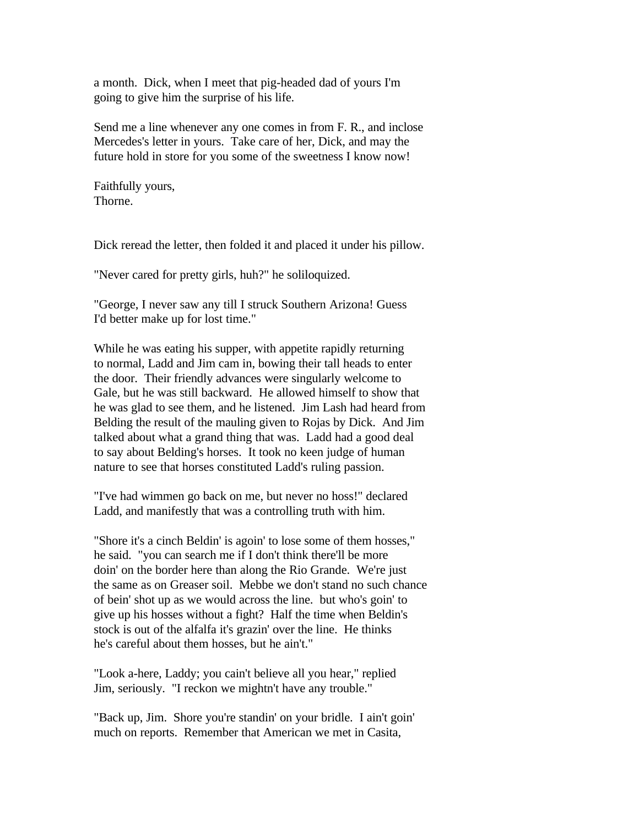a month. Dick, when I meet that pig-headed dad of yours I'm going to give him the surprise of his life.

Send me a line whenever any one comes in from F. R., and inclose Mercedes's letter in yours. Take care of her, Dick, and may the future hold in store for you some of the sweetness I know now!

Faithfully yours, Thorne.

Dick reread the letter, then folded it and placed it under his pillow.

"Never cared for pretty girls, huh?" he soliloquized.

"George, I never saw any till I struck Southern Arizona! Guess I'd better make up for lost time."

While he was eating his supper, with appetite rapidly returning to normal, Ladd and Jim cam in, bowing their tall heads to enter the door. Their friendly advances were singularly welcome to Gale, but he was still backward. He allowed himself to show that he was glad to see them, and he listened. Jim Lash had heard from Belding the result of the mauling given to Rojas by Dick. And Jim talked about what a grand thing that was. Ladd had a good deal to say about Belding's horses. It took no keen judge of human nature to see that horses constituted Ladd's ruling passion.

"I've had wimmen go back on me, but never no hoss!" declared Ladd, and manifestly that was a controlling truth with him.

"Shore it's a cinch Beldin' is agoin' to lose some of them hosses," he said. "you can search me if I don't think there'll be more doin' on the border here than along the Rio Grande. We're just the same as on Greaser soil. Mebbe we don't stand no such chance of bein' shot up as we would across the line. but who's goin' to give up his hosses without a fight? Half the time when Beldin's stock is out of the alfalfa it's grazin' over the line. He thinks he's careful about them hosses, but he ain't."

"Look a-here, Laddy; you cain't believe all you hear," replied Jim, seriously. "I reckon we mightn't have any trouble."

"Back up, Jim. Shore you're standin' on your bridle. I ain't goin' much on reports. Remember that American we met in Casita,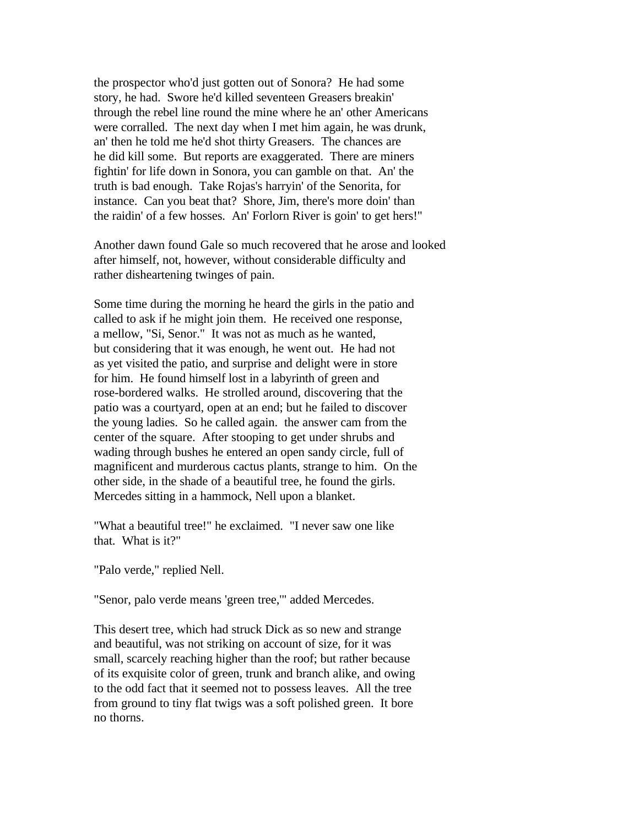the prospector who'd just gotten out of Sonora? He had some story, he had. Swore he'd killed seventeen Greasers breakin' through the rebel line round the mine where he an' other Americans were corralled. The next day when I met him again, he was drunk, an' then he told me he'd shot thirty Greasers. The chances are he did kill some. But reports are exaggerated. There are miners fightin' for life down in Sonora, you can gamble on that. An' the truth is bad enough. Take Rojas's harryin' of the Senorita, for instance. Can you beat that? Shore, Jim, there's more doin' than the raidin' of a few hosses. An' Forlorn River is goin' to get hers!"

Another dawn found Gale so much recovered that he arose and looked after himself, not, however, without considerable difficulty and rather disheartening twinges of pain.

Some time during the morning he heard the girls in the patio and called to ask if he might join them. He received one response, a mellow, "Si, Senor." It was not as much as he wanted, but considering that it was enough, he went out. He had not as yet visited the patio, and surprise and delight were in store for him. He found himself lost in a labyrinth of green and rose-bordered walks. He strolled around, discovering that the patio was a courtyard, open at an end; but he failed to discover the young ladies. So he called again. the answer cam from the center of the square. After stooping to get under shrubs and wading through bushes he entered an open sandy circle, full of magnificent and murderous cactus plants, strange to him. On the other side, in the shade of a beautiful tree, he found the girls. Mercedes sitting in a hammock, Nell upon a blanket.

"What a beautiful tree!" he exclaimed. "I never saw one like that. What is it?"

"Palo verde," replied Nell.

"Senor, palo verde means 'green tree,'" added Mercedes.

This desert tree, which had struck Dick as so new and strange and beautiful, was not striking on account of size, for it was small, scarcely reaching higher than the roof; but rather because of its exquisite color of green, trunk and branch alike, and owing to the odd fact that it seemed not to possess leaves. All the tree from ground to tiny flat twigs was a soft polished green. It bore no thorns.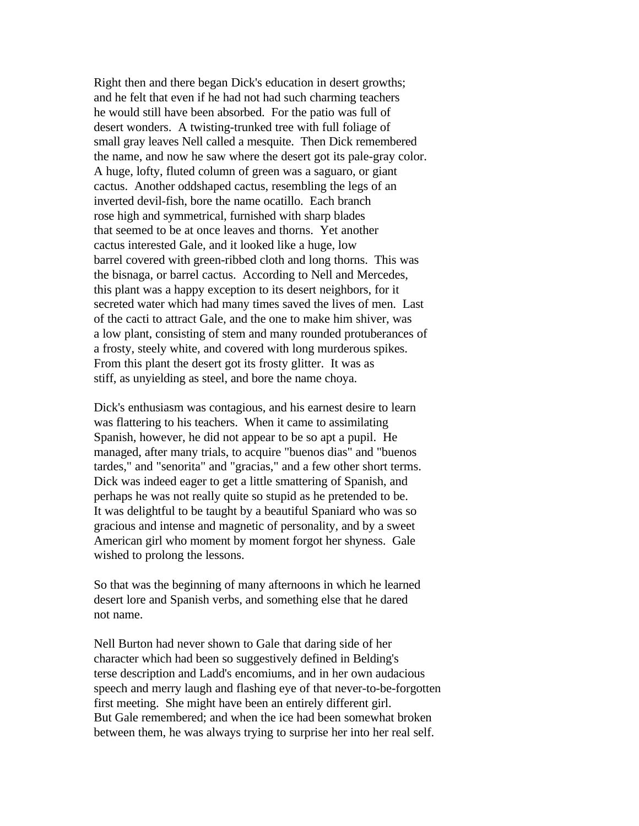Right then and there began Dick's education in desert growths; and he felt that even if he had not had such charming teachers he would still have been absorbed. For the patio was full of desert wonders. A twisting-trunked tree with full foliage of small gray leaves Nell called a mesquite. Then Dick remembered the name, and now he saw where the desert got its pale-gray color. A huge, lofty, fluted column of green was a saguaro, or giant cactus. Another oddshaped cactus, resembling the legs of an inverted devil-fish, bore the name ocatillo. Each branch rose high and symmetrical, furnished with sharp blades that seemed to be at once leaves and thorns. Yet another cactus interested Gale, and it looked like a huge, low barrel covered with green-ribbed cloth and long thorns. This was the bisnaga, or barrel cactus. According to Nell and Mercedes, this plant was a happy exception to its desert neighbors, for it secreted water which had many times saved the lives of men. Last of the cacti to attract Gale, and the one to make him shiver, was a low plant, consisting of stem and many rounded protuberances of a frosty, steely white, and covered with long murderous spikes. From this plant the desert got its frosty glitter. It was as stiff, as unyielding as steel, and bore the name choya.

Dick's enthusiasm was contagious, and his earnest desire to learn was flattering to his teachers. When it came to assimilating Spanish, however, he did not appear to be so apt a pupil. He managed, after many trials, to acquire "buenos dias" and "buenos tardes," and "senorita" and "gracias," and a few other short terms. Dick was indeed eager to get a little smattering of Spanish, and perhaps he was not really quite so stupid as he pretended to be. It was delightful to be taught by a beautiful Spaniard who was so gracious and intense and magnetic of personality, and by a sweet American girl who moment by moment forgot her shyness. Gale wished to prolong the lessons.

So that was the beginning of many afternoons in which he learned desert lore and Spanish verbs, and something else that he dared not name.

Nell Burton had never shown to Gale that daring side of her character which had been so suggestively defined in Belding's terse description and Ladd's encomiums, and in her own audacious speech and merry laugh and flashing eye of that never-to-be-forgotten first meeting. She might have been an entirely different girl. But Gale remembered; and when the ice had been somewhat broken between them, he was always trying to surprise her into her real self.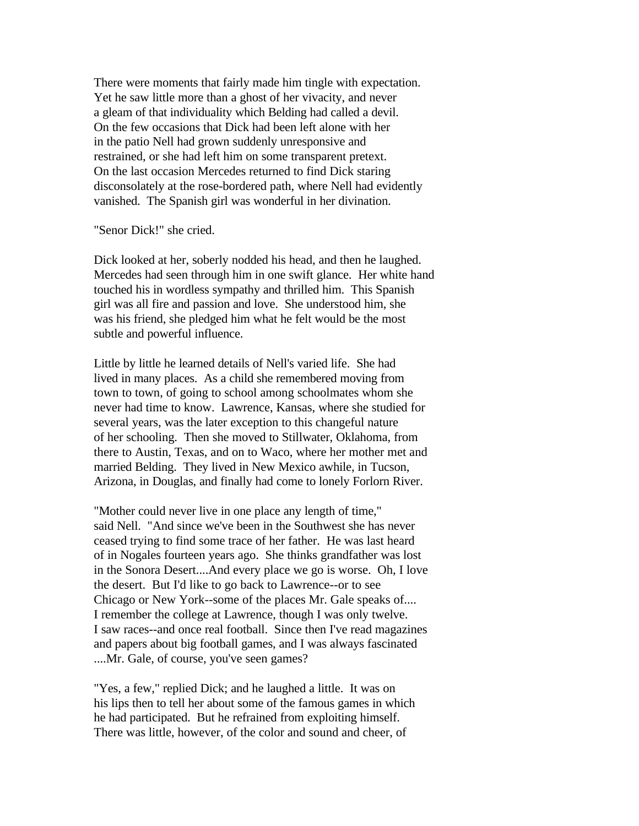There were moments that fairly made him tingle with expectation. Yet he saw little more than a ghost of her vivacity, and never a gleam of that individuality which Belding had called a devil. On the few occasions that Dick had been left alone with her in the patio Nell had grown suddenly unresponsive and restrained, or she had left him on some transparent pretext. On the last occasion Mercedes returned to find Dick staring disconsolately at the rose-bordered path, where Nell had evidently vanished. The Spanish girl was wonderful in her divination.

## "Senor Dick!" she cried.

Dick looked at her, soberly nodded his head, and then he laughed. Mercedes had seen through him in one swift glance. Her white hand touched his in wordless sympathy and thrilled him. This Spanish girl was all fire and passion and love. She understood him, she was his friend, she pledged him what he felt would be the most subtle and powerful influence.

Little by little he learned details of Nell's varied life. She had lived in many places. As a child she remembered moving from town to town, of going to school among schoolmates whom she never had time to know. Lawrence, Kansas, where she studied for several years, was the later exception to this changeful nature of her schooling. Then she moved to Stillwater, Oklahoma, from there to Austin, Texas, and on to Waco, where her mother met and married Belding. They lived in New Mexico awhile, in Tucson, Arizona, in Douglas, and finally had come to lonely Forlorn River.

"Mother could never live in one place any length of time," said Nell. "And since we've been in the Southwest she has never ceased trying to find some trace of her father. He was last heard of in Nogales fourteen years ago. She thinks grandfather was lost in the Sonora Desert....And every place we go is worse. Oh, I love the desert. But I'd like to go back to Lawrence--or to see Chicago or New York--some of the places Mr. Gale speaks of.... I remember the college at Lawrence, though I was only twelve. I saw races--and once real football. Since then I've read magazines and papers about big football games, and I was always fascinated ....Mr. Gale, of course, you've seen games?

"Yes, a few," replied Dick; and he laughed a little. It was on his lips then to tell her about some of the famous games in which he had participated. But he refrained from exploiting himself. There was little, however, of the color and sound and cheer, of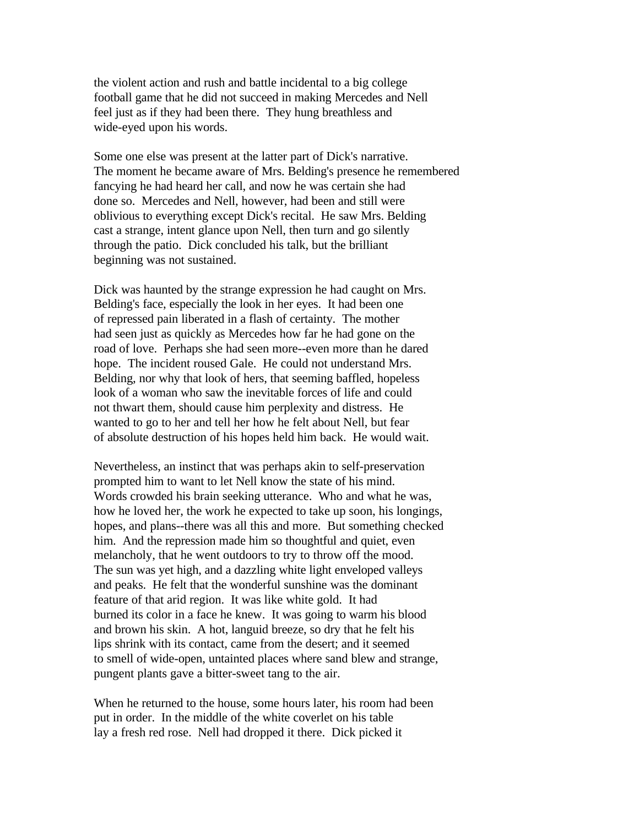the violent action and rush and battle incidental to a big college football game that he did not succeed in making Mercedes and Nell feel just as if they had been there. They hung breathless and wide-eyed upon his words.

Some one else was present at the latter part of Dick's narrative. The moment he became aware of Mrs. Belding's presence he remembered fancying he had heard her call, and now he was certain she had done so. Mercedes and Nell, however, had been and still were oblivious to everything except Dick's recital. He saw Mrs. Belding cast a strange, intent glance upon Nell, then turn and go silently through the patio. Dick concluded his talk, but the brilliant beginning was not sustained.

Dick was haunted by the strange expression he had caught on Mrs. Belding's face, especially the look in her eyes. It had been one of repressed pain liberated in a flash of certainty. The mother had seen just as quickly as Mercedes how far he had gone on the road of love. Perhaps she had seen more--even more than he dared hope. The incident roused Gale. He could not understand Mrs. Belding, nor why that look of hers, that seeming baffled, hopeless look of a woman who saw the inevitable forces of life and could not thwart them, should cause him perplexity and distress. He wanted to go to her and tell her how he felt about Nell, but fear of absolute destruction of his hopes held him back. He would wait.

Nevertheless, an instinct that was perhaps akin to self-preservation prompted him to want to let Nell know the state of his mind. Words crowded his brain seeking utterance. Who and what he was, how he loved her, the work he expected to take up soon, his longings, hopes, and plans--there was all this and more. But something checked him. And the repression made him so thoughtful and quiet, even melancholy, that he went outdoors to try to throw off the mood. The sun was yet high, and a dazzling white light enveloped valleys and peaks. He felt that the wonderful sunshine was the dominant feature of that arid region. It was like white gold. It had burned its color in a face he knew. It was going to warm his blood and brown his skin. A hot, languid breeze, so dry that he felt his lips shrink with its contact, came from the desert; and it seemed to smell of wide-open, untainted places where sand blew and strange, pungent plants gave a bitter-sweet tang to the air.

When he returned to the house, some hours later, his room had been put in order. In the middle of the white coverlet on his table lay a fresh red rose. Nell had dropped it there. Dick picked it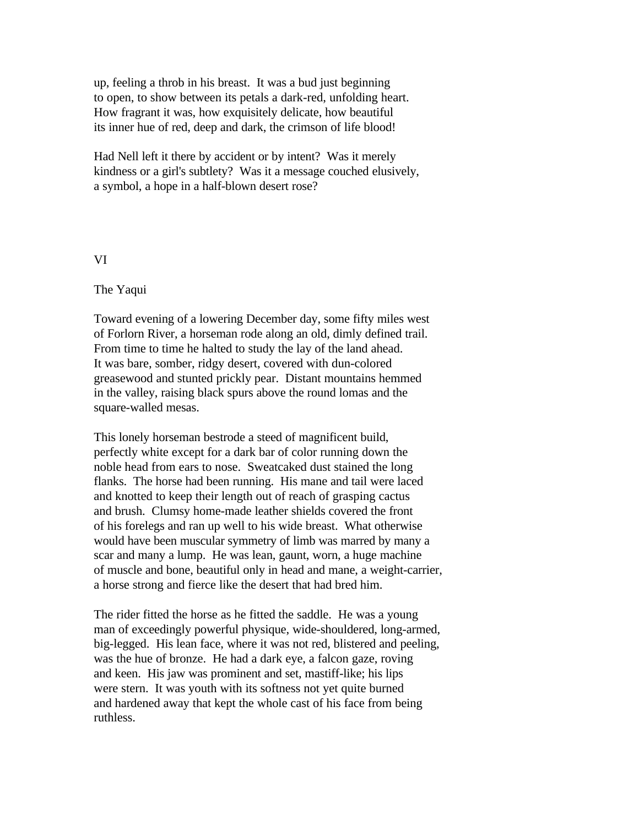up, feeling a throb in his breast. It was a bud just beginning to open, to show between its petals a dark-red, unfolding heart. How fragrant it was, how exquisitely delicate, how beautiful its inner hue of red, deep and dark, the crimson of life blood!

Had Nell left it there by accident or by intent? Was it merely kindness or a girl's subtlety? Was it a message couched elusively, a symbol, a hope in a half-blown desert rose?

## VI

## The Yaqui

Toward evening of a lowering December day, some fifty miles west of Forlorn River, a horseman rode along an old, dimly defined trail. From time to time he halted to study the lay of the land ahead. It was bare, somber, ridgy desert, covered with dun-colored greasewood and stunted prickly pear. Distant mountains hemmed in the valley, raising black spurs above the round lomas and the square-walled mesas.

This lonely horseman bestrode a steed of magnificent build, perfectly white except for a dark bar of color running down the noble head from ears to nose. Sweatcaked dust stained the long flanks. The horse had been running. His mane and tail were laced and knotted to keep their length out of reach of grasping cactus and brush. Clumsy home-made leather shields covered the front of his forelegs and ran up well to his wide breast. What otherwise would have been muscular symmetry of limb was marred by many a scar and many a lump. He was lean, gaunt, worn, a huge machine of muscle and bone, beautiful only in head and mane, a weight-carrier, a horse strong and fierce like the desert that had bred him.

The rider fitted the horse as he fitted the saddle. He was a young man of exceedingly powerful physique, wide-shouldered, long-armed, big-legged. His lean face, where it was not red, blistered and peeling, was the hue of bronze. He had a dark eye, a falcon gaze, roving and keen. His jaw was prominent and set, mastiff-like; his lips were stern. It was youth with its softness not yet quite burned and hardened away that kept the whole cast of his face from being ruthless.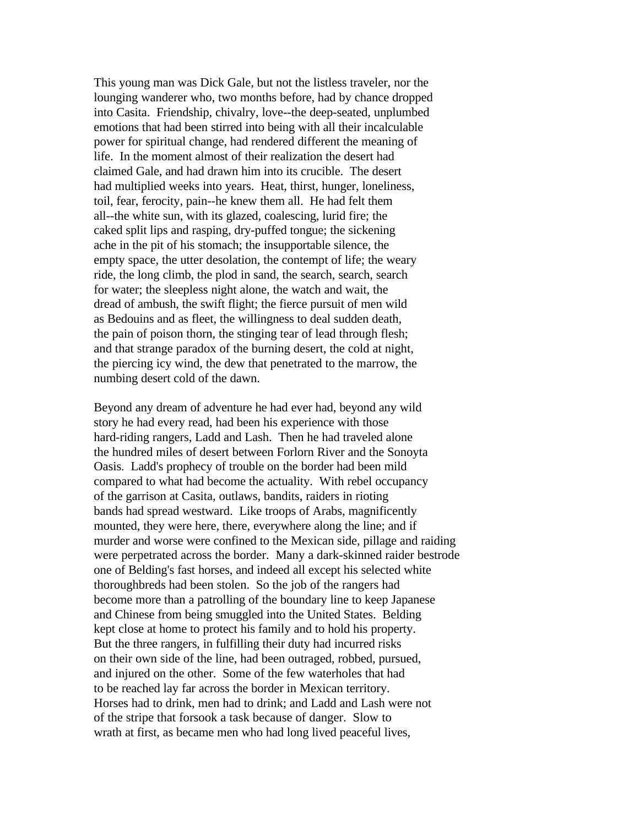This young man was Dick Gale, but not the listless traveler, nor the lounging wanderer who, two months before, had by chance dropped into Casita. Friendship, chivalry, love--the deep-seated, unplumbed emotions that had been stirred into being with all their incalculable power for spiritual change, had rendered different the meaning of life. In the moment almost of their realization the desert had claimed Gale, and had drawn him into its crucible. The desert had multiplied weeks into years. Heat, thirst, hunger, loneliness, toil, fear, ferocity, pain--he knew them all. He had felt them all--the white sun, with its glazed, coalescing, lurid fire; the caked split lips and rasping, dry-puffed tongue; the sickening ache in the pit of his stomach; the insupportable silence, the empty space, the utter desolation, the contempt of life; the weary ride, the long climb, the plod in sand, the search, search, search for water; the sleepless night alone, the watch and wait, the dread of ambush, the swift flight; the fierce pursuit of men wild as Bedouins and as fleet, the willingness to deal sudden death, the pain of poison thorn, the stinging tear of lead through flesh; and that strange paradox of the burning desert, the cold at night, the piercing icy wind, the dew that penetrated to the marrow, the numbing desert cold of the dawn.

Beyond any dream of adventure he had ever had, beyond any wild story he had every read, had been his experience with those hard-riding rangers, Ladd and Lash. Then he had traveled alone the hundred miles of desert between Forlorn River and the Sonoyta Oasis. Ladd's prophecy of trouble on the border had been mild compared to what had become the actuality. With rebel occupancy of the garrison at Casita, outlaws, bandits, raiders in rioting bands had spread westward. Like troops of Arabs, magnificently mounted, they were here, there, everywhere along the line; and if murder and worse were confined to the Mexican side, pillage and raiding were perpetrated across the border. Many a dark-skinned raider bestrode one of Belding's fast horses, and indeed all except his selected white thoroughbreds had been stolen. So the job of the rangers had become more than a patrolling of the boundary line to keep Japanese and Chinese from being smuggled into the United States. Belding kept close at home to protect his family and to hold his property. But the three rangers, in fulfilling their duty had incurred risks on their own side of the line, had been outraged, robbed, pursued, and injured on the other. Some of the few waterholes that had to be reached lay far across the border in Mexican territory. Horses had to drink, men had to drink; and Ladd and Lash were not of the stripe that forsook a task because of danger. Slow to wrath at first, as became men who had long lived peaceful lives,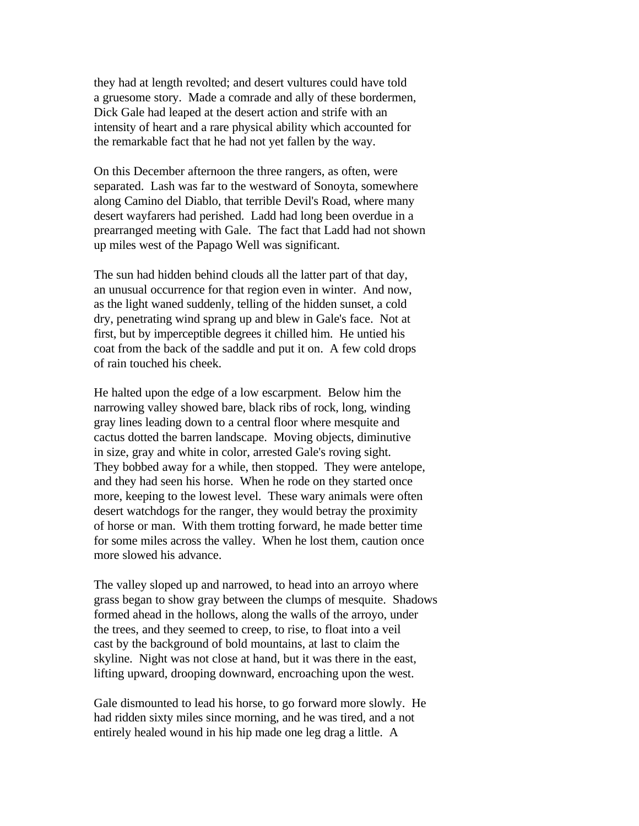they had at length revolted; and desert vultures could have told a gruesome story. Made a comrade and ally of these bordermen, Dick Gale had leaped at the desert action and strife with an intensity of heart and a rare physical ability which accounted for the remarkable fact that he had not yet fallen by the way.

On this December afternoon the three rangers, as often, were separated. Lash was far to the westward of Sonoyta, somewhere along Camino del Diablo, that terrible Devil's Road, where many desert wayfarers had perished. Ladd had long been overdue in a prearranged meeting with Gale. The fact that Ladd had not shown up miles west of the Papago Well was significant.

The sun had hidden behind clouds all the latter part of that day, an unusual occurrence for that region even in winter. And now, as the light waned suddenly, telling of the hidden sunset, a cold dry, penetrating wind sprang up and blew in Gale's face. Not at first, but by imperceptible degrees it chilled him. He untied his coat from the back of the saddle and put it on. A few cold drops of rain touched his cheek.

He halted upon the edge of a low escarpment. Below him the narrowing valley showed bare, black ribs of rock, long, winding gray lines leading down to a central floor where mesquite and cactus dotted the barren landscape. Moving objects, diminutive in size, gray and white in color, arrested Gale's roving sight. They bobbed away for a while, then stopped. They were antelope, and they had seen his horse. When he rode on they started once more, keeping to the lowest level. These wary animals were often desert watchdogs for the ranger, they would betray the proximity of horse or man. With them trotting forward, he made better time for some miles across the valley. When he lost them, caution once more slowed his advance.

The valley sloped up and narrowed, to head into an arroyo where grass began to show gray between the clumps of mesquite. Shadows formed ahead in the hollows, along the walls of the arroyo, under the trees, and they seemed to creep, to rise, to float into a veil cast by the background of bold mountains, at last to claim the skyline. Night was not close at hand, but it was there in the east, lifting upward, drooping downward, encroaching upon the west.

Gale dismounted to lead his horse, to go forward more slowly. He had ridden sixty miles since morning, and he was tired, and a not entirely healed wound in his hip made one leg drag a little. A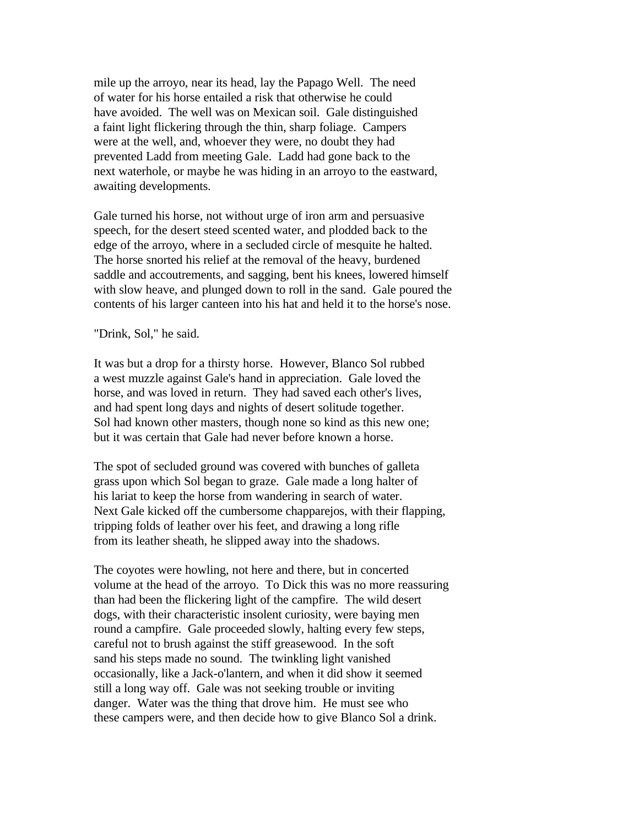mile up the arroyo, near its head, lay the Papago Well. The need of water for his horse entailed a risk that otherwise he could have avoided. The well was on Mexican soil. Gale distinguished a faint light flickering through the thin, sharp foliage. Campers were at the well, and, whoever they were, no doubt they had prevented Ladd from meeting Gale. Ladd had gone back to the next waterhole, or maybe he was hiding in an arroyo to the eastward, awaiting developments.

Gale turned his horse, not without urge of iron arm and persuasive speech, for the desert steed scented water, and plodded back to the edge of the arroyo, where in a secluded circle of mesquite he halted. The horse snorted his relief at the removal of the heavy, burdened saddle and accoutrements, and sagging, bent his knees, lowered himself with slow heave, and plunged down to roll in the sand. Gale poured the contents of his larger canteen into his hat and held it to the horse's nose.

"Drink, Sol," he said.

It was but a drop for a thirsty horse. However, Blanco Sol rubbed a west muzzle against Gale's hand in appreciation. Gale loved the horse, and was loved in return. They had saved each other's lives, and had spent long days and nights of desert solitude together. Sol had known other masters, though none so kind as this new one; but it was certain that Gale had never before known a horse.

The spot of secluded ground was covered with bunches of galleta grass upon which Sol began to graze. Gale made a long halter of his lariat to keep the horse from wandering in search of water. Next Gale kicked off the cumbersome chapparejos, with their flapping, tripping folds of leather over his feet, and drawing a long rifle from its leather sheath, he slipped away into the shadows.

The coyotes were howling, not here and there, but in concerted volume at the head of the arroyo. To Dick this was no more reassuring than had been the flickering light of the campfire. The wild desert dogs, with their characteristic insolent curiosity, were baying men round a campfire. Gale proceeded slowly, halting every few steps, careful not to brush against the stiff greasewood. In the soft sand his steps made no sound. The twinkling light vanished occasionally, like a Jack-o'lantern, and when it did show it seemed still a long way off. Gale was not seeking trouble or inviting danger. Water was the thing that drove him. He must see who these campers were, and then decide how to give Blanco Sol a drink.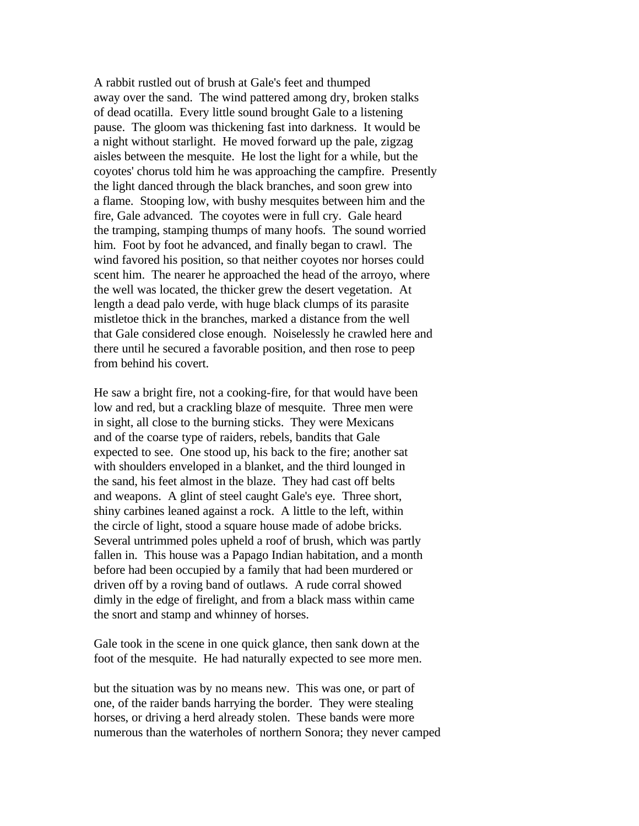A rabbit rustled out of brush at Gale's feet and thumped away over the sand. The wind pattered among dry, broken stalks of dead ocatilla. Every little sound brought Gale to a listening pause. The gloom was thickening fast into darkness. It would be a night without starlight. He moved forward up the pale, zigzag aisles between the mesquite. He lost the light for a while, but the coyotes' chorus told him he was approaching the campfire. Presently the light danced through the black branches, and soon grew into a flame. Stooping low, with bushy mesquites between him and the fire, Gale advanced. The coyotes were in full cry. Gale heard the tramping, stamping thumps of many hoofs. The sound worried him. Foot by foot he advanced, and finally began to crawl. The wind favored his position, so that neither coyotes nor horses could scent him. The nearer he approached the head of the arroyo, where the well was located, the thicker grew the desert vegetation. At length a dead palo verde, with huge black clumps of its parasite mistletoe thick in the branches, marked a distance from the well that Gale considered close enough. Noiselessly he crawled here and there until he secured a favorable position, and then rose to peep from behind his covert.

He saw a bright fire, not a cooking-fire, for that would have been low and red, but a crackling blaze of mesquite. Three men were in sight, all close to the burning sticks. They were Mexicans and of the coarse type of raiders, rebels, bandits that Gale expected to see. One stood up, his back to the fire; another sat with shoulders enveloped in a blanket, and the third lounged in the sand, his feet almost in the blaze. They had cast off belts and weapons. A glint of steel caught Gale's eye. Three short, shiny carbines leaned against a rock. A little to the left, within the circle of light, stood a square house made of adobe bricks. Several untrimmed poles upheld a roof of brush, which was partly fallen in. This house was a Papago Indian habitation, and a month before had been occupied by a family that had been murdered or driven off by a roving band of outlaws. A rude corral showed dimly in the edge of firelight, and from a black mass within came the snort and stamp and whinney of horses.

Gale took in the scene in one quick glance, then sank down at the foot of the mesquite. He had naturally expected to see more men.

but the situation was by no means new. This was one, or part of one, of the raider bands harrying the border. They were stealing horses, or driving a herd already stolen. These bands were more numerous than the waterholes of northern Sonora; they never camped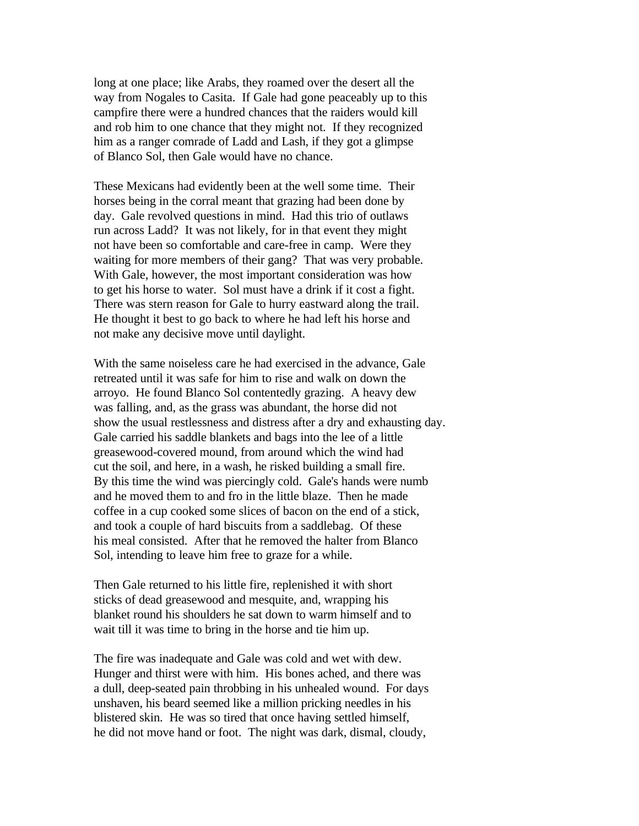long at one place; like Arabs, they roamed over the desert all the way from Nogales to Casita. If Gale had gone peaceably up to this campfire there were a hundred chances that the raiders would kill and rob him to one chance that they might not. If they recognized him as a ranger comrade of Ladd and Lash, if they got a glimpse of Blanco Sol, then Gale would have no chance.

These Mexicans had evidently been at the well some time. Their horses being in the corral meant that grazing had been done by day. Gale revolved questions in mind. Had this trio of outlaws run across Ladd? It was not likely, for in that event they might not have been so comfortable and care-free in camp. Were they waiting for more members of their gang? That was very probable. With Gale, however, the most important consideration was how to get his horse to water. Sol must have a drink if it cost a fight. There was stern reason for Gale to hurry eastward along the trail. He thought it best to go back to where he had left his horse and not make any decisive move until daylight.

With the same noiseless care he had exercised in the advance, Gale retreated until it was safe for him to rise and walk on down the arroyo. He found Blanco Sol contentedly grazing. A heavy dew was falling, and, as the grass was abundant, the horse did not show the usual restlessness and distress after a dry and exhausting day. Gale carried his saddle blankets and bags into the lee of a little greasewood-covered mound, from around which the wind had cut the soil, and here, in a wash, he risked building a small fire. By this time the wind was piercingly cold. Gale's hands were numb and he moved them to and fro in the little blaze. Then he made coffee in a cup cooked some slices of bacon on the end of a stick, and took a couple of hard biscuits from a saddlebag. Of these his meal consisted. After that he removed the halter from Blanco Sol, intending to leave him free to graze for a while.

Then Gale returned to his little fire, replenished it with short sticks of dead greasewood and mesquite, and, wrapping his blanket round his shoulders he sat down to warm himself and to wait till it was time to bring in the horse and tie him up.

The fire was inadequate and Gale was cold and wet with dew. Hunger and thirst were with him. His bones ached, and there was a dull, deep-seated pain throbbing in his unhealed wound. For days unshaven, his beard seemed like a million pricking needles in his blistered skin. He was so tired that once having settled himself, he did not move hand or foot. The night was dark, dismal, cloudy,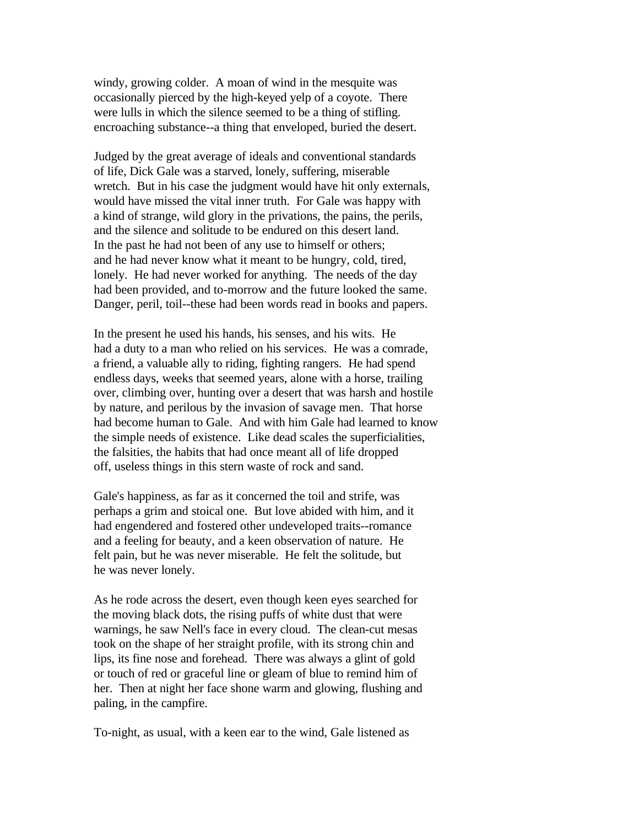windy, growing colder. A moan of wind in the mesquite was occasionally pierced by the high-keyed yelp of a coyote. There were lulls in which the silence seemed to be a thing of stifling. encroaching substance--a thing that enveloped, buried the desert.

Judged by the great average of ideals and conventional standards of life, Dick Gale was a starved, lonely, suffering, miserable wretch. But in his case the judgment would have hit only externals, would have missed the vital inner truth. For Gale was happy with a kind of strange, wild glory in the privations, the pains, the perils, and the silence and solitude to be endured on this desert land. In the past he had not been of any use to himself or others; and he had never know what it meant to be hungry, cold, tired, lonely. He had never worked for anything. The needs of the day had been provided, and to-morrow and the future looked the same. Danger, peril, toil--these had been words read in books and papers.

In the present he used his hands, his senses, and his wits. He had a duty to a man who relied on his services. He was a comrade, a friend, a valuable ally to riding, fighting rangers. He had spend endless days, weeks that seemed years, alone with a horse, trailing over, climbing over, hunting over a desert that was harsh and hostile by nature, and perilous by the invasion of savage men. That horse had become human to Gale. And with him Gale had learned to know the simple needs of existence. Like dead scales the superficialities, the falsities, the habits that had once meant all of life dropped off, useless things in this stern waste of rock and sand.

Gale's happiness, as far as it concerned the toil and strife, was perhaps a grim and stoical one. But love abided with him, and it had engendered and fostered other undeveloped traits--romance and a feeling for beauty, and a keen observation of nature. He felt pain, but he was never miserable. He felt the solitude, but he was never lonely.

As he rode across the desert, even though keen eyes searched for the moving black dots, the rising puffs of white dust that were warnings, he saw Nell's face in every cloud. The clean-cut mesas took on the shape of her straight profile, with its strong chin and lips, its fine nose and forehead. There was always a glint of gold or touch of red or graceful line or gleam of blue to remind him of her. Then at night her face shone warm and glowing, flushing and paling, in the campfire.

To-night, as usual, with a keen ear to the wind, Gale listened as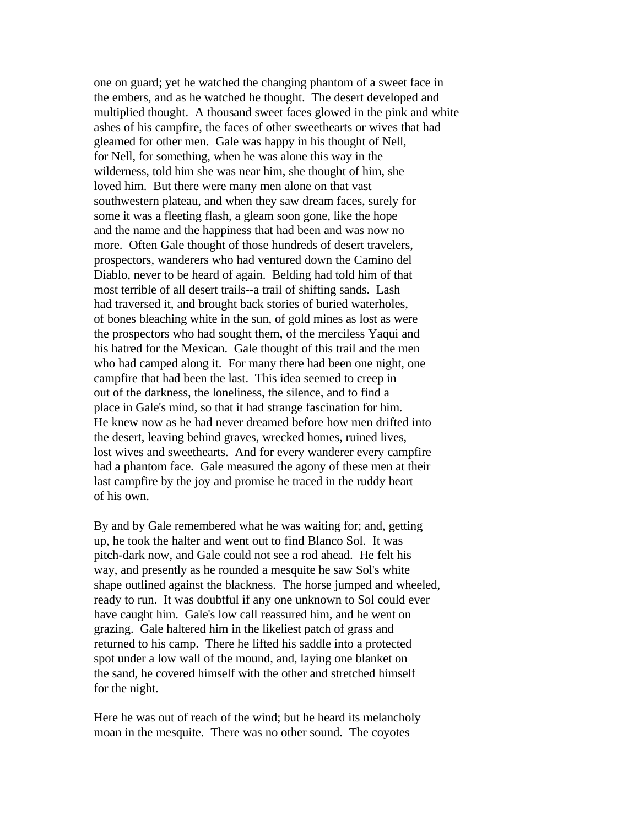one on guard; yet he watched the changing phantom of a sweet face in the embers, and as he watched he thought. The desert developed and multiplied thought. A thousand sweet faces glowed in the pink and white ashes of his campfire, the faces of other sweethearts or wives that had gleamed for other men. Gale was happy in his thought of Nell, for Nell, for something, when he was alone this way in the wilderness, told him she was near him, she thought of him, she loved him. But there were many men alone on that vast southwestern plateau, and when they saw dream faces, surely for some it was a fleeting flash, a gleam soon gone, like the hope and the name and the happiness that had been and was now no more. Often Gale thought of those hundreds of desert travelers, prospectors, wanderers who had ventured down the Camino del Diablo, never to be heard of again. Belding had told him of that most terrible of all desert trails--a trail of shifting sands. Lash had traversed it, and brought back stories of buried waterholes, of bones bleaching white in the sun, of gold mines as lost as were the prospectors who had sought them, of the merciless Yaqui and his hatred for the Mexican. Gale thought of this trail and the men who had camped along it. For many there had been one night, one campfire that had been the last. This idea seemed to creep in out of the darkness, the loneliness, the silence, and to find a place in Gale's mind, so that it had strange fascination for him. He knew now as he had never dreamed before how men drifted into the desert, leaving behind graves, wrecked homes, ruined lives, lost wives and sweethearts. And for every wanderer every campfire had a phantom face. Gale measured the agony of these men at their last campfire by the joy and promise he traced in the ruddy heart of his own.

By and by Gale remembered what he was waiting for; and, getting up, he took the halter and went out to find Blanco Sol. It was pitch-dark now, and Gale could not see a rod ahead. He felt his way, and presently as he rounded a mesquite he saw Sol's white shape outlined against the blackness. The horse jumped and wheeled, ready to run. It was doubtful if any one unknown to Sol could ever have caught him. Gale's low call reassured him, and he went on grazing. Gale haltered him in the likeliest patch of grass and returned to his camp. There he lifted his saddle into a protected spot under a low wall of the mound, and, laying one blanket on the sand, he covered himself with the other and stretched himself for the night.

Here he was out of reach of the wind; but he heard its melancholy moan in the mesquite. There was no other sound. The coyotes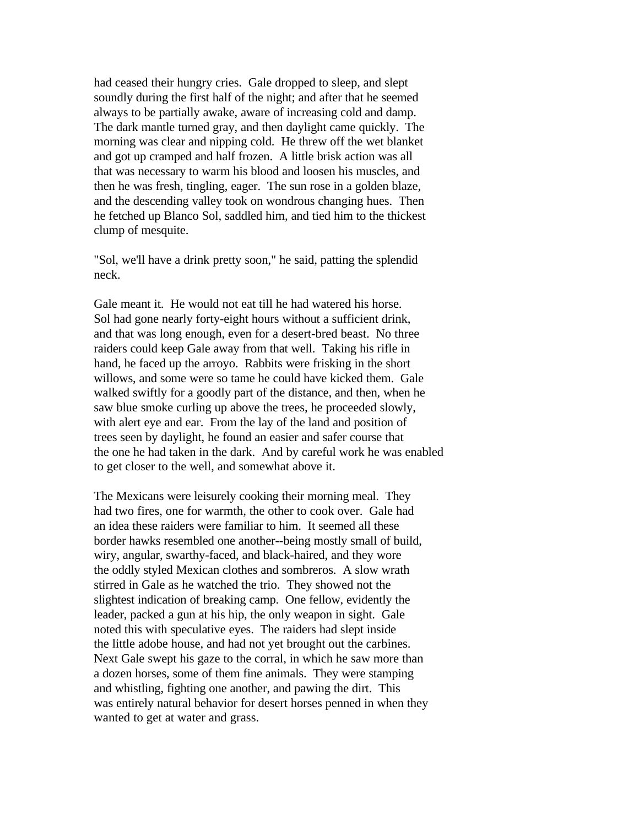had ceased their hungry cries. Gale dropped to sleep, and slept soundly during the first half of the night; and after that he seemed always to be partially awake, aware of increasing cold and damp. The dark mantle turned gray, and then daylight came quickly. The morning was clear and nipping cold. He threw off the wet blanket and got up cramped and half frozen. A little brisk action was all that was necessary to warm his blood and loosen his muscles, and then he was fresh, tingling, eager. The sun rose in a golden blaze, and the descending valley took on wondrous changing hues. Then he fetched up Blanco Sol, saddled him, and tied him to the thickest clump of mesquite.

"Sol, we'll have a drink pretty soon," he said, patting the splendid neck.

Gale meant it. He would not eat till he had watered his horse. Sol had gone nearly forty-eight hours without a sufficient drink, and that was long enough, even for a desert-bred beast. No three raiders could keep Gale away from that well. Taking his rifle in hand, he faced up the arroyo. Rabbits were frisking in the short willows, and some were so tame he could have kicked them. Gale walked swiftly for a goodly part of the distance, and then, when he saw blue smoke curling up above the trees, he proceeded slowly, with alert eye and ear. From the lay of the land and position of trees seen by daylight, he found an easier and safer course that the one he had taken in the dark. And by careful work he was enabled to get closer to the well, and somewhat above it.

The Mexicans were leisurely cooking their morning meal. They had two fires, one for warmth, the other to cook over. Gale had an idea these raiders were familiar to him. It seemed all these border hawks resembled one another--being mostly small of build, wiry, angular, swarthy-faced, and black-haired, and they wore the oddly styled Mexican clothes and sombreros. A slow wrath stirred in Gale as he watched the trio. They showed not the slightest indication of breaking camp. One fellow, evidently the leader, packed a gun at his hip, the only weapon in sight. Gale noted this with speculative eyes. The raiders had slept inside the little adobe house, and had not yet brought out the carbines. Next Gale swept his gaze to the corral, in which he saw more than a dozen horses, some of them fine animals. They were stamping and whistling, fighting one another, and pawing the dirt. This was entirely natural behavior for desert horses penned in when they wanted to get at water and grass.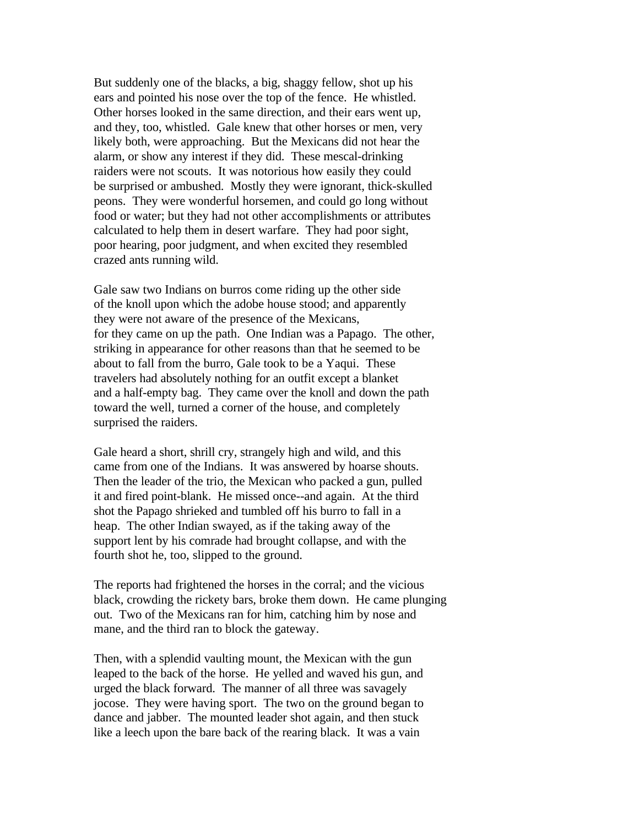But suddenly one of the blacks, a big, shaggy fellow, shot up his ears and pointed his nose over the top of the fence. He whistled. Other horses looked in the same direction, and their ears went up, and they, too, whistled. Gale knew that other horses or men, very likely both, were approaching. But the Mexicans did not hear the alarm, or show any interest if they did. These mescal-drinking raiders were not scouts. It was notorious how easily they could be surprised or ambushed. Mostly they were ignorant, thick-skulled peons. They were wonderful horsemen, and could go long without food or water; but they had not other accomplishments or attributes calculated to help them in desert warfare. They had poor sight, poor hearing, poor judgment, and when excited they resembled crazed ants running wild.

Gale saw two Indians on burros come riding up the other side of the knoll upon which the adobe house stood; and apparently they were not aware of the presence of the Mexicans, for they came on up the path. One Indian was a Papago. The other, striking in appearance for other reasons than that he seemed to be about to fall from the burro, Gale took to be a Yaqui. These travelers had absolutely nothing for an outfit except a blanket and a half-empty bag. They came over the knoll and down the path toward the well, turned a corner of the house, and completely surprised the raiders.

Gale heard a short, shrill cry, strangely high and wild, and this came from one of the Indians. It was answered by hoarse shouts. Then the leader of the trio, the Mexican who packed a gun, pulled it and fired point-blank. He missed once--and again. At the third shot the Papago shrieked and tumbled off his burro to fall in a heap. The other Indian swayed, as if the taking away of the support lent by his comrade had brought collapse, and with the fourth shot he, too, slipped to the ground.

The reports had frightened the horses in the corral; and the vicious black, crowding the rickety bars, broke them down. He came plunging out. Two of the Mexicans ran for him, catching him by nose and mane, and the third ran to block the gateway.

Then, with a splendid vaulting mount, the Mexican with the gun leaped to the back of the horse. He yelled and waved his gun, and urged the black forward. The manner of all three was savagely jocose. They were having sport. The two on the ground began to dance and jabber. The mounted leader shot again, and then stuck like a leech upon the bare back of the rearing black. It was a vain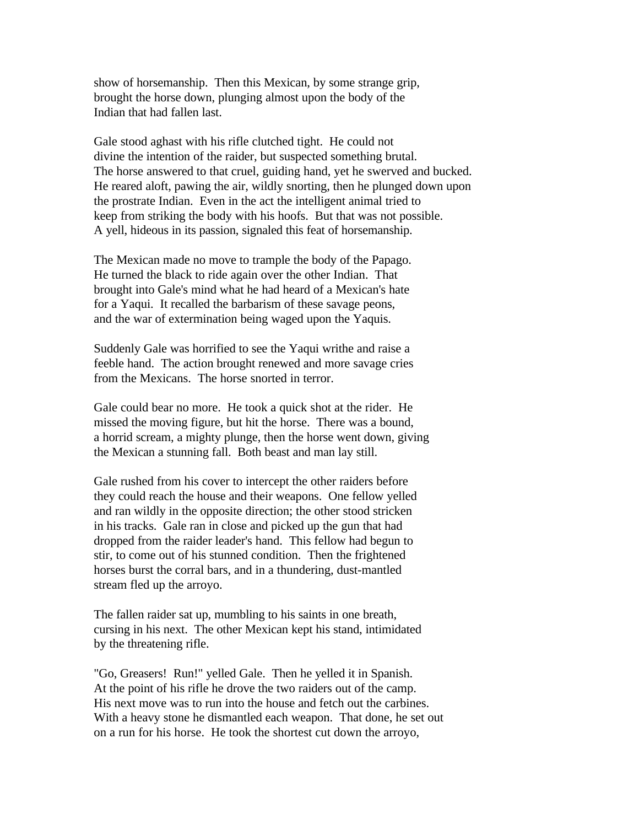show of horsemanship. Then this Mexican, by some strange grip, brought the horse down, plunging almost upon the body of the Indian that had fallen last.

Gale stood aghast with his rifle clutched tight. He could not divine the intention of the raider, but suspected something brutal. The horse answered to that cruel, guiding hand, yet he swerved and bucked. He reared aloft, pawing the air, wildly snorting, then he plunged down upon the prostrate Indian. Even in the act the intelligent animal tried to keep from striking the body with his hoofs. But that was not possible. A yell, hideous in its passion, signaled this feat of horsemanship.

The Mexican made no move to trample the body of the Papago. He turned the black to ride again over the other Indian. That brought into Gale's mind what he had heard of a Mexican's hate for a Yaqui. It recalled the barbarism of these savage peons, and the war of extermination being waged upon the Yaquis.

Suddenly Gale was horrified to see the Yaqui writhe and raise a feeble hand. The action brought renewed and more savage cries from the Mexicans. The horse snorted in terror.

Gale could bear no more. He took a quick shot at the rider. He missed the moving figure, but hit the horse. There was a bound, a horrid scream, a mighty plunge, then the horse went down, giving the Mexican a stunning fall. Both beast and man lay still.

Gale rushed from his cover to intercept the other raiders before they could reach the house and their weapons. One fellow yelled and ran wildly in the opposite direction; the other stood stricken in his tracks. Gale ran in close and picked up the gun that had dropped from the raider leader's hand. This fellow had begun to stir, to come out of his stunned condition. Then the frightened horses burst the corral bars, and in a thundering, dust-mantled stream fled up the arroyo.

The fallen raider sat up, mumbling to his saints in one breath, cursing in his next. The other Mexican kept his stand, intimidated by the threatening rifle.

"Go, Greasers! Run!" yelled Gale. Then he yelled it in Spanish. At the point of his rifle he drove the two raiders out of the camp. His next move was to run into the house and fetch out the carbines. With a heavy stone he dismantled each weapon. That done, he set out on a run for his horse. He took the shortest cut down the arroyo,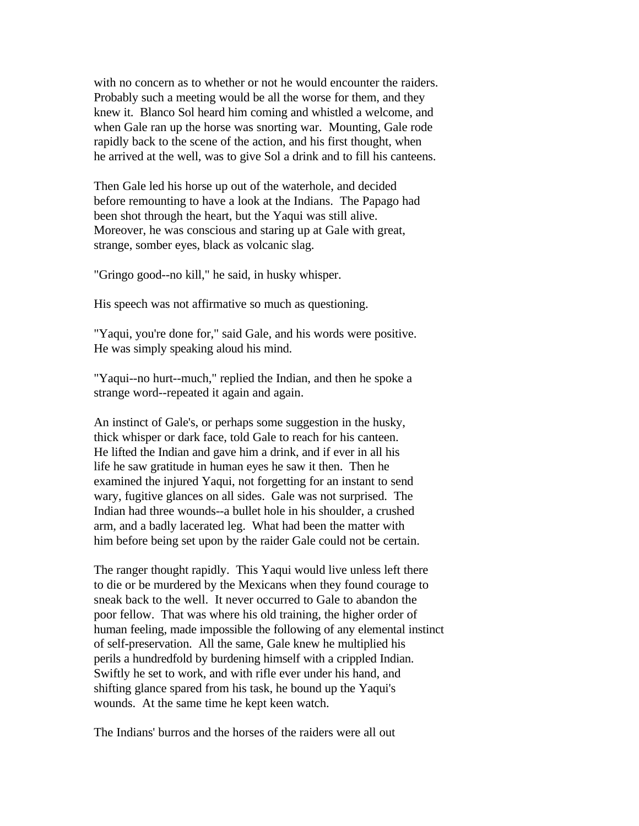with no concern as to whether or not he would encounter the raiders. Probably such a meeting would be all the worse for them, and they knew it. Blanco Sol heard him coming and whistled a welcome, and when Gale ran up the horse was snorting war. Mounting, Gale rode rapidly back to the scene of the action, and his first thought, when he arrived at the well, was to give Sol a drink and to fill his canteens.

Then Gale led his horse up out of the waterhole, and decided before remounting to have a look at the Indians. The Papago had been shot through the heart, but the Yaqui was still alive. Moreover, he was conscious and staring up at Gale with great, strange, somber eyes, black as volcanic slag.

"Gringo good--no kill," he said, in husky whisper.

His speech was not affirmative so much as questioning.

"Yaqui, you're done for," said Gale, and his words were positive. He was simply speaking aloud his mind.

"Yaqui--no hurt--much," replied the Indian, and then he spoke a strange word--repeated it again and again.

An instinct of Gale's, or perhaps some suggestion in the husky, thick whisper or dark face, told Gale to reach for his canteen. He lifted the Indian and gave him a drink, and if ever in all his life he saw gratitude in human eyes he saw it then. Then he examined the injured Yaqui, not forgetting for an instant to send wary, fugitive glances on all sides. Gale was not surprised. The Indian had three wounds--a bullet hole in his shoulder, a crushed arm, and a badly lacerated leg. What had been the matter with him before being set upon by the raider Gale could not be certain.

The ranger thought rapidly. This Yaqui would live unless left there to die or be murdered by the Mexicans when they found courage to sneak back to the well. It never occurred to Gale to abandon the poor fellow. That was where his old training, the higher order of human feeling, made impossible the following of any elemental instinct of self-preservation. All the same, Gale knew he multiplied his perils a hundredfold by burdening himself with a crippled Indian. Swiftly he set to work, and with rifle ever under his hand, and shifting glance spared from his task, he bound up the Yaqui's wounds. At the same time he kept keen watch.

The Indians' burros and the horses of the raiders were all out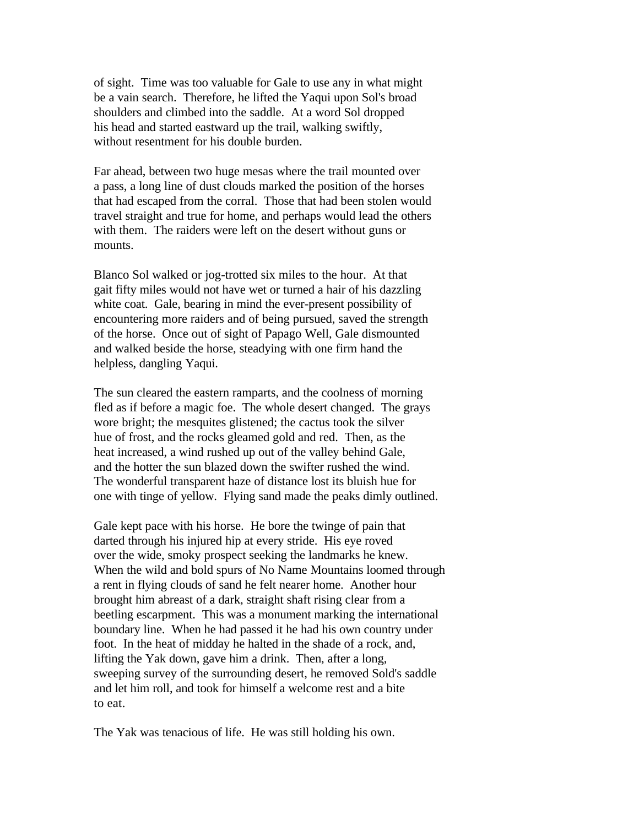of sight. Time was too valuable for Gale to use any in what might be a vain search. Therefore, he lifted the Yaqui upon Sol's broad shoulders and climbed into the saddle. At a word Sol dropped his head and started eastward up the trail, walking swiftly, without resentment for his double burden.

Far ahead, between two huge mesas where the trail mounted over a pass, a long line of dust clouds marked the position of the horses that had escaped from the corral. Those that had been stolen would travel straight and true for home, and perhaps would lead the others with them. The raiders were left on the desert without guns or mounts.

Blanco Sol walked or jog-trotted six miles to the hour. At that gait fifty miles would not have wet or turned a hair of his dazzling white coat. Gale, bearing in mind the ever-present possibility of encountering more raiders and of being pursued, saved the strength of the horse. Once out of sight of Papago Well, Gale dismounted and walked beside the horse, steadying with one firm hand the helpless, dangling Yaqui.

The sun cleared the eastern ramparts, and the coolness of morning fled as if before a magic foe. The whole desert changed. The grays wore bright; the mesquites glistened; the cactus took the silver hue of frost, and the rocks gleamed gold and red. Then, as the heat increased, a wind rushed up out of the valley behind Gale, and the hotter the sun blazed down the swifter rushed the wind. The wonderful transparent haze of distance lost its bluish hue for one with tinge of yellow. Flying sand made the peaks dimly outlined.

Gale kept pace with his horse. He bore the twinge of pain that darted through his injured hip at every stride. His eye roved over the wide, smoky prospect seeking the landmarks he knew. When the wild and bold spurs of No Name Mountains loomed through a rent in flying clouds of sand he felt nearer home. Another hour brought him abreast of a dark, straight shaft rising clear from a beetling escarpment. This was a monument marking the international boundary line. When he had passed it he had his own country under foot. In the heat of midday he halted in the shade of a rock, and, lifting the Yak down, gave him a drink. Then, after a long, sweeping survey of the surrounding desert, he removed Sold's saddle and let him roll, and took for himself a welcome rest and a bite to eat.

The Yak was tenacious of life. He was still holding his own.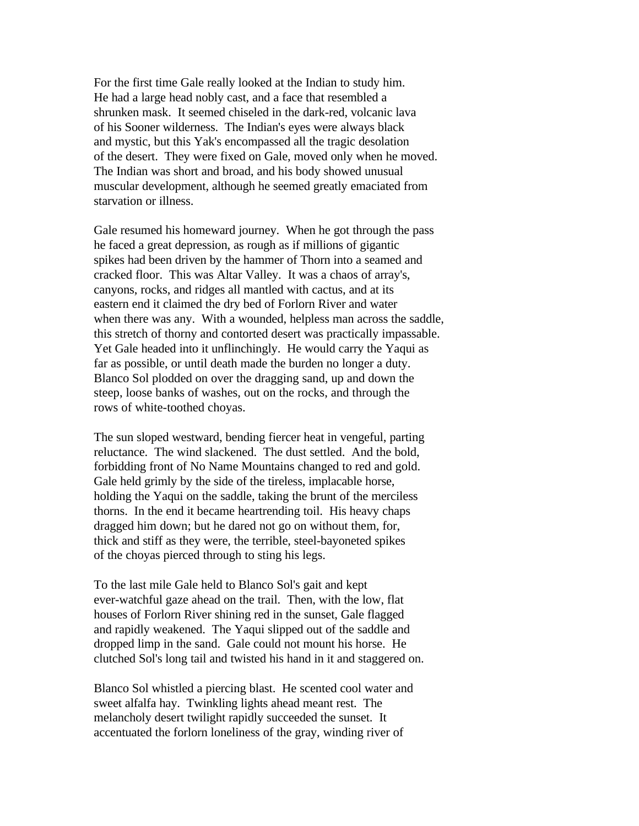For the first time Gale really looked at the Indian to study him. He had a large head nobly cast, and a face that resembled a shrunken mask. It seemed chiseled in the dark-red, volcanic lava of his Sooner wilderness. The Indian's eyes were always black and mystic, but this Yak's encompassed all the tragic desolation of the desert. They were fixed on Gale, moved only when he moved. The Indian was short and broad, and his body showed unusual muscular development, although he seemed greatly emaciated from starvation or illness.

Gale resumed his homeward journey. When he got through the pass he faced a great depression, as rough as if millions of gigantic spikes had been driven by the hammer of Thorn into a seamed and cracked floor. This was Altar Valley. It was a chaos of array's, canyons, rocks, and ridges all mantled with cactus, and at its eastern end it claimed the dry bed of Forlorn River and water when there was any. With a wounded, helpless man across the saddle, this stretch of thorny and contorted desert was practically impassable. Yet Gale headed into it unflinchingly. He would carry the Yaqui as far as possible, or until death made the burden no longer a duty. Blanco Sol plodded on over the dragging sand, up and down the steep, loose banks of washes, out on the rocks, and through the rows of white-toothed choyas.

The sun sloped westward, bending fiercer heat in vengeful, parting reluctance. The wind slackened. The dust settled. And the bold, forbidding front of No Name Mountains changed to red and gold. Gale held grimly by the side of the tireless, implacable horse, holding the Yaqui on the saddle, taking the brunt of the merciless thorns. In the end it became heartrending toil. His heavy chaps dragged him down; but he dared not go on without them, for, thick and stiff as they were, the terrible, steel-bayoneted spikes of the choyas pierced through to sting his legs.

To the last mile Gale held to Blanco Sol's gait and kept ever-watchful gaze ahead on the trail. Then, with the low, flat houses of Forlorn River shining red in the sunset, Gale flagged and rapidly weakened. The Yaqui slipped out of the saddle and dropped limp in the sand. Gale could not mount his horse. He clutched Sol's long tail and twisted his hand in it and staggered on.

Blanco Sol whistled a piercing blast. He scented cool water and sweet alfalfa hay. Twinkling lights ahead meant rest. The melancholy desert twilight rapidly succeeded the sunset. It accentuated the forlorn loneliness of the gray, winding river of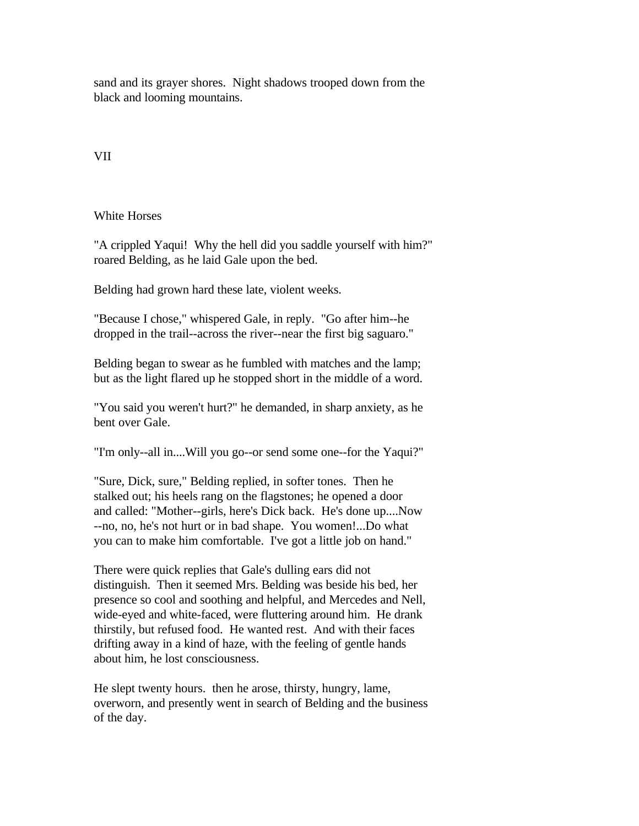sand and its grayer shores. Night shadows trooped down from the black and looming mountains.

## VII

White Horses

"A crippled Yaqui! Why the hell did you saddle yourself with him?" roared Belding, as he laid Gale upon the bed.

Belding had grown hard these late, violent weeks.

"Because I chose," whispered Gale, in reply. "Go after him--he dropped in the trail--across the river--near the first big saguaro."

Belding began to swear as he fumbled with matches and the lamp; but as the light flared up he stopped short in the middle of a word.

"You said you weren't hurt?" he demanded, in sharp anxiety, as he bent over Gale.

"I'm only--all in....Will you go--or send some one--for the Yaqui?"

"Sure, Dick, sure," Belding replied, in softer tones. Then he stalked out; his heels rang on the flagstones; he opened a door and called: "Mother--girls, here's Dick back. He's done up....Now --no, no, he's not hurt or in bad shape. You women!...Do what you can to make him comfortable. I've got a little job on hand."

There were quick replies that Gale's dulling ears did not distinguish. Then it seemed Mrs. Belding was beside his bed, her presence so cool and soothing and helpful, and Mercedes and Nell, wide-eyed and white-faced, were fluttering around him. He drank thirstily, but refused food. He wanted rest. And with their faces drifting away in a kind of haze, with the feeling of gentle hands about him, he lost consciousness.

He slept twenty hours. then he arose, thirsty, hungry, lame, overworn, and presently went in search of Belding and the business of the day.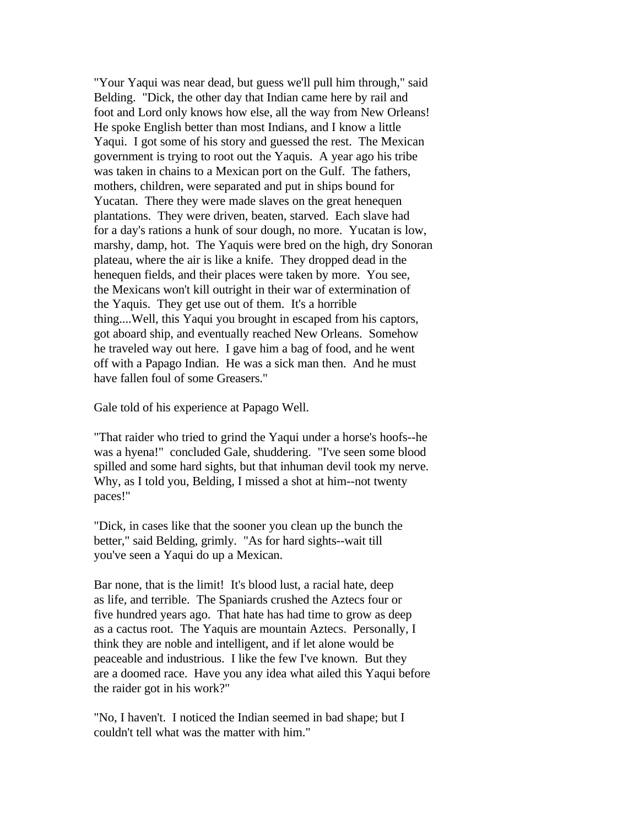"Your Yaqui was near dead, but guess we'll pull him through," said Belding. "Dick, the other day that Indian came here by rail and foot and Lord only knows how else, all the way from New Orleans! He spoke English better than most Indians, and I know a little Yaqui. I got some of his story and guessed the rest. The Mexican government is trying to root out the Yaquis. A year ago his tribe was taken in chains to a Mexican port on the Gulf. The fathers, mothers, children, were separated and put in ships bound for Yucatan. There they were made slaves on the great henequen plantations. They were driven, beaten, starved. Each slave had for a day's rations a hunk of sour dough, no more. Yucatan is low, marshy, damp, hot. The Yaquis were bred on the high, dry Sonoran plateau, where the air is like a knife. They dropped dead in the henequen fields, and their places were taken by more. You see, the Mexicans won't kill outright in their war of extermination of the Yaquis. They get use out of them. It's a horrible thing....Well, this Yaqui you brought in escaped from his captors, got aboard ship, and eventually reached New Orleans. Somehow he traveled way out here. I gave him a bag of food, and he went off with a Papago Indian. He was a sick man then. And he must have fallen foul of some Greasers."

Gale told of his experience at Papago Well.

"That raider who tried to grind the Yaqui under a horse's hoofs--he was a hyena!" concluded Gale, shuddering. "I've seen some blood spilled and some hard sights, but that inhuman devil took my nerve. Why, as I told you, Belding, I missed a shot at him--not twenty paces!"

"Dick, in cases like that the sooner you clean up the bunch the better," said Belding, grimly. "As for hard sights--wait till you've seen a Yaqui do up a Mexican.

Bar none, that is the limit! It's blood lust, a racial hate, deep as life, and terrible. The Spaniards crushed the Aztecs four or five hundred years ago. That hate has had time to grow as deep as a cactus root. The Yaquis are mountain Aztecs. Personally, I think they are noble and intelligent, and if let alone would be peaceable and industrious. I like the few I've known. But they are a doomed race. Have you any idea what ailed this Yaqui before the raider got in his work?"

"No, I haven't. I noticed the Indian seemed in bad shape; but I couldn't tell what was the matter with him."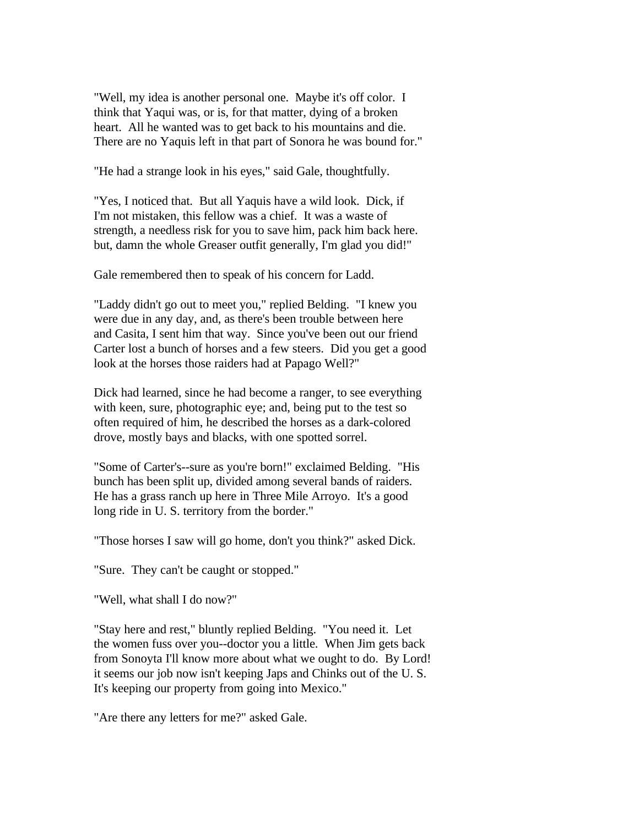"Well, my idea is another personal one. Maybe it's off color. I think that Yaqui was, or is, for that matter, dying of a broken heart. All he wanted was to get back to his mountains and die. There are no Yaquis left in that part of Sonora he was bound for."

"He had a strange look in his eyes," said Gale, thoughtfully.

"Yes, I noticed that. But all Yaquis have a wild look. Dick, if I'm not mistaken, this fellow was a chief. It was a waste of strength, a needless risk for you to save him, pack him back here. but, damn the whole Greaser outfit generally, I'm glad you did!"

Gale remembered then to speak of his concern for Ladd.

"Laddy didn't go out to meet you," replied Belding. "I knew you were due in any day, and, as there's been trouble between here and Casita, I sent him that way. Since you've been out our friend Carter lost a bunch of horses and a few steers. Did you get a good look at the horses those raiders had at Papago Well?"

Dick had learned, since he had become a ranger, to see everything with keen, sure, photographic eye; and, being put to the test so often required of him, he described the horses as a dark-colored drove, mostly bays and blacks, with one spotted sorrel.

"Some of Carter's--sure as you're born!" exclaimed Belding. "His bunch has been split up, divided among several bands of raiders. He has a grass ranch up here in Three Mile Arroyo. It's a good long ride in U. S. territory from the border."

"Those horses I saw will go home, don't you think?" asked Dick.

"Sure. They can't be caught or stopped."

"Well, what shall I do now?"

"Stay here and rest," bluntly replied Belding. "You need it. Let the women fuss over you--doctor you a little. When Jim gets back from Sonoyta I'll know more about what we ought to do. By Lord! it seems our job now isn't keeping Japs and Chinks out of the U. S. It's keeping our property from going into Mexico."

"Are there any letters for me?" asked Gale.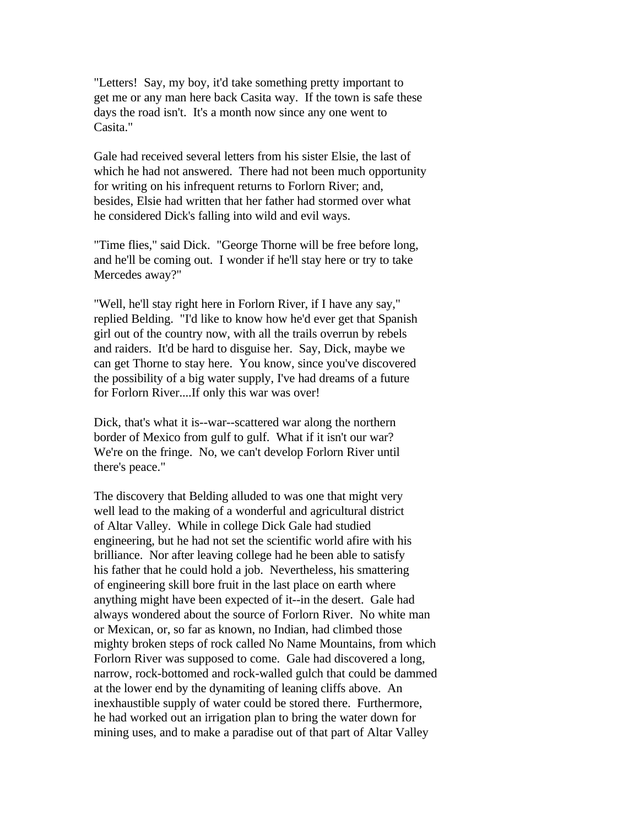"Letters! Say, my boy, it'd take something pretty important to get me or any man here back Casita way. If the town is safe these days the road isn't. It's a month now since any one went to Casita."

Gale had received several letters from his sister Elsie, the last of which he had not answered. There had not been much opportunity for writing on his infrequent returns to Forlorn River; and, besides, Elsie had written that her father had stormed over what he considered Dick's falling into wild and evil ways.

"Time flies," said Dick. "George Thorne will be free before long, and he'll be coming out. I wonder if he'll stay here or try to take Mercedes away?"

"Well, he'll stay right here in Forlorn River, if I have any say," replied Belding. "I'd like to know how he'd ever get that Spanish girl out of the country now, with all the trails overrun by rebels and raiders. It'd be hard to disguise her. Say, Dick, maybe we can get Thorne to stay here. You know, since you've discovered the possibility of a big water supply, I've had dreams of a future for Forlorn River....If only this war was over!

Dick, that's what it is--war--scattered war along the northern border of Mexico from gulf to gulf. What if it isn't our war? We're on the fringe. No, we can't develop Forlorn River until there's peace."

The discovery that Belding alluded to was one that might very well lead to the making of a wonderful and agricultural district of Altar Valley. While in college Dick Gale had studied engineering, but he had not set the scientific world afire with his brilliance. Nor after leaving college had he been able to satisfy his father that he could hold a job. Nevertheless, his smattering of engineering skill bore fruit in the last place on earth where anything might have been expected of it--in the desert. Gale had always wondered about the source of Forlorn River. No white man or Mexican, or, so far as known, no Indian, had climbed those mighty broken steps of rock called No Name Mountains, from which Forlorn River was supposed to come. Gale had discovered a long, narrow, rock-bottomed and rock-walled gulch that could be dammed at the lower end by the dynamiting of leaning cliffs above. An inexhaustible supply of water could be stored there. Furthermore, he had worked out an irrigation plan to bring the water down for mining uses, and to make a paradise out of that part of Altar Valley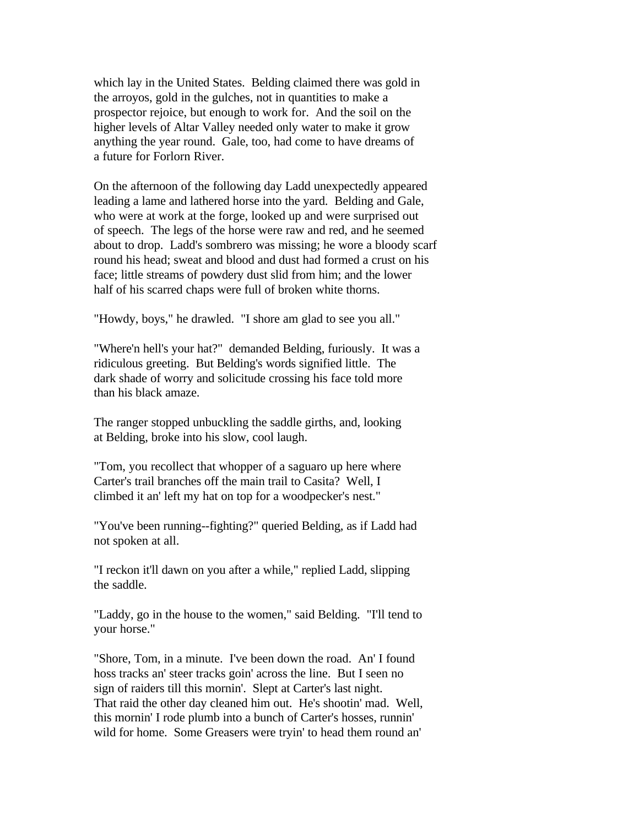which lay in the United States. Belding claimed there was gold in the arroyos, gold in the gulches, not in quantities to make a prospector rejoice, but enough to work for. And the soil on the higher levels of Altar Valley needed only water to make it grow anything the year round. Gale, too, had come to have dreams of a future for Forlorn River.

On the afternoon of the following day Ladd unexpectedly appeared leading a lame and lathered horse into the yard. Belding and Gale, who were at work at the forge, looked up and were surprised out of speech. The legs of the horse were raw and red, and he seemed about to drop. Ladd's sombrero was missing; he wore a bloody scarf round his head; sweat and blood and dust had formed a crust on his face; little streams of powdery dust slid from him; and the lower half of his scarred chaps were full of broken white thorns.

"Howdy, boys," he drawled. "I shore am glad to see you all."

"Where'n hell's your hat?" demanded Belding, furiously. It was a ridiculous greeting. But Belding's words signified little. The dark shade of worry and solicitude crossing his face told more than his black amaze.

The ranger stopped unbuckling the saddle girths, and, looking at Belding, broke into his slow, cool laugh.

"Tom, you recollect that whopper of a saguaro up here where Carter's trail branches off the main trail to Casita? Well, I climbed it an' left my hat on top for a woodpecker's nest."

"You've been running--fighting?" queried Belding, as if Ladd had not spoken at all.

"I reckon it'll dawn on you after a while," replied Ladd, slipping the saddle.

"Laddy, go in the house to the women," said Belding. "I'll tend to your horse."

"Shore, Tom, in a minute. I've been down the road. An' I found hoss tracks an' steer tracks goin' across the line. But I seen no sign of raiders till this mornin'. Slept at Carter's last night. That raid the other day cleaned him out. He's shootin' mad. Well, this mornin' I rode plumb into a bunch of Carter's hosses, runnin' wild for home. Some Greasers were tryin' to head them round an'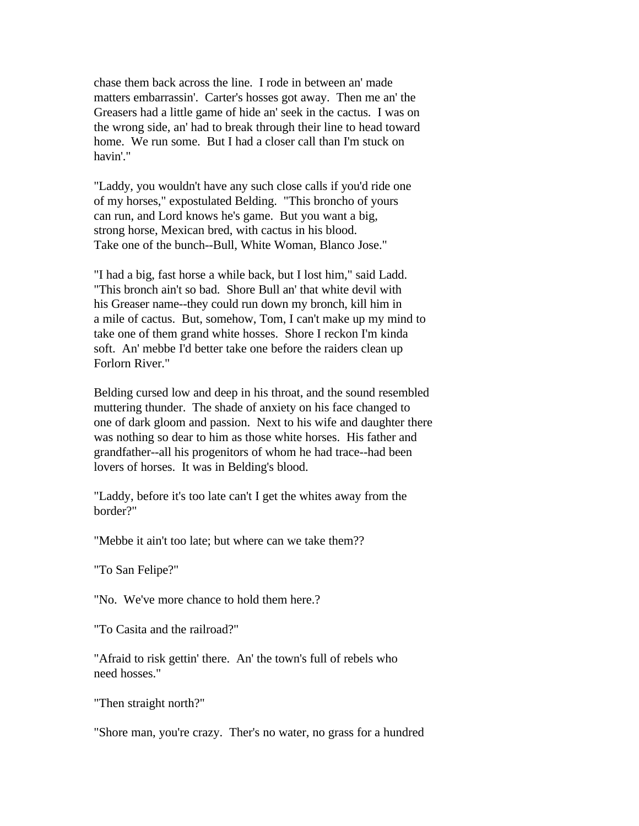chase them back across the line. I rode in between an' made matters embarrassin'. Carter's hosses got away. Then me an' the Greasers had a little game of hide an' seek in the cactus. I was on the wrong side, an' had to break through their line to head toward home. We run some. But I had a closer call than I'm stuck on havin'."

"Laddy, you wouldn't have any such close calls if you'd ride one of my horses," expostulated Belding. "This broncho of yours can run, and Lord knows he's game. But you want a big, strong horse, Mexican bred, with cactus in his blood. Take one of the bunch--Bull, White Woman, Blanco Jose."

"I had a big, fast horse a while back, but I lost him," said Ladd. "This bronch ain't so bad. Shore Bull an' that white devil with his Greaser name--they could run down my bronch, kill him in a mile of cactus. But, somehow, Tom, I can't make up my mind to take one of them grand white hosses. Shore I reckon I'm kinda soft. An' mebbe I'd better take one before the raiders clean up Forlorn River."

Belding cursed low and deep in his throat, and the sound resembled muttering thunder. The shade of anxiety on his face changed to one of dark gloom and passion. Next to his wife and daughter there was nothing so dear to him as those white horses. His father and grandfather--all his progenitors of whom he had trace--had been lovers of horses. It was in Belding's blood.

"Laddy, before it's too late can't I get the whites away from the border?"

"Mebbe it ain't too late; but where can we take them??

"To San Felipe?"

"No. We've more chance to hold them here.?

"To Casita and the railroad?"

"Afraid to risk gettin' there. An' the town's full of rebels who need hosses."

"Then straight north?"

"Shore man, you're crazy. Ther's no water, no grass for a hundred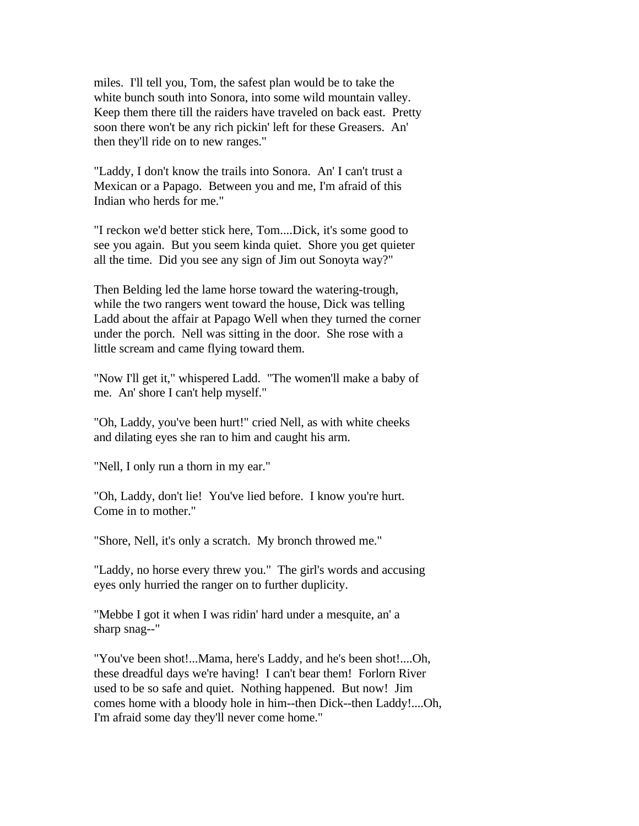miles. I'll tell you, Tom, the safest plan would be to take the white bunch south into Sonora, into some wild mountain valley. Keep them there till the raiders have traveled on back east. Pretty soon there won't be any rich pickin' left for these Greasers. An' then they'll ride on to new ranges."

"Laddy, I don't know the trails into Sonora. An' I can't trust a Mexican or a Papago. Between you and me, I'm afraid of this Indian who herds for me."

"I reckon we'd better stick here, Tom....Dick, it's some good to see you again. But you seem kinda quiet. Shore you get quieter all the time. Did you see any sign of Jim out Sonoyta way?"

Then Belding led the lame horse toward the watering-trough, while the two rangers went toward the house, Dick was telling Ladd about the affair at Papago Well when they turned the corner under the porch. Nell was sitting in the door. She rose with a little scream and came flying toward them.

"Now I'll get it," whispered Ladd. "The women'll make a baby of me. An' shore I can't help myself."

"Oh, Laddy, you've been hurt!" cried Nell, as with white cheeks and dilating eyes she ran to him and caught his arm.

"Nell, I only run a thorn in my ear."

"Oh, Laddy, don't lie! You've lied before. I know you're hurt. Come in to mother."

"Shore, Nell, it's only a scratch. My bronch throwed me."

"Laddy, no horse every threw you." The girl's words and accusing eyes only hurried the ranger on to further duplicity.

"Mebbe I got it when I was ridin' hard under a mesquite, an' a sharp snag--"

"You've been shot!...Mama, here's Laddy, and he's been shot!....Oh, these dreadful days we're having! I can't bear them! Forlorn River used to be so safe and quiet. Nothing happened. But now! Jim comes home with a bloody hole in him--then Dick--then Laddy!....Oh, I'm afraid some day they'll never come home."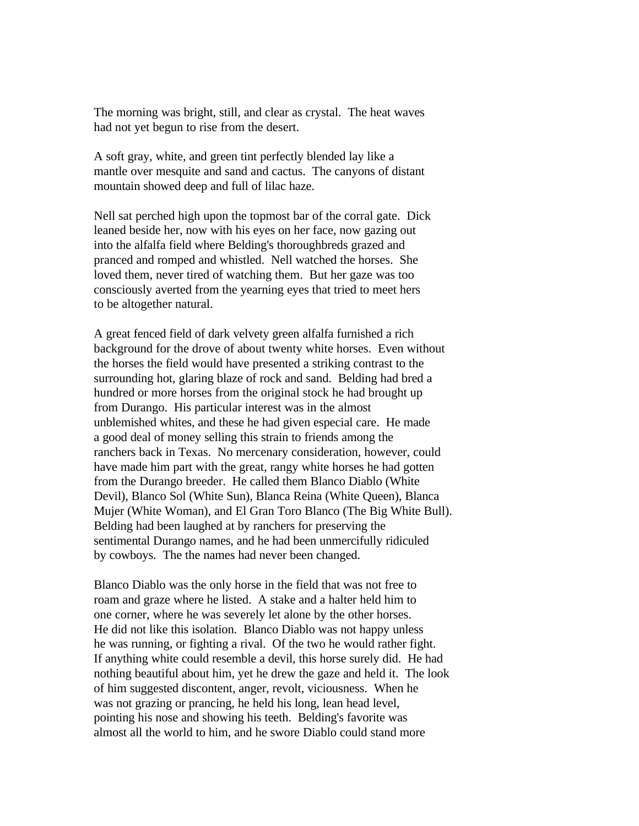The morning was bright, still, and clear as crystal. The heat waves had not yet begun to rise from the desert.

A soft gray, white, and green tint perfectly blended lay like a mantle over mesquite and sand and cactus. The canyons of distant mountain showed deep and full of lilac haze.

Nell sat perched high upon the topmost bar of the corral gate. Dick leaned beside her, now with his eyes on her face, now gazing out into the alfalfa field where Belding's thoroughbreds grazed and pranced and romped and whistled. Nell watched the horses. She loved them, never tired of watching them. But her gaze was too consciously averted from the yearning eyes that tried to meet hers to be altogether natural.

A great fenced field of dark velvety green alfalfa furnished a rich background for the drove of about twenty white horses. Even without the horses the field would have presented a striking contrast to the surrounding hot, glaring blaze of rock and sand. Belding had bred a hundred or more horses from the original stock he had brought up from Durango. His particular interest was in the almost unblemished whites, and these he had given especial care. He made a good deal of money selling this strain to friends among the ranchers back in Texas. No mercenary consideration, however, could have made him part with the great, rangy white horses he had gotten from the Durango breeder. He called them Blanco Diablo (White Devil), Blanco Sol (White Sun), Blanca Reina (White Queen), Blanca Mujer (White Woman), and El Gran Toro Blanco (The Big White Bull). Belding had been laughed at by ranchers for preserving the sentimental Durango names, and he had been unmercifully ridiculed by cowboys. The the names had never been changed.

Blanco Diablo was the only horse in the field that was not free to roam and graze where he listed. A stake and a halter held him to one corner, where he was severely let alone by the other horses. He did not like this isolation. Blanco Diablo was not happy unless he was running, or fighting a rival. Of the two he would rather fight. If anything white could resemble a devil, this horse surely did. He had nothing beautiful about him, yet he drew the gaze and held it. The look of him suggested discontent, anger, revolt, viciousness. When he was not grazing or prancing, he held his long, lean head level, pointing his nose and showing his teeth. Belding's favorite was almost all the world to him, and he swore Diablo could stand more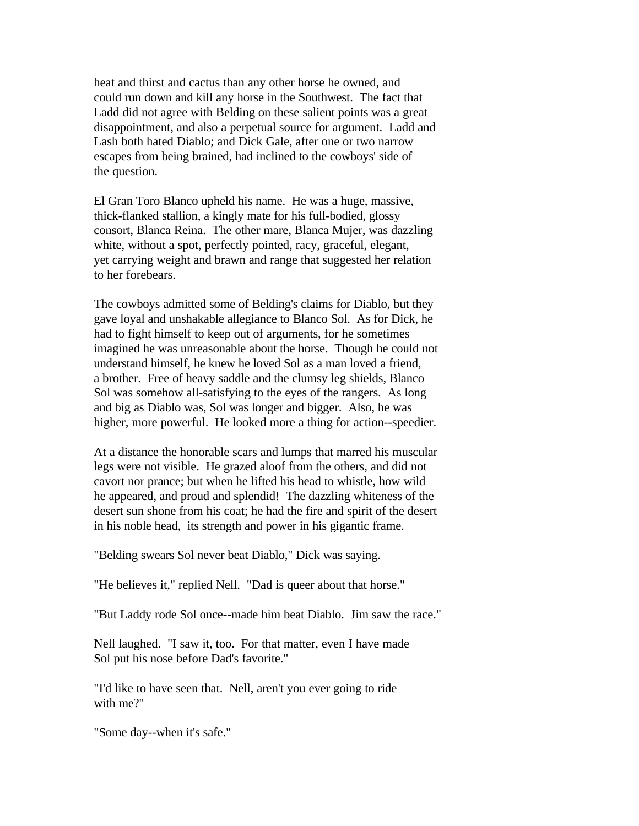heat and thirst and cactus than any other horse he owned, and could run down and kill any horse in the Southwest. The fact that Ladd did not agree with Belding on these salient points was a great disappointment, and also a perpetual source for argument. Ladd and Lash both hated Diablo; and Dick Gale, after one or two narrow escapes from being brained, had inclined to the cowboys' side of the question.

El Gran Toro Blanco upheld his name. He was a huge, massive, thick-flanked stallion, a kingly mate for his full-bodied, glossy consort, Blanca Reina. The other mare, Blanca Mujer, was dazzling white, without a spot, perfectly pointed, racy, graceful, elegant, yet carrying weight and brawn and range that suggested her relation to her forebears.

The cowboys admitted some of Belding's claims for Diablo, but they gave loyal and unshakable allegiance to Blanco Sol. As for Dick, he had to fight himself to keep out of arguments, for he sometimes imagined he was unreasonable about the horse. Though he could not understand himself, he knew he loved Sol as a man loved a friend, a brother. Free of heavy saddle and the clumsy leg shields, Blanco Sol was somehow all-satisfying to the eyes of the rangers. As long and big as Diablo was, Sol was longer and bigger. Also, he was higher, more powerful. He looked more a thing for action--speedier.

At a distance the honorable scars and lumps that marred his muscular legs were not visible. He grazed aloof from the others, and did not cavort nor prance; but when he lifted his head to whistle, how wild he appeared, and proud and splendid! The dazzling whiteness of the desert sun shone from his coat; he had the fire and spirit of the desert in his noble head, its strength and power in his gigantic frame.

"Belding swears Sol never beat Diablo," Dick was saying.

"He believes it," replied Nell. "Dad is queer about that horse."

"But Laddy rode Sol once--made him beat Diablo. Jim saw the race."

Nell laughed. "I saw it, too. For that matter, even I have made Sol put his nose before Dad's favorite."

"I'd like to have seen that. Nell, aren't you ever going to ride with me?"

"Some day--when it's safe."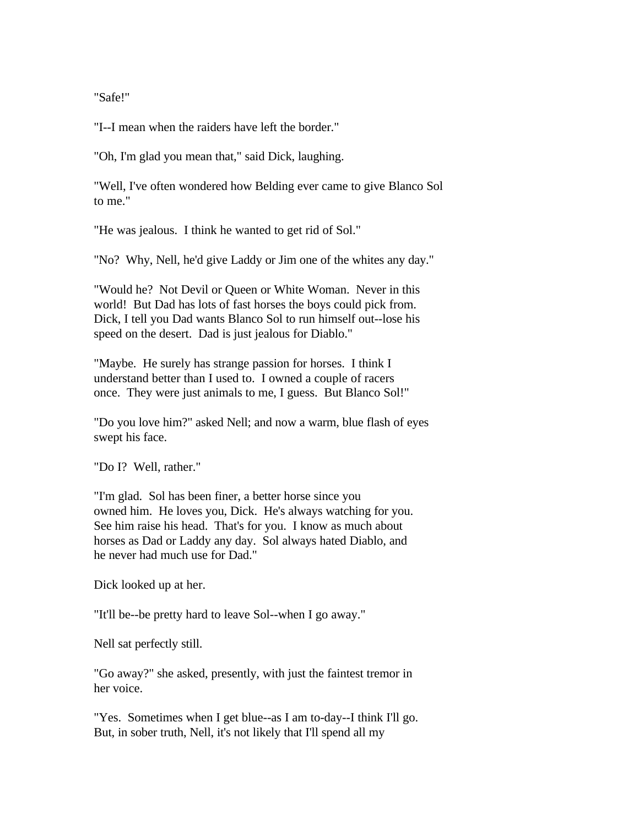"Safe!"

"I--I mean when the raiders have left the border."

"Oh, I'm glad you mean that," said Dick, laughing.

"Well, I've often wondered how Belding ever came to give Blanco Sol to me."

"He was jealous. I think he wanted to get rid of Sol."

"No? Why, Nell, he'd give Laddy or Jim one of the whites any day."

"Would he? Not Devil or Queen or White Woman. Never in this world! But Dad has lots of fast horses the boys could pick from. Dick, I tell you Dad wants Blanco Sol to run himself out--lose his speed on the desert. Dad is just jealous for Diablo."

"Maybe. He surely has strange passion for horses. I think I understand better than I used to. I owned a couple of racers once. They were just animals to me, I guess. But Blanco Sol!"

"Do you love him?" asked Nell; and now a warm, blue flash of eyes swept his face.

"Do I? Well, rather."

"I'm glad. Sol has been finer, a better horse since you owned him. He loves you, Dick. He's always watching for you. See him raise his head. That's for you. I know as much about horses as Dad or Laddy any day. Sol always hated Diablo, and he never had much use for Dad."

Dick looked up at her.

"It'll be--be pretty hard to leave Sol--when I go away."

Nell sat perfectly still.

"Go away?" she asked, presently, with just the faintest tremor in her voice.

"Yes. Sometimes when I get blue--as I am to-day--I think I'll go. But, in sober truth, Nell, it's not likely that I'll spend all my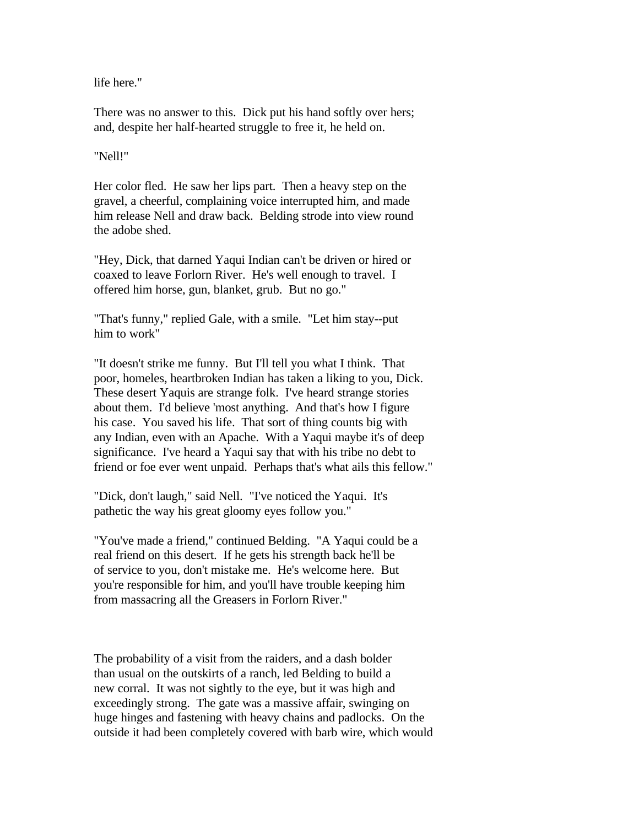life here."

There was no answer to this. Dick put his hand softly over hers; and, despite her half-hearted struggle to free it, he held on.

"Nell!"

Her color fled. He saw her lips part. Then a heavy step on the gravel, a cheerful, complaining voice interrupted him, and made him release Nell and draw back. Belding strode into view round the adobe shed.

"Hey, Dick, that darned Yaqui Indian can't be driven or hired or coaxed to leave Forlorn River. He's well enough to travel. I offered him horse, gun, blanket, grub. But no go."

"That's funny," replied Gale, with a smile. "Let him stay--put him to work"

"It doesn't strike me funny. But I'll tell you what I think. That poor, homeles, heartbroken Indian has taken a liking to you, Dick. These desert Yaquis are strange folk. I've heard strange stories about them. I'd believe 'most anything. And that's how I figure his case. You saved his life. That sort of thing counts big with any Indian, even with an Apache. With a Yaqui maybe it's of deep significance. I've heard a Yaqui say that with his tribe no debt to friend or foe ever went unpaid. Perhaps that's what ails this fellow."

"Dick, don't laugh," said Nell. "I've noticed the Yaqui. It's pathetic the way his great gloomy eyes follow you."

"You've made a friend," continued Belding. "A Yaqui could be a real friend on this desert. If he gets his strength back he'll be of service to you, don't mistake me. He's welcome here. But you're responsible for him, and you'll have trouble keeping him from massacring all the Greasers in Forlorn River."

The probability of a visit from the raiders, and a dash bolder than usual on the outskirts of a ranch, led Belding to build a new corral. It was not sightly to the eye, but it was high and exceedingly strong. The gate was a massive affair, swinging on huge hinges and fastening with heavy chains and padlocks. On the outside it had been completely covered with barb wire, which would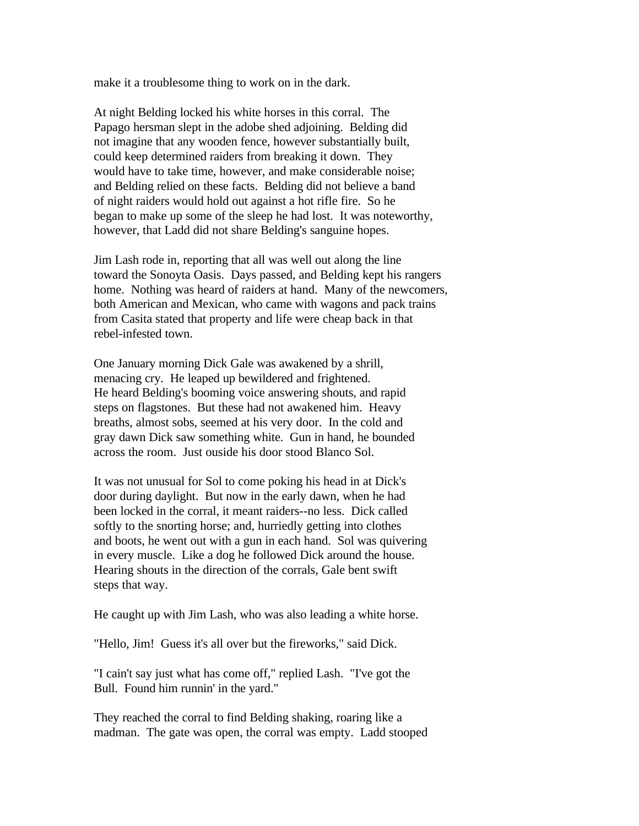make it a troublesome thing to work on in the dark.

At night Belding locked his white horses in this corral. The Papago hersman slept in the adobe shed adjoining. Belding did not imagine that any wooden fence, however substantially built, could keep determined raiders from breaking it down. They would have to take time, however, and make considerable noise; and Belding relied on these facts. Belding did not believe a band of night raiders would hold out against a hot rifle fire. So he began to make up some of the sleep he had lost. It was noteworthy, however, that Ladd did not share Belding's sanguine hopes.

Jim Lash rode in, reporting that all was well out along the line toward the Sonoyta Oasis. Days passed, and Belding kept his rangers home. Nothing was heard of raiders at hand. Many of the newcomers, both American and Mexican, who came with wagons and pack trains from Casita stated that property and life were cheap back in that rebel-infested town.

One January morning Dick Gale was awakened by a shrill, menacing cry. He leaped up bewildered and frightened. He heard Belding's booming voice answering shouts, and rapid steps on flagstones. But these had not awakened him. Heavy breaths, almost sobs, seemed at his very door. In the cold and gray dawn Dick saw something white. Gun in hand, he bounded across the room. Just ouside his door stood Blanco Sol.

It was not unusual for Sol to come poking his head in at Dick's door during daylight. But now in the early dawn, when he had been locked in the corral, it meant raiders--no less. Dick called softly to the snorting horse; and, hurriedly getting into clothes and boots, he went out with a gun in each hand. Sol was quivering in every muscle. Like a dog he followed Dick around the house. Hearing shouts in the direction of the corrals, Gale bent swift steps that way.

He caught up with Jim Lash, who was also leading a white horse.

"Hello, Jim! Guess it's all over but the fireworks," said Dick.

"I cain't say just what has come off," replied Lash. "I've got the Bull. Found him runnin' in the yard."

They reached the corral to find Belding shaking, roaring like a madman. The gate was open, the corral was empty. Ladd stooped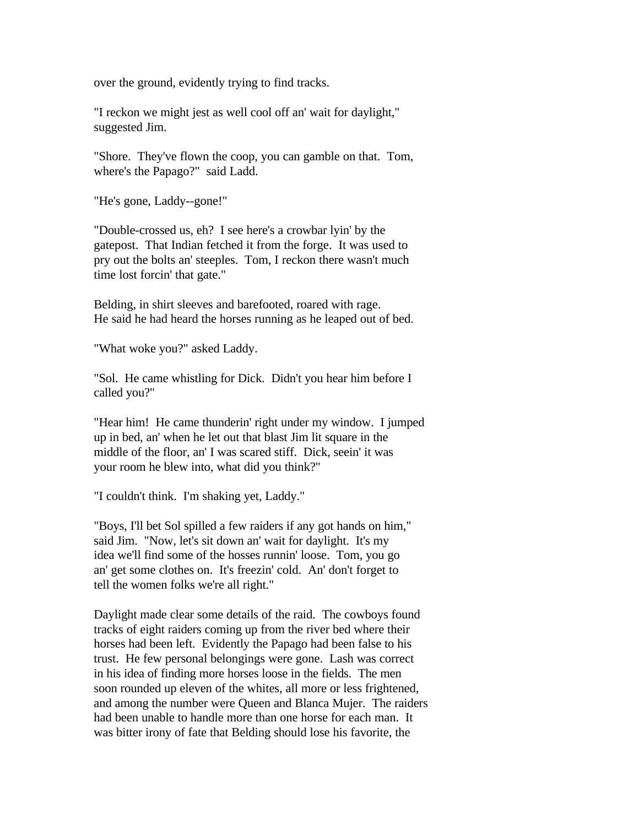over the ground, evidently trying to find tracks.

"I reckon we might jest as well cool off an' wait for daylight," suggested Jim.

"Shore. They've flown the coop, you can gamble on that. Tom, where's the Papago?" said Ladd.

"He's gone, Laddy--gone!"

"Double-crossed us, eh? I see here's a crowbar lyin' by the gatepost. That Indian fetched it from the forge. It was used to pry out the bolts an' steeples. Tom, I reckon there wasn't much time lost forcin' that gate."

Belding, in shirt sleeves and barefooted, roared with rage. He said he had heard the horses running as he leaped out of bed.

"What woke you?" asked Laddy.

"Sol. He came whistling for Dick. Didn't you hear him before I called you?"

"Hear him! He came thunderin' right under my window. I jumped up in bed, an' when he let out that blast Jim lit square in the middle of the floor, an' I was scared stiff. Dick, seein' it was your room he blew into, what did you think?"

"I couldn't think. I'm shaking yet, Laddy."

"Boys, I'll bet Sol spilled a few raiders if any got hands on him," said Jim. "Now, let's sit down an' wait for daylight. It's my idea we'll find some of the hosses runnin' loose. Tom, you go an' get some clothes on. It's freezin' cold. An' don't forget to tell the women folks we're all right."

Daylight made clear some details of the raid. The cowboys found tracks of eight raiders coming up from the river bed where their horses had been left. Evidently the Papago had been false to his trust. He few personal belongings were gone. Lash was correct in his idea of finding more horses loose in the fields. The men soon rounded up eleven of the whites, all more or less frightened, and among the number were Queen and Blanca Mujer. The raiders had been unable to handle more than one horse for each man. It was bitter irony of fate that Belding should lose his favorite, the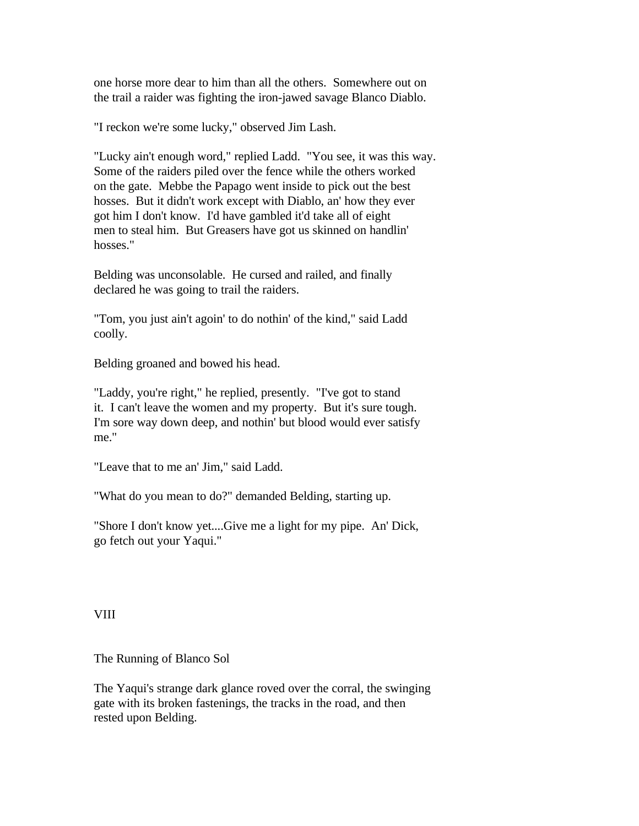one horse more dear to him than all the others. Somewhere out on the trail a raider was fighting the iron-jawed savage Blanco Diablo.

"I reckon we're some lucky," observed Jim Lash.

"Lucky ain't enough word," replied Ladd. "You see, it was this way. Some of the raiders piled over the fence while the others worked on the gate. Mebbe the Papago went inside to pick out the best hosses. But it didn't work except with Diablo, an' how they ever got him I don't know. I'd have gambled it'd take all of eight men to steal him. But Greasers have got us skinned on handlin' hosses."

Belding was unconsolable. He cursed and railed, and finally declared he was going to trail the raiders.

"Tom, you just ain't agoin' to do nothin' of the kind," said Ladd coolly.

Belding groaned and bowed his head.

"Laddy, you're right," he replied, presently. "I've got to stand it. I can't leave the women and my property. But it's sure tough. I'm sore way down deep, and nothin' but blood would ever satisfy me."

"Leave that to me an' Jim," said Ladd.

"What do you mean to do?" demanded Belding, starting up.

"Shore I don't know yet....Give me a light for my pipe. An' Dick, go fetch out your Yaqui."

VIII

The Running of Blanco Sol

The Yaqui's strange dark glance roved over the corral, the swinging gate with its broken fastenings, the tracks in the road, and then rested upon Belding.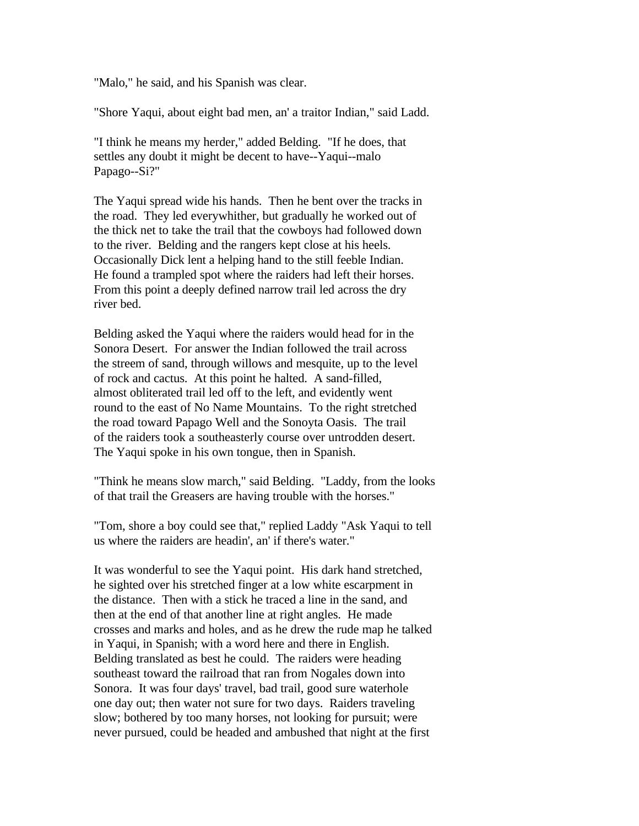"Malo," he said, and his Spanish was clear.

"Shore Yaqui, about eight bad men, an' a traitor Indian," said Ladd.

"I think he means my herder," added Belding. "If he does, that settles any doubt it might be decent to have--Yaqui--malo Papago--Si?"

The Yaqui spread wide his hands. Then he bent over the tracks in the road. They led everywhither, but gradually he worked out of the thick net to take the trail that the cowboys had followed down to the river. Belding and the rangers kept close at his heels. Occasionally Dick lent a helping hand to the still feeble Indian. He found a trampled spot where the raiders had left their horses. From this point a deeply defined narrow trail led across the dry river bed.

Belding asked the Yaqui where the raiders would head for in the Sonora Desert. For answer the Indian followed the trail across the streem of sand, through willows and mesquite, up to the level of rock and cactus. At this point he halted. A sand-filled, almost obliterated trail led off to the left, and evidently went round to the east of No Name Mountains. To the right stretched the road toward Papago Well and the Sonoyta Oasis. The trail of the raiders took a southeasterly course over untrodden desert. The Yaqui spoke in his own tongue, then in Spanish.

"Think he means slow march," said Belding. "Laddy, from the looks of that trail the Greasers are having trouble with the horses."

"Tom, shore a boy could see that," replied Laddy "Ask Yaqui to tell us where the raiders are headin', an' if there's water."

It was wonderful to see the Yaqui point. His dark hand stretched, he sighted over his stretched finger at a low white escarpment in the distance. Then with a stick he traced a line in the sand, and then at the end of that another line at right angles. He made crosses and marks and holes, and as he drew the rude map he talked in Yaqui, in Spanish; with a word here and there in English. Belding translated as best he could. The raiders were heading southeast toward the railroad that ran from Nogales down into Sonora. It was four days' travel, bad trail, good sure waterhole one day out; then water not sure for two days. Raiders traveling slow; bothered by too many horses, not looking for pursuit; were never pursued, could be headed and ambushed that night at the first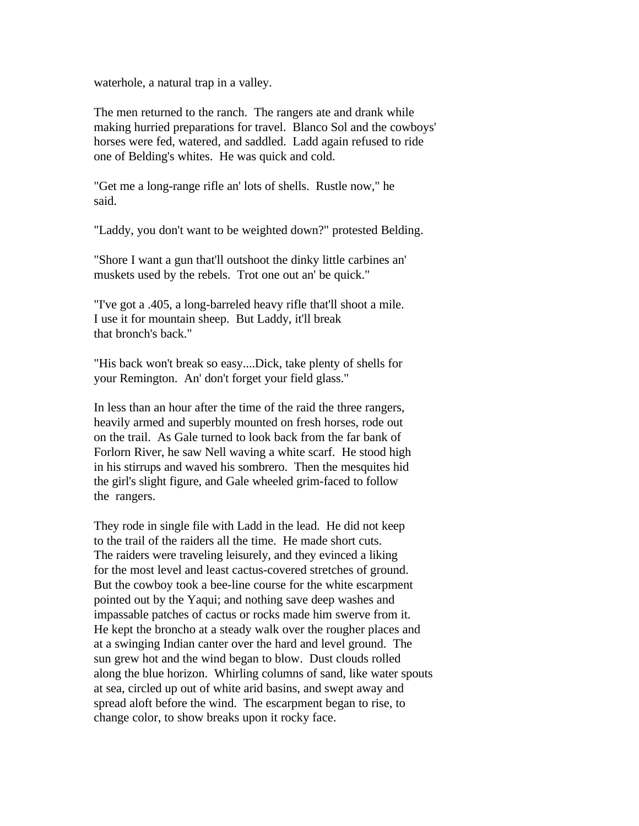waterhole, a natural trap in a valley.

The men returned to the ranch. The rangers ate and drank while making hurried preparations for travel. Blanco Sol and the cowboys' horses were fed, watered, and saddled. Ladd again refused to ride one of Belding's whites. He was quick and cold.

"Get me a long-range rifle an' lots of shells. Rustle now," he said.

"Laddy, you don't want to be weighted down?" protested Belding.

"Shore I want a gun that'll outshoot the dinky little carbines an' muskets used by the rebels. Trot one out an' be quick."

"I've got a .405, a long-barreled heavy rifle that'll shoot a mile. I use it for mountain sheep. But Laddy, it'll break that bronch's back."

"His back won't break so easy....Dick, take plenty of shells for your Remington. An' don't forget your field glass."

In less than an hour after the time of the raid the three rangers, heavily armed and superbly mounted on fresh horses, rode out on the trail. As Gale turned to look back from the far bank of Forlorn River, he saw Nell waving a white scarf. He stood high in his stirrups and waved his sombrero. Then the mesquites hid the girl's slight figure, and Gale wheeled grim-faced to follow the rangers.

They rode in single file with Ladd in the lead. He did not keep to the trail of the raiders all the time. He made short cuts. The raiders were traveling leisurely, and they evinced a liking for the most level and least cactus-covered stretches of ground. But the cowboy took a bee-line course for the white escarpment pointed out by the Yaqui; and nothing save deep washes and impassable patches of cactus or rocks made him swerve from it. He kept the broncho at a steady walk over the rougher places and at a swinging Indian canter over the hard and level ground. The sun grew hot and the wind began to blow. Dust clouds rolled along the blue horizon. Whirling columns of sand, like water spouts at sea, circled up out of white arid basins, and swept away and spread aloft before the wind. The escarpment began to rise, to change color, to show breaks upon it rocky face.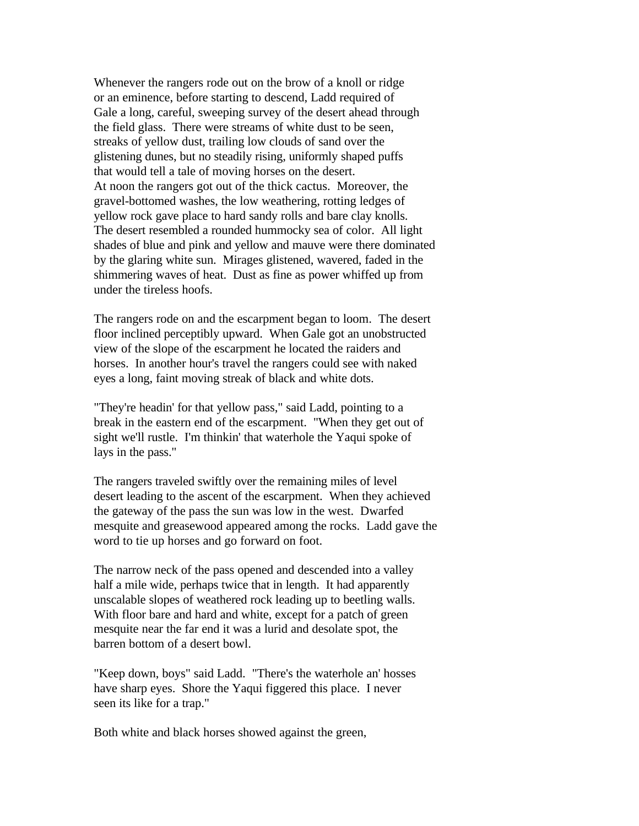Whenever the rangers rode out on the brow of a knoll or ridge or an eminence, before starting to descend, Ladd required of Gale a long, careful, sweeping survey of the desert ahead through the field glass. There were streams of white dust to be seen, streaks of yellow dust, trailing low clouds of sand over the glistening dunes, but no steadily rising, uniformly shaped puffs that would tell a tale of moving horses on the desert. At noon the rangers got out of the thick cactus. Moreover, the gravel-bottomed washes, the low weathering, rotting ledges of yellow rock gave place to hard sandy rolls and bare clay knolls. The desert resembled a rounded hummocky sea of color. All light shades of blue and pink and yellow and mauve were there dominated by the glaring white sun. Mirages glistened, wavered, faded in the shimmering waves of heat. Dust as fine as power whiffed up from under the tireless hoofs.

The rangers rode on and the escarpment began to loom. The desert floor inclined perceptibly upward. When Gale got an unobstructed view of the slope of the escarpment he located the raiders and horses. In another hour's travel the rangers could see with naked eyes a long, faint moving streak of black and white dots.

"They're headin' for that yellow pass," said Ladd, pointing to a break in the eastern end of the escarpment. "When they get out of sight we'll rustle. I'm thinkin' that waterhole the Yaqui spoke of lays in the pass."

The rangers traveled swiftly over the remaining miles of level desert leading to the ascent of the escarpment. When they achieved the gateway of the pass the sun was low in the west. Dwarfed mesquite and greasewood appeared among the rocks. Ladd gave the word to tie up horses and go forward on foot.

The narrow neck of the pass opened and descended into a valley half a mile wide, perhaps twice that in length. It had apparently unscalable slopes of weathered rock leading up to beetling walls. With floor bare and hard and white, except for a patch of green mesquite near the far end it was a lurid and desolate spot, the barren bottom of a desert bowl.

"Keep down, boys" said Ladd. "There's the waterhole an' hosses have sharp eyes. Shore the Yaqui figgered this place. I never seen its like for a trap."

Both white and black horses showed against the green,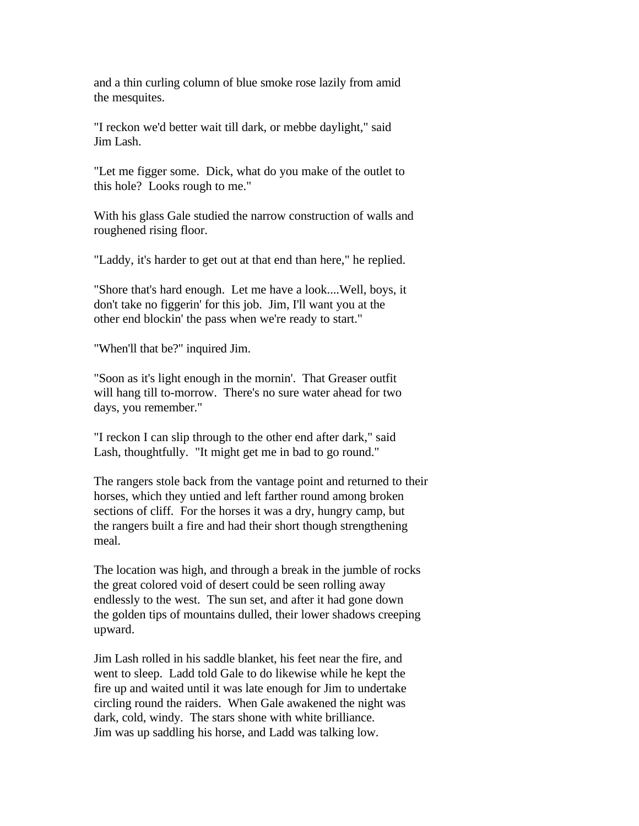and a thin curling column of blue smoke rose lazily from amid the mesquites.

"I reckon we'd better wait till dark, or mebbe daylight," said Jim Lash.

"Let me figger some. Dick, what do you make of the outlet to this hole? Looks rough to me."

With his glass Gale studied the narrow construction of walls and roughened rising floor.

"Laddy, it's harder to get out at that end than here," he replied.

"Shore that's hard enough. Let me have a look....Well, boys, it don't take no figgerin' for this job. Jim, I'll want you at the other end blockin' the pass when we're ready to start."

"When'll that be?" inquired Jim.

"Soon as it's light enough in the mornin'. That Greaser outfit will hang till to-morrow. There's no sure water ahead for two days, you remember."

"I reckon I can slip through to the other end after dark," said Lash, thoughtfully. "It might get me in bad to go round."

The rangers stole back from the vantage point and returned to their horses, which they untied and left farther round among broken sections of cliff. For the horses it was a dry, hungry camp, but the rangers built a fire and had their short though strengthening meal.

The location was high, and through a break in the jumble of rocks the great colored void of desert could be seen rolling away endlessly to the west. The sun set, and after it had gone down the golden tips of mountains dulled, their lower shadows creeping upward.

Jim Lash rolled in his saddle blanket, his feet near the fire, and went to sleep. Ladd told Gale to do likewise while he kept the fire up and waited until it was late enough for Jim to undertake circling round the raiders. When Gale awakened the night was dark, cold, windy. The stars shone with white brilliance. Jim was up saddling his horse, and Ladd was talking low.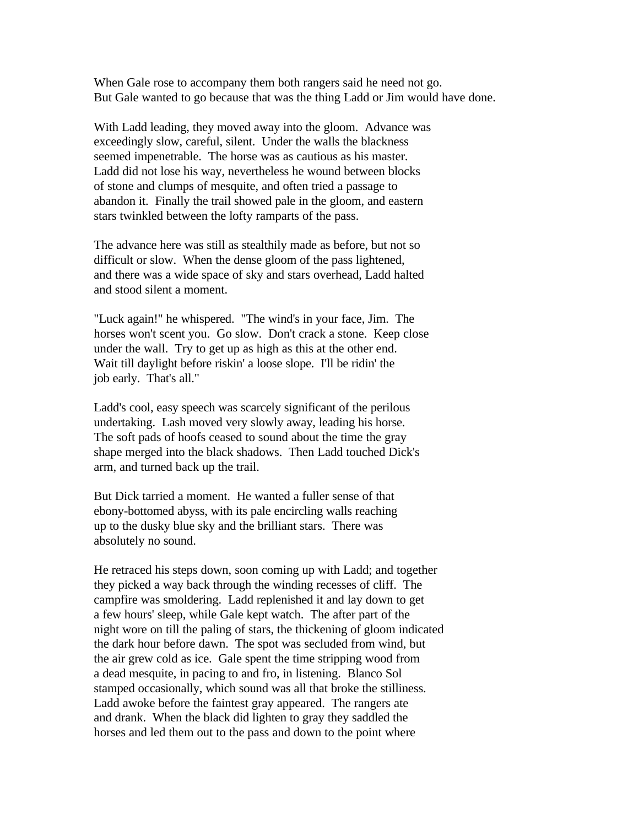When Gale rose to accompany them both rangers said he need not go. But Gale wanted to go because that was the thing Ladd or Jim would have done.

With Ladd leading, they moved away into the gloom. Advance was exceedingly slow, careful, silent. Under the walls the blackness seemed impenetrable. The horse was as cautious as his master. Ladd did not lose his way, nevertheless he wound between blocks of stone and clumps of mesquite, and often tried a passage to abandon it. Finally the trail showed pale in the gloom, and eastern stars twinkled between the lofty ramparts of the pass.

The advance here was still as stealthily made as before, but not so difficult or slow. When the dense gloom of the pass lightened, and there was a wide space of sky and stars overhead, Ladd halted and stood silent a moment.

"Luck again!" he whispered. "The wind's in your face, Jim. The horses won't scent you. Go slow. Don't crack a stone. Keep close under the wall. Try to get up as high as this at the other end. Wait till daylight before riskin' a loose slope. I'll be ridin' the job early. That's all."

Ladd's cool, easy speech was scarcely significant of the perilous undertaking. Lash moved very slowly away, leading his horse. The soft pads of hoofs ceased to sound about the time the gray shape merged into the black shadows. Then Ladd touched Dick's arm, and turned back up the trail.

But Dick tarried a moment. He wanted a fuller sense of that ebony-bottomed abyss, with its pale encircling walls reaching up to the dusky blue sky and the brilliant stars. There was absolutely no sound.

He retraced his steps down, soon coming up with Ladd; and together they picked a way back through the winding recesses of cliff. The campfire was smoldering. Ladd replenished it and lay down to get a few hours' sleep, while Gale kept watch. The after part of the night wore on till the paling of stars, the thickening of gloom indicated the dark hour before dawn. The spot was secluded from wind, but the air grew cold as ice. Gale spent the time stripping wood from a dead mesquite, in pacing to and fro, in listening. Blanco Sol stamped occasionally, which sound was all that broke the stilliness. Ladd awoke before the faintest gray appeared. The rangers ate and drank. When the black did lighten to gray they saddled the horses and led them out to the pass and down to the point where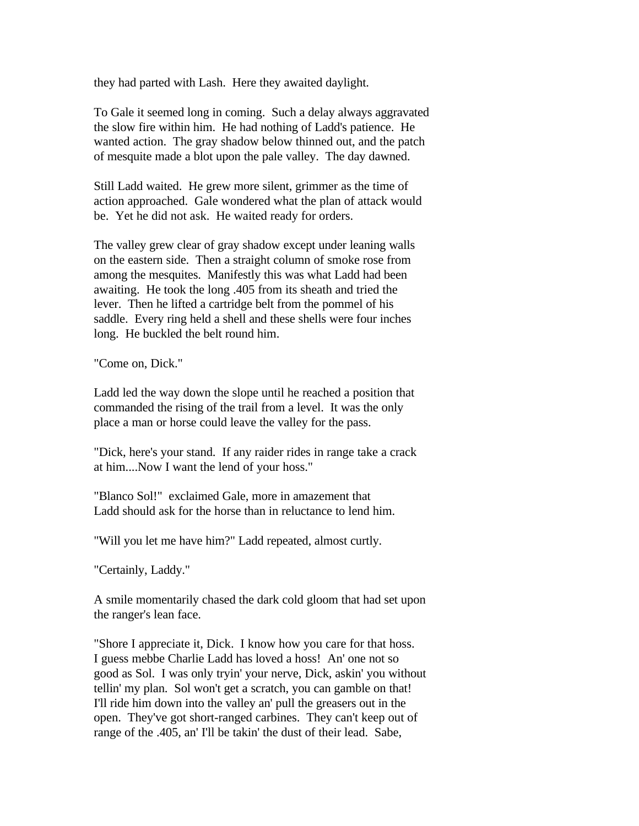they had parted with Lash. Here they awaited daylight.

To Gale it seemed long in coming. Such a delay always aggravated the slow fire within him. He had nothing of Ladd's patience. He wanted action. The gray shadow below thinned out, and the patch of mesquite made a blot upon the pale valley. The day dawned.

Still Ladd waited. He grew more silent, grimmer as the time of action approached. Gale wondered what the plan of attack would be. Yet he did not ask. He waited ready for orders.

The valley grew clear of gray shadow except under leaning walls on the eastern side. Then a straight column of smoke rose from among the mesquites. Manifestly this was what Ladd had been awaiting. He took the long .405 from its sheath and tried the lever. Then he lifted a cartridge belt from the pommel of his saddle. Every ring held a shell and these shells were four inches long. He buckled the belt round him.

"Come on, Dick."

Ladd led the way down the slope until he reached a position that commanded the rising of the trail from a level. It was the only place a man or horse could leave the valley for the pass.

"Dick, here's your stand. If any raider rides in range take a crack at him....Now I want the lend of your hoss."

"Blanco Sol!" exclaimed Gale, more in amazement that Ladd should ask for the horse than in reluctance to lend him.

"Will you let me have him?" Ladd repeated, almost curtly.

"Certainly, Laddy."

A smile momentarily chased the dark cold gloom that had set upon the ranger's lean face.

"Shore I appreciate it, Dick. I know how you care for that hoss. I guess mebbe Charlie Ladd has loved a hoss! An' one not so good as Sol. I was only tryin' your nerve, Dick, askin' you without tellin' my plan. Sol won't get a scratch, you can gamble on that! I'll ride him down into the valley an' pull the greasers out in the open. They've got short-ranged carbines. They can't keep out of range of the .405, an' I'll be takin' the dust of their lead. Sabe,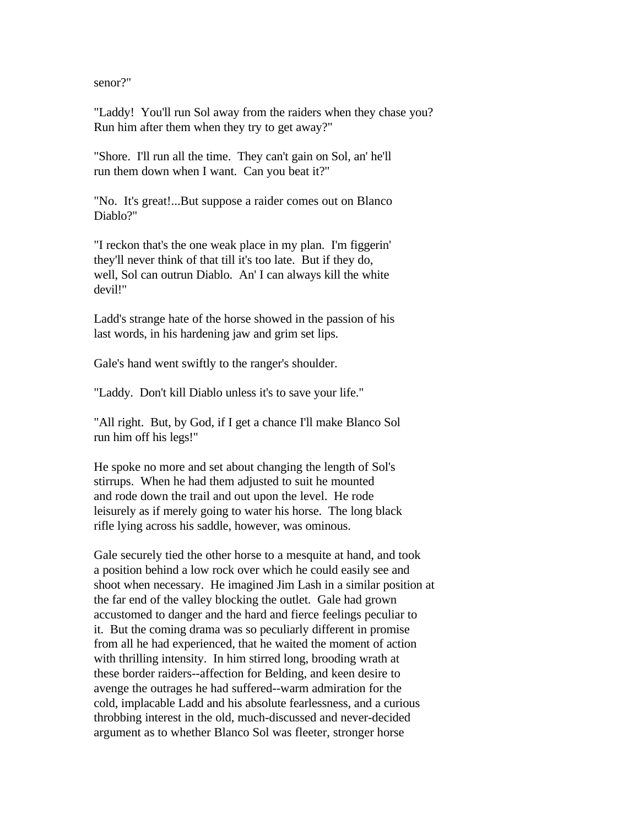senor?"

"Laddy! You'll run Sol away from the raiders when they chase you? Run him after them when they try to get away?"

"Shore. I'll run all the time. They can't gain on Sol, an' he'll run them down when I want. Can you beat it?"

"No. It's great!...But suppose a raider comes out on Blanco Diablo?"

"I reckon that's the one weak place in my plan. I'm figgerin' they'll never think of that till it's too late. But if they do, well, Sol can outrun Diablo. An' I can always kill the white devil!"

Ladd's strange hate of the horse showed in the passion of his last words, in his hardening jaw and grim set lips.

Gale's hand went swiftly to the ranger's shoulder.

"Laddy. Don't kill Diablo unless it's to save your life."

"All right. But, by God, if I get a chance I'll make Blanco Sol run him off his legs!"

He spoke no more and set about changing the length of Sol's stirrups. When he had them adjusted to suit he mounted and rode down the trail and out upon the level. He rode leisurely as if merely going to water his horse. The long black rifle lying across his saddle, however, was ominous.

Gale securely tied the other horse to a mesquite at hand, and took a position behind a low rock over which he could easily see and shoot when necessary. He imagined Jim Lash in a similar position at the far end of the valley blocking the outlet. Gale had grown accustomed to danger and the hard and fierce feelings peculiar to it. But the coming drama was so peculiarly different in promise from all he had experienced, that he waited the moment of action with thrilling intensity. In him stirred long, brooding wrath at these border raiders--affection for Belding, and keen desire to avenge the outrages he had suffered--warm admiration for the cold, implacable Ladd and his absolute fearlessness, and a curious throbbing interest in the old, much-discussed and never-decided argument as to whether Blanco Sol was fleeter, stronger horse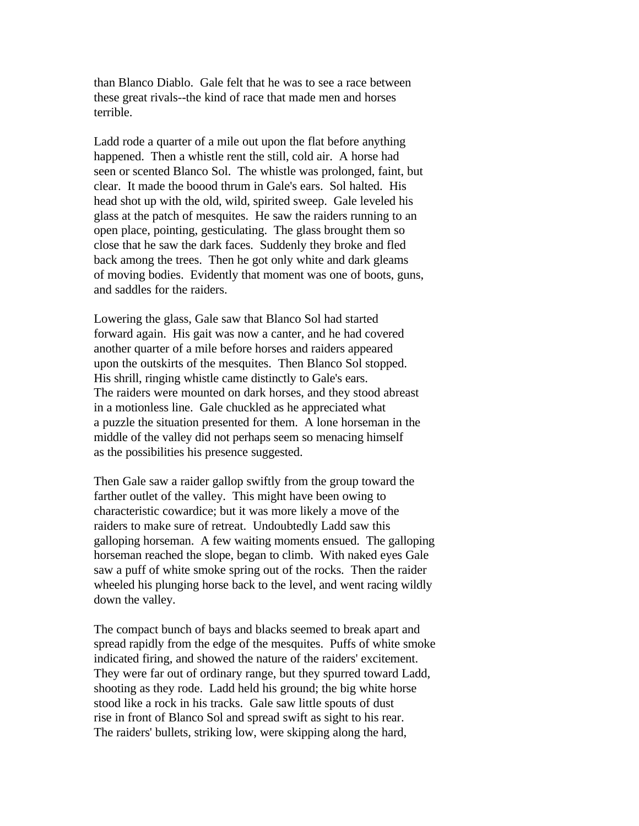than Blanco Diablo. Gale felt that he was to see a race between these great rivals--the kind of race that made men and horses terrible.

Ladd rode a quarter of a mile out upon the flat before anything happened. Then a whistle rent the still, cold air. A horse had seen or scented Blanco Sol. The whistle was prolonged, faint, but clear. It made the boood thrum in Gale's ears. Sol halted. His head shot up with the old, wild, spirited sweep. Gale leveled his glass at the patch of mesquites. He saw the raiders running to an open place, pointing, gesticulating. The glass brought them so close that he saw the dark faces. Suddenly they broke and fled back among the trees. Then he got only white and dark gleams of moving bodies. Evidently that moment was one of boots, guns, and saddles for the raiders.

Lowering the glass, Gale saw that Blanco Sol had started forward again. His gait was now a canter, and he had covered another quarter of a mile before horses and raiders appeared upon the outskirts of the mesquites. Then Blanco Sol stopped. His shrill, ringing whistle came distinctly to Gale's ears. The raiders were mounted on dark horses, and they stood abreast in a motionless line. Gale chuckled as he appreciated what a puzzle the situation presented for them. A lone horseman in the middle of the valley did not perhaps seem so menacing himself as the possibilities his presence suggested.

Then Gale saw a raider gallop swiftly from the group toward the farther outlet of the valley. This might have been owing to characteristic cowardice; but it was more likely a move of the raiders to make sure of retreat. Undoubtedly Ladd saw this galloping horseman. A few waiting moments ensued. The galloping horseman reached the slope, began to climb. With naked eyes Gale saw a puff of white smoke spring out of the rocks. Then the raider wheeled his plunging horse back to the level, and went racing wildly down the valley.

The compact bunch of bays and blacks seemed to break apart and spread rapidly from the edge of the mesquites. Puffs of white smoke indicated firing, and showed the nature of the raiders' excitement. They were far out of ordinary range, but they spurred toward Ladd, shooting as they rode. Ladd held his ground; the big white horse stood like a rock in his tracks. Gale saw little spouts of dust rise in front of Blanco Sol and spread swift as sight to his rear. The raiders' bullets, striking low, were skipping along the hard,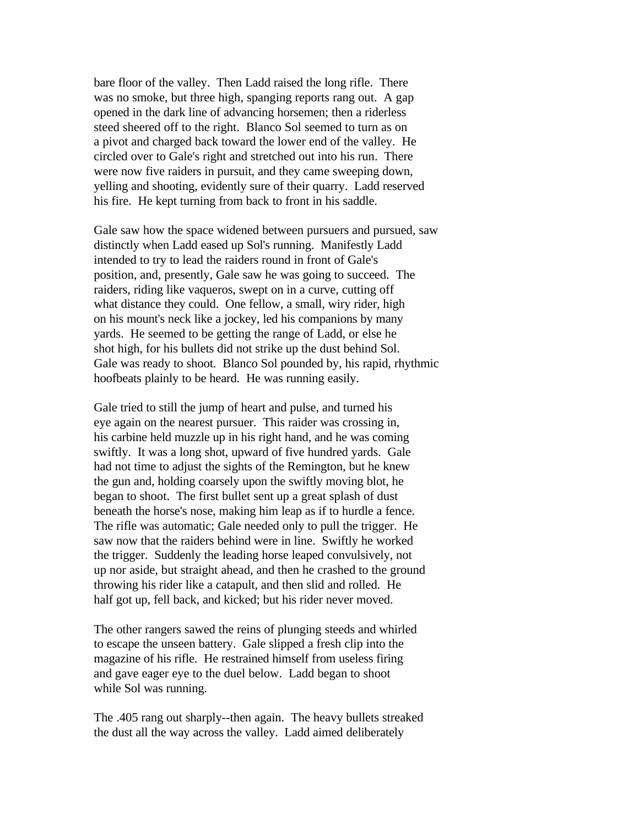bare floor of the valley. Then Ladd raised the long rifle. There was no smoke, but three high, spanging reports rang out. A gap opened in the dark line of advancing horsemen; then a riderless steed sheered off to the right. Blanco Sol seemed to turn as on a pivot and charged back toward the lower end of the valley. He circled over to Gale's right and stretched out into his run. There were now five raiders in pursuit, and they came sweeping down, yelling and shooting, evidently sure of their quarry. Ladd reserved his fire. He kept turning from back to front in his saddle.

Gale saw how the space widened between pursuers and pursued, saw distinctly when Ladd eased up Sol's running. Manifestly Ladd intended to try to lead the raiders round in front of Gale's position, and, presently, Gale saw he was going to succeed. The raiders, riding like vaqueros, swept on in a curve, cutting off what distance they could. One fellow, a small, wiry rider, high on his mount's neck like a jockey, led his companions by many yards. He seemed to be getting the range of Ladd, or else he shot high, for his bullets did not strike up the dust behind Sol. Gale was ready to shoot. Blanco Sol pounded by, his rapid, rhythmic hoofbeats plainly to be heard. He was running easily.

Gale tried to still the jump of heart and pulse, and turned his eye again on the nearest pursuer. This raider was crossing in, his carbine held muzzle up in his right hand, and he was coming swiftly. It was a long shot, upward of five hundred yards. Gale had not time to adjust the sights of the Remington, but he knew the gun and, holding coarsely upon the swiftly moving blot, he began to shoot. The first bullet sent up a great splash of dust beneath the horse's nose, making him leap as if to hurdle a fence. The rifle was automatic; Gale needed only to pull the trigger. He saw now that the raiders behind were in line. Swiftly he worked the trigger. Suddenly the leading horse leaped convulsively, not up nor aside, but straight ahead, and then he crashed to the ground throwing his rider like a catapult, and then slid and rolled. He half got up, fell back, and kicked; but his rider never moved.

The other rangers sawed the reins of plunging steeds and whirled to escape the unseen battery. Gale slipped a fresh clip into the magazine of his rifle. He restrained himself from useless firing and gave eager eye to the duel below. Ladd began to shoot while Sol was running.

The .405 rang out sharply--then again. The heavy bullets streaked the dust all the way across the valley. Ladd aimed deliberately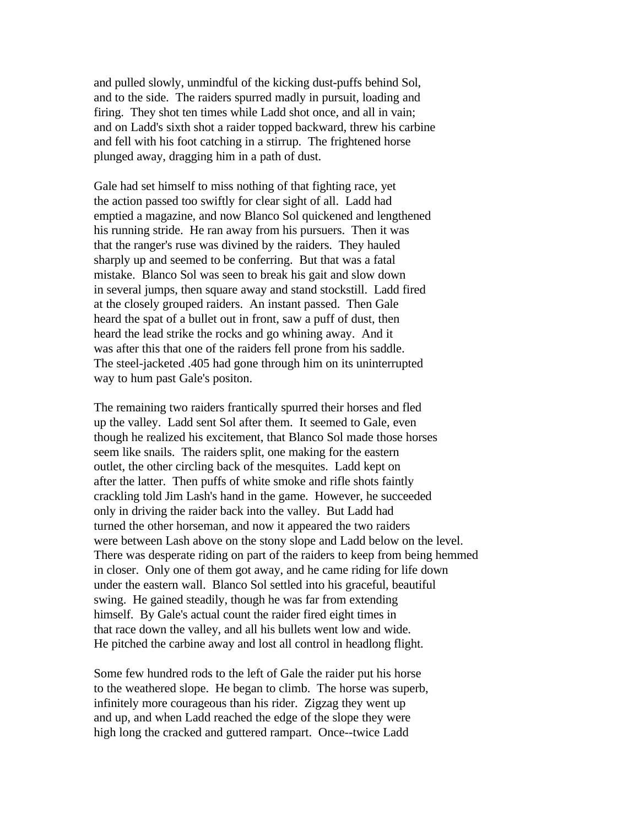and pulled slowly, unmindful of the kicking dust-puffs behind Sol, and to the side. The raiders spurred madly in pursuit, loading and firing. They shot ten times while Ladd shot once, and all in vain; and on Ladd's sixth shot a raider topped backward, threw his carbine and fell with his foot catching in a stirrup. The frightened horse plunged away, dragging him in a path of dust.

Gale had set himself to miss nothing of that fighting race, yet the action passed too swiftly for clear sight of all. Ladd had emptied a magazine, and now Blanco Sol quickened and lengthened his running stride. He ran away from his pursuers. Then it was that the ranger's ruse was divined by the raiders. They hauled sharply up and seemed to be conferring. But that was a fatal mistake. Blanco Sol was seen to break his gait and slow down in several jumps, then square away and stand stockstill. Ladd fired at the closely grouped raiders. An instant passed. Then Gale heard the spat of a bullet out in front, saw a puff of dust, then heard the lead strike the rocks and go whining away. And it was after this that one of the raiders fell prone from his saddle. The steel-jacketed .405 had gone through him on its uninterrupted way to hum past Gale's positon.

The remaining two raiders frantically spurred their horses and fled up the valley. Ladd sent Sol after them. It seemed to Gale, even though he realized his excitement, that Blanco Sol made those horses seem like snails. The raiders split, one making for the eastern outlet, the other circling back of the mesquites. Ladd kept on after the latter. Then puffs of white smoke and rifle shots faintly crackling told Jim Lash's hand in the game. However, he succeeded only in driving the raider back into the valley. But Ladd had turned the other horseman, and now it appeared the two raiders were between Lash above on the stony slope and Ladd below on the level. There was desperate riding on part of the raiders to keep from being hemmed in closer. Only one of them got away, and he came riding for life down under the eastern wall. Blanco Sol settled into his graceful, beautiful swing. He gained steadily, though he was far from extending himself. By Gale's actual count the raider fired eight times in that race down the valley, and all his bullets went low and wide. He pitched the carbine away and lost all control in headlong flight.

Some few hundred rods to the left of Gale the raider put his horse to the weathered slope. He began to climb. The horse was superb, infinitely more courageous than his rider. Zigzag they went up and up, and when Ladd reached the edge of the slope they were high long the cracked and guttered rampart. Once--twice Ladd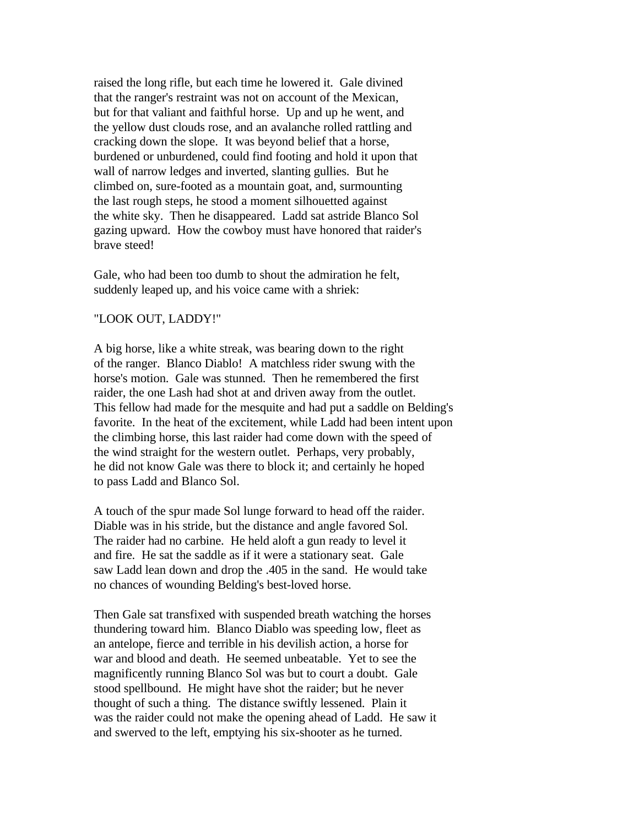raised the long rifle, but each time he lowered it. Gale divined that the ranger's restraint was not on account of the Mexican, but for that valiant and faithful horse. Up and up he went, and the yellow dust clouds rose, and an avalanche rolled rattling and cracking down the slope. It was beyond belief that a horse, burdened or unburdened, could find footing and hold it upon that wall of narrow ledges and inverted, slanting gullies. But he climbed on, sure-footed as a mountain goat, and, surmounting the last rough steps, he stood a moment silhouetted against the white sky. Then he disappeared. Ladd sat astride Blanco Sol gazing upward. How the cowboy must have honored that raider's brave steed!

Gale, who had been too dumb to shout the admiration he felt, suddenly leaped up, and his voice came with a shriek:

## "LOOK OUT, LADDY!"

A big horse, like a white streak, was bearing down to the right of the ranger. Blanco Diablo! A matchless rider swung with the horse's motion. Gale was stunned. Then he remembered the first raider, the one Lash had shot at and driven away from the outlet. This fellow had made for the mesquite and had put a saddle on Belding's favorite. In the heat of the excitement, while Ladd had been intent upon the climbing horse, this last raider had come down with the speed of the wind straight for the western outlet. Perhaps, very probably, he did not know Gale was there to block it; and certainly he hoped to pass Ladd and Blanco Sol.

A touch of the spur made Sol lunge forward to head off the raider. Diable was in his stride, but the distance and angle favored Sol. The raider had no carbine. He held aloft a gun ready to level it and fire. He sat the saddle as if it were a stationary seat. Gale saw Ladd lean down and drop the .405 in the sand. He would take no chances of wounding Belding's best-loved horse.

Then Gale sat transfixed with suspended breath watching the horses thundering toward him. Blanco Diablo was speeding low, fleet as an antelope, fierce and terrible in his devilish action, a horse for war and blood and death. He seemed unbeatable. Yet to see the magnificently running Blanco Sol was but to court a doubt. Gale stood spellbound. He might have shot the raider; but he never thought of such a thing. The distance swiftly lessened. Plain it was the raider could not make the opening ahead of Ladd. He saw it and swerved to the left, emptying his six-shooter as he turned.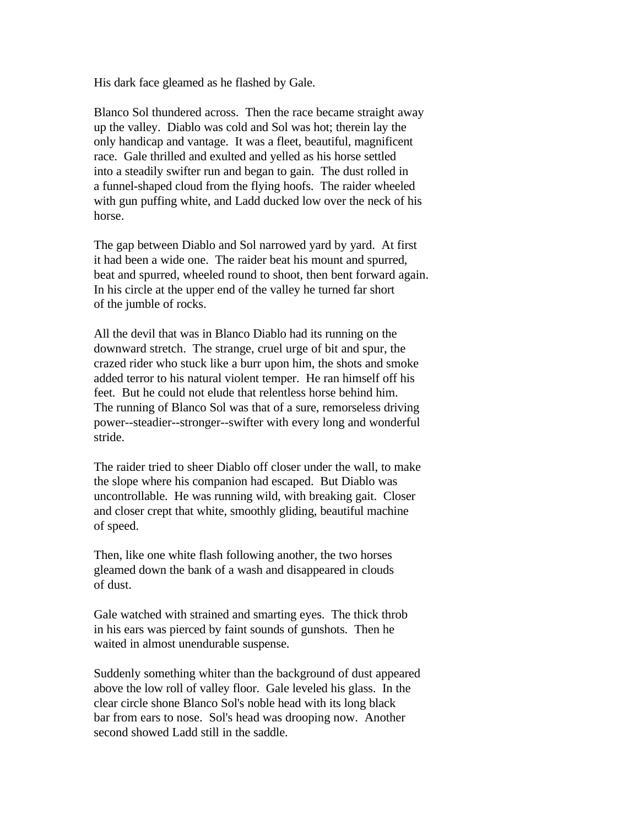His dark face gleamed as he flashed by Gale.

Blanco Sol thundered across. Then the race became straight away up the valley. Diablo was cold and Sol was hot; therein lay the only handicap and vantage. It was a fleet, beautiful, magnificent race. Gale thrilled and exulted and yelled as his horse settled into a steadily swifter run and began to gain. The dust rolled in a funnel-shaped cloud from the flying hoofs. The raider wheeled with gun puffing white, and Ladd ducked low over the neck of his horse.

The gap between Diablo and Sol narrowed yard by yard. At first it had been a wide one. The raider beat his mount and spurred, beat and spurred, wheeled round to shoot, then bent forward again. In his circle at the upper end of the valley he turned far short of the jumble of rocks.

All the devil that was in Blanco Diablo had its running on the downward stretch. The strange, cruel urge of bit and spur, the crazed rider who stuck like a burr upon him, the shots and smoke added terror to his natural violent temper. He ran himself off his feet. But he could not elude that relentless horse behind him. The running of Blanco Sol was that of a sure, remorseless driving power--steadier--stronger--swifter with every long and wonderful stride.

The raider tried to sheer Diablo off closer under the wall, to make the slope where his companion had escaped. But Diablo was uncontrollable. He was running wild, with breaking gait. Closer and closer crept that white, smoothly gliding, beautiful machine of speed.

Then, like one white flash following another, the two horses gleamed down the bank of a wash and disappeared in clouds of dust.

Gale watched with strained and smarting eyes. The thick throb in his ears was pierced by faint sounds of gunshots. Then he waited in almost unendurable suspense.

Suddenly something whiter than the background of dust appeared above the low roll of valley floor. Gale leveled his glass. In the clear circle shone Blanco Sol's noble head with its long black bar from ears to nose. Sol's head was drooping now. Another second showed Ladd still in the saddle.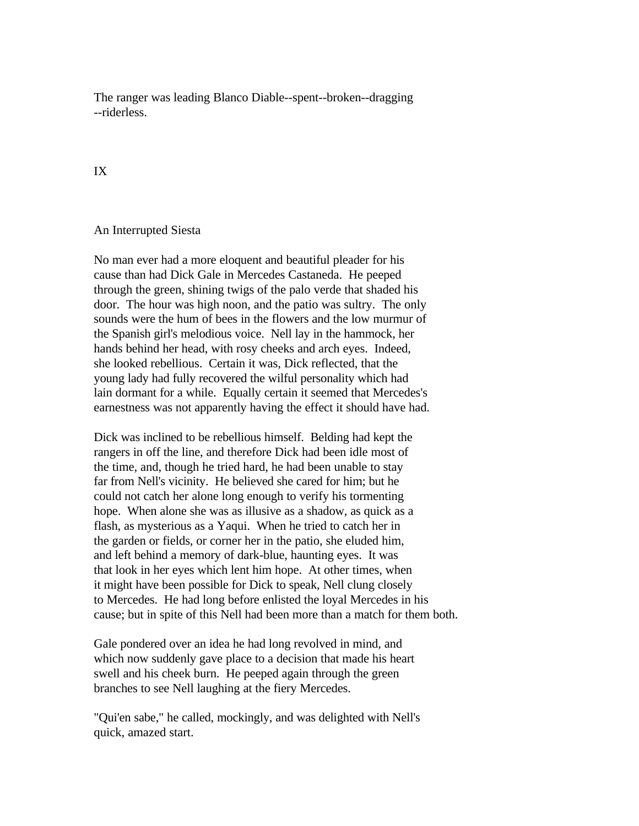The ranger was leading Blanco Diable--spent--broken--dragging --riderless.

## IX

## An Interrupted Siesta

No man ever had a more eloquent and beautiful pleader for his cause than had Dick Gale in Mercedes Castaneda. He peeped through the green, shining twigs of the palo verde that shaded his door. The hour was high noon, and the patio was sultry. The only sounds were the hum of bees in the flowers and the low murmur of the Spanish girl's melodious voice. Nell lay in the hammock, her hands behind her head, with rosy cheeks and arch eyes. Indeed, she looked rebellious. Certain it was, Dick reflected, that the young lady had fully recovered the wilful personality which had lain dormant for a while. Equally certain it seemed that Mercedes's earnestness was not apparently having the effect it should have had.

Dick was inclined to be rebellious himself. Belding had kept the rangers in off the line, and therefore Dick had been idle most of the time, and, though he tried hard, he had been unable to stay far from Nell's vicinity. He believed she cared for him; but he could not catch her alone long enough to verify his tormenting hope. When alone she was as illusive as a shadow, as quick as a flash, as mysterious as a Yaqui. When he tried to catch her in the garden or fields, or corner her in the patio, she eluded him, and left behind a memory of dark-blue, haunting eyes. It was that look in her eyes which lent him hope. At other times, when it might have been possible for Dick to speak, Nell clung closely to Mercedes. He had long before enlisted the loyal Mercedes in his cause; but in spite of this Nell had been more than a match for them both.

Gale pondered over an idea he had long revolved in mind, and which now suddenly gave place to a decision that made his heart swell and his cheek burn. He peeped again through the green branches to see Nell laughing at the fiery Mercedes.

"Qui'en sabe," he called, mockingly, and was delighted with Nell's quick, amazed start.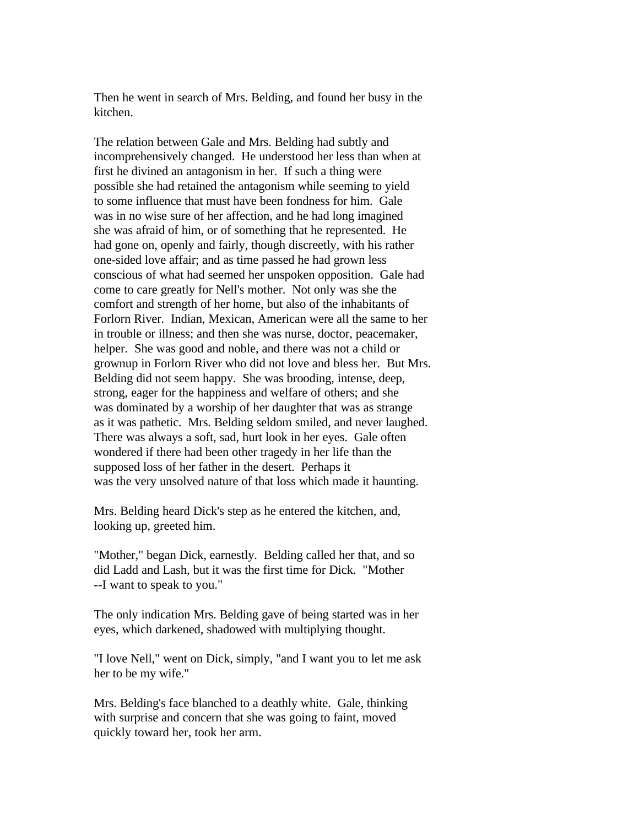Then he went in search of Mrs. Belding, and found her busy in the kitchen.

The relation between Gale and Mrs. Belding had subtly and incomprehensively changed. He understood her less than when at first he divined an antagonism in her. If such a thing were possible she had retained the antagonism while seeming to yield to some influence that must have been fondness for him. Gale was in no wise sure of her affection, and he had long imagined she was afraid of him, or of something that he represented. He had gone on, openly and fairly, though discreetly, with his rather one-sided love affair; and as time passed he had grown less conscious of what had seemed her unspoken opposition. Gale had come to care greatly for Nell's mother. Not only was she the comfort and strength of her home, but also of the inhabitants of Forlorn River. Indian, Mexican, American were all the same to her in trouble or illness; and then she was nurse, doctor, peacemaker, helper. She was good and noble, and there was not a child or grownup in Forlorn River who did not love and bless her. But Mrs. Belding did not seem happy. She was brooding, intense, deep, strong, eager for the happiness and welfare of others; and she was dominated by a worship of her daughter that was as strange as it was pathetic. Mrs. Belding seldom smiled, and never laughed. There was always a soft, sad, hurt look in her eyes. Gale often wondered if there had been other tragedy in her life than the supposed loss of her father in the desert. Perhaps it was the very unsolved nature of that loss which made it haunting.

Mrs. Belding heard Dick's step as he entered the kitchen, and, looking up, greeted him.

"Mother," began Dick, earnestly. Belding called her that, and so did Ladd and Lash, but it was the first time for Dick. "Mother --I want to speak to you."

The only indication Mrs. Belding gave of being started was in her eyes, which darkened, shadowed with multiplying thought.

"I love Nell," went on Dick, simply, "and I want you to let me ask her to be my wife."

Mrs. Belding's face blanched to a deathly white. Gale, thinking with surprise and concern that she was going to faint, moved quickly toward her, took her arm.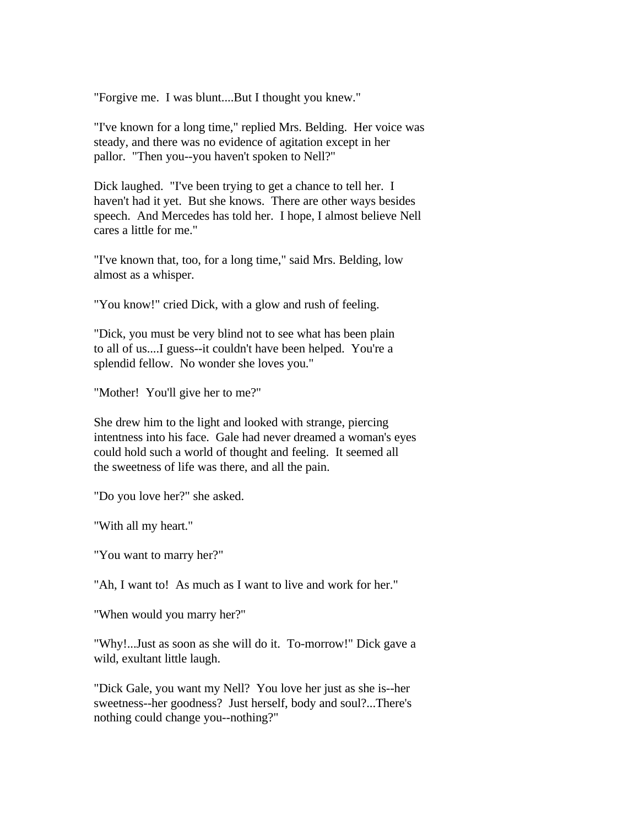"Forgive me. I was blunt....But I thought you knew."

"I've known for a long time," replied Mrs. Belding. Her voice was steady, and there was no evidence of agitation except in her pallor. "Then you--you haven't spoken to Nell?"

Dick laughed. "I've been trying to get a chance to tell her. I haven't had it yet. But she knows. There are other ways besides speech. And Mercedes has told her. I hope, I almost believe Nell cares a little for me."

"I've known that, too, for a long time," said Mrs. Belding, low almost as a whisper.

"You know!" cried Dick, with a glow and rush of feeling.

"Dick, you must be very blind not to see what has been plain to all of us....I guess--it couldn't have been helped. You're a splendid fellow. No wonder she loves you."

"Mother! You'll give her to me?"

She drew him to the light and looked with strange, piercing intentness into his face. Gale had never dreamed a woman's eyes could hold such a world of thought and feeling. It seemed all the sweetness of life was there, and all the pain.

"Do you love her?" she asked.

"With all my heart."

"You want to marry her?"

"Ah, I want to! As much as I want to live and work for her."

"When would you marry her?"

"Why!...Just as soon as she will do it. To-morrow!" Dick gave a wild, exultant little laugh.

"Dick Gale, you want my Nell? You love her just as she is--her sweetness--her goodness? Just herself, body and soul?...There's nothing could change you--nothing?"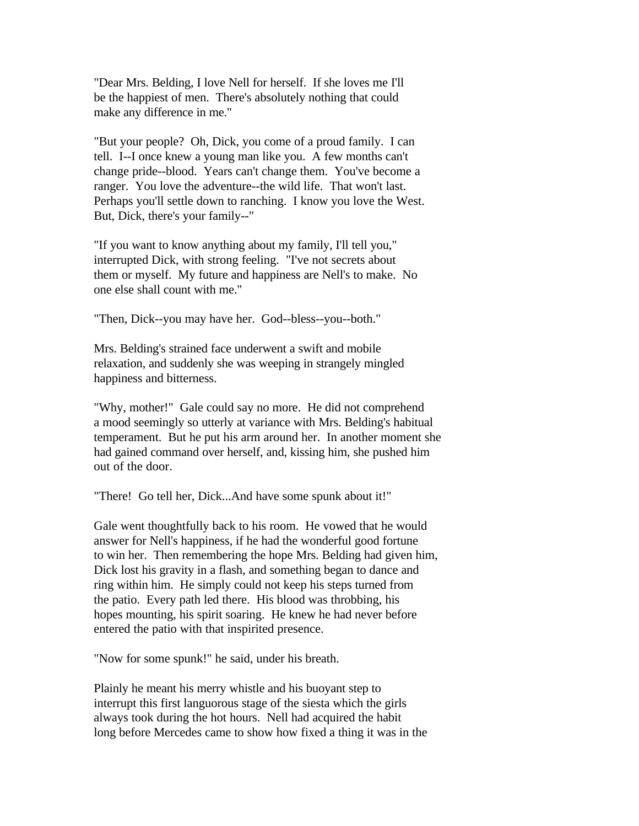"Dear Mrs. Belding, I love Nell for herself. If she loves me I'll be the happiest of men. There's absolutely nothing that could make any difference in me."

"But your people? Oh, Dick, you come of a proud family. I can tell. I--I once knew a young man like you. A few months can't change pride--blood. Years can't change them. You've become a ranger. You love the adventure--the wild life. That won't last. Perhaps you'll settle down to ranching. I know you love the West. But, Dick, there's your family--"

"If you want to know anything about my family, I'll tell you," interrupted Dick, with strong feeling. "I've not secrets about them or myself. My future and happiness are Nell's to make. No one else shall count with me."

"Then, Dick--you may have her. God--bless--you--both."

Mrs. Belding's strained face underwent a swift and mobile relaxation, and suddenly she was weeping in strangely mingled happiness and bitterness.

"Why, mother!" Gale could say no more. He did not comprehend a mood seemingly so utterly at variance with Mrs. Belding's habitual temperament. But he put his arm around her. In another moment she had gained command over herself, and, kissing him, she pushed him out of the door.

"There! Go tell her, Dick...And have some spunk about it!"

Gale went thoughtfully back to his room. He vowed that he would answer for Nell's happiness, if he had the wonderful good fortune to win her. Then remembering the hope Mrs. Belding had given him, Dick lost his gravity in a flash, and something began to dance and ring within him. He simply could not keep his steps turned from the patio. Every path led there. His blood was throbbing, his hopes mounting, his spirit soaring. He knew he had never before entered the patio with that inspirited presence.

"Now for some spunk!" he said, under his breath.

Plainly he meant his merry whistle and his buoyant step to interrupt this first languorous stage of the siesta which the girls always took during the hot hours. Nell had acquired the habit long before Mercedes came to show how fixed a thing it was in the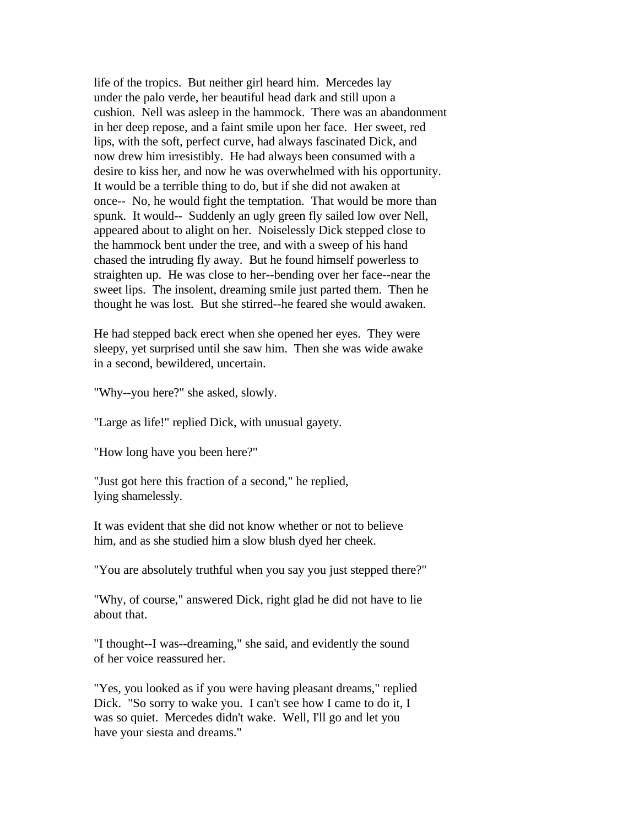life of the tropics. But neither girl heard him. Mercedes lay under the palo verde, her beautiful head dark and still upon a cushion. Nell was asleep in the hammock. There was an abandonment in her deep repose, and a faint smile upon her face. Her sweet, red lips, with the soft, perfect curve, had always fascinated Dick, and now drew him irresistibly. He had always been consumed with a desire to kiss her, and now he was overwhelmed with his opportunity. It would be a terrible thing to do, but if she did not awaken at once-- No, he would fight the temptation. That would be more than spunk. It would-- Suddenly an ugly green fly sailed low over Nell, appeared about to alight on her. Noiselessly Dick stepped close to the hammock bent under the tree, and with a sweep of his hand chased the intruding fly away. But he found himself powerless to straighten up. He was close to her--bending over her face--near the sweet lips. The insolent, dreaming smile just parted them. Then he thought he was lost. But she stirred--he feared she would awaken.

He had stepped back erect when she opened her eyes. They were sleepy, yet surprised until she saw him. Then she was wide awake in a second, bewildered, uncertain.

"Why--you here?" she asked, slowly.

"Large as life!" replied Dick, with unusual gayety.

"How long have you been here?"

"Just got here this fraction of a second," he replied, lying shamelessly.

It was evident that she did not know whether or not to believe him, and as she studied him a slow blush dyed her cheek.

"You are absolutely truthful when you say you just stepped there?"

"Why, of course," answered Dick, right glad he did not have to lie about that.

"I thought--I was--dreaming," she said, and evidently the sound of her voice reassured her.

"Yes, you looked as if you were having pleasant dreams," replied Dick. "So sorry to wake you. I can't see how I came to do it, I was so quiet. Mercedes didn't wake. Well, I'll go and let you have your siesta and dreams."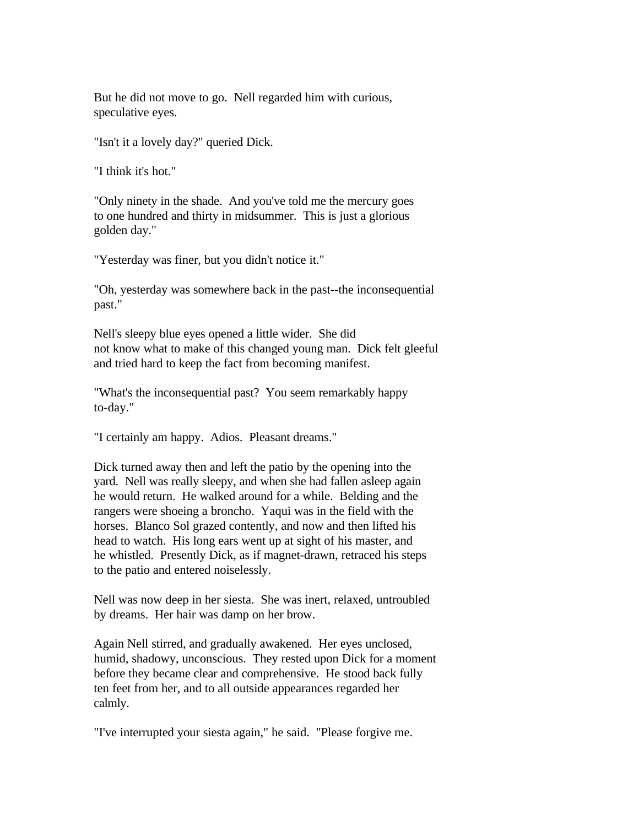But he did not move to go. Nell regarded him with curious, speculative eyes.

"Isn't it a lovely day?" queried Dick.

"I think it's hot."

"Only ninety in the shade. And you've told me the mercury goes to one hundred and thirty in midsummer. This is just a glorious golden day."

"Yesterday was finer, but you didn't notice it."

"Oh, yesterday was somewhere back in the past--the inconsequential past."

Nell's sleepy blue eyes opened a little wider. She did not know what to make of this changed young man. Dick felt gleeful and tried hard to keep the fact from becoming manifest.

"What's the inconsequential past? You seem remarkably happy to-day."

"I certainly am happy. Adios. Pleasant dreams."

Dick turned away then and left the patio by the opening into the yard. Nell was really sleepy, and when she had fallen asleep again he would return. He walked around for a while. Belding and the rangers were shoeing a broncho. Yaqui was in the field with the horses. Blanco Sol grazed contently, and now and then lifted his head to watch. His long ears went up at sight of his master, and he whistled. Presently Dick, as if magnet-drawn, retraced his steps to the patio and entered noiselessly.

Nell was now deep in her siesta. She was inert, relaxed, untroubled by dreams. Her hair was damp on her brow.

Again Nell stirred, and gradually awakened. Her eyes unclosed, humid, shadowy, unconscious. They rested upon Dick for a moment before they became clear and comprehensive. He stood back fully ten feet from her, and to all outside appearances regarded her calmly.

"I've interrupted your siesta again," he said. "Please forgive me.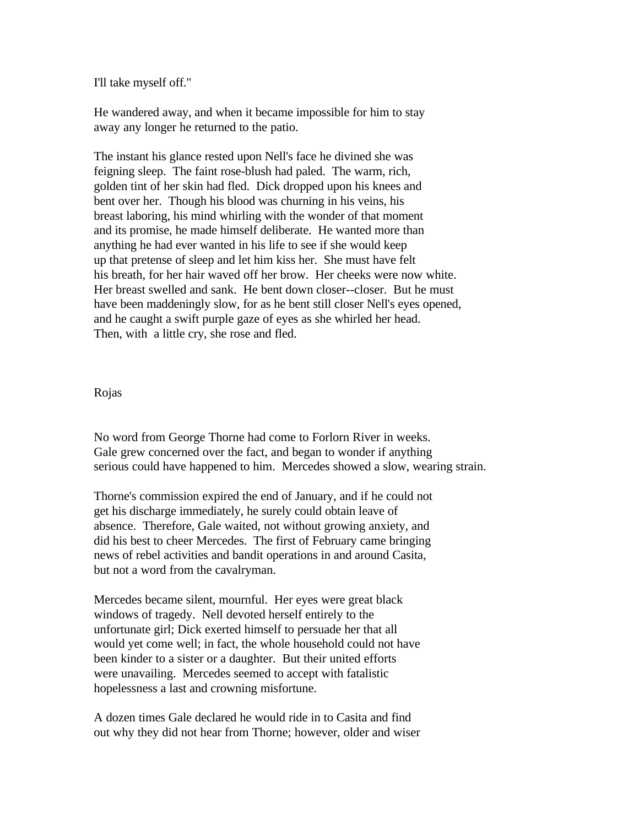I'll take myself off."

He wandered away, and when it became impossible for him to stay away any longer he returned to the patio.

The instant his glance rested upon Nell's face he divined she was feigning sleep. The faint rose-blush had paled. The warm, rich, golden tint of her skin had fled. Dick dropped upon his knees and bent over her. Though his blood was churning in his veins, his breast laboring, his mind whirling with the wonder of that moment and its promise, he made himself deliberate. He wanted more than anything he had ever wanted in his life to see if she would keep up that pretense of sleep and let him kiss her. She must have felt his breath, for her hair waved off her brow. Her cheeks were now white. Her breast swelled and sank. He bent down closer--closer. But he must have been maddeningly slow, for as he bent still closer Nell's eyes opened, and he caught a swift purple gaze of eyes as she whirled her head. Then, with a little cry, she rose and fled.

## Rojas

No word from George Thorne had come to Forlorn River in weeks. Gale grew concerned over the fact, and began to wonder if anything serious could have happened to him. Mercedes showed a slow, wearing strain.

Thorne's commission expired the end of January, and if he could not get his discharge immediately, he surely could obtain leave of absence. Therefore, Gale waited, not without growing anxiety, and did his best to cheer Mercedes. The first of February came bringing news of rebel activities and bandit operations in and around Casita, but not a word from the cavalryman.

Mercedes became silent, mournful. Her eyes were great black windows of tragedy. Nell devoted herself entirely to the unfortunate girl; Dick exerted himself to persuade her that all would yet come well; in fact, the whole household could not have been kinder to a sister or a daughter. But their united efforts were unavailing. Mercedes seemed to accept with fatalistic hopelessness a last and crowning misfortune.

A dozen times Gale declared he would ride in to Casita and find out why they did not hear from Thorne; however, older and wiser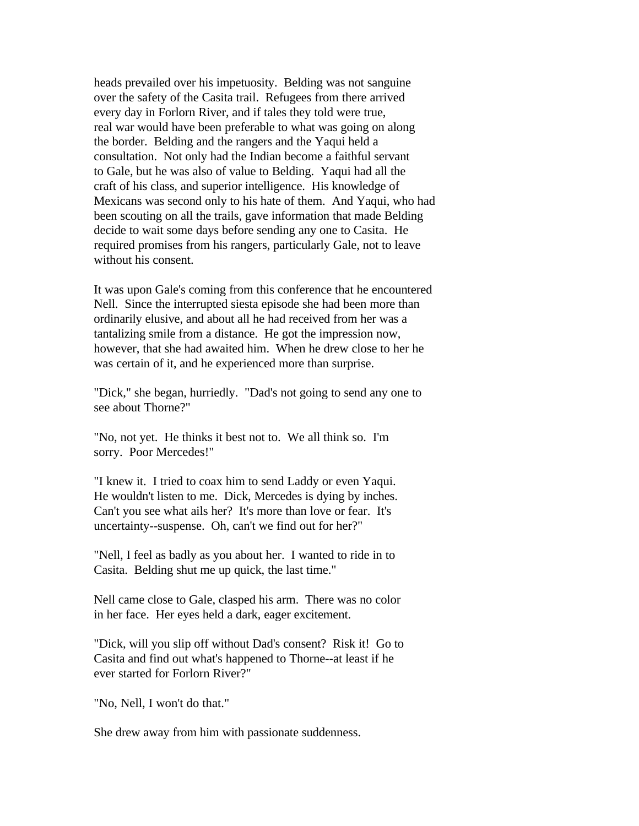heads prevailed over his impetuosity. Belding was not sanguine over the safety of the Casita trail. Refugees from there arrived every day in Forlorn River, and if tales they told were true, real war would have been preferable to what was going on along the border. Belding and the rangers and the Yaqui held a consultation. Not only had the Indian become a faithful servant to Gale, but he was also of value to Belding. Yaqui had all the craft of his class, and superior intelligence. His knowledge of Mexicans was second only to his hate of them. And Yaqui, who had been scouting on all the trails, gave information that made Belding decide to wait some days before sending any one to Casita. He required promises from his rangers, particularly Gale, not to leave without his consent.

It was upon Gale's coming from this conference that he encountered Nell. Since the interrupted siesta episode she had been more than ordinarily elusive, and about all he had received from her was a tantalizing smile from a distance. He got the impression now, however, that she had awaited him. When he drew close to her he was certain of it, and he experienced more than surprise.

"Dick," she began, hurriedly. "Dad's not going to send any one to see about Thorne?"

"No, not yet. He thinks it best not to. We all think so. I'm sorry. Poor Mercedes!"

"I knew it. I tried to coax him to send Laddy or even Yaqui. He wouldn't listen to me. Dick, Mercedes is dying by inches. Can't you see what ails her? It's more than love or fear. It's uncertainty--suspense. Oh, can't we find out for her?"

"Nell, I feel as badly as you about her. I wanted to ride in to Casita. Belding shut me up quick, the last time."

Nell came close to Gale, clasped his arm. There was no color in her face. Her eyes held a dark, eager excitement.

"Dick, will you slip off without Dad's consent? Risk it! Go to Casita and find out what's happened to Thorne--at least if he ever started for Forlorn River?"

"No, Nell, I won't do that."

She drew away from him with passionate suddenness.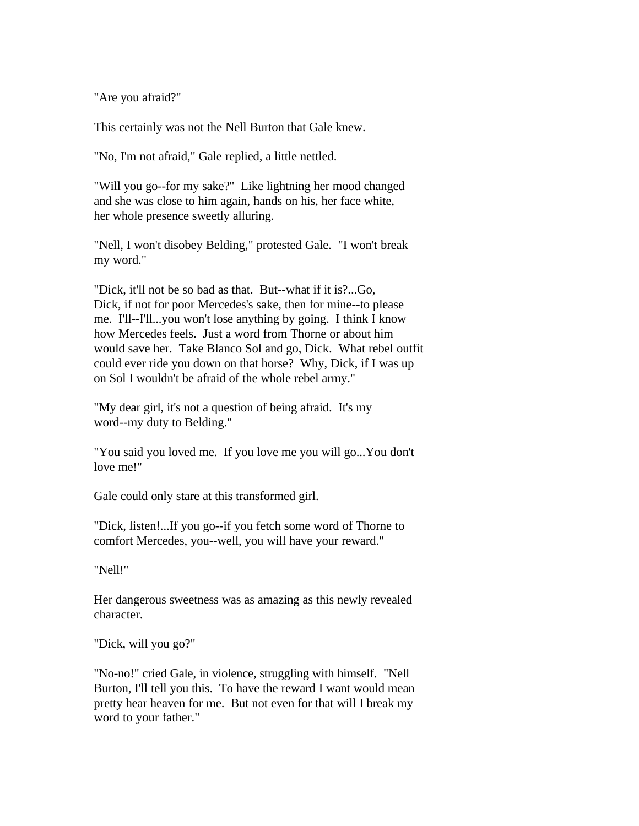"Are you afraid?"

This certainly was not the Nell Burton that Gale knew.

"No, I'm not afraid," Gale replied, a little nettled.

"Will you go--for my sake?" Like lightning her mood changed and she was close to him again, hands on his, her face white, her whole presence sweetly alluring.

"Nell, I won't disobey Belding," protested Gale. "I won't break my word."

"Dick, it'll not be so bad as that. But--what if it is?...Go, Dick, if not for poor Mercedes's sake, then for mine--to please me. I'll--I'll...you won't lose anything by going. I think I know how Mercedes feels. Just a word from Thorne or about him would save her. Take Blanco Sol and go, Dick. What rebel outfit could ever ride you down on that horse? Why, Dick, if I was up on Sol I wouldn't be afraid of the whole rebel army."

"My dear girl, it's not a question of being afraid. It's my word--my duty to Belding."

"You said you loved me. If you love me you will go...You don't love me!"

Gale could only stare at this transformed girl.

"Dick, listen!...If you go--if you fetch some word of Thorne to comfort Mercedes, you--well, you will have your reward."

"Nell!"

Her dangerous sweetness was as amazing as this newly revealed character.

"Dick, will you go?"

"No-no!" cried Gale, in violence, struggling with himself. "Nell Burton, I'll tell you this. To have the reward I want would mean pretty hear heaven for me. But not even for that will I break my word to your father."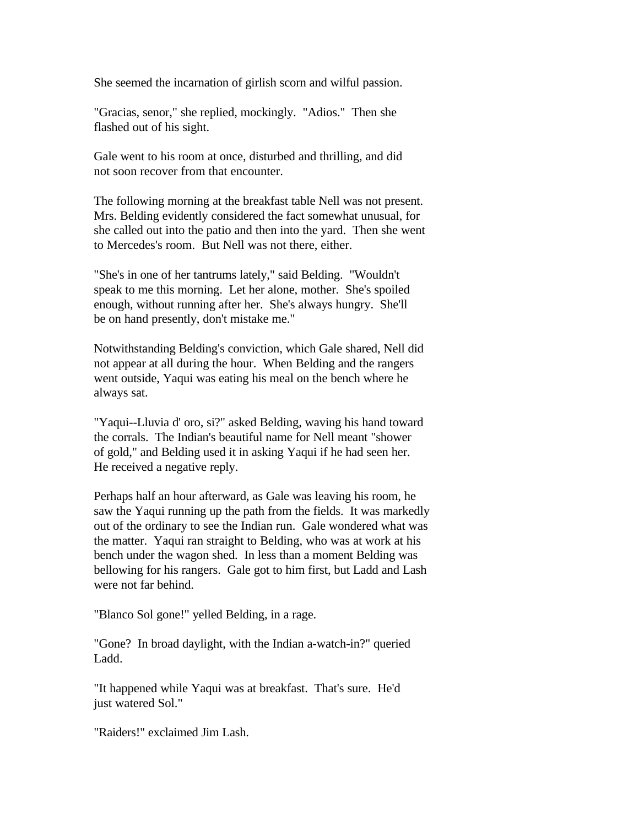She seemed the incarnation of girlish scorn and wilful passion.

"Gracias, senor," she replied, mockingly. "Adios." Then she flashed out of his sight.

Gale went to his room at once, disturbed and thrilling, and did not soon recover from that encounter.

The following morning at the breakfast table Nell was not present. Mrs. Belding evidently considered the fact somewhat unusual, for she called out into the patio and then into the yard. Then she went to Mercedes's room. But Nell was not there, either.

"She's in one of her tantrums lately," said Belding. "Wouldn't speak to me this morning. Let her alone, mother. She's spoiled enough, without running after her. She's always hungry. She'll be on hand presently, don't mistake me."

Notwithstanding Belding's conviction, which Gale shared, Nell did not appear at all during the hour. When Belding and the rangers went outside, Yaqui was eating his meal on the bench where he always sat.

"Yaqui--Lluvia d' oro, si?" asked Belding, waving his hand toward the corrals. The Indian's beautiful name for Nell meant "shower of gold," and Belding used it in asking Yaqui if he had seen her. He received a negative reply.

Perhaps half an hour afterward, as Gale was leaving his room, he saw the Yaqui running up the path from the fields. It was markedly out of the ordinary to see the Indian run. Gale wondered what was the matter. Yaqui ran straight to Belding, who was at work at his bench under the wagon shed. In less than a moment Belding was bellowing for his rangers. Gale got to him first, but Ladd and Lash were not far behind.

"Blanco Sol gone!" yelled Belding, in a rage.

"Gone? In broad daylight, with the Indian a-watch-in?" queried Ladd.

"It happened while Yaqui was at breakfast. That's sure. He'd just watered Sol."

"Raiders!" exclaimed Jim Lash.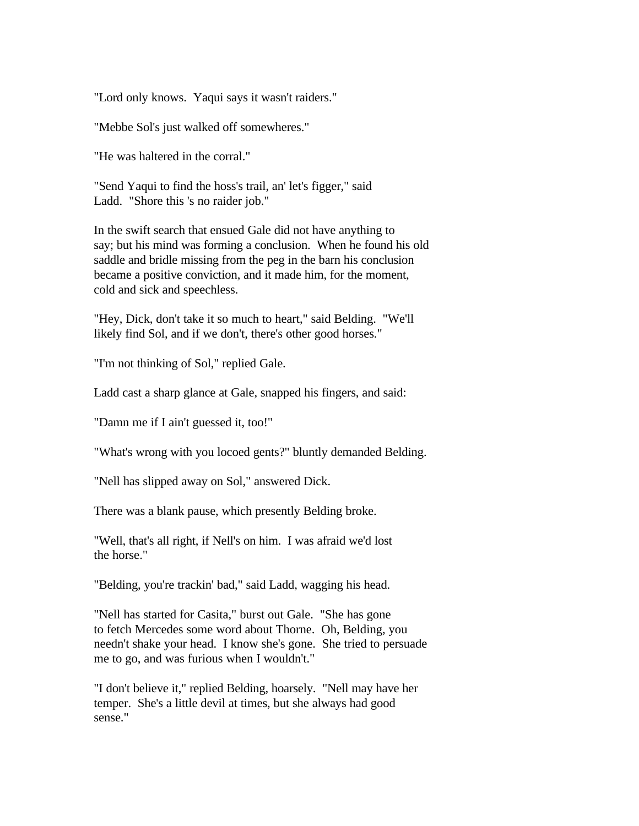"Lord only knows. Yaqui says it wasn't raiders."

"Mebbe Sol's just walked off somewheres."

"He was haltered in the corral."

"Send Yaqui to find the hoss's trail, an' let's figger," said Ladd. "Shore this 's no raider job."

In the swift search that ensued Gale did not have anything to say; but his mind was forming a conclusion. When he found his old saddle and bridle missing from the peg in the barn his conclusion became a positive conviction, and it made him, for the moment, cold and sick and speechless.

"Hey, Dick, don't take it so much to heart," said Belding. "We'll likely find Sol, and if we don't, there's other good horses."

"I'm not thinking of Sol," replied Gale.

Ladd cast a sharp glance at Gale, snapped his fingers, and said:

"Damn me if I ain't guessed it, too!"

"What's wrong with you locoed gents?" bluntly demanded Belding.

"Nell has slipped away on Sol," answered Dick.

There was a blank pause, which presently Belding broke.

"Well, that's all right, if Nell's on him. I was afraid we'd lost the horse."

"Belding, you're trackin' bad," said Ladd, wagging his head.

"Nell has started for Casita," burst out Gale. "She has gone to fetch Mercedes some word about Thorne. Oh, Belding, you needn't shake your head. I know she's gone. She tried to persuade me to go, and was furious when I wouldn't."

"I don't believe it," replied Belding, hoarsely. "Nell may have her temper. She's a little devil at times, but she always had good sense."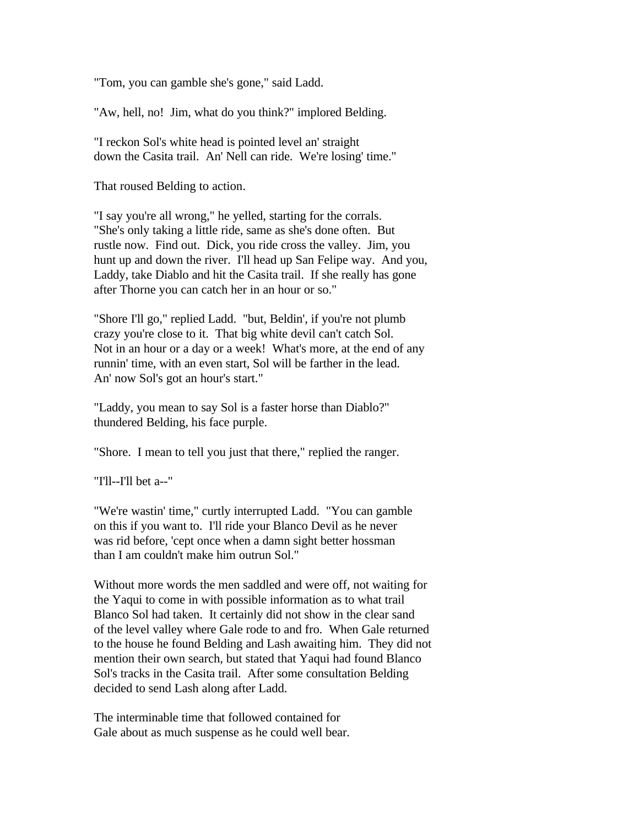"Tom, you can gamble she's gone," said Ladd.

"Aw, hell, no! Jim, what do you think?" implored Belding.

"I reckon Sol's white head is pointed level an' straight down the Casita trail. An' Nell can ride. We're losing' time."

That roused Belding to action.

"I say you're all wrong," he yelled, starting for the corrals. "She's only taking a little ride, same as she's done often. But rustle now. Find out. Dick, you ride cross the valley. Jim, you hunt up and down the river. I'll head up San Felipe way. And you, Laddy, take Diablo and hit the Casita trail. If she really has gone after Thorne you can catch her in an hour or so."

"Shore I'll go," replied Ladd. "but, Beldin', if you're not plumb crazy you're close to it. That big white devil can't catch Sol. Not in an hour or a day or a week! What's more, at the end of any runnin' time, with an even start, Sol will be farther in the lead. An' now Sol's got an hour's start."

"Laddy, you mean to say Sol is a faster horse than Diablo?" thundered Belding, his face purple.

"Shore. I mean to tell you just that there," replied the ranger.

"I'll--I'll bet a--"

"We're wastin' time," curtly interrupted Ladd. "You can gamble on this if you want to. I'll ride your Blanco Devil as he never was rid before, 'cept once when a damn sight better hossman than I am couldn't make him outrun Sol."

Without more words the men saddled and were off, not waiting for the Yaqui to come in with possible information as to what trail Blanco Sol had taken. It certainly did not show in the clear sand of the level valley where Gale rode to and fro. When Gale returned to the house he found Belding and Lash awaiting him. They did not mention their own search, but stated that Yaqui had found Blanco Sol's tracks in the Casita trail. After some consultation Belding decided to send Lash along after Ladd.

The interminable time that followed contained for Gale about as much suspense as he could well bear.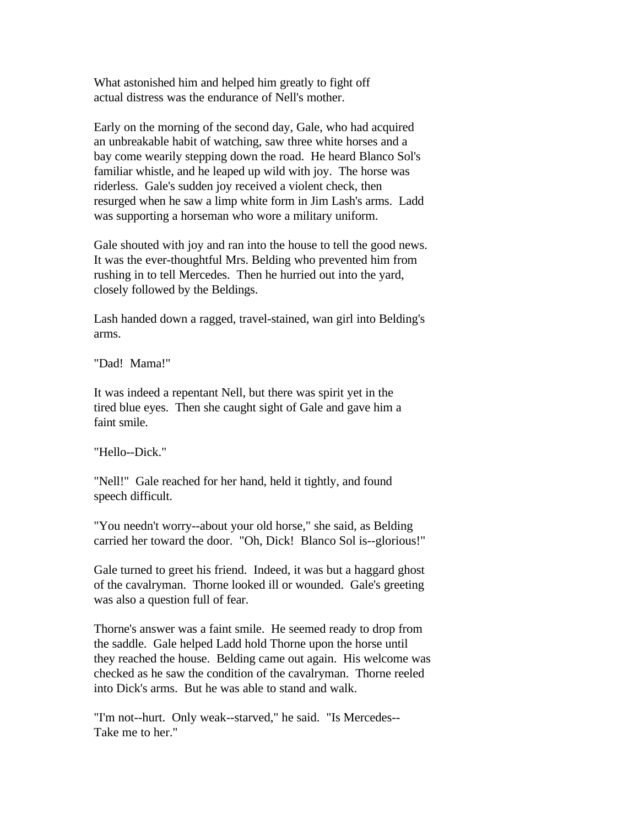What astonished him and helped him greatly to fight off actual distress was the endurance of Nell's mother.

Early on the morning of the second day, Gale, who had acquired an unbreakable habit of watching, saw three white horses and a bay come wearily stepping down the road. He heard Blanco Sol's familiar whistle, and he leaped up wild with joy. The horse was riderless. Gale's sudden joy received a violent check, then resurged when he saw a limp white form in Jim Lash's arms. Ladd was supporting a horseman who wore a military uniform.

Gale shouted with joy and ran into the house to tell the good news. It was the ever-thoughtful Mrs. Belding who prevented him from rushing in to tell Mercedes. Then he hurried out into the yard, closely followed by the Beldings.

Lash handed down a ragged, travel-stained, wan girl into Belding's arms.

"Dad! Mama!"

It was indeed a repentant Nell, but there was spirit yet in the tired blue eyes. Then she caught sight of Gale and gave him a faint smile.

"Hello--Dick."

"Nell!" Gale reached for her hand, held it tightly, and found speech difficult.

"You needn't worry--about your old horse," she said, as Belding carried her toward the door. "Oh, Dick! Blanco Sol is--glorious!"

Gale turned to greet his friend. Indeed, it was but a haggard ghost of the cavalryman. Thorne looked ill or wounded. Gale's greeting was also a question full of fear.

Thorne's answer was a faint smile. He seemed ready to drop from the saddle. Gale helped Ladd hold Thorne upon the horse until they reached the house. Belding came out again. His welcome was checked as he saw the condition of the cavalryman. Thorne reeled into Dick's arms. But he was able to stand and walk.

"I'm not--hurt. Only weak--starved," he said. "Is Mercedes-- Take me to her."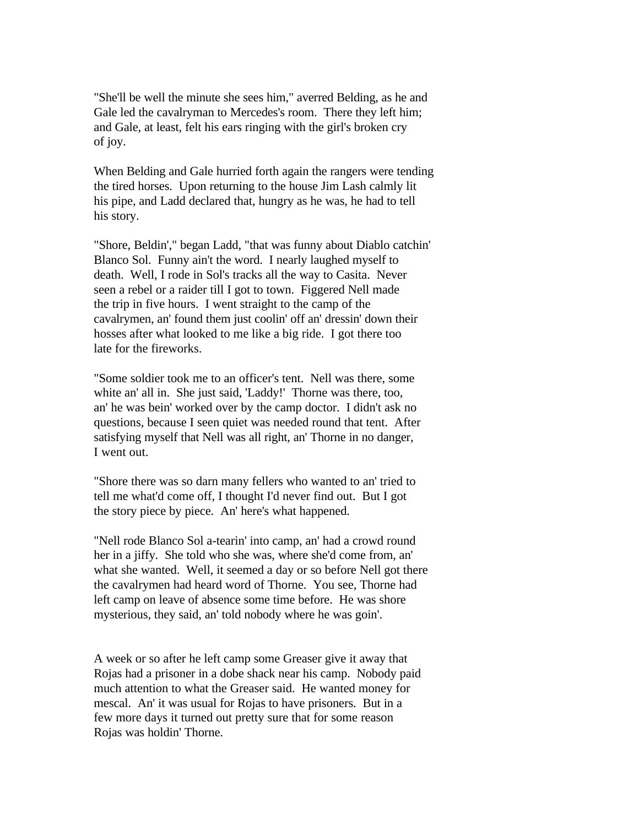"She'll be well the minute she sees him," averred Belding, as he and Gale led the cavalryman to Mercedes's room. There they left him; and Gale, at least, felt his ears ringing with the girl's broken cry of joy.

When Belding and Gale hurried forth again the rangers were tending the tired horses. Upon returning to the house Jim Lash calmly lit his pipe, and Ladd declared that, hungry as he was, he had to tell his story.

"Shore, Beldin'," began Ladd, "that was funny about Diablo catchin' Blanco Sol. Funny ain't the word. I nearly laughed myself to death. Well, I rode in Sol's tracks all the way to Casita. Never seen a rebel or a raider till I got to town. Figgered Nell made the trip in five hours. I went straight to the camp of the cavalrymen, an' found them just coolin' off an' dressin' down their hosses after what looked to me like a big ride. I got there too late for the fireworks.

"Some soldier took me to an officer's tent. Nell was there, some white an' all in. She just said, 'Laddy!' Thorne was there, too, an' he was bein' worked over by the camp doctor. I didn't ask no questions, because I seen quiet was needed round that tent. After satisfying myself that Nell was all right, an' Thorne in no danger, I went out.

"Shore there was so darn many fellers who wanted to an' tried to tell me what'd come off, I thought I'd never find out. But I got the story piece by piece. An' here's what happened.

"Nell rode Blanco Sol a-tearin' into camp, an' had a crowd round her in a jiffy. She told who she was, where she'd come from, an' what she wanted. Well, it seemed a day or so before Nell got there the cavalrymen had heard word of Thorne. You see, Thorne had left camp on leave of absence some time before. He was shore mysterious, they said, an' told nobody where he was goin'.

A week or so after he left camp some Greaser give it away that Rojas had a prisoner in a dobe shack near his camp. Nobody paid much attention to what the Greaser said. He wanted money for mescal. An' it was usual for Rojas to have prisoners. But in a few more days it turned out pretty sure that for some reason Rojas was holdin' Thorne.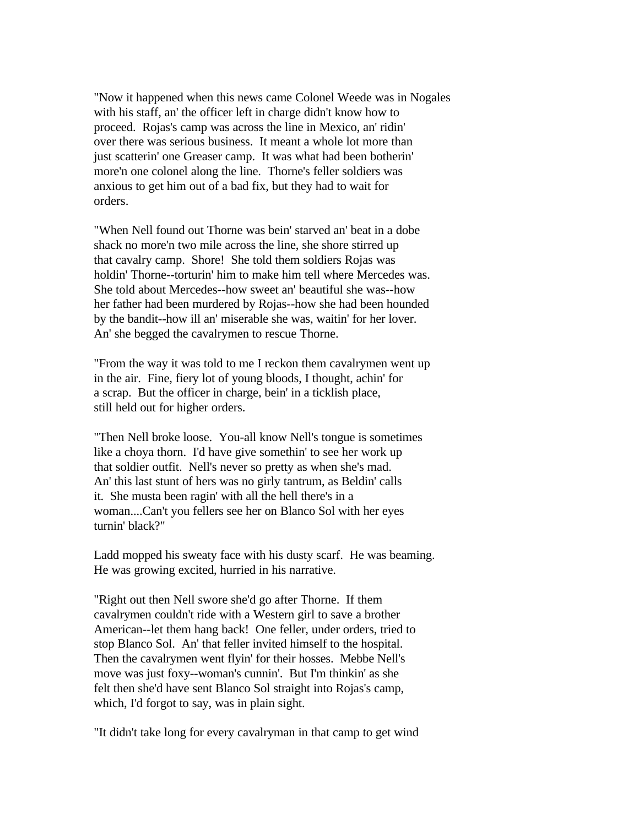"Now it happened when this news came Colonel Weede was in Nogales with his staff, an' the officer left in charge didn't know how to proceed. Rojas's camp was across the line in Mexico, an' ridin' over there was serious business. It meant a whole lot more than just scatterin' one Greaser camp. It was what had been botherin' more'n one colonel along the line. Thorne's feller soldiers was anxious to get him out of a bad fix, but they had to wait for orders.

"When Nell found out Thorne was bein' starved an' beat in a dobe shack no more'n two mile across the line, she shore stirred up that cavalry camp. Shore! She told them soldiers Rojas was holdin' Thorne--torturin' him to make him tell where Mercedes was. She told about Mercedes--how sweet an' beautiful she was--how her father had been murdered by Rojas--how she had been hounded by the bandit--how ill an' miserable she was, waitin' for her lover. An' she begged the cavalrymen to rescue Thorne.

"From the way it was told to me I reckon them cavalrymen went up in the air. Fine, fiery lot of young bloods, I thought, achin' for a scrap. But the officer in charge, bein' in a ticklish place, still held out for higher orders.

"Then Nell broke loose. You-all know Nell's tongue is sometimes like a choya thorn. I'd have give somethin' to see her work up that soldier outfit. Nell's never so pretty as when she's mad. An' this last stunt of hers was no girly tantrum, as Beldin' calls it. She musta been ragin' with all the hell there's in a woman....Can't you fellers see her on Blanco Sol with her eyes turnin' black?"

Ladd mopped his sweaty face with his dusty scarf. He was beaming. He was growing excited, hurried in his narrative.

"Right out then Nell swore she'd go after Thorne. If them cavalrymen couldn't ride with a Western girl to save a brother American--let them hang back! One feller, under orders, tried to stop Blanco Sol. An' that feller invited himself to the hospital. Then the cavalrymen went flyin' for their hosses. Mebbe Nell's move was just foxy--woman's cunnin'. But I'm thinkin' as she felt then she'd have sent Blanco Sol straight into Rojas's camp, which, I'd forgot to say, was in plain sight.

"It didn't take long for every cavalryman in that camp to get wind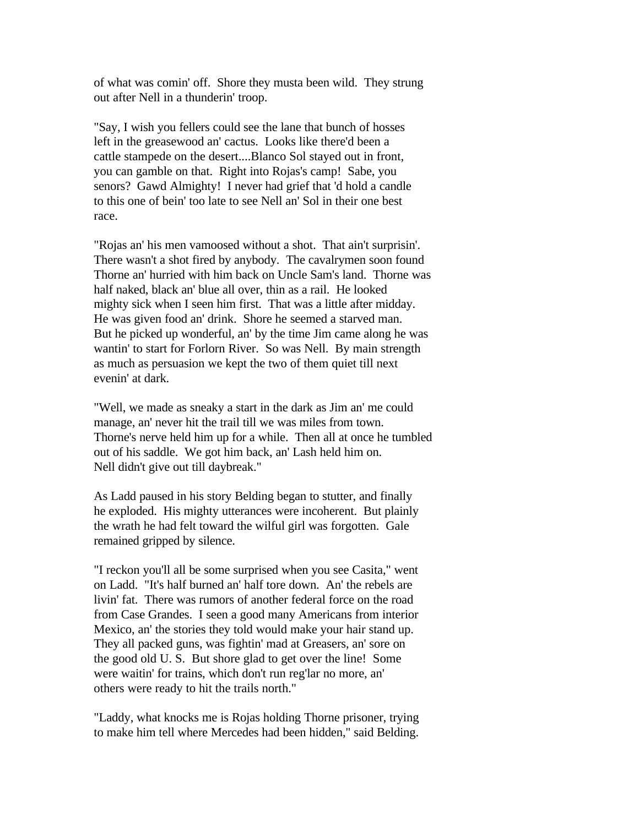of what was comin' off. Shore they musta been wild. They strung out after Nell in a thunderin' troop.

"Say, I wish you fellers could see the lane that bunch of hosses left in the greasewood an' cactus. Looks like there'd been a cattle stampede on the desert....Blanco Sol stayed out in front, you can gamble on that. Right into Rojas's camp! Sabe, you senors? Gawd Almighty! I never had grief that 'd hold a candle to this one of bein' too late to see Nell an' Sol in their one best race.

"Rojas an' his men vamoosed without a shot. That ain't surprisin'. There wasn't a shot fired by anybody. The cavalrymen soon found Thorne an' hurried with him back on Uncle Sam's land. Thorne was half naked, black an' blue all over, thin as a rail. He looked mighty sick when I seen him first. That was a little after midday. He was given food an' drink. Shore he seemed a starved man. But he picked up wonderful, an' by the time Jim came along he was wantin' to start for Forlorn River. So was Nell. By main strength as much as persuasion we kept the two of them quiet till next evenin' at dark.

"Well, we made as sneaky a start in the dark as Jim an' me could manage, an' never hit the trail till we was miles from town. Thorne's nerve held him up for a while. Then all at once he tumbled out of his saddle. We got him back, an' Lash held him on. Nell didn't give out till daybreak."

As Ladd paused in his story Belding began to stutter, and finally he exploded. His mighty utterances were incoherent. But plainly the wrath he had felt toward the wilful girl was forgotten. Gale remained gripped by silence.

"I reckon you'll all be some surprised when you see Casita," went on Ladd. "It's half burned an' half tore down. An' the rebels are livin' fat. There was rumors of another federal force on the road from Case Grandes. I seen a good many Americans from interior Mexico, an' the stories they told would make your hair stand up. They all packed guns, was fightin' mad at Greasers, an' sore on the good old U. S. But shore glad to get over the line! Some were waitin' for trains, which don't run reg'lar no more, an' others were ready to hit the trails north."

"Laddy, what knocks me is Rojas holding Thorne prisoner, trying to make him tell where Mercedes had been hidden," said Belding.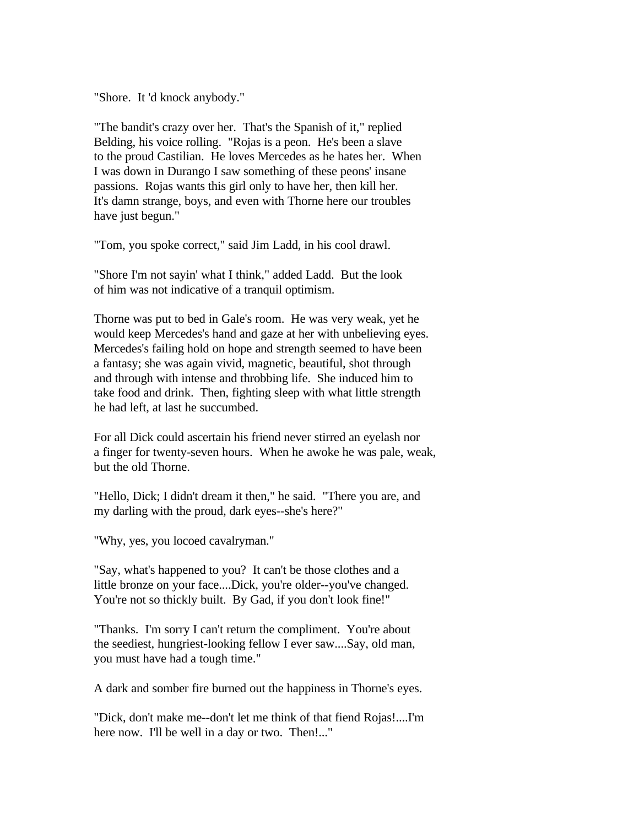"Shore. It 'd knock anybody."

"The bandit's crazy over her. That's the Spanish of it," replied Belding, his voice rolling. "Rojas is a peon. He's been a slave to the proud Castilian. He loves Mercedes as he hates her. When I was down in Durango I saw something of these peons' insane passions. Rojas wants this girl only to have her, then kill her. It's damn strange, boys, and even with Thorne here our troubles have just begun."

"Tom, you spoke correct," said Jim Ladd, in his cool drawl.

"Shore I'm not sayin' what I think," added Ladd. But the look of him was not indicative of a tranquil optimism.

Thorne was put to bed in Gale's room. He was very weak, yet he would keep Mercedes's hand and gaze at her with unbelieving eyes. Mercedes's failing hold on hope and strength seemed to have been a fantasy; she was again vivid, magnetic, beautiful, shot through and through with intense and throbbing life. She induced him to take food and drink. Then, fighting sleep with what little strength he had left, at last he succumbed.

For all Dick could ascertain his friend never stirred an eyelash nor a finger for twenty-seven hours. When he awoke he was pale, weak, but the old Thorne.

"Hello, Dick; I didn't dream it then," he said. "There you are, and my darling with the proud, dark eyes--she's here?"

"Why, yes, you locoed cavalryman."

"Say, what's happened to you? It can't be those clothes and a little bronze on your face....Dick, you're older--you've changed. You're not so thickly built. By Gad, if you don't look fine!"

"Thanks. I'm sorry I can't return the compliment. You're about the seediest, hungriest-looking fellow I ever saw....Say, old man, you must have had a tough time."

A dark and somber fire burned out the happiness in Thorne's eyes.

"Dick, don't make me--don't let me think of that fiend Rojas!....I'm here now. I'll be well in a day or two. Then!..."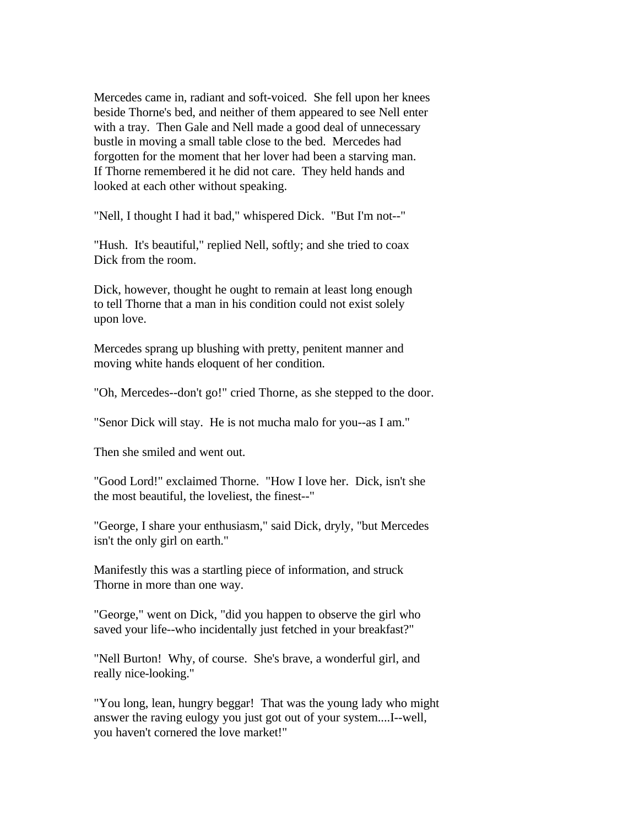Mercedes came in, radiant and soft-voiced. She fell upon her knees beside Thorne's bed, and neither of them appeared to see Nell enter with a tray. Then Gale and Nell made a good deal of unnecessary bustle in moving a small table close to the bed. Mercedes had forgotten for the moment that her lover had been a starving man. If Thorne remembered it he did not care. They held hands and looked at each other without speaking.

"Nell, I thought I had it bad," whispered Dick. "But I'm not--"

"Hush. It's beautiful," replied Nell, softly; and she tried to coax Dick from the room.

Dick, however, thought he ought to remain at least long enough to tell Thorne that a man in his condition could not exist solely upon love.

Mercedes sprang up blushing with pretty, penitent manner and moving white hands eloquent of her condition.

"Oh, Mercedes--don't go!" cried Thorne, as she stepped to the door.

"Senor Dick will stay. He is not mucha malo for you--as I am."

Then she smiled and went out.

"Good Lord!" exclaimed Thorne. "How I love her. Dick, isn't she the most beautiful, the loveliest, the finest--"

"George, I share your enthusiasm," said Dick, dryly, "but Mercedes isn't the only girl on earth."

Manifestly this was a startling piece of information, and struck Thorne in more than one way.

"George," went on Dick, "did you happen to observe the girl who saved your life--who incidentally just fetched in your breakfast?"

"Nell Burton! Why, of course. She's brave, a wonderful girl, and really nice-looking."

"You long, lean, hungry beggar! That was the young lady who might answer the raving eulogy you just got out of your system....I--well, you haven't cornered the love market!"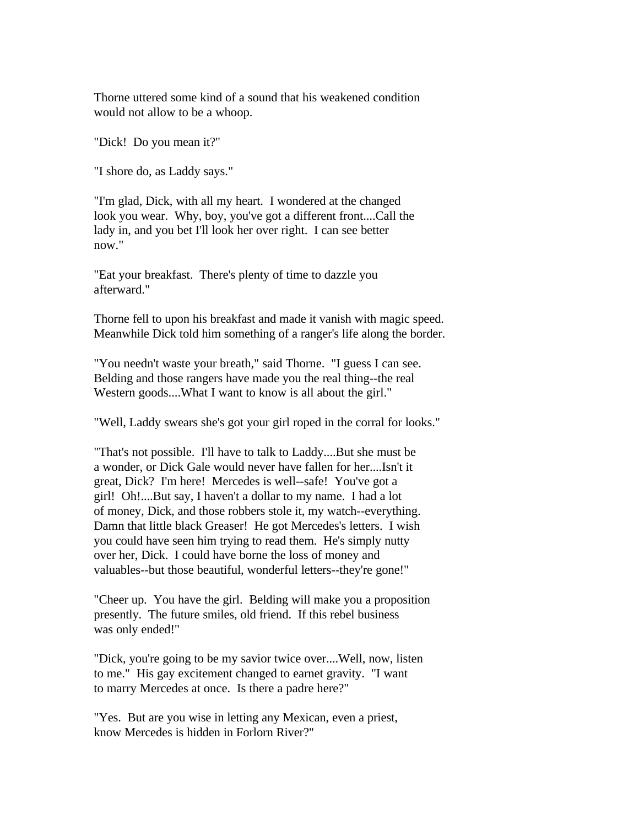Thorne uttered some kind of a sound that his weakened condition would not allow to be a whoop.

"Dick! Do you mean it?"

"I shore do, as Laddy says."

"I'm glad, Dick, with all my heart. I wondered at the changed look you wear. Why, boy, you've got a different front....Call the lady in, and you bet I'll look her over right. I can see better now."

"Eat your breakfast. There's plenty of time to dazzle you afterward."

Thorne fell to upon his breakfast and made it vanish with magic speed. Meanwhile Dick told him something of a ranger's life along the border.

"You needn't waste your breath," said Thorne. "I guess I can see. Belding and those rangers have made you the real thing--the real Western goods....What I want to know is all about the girl."

"Well, Laddy swears she's got your girl roped in the corral for looks."

"That's not possible. I'll have to talk to Laddy....But she must be a wonder, or Dick Gale would never have fallen for her....Isn't it great, Dick? I'm here! Mercedes is well--safe! You've got a girl! Oh!....But say, I haven't a dollar to my name. I had a lot of money, Dick, and those robbers stole it, my watch--everything. Damn that little black Greaser! He got Mercedes's letters. I wish you could have seen him trying to read them. He's simply nutty over her, Dick. I could have borne the loss of money and valuables--but those beautiful, wonderful letters--they're gone!"

"Cheer up. You have the girl. Belding will make you a proposition presently. The future smiles, old friend. If this rebel business was only ended!"

"Dick, you're going to be my savior twice over....Well, now, listen to me." His gay excitement changed to earnet gravity. "I want to marry Mercedes at once. Is there a padre here?"

"Yes. But are you wise in letting any Mexican, even a priest, know Mercedes is hidden in Forlorn River?"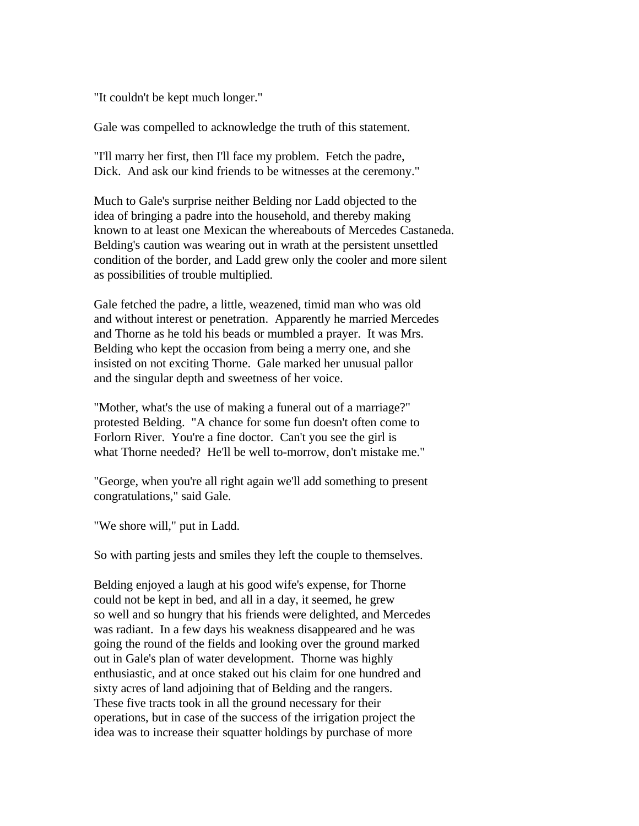"It couldn't be kept much longer."

Gale was compelled to acknowledge the truth of this statement.

"I'll marry her first, then I'll face my problem. Fetch the padre, Dick. And ask our kind friends to be witnesses at the ceremony."

Much to Gale's surprise neither Belding nor Ladd objected to the idea of bringing a padre into the household, and thereby making known to at least one Mexican the whereabouts of Mercedes Castaneda. Belding's caution was wearing out in wrath at the persistent unsettled condition of the border, and Ladd grew only the cooler and more silent as possibilities of trouble multiplied.

Gale fetched the padre, a little, weazened, timid man who was old and without interest or penetration. Apparently he married Mercedes and Thorne as he told his beads or mumbled a prayer. It was Mrs. Belding who kept the occasion from being a merry one, and she insisted on not exciting Thorne. Gale marked her unusual pallor and the singular depth and sweetness of her voice.

"Mother, what's the use of making a funeral out of a marriage?" protested Belding. "A chance for some fun doesn't often come to Forlorn River. You're a fine doctor. Can't you see the girl is what Thorne needed? He'll be well to-morrow, don't mistake me."

"George, when you're all right again we'll add something to present congratulations," said Gale.

"We shore will," put in Ladd.

So with parting jests and smiles they left the couple to themselves.

Belding enjoyed a laugh at his good wife's expense, for Thorne could not be kept in bed, and all in a day, it seemed, he grew so well and so hungry that his friends were delighted, and Mercedes was radiant. In a few days his weakness disappeared and he was going the round of the fields and looking over the ground marked out in Gale's plan of water development. Thorne was highly enthusiastic, and at once staked out his claim for one hundred and sixty acres of land adjoining that of Belding and the rangers. These five tracts took in all the ground necessary for their operations, but in case of the success of the irrigation project the idea was to increase their squatter holdings by purchase of more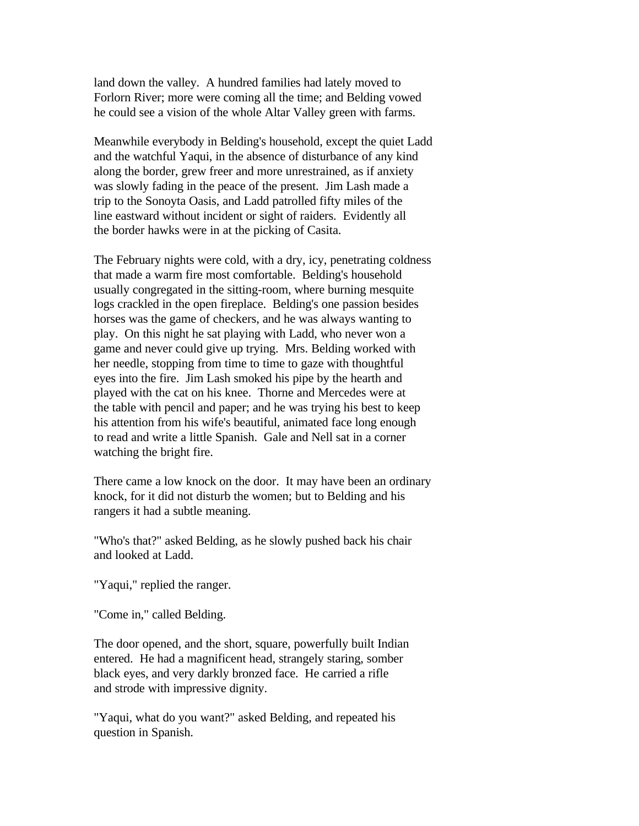land down the valley. A hundred families had lately moved to Forlorn River; more were coming all the time; and Belding vowed he could see a vision of the whole Altar Valley green with farms.

Meanwhile everybody in Belding's household, except the quiet Ladd and the watchful Yaqui, in the absence of disturbance of any kind along the border, grew freer and more unrestrained, as if anxiety was slowly fading in the peace of the present. Jim Lash made a trip to the Sonoyta Oasis, and Ladd patrolled fifty miles of the line eastward without incident or sight of raiders. Evidently all the border hawks were in at the picking of Casita.

The February nights were cold, with a dry, icy, penetrating coldness that made a warm fire most comfortable. Belding's household usually congregated in the sitting-room, where burning mesquite logs crackled in the open fireplace. Belding's one passion besides horses was the game of checkers, and he was always wanting to play. On this night he sat playing with Ladd, who never won a game and never could give up trying. Mrs. Belding worked with her needle, stopping from time to time to gaze with thoughtful eyes into the fire. Jim Lash smoked his pipe by the hearth and played with the cat on his knee. Thorne and Mercedes were at the table with pencil and paper; and he was trying his best to keep his attention from his wife's beautiful, animated face long enough to read and write a little Spanish. Gale and Nell sat in a corner watching the bright fire.

There came a low knock on the door. It may have been an ordinary knock, for it did not disturb the women; but to Belding and his rangers it had a subtle meaning.

"Who's that?" asked Belding, as he slowly pushed back his chair and looked at Ladd.

"Yaqui," replied the ranger.

"Come in," called Belding.

The door opened, and the short, square, powerfully built Indian entered. He had a magnificent head, strangely staring, somber black eyes, and very darkly bronzed face. He carried a rifle and strode with impressive dignity.

"Yaqui, what do you want?" asked Belding, and repeated his question in Spanish.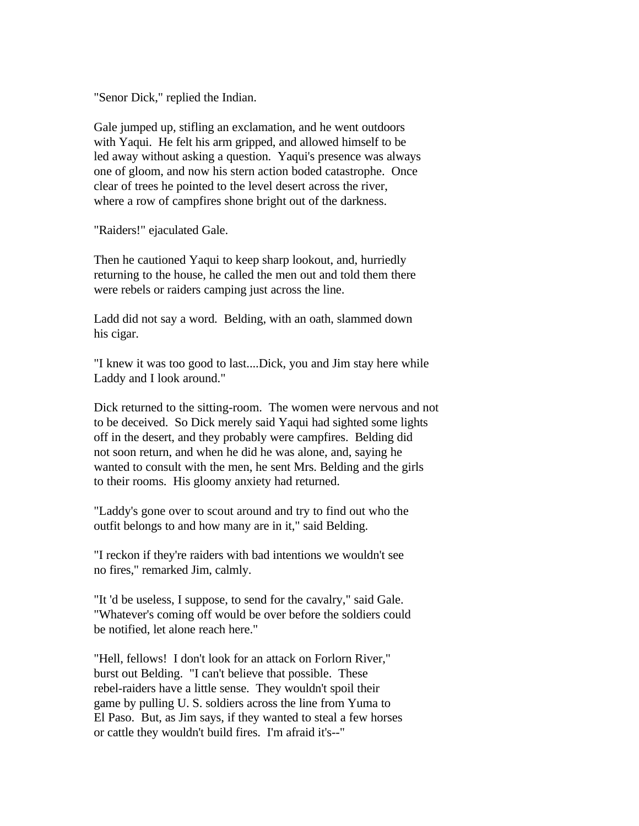"Senor Dick," replied the Indian.

Gale jumped up, stifling an exclamation, and he went outdoors with Yaqui. He felt his arm gripped, and allowed himself to be led away without asking a question. Yaqui's presence was always one of gloom, and now his stern action boded catastrophe. Once clear of trees he pointed to the level desert across the river, where a row of campfires shone bright out of the darkness.

"Raiders!" ejaculated Gale.

Then he cautioned Yaqui to keep sharp lookout, and, hurriedly returning to the house, he called the men out and told them there were rebels or raiders camping just across the line.

Ladd did not say a word. Belding, with an oath, slammed down his cigar.

"I knew it was too good to last....Dick, you and Jim stay here while Laddy and I look around."

Dick returned to the sitting-room. The women were nervous and not to be deceived. So Dick merely said Yaqui had sighted some lights off in the desert, and they probably were campfires. Belding did not soon return, and when he did he was alone, and, saying he wanted to consult with the men, he sent Mrs. Belding and the girls to their rooms. His gloomy anxiety had returned.

"Laddy's gone over to scout around and try to find out who the outfit belongs to and how many are in it," said Belding.

"I reckon if they're raiders with bad intentions we wouldn't see no fires," remarked Jim, calmly.

"It 'd be useless, I suppose, to send for the cavalry," said Gale. "Whatever's coming off would be over before the soldiers could be notified, let alone reach here."

"Hell, fellows! I don't look for an attack on Forlorn River," burst out Belding. "I can't believe that possible. These rebel-raiders have a little sense. They wouldn't spoil their game by pulling U. S. soldiers across the line from Yuma to El Paso. But, as Jim says, if they wanted to steal a few horses or cattle they wouldn't build fires. I'm afraid it's--"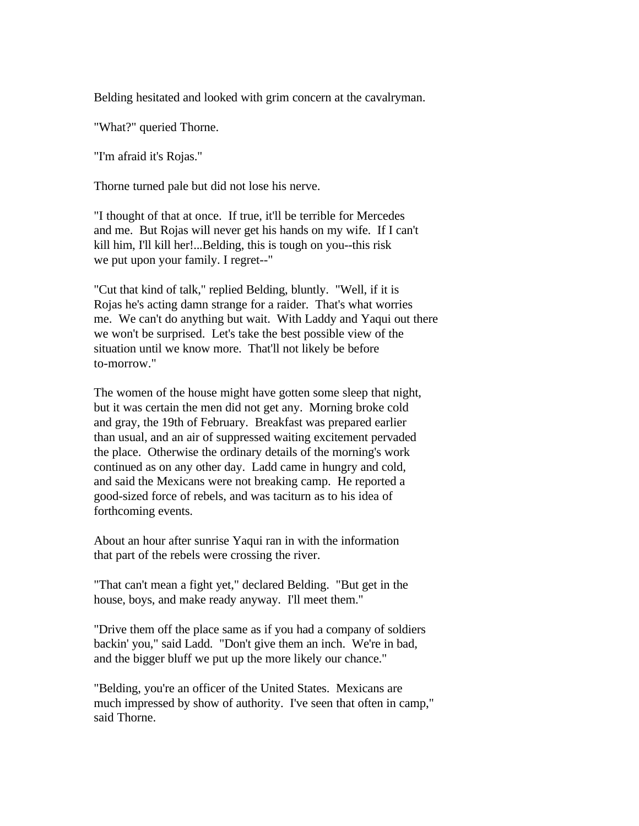Belding hesitated and looked with grim concern at the cavalryman.

"What?" queried Thorne.

"I'm afraid it's Rojas."

Thorne turned pale but did not lose his nerve.

"I thought of that at once. If true, it'll be terrible for Mercedes and me. But Rojas will never get his hands on my wife. If I can't kill him, I'll kill her!...Belding, this is tough on you--this risk we put upon your family. I regret--"

"Cut that kind of talk," replied Belding, bluntly. "Well, if it is Rojas he's acting damn strange for a raider. That's what worries me. We can't do anything but wait. With Laddy and Yaqui out there we won't be surprised. Let's take the best possible view of the situation until we know more. That'll not likely be before to-morrow."

The women of the house might have gotten some sleep that night, but it was certain the men did not get any. Morning broke cold and gray, the 19th of February. Breakfast was prepared earlier than usual, and an air of suppressed waiting excitement pervaded the place. Otherwise the ordinary details of the morning's work continued as on any other day. Ladd came in hungry and cold, and said the Mexicans were not breaking camp. He reported a good-sized force of rebels, and was taciturn as to his idea of forthcoming events.

About an hour after sunrise Yaqui ran in with the information that part of the rebels were crossing the river.

"That can't mean a fight yet," declared Belding. "But get in the house, boys, and make ready anyway. I'll meet them."

"Drive them off the place same as if you had a company of soldiers backin' you," said Ladd. "Don't give them an inch. We're in bad, and the bigger bluff we put up the more likely our chance."

"Belding, you're an officer of the United States. Mexicans are much impressed by show of authority. I've seen that often in camp," said Thorne.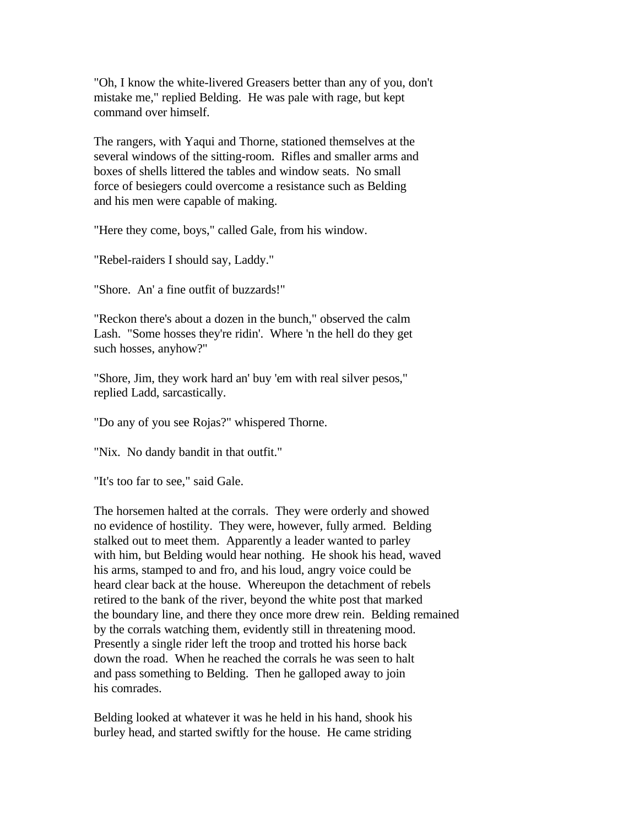"Oh, I know the white-livered Greasers better than any of you, don't mistake me," replied Belding. He was pale with rage, but kept command over himself.

The rangers, with Yaqui and Thorne, stationed themselves at the several windows of the sitting-room. Rifles and smaller arms and boxes of shells littered the tables and window seats. No small force of besiegers could overcome a resistance such as Belding and his men were capable of making.

"Here they come, boys," called Gale, from his window.

"Rebel-raiders I should say, Laddy."

"Shore. An' a fine outfit of buzzards!"

"Reckon there's about a dozen in the bunch," observed the calm Lash. "Some hosses they're ridin'. Where 'n the hell do they get such hosses, anyhow?"

"Shore, Jim, they work hard an' buy 'em with real silver pesos," replied Ladd, sarcastically.

"Do any of you see Rojas?" whispered Thorne.

"Nix. No dandy bandit in that outfit."

"It's too far to see," said Gale.

The horsemen halted at the corrals. They were orderly and showed no evidence of hostility. They were, however, fully armed. Belding stalked out to meet them. Apparently a leader wanted to parley with him, but Belding would hear nothing. He shook his head, waved his arms, stamped to and fro, and his loud, angry voice could be heard clear back at the house. Whereupon the detachment of rebels retired to the bank of the river, beyond the white post that marked the boundary line, and there they once more drew rein. Belding remained by the corrals watching them, evidently still in threatening mood. Presently a single rider left the troop and trotted his horse back down the road. When he reached the corrals he was seen to halt and pass something to Belding. Then he galloped away to join his comrades.

Belding looked at whatever it was he held in his hand, shook his burley head, and started swiftly for the house. He came striding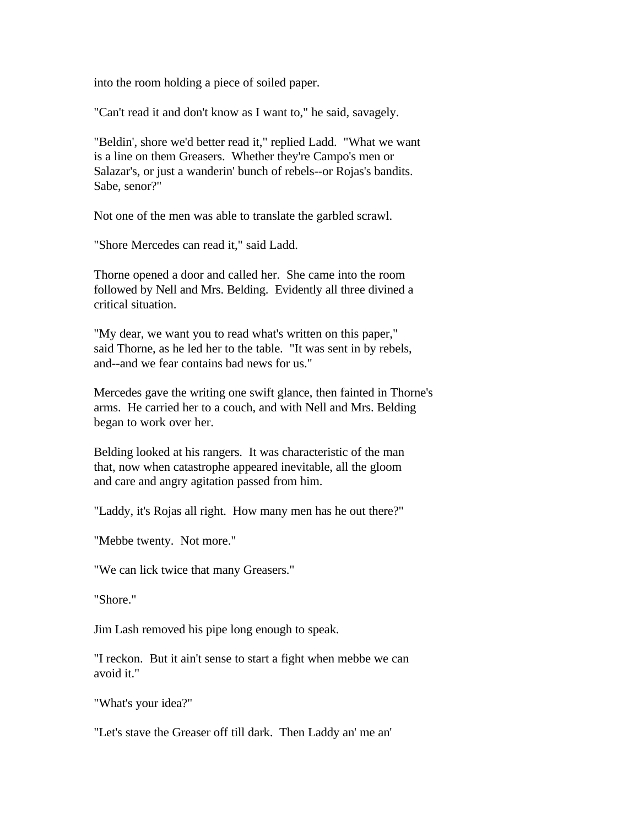into the room holding a piece of soiled paper.

"Can't read it and don't know as I want to," he said, savagely.

"Beldin', shore we'd better read it," replied Ladd. "What we want is a line on them Greasers. Whether they're Campo's men or Salazar's, or just a wanderin' bunch of rebels--or Rojas's bandits. Sabe, senor?"

Not one of the men was able to translate the garbled scrawl.

"Shore Mercedes can read it," said Ladd.

Thorne opened a door and called her. She came into the room followed by Nell and Mrs. Belding. Evidently all three divined a critical situation.

"My dear, we want you to read what's written on this paper," said Thorne, as he led her to the table. "It was sent in by rebels, and--and we fear contains bad news for us."

Mercedes gave the writing one swift glance, then fainted in Thorne's arms. He carried her to a couch, and with Nell and Mrs. Belding began to work over her.

Belding looked at his rangers. It was characteristic of the man that, now when catastrophe appeared inevitable, all the gloom and care and angry agitation passed from him.

"Laddy, it's Rojas all right. How many men has he out there?"

"Mebbe twenty. Not more."

"We can lick twice that many Greasers."

"Shore."

Jim Lash removed his pipe long enough to speak.

"I reckon. But it ain't sense to start a fight when mebbe we can avoid it."

"What's your idea?"

"Let's stave the Greaser off till dark. Then Laddy an' me an'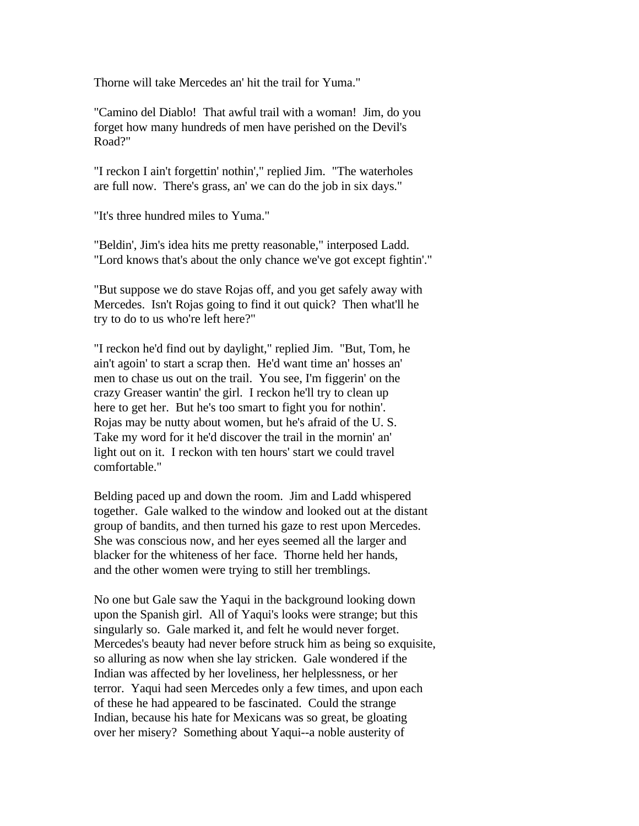Thorne will take Mercedes an' hit the trail for Yuma."

"Camino del Diablo! That awful trail with a woman! Jim, do you forget how many hundreds of men have perished on the Devil's Road?"

"I reckon I ain't forgettin' nothin'," replied Jim. "The waterholes are full now. There's grass, an' we can do the job in six days."

"It's three hundred miles to Yuma."

"Beldin', Jim's idea hits me pretty reasonable," interposed Ladd. "Lord knows that's about the only chance we've got except fightin'."

"But suppose we do stave Rojas off, and you get safely away with Mercedes. Isn't Rojas going to find it out quick? Then what'll he try to do to us who're left here?"

"I reckon he'd find out by daylight," replied Jim. "But, Tom, he ain't agoin' to start a scrap then. He'd want time an' hosses an' men to chase us out on the trail. You see, I'm figgerin' on the crazy Greaser wantin' the girl. I reckon he'll try to clean up here to get her. But he's too smart to fight you for nothin'. Rojas may be nutty about women, but he's afraid of the U. S. Take my word for it he'd discover the trail in the mornin' an' light out on it. I reckon with ten hours' start we could travel comfortable."

Belding paced up and down the room. Jim and Ladd whispered together. Gale walked to the window and looked out at the distant group of bandits, and then turned his gaze to rest upon Mercedes. She was conscious now, and her eyes seemed all the larger and blacker for the whiteness of her face. Thorne held her hands, and the other women were trying to still her tremblings.

No one but Gale saw the Yaqui in the background looking down upon the Spanish girl. All of Yaqui's looks were strange; but this singularly so. Gale marked it, and felt he would never forget. Mercedes's beauty had never before struck him as being so exquisite, so alluring as now when she lay stricken. Gale wondered if the Indian was affected by her loveliness, her helplessness, or her terror. Yaqui had seen Mercedes only a few times, and upon each of these he had appeared to be fascinated. Could the strange Indian, because his hate for Mexicans was so great, be gloating over her misery? Something about Yaqui--a noble austerity of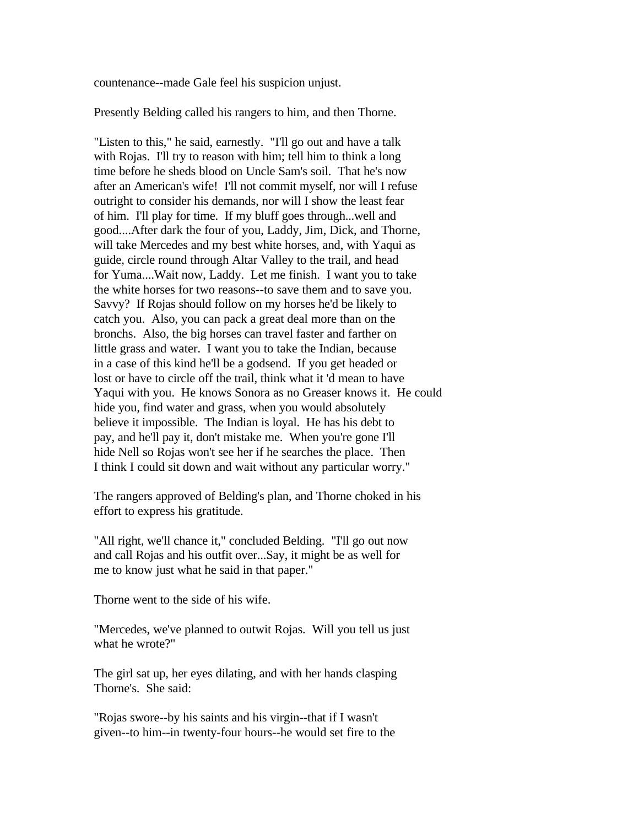countenance--made Gale feel his suspicion unjust.

Presently Belding called his rangers to him, and then Thorne.

"Listen to this," he said, earnestly. "I'll go out and have a talk with Rojas. I'll try to reason with him; tell him to think a long time before he sheds blood on Uncle Sam's soil. That he's now after an American's wife! I'll not commit myself, nor will I refuse outright to consider his demands, nor will I show the least fear of him. I'll play for time. If my bluff goes through...well and good....After dark the four of you, Laddy, Jim, Dick, and Thorne, will take Mercedes and my best white horses, and, with Yaqui as guide, circle round through Altar Valley to the trail, and head for Yuma....Wait now, Laddy. Let me finish. I want you to take the white horses for two reasons--to save them and to save you. Savvy? If Rojas should follow on my horses he'd be likely to catch you. Also, you can pack a great deal more than on the bronchs. Also, the big horses can travel faster and farther on little grass and water. I want you to take the Indian, because in a case of this kind he'll be a godsend. If you get headed or lost or have to circle off the trail, think what it 'd mean to have Yaqui with you. He knows Sonora as no Greaser knows it. He could hide you, find water and grass, when you would absolutely believe it impossible. The Indian is loyal. He has his debt to pay, and he'll pay it, don't mistake me. When you're gone I'll hide Nell so Rojas won't see her if he searches the place. Then I think I could sit down and wait without any particular worry."

The rangers approved of Belding's plan, and Thorne choked in his effort to express his gratitude.

"All right, we'll chance it," concluded Belding. "I'll go out now and call Rojas and his outfit over...Say, it might be as well for me to know just what he said in that paper."

Thorne went to the side of his wife.

"Mercedes, we've planned to outwit Rojas. Will you tell us just what he wrote?"

The girl sat up, her eyes dilating, and with her hands clasping Thorne's. She said:

"Rojas swore--by his saints and his virgin--that if I wasn't given--to him--in twenty-four hours--he would set fire to the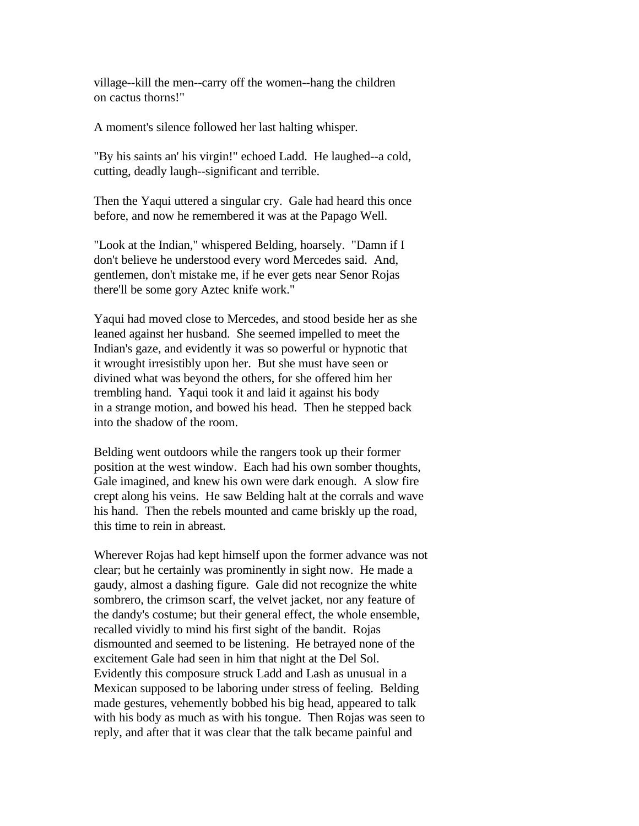village--kill the men--carry off the women--hang the children on cactus thorns!"

A moment's silence followed her last halting whisper.

"By his saints an' his virgin!" echoed Ladd. He laughed--a cold, cutting, deadly laugh--significant and terrible.

Then the Yaqui uttered a singular cry. Gale had heard this once before, and now he remembered it was at the Papago Well.

"Look at the Indian," whispered Belding, hoarsely. "Damn if I don't believe he understood every word Mercedes said. And, gentlemen, don't mistake me, if he ever gets near Senor Rojas there'll be some gory Aztec knife work."

Yaqui had moved close to Mercedes, and stood beside her as she leaned against her husband. She seemed impelled to meet the Indian's gaze, and evidently it was so powerful or hypnotic that it wrought irresistibly upon her. But she must have seen or divined what was beyond the others, for she offered him her trembling hand. Yaqui took it and laid it against his body in a strange motion, and bowed his head. Then he stepped back into the shadow of the room.

Belding went outdoors while the rangers took up their former position at the west window. Each had his own somber thoughts, Gale imagined, and knew his own were dark enough. A slow fire crept along his veins. He saw Belding halt at the corrals and wave his hand. Then the rebels mounted and came briskly up the road, this time to rein in abreast.

Wherever Rojas had kept himself upon the former advance was not clear; but he certainly was prominently in sight now. He made a gaudy, almost a dashing figure. Gale did not recognize the white sombrero, the crimson scarf, the velvet jacket, nor any feature of the dandy's costume; but their general effect, the whole ensemble, recalled vividly to mind his first sight of the bandit. Rojas dismounted and seemed to be listening. He betrayed none of the excitement Gale had seen in him that night at the Del Sol. Evidently this composure struck Ladd and Lash as unusual in a Mexican supposed to be laboring under stress of feeling. Belding made gestures, vehemently bobbed his big head, appeared to talk with his body as much as with his tongue. Then Rojas was seen to reply, and after that it was clear that the talk became painful and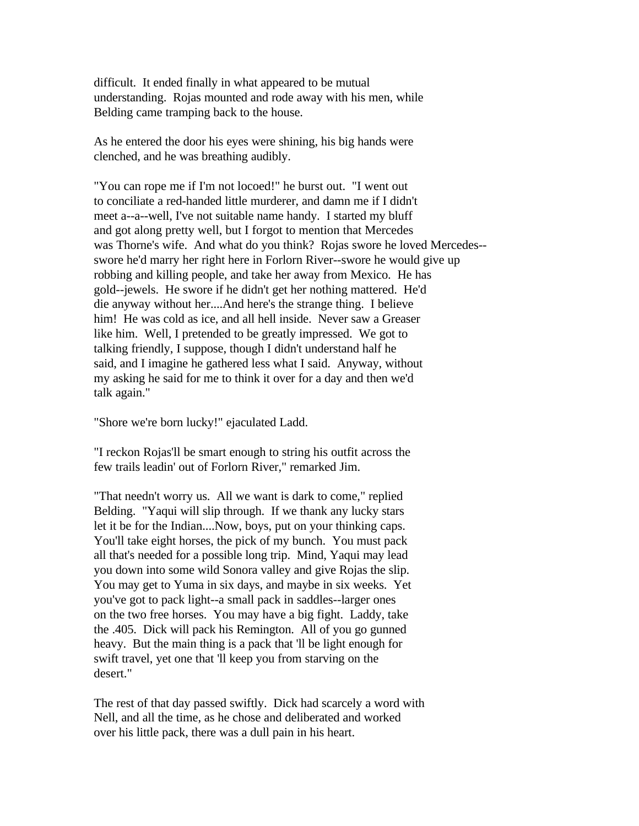difficult. It ended finally in what appeared to be mutual understanding. Rojas mounted and rode away with his men, while Belding came tramping back to the house.

As he entered the door his eyes were shining, his big hands were clenched, and he was breathing audibly.

"You can rope me if I'm not locoed!" he burst out. "I went out to conciliate a red-handed little murderer, and damn me if I didn't meet a--a--well, I've not suitable name handy. I started my bluff and got along pretty well, but I forgot to mention that Mercedes was Thorne's wife. And what do you think? Rojas swore he loved Mercedes- swore he'd marry her right here in Forlorn River--swore he would give up robbing and killing people, and take her away from Mexico. He has gold--jewels. He swore if he didn't get her nothing mattered. He'd die anyway without her....And here's the strange thing. I believe him! He was cold as ice, and all hell inside. Never saw a Greaser like him. Well, I pretended to be greatly impressed. We got to talking friendly, I suppose, though I didn't understand half he said, and I imagine he gathered less what I said. Anyway, without my asking he said for me to think it over for a day and then we'd talk again."

"Shore we're born lucky!" ejaculated Ladd.

"I reckon Rojas'll be smart enough to string his outfit across the few trails leadin' out of Forlorn River," remarked Jim.

"That needn't worry us. All we want is dark to come," replied Belding. "Yaqui will slip through. If we thank any lucky stars let it be for the Indian....Now, boys, put on your thinking caps. You'll take eight horses, the pick of my bunch. You must pack all that's needed for a possible long trip. Mind, Yaqui may lead you down into some wild Sonora valley and give Rojas the slip. You may get to Yuma in six days, and maybe in six weeks. Yet you've got to pack light--a small pack in saddles--larger ones on the two free horses. You may have a big fight. Laddy, take the .405. Dick will pack his Remington. All of you go gunned heavy. But the main thing is a pack that 'll be light enough for swift travel, yet one that 'll keep you from starving on the desert."

The rest of that day passed swiftly. Dick had scarcely a word with Nell, and all the time, as he chose and deliberated and worked over his little pack, there was a dull pain in his heart.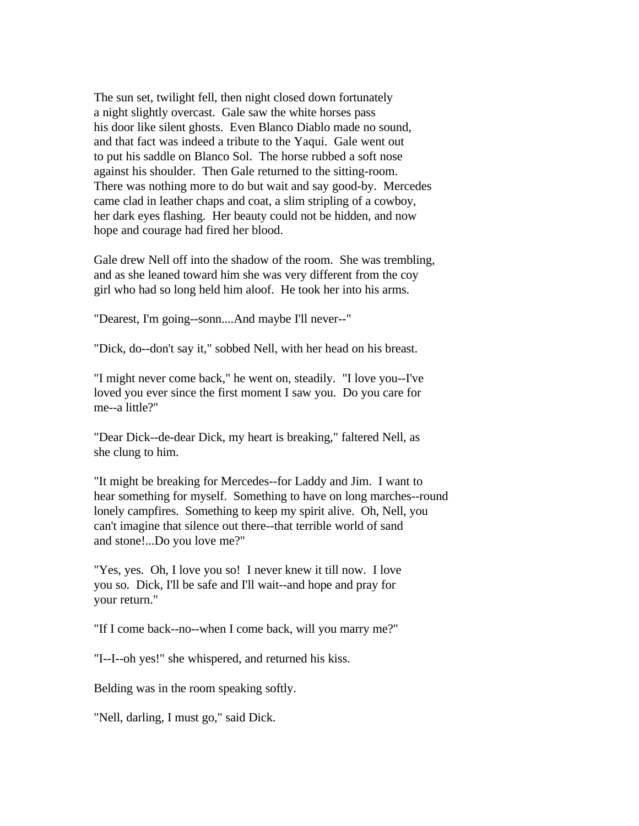The sun set, twilight fell, then night closed down fortunately a night slightly overcast. Gale saw the white horses pass his door like silent ghosts. Even Blanco Diablo made no sound, and that fact was indeed a tribute to the Yaqui. Gale went out to put his saddle on Blanco Sol. The horse rubbed a soft nose against his shoulder. Then Gale returned to the sitting-room. There was nothing more to do but wait and say good-by. Mercedes came clad in leather chaps and coat, a slim stripling of a cowboy, her dark eyes flashing. Her beauty could not be hidden, and now hope and courage had fired her blood.

Gale drew Nell off into the shadow of the room. She was trembling, and as she leaned toward him she was very different from the coy girl who had so long held him aloof. He took her into his arms.

"Dearest, I'm going--sonn....And maybe I'll never--"

"Dick, do--don't say it," sobbed Nell, with her head on his breast.

"I might never come back," he went on, steadily. "I love you--I've loved you ever since the first moment I saw you. Do you care for me--a little?"

"Dear Dick--de-dear Dick, my heart is breaking," faltered Nell, as she clung to him.

"It might be breaking for Mercedes--for Laddy and Jim. I want to hear something for myself. Something to have on long marches--round lonely campfires. Something to keep my spirit alive. Oh, Nell, you can't imagine that silence out there--that terrible world of sand and stone!...Do you love me?"

"Yes, yes. Oh, I love you so! I never knew it till now. I love you so. Dick, I'll be safe and I'll wait--and hope and pray for your return."

"If I come back--no--when I come back, will you marry me?"

"I--I--oh yes!" she whispered, and returned his kiss.

Belding was in the room speaking softly.

"Nell, darling, I must go," said Dick.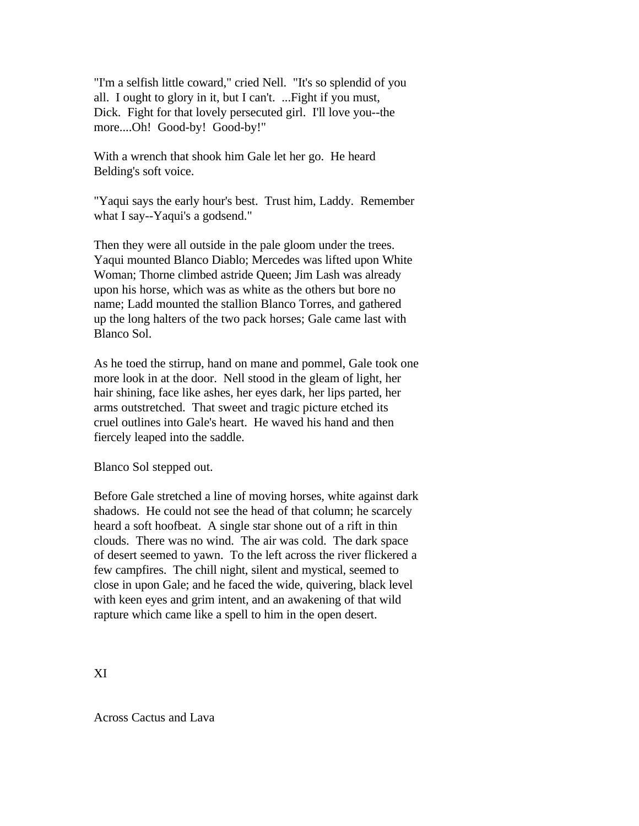"I'm a selfish little coward," cried Nell. "It's so splendid of you all. I ought to glory in it, but I can't. ...Fight if you must, Dick. Fight for that lovely persecuted girl. I'll love you--the more....Oh! Good-by! Good-by!"

With a wrench that shook him Gale let her go. He heard Belding's soft voice.

"Yaqui says the early hour's best. Trust him, Laddy. Remember what I say--Yaqui's a godsend."

Then they were all outside in the pale gloom under the trees. Yaqui mounted Blanco Diablo; Mercedes was lifted upon White Woman; Thorne climbed astride Queen; Jim Lash was already upon his horse, which was as white as the others but bore no name; Ladd mounted the stallion Blanco Torres, and gathered up the long halters of the two pack horses; Gale came last with Blanco Sol.

As he toed the stirrup, hand on mane and pommel, Gale took one more look in at the door. Nell stood in the gleam of light, her hair shining, face like ashes, her eyes dark, her lips parted, her arms outstretched. That sweet and tragic picture etched its cruel outlines into Gale's heart. He waved his hand and then fiercely leaped into the saddle.

Blanco Sol stepped out.

Before Gale stretched a line of moving horses, white against dark shadows. He could not see the head of that column; he scarcely heard a soft hoofbeat. A single star shone out of a rift in thin clouds. There was no wind. The air was cold. The dark space of desert seemed to yawn. To the left across the river flickered a few campfires. The chill night, silent and mystical, seemed to close in upon Gale; and he faced the wide, quivering, black level with keen eyes and grim intent, and an awakening of that wild rapture which came like a spell to him in the open desert.

XI

Across Cactus and Lava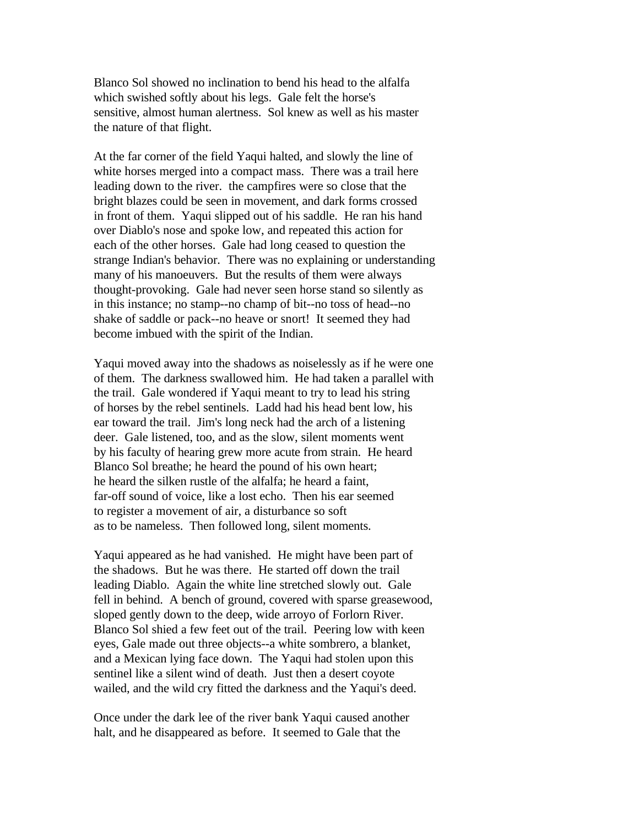Blanco Sol showed no inclination to bend his head to the alfalfa which swished softly about his legs. Gale felt the horse's sensitive, almost human alertness. Sol knew as well as his master the nature of that flight.

At the far corner of the field Yaqui halted, and slowly the line of white horses merged into a compact mass. There was a trail here leading down to the river. the campfires were so close that the bright blazes could be seen in movement, and dark forms crossed in front of them. Yaqui slipped out of his saddle. He ran his hand over Diablo's nose and spoke low, and repeated this action for each of the other horses. Gale had long ceased to question the strange Indian's behavior. There was no explaining or understanding many of his manoeuvers. But the results of them were always thought-provoking. Gale had never seen horse stand so silently as in this instance; no stamp--no champ of bit--no toss of head--no shake of saddle or pack--no heave or snort! It seemed they had become imbued with the spirit of the Indian.

Yaqui moved away into the shadows as noiselessly as if he were one of them. The darkness swallowed him. He had taken a parallel with the trail. Gale wondered if Yaqui meant to try to lead his string of horses by the rebel sentinels. Ladd had his head bent low, his ear toward the trail. Jim's long neck had the arch of a listening deer. Gale listened, too, and as the slow, silent moments went by his faculty of hearing grew more acute from strain. He heard Blanco Sol breathe; he heard the pound of his own heart; he heard the silken rustle of the alfalfa; he heard a faint, far-off sound of voice, like a lost echo. Then his ear seemed to register a movement of air, a disturbance so soft as to be nameless. Then followed long, silent moments.

Yaqui appeared as he had vanished. He might have been part of the shadows. But he was there. He started off down the trail leading Diablo. Again the white line stretched slowly out. Gale fell in behind. A bench of ground, covered with sparse greasewood, sloped gently down to the deep, wide arroyo of Forlorn River. Blanco Sol shied a few feet out of the trail. Peering low with keen eyes, Gale made out three objects--a white sombrero, a blanket, and a Mexican lying face down. The Yaqui had stolen upon this sentinel like a silent wind of death. Just then a desert coyote wailed, and the wild cry fitted the darkness and the Yaqui's deed.

Once under the dark lee of the river bank Yaqui caused another halt, and he disappeared as before. It seemed to Gale that the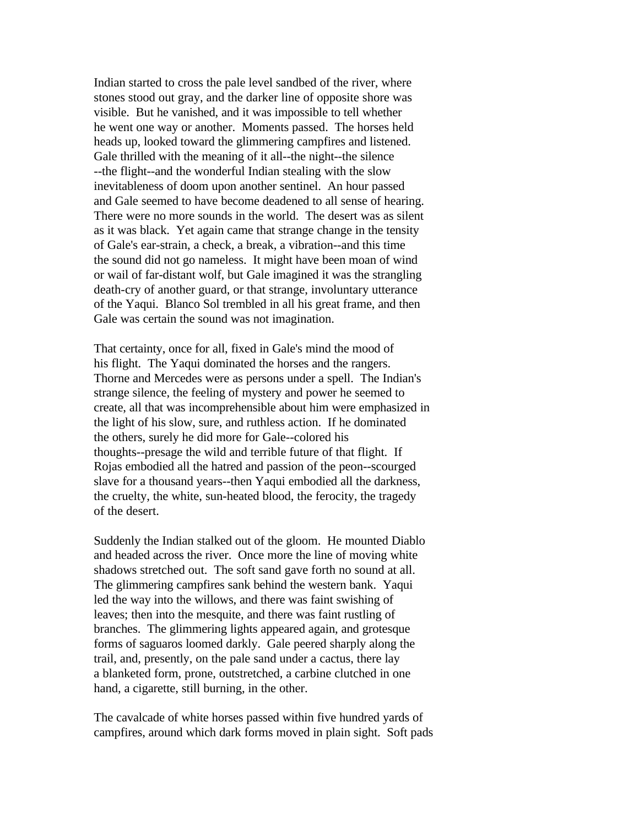Indian started to cross the pale level sandbed of the river, where stones stood out gray, and the darker line of opposite shore was visible. But he vanished, and it was impossible to tell whether he went one way or another. Moments passed. The horses held heads up, looked toward the glimmering campfires and listened. Gale thrilled with the meaning of it all--the night--the silence --the flight--and the wonderful Indian stealing with the slow inevitableness of doom upon another sentinel. An hour passed and Gale seemed to have become deadened to all sense of hearing. There were no more sounds in the world. The desert was as silent as it was black. Yet again came that strange change in the tensity of Gale's ear-strain, a check, a break, a vibration--and this time the sound did not go nameless. It might have been moan of wind or wail of far-distant wolf, but Gale imagined it was the strangling death-cry of another guard, or that strange, involuntary utterance of the Yaqui. Blanco Sol trembled in all his great frame, and then Gale was certain the sound was not imagination.

That certainty, once for all, fixed in Gale's mind the mood of his flight. The Yaqui dominated the horses and the rangers. Thorne and Mercedes were as persons under a spell. The Indian's strange silence, the feeling of mystery and power he seemed to create, all that was incomprehensible about him were emphasized in the light of his slow, sure, and ruthless action. If he dominated the others, surely he did more for Gale--colored his thoughts--presage the wild and terrible future of that flight. If Rojas embodied all the hatred and passion of the peon--scourged slave for a thousand years--then Yaqui embodied all the darkness, the cruelty, the white, sun-heated blood, the ferocity, the tragedy of the desert.

Suddenly the Indian stalked out of the gloom. He mounted Diablo and headed across the river. Once more the line of moving white shadows stretched out. The soft sand gave forth no sound at all. The glimmering campfires sank behind the western bank. Yaqui led the way into the willows, and there was faint swishing of leaves; then into the mesquite, and there was faint rustling of branches. The glimmering lights appeared again, and grotesque forms of saguaros loomed darkly. Gale peered sharply along the trail, and, presently, on the pale sand under a cactus, there lay a blanketed form, prone, outstretched, a carbine clutched in one hand, a cigarette, still burning, in the other.

The cavalcade of white horses passed within five hundred yards of campfires, around which dark forms moved in plain sight. Soft pads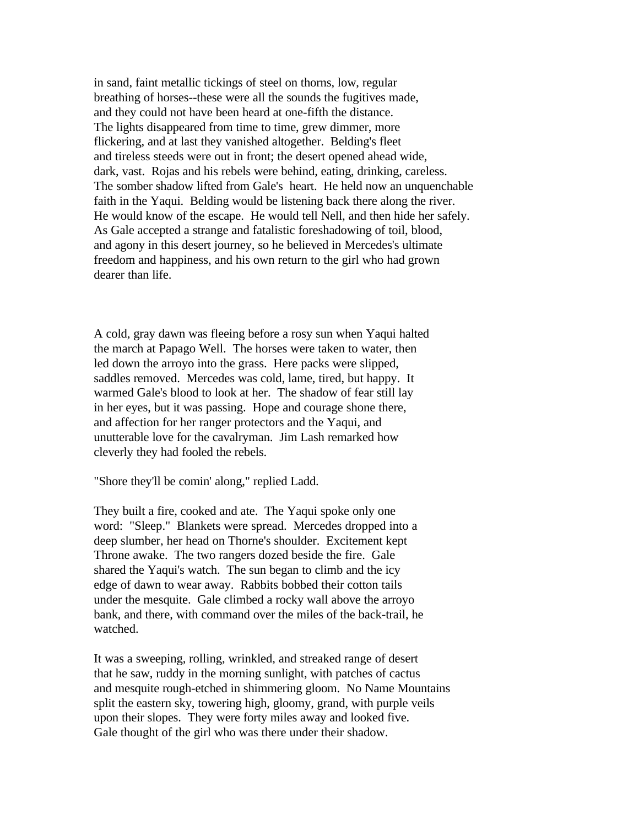in sand, faint metallic tickings of steel on thorns, low, regular breathing of horses--these were all the sounds the fugitives made, and they could not have been heard at one-fifth the distance. The lights disappeared from time to time, grew dimmer, more flickering, and at last they vanished altogether. Belding's fleet and tireless steeds were out in front; the desert opened ahead wide, dark, vast. Rojas and his rebels were behind, eating, drinking, careless. The somber shadow lifted from Gale's heart. He held now an unquenchable faith in the Yaqui. Belding would be listening back there along the river. He would know of the escape. He would tell Nell, and then hide her safely. As Gale accepted a strange and fatalistic foreshadowing of toil, blood, and agony in this desert journey, so he believed in Mercedes's ultimate freedom and happiness, and his own return to the girl who had grown dearer than life.

A cold, gray dawn was fleeing before a rosy sun when Yaqui halted the march at Papago Well. The horses were taken to water, then led down the arroyo into the grass. Here packs were slipped, saddles removed. Mercedes was cold, lame, tired, but happy. It warmed Gale's blood to look at her. The shadow of fear still lay in her eyes, but it was passing. Hope and courage shone there, and affection for her ranger protectors and the Yaqui, and unutterable love for the cavalryman. Jim Lash remarked how cleverly they had fooled the rebels.

"Shore they'll be comin' along," replied Ladd.

They built a fire, cooked and ate. The Yaqui spoke only one word: "Sleep." Blankets were spread. Mercedes dropped into a deep slumber, her head on Thorne's shoulder. Excitement kept Throne awake. The two rangers dozed beside the fire. Gale shared the Yaqui's watch. The sun began to climb and the icy edge of dawn to wear away. Rabbits bobbed their cotton tails under the mesquite. Gale climbed a rocky wall above the arroyo bank, and there, with command over the miles of the back-trail, he watched.

It was a sweeping, rolling, wrinkled, and streaked range of desert that he saw, ruddy in the morning sunlight, with patches of cactus and mesquite rough-etched in shimmering gloom. No Name Mountains split the eastern sky, towering high, gloomy, grand, with purple veils upon their slopes. They were forty miles away and looked five. Gale thought of the girl who was there under their shadow.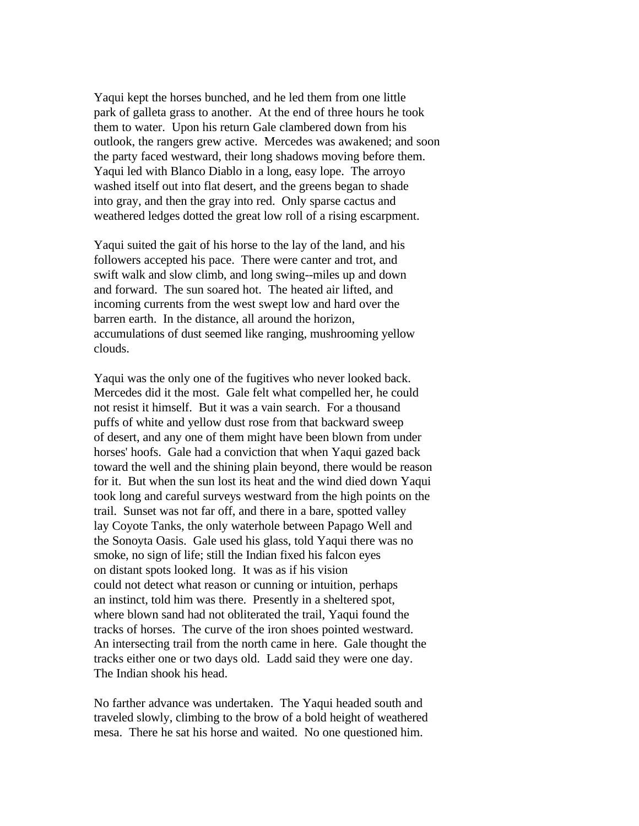Yaqui kept the horses bunched, and he led them from one little park of galleta grass to another. At the end of three hours he took them to water. Upon his return Gale clambered down from his outlook, the rangers grew active. Mercedes was awakened; and soon the party faced westward, their long shadows moving before them. Yaqui led with Blanco Diablo in a long, easy lope. The arroyo washed itself out into flat desert, and the greens began to shade into gray, and then the gray into red. Only sparse cactus and weathered ledges dotted the great low roll of a rising escarpment.

Yaqui suited the gait of his horse to the lay of the land, and his followers accepted his pace. There were canter and trot, and swift walk and slow climb, and long swing--miles up and down and forward. The sun soared hot. The heated air lifted, and incoming currents from the west swept low and hard over the barren earth. In the distance, all around the horizon, accumulations of dust seemed like ranging, mushrooming yellow clouds.

Yaqui was the only one of the fugitives who never looked back. Mercedes did it the most. Gale felt what compelled her, he could not resist it himself. But it was a vain search. For a thousand puffs of white and yellow dust rose from that backward sweep of desert, and any one of them might have been blown from under horses' hoofs. Gale had a conviction that when Yaqui gazed back toward the well and the shining plain beyond, there would be reason for it. But when the sun lost its heat and the wind died down Yaqui took long and careful surveys westward from the high points on the trail. Sunset was not far off, and there in a bare, spotted valley lay Coyote Tanks, the only waterhole between Papago Well and the Sonoyta Oasis. Gale used his glass, told Yaqui there was no smoke, no sign of life; still the Indian fixed his falcon eyes on distant spots looked long. It was as if his vision could not detect what reason or cunning or intuition, perhaps an instinct, told him was there. Presently in a sheltered spot, where blown sand had not obliterated the trail, Yaqui found the tracks of horses. The curve of the iron shoes pointed westward. An intersecting trail from the north came in here. Gale thought the tracks either one or two days old. Ladd said they were one day. The Indian shook his head.

No farther advance was undertaken. The Yaqui headed south and traveled slowly, climbing to the brow of a bold height of weathered mesa. There he sat his horse and waited. No one questioned him.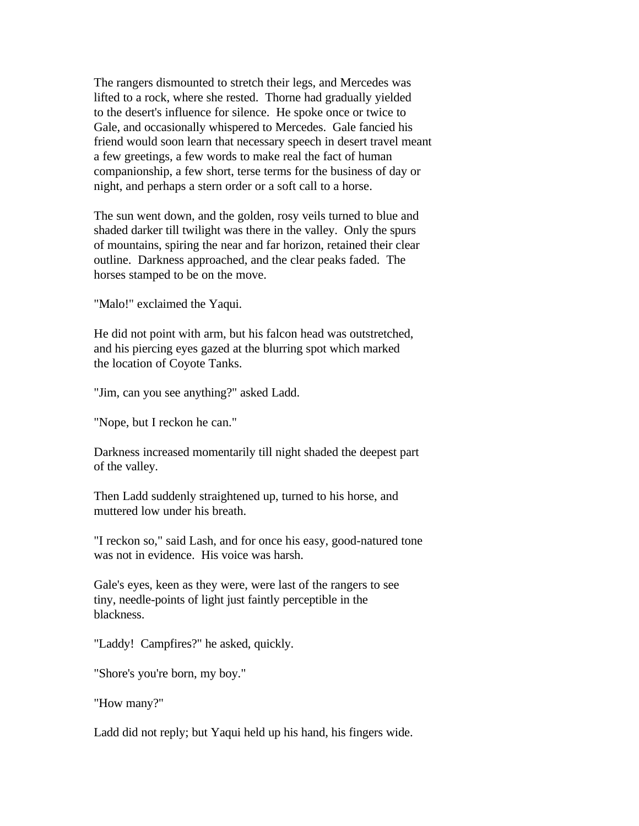The rangers dismounted to stretch their legs, and Mercedes was lifted to a rock, where she rested. Thorne had gradually yielded to the desert's influence for silence. He spoke once or twice to Gale, and occasionally whispered to Mercedes. Gale fancied his friend would soon learn that necessary speech in desert travel meant a few greetings, a few words to make real the fact of human companionship, a few short, terse terms for the business of day or night, and perhaps a stern order or a soft call to a horse.

The sun went down, and the golden, rosy veils turned to blue and shaded darker till twilight was there in the valley. Only the spurs of mountains, spiring the near and far horizon, retained their clear outline. Darkness approached, and the clear peaks faded. The horses stamped to be on the move.

"Malo!" exclaimed the Yaqui.

He did not point with arm, but his falcon head was outstretched, and his piercing eyes gazed at the blurring spot which marked the location of Coyote Tanks.

"Jim, can you see anything?" asked Ladd.

"Nope, but I reckon he can."

Darkness increased momentarily till night shaded the deepest part of the valley.

Then Ladd suddenly straightened up, turned to his horse, and muttered low under his breath.

"I reckon so," said Lash, and for once his easy, good-natured tone was not in evidence. His voice was harsh.

Gale's eyes, keen as they were, were last of the rangers to see tiny, needle-points of light just faintly perceptible in the blackness.

"Laddy! Campfires?" he asked, quickly.

"Shore's you're born, my boy."

"How many?"

Ladd did not reply; but Yaqui held up his hand, his fingers wide.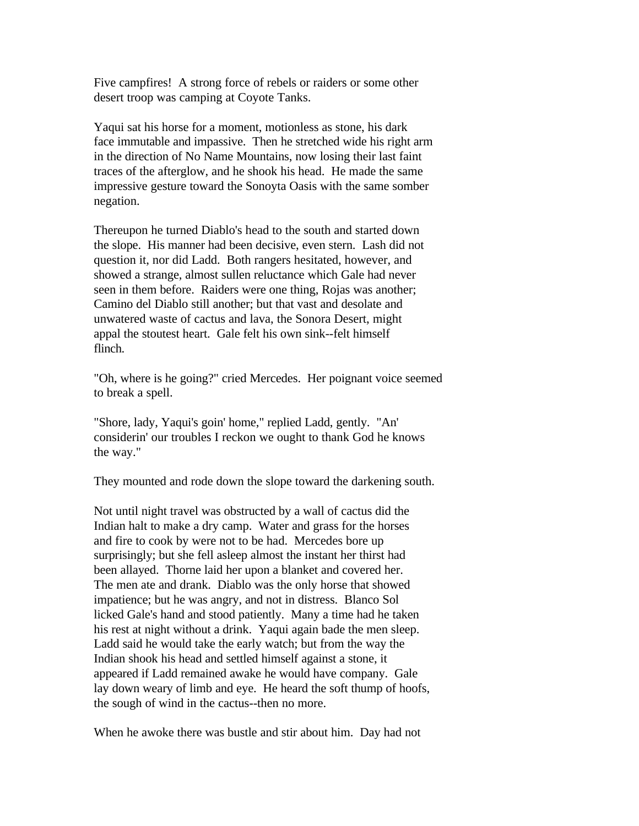Five campfires! A strong force of rebels or raiders or some other desert troop was camping at Coyote Tanks.

Yaqui sat his horse for a moment, motionless as stone, his dark face immutable and impassive. Then he stretched wide his right arm in the direction of No Name Mountains, now losing their last faint traces of the afterglow, and he shook his head. He made the same impressive gesture toward the Sonoyta Oasis with the same somber negation.

Thereupon he turned Diablo's head to the south and started down the slope. His manner had been decisive, even stern. Lash did not question it, nor did Ladd. Both rangers hesitated, however, and showed a strange, almost sullen reluctance which Gale had never seen in them before. Raiders were one thing, Rojas was another; Camino del Diablo still another; but that vast and desolate and unwatered waste of cactus and lava, the Sonora Desert, might appal the stoutest heart. Gale felt his own sink--felt himself flinch.

"Oh, where is he going?" cried Mercedes. Her poignant voice seemed to break a spell.

"Shore, lady, Yaqui's goin' home," replied Ladd, gently. "An' considerin' our troubles I reckon we ought to thank God he knows the way."

They mounted and rode down the slope toward the darkening south.

Not until night travel was obstructed by a wall of cactus did the Indian halt to make a dry camp. Water and grass for the horses and fire to cook by were not to be had. Mercedes bore up surprisingly; but she fell asleep almost the instant her thirst had been allayed. Thorne laid her upon a blanket and covered her. The men ate and drank. Diablo was the only horse that showed impatience; but he was angry, and not in distress. Blanco Sol licked Gale's hand and stood patiently. Many a time had he taken his rest at night without a drink. Yaqui again bade the men sleep. Ladd said he would take the early watch; but from the way the Indian shook his head and settled himself against a stone, it appeared if Ladd remained awake he would have company. Gale lay down weary of limb and eye. He heard the soft thump of hoofs, the sough of wind in the cactus--then no more.

When he awoke there was bustle and stir about him. Day had not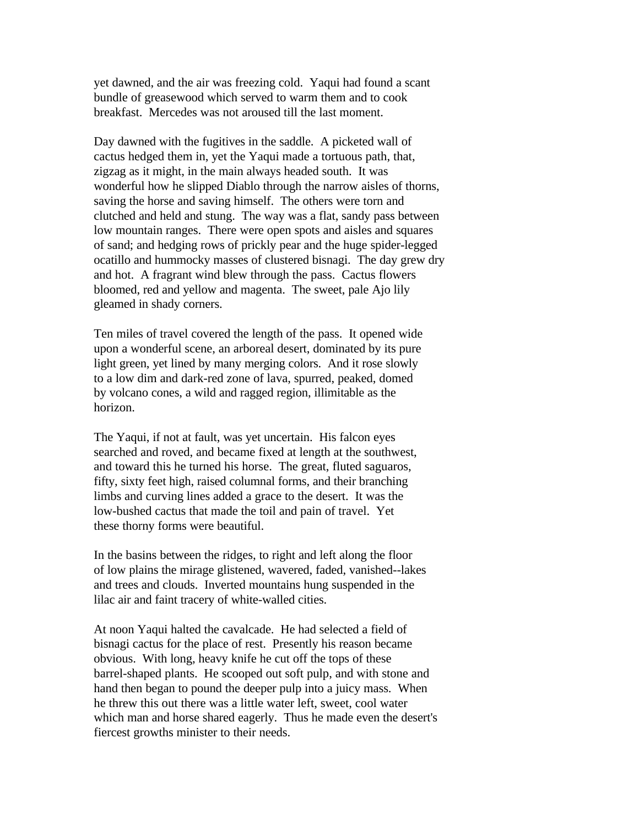yet dawned, and the air was freezing cold. Yaqui had found a scant bundle of greasewood which served to warm them and to cook breakfast. Mercedes was not aroused till the last moment.

Day dawned with the fugitives in the saddle. A picketed wall of cactus hedged them in, yet the Yaqui made a tortuous path, that, zigzag as it might, in the main always headed south. It was wonderful how he slipped Diablo through the narrow aisles of thorns, saving the horse and saving himself. The others were torn and clutched and held and stung. The way was a flat, sandy pass between low mountain ranges. There were open spots and aisles and squares of sand; and hedging rows of prickly pear and the huge spider-legged ocatillo and hummocky masses of clustered bisnagi. The day grew dry and hot. A fragrant wind blew through the pass. Cactus flowers bloomed, red and yellow and magenta. The sweet, pale Ajo lily gleamed in shady corners.

Ten miles of travel covered the length of the pass. It opened wide upon a wonderful scene, an arboreal desert, dominated by its pure light green, yet lined by many merging colors. And it rose slowly to a low dim and dark-red zone of lava, spurred, peaked, domed by volcano cones, a wild and ragged region, illimitable as the horizon.

The Yaqui, if not at fault, was yet uncertain. His falcon eyes searched and roved, and became fixed at length at the southwest, and toward this he turned his horse. The great, fluted saguaros, fifty, sixty feet high, raised columnal forms, and their branching limbs and curving lines added a grace to the desert. It was the low-bushed cactus that made the toil and pain of travel. Yet these thorny forms were beautiful.

In the basins between the ridges, to right and left along the floor of low plains the mirage glistened, wavered, faded, vanished--lakes and trees and clouds. Inverted mountains hung suspended in the lilac air and faint tracery of white-walled cities.

At noon Yaqui halted the cavalcade. He had selected a field of bisnagi cactus for the place of rest. Presently his reason became obvious. With long, heavy knife he cut off the tops of these barrel-shaped plants. He scooped out soft pulp, and with stone and hand then began to pound the deeper pulp into a juicy mass. When he threw this out there was a little water left, sweet, cool water which man and horse shared eagerly. Thus he made even the desert's fiercest growths minister to their needs.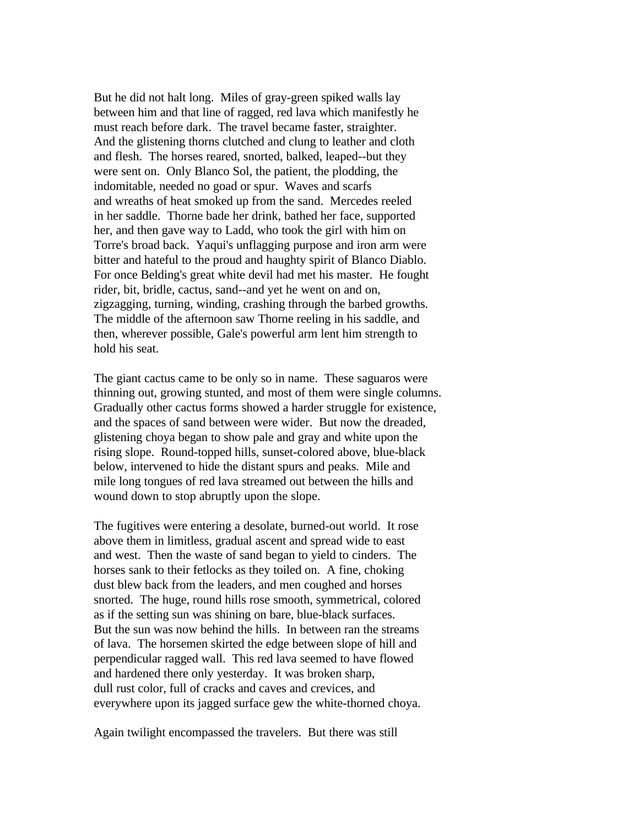But he did not halt long. Miles of gray-green spiked walls lay between him and that line of ragged, red lava which manifestly he must reach before dark. The travel became faster, straighter. And the glistening thorns clutched and clung to leather and cloth and flesh. The horses reared, snorted, balked, leaped--but they were sent on. Only Blanco Sol, the patient, the plodding, the indomitable, needed no goad or spur. Waves and scarfs and wreaths of heat smoked up from the sand. Mercedes reeled in her saddle. Thorne bade her drink, bathed her face, supported her, and then gave way to Ladd, who took the girl with him on Torre's broad back. Yaqui's unflagging purpose and iron arm were bitter and hateful to the proud and haughty spirit of Blanco Diablo. For once Belding's great white devil had met his master. He fought rider, bit, bridle, cactus, sand--and yet he went on and on, zigzagging, turning, winding, crashing through the barbed growths. The middle of the afternoon saw Thorne reeling in his saddle, and then, wherever possible, Gale's powerful arm lent him strength to hold his seat.

The giant cactus came to be only so in name. These saguaros were thinning out, growing stunted, and most of them were single columns. Gradually other cactus forms showed a harder struggle for existence, and the spaces of sand between were wider. But now the dreaded, glistening choya began to show pale and gray and white upon the rising slope. Round-topped hills, sunset-colored above, blue-black below, intervened to hide the distant spurs and peaks. Mile and mile long tongues of red lava streamed out between the hills and wound down to stop abruptly upon the slope.

The fugitives were entering a desolate, burned-out world. It rose above them in limitless, gradual ascent and spread wide to east and west. Then the waste of sand began to yield to cinders. The horses sank to their fetlocks as they toiled on. A fine, choking dust blew back from the leaders, and men coughed and horses snorted. The huge, round hills rose smooth, symmetrical, colored as if the setting sun was shining on bare, blue-black surfaces. But the sun was now behind the hills. In between ran the streams of lava. The horsemen skirted the edge between slope of hill and perpendicular ragged wall. This red lava seemed to have flowed and hardened there only yesterday. It was broken sharp, dull rust color, full of cracks and caves and crevices, and everywhere upon its jagged surface gew the white-thorned choya.

Again twilight encompassed the travelers. But there was still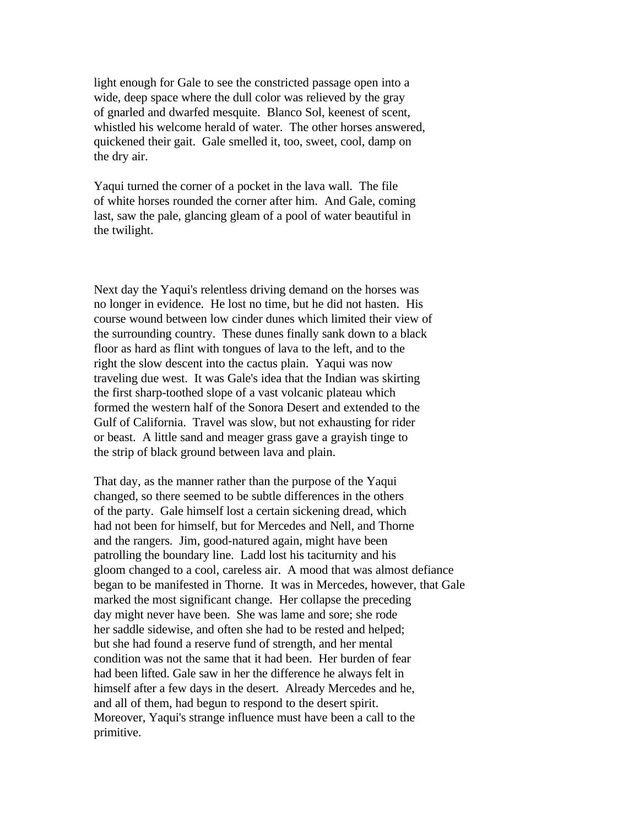light enough for Gale to see the constricted passage open into a wide, deep space where the dull color was relieved by the gray of gnarled and dwarfed mesquite. Blanco Sol, keenest of scent, whistled his welcome herald of water. The other horses answered, quickened their gait. Gale smelled it, too, sweet, cool, damp on the dry air.

Yaqui turned the corner of a pocket in the lava wall. The file of white horses rounded the corner after him. And Gale, coming last, saw the pale, glancing gleam of a pool of water beautiful in the twilight.

Next day the Yaqui's relentless driving demand on the horses was no longer in evidence. He lost no time, but he did not hasten. His course wound between low cinder dunes which limited their view of the surrounding country. These dunes finally sank down to a black floor as hard as flint with tongues of lava to the left, and to the right the slow descent into the cactus plain. Yaqui was now traveling due west. It was Gale's idea that the Indian was skirting the first sharp-toothed slope of a vast volcanic plateau which formed the western half of the Sonora Desert and extended to the Gulf of California. Travel was slow, but not exhausting for rider or beast. A little sand and meager grass gave a grayish tinge to the strip of black ground between lava and plain.

That day, as the manner rather than the purpose of the Yaqui changed, so there seemed to be subtle differences in the others of the party. Gale himself lost a certain sickening dread, which had not been for himself, but for Mercedes and Nell, and Thorne and the rangers. Jim, good-natured again, might have been patrolling the boundary line. Ladd lost his taciturnity and his gloom changed to a cool, careless air. A mood that was almost defiance began to be manifested in Thorne. It was in Mercedes, however, that Gale marked the most significant change. Her collapse the preceding day might never have been. She was lame and sore; she rode her saddle sidewise, and often she had to be rested and helped; but she had found a reserve fund of strength, and her mental condition was not the same that it had been. Her burden of fear had been lifted. Gale saw in her the difference he always felt in himself after a few days in the desert. Already Mercedes and he, and all of them, had begun to respond to the desert spirit. Moreover, Yaqui's strange influence must have been a call to the primitive.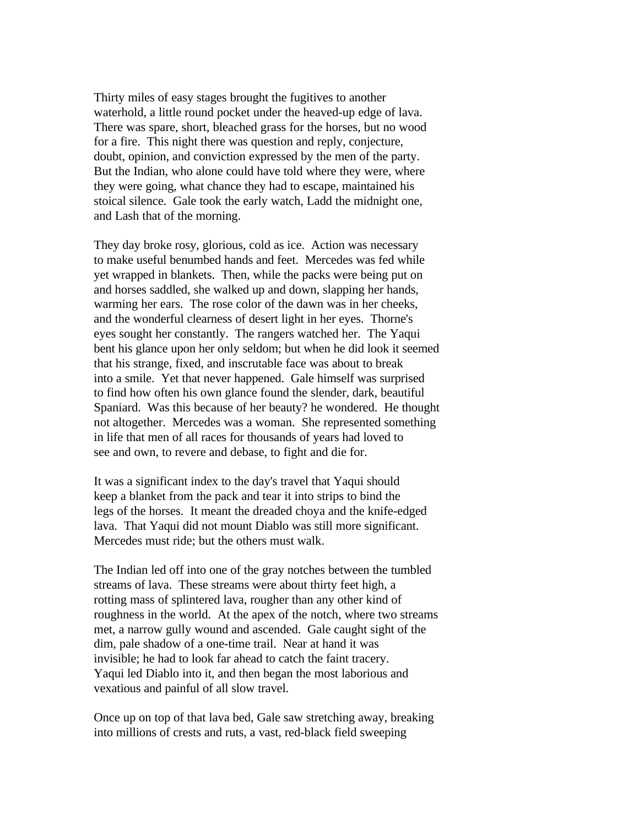Thirty miles of easy stages brought the fugitives to another waterhold, a little round pocket under the heaved-up edge of lava. There was spare, short, bleached grass for the horses, but no wood for a fire. This night there was question and reply, conjecture, doubt, opinion, and conviction expressed by the men of the party. But the Indian, who alone could have told where they were, where they were going, what chance they had to escape, maintained his stoical silence. Gale took the early watch, Ladd the midnight one, and Lash that of the morning.

They day broke rosy, glorious, cold as ice. Action was necessary to make useful benumbed hands and feet. Mercedes was fed while yet wrapped in blankets. Then, while the packs were being put on and horses saddled, she walked up and down, slapping her hands, warming her ears. The rose color of the dawn was in her cheeks, and the wonderful clearness of desert light in her eyes. Thorne's eyes sought her constantly. The rangers watched her. The Yaqui bent his glance upon her only seldom; but when he did look it seemed that his strange, fixed, and inscrutable face was about to break into a smile. Yet that never happened. Gale himself was surprised to find how often his own glance found the slender, dark, beautiful Spaniard. Was this because of her beauty? he wondered. He thought not altogether. Mercedes was a woman. She represented something in life that men of all races for thousands of years had loved to see and own, to revere and debase, to fight and die for.

It was a significant index to the day's travel that Yaqui should keep a blanket from the pack and tear it into strips to bind the legs of the horses. It meant the dreaded choya and the knife-edged lava. That Yaqui did not mount Diablo was still more significant. Mercedes must ride; but the others must walk.

The Indian led off into one of the gray notches between the tumbled streams of lava. These streams were about thirty feet high, a rotting mass of splintered lava, rougher than any other kind of roughness in the world. At the apex of the notch, where two streams met, a narrow gully wound and ascended. Gale caught sight of the dim, pale shadow of a one-time trail. Near at hand it was invisible; he had to look far ahead to catch the faint tracery. Yaqui led Diablo into it, and then began the most laborious and vexatious and painful of all slow travel.

Once up on top of that lava bed, Gale saw stretching away, breaking into millions of crests and ruts, a vast, red-black field sweeping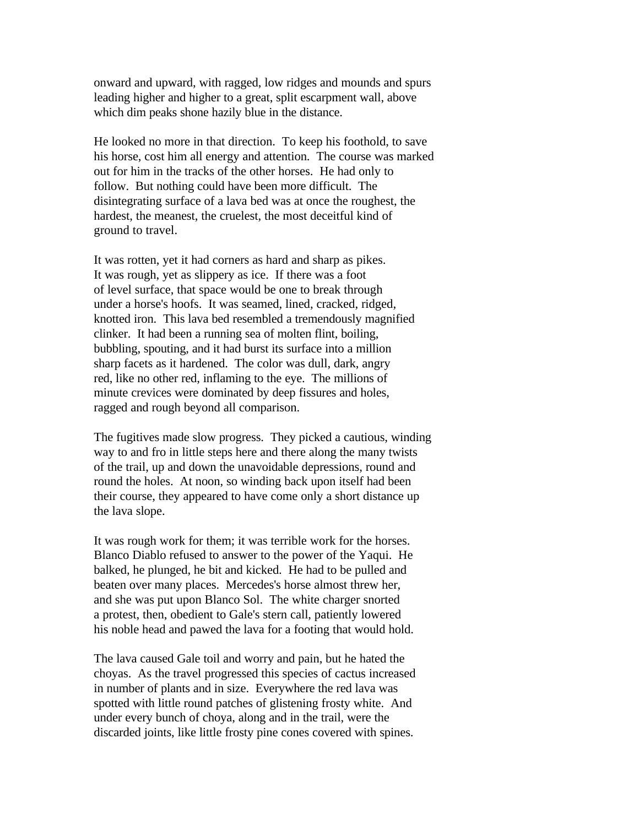onward and upward, with ragged, low ridges and mounds and spurs leading higher and higher to a great, split escarpment wall, above which dim peaks shone hazily blue in the distance.

He looked no more in that direction. To keep his foothold, to save his horse, cost him all energy and attention. The course was marked out for him in the tracks of the other horses. He had only to follow. But nothing could have been more difficult. The disintegrating surface of a lava bed was at once the roughest, the hardest, the meanest, the cruelest, the most deceitful kind of ground to travel.

It was rotten, yet it had corners as hard and sharp as pikes. It was rough, yet as slippery as ice. If there was a foot of level surface, that space would be one to break through under a horse's hoofs. It was seamed, lined, cracked, ridged, knotted iron. This lava bed resembled a tremendously magnified clinker. It had been a running sea of molten flint, boiling, bubbling, spouting, and it had burst its surface into a million sharp facets as it hardened. The color was dull, dark, angry red, like no other red, inflaming to the eye. The millions of minute crevices were dominated by deep fissures and holes, ragged and rough beyond all comparison.

The fugitives made slow progress. They picked a cautious, winding way to and fro in little steps here and there along the many twists of the trail, up and down the unavoidable depressions, round and round the holes. At noon, so winding back upon itself had been their course, they appeared to have come only a short distance up the lava slope.

It was rough work for them; it was terrible work for the horses. Blanco Diablo refused to answer to the power of the Yaqui. He balked, he plunged, he bit and kicked. He had to be pulled and beaten over many places. Mercedes's horse almost threw her, and she was put upon Blanco Sol. The white charger snorted a protest, then, obedient to Gale's stern call, patiently lowered his noble head and pawed the lava for a footing that would hold.

The lava caused Gale toil and worry and pain, but he hated the choyas. As the travel progressed this species of cactus increased in number of plants and in size. Everywhere the red lava was spotted with little round patches of glistening frosty white. And under every bunch of choya, along and in the trail, were the discarded joints, like little frosty pine cones covered with spines.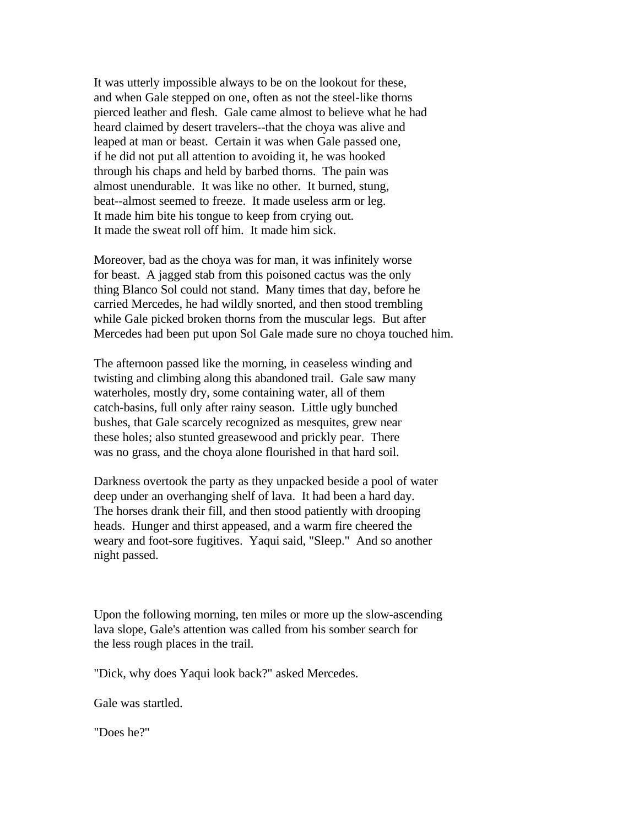It was utterly impossible always to be on the lookout for these, and when Gale stepped on one, often as not the steel-like thorns pierced leather and flesh. Gale came almost to believe what he had heard claimed by desert travelers--that the choya was alive and leaped at man or beast. Certain it was when Gale passed one, if he did not put all attention to avoiding it, he was hooked through his chaps and held by barbed thorns. The pain was almost unendurable. It was like no other. It burned, stung, beat--almost seemed to freeze. It made useless arm or leg. It made him bite his tongue to keep from crying out. It made the sweat roll off him. It made him sick.

Moreover, bad as the choya was for man, it was infinitely worse for beast. A jagged stab from this poisoned cactus was the only thing Blanco Sol could not stand. Many times that day, before he carried Mercedes, he had wildly snorted, and then stood trembling while Gale picked broken thorns from the muscular legs. But after Mercedes had been put upon Sol Gale made sure no choya touched him.

The afternoon passed like the morning, in ceaseless winding and twisting and climbing along this abandoned trail. Gale saw many waterholes, mostly dry, some containing water, all of them catch-basins, full only after rainy season. Little ugly bunched bushes, that Gale scarcely recognized as mesquites, grew near these holes; also stunted greasewood and prickly pear. There was no grass, and the choya alone flourished in that hard soil.

Darkness overtook the party as they unpacked beside a pool of water deep under an overhanging shelf of lava. It had been a hard day. The horses drank their fill, and then stood patiently with drooping heads. Hunger and thirst appeased, and a warm fire cheered the weary and foot-sore fugitives. Yaqui said, "Sleep." And so another night passed.

Upon the following morning, ten miles or more up the slow-ascending lava slope, Gale's attention was called from his somber search for the less rough places in the trail.

"Dick, why does Yaqui look back?" asked Mercedes.

Gale was startled.

"Does he?"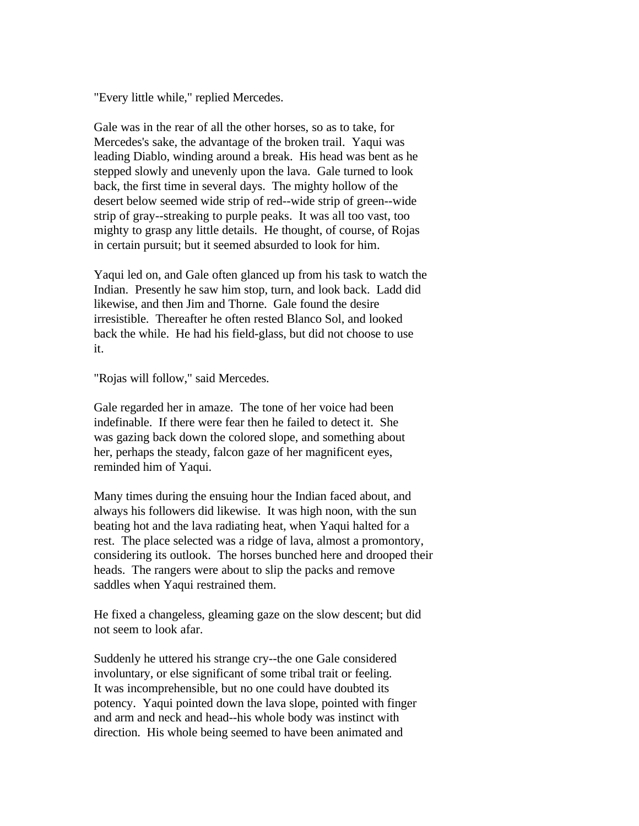"Every little while," replied Mercedes.

Gale was in the rear of all the other horses, so as to take, for Mercedes's sake, the advantage of the broken trail. Yaqui was leading Diablo, winding around a break. His head was bent as he stepped slowly and unevenly upon the lava. Gale turned to look back, the first time in several days. The mighty hollow of the desert below seemed wide strip of red--wide strip of green--wide strip of gray--streaking to purple peaks. It was all too vast, too mighty to grasp any little details. He thought, of course, of Rojas in certain pursuit; but it seemed absurded to look for him.

Yaqui led on, and Gale often glanced up from his task to watch the Indian. Presently he saw him stop, turn, and look back. Ladd did likewise, and then Jim and Thorne. Gale found the desire irresistible. Thereafter he often rested Blanco Sol, and looked back the while. He had his field-glass, but did not choose to use it.

"Rojas will follow," said Mercedes.

Gale regarded her in amaze. The tone of her voice had been indefinable. If there were fear then he failed to detect it. She was gazing back down the colored slope, and something about her, perhaps the steady, falcon gaze of her magnificent eyes, reminded him of Yaqui.

Many times during the ensuing hour the Indian faced about, and always his followers did likewise. It was high noon, with the sun beating hot and the lava radiating heat, when Yaqui halted for a rest. The place selected was a ridge of lava, almost a promontory, considering its outlook. The horses bunched here and drooped their heads. The rangers were about to slip the packs and remove saddles when Yaqui restrained them.

He fixed a changeless, gleaming gaze on the slow descent; but did not seem to look afar.

Suddenly he uttered his strange cry--the one Gale considered involuntary, or else significant of some tribal trait or feeling. It was incomprehensible, but no one could have doubted its potency. Yaqui pointed down the lava slope, pointed with finger and arm and neck and head--his whole body was instinct with direction. His whole being seemed to have been animated and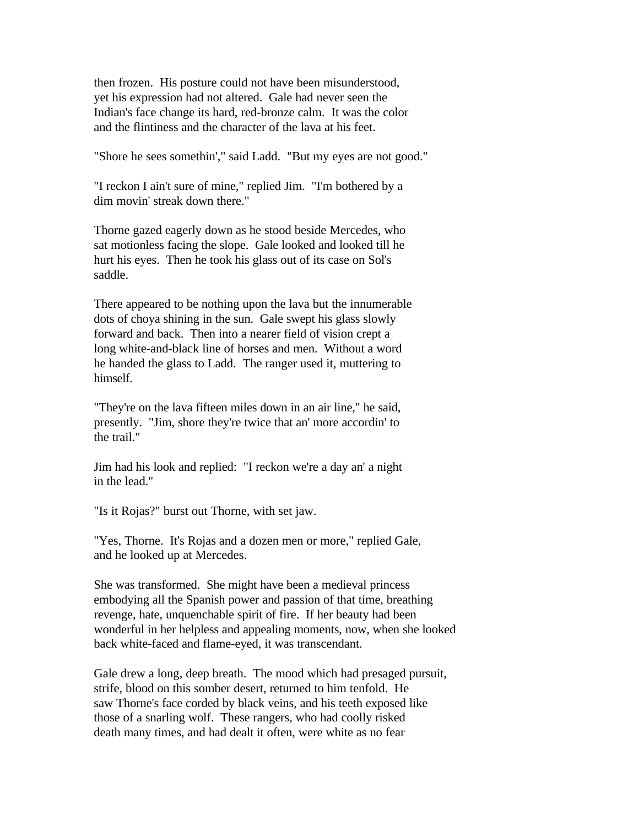then frozen. His posture could not have been misunderstood, yet his expression had not altered. Gale had never seen the Indian's face change its hard, red-bronze calm. It was the color and the flintiness and the character of the lava at his feet.

"Shore he sees somethin'," said Ladd. "But my eyes are not good."

"I reckon I ain't sure of mine," replied Jim. "I'm bothered by a dim movin' streak down there."

Thorne gazed eagerly down as he stood beside Mercedes, who sat motionless facing the slope. Gale looked and looked till he hurt his eyes. Then he took his glass out of its case on Sol's saddle.

There appeared to be nothing upon the lava but the innumerable dots of choya shining in the sun. Gale swept his glass slowly forward and back. Then into a nearer field of vision crept a long white-and-black line of horses and men. Without a word he handed the glass to Ladd. The ranger used it, muttering to himself.

"They're on the lava fifteen miles down in an air line," he said, presently. "Jim, shore they're twice that an' more accordin' to the trail."

Jim had his look and replied: "I reckon we're a day an' a night in the lead."

"Is it Rojas?" burst out Thorne, with set jaw.

"Yes, Thorne. It's Rojas and a dozen men or more," replied Gale, and he looked up at Mercedes.

She was transformed. She might have been a medieval princess embodying all the Spanish power and passion of that time, breathing revenge, hate, unquenchable spirit of fire. If her beauty had been wonderful in her helpless and appealing moments, now, when she looked back white-faced and flame-eyed, it was transcendant.

Gale drew a long, deep breath. The mood which had presaged pursuit, strife, blood on this somber desert, returned to him tenfold. He saw Thorne's face corded by black veins, and his teeth exposed like those of a snarling wolf. These rangers, who had coolly risked death many times, and had dealt it often, were white as no fear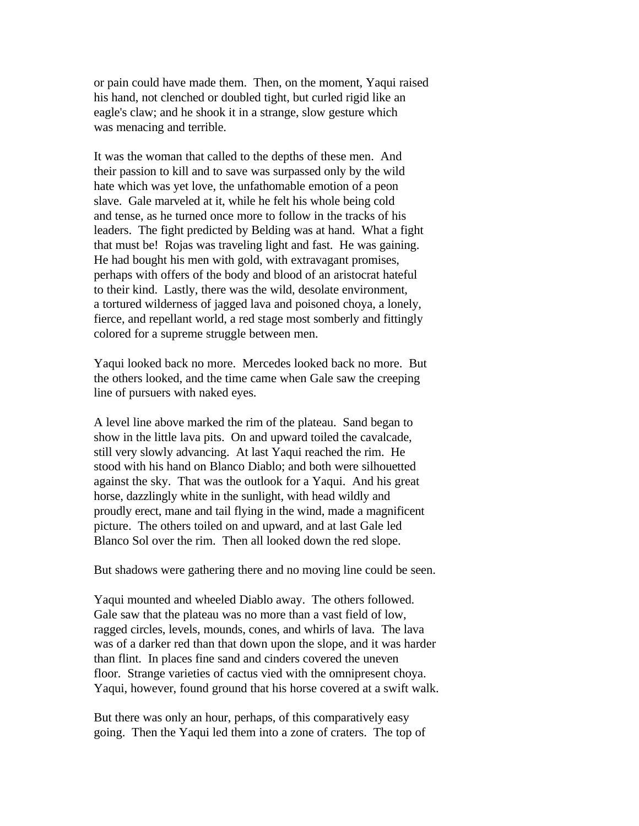or pain could have made them. Then, on the moment, Yaqui raised his hand, not clenched or doubled tight, but curled rigid like an eagle's claw; and he shook it in a strange, slow gesture which was menacing and terrible.

It was the woman that called to the depths of these men. And their passion to kill and to save was surpassed only by the wild hate which was yet love, the unfathomable emotion of a peon slave. Gale marveled at it, while he felt his whole being cold and tense, as he turned once more to follow in the tracks of his leaders. The fight predicted by Belding was at hand. What a fight that must be! Rojas was traveling light and fast. He was gaining. He had bought his men with gold, with extravagant promises, perhaps with offers of the body and blood of an aristocrat hateful to their kind. Lastly, there was the wild, desolate environment, a tortured wilderness of jagged lava and poisoned choya, a lonely, fierce, and repellant world, a red stage most somberly and fittingly colored for a supreme struggle between men.

Yaqui looked back no more. Mercedes looked back no more. But the others looked, and the time came when Gale saw the creeping line of pursuers with naked eyes.

A level line above marked the rim of the plateau. Sand began to show in the little lava pits. On and upward toiled the cavalcade, still very slowly advancing. At last Yaqui reached the rim. He stood with his hand on Blanco Diablo; and both were silhouetted against the sky. That was the outlook for a Yaqui. And his great horse, dazzlingly white in the sunlight, with head wildly and proudly erect, mane and tail flying in the wind, made a magnificent picture. The others toiled on and upward, and at last Gale led Blanco Sol over the rim. Then all looked down the red slope.

But shadows were gathering there and no moving line could be seen.

Yaqui mounted and wheeled Diablo away. The others followed. Gale saw that the plateau was no more than a vast field of low, ragged circles, levels, mounds, cones, and whirls of lava. The lava was of a darker red than that down upon the slope, and it was harder than flint. In places fine sand and cinders covered the uneven floor. Strange varieties of cactus vied with the omnipresent choya. Yaqui, however, found ground that his horse covered at a swift walk.

But there was only an hour, perhaps, of this comparatively easy going. Then the Yaqui led them into a zone of craters. The top of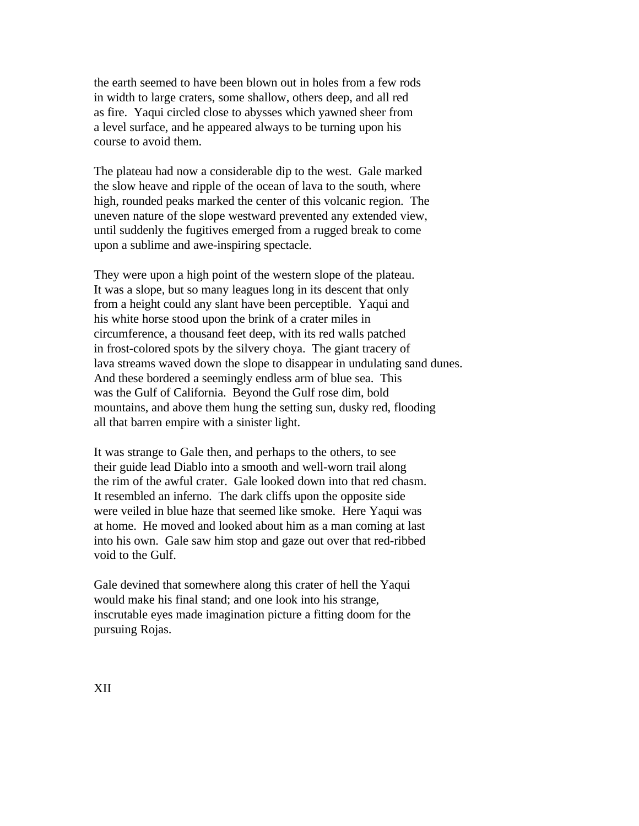the earth seemed to have been blown out in holes from a few rods in width to large craters, some shallow, others deep, and all red as fire. Yaqui circled close to abysses which yawned sheer from a level surface, and he appeared always to be turning upon his course to avoid them.

The plateau had now a considerable dip to the west. Gale marked the slow heave and ripple of the ocean of lava to the south, where high, rounded peaks marked the center of this volcanic region. The uneven nature of the slope westward prevented any extended view, until suddenly the fugitives emerged from a rugged break to come upon a sublime and awe-inspiring spectacle.

They were upon a high point of the western slope of the plateau. It was a slope, but so many leagues long in its descent that only from a height could any slant have been perceptible. Yaqui and his white horse stood upon the brink of a crater miles in circumference, a thousand feet deep, with its red walls patched in frost-colored spots by the silvery choya. The giant tracery of lava streams waved down the slope to disappear in undulating sand dunes. And these bordered a seemingly endless arm of blue sea. This was the Gulf of California. Beyond the Gulf rose dim, bold mountains, and above them hung the setting sun, dusky red, flooding all that barren empire with a sinister light.

It was strange to Gale then, and perhaps to the others, to see their guide lead Diablo into a smooth and well-worn trail along the rim of the awful crater. Gale looked down into that red chasm. It resembled an inferno. The dark cliffs upon the opposite side were veiled in blue haze that seemed like smoke. Here Yaqui was at home. He moved and looked about him as a man coming at last into his own. Gale saw him stop and gaze out over that red-ribbed void to the Gulf.

Gale devined that somewhere along this crater of hell the Yaqui would make his final stand; and one look into his strange, inscrutable eyes made imagination picture a fitting doom for the pursuing Rojas.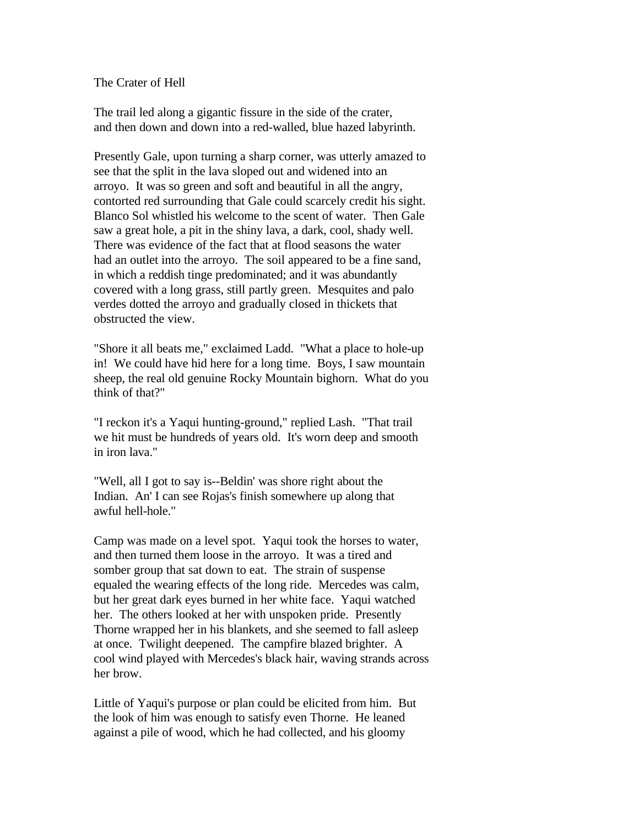The Crater of Hell

The trail led along a gigantic fissure in the side of the crater, and then down and down into a red-walled, blue hazed labyrinth.

Presently Gale, upon turning a sharp corner, was utterly amazed to see that the split in the lava sloped out and widened into an arroyo. It was so green and soft and beautiful in all the angry, contorted red surrounding that Gale could scarcely credit his sight. Blanco Sol whistled his welcome to the scent of water. Then Gale saw a great hole, a pit in the shiny lava, a dark, cool, shady well. There was evidence of the fact that at flood seasons the water had an outlet into the arroyo. The soil appeared to be a fine sand, in which a reddish tinge predominated; and it was abundantly covered with a long grass, still partly green. Mesquites and palo verdes dotted the arroyo and gradually closed in thickets that obstructed the view.

"Shore it all beats me," exclaimed Ladd. "What a place to hole-up in! We could have hid here for a long time. Boys, I saw mountain sheep, the real old genuine Rocky Mountain bighorn. What do you think of that?"

"I reckon it's a Yaqui hunting-ground," replied Lash. "That trail we hit must be hundreds of years old. It's worn deep and smooth in iron lava."

"Well, all I got to say is--Beldin' was shore right about the Indian. An' I can see Rojas's finish somewhere up along that awful hell-hole."

Camp was made on a level spot. Yaqui took the horses to water, and then turned them loose in the arroyo. It was a tired and somber group that sat down to eat. The strain of suspense equaled the wearing effects of the long ride. Mercedes was calm, but her great dark eyes burned in her white face. Yaqui watched her. The others looked at her with unspoken pride. Presently Thorne wrapped her in his blankets, and she seemed to fall asleep at once. Twilight deepened. The campfire blazed brighter. A cool wind played with Mercedes's black hair, waving strands across her brow.

Little of Yaqui's purpose or plan could be elicited from him. But the look of him was enough to satisfy even Thorne. He leaned against a pile of wood, which he had collected, and his gloomy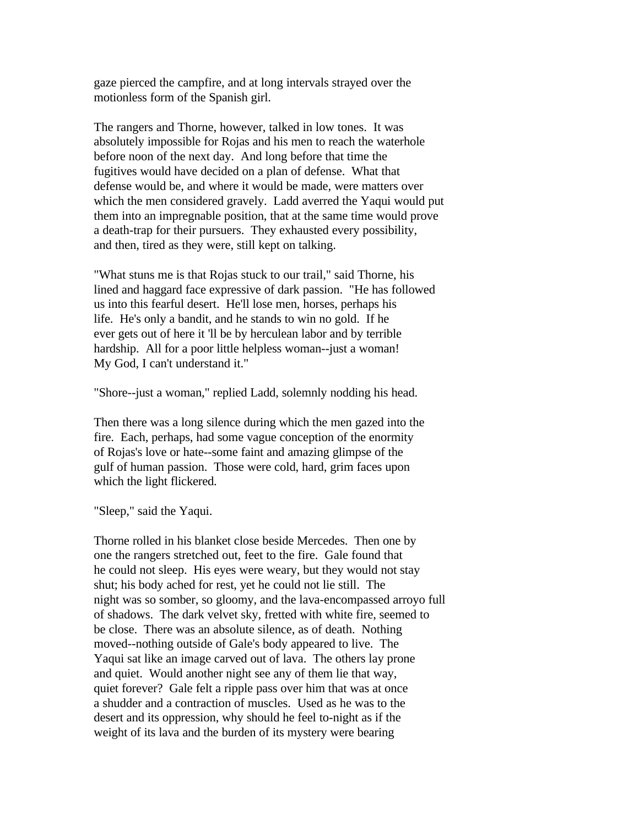gaze pierced the campfire, and at long intervals strayed over the motionless form of the Spanish girl.

The rangers and Thorne, however, talked in low tones. It was absolutely impossible for Rojas and his men to reach the waterhole before noon of the next day. And long before that time the fugitives would have decided on a plan of defense. What that defense would be, and where it would be made, were matters over which the men considered gravely. Ladd averred the Yaqui would put them into an impregnable position, that at the same time would prove a death-trap for their pursuers. They exhausted every possibility, and then, tired as they were, still kept on talking.

"What stuns me is that Rojas stuck to our trail," said Thorne, his lined and haggard face expressive of dark passion. "He has followed us into this fearful desert. He'll lose men, horses, perhaps his life. He's only a bandit, and he stands to win no gold. If he ever gets out of here it 'll be by herculean labor and by terrible hardship. All for a poor little helpless woman--just a woman! My God, I can't understand it."

"Shore--just a woman," replied Ladd, solemnly nodding his head.

Then there was a long silence during which the men gazed into the fire. Each, perhaps, had some vague conception of the enormity of Rojas's love or hate--some faint and amazing glimpse of the gulf of human passion. Those were cold, hard, grim faces upon which the light flickered.

"Sleep," said the Yaqui.

Thorne rolled in his blanket close beside Mercedes. Then one by one the rangers stretched out, feet to the fire. Gale found that he could not sleep. His eyes were weary, but they would not stay shut; his body ached for rest, yet he could not lie still. The night was so somber, so gloomy, and the lava-encompassed arroyo full of shadows. The dark velvet sky, fretted with white fire, seemed to be close. There was an absolute silence, as of death. Nothing moved--nothing outside of Gale's body appeared to live. The Yaqui sat like an image carved out of lava. The others lay prone and quiet. Would another night see any of them lie that way, quiet forever? Gale felt a ripple pass over him that was at once a shudder and a contraction of muscles. Used as he was to the desert and its oppression, why should he feel to-night as if the weight of its lava and the burden of its mystery were bearing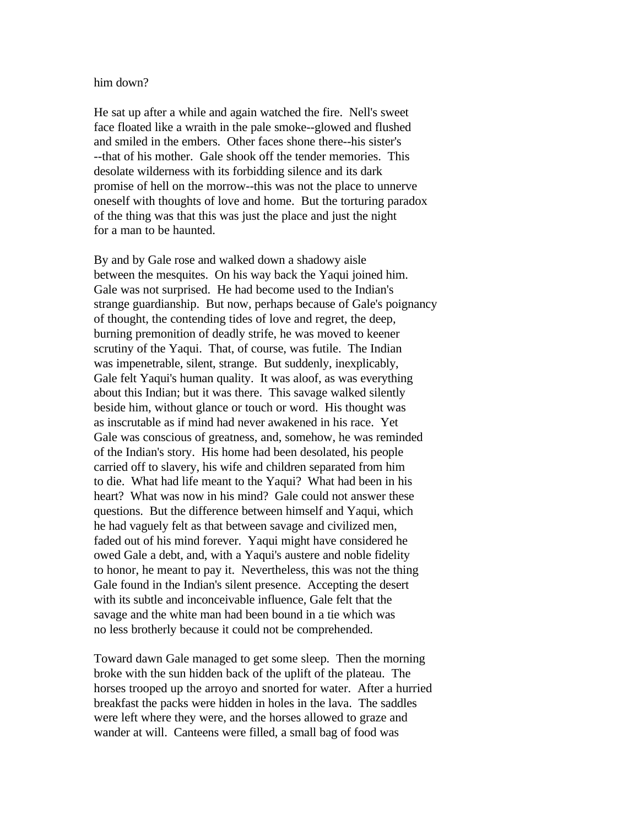## him down?

He sat up after a while and again watched the fire. Nell's sweet face floated like a wraith in the pale smoke--glowed and flushed and smiled in the embers. Other faces shone there--his sister's --that of his mother. Gale shook off the tender memories. This desolate wilderness with its forbidding silence and its dark promise of hell on the morrow--this was not the place to unnerve oneself with thoughts of love and home. But the torturing paradox of the thing was that this was just the place and just the night for a man to be haunted.

By and by Gale rose and walked down a shadowy aisle between the mesquites. On his way back the Yaqui joined him. Gale was not surprised. He had become used to the Indian's strange guardianship. But now, perhaps because of Gale's poignancy of thought, the contending tides of love and regret, the deep, burning premonition of deadly strife, he was moved to keener scrutiny of the Yaqui. That, of course, was futile. The Indian was impenetrable, silent, strange. But suddenly, inexplicably, Gale felt Yaqui's human quality. It was aloof, as was everything about this Indian; but it was there. This savage walked silently beside him, without glance or touch or word. His thought was as inscrutable as if mind had never awakened in his race. Yet Gale was conscious of greatness, and, somehow, he was reminded of the Indian's story. His home had been desolated, his people carried off to slavery, his wife and children separated from him to die. What had life meant to the Yaqui? What had been in his heart? What was now in his mind? Gale could not answer these questions. But the difference between himself and Yaqui, which he had vaguely felt as that between savage and civilized men, faded out of his mind forever. Yaqui might have considered he owed Gale a debt, and, with a Yaqui's austere and noble fidelity to honor, he meant to pay it. Nevertheless, this was not the thing Gale found in the Indian's silent presence. Accepting the desert with its subtle and inconceivable influence, Gale felt that the savage and the white man had been bound in a tie which was no less brotherly because it could not be comprehended.

Toward dawn Gale managed to get some sleep. Then the morning broke with the sun hidden back of the uplift of the plateau. The horses trooped up the arroyo and snorted for water. After a hurried breakfast the packs were hidden in holes in the lava. The saddles were left where they were, and the horses allowed to graze and wander at will. Canteens were filled, a small bag of food was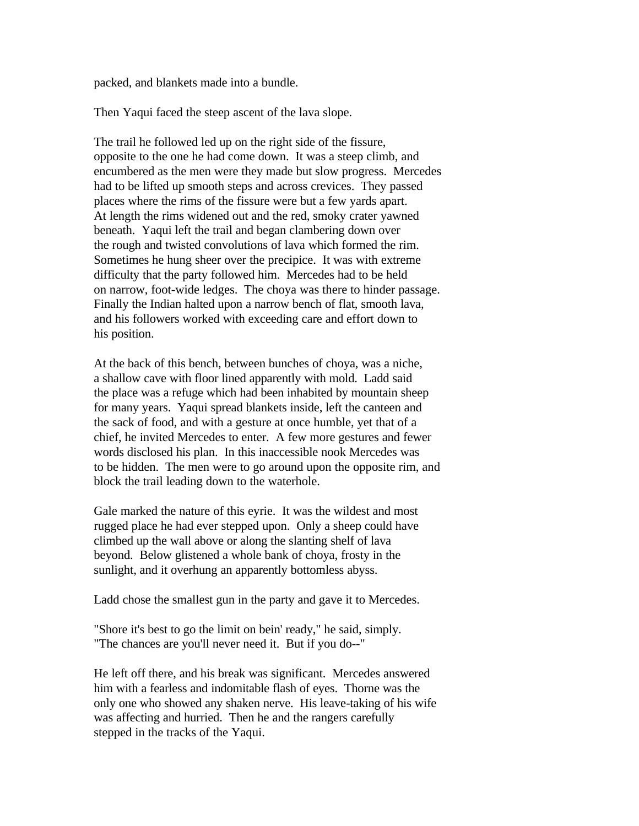packed, and blankets made into a bundle.

Then Yaqui faced the steep ascent of the lava slope.

The trail he followed led up on the right side of the fissure, opposite to the one he had come down. It was a steep climb, and encumbered as the men were they made but slow progress. Mercedes had to be lifted up smooth steps and across crevices. They passed places where the rims of the fissure were but a few yards apart. At length the rims widened out and the red, smoky crater yawned beneath. Yaqui left the trail and began clambering down over the rough and twisted convolutions of lava which formed the rim. Sometimes he hung sheer over the precipice. It was with extreme difficulty that the party followed him. Mercedes had to be held on narrow, foot-wide ledges. The choya was there to hinder passage. Finally the Indian halted upon a narrow bench of flat, smooth lava, and his followers worked with exceeding care and effort down to his position.

At the back of this bench, between bunches of choya, was a niche, a shallow cave with floor lined apparently with mold. Ladd said the place was a refuge which had been inhabited by mountain sheep for many years. Yaqui spread blankets inside, left the canteen and the sack of food, and with a gesture at once humble, yet that of a chief, he invited Mercedes to enter. A few more gestures and fewer words disclosed his plan. In this inaccessible nook Mercedes was to be hidden. The men were to go around upon the opposite rim, and block the trail leading down to the waterhole.

Gale marked the nature of this eyrie. It was the wildest and most rugged place he had ever stepped upon. Only a sheep could have climbed up the wall above or along the slanting shelf of lava beyond. Below glistened a whole bank of choya, frosty in the sunlight, and it overhung an apparently bottomless abyss.

Ladd chose the smallest gun in the party and gave it to Mercedes.

"Shore it's best to go the limit on bein' ready," he said, simply. "The chances are you'll never need it. But if you do--"

He left off there, and his break was significant. Mercedes answered him with a fearless and indomitable flash of eyes. Thorne was the only one who showed any shaken nerve. His leave-taking of his wife was affecting and hurried. Then he and the rangers carefully stepped in the tracks of the Yaqui.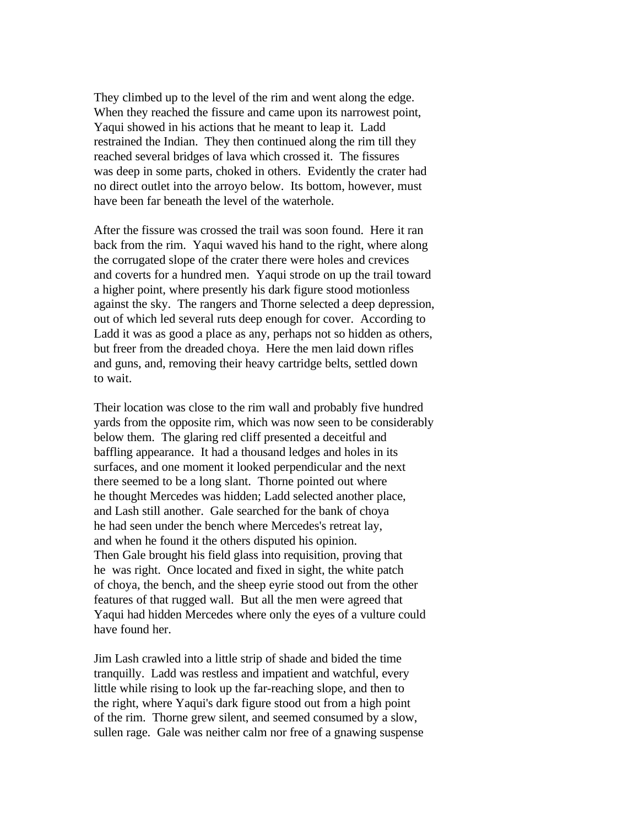They climbed up to the level of the rim and went along the edge. When they reached the fissure and came upon its narrowest point, Yaqui showed in his actions that he meant to leap it. Ladd restrained the Indian. They then continued along the rim till they reached several bridges of lava which crossed it. The fissures was deep in some parts, choked in others. Evidently the crater had no direct outlet into the arroyo below. Its bottom, however, must have been far beneath the level of the waterhole.

After the fissure was crossed the trail was soon found. Here it ran back from the rim. Yaqui waved his hand to the right, where along the corrugated slope of the crater there were holes and crevices and coverts for a hundred men. Yaqui strode on up the trail toward a higher point, where presently his dark figure stood motionless against the sky. The rangers and Thorne selected a deep depression, out of which led several ruts deep enough for cover. According to Ladd it was as good a place as any, perhaps not so hidden as others, but freer from the dreaded choya. Here the men laid down rifles and guns, and, removing their heavy cartridge belts, settled down to wait.

Their location was close to the rim wall and probably five hundred yards from the opposite rim, which was now seen to be considerably below them. The glaring red cliff presented a deceitful and baffling appearance. It had a thousand ledges and holes in its surfaces, and one moment it looked perpendicular and the next there seemed to be a long slant. Thorne pointed out where he thought Mercedes was hidden; Ladd selected another place, and Lash still another. Gale searched for the bank of choya he had seen under the bench where Mercedes's retreat lay, and when he found it the others disputed his opinion. Then Gale brought his field glass into requisition, proving that he was right. Once located and fixed in sight, the white patch of choya, the bench, and the sheep eyrie stood out from the other features of that rugged wall. But all the men were agreed that Yaqui had hidden Mercedes where only the eyes of a vulture could have found her.

Jim Lash crawled into a little strip of shade and bided the time tranquilly. Ladd was restless and impatient and watchful, every little while rising to look up the far-reaching slope, and then to the right, where Yaqui's dark figure stood out from a high point of the rim. Thorne grew silent, and seemed consumed by a slow, sullen rage. Gale was neither calm nor free of a gnawing suspense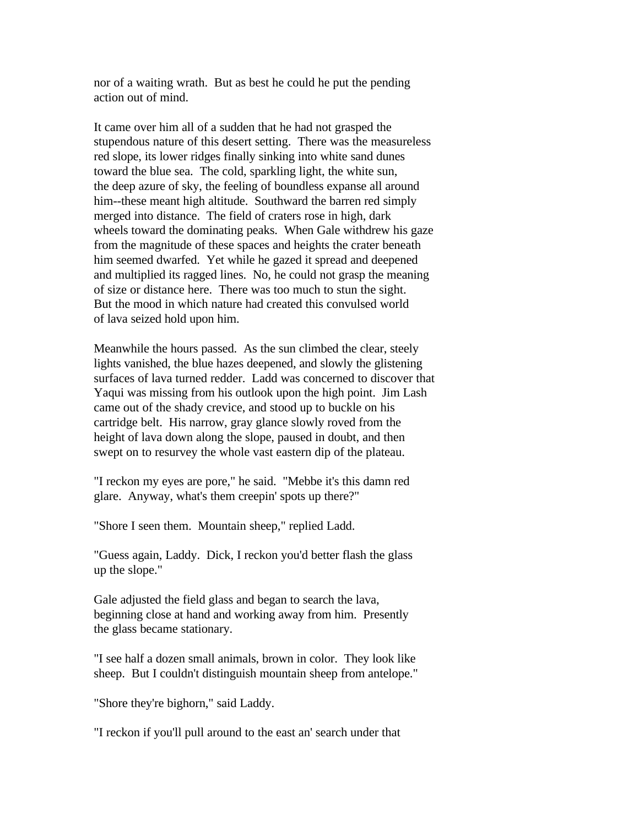nor of a waiting wrath. But as best he could he put the pending action out of mind.

It came over him all of a sudden that he had not grasped the stupendous nature of this desert setting. There was the measureless red slope, its lower ridges finally sinking into white sand dunes toward the blue sea. The cold, sparkling light, the white sun, the deep azure of sky, the feeling of boundless expanse all around him--these meant high altitude. Southward the barren red simply merged into distance. The field of craters rose in high, dark wheels toward the dominating peaks. When Gale withdrew his gaze from the magnitude of these spaces and heights the crater beneath him seemed dwarfed. Yet while he gazed it spread and deepened and multiplied its ragged lines. No, he could not grasp the meaning of size or distance here. There was too much to stun the sight. But the mood in which nature had created this convulsed world of lava seized hold upon him.

Meanwhile the hours passed. As the sun climbed the clear, steely lights vanished, the blue hazes deepened, and slowly the glistening surfaces of lava turned redder. Ladd was concerned to discover that Yaqui was missing from his outlook upon the high point. Jim Lash came out of the shady crevice, and stood up to buckle on his cartridge belt. His narrow, gray glance slowly roved from the height of lava down along the slope, paused in doubt, and then swept on to resurvey the whole vast eastern dip of the plateau.

"I reckon my eyes are pore," he said. "Mebbe it's this damn red glare. Anyway, what's them creepin' spots up there?"

"Shore I seen them. Mountain sheep," replied Ladd.

"Guess again, Laddy. Dick, I reckon you'd better flash the glass up the slope."

Gale adjusted the field glass and began to search the lava, beginning close at hand and working away from him. Presently the glass became stationary.

"I see half a dozen small animals, brown in color. They look like sheep. But I couldn't distinguish mountain sheep from antelope."

"Shore they're bighorn," said Laddy.

"I reckon if you'll pull around to the east an' search under that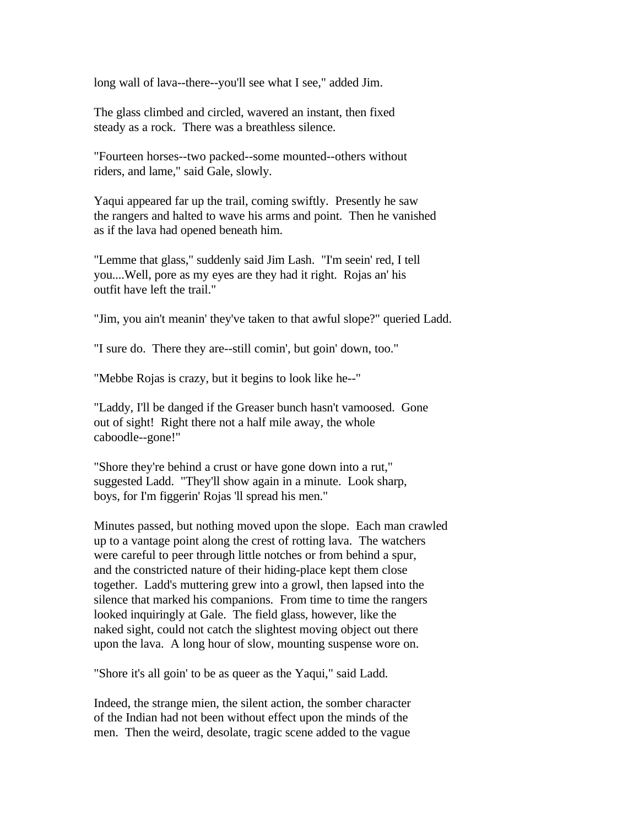long wall of lava--there--you'll see what I see," added Jim.

The glass climbed and circled, wavered an instant, then fixed steady as a rock. There was a breathless silence.

"Fourteen horses--two packed--some mounted--others without riders, and lame," said Gale, slowly.

Yaqui appeared far up the trail, coming swiftly. Presently he saw the rangers and halted to wave his arms and point. Then he vanished as if the lava had opened beneath him.

"Lemme that glass," suddenly said Jim Lash. "I'm seein' red, I tell you....Well, pore as my eyes are they had it right. Rojas an' his outfit have left the trail."

"Jim, you ain't meanin' they've taken to that awful slope?" queried Ladd.

"I sure do. There they are--still comin', but goin' down, too."

"Mebbe Rojas is crazy, but it begins to look like he--"

"Laddy, I'll be danged if the Greaser bunch hasn't vamoosed. Gone out of sight! Right there not a half mile away, the whole caboodle--gone!"

"Shore they're behind a crust or have gone down into a rut," suggested Ladd. "They'll show again in a minute. Look sharp, boys, for I'm figgerin' Rojas 'll spread his men."

Minutes passed, but nothing moved upon the slope. Each man crawled up to a vantage point along the crest of rotting lava. The watchers were careful to peer through little notches or from behind a spur, and the constricted nature of their hiding-place kept them close together. Ladd's muttering grew into a growl, then lapsed into the silence that marked his companions. From time to time the rangers looked inquiringly at Gale. The field glass, however, like the naked sight, could not catch the slightest moving object out there upon the lava. A long hour of slow, mounting suspense wore on.

"Shore it's all goin' to be as queer as the Yaqui," said Ladd.

Indeed, the strange mien, the silent action, the somber character of the Indian had not been without effect upon the minds of the men. Then the weird, desolate, tragic scene added to the vague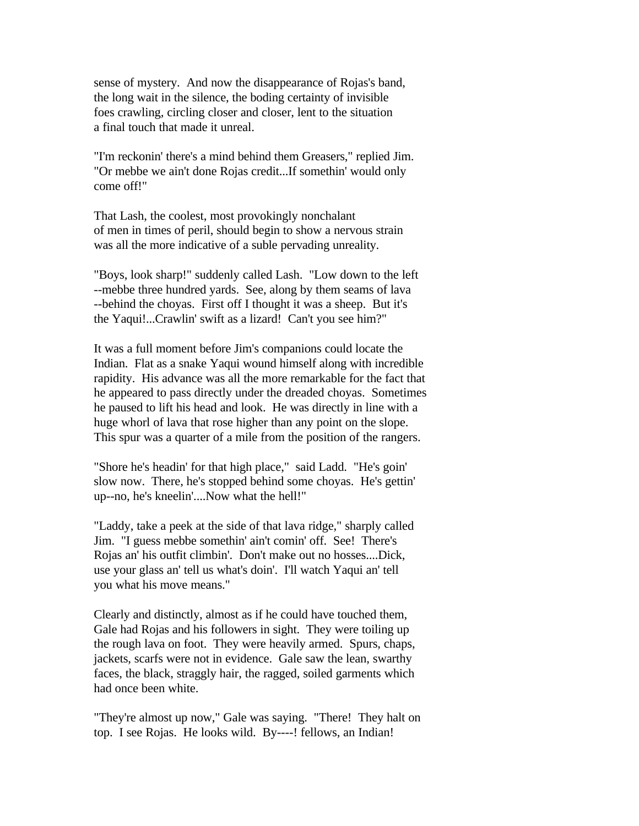sense of mystery. And now the disappearance of Rojas's band, the long wait in the silence, the boding certainty of invisible foes crawling, circling closer and closer, lent to the situation a final touch that made it unreal.

"I'm reckonin' there's a mind behind them Greasers," replied Jim. "Or mebbe we ain't done Rojas credit...If somethin' would only come off!"

That Lash, the coolest, most provokingly nonchalant of men in times of peril, should begin to show a nervous strain was all the more indicative of a suble pervading unreality.

"Boys, look sharp!" suddenly called Lash. "Low down to the left --mebbe three hundred yards. See, along by them seams of lava --behind the choyas. First off I thought it was a sheep. But it's the Yaqui!...Crawlin' swift as a lizard! Can't you see him?"

It was a full moment before Jim's companions could locate the Indian. Flat as a snake Yaqui wound himself along with incredible rapidity. His advance was all the more remarkable for the fact that he appeared to pass directly under the dreaded choyas. Sometimes he paused to lift his head and look. He was directly in line with a huge whorl of lava that rose higher than any point on the slope. This spur was a quarter of a mile from the position of the rangers.

"Shore he's headin' for that high place," said Ladd. "He's goin' slow now. There, he's stopped behind some choyas. He's gettin' up--no, he's kneelin'....Now what the hell!"

"Laddy, take a peek at the side of that lava ridge," sharply called Jim. "I guess mebbe somethin' ain't comin' off. See! There's Rojas an' his outfit climbin'. Don't make out no hosses....Dick, use your glass an' tell us what's doin'. I'll watch Yaqui an' tell you what his move means."

Clearly and distinctly, almost as if he could have touched them, Gale had Rojas and his followers in sight. They were toiling up the rough lava on foot. They were heavily armed. Spurs, chaps, jackets, scarfs were not in evidence. Gale saw the lean, swarthy faces, the black, straggly hair, the ragged, soiled garments which had once been white.

"They're almost up now," Gale was saying. "There! They halt on top. I see Rojas. He looks wild. By----! fellows, an Indian!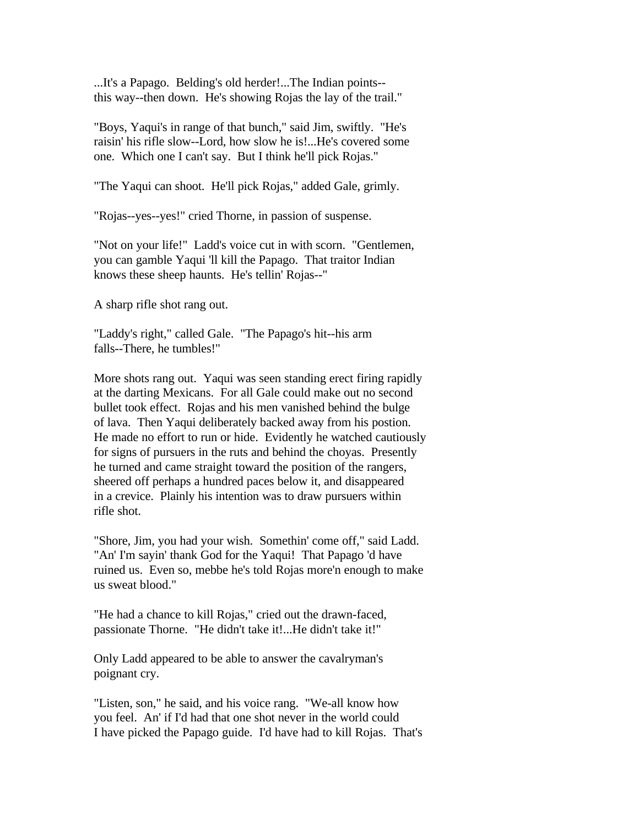...It's a Papago. Belding's old herder!...The Indian points- this way--then down. He's showing Rojas the lay of the trail."

"Boys, Yaqui's in range of that bunch," said Jim, swiftly. "He's raisin' his rifle slow--Lord, how slow he is!...He's covered some one. Which one I can't say. But I think he'll pick Rojas."

"The Yaqui can shoot. He'll pick Rojas," added Gale, grimly.

"Rojas--yes--yes!" cried Thorne, in passion of suspense.

"Not on your life!" Ladd's voice cut in with scorn. "Gentlemen, you can gamble Yaqui 'll kill the Papago. That traitor Indian knows these sheep haunts. He's tellin' Rojas--"

A sharp rifle shot rang out.

"Laddy's right," called Gale. "The Papago's hit--his arm falls--There, he tumbles!"

More shots rang out. Yaqui was seen standing erect firing rapidly at the darting Mexicans. For all Gale could make out no second bullet took effect. Rojas and his men vanished behind the bulge of lava. Then Yaqui deliberately backed away from his postion. He made no effort to run or hide. Evidently he watched cautiously for signs of pursuers in the ruts and behind the choyas. Presently he turned and came straight toward the position of the rangers, sheered off perhaps a hundred paces below it, and disappeared in a crevice. Plainly his intention was to draw pursuers within rifle shot.

"Shore, Jim, you had your wish. Somethin' come off," said Ladd. "An' I'm sayin' thank God for the Yaqui! That Papago 'd have ruined us. Even so, mebbe he's told Rojas more'n enough to make us sweat blood."

"He had a chance to kill Rojas," cried out the drawn-faced, passionate Thorne. "He didn't take it!...He didn't take it!"

Only Ladd appeared to be able to answer the cavalryman's poignant cry.

"Listen, son," he said, and his voice rang. "We-all know how you feel. An' if I'd had that one shot never in the world could I have picked the Papago guide. I'd have had to kill Rojas. That's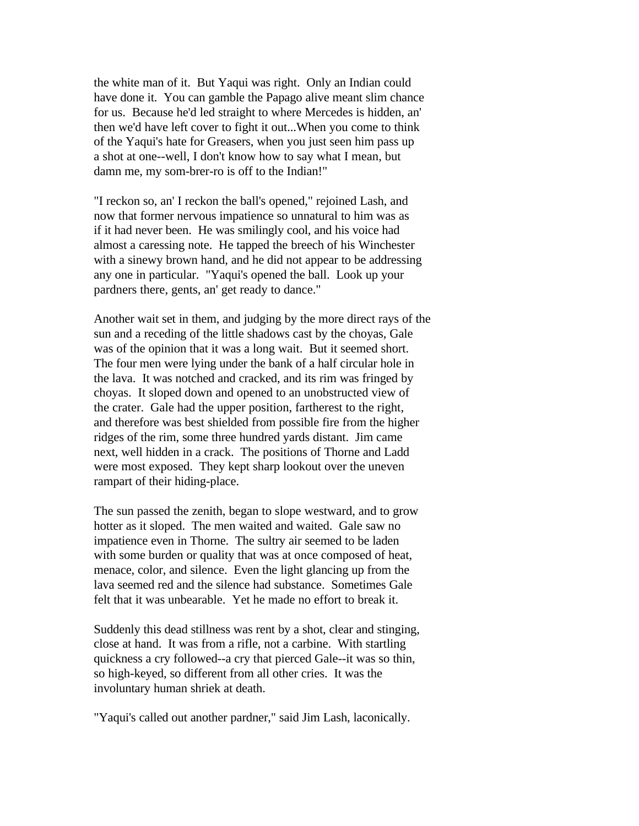the white man of it. But Yaqui was right. Only an Indian could have done it. You can gamble the Papago alive meant slim chance for us. Because he'd led straight to where Mercedes is hidden, an' then we'd have left cover to fight it out...When you come to think of the Yaqui's hate for Greasers, when you just seen him pass up a shot at one--well, I don't know how to say what I mean, but damn me, my som-brer-ro is off to the Indian!"

"I reckon so, an' I reckon the ball's opened," rejoined Lash, and now that former nervous impatience so unnatural to him was as if it had never been. He was smilingly cool, and his voice had almost a caressing note. He tapped the breech of his Winchester with a sinewy brown hand, and he did not appear to be addressing any one in particular. "Yaqui's opened the ball. Look up your pardners there, gents, an' get ready to dance."

Another wait set in them, and judging by the more direct rays of the sun and a receding of the little shadows cast by the choyas, Gale was of the opinion that it was a long wait. But it seemed short. The four men were lying under the bank of a half circular hole in the lava. It was notched and cracked, and its rim was fringed by choyas. It sloped down and opened to an unobstructed view of the crater. Gale had the upper position, fartherest to the right, and therefore was best shielded from possible fire from the higher ridges of the rim, some three hundred yards distant. Jim came next, well hidden in a crack. The positions of Thorne and Ladd were most exposed. They kept sharp lookout over the uneven rampart of their hiding-place.

The sun passed the zenith, began to slope westward, and to grow hotter as it sloped. The men waited and waited. Gale saw no impatience even in Thorne. The sultry air seemed to be laden with some burden or quality that was at once composed of heat, menace, color, and silence. Even the light glancing up from the lava seemed red and the silence had substance. Sometimes Gale felt that it was unbearable. Yet he made no effort to break it.

Suddenly this dead stillness was rent by a shot, clear and stinging, close at hand. It was from a rifle, not a carbine. With startling quickness a cry followed--a cry that pierced Gale--it was so thin, so high-keyed, so different from all other cries. It was the involuntary human shriek at death.

"Yaqui's called out another pardner," said Jim Lash, laconically.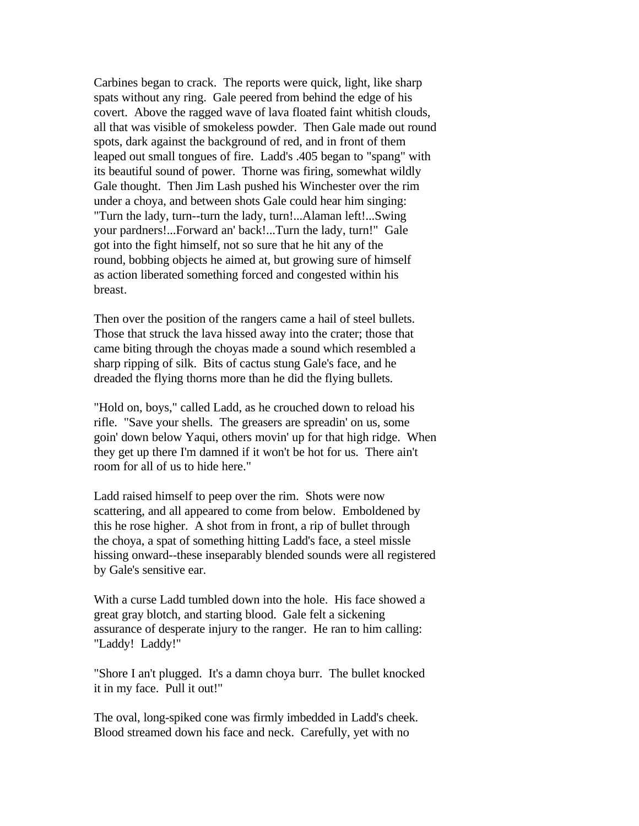Carbines began to crack. The reports were quick, light, like sharp spats without any ring. Gale peered from behind the edge of his covert. Above the ragged wave of lava floated faint whitish clouds, all that was visible of smokeless powder. Then Gale made out round spots, dark against the background of red, and in front of them leaped out small tongues of fire. Ladd's .405 began to "spang" with its beautiful sound of power. Thorne was firing, somewhat wildly Gale thought. Then Jim Lash pushed his Winchester over the rim under a choya, and between shots Gale could hear him singing: "Turn the lady, turn--turn the lady, turn!...Alaman left!...Swing your pardners!...Forward an' back!...Turn the lady, turn!" Gale got into the fight himself, not so sure that he hit any of the round, bobbing objects he aimed at, but growing sure of himself as action liberated something forced and congested within his breast.

Then over the position of the rangers came a hail of steel bullets. Those that struck the lava hissed away into the crater; those that came biting through the choyas made a sound which resembled a sharp ripping of silk. Bits of cactus stung Gale's face, and he dreaded the flying thorns more than he did the flying bullets.

"Hold on, boys," called Ladd, as he crouched down to reload his rifle. "Save your shells. The greasers are spreadin' on us, some goin' down below Yaqui, others movin' up for that high ridge. When they get up there I'm damned if it won't be hot for us. There ain't room for all of us to hide here."

Ladd raised himself to peep over the rim. Shots were now scattering, and all appeared to come from below. Emboldened by this he rose higher. A shot from in front, a rip of bullet through the choya, a spat of something hitting Ladd's face, a steel missle hissing onward--these inseparably blended sounds were all registered by Gale's sensitive ear.

With a curse Ladd tumbled down into the hole. His face showed a great gray blotch, and starting blood. Gale felt a sickening assurance of desperate injury to the ranger. He ran to him calling: "Laddy! Laddy!"

"Shore I an't plugged. It's a damn choya burr. The bullet knocked it in my face. Pull it out!"

The oval, long-spiked cone was firmly imbedded in Ladd's cheek. Blood streamed down his face and neck. Carefully, yet with no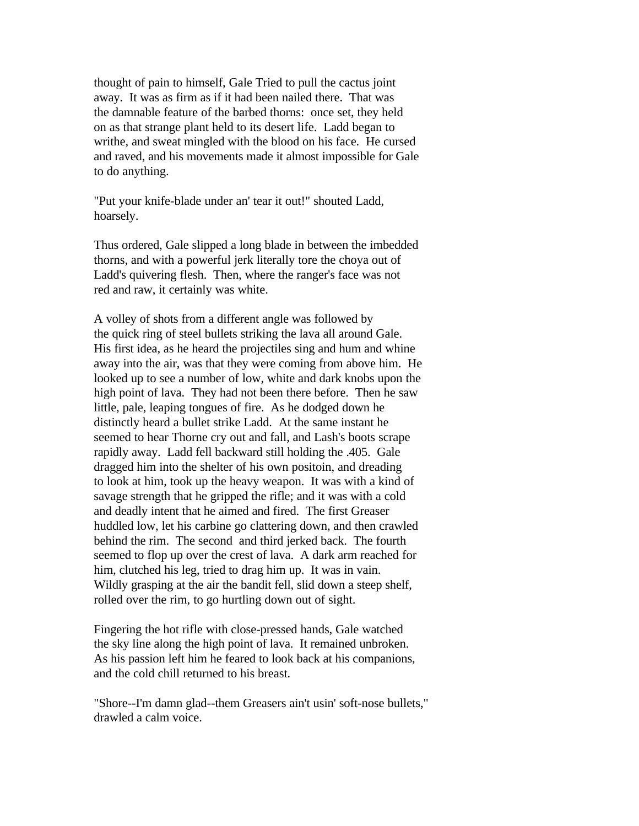thought of pain to himself, Gale Tried to pull the cactus joint away. It was as firm as if it had been nailed there. That was the damnable feature of the barbed thorns: once set, they held on as that strange plant held to its desert life. Ladd began to writhe, and sweat mingled with the blood on his face. He cursed and raved, and his movements made it almost impossible for Gale to do anything.

"Put your knife-blade under an' tear it out!" shouted Ladd, hoarsely.

Thus ordered, Gale slipped a long blade in between the imbedded thorns, and with a powerful jerk literally tore the choya out of Ladd's quivering flesh. Then, where the ranger's face was not red and raw, it certainly was white.

A volley of shots from a different angle was followed by the quick ring of steel bullets striking the lava all around Gale. His first idea, as he heard the projectiles sing and hum and whine away into the air, was that they were coming from above him. He looked up to see a number of low, white and dark knobs upon the high point of lava. They had not been there before. Then he saw little, pale, leaping tongues of fire. As he dodged down he distinctly heard a bullet strike Ladd. At the same instant he seemed to hear Thorne cry out and fall, and Lash's boots scrape rapidly away. Ladd fell backward still holding the .405. Gale dragged him into the shelter of his own positoin, and dreading to look at him, took up the heavy weapon. It was with a kind of savage strength that he gripped the rifle; and it was with a cold and deadly intent that he aimed and fired. The first Greaser huddled low, let his carbine go clattering down, and then crawled behind the rim. The second and third jerked back. The fourth seemed to flop up over the crest of lava. A dark arm reached for him, clutched his leg, tried to drag him up. It was in vain. Wildly grasping at the air the bandit fell, slid down a steep shelf, rolled over the rim, to go hurtling down out of sight.

Fingering the hot rifle with close-pressed hands, Gale watched the sky line along the high point of lava. It remained unbroken. As his passion left him he feared to look back at his companions, and the cold chill returned to his breast.

"Shore--I'm damn glad--them Greasers ain't usin' soft-nose bullets," drawled a calm voice.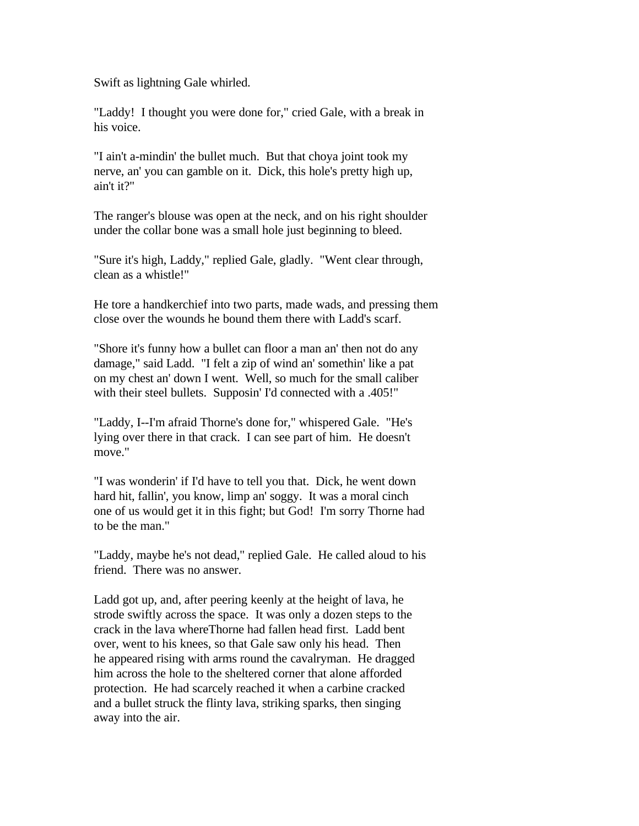Swift as lightning Gale whirled.

"Laddy! I thought you were done for," cried Gale, with a break in his voice.

"I ain't a-mindin' the bullet much. But that choya joint took my nerve, an' you can gamble on it. Dick, this hole's pretty high up, ain't it?"

The ranger's blouse was open at the neck, and on his right shoulder under the collar bone was a small hole just beginning to bleed.

"Sure it's high, Laddy," replied Gale, gladly. "Went clear through, clean as a whistle!"

He tore a handkerchief into two parts, made wads, and pressing them close over the wounds he bound them there with Ladd's scarf.

"Shore it's funny how a bullet can floor a man an' then not do any damage," said Ladd. "I felt a zip of wind an' somethin' like a pat on my chest an' down I went. Well, so much for the small caliber with their steel bullets. Supposin' I'd connected with a .405!"

"Laddy, I--I'm afraid Thorne's done for," whispered Gale. "He's lying over there in that crack. I can see part of him. He doesn't move."

"I was wonderin' if I'd have to tell you that. Dick, he went down hard hit, fallin', you know, limp an' soggy. It was a moral cinch one of us would get it in this fight; but God! I'm sorry Thorne had to be the man."

"Laddy, maybe he's not dead," replied Gale. He called aloud to his friend. There was no answer.

Ladd got up, and, after peering keenly at the height of lava, he strode swiftly across the space. It was only a dozen steps to the crack in the lava whereThorne had fallen head first. Ladd bent over, went to his knees, so that Gale saw only his head. Then he appeared rising with arms round the cavalryman. He dragged him across the hole to the sheltered corner that alone afforded protection. He had scarcely reached it when a carbine cracked and a bullet struck the flinty lava, striking sparks, then singing away into the air.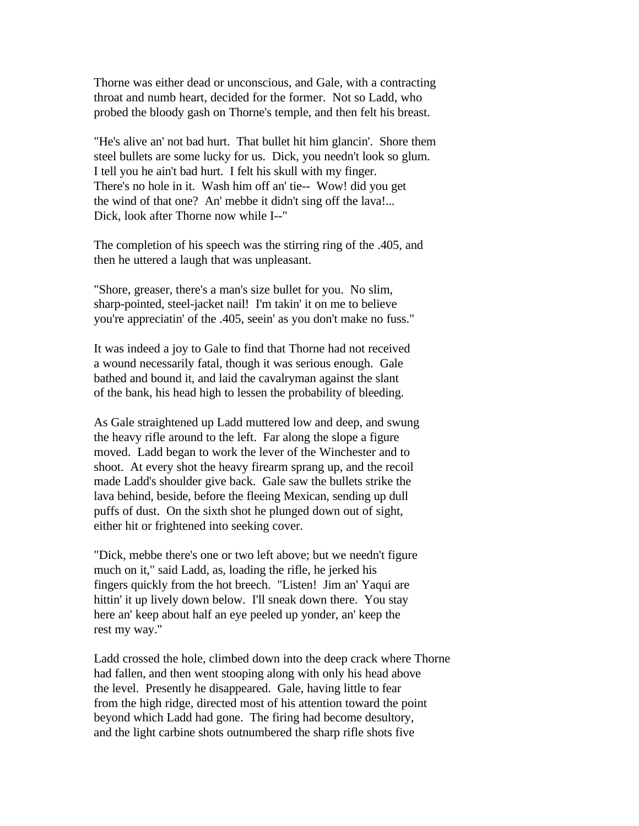Thorne was either dead or unconscious, and Gale, with a contracting throat and numb heart, decided for the former. Not so Ladd, who probed the bloody gash on Thorne's temple, and then felt his breast.

"He's alive an' not bad hurt. That bullet hit him glancin'. Shore them steel bullets are some lucky for us. Dick, you needn't look so glum. I tell you he ain't bad hurt. I felt his skull with my finger. There's no hole in it. Wash him off an' tie-- Wow! did you get the wind of that one? An' mebbe it didn't sing off the lava!... Dick, look after Thorne now while I--"

The completion of his speech was the stirring ring of the .405, and then he uttered a laugh that was unpleasant.

"Shore, greaser, there's a man's size bullet for you. No slim, sharp-pointed, steel-jacket nail! I'm takin' it on me to believe you're appreciatin' of the .405, seein' as you don't make no fuss."

It was indeed a joy to Gale to find that Thorne had not received a wound necessarily fatal, though it was serious enough. Gale bathed and bound it, and laid the cavalryman against the slant of the bank, his head high to lessen the probability of bleeding.

As Gale straightened up Ladd muttered low and deep, and swung the heavy rifle around to the left. Far along the slope a figure moved. Ladd began to work the lever of the Winchester and to shoot. At every shot the heavy firearm sprang up, and the recoil made Ladd's shoulder give back. Gale saw the bullets strike the lava behind, beside, before the fleeing Mexican, sending up dull puffs of dust. On the sixth shot he plunged down out of sight, either hit or frightened into seeking cover.

"Dick, mebbe there's one or two left above; but we needn't figure much on it," said Ladd, as, loading the rifle, he jerked his fingers quickly from the hot breech. "Listen! Jim an' Yaqui are hittin' it up lively down below. I'll sneak down there. You stay here an' keep about half an eye peeled up yonder, an' keep the rest my way."

Ladd crossed the hole, climbed down into the deep crack where Thorne had fallen, and then went stooping along with only his head above the level. Presently he disappeared. Gale, having little to fear from the high ridge, directed most of his attention toward the point beyond which Ladd had gone. The firing had become desultory, and the light carbine shots outnumbered the sharp rifle shots five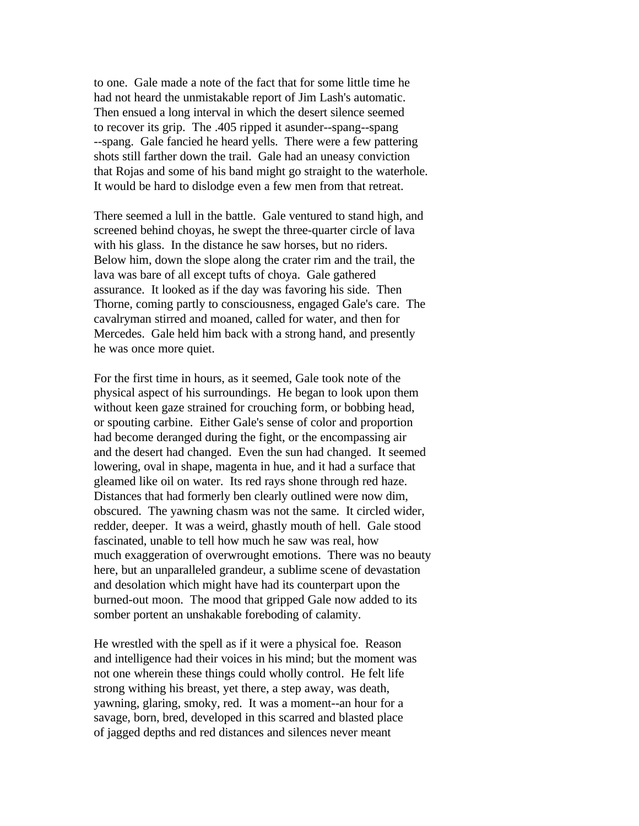to one. Gale made a note of the fact that for some little time he had not heard the unmistakable report of Jim Lash's automatic. Then ensued a long interval in which the desert silence seemed to recover its grip. The .405 ripped it asunder--spang--spang --spang. Gale fancied he heard yells. There were a few pattering shots still farther down the trail. Gale had an uneasy conviction that Rojas and some of his band might go straight to the waterhole. It would be hard to dislodge even a few men from that retreat.

There seemed a lull in the battle. Gale ventured to stand high, and screened behind choyas, he swept the three-quarter circle of lava with his glass. In the distance he saw horses, but no riders. Below him, down the slope along the crater rim and the trail, the lava was bare of all except tufts of choya. Gale gathered assurance. It looked as if the day was favoring his side. Then Thorne, coming partly to consciousness, engaged Gale's care. The cavalryman stirred and moaned, called for water, and then for Mercedes. Gale held him back with a strong hand, and presently he was once more quiet.

For the first time in hours, as it seemed, Gale took note of the physical aspect of his surroundings. He began to look upon them without keen gaze strained for crouching form, or bobbing head, or spouting carbine. Either Gale's sense of color and proportion had become deranged during the fight, or the encompassing air and the desert had changed. Even the sun had changed. It seemed lowering, oval in shape, magenta in hue, and it had a surface that gleamed like oil on water. Its red rays shone through red haze. Distances that had formerly ben clearly outlined were now dim, obscured. The yawning chasm was not the same. It circled wider, redder, deeper. It was a weird, ghastly mouth of hell. Gale stood fascinated, unable to tell how much he saw was real, how much exaggeration of overwrought emotions. There was no beauty here, but an unparalleled grandeur, a sublime scene of devastation and desolation which might have had its counterpart upon the burned-out moon. The mood that gripped Gale now added to its somber portent an unshakable foreboding of calamity.

He wrestled with the spell as if it were a physical foe. Reason and intelligence had their voices in his mind; but the moment was not one wherein these things could wholly control. He felt life strong withing his breast, yet there, a step away, was death, yawning, glaring, smoky, red. It was a moment--an hour for a savage, born, bred, developed in this scarred and blasted place of jagged depths and red distances and silences never meant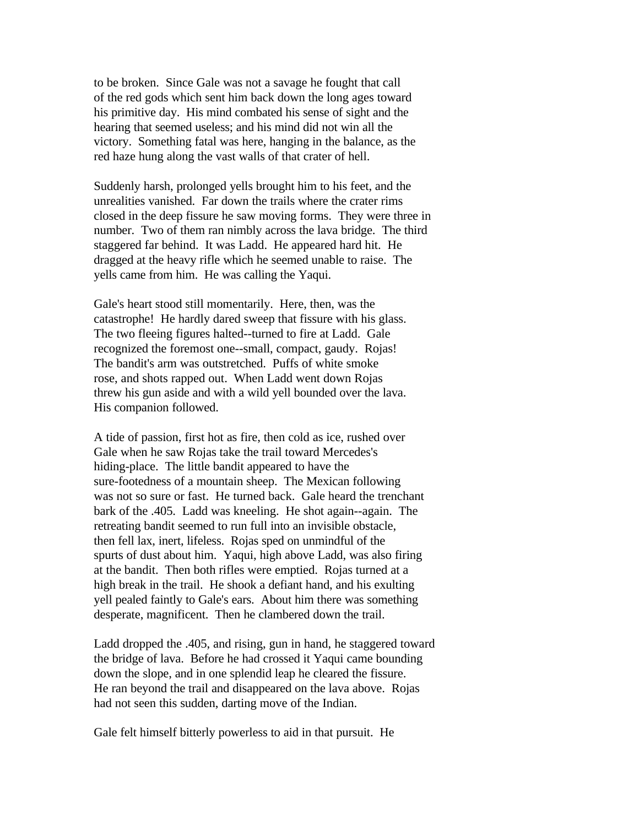to be broken. Since Gale was not a savage he fought that call of the red gods which sent him back down the long ages toward his primitive day. His mind combated his sense of sight and the hearing that seemed useless; and his mind did not win all the victory. Something fatal was here, hanging in the balance, as the red haze hung along the vast walls of that crater of hell.

Suddenly harsh, prolonged yells brought him to his feet, and the unrealities vanished. Far down the trails where the crater rims closed in the deep fissure he saw moving forms. They were three in number. Two of them ran nimbly across the lava bridge. The third staggered far behind. It was Ladd. He appeared hard hit. He dragged at the heavy rifle which he seemed unable to raise. The yells came from him. He was calling the Yaqui.

Gale's heart stood still momentarily. Here, then, was the catastrophe! He hardly dared sweep that fissure with his glass. The two fleeing figures halted--turned to fire at Ladd. Gale recognized the foremost one--small, compact, gaudy. Rojas! The bandit's arm was outstretched. Puffs of white smoke rose, and shots rapped out. When Ladd went down Rojas threw his gun aside and with a wild yell bounded over the lava. His companion followed.

A tide of passion, first hot as fire, then cold as ice, rushed over Gale when he saw Rojas take the trail toward Mercedes's hiding-place. The little bandit appeared to have the sure-footedness of a mountain sheep. The Mexican following was not so sure or fast. He turned back. Gale heard the trenchant bark of the .405. Ladd was kneeling. He shot again--again. The retreating bandit seemed to run full into an invisible obstacle, then fell lax, inert, lifeless. Rojas sped on unmindful of the spurts of dust about him. Yaqui, high above Ladd, was also firing at the bandit. Then both rifles were emptied. Rojas turned at a high break in the trail. He shook a defiant hand, and his exulting yell pealed faintly to Gale's ears. About him there was something desperate, magnificent. Then he clambered down the trail.

Ladd dropped the .405, and rising, gun in hand, he staggered toward the bridge of lava. Before he had crossed it Yaqui came bounding down the slope, and in one splendid leap he cleared the fissure. He ran beyond the trail and disappeared on the lava above. Rojas had not seen this sudden, darting move of the Indian.

Gale felt himself bitterly powerless to aid in that pursuit. He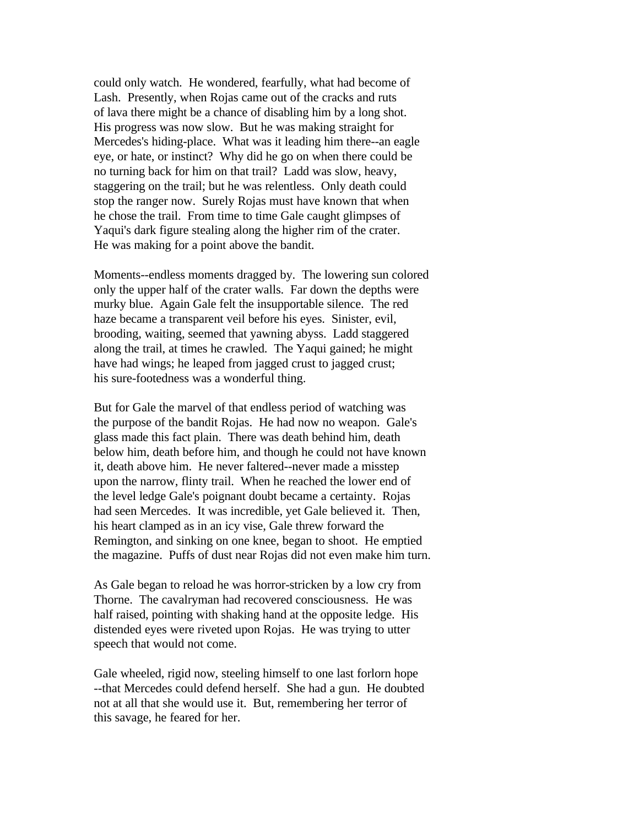could only watch. He wondered, fearfully, what had become of Lash. Presently, when Rojas came out of the cracks and ruts of lava there might be a chance of disabling him by a long shot. His progress was now slow. But he was making straight for Mercedes's hiding-place. What was it leading him there--an eagle eye, or hate, or instinct? Why did he go on when there could be no turning back for him on that trail? Ladd was slow, heavy, staggering on the trail; but he was relentless. Only death could stop the ranger now. Surely Rojas must have known that when he chose the trail. From time to time Gale caught glimpses of Yaqui's dark figure stealing along the higher rim of the crater. He was making for a point above the bandit.

Moments--endless moments dragged by. The lowering sun colored only the upper half of the crater walls. Far down the depths were murky blue. Again Gale felt the insupportable silence. The red haze became a transparent veil before his eyes. Sinister, evil, brooding, waiting, seemed that yawning abyss. Ladd staggered along the trail, at times he crawled. The Yaqui gained; he might have had wings; he leaped from jagged crust to jagged crust; his sure-footedness was a wonderful thing.

But for Gale the marvel of that endless period of watching was the purpose of the bandit Rojas. He had now no weapon. Gale's glass made this fact plain. There was death behind him, death below him, death before him, and though he could not have known it, death above him. He never faltered--never made a misstep upon the narrow, flinty trail. When he reached the lower end of the level ledge Gale's poignant doubt became a certainty. Rojas had seen Mercedes. It was incredible, yet Gale believed it. Then, his heart clamped as in an icy vise, Gale threw forward the Remington, and sinking on one knee, began to shoot. He emptied the magazine. Puffs of dust near Rojas did not even make him turn.

As Gale began to reload he was horror-stricken by a low cry from Thorne. The cavalryman had recovered consciousness. He was half raised, pointing with shaking hand at the opposite ledge. His distended eyes were riveted upon Rojas. He was trying to utter speech that would not come.

Gale wheeled, rigid now, steeling himself to one last forlorn hope --that Mercedes could defend herself. She had a gun. He doubted not at all that she would use it. But, remembering her terror of this savage, he feared for her.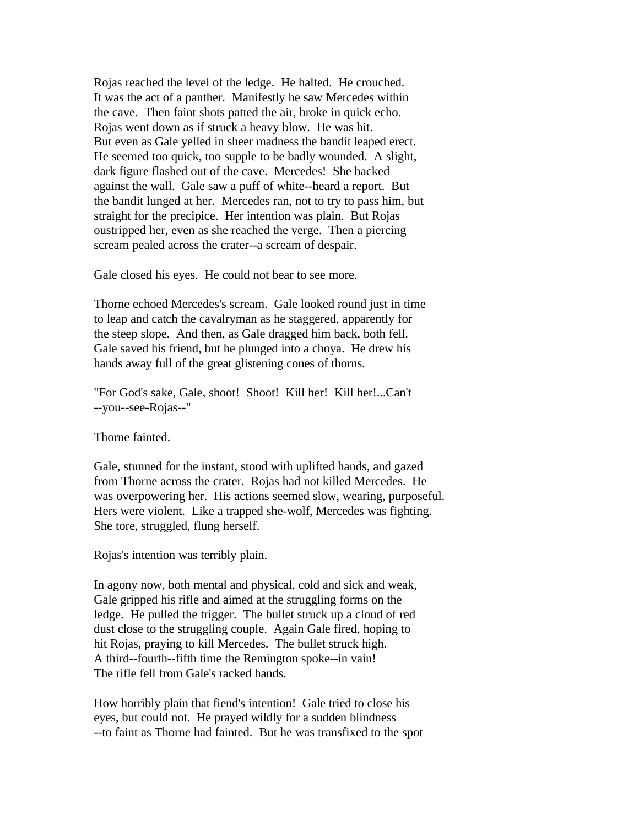Rojas reached the level of the ledge. He halted. He crouched. It was the act of a panther. Manifestly he saw Mercedes within the cave. Then faint shots patted the air, broke in quick echo. Rojas went down as if struck a heavy blow. He was hit. But even as Gale yelled in sheer madness the bandit leaped erect. He seemed too quick, too supple to be badly wounded. A slight, dark figure flashed out of the cave. Mercedes! She backed against the wall. Gale saw a puff of white--heard a report. But the bandit lunged at her. Mercedes ran, not to try to pass him, but straight for the precipice. Her intention was plain. But Rojas oustripped her, even as she reached the verge. Then a piercing scream pealed across the crater--a scream of despair.

Gale closed his eyes. He could not bear to see more.

Thorne echoed Mercedes's scream. Gale looked round just in time to leap and catch the cavalryman as he staggered, apparently for the steep slope. And then, as Gale dragged him back, both fell. Gale saved his friend, but he plunged into a choya. He drew his hands away full of the great glistening cones of thorns.

"For God's sake, Gale, shoot! Shoot! Kill her! Kill her!...Can't --you--see-Rojas--"

Thorne fainted.

Gale, stunned for the instant, stood with uplifted hands, and gazed from Thorne across the crater. Rojas had not killed Mercedes. He was overpowering her. His actions seemed slow, wearing, purposeful. Hers were violent. Like a trapped she-wolf, Mercedes was fighting. She tore, struggled, flung herself.

Rojas's intention was terribly plain.

In agony now, both mental and physical, cold and sick and weak, Gale gripped his rifle and aimed at the struggling forms on the ledge. He pulled the trigger. The bullet struck up a cloud of red dust close to the struggling couple. Again Gale fired, hoping to hit Rojas, praying to kill Mercedes. The bullet struck high. A third--fourth--fifth time the Remington spoke--in vain! The rifle fell from Gale's racked hands.

How horribly plain that fiend's intention! Gale tried to close his eyes, but could not. He prayed wildly for a sudden blindness --to faint as Thorne had fainted. But he was transfixed to the spot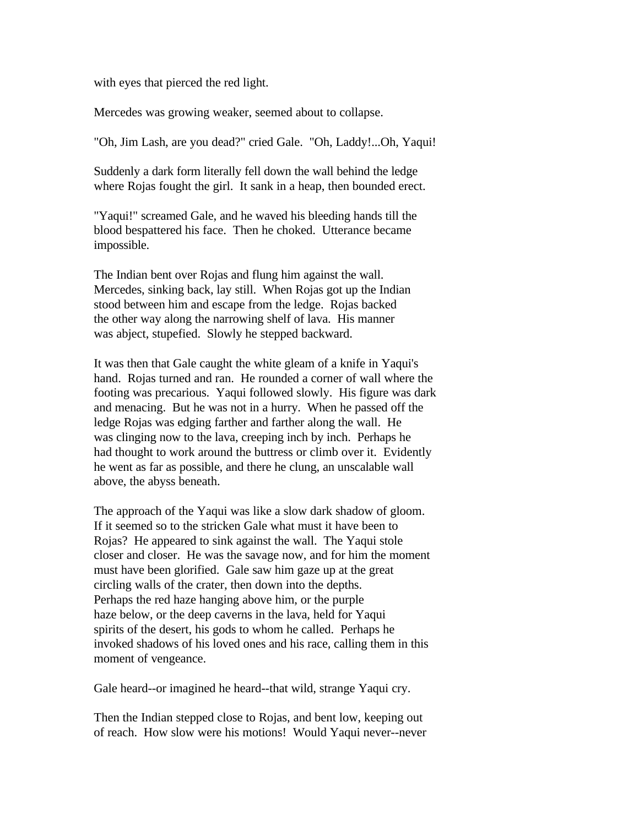with eyes that pierced the red light.

Mercedes was growing weaker, seemed about to collapse.

"Oh, Jim Lash, are you dead?" cried Gale. "Oh, Laddy!...Oh, Yaqui!

Suddenly a dark form literally fell down the wall behind the ledge where Rojas fought the girl. It sank in a heap, then bounded erect.

"Yaqui!" screamed Gale, and he waved his bleeding hands till the blood bespattered his face. Then he choked. Utterance became impossible.

The Indian bent over Rojas and flung him against the wall. Mercedes, sinking back, lay still. When Rojas got up the Indian stood between him and escape from the ledge. Rojas backed the other way along the narrowing shelf of lava. His manner was abject, stupefied. Slowly he stepped backward.

It was then that Gale caught the white gleam of a knife in Yaqui's hand. Rojas turned and ran. He rounded a corner of wall where the footing was precarious. Yaqui followed slowly. His figure was dark and menacing. But he was not in a hurry. When he passed off the ledge Rojas was edging farther and farther along the wall. He was clinging now to the lava, creeping inch by inch. Perhaps he had thought to work around the buttress or climb over it. Evidently he went as far as possible, and there he clung, an unscalable wall above, the abyss beneath.

The approach of the Yaqui was like a slow dark shadow of gloom. If it seemed so to the stricken Gale what must it have been to Rojas? He appeared to sink against the wall. The Yaqui stole closer and closer. He was the savage now, and for him the moment must have been glorified. Gale saw him gaze up at the great circling walls of the crater, then down into the depths. Perhaps the red haze hanging above him, or the purple haze below, or the deep caverns in the lava, held for Yaqui spirits of the desert, his gods to whom he called. Perhaps he invoked shadows of his loved ones and his race, calling them in this moment of vengeance.

Gale heard--or imagined he heard--that wild, strange Yaqui cry.

Then the Indian stepped close to Rojas, and bent low, keeping out of reach. How slow were his motions! Would Yaqui never--never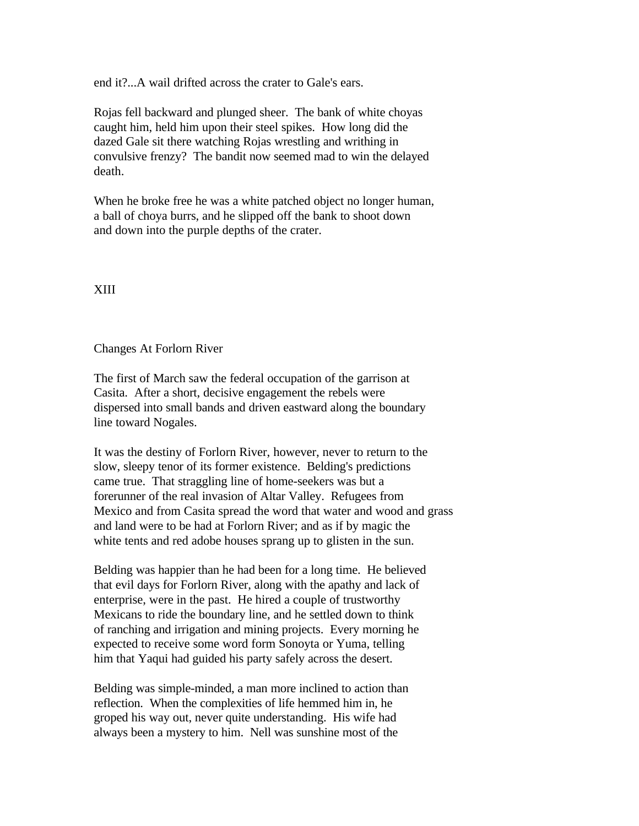end it?...A wail drifted across the crater to Gale's ears.

Rojas fell backward and plunged sheer. The bank of white choyas caught him, held him upon their steel spikes. How long did the dazed Gale sit there watching Rojas wrestling and writhing in convulsive frenzy? The bandit now seemed mad to win the delayed death.

When he broke free he was a white patched object no longer human, a ball of choya burrs, and he slipped off the bank to shoot down and down into the purple depths of the crater.

## XIII

## Changes At Forlorn River

The first of March saw the federal occupation of the garrison at Casita. After a short, decisive engagement the rebels were dispersed into small bands and driven eastward along the boundary line toward Nogales.

It was the destiny of Forlorn River, however, never to return to the slow, sleepy tenor of its former existence. Belding's predictions came true. That straggling line of home-seekers was but a forerunner of the real invasion of Altar Valley. Refugees from Mexico and from Casita spread the word that water and wood and grass and land were to be had at Forlorn River; and as if by magic the white tents and red adobe houses sprang up to glisten in the sun.

Belding was happier than he had been for a long time. He believed that evil days for Forlorn River, along with the apathy and lack of enterprise, were in the past. He hired a couple of trustworthy Mexicans to ride the boundary line, and he settled down to think of ranching and irrigation and mining projects. Every morning he expected to receive some word form Sonoyta or Yuma, telling him that Yaqui had guided his party safely across the desert.

Belding was simple-minded, a man more inclined to action than reflection. When the complexities of life hemmed him in, he groped his way out, never quite understanding. His wife had always been a mystery to him. Nell was sunshine most of the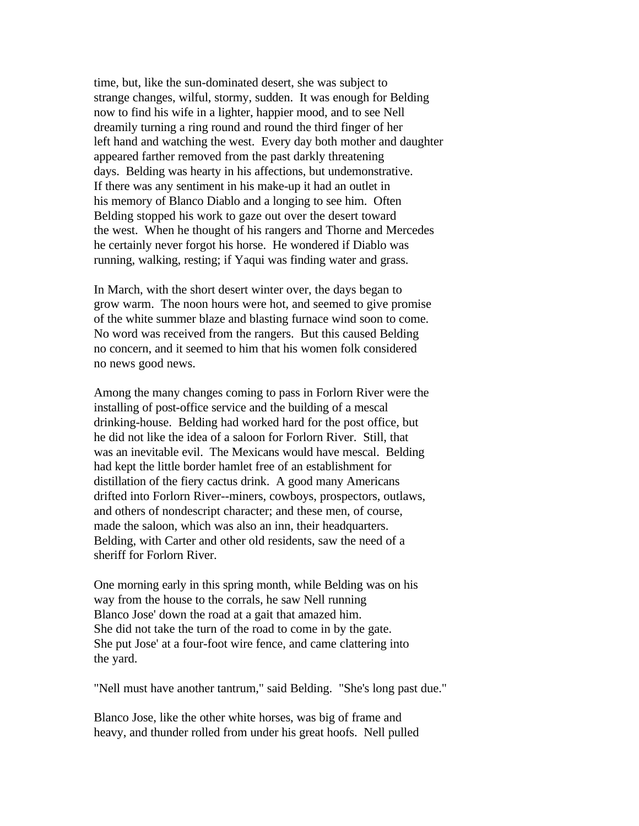time, but, like the sun-dominated desert, she was subject to strange changes, wilful, stormy, sudden. It was enough for Belding now to find his wife in a lighter, happier mood, and to see Nell dreamily turning a ring round and round the third finger of her left hand and watching the west. Every day both mother and daughter appeared farther removed from the past darkly threatening days. Belding was hearty in his affections, but undemonstrative. If there was any sentiment in his make-up it had an outlet in his memory of Blanco Diablo and a longing to see him. Often Belding stopped his work to gaze out over the desert toward the west. When he thought of his rangers and Thorne and Mercedes he certainly never forgot his horse. He wondered if Diablo was running, walking, resting; if Yaqui was finding water and grass.

In March, with the short desert winter over, the days began to grow warm. The noon hours were hot, and seemed to give promise of the white summer blaze and blasting furnace wind soon to come. No word was received from the rangers. But this caused Belding no concern, and it seemed to him that his women folk considered no news good news.

Among the many changes coming to pass in Forlorn River were the installing of post-office service and the building of a mescal drinking-house. Belding had worked hard for the post office, but he did not like the idea of a saloon for Forlorn River. Still, that was an inevitable evil. The Mexicans would have mescal. Belding had kept the little border hamlet free of an establishment for distillation of the fiery cactus drink. A good many Americans drifted into Forlorn River--miners, cowboys, prospectors, outlaws, and others of nondescript character; and these men, of course, made the saloon, which was also an inn, their headquarters. Belding, with Carter and other old residents, saw the need of a sheriff for Forlorn River.

One morning early in this spring month, while Belding was on his way from the house to the corrals, he saw Nell running Blanco Jose' down the road at a gait that amazed him. She did not take the turn of the road to come in by the gate. She put Jose' at a four-foot wire fence, and came clattering into the yard.

"Nell must have another tantrum," said Belding. "She's long past due."

Blanco Jose, like the other white horses, was big of frame and heavy, and thunder rolled from under his great hoofs. Nell pulled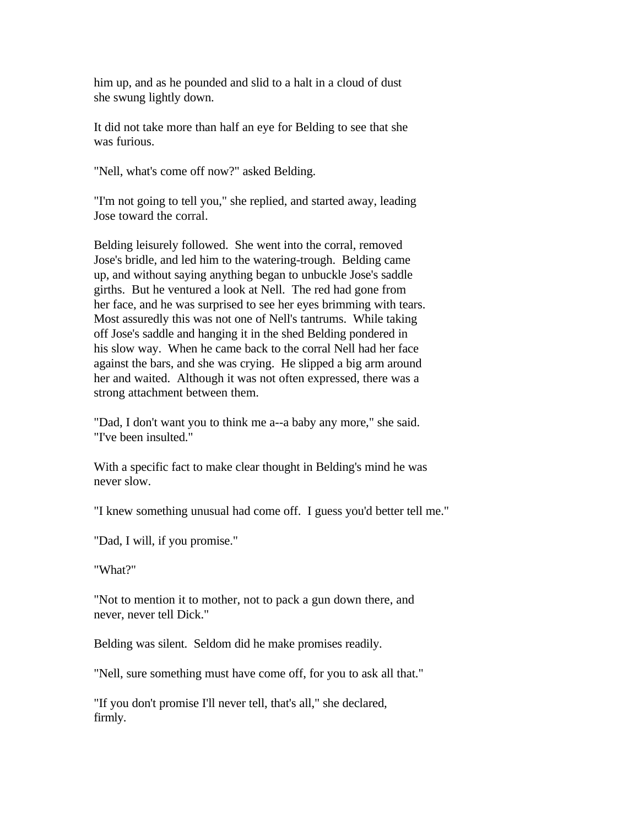him up, and as he pounded and slid to a halt in a cloud of dust she swung lightly down.

It did not take more than half an eye for Belding to see that she was furious.

"Nell, what's come off now?" asked Belding.

"I'm not going to tell you," she replied, and started away, leading Jose toward the corral.

Belding leisurely followed. She went into the corral, removed Jose's bridle, and led him to the watering-trough. Belding came up, and without saying anything began to unbuckle Jose's saddle girths. But he ventured a look at Nell. The red had gone from her face, and he was surprised to see her eyes brimming with tears. Most assuredly this was not one of Nell's tantrums. While taking off Jose's saddle and hanging it in the shed Belding pondered in his slow way. When he came back to the corral Nell had her face against the bars, and she was crying. He slipped a big arm around her and waited. Although it was not often expressed, there was a strong attachment between them.

"Dad, I don't want you to think me a--a baby any more," she said. "I've been insulted."

With a specific fact to make clear thought in Belding's mind he was never slow.

"I knew something unusual had come off. I guess you'd better tell me."

"Dad, I will, if you promise."

"What?"

"Not to mention it to mother, not to pack a gun down there, and never, never tell Dick."

Belding was silent. Seldom did he make promises readily.

"Nell, sure something must have come off, for you to ask all that."

"If you don't promise I'll never tell, that's all," she declared, firmly.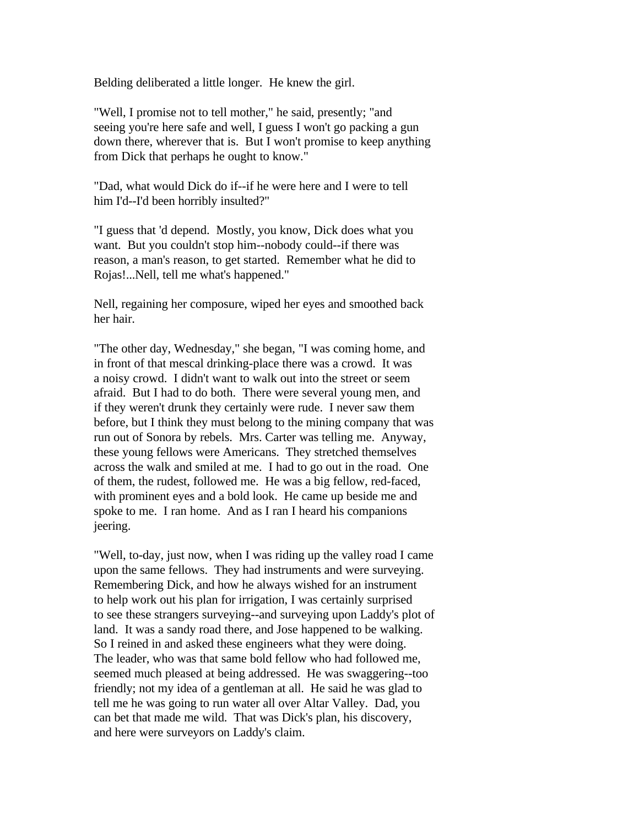Belding deliberated a little longer. He knew the girl.

"Well, I promise not to tell mother," he said, presently; "and seeing you're here safe and well, I guess I won't go packing a gun down there, wherever that is. But I won't promise to keep anything from Dick that perhaps he ought to know."

"Dad, what would Dick do if--if he were here and I were to tell him I'd--I'd been horribly insulted?"

"I guess that 'd depend. Mostly, you know, Dick does what you want. But you couldn't stop him--nobody could--if there was reason, a man's reason, to get started. Remember what he did to Rojas!...Nell, tell me what's happened."

Nell, regaining her composure, wiped her eyes and smoothed back her hair.

"The other day, Wednesday," she began, "I was coming home, and in front of that mescal drinking-place there was a crowd. It was a noisy crowd. I didn't want to walk out into the street or seem afraid. But I had to do both. There were several young men, and if they weren't drunk they certainly were rude. I never saw them before, but I think they must belong to the mining company that was run out of Sonora by rebels. Mrs. Carter was telling me. Anyway, these young fellows were Americans. They stretched themselves across the walk and smiled at me. I had to go out in the road. One of them, the rudest, followed me. He was a big fellow, red-faced, with prominent eyes and a bold look. He came up beside me and spoke to me. I ran home. And as I ran I heard his companions jeering.

"Well, to-day, just now, when I was riding up the valley road I came upon the same fellows. They had instruments and were surveying. Remembering Dick, and how he always wished for an instrument to help work out his plan for irrigation, I was certainly surprised to see these strangers surveying--and surveying upon Laddy's plot of land. It was a sandy road there, and Jose happened to be walking. So I reined in and asked these engineers what they were doing. The leader, who was that same bold fellow who had followed me, seemed much pleased at being addressed. He was swaggering--too friendly; not my idea of a gentleman at all. He said he was glad to tell me he was going to run water all over Altar Valley. Dad, you can bet that made me wild. That was Dick's plan, his discovery, and here were surveyors on Laddy's claim.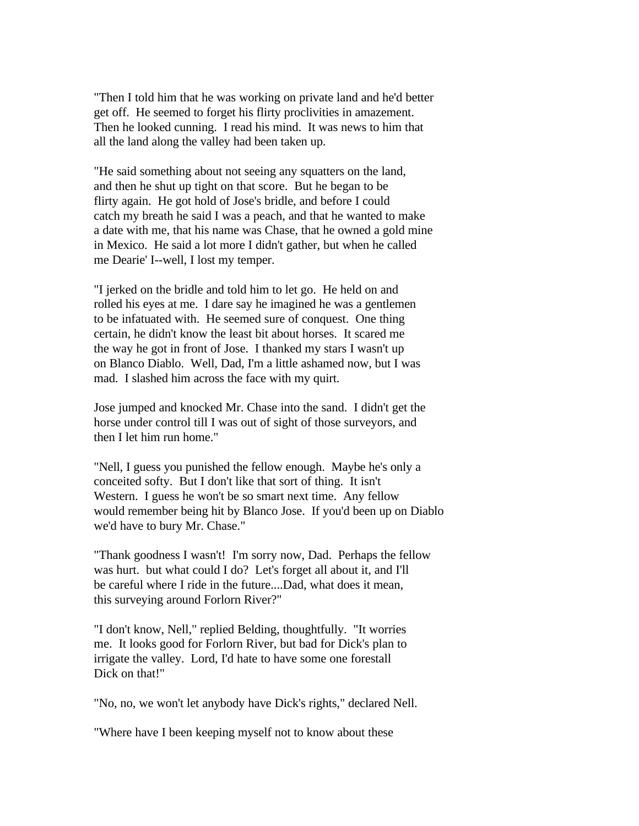"Then I told him that he was working on private land and he'd better get off. He seemed to forget his flirty proclivities in amazement. Then he looked cunning. I read his mind. It was news to him that all the land along the valley had been taken up.

"He said something about not seeing any squatters on the land, and then he shut up tight on that score. But he began to be flirty again. He got hold of Jose's bridle, and before I could catch my breath he said I was a peach, and that he wanted to make a date with me, that his name was Chase, that he owned a gold mine in Mexico. He said a lot more I didn't gather, but when he called me Dearie' I--well, I lost my temper.

"I jerked on the bridle and told him to let go. He held on and rolled his eyes at me. I dare say he imagined he was a gentlemen to be infatuated with. He seemed sure of conquest. One thing certain, he didn't know the least bit about horses. It scared me the way he got in front of Jose. I thanked my stars I wasn't up on Blanco Diablo. Well, Dad, I'm a little ashamed now, but I was mad. I slashed him across the face with my quirt.

Jose jumped and knocked Mr. Chase into the sand. I didn't get the horse under control till I was out of sight of those surveyors, and then I let him run home."

"Nell, I guess you punished the fellow enough. Maybe he's only a conceited softy. But I don't like that sort of thing. It isn't Western. I guess he won't be so smart next time. Any fellow would remember being hit by Blanco Jose. If you'd been up on Diablo we'd have to bury Mr. Chase."

"Thank goodness I wasn't! I'm sorry now, Dad. Perhaps the fellow was hurt. but what could I do? Let's forget all about it, and I'll be careful where I ride in the future....Dad, what does it mean, this surveying around Forlorn River?"

"I don't know, Nell," replied Belding, thoughtfully. "It worries me. It looks good for Forlorn River, but bad for Dick's plan to irrigate the valley. Lord, I'd hate to have some one forestall Dick on that!"

"No, no, we won't let anybody have Dick's rights," declared Nell.

"Where have I been keeping myself not to know about these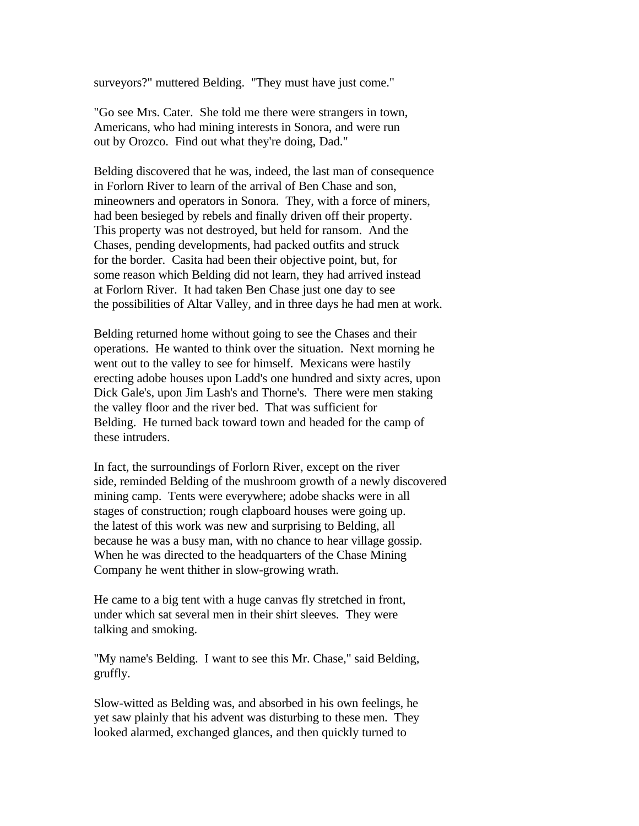surveyors?" muttered Belding. "They must have just come."

"Go see Mrs. Cater. She told me there were strangers in town, Americans, who had mining interests in Sonora, and were run out by Orozco. Find out what they're doing, Dad."

Belding discovered that he was, indeed, the last man of consequence in Forlorn River to learn of the arrival of Ben Chase and son, mineowners and operators in Sonora. They, with a force of miners, had been besieged by rebels and finally driven off their property. This property was not destroyed, but held for ransom. And the Chases, pending developments, had packed outfits and struck for the border. Casita had been their objective point, but, for some reason which Belding did not learn, they had arrived instead at Forlorn River. It had taken Ben Chase just one day to see the possibilities of Altar Valley, and in three days he had men at work.

Belding returned home without going to see the Chases and their operations. He wanted to think over the situation. Next morning he went out to the valley to see for himself. Mexicans were hastily erecting adobe houses upon Ladd's one hundred and sixty acres, upon Dick Gale's, upon Jim Lash's and Thorne's. There were men staking the valley floor and the river bed. That was sufficient for Belding. He turned back toward town and headed for the camp of these intruders.

In fact, the surroundings of Forlorn River, except on the river side, reminded Belding of the mushroom growth of a newly discovered mining camp. Tents were everywhere; adobe shacks were in all stages of construction; rough clapboard houses were going up. the latest of this work was new and surprising to Belding, all because he was a busy man, with no chance to hear village gossip. When he was directed to the headquarters of the Chase Mining Company he went thither in slow-growing wrath.

He came to a big tent with a huge canvas fly stretched in front, under which sat several men in their shirt sleeves. They were talking and smoking.

"My name's Belding. I want to see this Mr. Chase," said Belding, gruffly.

Slow-witted as Belding was, and absorbed in his own feelings, he yet saw plainly that his advent was disturbing to these men. They looked alarmed, exchanged glances, and then quickly turned to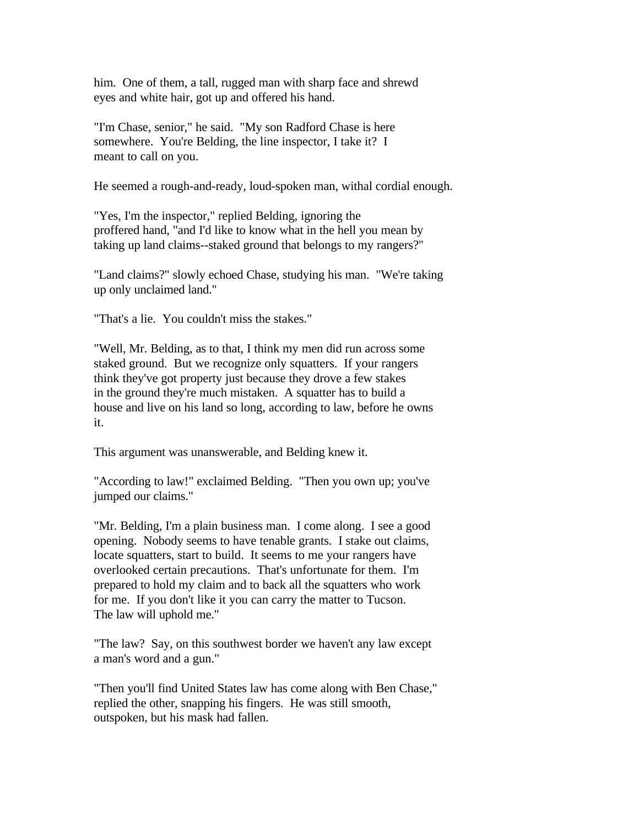him. One of them, a tall, rugged man with sharp face and shrewd eyes and white hair, got up and offered his hand.

"I'm Chase, senior," he said. "My son Radford Chase is here somewhere. You're Belding, the line inspector, I take it? I meant to call on you.

He seemed a rough-and-ready, loud-spoken man, withal cordial enough.

"Yes, I'm the inspector," replied Belding, ignoring the proffered hand, "and I'd like to know what in the hell you mean by taking up land claims--staked ground that belongs to my rangers?"

"Land claims?" slowly echoed Chase, studying his man. "We're taking up only unclaimed land."

"That's a lie. You couldn't miss the stakes."

"Well, Mr. Belding, as to that, I think my men did run across some staked ground. But we recognize only squatters. If your rangers think they've got property just because they drove a few stakes in the ground they're much mistaken. A squatter has to build a house and live on his land so long, according to law, before he owns it.

This argument was unanswerable, and Belding knew it.

"According to law!" exclaimed Belding. "Then you own up; you've jumped our claims."

"Mr. Belding, I'm a plain business man. I come along. I see a good opening. Nobody seems to have tenable grants. I stake out claims, locate squatters, start to build. It seems to me your rangers have overlooked certain precautions. That's unfortunate for them. I'm prepared to hold my claim and to back all the squatters who work for me. If you don't like it you can carry the matter to Tucson. The law will uphold me."

"The law? Say, on this southwest border we haven't any law except a man's word and a gun."

"Then you'll find United States law has come along with Ben Chase," replied the other, snapping his fingers. He was still smooth, outspoken, but his mask had fallen.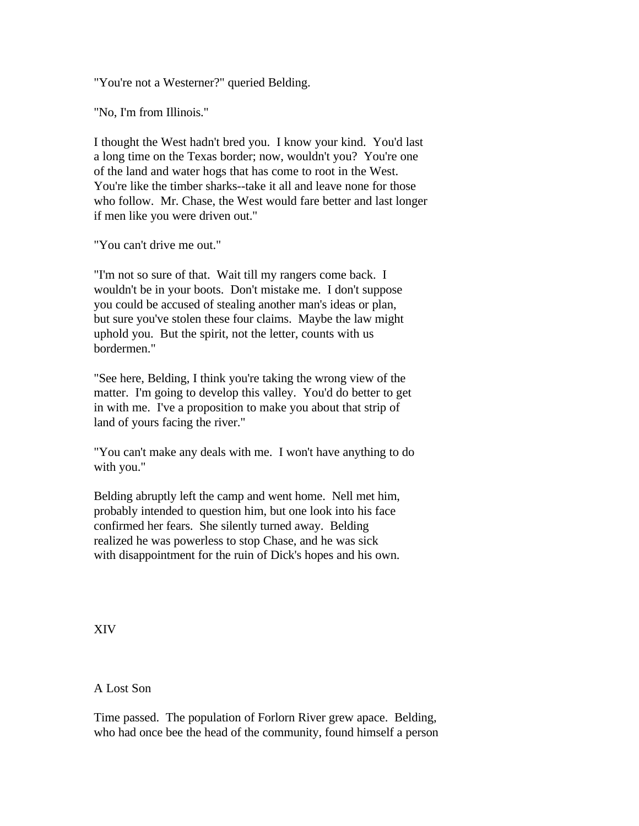"You're not a Westerner?" queried Belding.

"No, I'm from Illinois."

I thought the West hadn't bred you. I know your kind. You'd last a long time on the Texas border; now, wouldn't you? You're one of the land and water hogs that has come to root in the West. You're like the timber sharks--take it all and leave none for those who follow. Mr. Chase, the West would fare better and last longer if men like you were driven out."

"You can't drive me out."

"I'm not so sure of that. Wait till my rangers come back. I wouldn't be in your boots. Don't mistake me. I don't suppose you could be accused of stealing another man's ideas or plan, but sure you've stolen these four claims. Maybe the law might uphold you. But the spirit, not the letter, counts with us bordermen."

"See here, Belding, I think you're taking the wrong view of the matter. I'm going to develop this valley. You'd do better to get in with me. I've a proposition to make you about that strip of land of yours facing the river."

"You can't make any deals with me. I won't have anything to do with you."

Belding abruptly left the camp and went home. Nell met him, probably intended to question him, but one look into his face confirmed her fears. She silently turned away. Belding realized he was powerless to stop Chase, and he was sick with disappointment for the ruin of Dick's hopes and his own.

XIV

## A Lost Son

Time passed. The population of Forlorn River grew apace. Belding, who had once bee the head of the community, found himself a person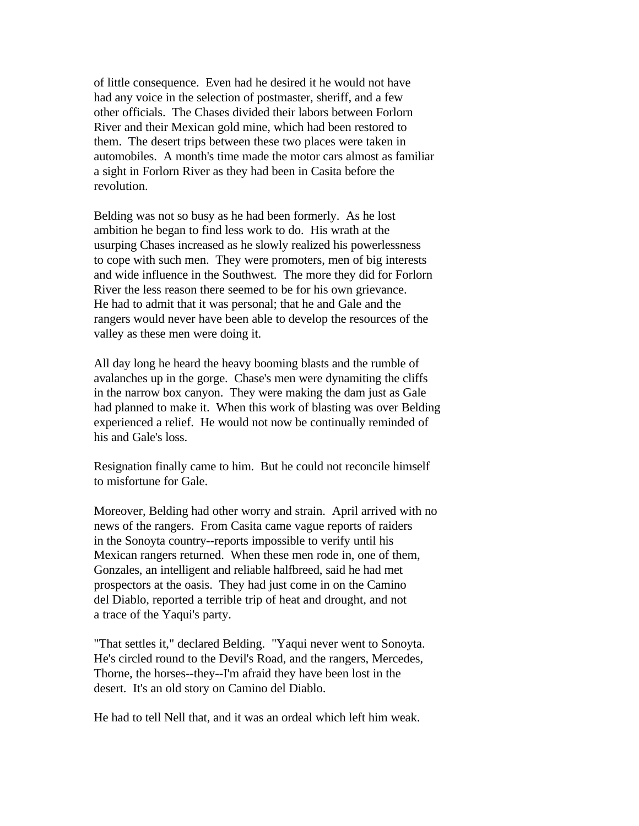of little consequence. Even had he desired it he would not have had any voice in the selection of postmaster, sheriff, and a few other officials. The Chases divided their labors between Forlorn River and their Mexican gold mine, which had been restored to them. The desert trips between these two places were taken in automobiles. A month's time made the motor cars almost as familiar a sight in Forlorn River as they had been in Casita before the revolution.

Belding was not so busy as he had been formerly. As he lost ambition he began to find less work to do. His wrath at the usurping Chases increased as he slowly realized his powerlessness to cope with such men. They were promoters, men of big interests and wide influence in the Southwest. The more they did for Forlorn River the less reason there seemed to be for his own grievance. He had to admit that it was personal; that he and Gale and the rangers would never have been able to develop the resources of the valley as these men were doing it.

All day long he heard the heavy booming blasts and the rumble of avalanches up in the gorge. Chase's men were dynamiting the cliffs in the narrow box canyon. They were making the dam just as Gale had planned to make it. When this work of blasting was over Belding experienced a relief. He would not now be continually reminded of his and Gale's loss.

Resignation finally came to him. But he could not reconcile himself to misfortune for Gale.

Moreover, Belding had other worry and strain. April arrived with no news of the rangers. From Casita came vague reports of raiders in the Sonoyta country--reports impossible to verify until his Mexican rangers returned. When these men rode in, one of them, Gonzales, an intelligent and reliable halfbreed, said he had met prospectors at the oasis. They had just come in on the Camino del Diablo, reported a terrible trip of heat and drought, and not a trace of the Yaqui's party.

"That settles it," declared Belding. "Yaqui never went to Sonoyta. He's circled round to the Devil's Road, and the rangers, Mercedes, Thorne, the horses--they--I'm afraid they have been lost in the desert. It's an old story on Camino del Diablo.

He had to tell Nell that, and it was an ordeal which left him weak.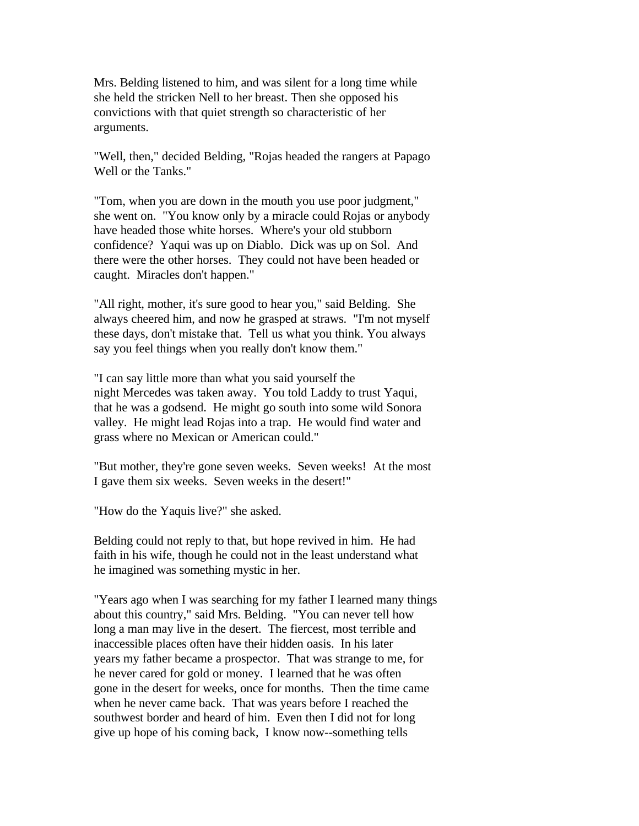Mrs. Belding listened to him, and was silent for a long time while she held the stricken Nell to her breast. Then she opposed his convictions with that quiet strength so characteristic of her arguments.

"Well, then," decided Belding, "Rojas headed the rangers at Papago Well or the Tanks."

"Tom, when you are down in the mouth you use poor judgment," she went on. "You know only by a miracle could Rojas or anybody have headed those white horses. Where's your old stubborn confidence? Yaqui was up on Diablo. Dick was up on Sol. And there were the other horses. They could not have been headed or caught. Miracles don't happen."

"All right, mother, it's sure good to hear you," said Belding. She always cheered him, and now he grasped at straws. "I'm not myself these days, don't mistake that. Tell us what you think. You always say you feel things when you really don't know them."

"I can say little more than what you said yourself the night Mercedes was taken away. You told Laddy to trust Yaqui, that he was a godsend. He might go south into some wild Sonora valley. He might lead Rojas into a trap. He would find water and grass where no Mexican or American could."

"But mother, they're gone seven weeks. Seven weeks! At the most I gave them six weeks. Seven weeks in the desert!"

"How do the Yaquis live?" she asked.

Belding could not reply to that, but hope revived in him. He had faith in his wife, though he could not in the least understand what he imagined was something mystic in her.

"Years ago when I was searching for my father I learned many things about this country," said Mrs. Belding. "You can never tell how long a man may live in the desert. The fiercest, most terrible and inaccessible places often have their hidden oasis. In his later years my father became a prospector. That was strange to me, for he never cared for gold or money. I learned that he was often gone in the desert for weeks, once for months. Then the time came when he never came back. That was years before I reached the southwest border and heard of him. Even then I did not for long give up hope of his coming back, I know now--something tells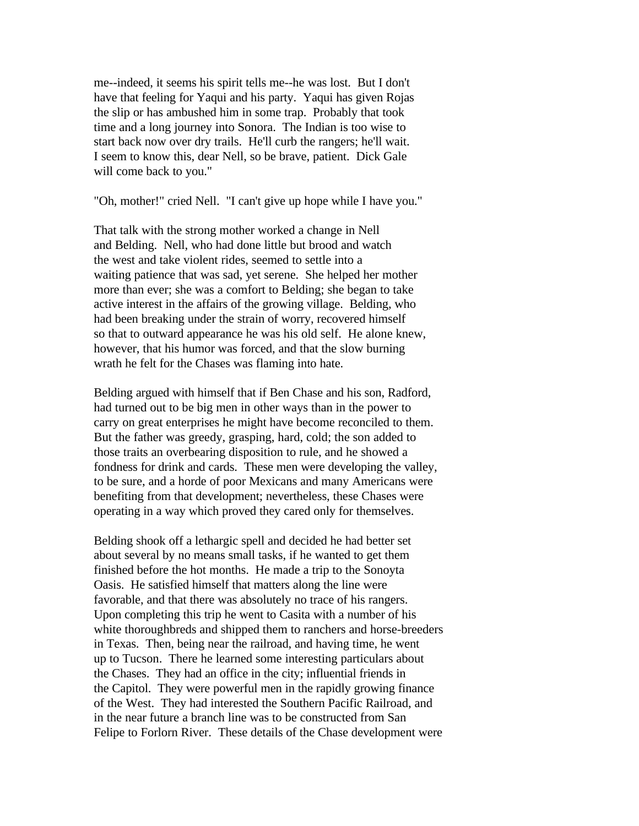me--indeed, it seems his spirit tells me--he was lost. But I don't have that feeling for Yaqui and his party. Yaqui has given Rojas the slip or has ambushed him in some trap. Probably that took time and a long journey into Sonora. The Indian is too wise to start back now over dry trails. He'll curb the rangers; he'll wait. I seem to know this, dear Nell, so be brave, patient. Dick Gale will come back to you."

"Oh, mother!" cried Nell. "I can't give up hope while I have you."

That talk with the strong mother worked a change in Nell and Belding. Nell, who had done little but brood and watch the west and take violent rides, seemed to settle into a waiting patience that was sad, yet serene. She helped her mother more than ever; she was a comfort to Belding; she began to take active interest in the affairs of the growing village. Belding, who had been breaking under the strain of worry, recovered himself so that to outward appearance he was his old self. He alone knew, however, that his humor was forced, and that the slow burning wrath he felt for the Chases was flaming into hate.

Belding argued with himself that if Ben Chase and his son, Radford, had turned out to be big men in other ways than in the power to carry on great enterprises he might have become reconciled to them. But the father was greedy, grasping, hard, cold; the son added to those traits an overbearing disposition to rule, and he showed a fondness for drink and cards. These men were developing the valley, to be sure, and a horde of poor Mexicans and many Americans were benefiting from that development; nevertheless, these Chases were operating in a way which proved they cared only for themselves.

Belding shook off a lethargic spell and decided he had better set about several by no means small tasks, if he wanted to get them finished before the hot months. He made a trip to the Sonoyta Oasis. He satisfied himself that matters along the line were favorable, and that there was absolutely no trace of his rangers. Upon completing this trip he went to Casita with a number of his white thoroughbreds and shipped them to ranchers and horse-breeders in Texas. Then, being near the railroad, and having time, he went up to Tucson. There he learned some interesting particulars about the Chases. They had an office in the city; influential friends in the Capitol. They were powerful men in the rapidly growing finance of the West. They had interested the Southern Pacific Railroad, and in the near future a branch line was to be constructed from San Felipe to Forlorn River. These details of the Chase development were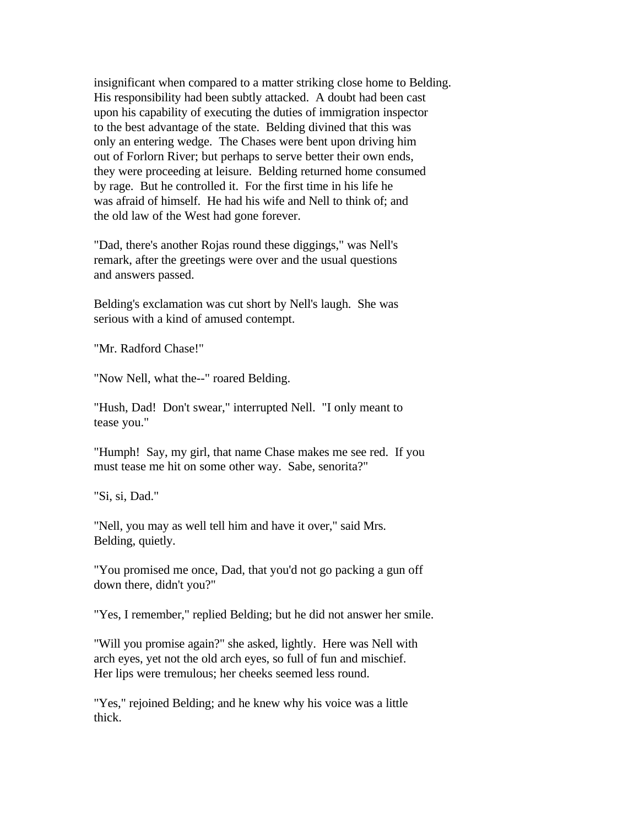insignificant when compared to a matter striking close home to Belding. His responsibility had been subtly attacked. A doubt had been cast upon his capability of executing the duties of immigration inspector to the best advantage of the state. Belding divined that this was only an entering wedge. The Chases were bent upon driving him out of Forlorn River; but perhaps to serve better their own ends, they were proceeding at leisure. Belding returned home consumed by rage. But he controlled it. For the first time in his life he was afraid of himself. He had his wife and Nell to think of; and the old law of the West had gone forever.

"Dad, there's another Rojas round these diggings," was Nell's remark, after the greetings were over and the usual questions and answers passed.

Belding's exclamation was cut short by Nell's laugh. She was serious with a kind of amused contempt.

"Mr. Radford Chase!"

"Now Nell, what the--" roared Belding.

"Hush, Dad! Don't swear," interrupted Nell. "I only meant to tease you."

"Humph! Say, my girl, that name Chase makes me see red. If you must tease me hit on some other way. Sabe, senorita?"

"Si, si, Dad."

"Nell, you may as well tell him and have it over," said Mrs. Belding, quietly.

"You promised me once, Dad, that you'd not go packing a gun off down there, didn't you?"

"Yes, I remember," replied Belding; but he did not answer her smile.

"Will you promise again?" she asked, lightly. Here was Nell with arch eyes, yet not the old arch eyes, so full of fun and mischief. Her lips were tremulous; her cheeks seemed less round.

"Yes," rejoined Belding; and he knew why his voice was a little thick.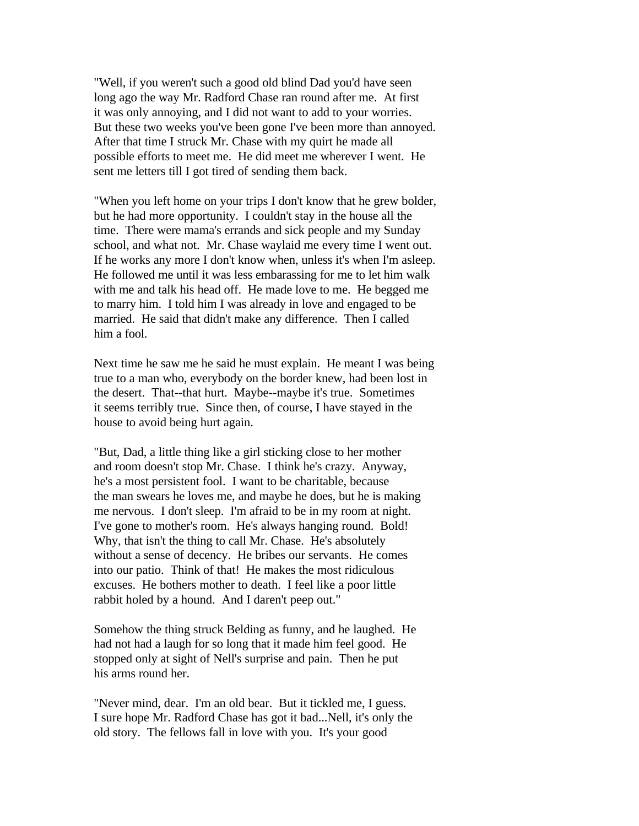"Well, if you weren't such a good old blind Dad you'd have seen long ago the way Mr. Radford Chase ran round after me. At first it was only annoying, and I did not want to add to your worries. But these two weeks you've been gone I've been more than annoyed. After that time I struck Mr. Chase with my quirt he made all possible efforts to meet me. He did meet me wherever I went. He sent me letters till I got tired of sending them back.

"When you left home on your trips I don't know that he grew bolder, but he had more opportunity. I couldn't stay in the house all the time. There were mama's errands and sick people and my Sunday school, and what not. Mr. Chase waylaid me every time I went out. If he works any more I don't know when, unless it's when I'm asleep. He followed me until it was less embarassing for me to let him walk with me and talk his head off. He made love to me. He begged me to marry him. I told him I was already in love and engaged to be married. He said that didn't make any difference. Then I called him a fool.

Next time he saw me he said he must explain. He meant I was being true to a man who, everybody on the border knew, had been lost in the desert. That--that hurt. Maybe--maybe it's true. Sometimes it seems terribly true. Since then, of course, I have stayed in the house to avoid being hurt again.

"But, Dad, a little thing like a girl sticking close to her mother and room doesn't stop Mr. Chase. I think he's crazy. Anyway, he's a most persistent fool. I want to be charitable, because the man swears he loves me, and maybe he does, but he is making me nervous. I don't sleep. I'm afraid to be in my room at night. I've gone to mother's room. He's always hanging round. Bold! Why, that isn't the thing to call Mr. Chase. He's absolutely without a sense of decency. He bribes our servants. He comes into our patio. Think of that! He makes the most ridiculous excuses. He bothers mother to death. I feel like a poor little rabbit holed by a hound. And I daren't peep out."

Somehow the thing struck Belding as funny, and he laughed. He had not had a laugh for so long that it made him feel good. He stopped only at sight of Nell's surprise and pain. Then he put his arms round her.

"Never mind, dear. I'm an old bear. But it tickled me, I guess. I sure hope Mr. Radford Chase has got it bad...Nell, it's only the old story. The fellows fall in love with you. It's your good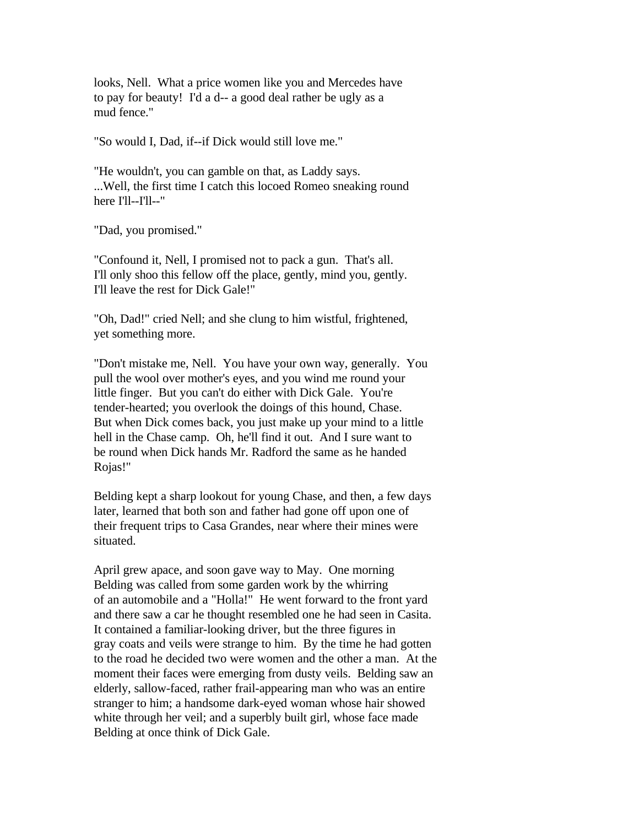looks, Nell. What a price women like you and Mercedes have to pay for beauty! I'd a d-- a good deal rather be ugly as a mud fence."

"So would I, Dad, if--if Dick would still love me."

"He wouldn't, you can gamble on that, as Laddy says. ...Well, the first time I catch this locoed Romeo sneaking round here I'll--I'll--"

"Dad, you promised."

"Confound it, Nell, I promised not to pack a gun. That's all. I'll only shoo this fellow off the place, gently, mind you, gently. I'll leave the rest for Dick Gale!"

"Oh, Dad!" cried Nell; and she clung to him wistful, frightened, yet something more.

"Don't mistake me, Nell. You have your own way, generally. You pull the wool over mother's eyes, and you wind me round your little finger. But you can't do either with Dick Gale. You're tender-hearted; you overlook the doings of this hound, Chase. But when Dick comes back, you just make up your mind to a little hell in the Chase camp. Oh, he'll find it out. And I sure want to be round when Dick hands Mr. Radford the same as he handed Rojas!"

Belding kept a sharp lookout for young Chase, and then, a few days later, learned that both son and father had gone off upon one of their frequent trips to Casa Grandes, near where their mines were situated.

April grew apace, and soon gave way to May. One morning Belding was called from some garden work by the whirring of an automobile and a "Holla!" He went forward to the front yard and there saw a car he thought resembled one he had seen in Casita. It contained a familiar-looking driver, but the three figures in gray coats and veils were strange to him. By the time he had gotten to the road he decided two were women and the other a man. At the moment their faces were emerging from dusty veils. Belding saw an elderly, sallow-faced, rather frail-appearing man who was an entire stranger to him; a handsome dark-eyed woman whose hair showed white through her veil; and a superbly built girl, whose face made Belding at once think of Dick Gale.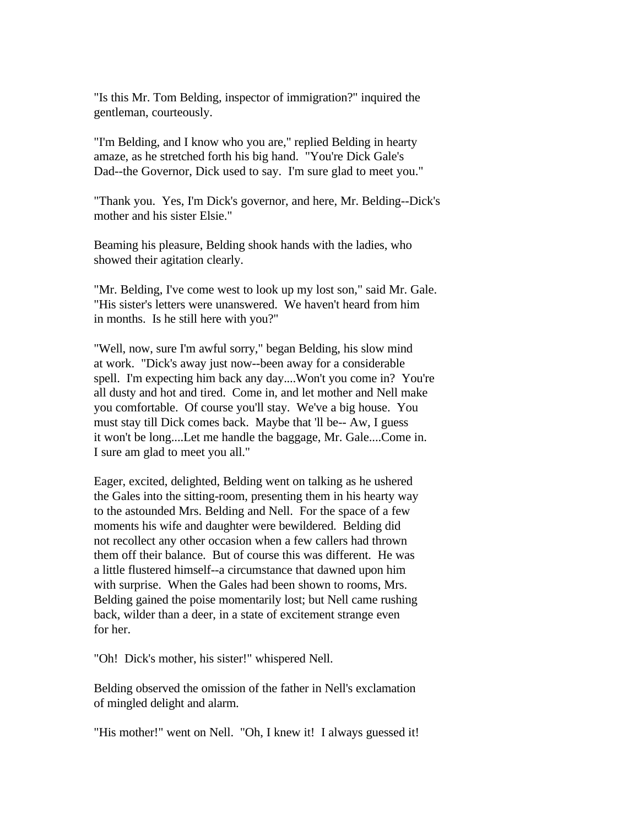"Is this Mr. Tom Belding, inspector of immigration?" inquired the gentleman, courteously.

"I'm Belding, and I know who you are," replied Belding in hearty amaze, as he stretched forth his big hand. "You're Dick Gale's Dad--the Governor, Dick used to say. I'm sure glad to meet you."

"Thank you. Yes, I'm Dick's governor, and here, Mr. Belding--Dick's mother and his sister Elsie."

Beaming his pleasure, Belding shook hands with the ladies, who showed their agitation clearly.

"Mr. Belding, I've come west to look up my lost son," said Mr. Gale. "His sister's letters were unanswered. We haven't heard from him in months. Is he still here with you?"

"Well, now, sure I'm awful sorry," began Belding, his slow mind at work. "Dick's away just now--been away for a considerable spell. I'm expecting him back any day....Won't you come in? You're all dusty and hot and tired. Come in, and let mother and Nell make you comfortable. Of course you'll stay. We've a big house. You must stay till Dick comes back. Maybe that 'll be-- Aw, I guess it won't be long....Let me handle the baggage, Mr. Gale....Come in. I sure am glad to meet you all."

Eager, excited, delighted, Belding went on talking as he ushered the Gales into the sitting-room, presenting them in his hearty way to the astounded Mrs. Belding and Nell. For the space of a few moments his wife and daughter were bewildered. Belding did not recollect any other occasion when a few callers had thrown them off their balance. But of course this was different. He was a little flustered himself--a circumstance that dawned upon him with surprise. When the Gales had been shown to rooms, Mrs. Belding gained the poise momentarily lost; but Nell came rushing back, wilder than a deer, in a state of excitement strange even for her.

"Oh! Dick's mother, his sister!" whispered Nell.

Belding observed the omission of the father in Nell's exclamation of mingled delight and alarm.

"His mother!" went on Nell. "Oh, I knew it! I always guessed it!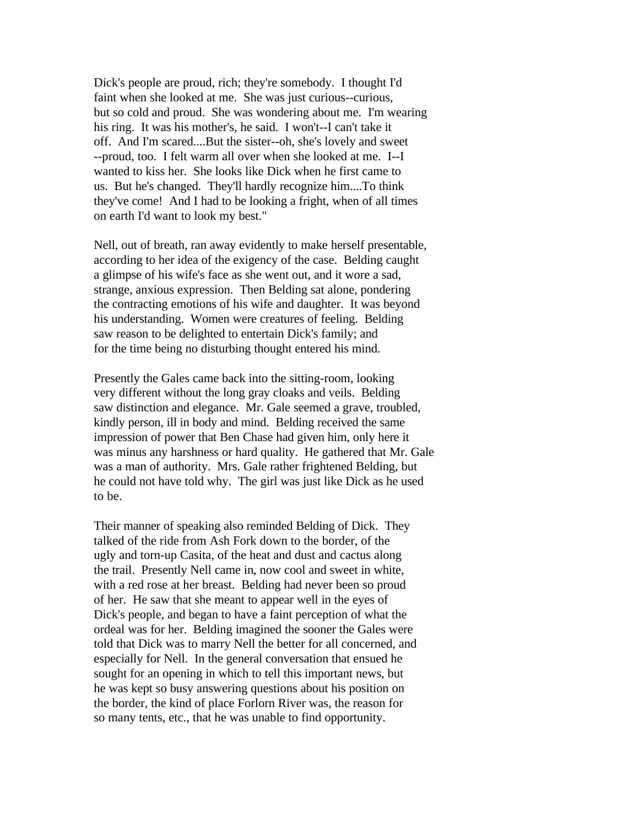Dick's people are proud, rich; they're somebody. I thought I'd faint when she looked at me. She was just curious--curious, but so cold and proud. She was wondering about me. I'm wearing his ring. It was his mother's, he said. I won't--I can't take it off. And I'm scared....But the sister--oh, she's lovely and sweet --proud, too. I felt warm all over when she looked at me. I--I wanted to kiss her. She looks like Dick when he first came to us. But he's changed. They'll hardly recognize him....To think they've come! And I had to be looking a fright, when of all times on earth I'd want to look my best."

Nell, out of breath, ran away evidently to make herself presentable, according to her idea of the exigency of the case. Belding caught a glimpse of his wife's face as she went out, and it wore a sad, strange, anxious expression. Then Belding sat alone, pondering the contracting emotions of his wife and daughter. It was beyond his understanding. Women were creatures of feeling. Belding saw reason to be delighted to entertain Dick's family; and for the time being no disturbing thought entered his mind.

Presently the Gales came back into the sitting-room, looking very different without the long gray cloaks and veils. Belding saw distinction and elegance. Mr. Gale seemed a grave, troubled, kindly person, ill in body and mind. Belding received the same impression of power that Ben Chase had given him, only here it was minus any harshness or hard quality. He gathered that Mr. Gale was a man of authority. Mrs. Gale rather frightened Belding, but he could not have told why. The girl was just like Dick as he used to be.

Their manner of speaking also reminded Belding of Dick. They talked of the ride from Ash Fork down to the border, of the ugly and torn-up Casita, of the heat and dust and cactus along the trail. Presently Nell came in, now cool and sweet in white, with a red rose at her breast. Belding had never been so proud of her. He saw that she meant to appear well in the eyes of Dick's people, and began to have a faint perception of what the ordeal was for her. Belding imagined the sooner the Gales were told that Dick was to marry Nell the better for all concerned, and especially for Nell. In the general conversation that ensued he sought for an opening in which to tell this important news, but he was kept so busy answering questions about his position on the border, the kind of place Forlorn River was, the reason for so many tents, etc., that he was unable to find opportunity.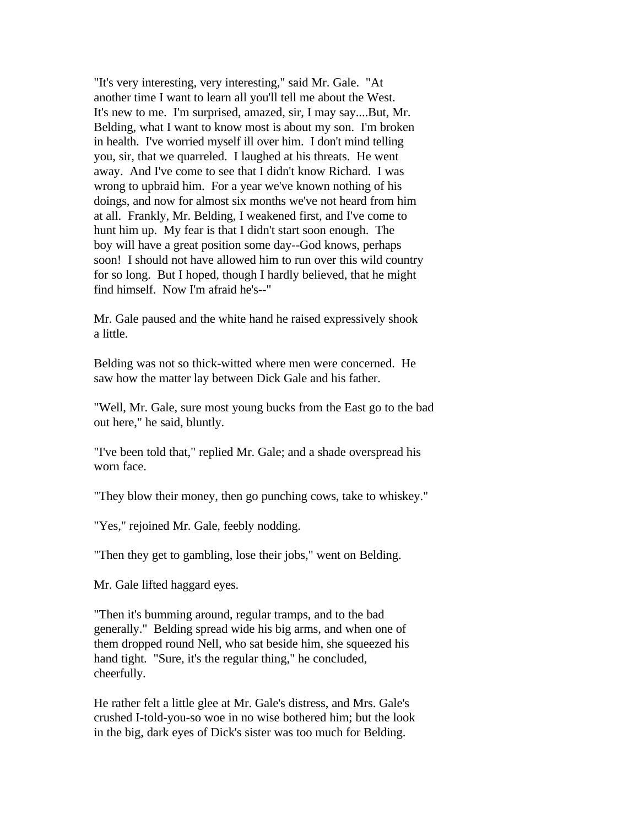"It's very interesting, very interesting," said Mr. Gale. "At another time I want to learn all you'll tell me about the West. It's new to me. I'm surprised, amazed, sir, I may say....But, Mr. Belding, what I want to know most is about my son. I'm broken in health. I've worried myself ill over him. I don't mind telling you, sir, that we quarreled. I laughed at his threats. He went away. And I've come to see that I didn't know Richard. I was wrong to upbraid him. For a year we've known nothing of his doings, and now for almost six months we've not heard from him at all. Frankly, Mr. Belding, I weakened first, and I've come to hunt him up. My fear is that I didn't start soon enough. The boy will have a great position some day--God knows, perhaps soon! I should not have allowed him to run over this wild country for so long. But I hoped, though I hardly believed, that he might find himself. Now I'm afraid he's--"

Mr. Gale paused and the white hand he raised expressively shook a little.

Belding was not so thick-witted where men were concerned. He saw how the matter lay between Dick Gale and his father.

"Well, Mr. Gale, sure most young bucks from the East go to the bad out here," he said, bluntly.

"I've been told that," replied Mr. Gale; and a shade overspread his worn face.

"They blow their money, then go punching cows, take to whiskey."

"Yes," rejoined Mr. Gale, feebly nodding.

"Then they get to gambling, lose their jobs," went on Belding.

Mr. Gale lifted haggard eyes.

"Then it's bumming around, regular tramps, and to the bad generally." Belding spread wide his big arms, and when one of them dropped round Nell, who sat beside him, she squeezed his hand tight. "Sure, it's the regular thing," he concluded, cheerfully.

He rather felt a little glee at Mr. Gale's distress, and Mrs. Gale's crushed I-told-you-so woe in no wise bothered him; but the look in the big, dark eyes of Dick's sister was too much for Belding.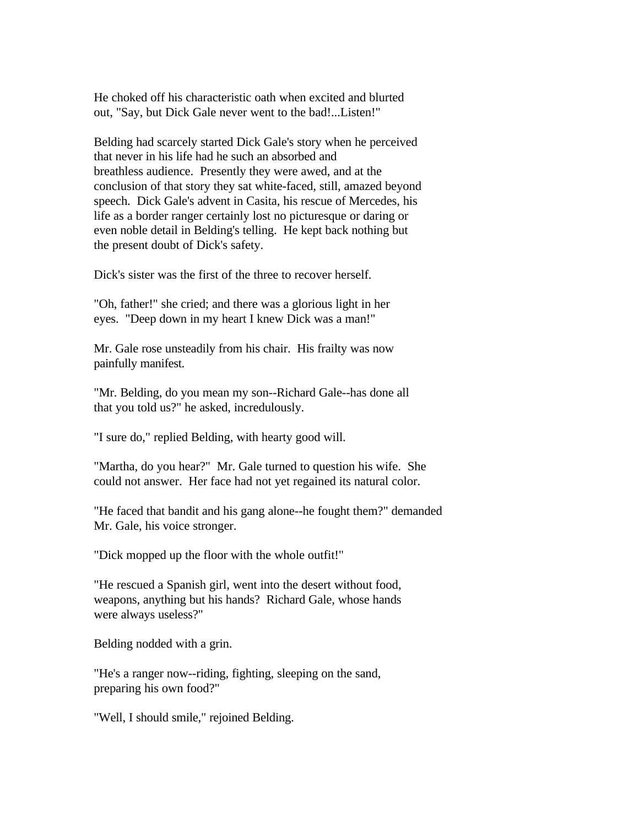He choked off his characteristic oath when excited and blurted out, "Say, but Dick Gale never went to the bad!...Listen!"

Belding had scarcely started Dick Gale's story when he perceived that never in his life had he such an absorbed and breathless audience. Presently they were awed, and at the conclusion of that story they sat white-faced, still, amazed beyond speech. Dick Gale's advent in Casita, his rescue of Mercedes, his life as a border ranger certainly lost no picturesque or daring or even noble detail in Belding's telling. He kept back nothing but the present doubt of Dick's safety.

Dick's sister was the first of the three to recover herself.

"Oh, father!" she cried; and there was a glorious light in her eyes. "Deep down in my heart I knew Dick was a man!"

Mr. Gale rose unsteadily from his chair. His frailty was now painfully manifest.

"Mr. Belding, do you mean my son--Richard Gale--has done all that you told us?" he asked, incredulously.

"I sure do," replied Belding, with hearty good will.

"Martha, do you hear?" Mr. Gale turned to question his wife. She could not answer. Her face had not yet regained its natural color.

"He faced that bandit and his gang alone--he fought them?" demanded Mr. Gale, his voice stronger.

"Dick mopped up the floor with the whole outfit!"

"He rescued a Spanish girl, went into the desert without food, weapons, anything but his hands? Richard Gale, whose hands were always useless?"

Belding nodded with a grin.

"He's a ranger now--riding, fighting, sleeping on the sand, preparing his own food?"

"Well, I should smile," rejoined Belding.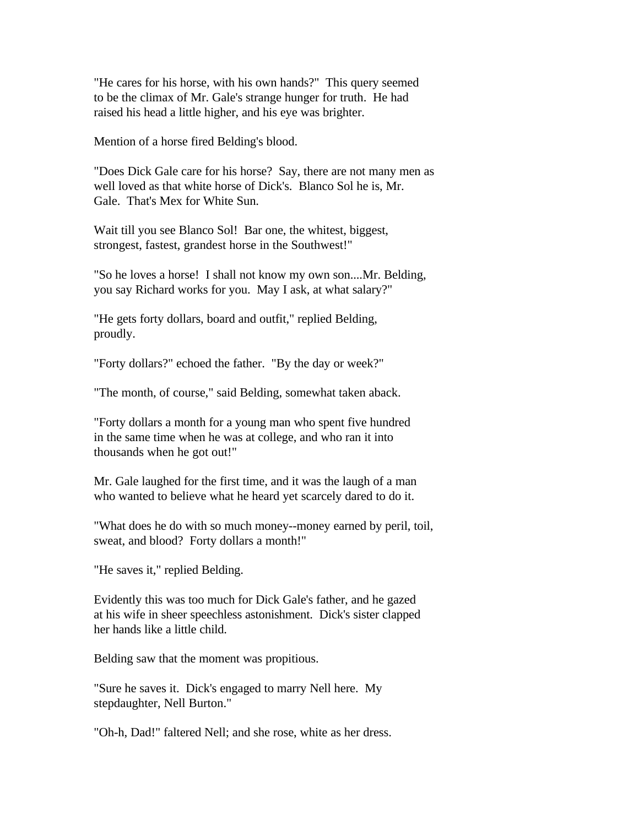"He cares for his horse, with his own hands?" This query seemed to be the climax of Mr. Gale's strange hunger for truth. He had raised his head a little higher, and his eye was brighter.

Mention of a horse fired Belding's blood.

"Does Dick Gale care for his horse? Say, there are not many men as well loved as that white horse of Dick's. Blanco Sol he is, Mr. Gale. That's Mex for White Sun.

Wait till you see Blanco Sol! Bar one, the whitest, biggest, strongest, fastest, grandest horse in the Southwest!"

"So he loves a horse! I shall not know my own son....Mr. Belding, you say Richard works for you. May I ask, at what salary?"

"He gets forty dollars, board and outfit," replied Belding, proudly.

"Forty dollars?" echoed the father. "By the day or week?"

"The month, of course," said Belding, somewhat taken aback.

"Forty dollars a month for a young man who spent five hundred in the same time when he was at college, and who ran it into thousands when he got out!"

Mr. Gale laughed for the first time, and it was the laugh of a man who wanted to believe what he heard yet scarcely dared to do it.

"What does he do with so much money--money earned by peril, toil, sweat, and blood? Forty dollars a month!"

"He saves it," replied Belding.

Evidently this was too much for Dick Gale's father, and he gazed at his wife in sheer speechless astonishment. Dick's sister clapped her hands like a little child.

Belding saw that the moment was propitious.

"Sure he saves it. Dick's engaged to marry Nell here. My stepdaughter, Nell Burton."

"Oh-h, Dad!" faltered Nell; and she rose, white as her dress.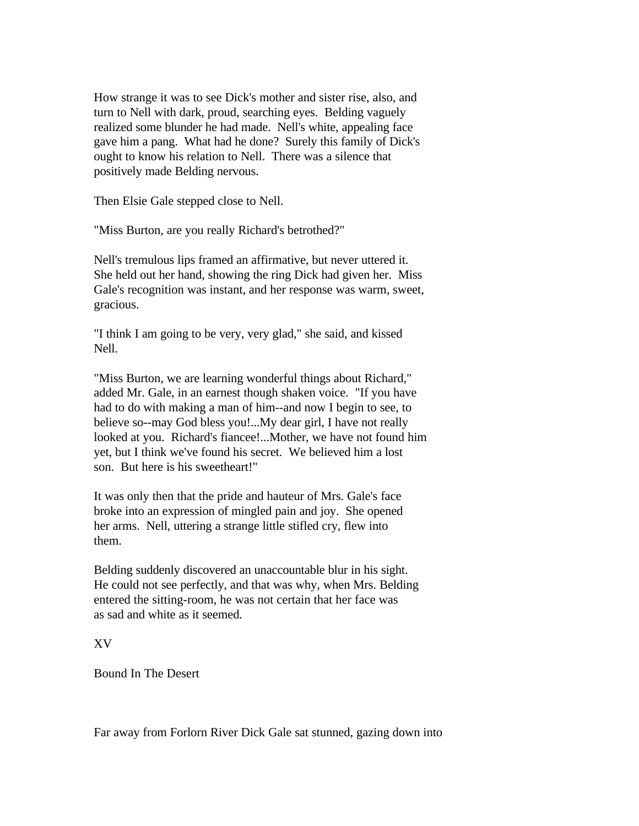How strange it was to see Dick's mother and sister rise, also, and turn to Nell with dark, proud, searching eyes. Belding vaguely realized some blunder he had made. Nell's white, appealing face gave him a pang. What had he done? Surely this family of Dick's ought to know his relation to Nell. There was a silence that positively made Belding nervous.

Then Elsie Gale stepped close to Nell.

"Miss Burton, are you really Richard's betrothed?"

Nell's tremulous lips framed an affirmative, but never uttered it. She held out her hand, showing the ring Dick had given her. Miss Gale's recognition was instant, and her response was warm, sweet, gracious.

"I think I am going to be very, very glad," she said, and kissed Nell.

"Miss Burton, we are learning wonderful things about Richard," added Mr. Gale, in an earnest though shaken voice. "If you have had to do with making a man of him--and now I begin to see, to believe so--may God bless you!...My dear girl, I have not really looked at you. Richard's fiancee!...Mother, we have not found him yet, but I think we've found his secret. We believed him a lost son. But here is his sweetheart!"

It was only then that the pride and hauteur of Mrs. Gale's face broke into an expression of mingled pain and joy. She opened her arms. Nell, uttering a strange little stifled cry, flew into them.

Belding suddenly discovered an unaccountable blur in his sight. He could not see perfectly, and that was why, when Mrs. Belding entered the sitting-room, he was not certain that her face was as sad and white as it seemed.

XV

Bound In The Desert

Far away from Forlorn River Dick Gale sat stunned, gazing down into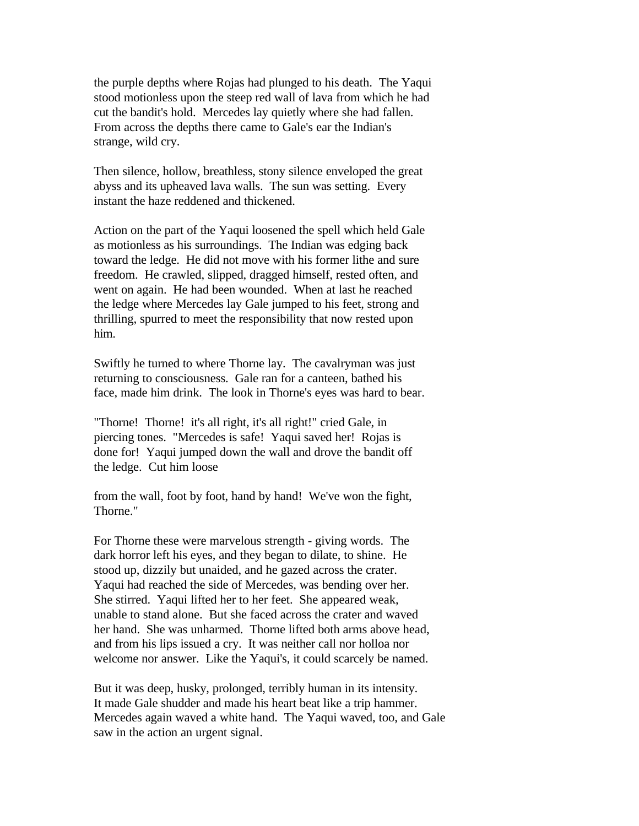the purple depths where Rojas had plunged to his death. The Yaqui stood motionless upon the steep red wall of lava from which he had cut the bandit's hold. Mercedes lay quietly where she had fallen. From across the depths there came to Gale's ear the Indian's strange, wild cry.

Then silence, hollow, breathless, stony silence enveloped the great abyss and its upheaved lava walls. The sun was setting. Every instant the haze reddened and thickened.

Action on the part of the Yaqui loosened the spell which held Gale as motionless as his surroundings. The Indian was edging back toward the ledge. He did not move with his former lithe and sure freedom. He crawled, slipped, dragged himself, rested often, and went on again. He had been wounded. When at last he reached the ledge where Mercedes lay Gale jumped to his feet, strong and thrilling, spurred to meet the responsibility that now rested upon him.

Swiftly he turned to where Thorne lay. The cavalryman was just returning to consciousness. Gale ran for a canteen, bathed his face, made him drink. The look in Thorne's eyes was hard to bear.

"Thorne! Thorne! it's all right, it's all right!" cried Gale, in piercing tones. "Mercedes is safe! Yaqui saved her! Rojas is done for! Yaqui jumped down the wall and drove the bandit off the ledge. Cut him loose

from the wall, foot by foot, hand by hand! We've won the fight, Thorne."

For Thorne these were marvelous strength - giving words. The dark horror left his eyes, and they began to dilate, to shine. He stood up, dizzily but unaided, and he gazed across the crater. Yaqui had reached the side of Mercedes, was bending over her. She stirred. Yaqui lifted her to her feet. She appeared weak, unable to stand alone. But she faced across the crater and waved her hand. She was unharmed. Thorne lifted both arms above head, and from his lips issued a cry. It was neither call nor holloa nor welcome nor answer. Like the Yaqui's, it could scarcely be named.

But it was deep, husky, prolonged, terribly human in its intensity. It made Gale shudder and made his heart beat like a trip hammer. Mercedes again waved a white hand. The Yaqui waved, too, and Gale saw in the action an urgent signal.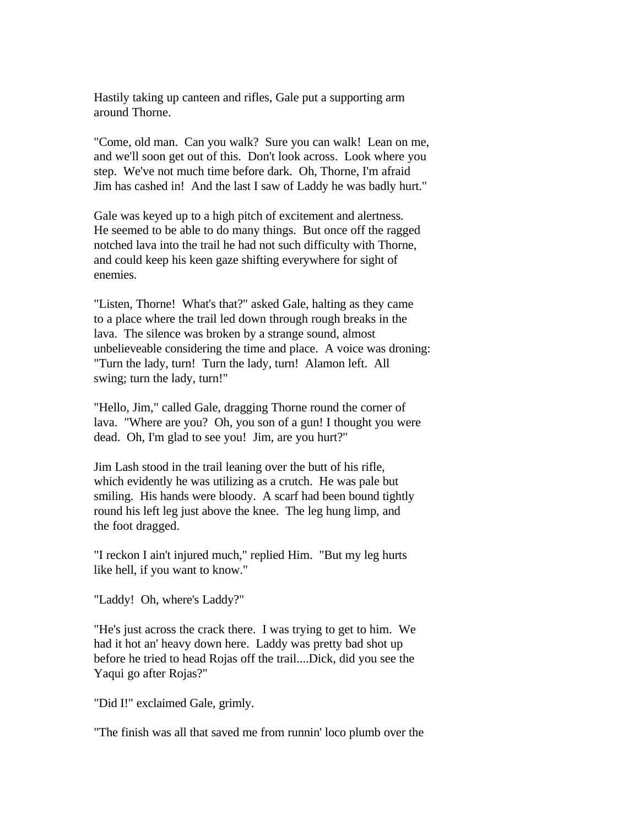Hastily taking up canteen and rifles, Gale put a supporting arm around Thorne.

"Come, old man. Can you walk? Sure you can walk! Lean on me, and we'll soon get out of this. Don't look across. Look where you step. We've not much time before dark. Oh, Thorne, I'm afraid Jim has cashed in! And the last I saw of Laddy he was badly hurt."

Gale was keyed up to a high pitch of excitement and alertness. He seemed to be able to do many things. But once off the ragged notched lava into the trail he had not such difficulty with Thorne, and could keep his keen gaze shifting everywhere for sight of enemies.

"Listen, Thorne! What's that?" asked Gale, halting as they came to a place where the trail led down through rough breaks in the lava. The silence was broken by a strange sound, almost unbelieveable considering the time and place. A voice was droning: "Turn the lady, turn! Turn the lady, turn! Alamon left. All swing; turn the lady, turn!"

"Hello, Jim," called Gale, dragging Thorne round the corner of lava. "Where are you? Oh, you son of a gun! I thought you were dead. Oh, I'm glad to see you! Jim, are you hurt?"

Jim Lash stood in the trail leaning over the butt of his rifle, which evidently he was utilizing as a crutch. He was pale but smiling. His hands were bloody. A scarf had been bound tightly round his left leg just above the knee. The leg hung limp, and the foot dragged.

"I reckon I ain't injured much," replied Him. "But my leg hurts like hell, if you want to know."

"Laddy! Oh, where's Laddy?"

"He's just across the crack there. I was trying to get to him. We had it hot an' heavy down here. Laddy was pretty bad shot up before he tried to head Rojas off the trail....Dick, did you see the Yaqui go after Rojas?"

"Did I!" exclaimed Gale, grimly.

"The finish was all that saved me from runnin' loco plumb over the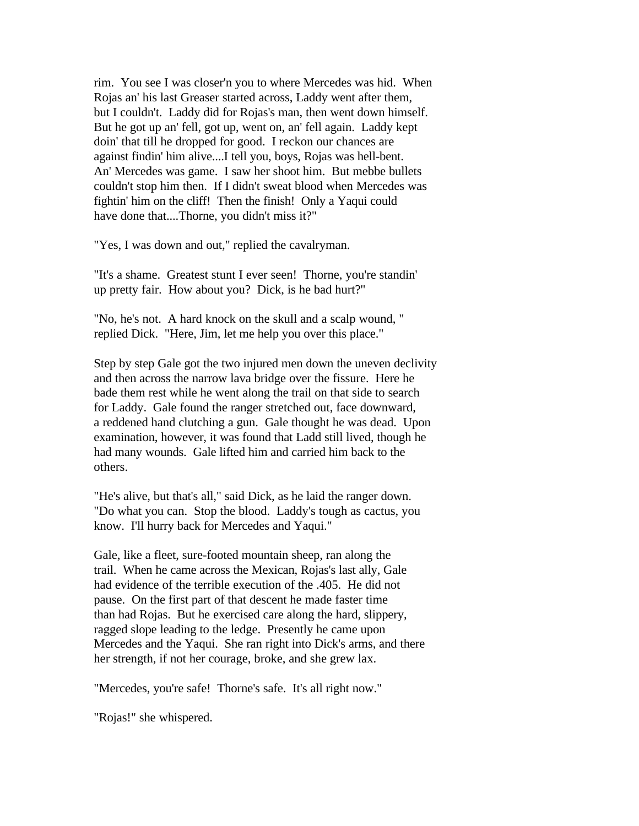rim. You see I was closer'n you to where Mercedes was hid. When Rojas an' his last Greaser started across, Laddy went after them, but I couldn't. Laddy did for Rojas's man, then went down himself. But he got up an' fell, got up, went on, an' fell again. Laddy kept doin' that till he dropped for good. I reckon our chances are against findin' him alive....I tell you, boys, Rojas was hell-bent. An' Mercedes was game. I saw her shoot him. But mebbe bullets couldn't stop him then. If I didn't sweat blood when Mercedes was fightin' him on the cliff! Then the finish! Only a Yaqui could have done that....Thorne, you didn't miss it?"

"Yes, I was down and out," replied the cavalryman.

"It's a shame. Greatest stunt I ever seen! Thorne, you're standin' up pretty fair. How about you? Dick, is he bad hurt?"

"No, he's not. A hard knock on the skull and a scalp wound, " replied Dick. "Here, Jim, let me help you over this place."

Step by step Gale got the two injured men down the uneven declivity and then across the narrow lava bridge over the fissure. Here he bade them rest while he went along the trail on that side to search for Laddy. Gale found the ranger stretched out, face downward, a reddened hand clutching a gun. Gale thought he was dead. Upon examination, however, it was found that Ladd still lived, though he had many wounds. Gale lifted him and carried him back to the others.

"He's alive, but that's all," said Dick, as he laid the ranger down. "Do what you can. Stop the blood. Laddy's tough as cactus, you know. I'll hurry back for Mercedes and Yaqui."

Gale, like a fleet, sure-footed mountain sheep, ran along the trail. When he came across the Mexican, Rojas's last ally, Gale had evidence of the terrible execution of the .405. He did not pause. On the first part of that descent he made faster time than had Rojas. But he exercised care along the hard, slippery, ragged slope leading to the ledge. Presently he came upon Mercedes and the Yaqui. She ran right into Dick's arms, and there her strength, if not her courage, broke, and she grew lax.

"Mercedes, you're safe! Thorne's safe. It's all right now."

"Rojas!" she whispered.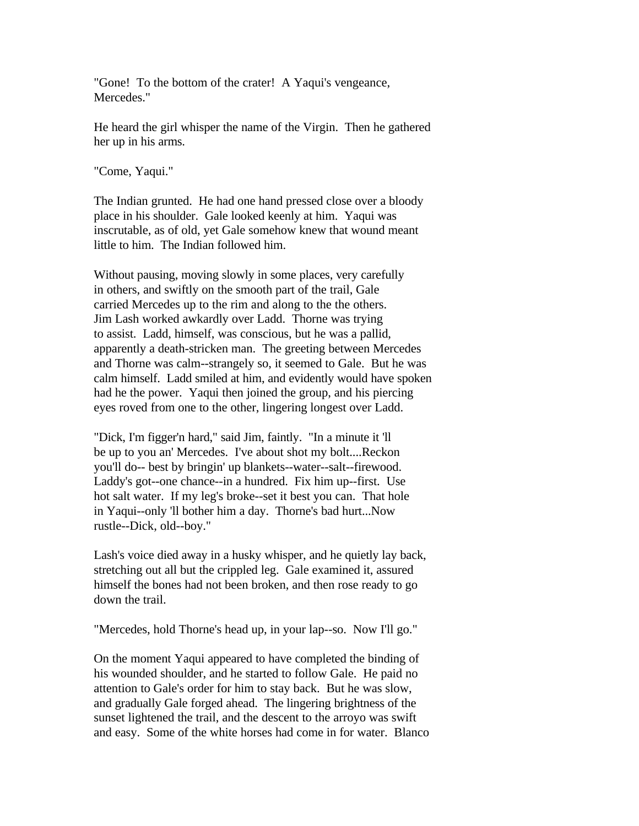"Gone! To the bottom of the crater! A Yaqui's vengeance, Mercedes."

He heard the girl whisper the name of the Virgin. Then he gathered her up in his arms.

"Come, Yaqui."

The Indian grunted. He had one hand pressed close over a bloody place in his shoulder. Gale looked keenly at him. Yaqui was inscrutable, as of old, yet Gale somehow knew that wound meant little to him. The Indian followed him.

Without pausing, moving slowly in some places, very carefully in others, and swiftly on the smooth part of the trail, Gale carried Mercedes up to the rim and along to the the others. Jim Lash worked awkardly over Ladd. Thorne was trying to assist. Ladd, himself, was conscious, but he was a pallid, apparently a death-stricken man. The greeting between Mercedes and Thorne was calm--strangely so, it seemed to Gale. But he was calm himself. Ladd smiled at him, and evidently would have spoken had he the power. Yaqui then joined the group, and his piercing eyes roved from one to the other, lingering longest over Ladd.

"Dick, I'm figger'n hard," said Jim, faintly. "In a minute it 'll be up to you an' Mercedes. I've about shot my bolt....Reckon you'll do-- best by bringin' up blankets--water--salt--firewood. Laddy's got--one chance--in a hundred. Fix him up--first. Use hot salt water. If my leg's broke--set it best you can. That hole in Yaqui--only 'll bother him a day. Thorne's bad hurt...Now rustle--Dick, old--boy."

Lash's voice died away in a husky whisper, and he quietly lay back, stretching out all but the crippled leg. Gale examined it, assured himself the bones had not been broken, and then rose ready to go down the trail.

"Mercedes, hold Thorne's head up, in your lap--so. Now I'll go."

On the moment Yaqui appeared to have completed the binding of his wounded shoulder, and he started to follow Gale. He paid no attention to Gale's order for him to stay back. But he was slow, and gradually Gale forged ahead. The lingering brightness of the sunset lightened the trail, and the descent to the arroyo was swift and easy. Some of the white horses had come in for water. Blanco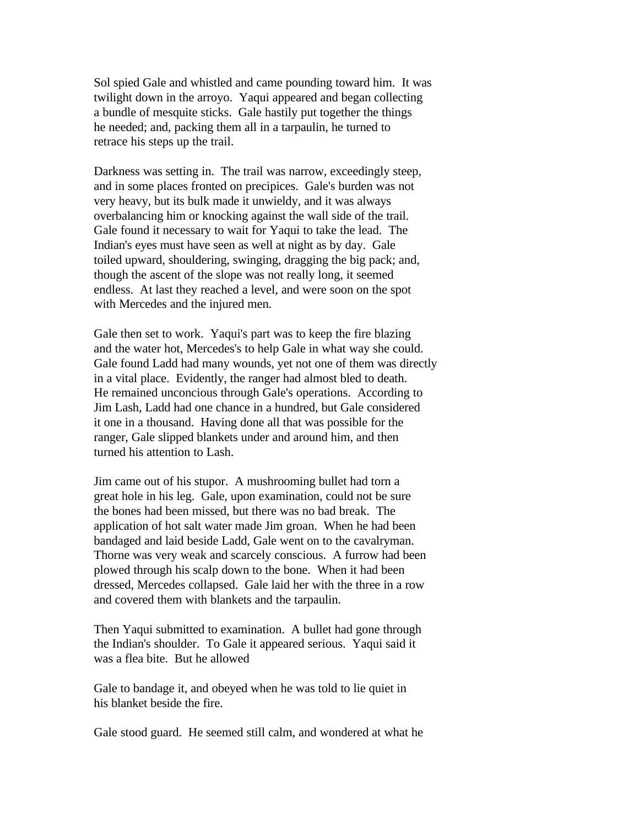Sol spied Gale and whistled and came pounding toward him. It was twilight down in the arroyo. Yaqui appeared and began collecting a bundle of mesquite sticks. Gale hastily put together the things he needed; and, packing them all in a tarpaulin, he turned to retrace his steps up the trail.

Darkness was setting in. The trail was narrow, exceedingly steep, and in some places fronted on precipices. Gale's burden was not very heavy, but its bulk made it unwieldy, and it was always overbalancing him or knocking against the wall side of the trail. Gale found it necessary to wait for Yaqui to take the lead. The Indian's eyes must have seen as well at night as by day. Gale toiled upward, shouldering, swinging, dragging the big pack; and, though the ascent of the slope was not really long, it seemed endless. At last they reached a level, and were soon on the spot with Mercedes and the injured men.

Gale then set to work. Yaqui's part was to keep the fire blazing and the water hot, Mercedes's to help Gale in what way she could. Gale found Ladd had many wounds, yet not one of them was directly in a vital place. Evidently, the ranger had almost bled to death. He remained unconcious through Gale's operations. According to Jim Lash, Ladd had one chance in a hundred, but Gale considered it one in a thousand. Having done all that was possible for the ranger, Gale slipped blankets under and around him, and then turned his attention to Lash.

Jim came out of his stupor. A mushrooming bullet had torn a great hole in his leg. Gale, upon examination, could not be sure the bones had been missed, but there was no bad break. The application of hot salt water made Jim groan. When he had been bandaged and laid beside Ladd, Gale went on to the cavalryman. Thorne was very weak and scarcely conscious. A furrow had been plowed through his scalp down to the bone. When it had been dressed, Mercedes collapsed. Gale laid her with the three in a row and covered them with blankets and the tarpaulin.

Then Yaqui submitted to examination. A bullet had gone through the Indian's shoulder. To Gale it appeared serious. Yaqui said it was a flea bite. But he allowed

Gale to bandage it, and obeyed when he was told to lie quiet in his blanket beside the fire.

Gale stood guard. He seemed still calm, and wondered at what he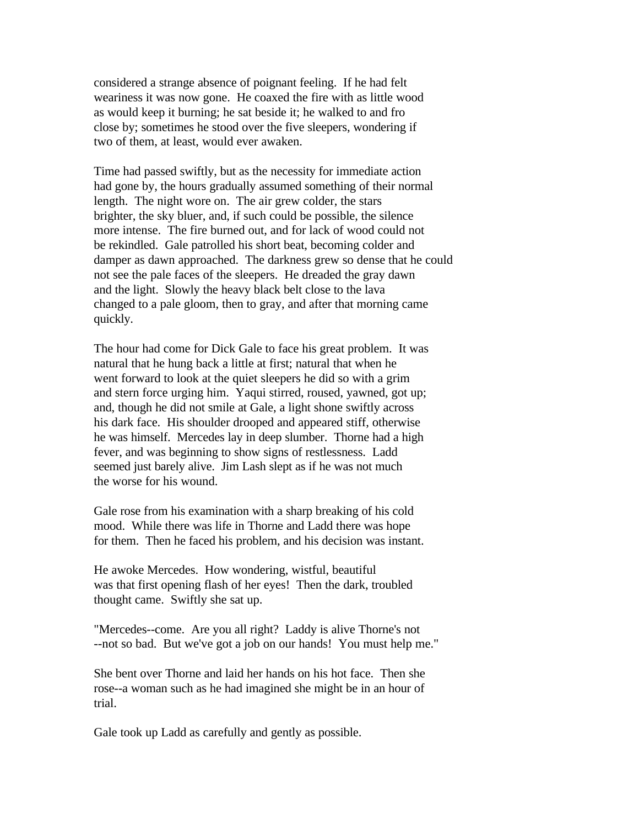considered a strange absence of poignant feeling. If he had felt weariness it was now gone. He coaxed the fire with as little wood as would keep it burning; he sat beside it; he walked to and fro close by; sometimes he stood over the five sleepers, wondering if two of them, at least, would ever awaken.

Time had passed swiftly, but as the necessity for immediate action had gone by, the hours gradually assumed something of their normal length. The night wore on. The air grew colder, the stars brighter, the sky bluer, and, if such could be possible, the silence more intense. The fire burned out, and for lack of wood could not be rekindled. Gale patrolled his short beat, becoming colder and damper as dawn approached. The darkness grew so dense that he could not see the pale faces of the sleepers. He dreaded the gray dawn and the light. Slowly the heavy black belt close to the lava changed to a pale gloom, then to gray, and after that morning came quickly.

The hour had come for Dick Gale to face his great problem. It was natural that he hung back a little at first; natural that when he went forward to look at the quiet sleepers he did so with a grim and stern force urging him. Yaqui stirred, roused, yawned, got up; and, though he did not smile at Gale, a light shone swiftly across his dark face. His shoulder drooped and appeared stiff, otherwise he was himself. Mercedes lay in deep slumber. Thorne had a high fever, and was beginning to show signs of restlessness. Ladd seemed just barely alive. Jim Lash slept as if he was not much the worse for his wound.

Gale rose from his examination with a sharp breaking of his cold mood. While there was life in Thorne and Ladd there was hope for them. Then he faced his problem, and his decision was instant.

He awoke Mercedes. How wondering, wistful, beautiful was that first opening flash of her eyes! Then the dark, troubled thought came. Swiftly she sat up.

"Mercedes--come. Are you all right? Laddy is alive Thorne's not --not so bad. But we've got a job on our hands! You must help me."

She bent over Thorne and laid her hands on his hot face. Then she rose--a woman such as he had imagined she might be in an hour of trial.

Gale took up Ladd as carefully and gently as possible.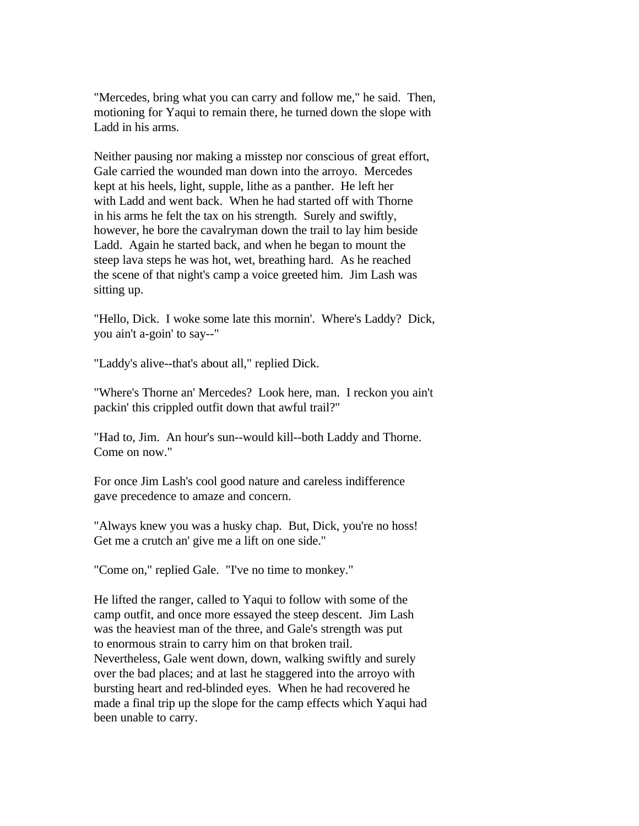"Mercedes, bring what you can carry and follow me," he said. Then, motioning for Yaqui to remain there, he turned down the slope with Ladd in his arms.

Neither pausing nor making a misstep nor conscious of great effort, Gale carried the wounded man down into the arroyo. Mercedes kept at his heels, light, supple, lithe as a panther. He left her with Ladd and went back. When he had started off with Thorne in his arms he felt the tax on his strength. Surely and swiftly, however, he bore the cavalryman down the trail to lay him beside Ladd. Again he started back, and when he began to mount the steep lava steps he was hot, wet, breathing hard. As he reached the scene of that night's camp a voice greeted him. Jim Lash was sitting up.

"Hello, Dick. I woke some late this mornin'. Where's Laddy? Dick, you ain't a-goin' to say--"

"Laddy's alive--that's about all," replied Dick.

"Where's Thorne an' Mercedes? Look here, man. I reckon you ain't packin' this crippled outfit down that awful trail?"

"Had to, Jim. An hour's sun--would kill--both Laddy and Thorne. Come on now."

For once Jim Lash's cool good nature and careless indifference gave precedence to amaze and concern.

"Always knew you was a husky chap. But, Dick, you're no hoss! Get me a crutch an' give me a lift on one side."

"Come on," replied Gale. "I've no time to monkey."

He lifted the ranger, called to Yaqui to follow with some of the camp outfit, and once more essayed the steep descent. Jim Lash was the heaviest man of the three, and Gale's strength was put to enormous strain to carry him on that broken trail. Nevertheless, Gale went down, down, walking swiftly and surely over the bad places; and at last he staggered into the arroyo with bursting heart and red-blinded eyes. When he had recovered he made a final trip up the slope for the camp effects which Yaqui had been unable to carry.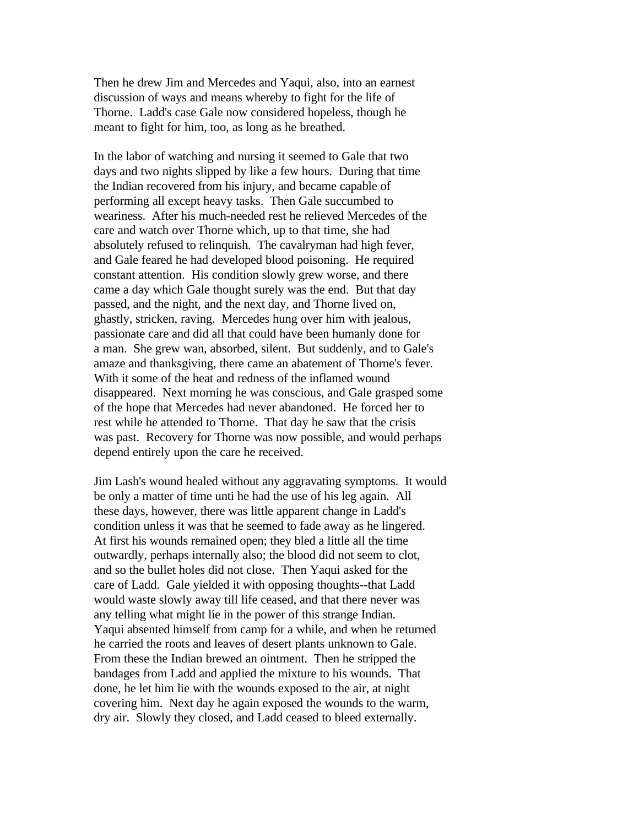Then he drew Jim and Mercedes and Yaqui, also, into an earnest discussion of ways and means whereby to fight for the life of Thorne. Ladd's case Gale now considered hopeless, though he meant to fight for him, too, as long as he breathed.

In the labor of watching and nursing it seemed to Gale that two days and two nights slipped by like a few hours. During that time the Indian recovered from his injury, and became capable of performing all except heavy tasks. Then Gale succumbed to weariness. After his much-needed rest he relieved Mercedes of the care and watch over Thorne which, up to that time, she had absolutely refused to relinquish. The cavalryman had high fever, and Gale feared he had developed blood poisoning. He required constant attention. His condition slowly grew worse, and there came a day which Gale thought surely was the end. But that day passed, and the night, and the next day, and Thorne lived on, ghastly, stricken, raving. Mercedes hung over him with jealous, passionate care and did all that could have been humanly done for a man. She grew wan, absorbed, silent. But suddenly, and to Gale's amaze and thanksgiving, there came an abatement of Thorne's fever. With it some of the heat and redness of the inflamed wound disappeared. Next morning he was conscious, and Gale grasped some of the hope that Mercedes had never abandoned. He forced her to rest while he attended to Thorne. That day he saw that the crisis was past. Recovery for Thorne was now possible, and would perhaps depend entirely upon the care he received.

Jim Lash's wound healed without any aggravating symptoms. It would be only a matter of time unti he had the use of his leg again. All these days, however, there was little apparent change in Ladd's condition unless it was that he seemed to fade away as he lingered. At first his wounds remained open; they bled a little all the time outwardly, perhaps internally also; the blood did not seem to clot, and so the bullet holes did not close. Then Yaqui asked for the care of Ladd. Gale yielded it with opposing thoughts--that Ladd would waste slowly away till life ceased, and that there never was any telling what might lie in the power of this strange Indian. Yaqui absented himself from camp for a while, and when he returned he carried the roots and leaves of desert plants unknown to Gale. From these the Indian brewed an ointment. Then he stripped the bandages from Ladd and applied the mixture to his wounds. That done, he let him lie with the wounds exposed to the air, at night covering him. Next day he again exposed the wounds to the warm, dry air. Slowly they closed, and Ladd ceased to bleed externally.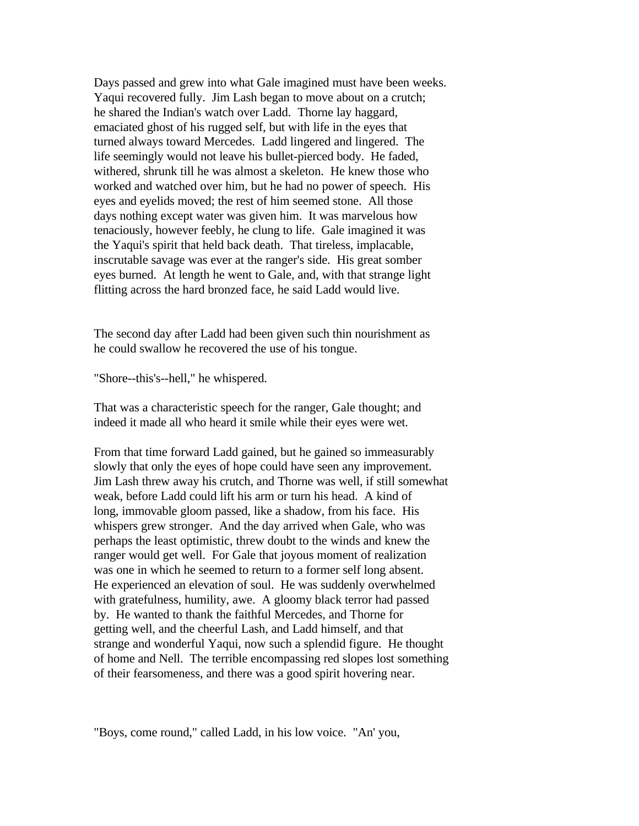Days passed and grew into what Gale imagined must have been weeks. Yaqui recovered fully. Jim Lash began to move about on a crutch; he shared the Indian's watch over Ladd. Thorne lay haggard, emaciated ghost of his rugged self, but with life in the eyes that turned always toward Mercedes. Ladd lingered and lingered. The life seemingly would not leave his bullet-pierced body. He faded, withered, shrunk till he was almost a skeleton. He knew those who worked and watched over him, but he had no power of speech. His eyes and eyelids moved; the rest of him seemed stone. All those days nothing except water was given him. It was marvelous how tenaciously, however feebly, he clung to life. Gale imagined it was the Yaqui's spirit that held back death. That tireless, implacable, inscrutable savage was ever at the ranger's side. His great somber eyes burned. At length he went to Gale, and, with that strange light flitting across the hard bronzed face, he said Ladd would live.

The second day after Ladd had been given such thin nourishment as he could swallow he recovered the use of his tongue.

"Shore--this's--hell," he whispered.

That was a characteristic speech for the ranger, Gale thought; and indeed it made all who heard it smile while their eyes were wet.

From that time forward Ladd gained, but he gained so immeasurably slowly that only the eyes of hope could have seen any improvement. Jim Lash threw away his crutch, and Thorne was well, if still somewhat weak, before Ladd could lift his arm or turn his head. A kind of long, immovable gloom passed, like a shadow, from his face. His whispers grew stronger. And the day arrived when Gale, who was perhaps the least optimistic, threw doubt to the winds and knew the ranger would get well. For Gale that joyous moment of realization was one in which he seemed to return to a former self long absent. He experienced an elevation of soul. He was suddenly overwhelmed with gratefulness, humility, awe. A gloomy black terror had passed by. He wanted to thank the faithful Mercedes, and Thorne for getting well, and the cheerful Lash, and Ladd himself, and that strange and wonderful Yaqui, now such a splendid figure. He thought of home and Nell. The terrible encompassing red slopes lost something of their fearsomeness, and there was a good spirit hovering near.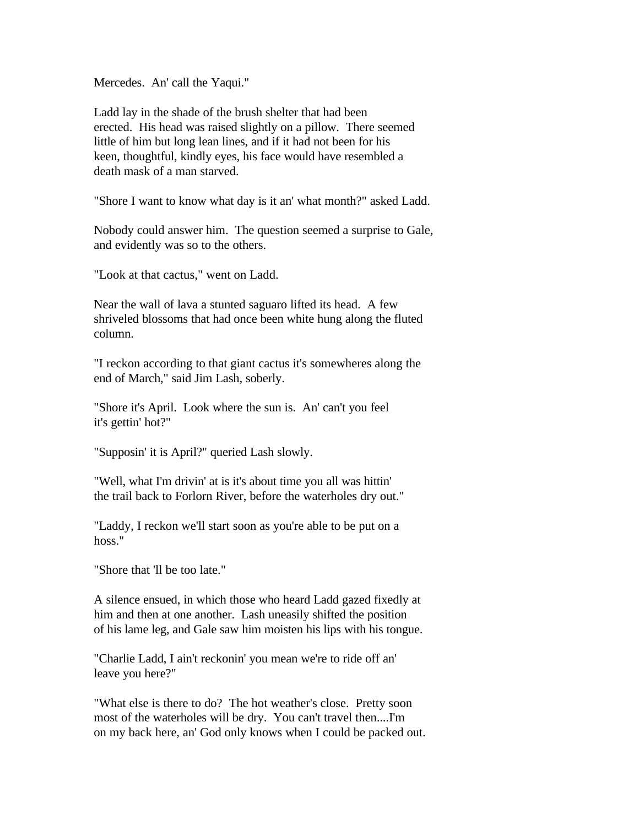Mercedes. An' call the Yaqui."

Ladd lay in the shade of the brush shelter that had been erected. His head was raised slightly on a pillow. There seemed little of him but long lean lines, and if it had not been for his keen, thoughtful, kindly eyes, his face would have resembled a death mask of a man starved.

"Shore I want to know what day is it an' what month?" asked Ladd.

Nobody could answer him. The question seemed a surprise to Gale, and evidently was so to the others.

"Look at that cactus," went on Ladd.

Near the wall of lava a stunted saguaro lifted its head. A few shriveled blossoms that had once been white hung along the fluted column.

"I reckon according to that giant cactus it's somewheres along the end of March," said Jim Lash, soberly.

"Shore it's April. Look where the sun is. An' can't you feel it's gettin' hot?"

"Supposin' it is April?" queried Lash slowly.

"Well, what I'm drivin' at is it's about time you all was hittin' the trail back to Forlorn River, before the waterholes dry out."

"Laddy, I reckon we'll start soon as you're able to be put on a hoss."

"Shore that 'll be too late."

A silence ensued, in which those who heard Ladd gazed fixedly at him and then at one another. Lash uneasily shifted the position of his lame leg, and Gale saw him moisten his lips with his tongue.

"Charlie Ladd, I ain't reckonin' you mean we're to ride off an' leave you here?"

"What else is there to do? The hot weather's close. Pretty soon most of the waterholes will be dry. You can't travel then....I'm on my back here, an' God only knows when I could be packed out.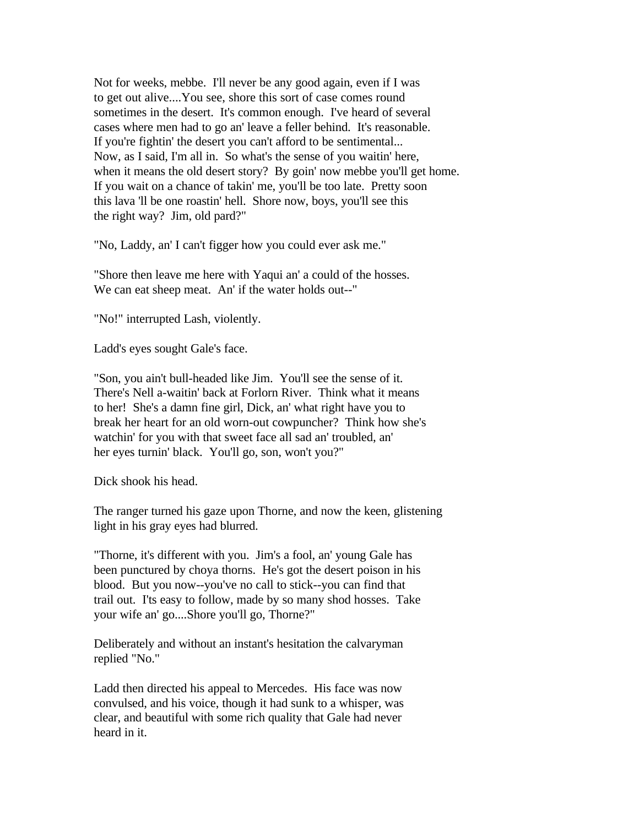Not for weeks, mebbe. I'll never be any good again, even if I was to get out alive....You see, shore this sort of case comes round sometimes in the desert. It's common enough. I've heard of several cases where men had to go an' leave a feller behind. It's reasonable. If you're fightin' the desert you can't afford to be sentimental... Now, as I said, I'm all in. So what's the sense of you waitin' here, when it means the old desert story? By goin' now mebbe you'll get home. If you wait on a chance of takin' me, you'll be too late. Pretty soon this lava 'll be one roastin' hell. Shore now, boys, you'll see this the right way? Jim, old pard?"

"No, Laddy, an' I can't figger how you could ever ask me."

"Shore then leave me here with Yaqui an' a could of the hosses. We can eat sheep meat. An' if the water holds out--"

"No!" interrupted Lash, violently.

Ladd's eyes sought Gale's face.

"Son, you ain't bull-headed like Jim. You'll see the sense of it. There's Nell a-waitin' back at Forlorn River. Think what it means to her! She's a damn fine girl, Dick, an' what right have you to break her heart for an old worn-out cowpuncher? Think how she's watchin' for you with that sweet face all sad an' troubled, an' her eyes turnin' black. You'll go, son, won't you?"

Dick shook his head.

The ranger turned his gaze upon Thorne, and now the keen, glistening light in his gray eyes had blurred.

"Thorne, it's different with you. Jim's a fool, an' young Gale has been punctured by choya thorns. He's got the desert poison in his blood. But you now--you've no call to stick--you can find that trail out. I'ts easy to follow, made by so many shod hosses. Take your wife an' go....Shore you'll go, Thorne?"

Deliberately and without an instant's hesitation the calvaryman replied "No."

Ladd then directed his appeal to Mercedes. His face was now convulsed, and his voice, though it had sunk to a whisper, was clear, and beautiful with some rich quality that Gale had never heard in it.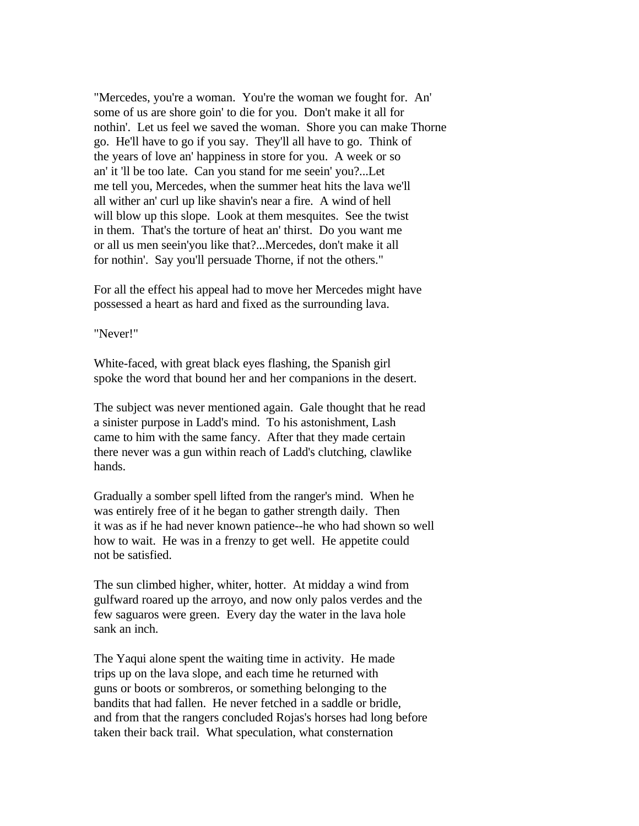"Mercedes, you're a woman. You're the woman we fought for. An' some of us are shore goin' to die for you. Don't make it all for nothin'. Let us feel we saved the woman. Shore you can make Thorne go. He'll have to go if you say. They'll all have to go. Think of the years of love an' happiness in store for you. A week or so an' it 'll be too late. Can you stand for me seein' you?...Let me tell you, Mercedes, when the summer heat hits the lava we'll all wither an' curl up like shavin's near a fire. A wind of hell will blow up this slope. Look at them mesquites. See the twist in them. That's the torture of heat an' thirst. Do you want me or all us men seein'you like that?...Mercedes, don't make it all for nothin'. Say you'll persuade Thorne, if not the others."

For all the effect his appeal had to move her Mercedes might have possessed a heart as hard and fixed as the surrounding lava.

"Never!"

White-faced, with great black eyes flashing, the Spanish girl spoke the word that bound her and her companions in the desert.

The subject was never mentioned again. Gale thought that he read a sinister purpose in Ladd's mind. To his astonishment, Lash came to him with the same fancy. After that they made certain there never was a gun within reach of Ladd's clutching, clawlike hands.

Gradually a somber spell lifted from the ranger's mind. When he was entirely free of it he began to gather strength daily. Then it was as if he had never known patience--he who had shown so well how to wait. He was in a frenzy to get well. He appetite could not be satisfied.

The sun climbed higher, whiter, hotter. At midday a wind from gulfward roared up the arroyo, and now only palos verdes and the few saguaros were green. Every day the water in the lava hole sank an inch.

The Yaqui alone spent the waiting time in activity. He made trips up on the lava slope, and each time he returned with guns or boots or sombreros, or something belonging to the bandits that had fallen. He never fetched in a saddle or bridle, and from that the rangers concluded Rojas's horses had long before taken their back trail. What speculation, what consternation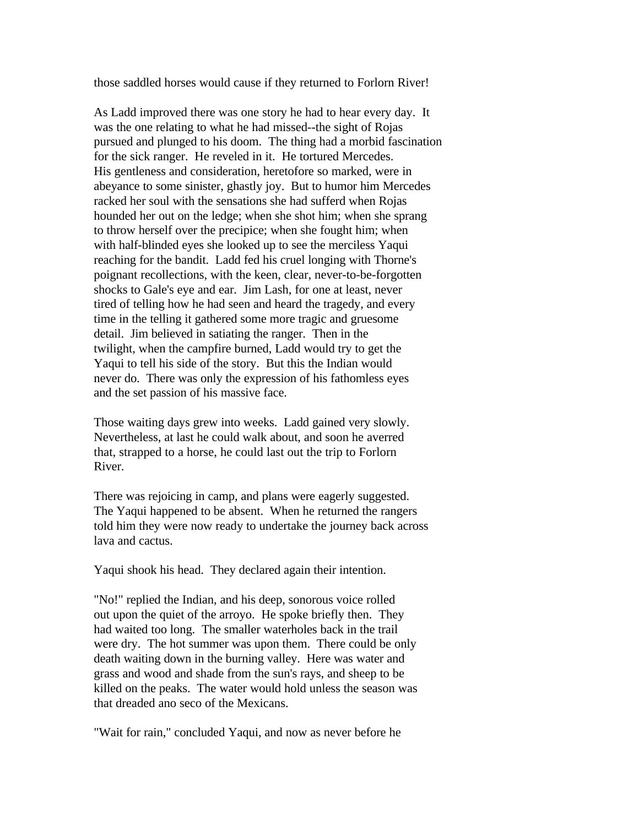those saddled horses would cause if they returned to Forlorn River!

As Ladd improved there was one story he had to hear every day. It was the one relating to what he had missed--the sight of Rojas pursued and plunged to his doom. The thing had a morbid fascination for the sick ranger. He reveled in it. He tortured Mercedes. His gentleness and consideration, heretofore so marked, were in abeyance to some sinister, ghastly joy. But to humor him Mercedes racked her soul with the sensations she had sufferd when Rojas hounded her out on the ledge; when she shot him; when she sprang to throw herself over the precipice; when she fought him; when with half-blinded eyes she looked up to see the merciless Yaqui reaching for the bandit. Ladd fed his cruel longing with Thorne's poignant recollections, with the keen, clear, never-to-be-forgotten shocks to Gale's eye and ear. Jim Lash, for one at least, never tired of telling how he had seen and heard the tragedy, and every time in the telling it gathered some more tragic and gruesome detail. Jim believed in satiating the ranger. Then in the twilight, when the campfire burned, Ladd would try to get the Yaqui to tell his side of the story. But this the Indian would never do. There was only the expression of his fathomless eyes and the set passion of his massive face.

Those waiting days grew into weeks. Ladd gained very slowly. Nevertheless, at last he could walk about, and soon he averred that, strapped to a horse, he could last out the trip to Forlorn River.

There was rejoicing in camp, and plans were eagerly suggested. The Yaqui happened to be absent. When he returned the rangers told him they were now ready to undertake the journey back across lava and cactus.

Yaqui shook his head. They declared again their intention.

"No!" replied the Indian, and his deep, sonorous voice rolled out upon the quiet of the arroyo. He spoke briefly then. They had waited too long. The smaller waterholes back in the trail were dry. The hot summer was upon them. There could be only death waiting down in the burning valley. Here was water and grass and wood and shade from the sun's rays, and sheep to be killed on the peaks. The water would hold unless the season was that dreaded ano seco of the Mexicans.

"Wait for rain," concluded Yaqui, and now as never before he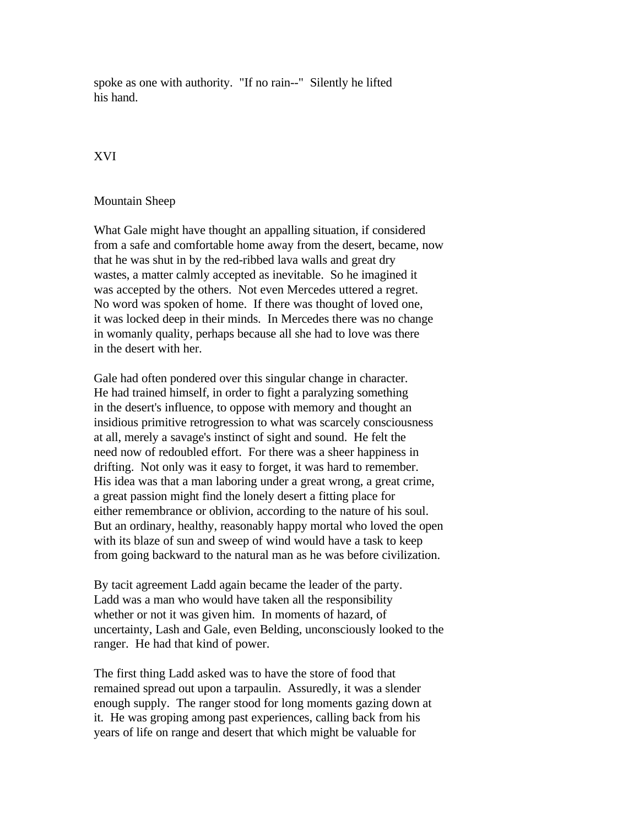spoke as one with authority. "If no rain--" Silently he lifted his hand.

## XVI

## Mountain Sheep

What Gale might have thought an appalling situation, if considered from a safe and comfortable home away from the desert, became, now that he was shut in by the red-ribbed lava walls and great dry wastes, a matter calmly accepted as inevitable. So he imagined it was accepted by the others. Not even Mercedes uttered a regret. No word was spoken of home. If there was thought of loved one, it was locked deep in their minds. In Mercedes there was no change in womanly quality, perhaps because all she had to love was there in the desert with her.

Gale had often pondered over this singular change in character. He had trained himself, in order to fight a paralyzing something in the desert's influence, to oppose with memory and thought an insidious primitive retrogression to what was scarcely consciousness at all, merely a savage's instinct of sight and sound. He felt the need now of redoubled effort. For there was a sheer happiness in drifting. Not only was it easy to forget, it was hard to remember. His idea was that a man laboring under a great wrong, a great crime, a great passion might find the lonely desert a fitting place for either remembrance or oblivion, according to the nature of his soul. But an ordinary, healthy, reasonably happy mortal who loved the open with its blaze of sun and sweep of wind would have a task to keep from going backward to the natural man as he was before civilization.

By tacit agreement Ladd again became the leader of the party. Ladd was a man who would have taken all the responsibility whether or not it was given him. In moments of hazard, of uncertainty, Lash and Gale, even Belding, unconsciously looked to the ranger. He had that kind of power.

The first thing Ladd asked was to have the store of food that remained spread out upon a tarpaulin. Assuredly, it was a slender enough supply. The ranger stood for long moments gazing down at it. He was groping among past experiences, calling back from his years of life on range and desert that which might be valuable for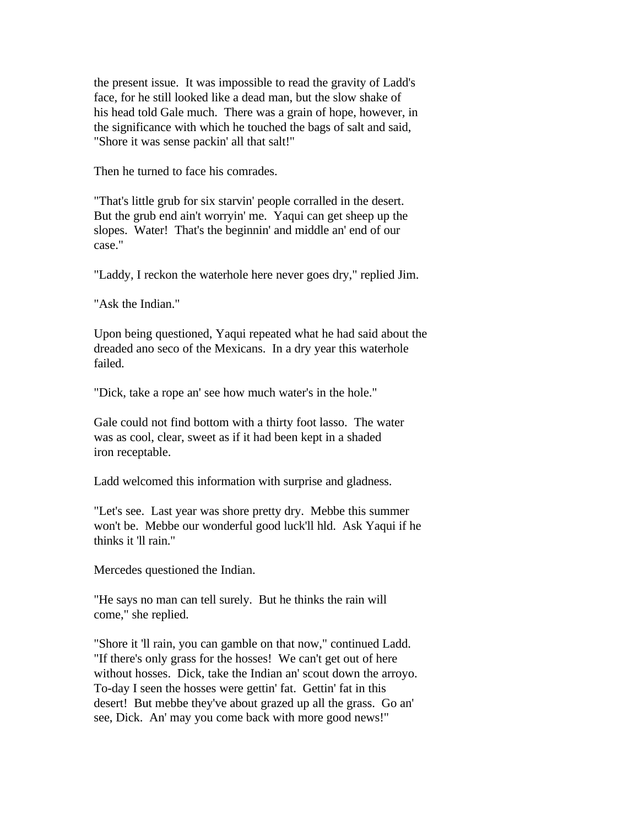the present issue. It was impossible to read the gravity of Ladd's face, for he still looked like a dead man, but the slow shake of his head told Gale much. There was a grain of hope, however, in the significance with which he touched the bags of salt and said, "Shore it was sense packin' all that salt!"

Then he turned to face his comrades.

"That's little grub for six starvin' people corralled in the desert. But the grub end ain't worryin' me. Yaqui can get sheep up the slopes. Water! That's the beginnin' and middle an' end of our case."

"Laddy, I reckon the waterhole here never goes dry," replied Jim.

"Ask the Indian."

Upon being questioned, Yaqui repeated what he had said about the dreaded ano seco of the Mexicans. In a dry year this waterhole failed.

"Dick, take a rope an' see how much water's in the hole."

Gale could not find bottom with a thirty foot lasso. The water was as cool, clear, sweet as if it had been kept in a shaded iron receptable.

Ladd welcomed this information with surprise and gladness.

"Let's see. Last year was shore pretty dry. Mebbe this summer won't be. Mebbe our wonderful good luck'll hld. Ask Yaqui if he thinks it 'll rain."

Mercedes questioned the Indian.

"He says no man can tell surely. But he thinks the rain will come," she replied.

"Shore it 'll rain, you can gamble on that now," continued Ladd. "If there's only grass for the hosses! We can't get out of here without hosses. Dick, take the Indian an' scout down the arroyo. To-day I seen the hosses were gettin' fat. Gettin' fat in this desert! But mebbe they've about grazed up all the grass. Go an' see, Dick. An' may you come back with more good news!"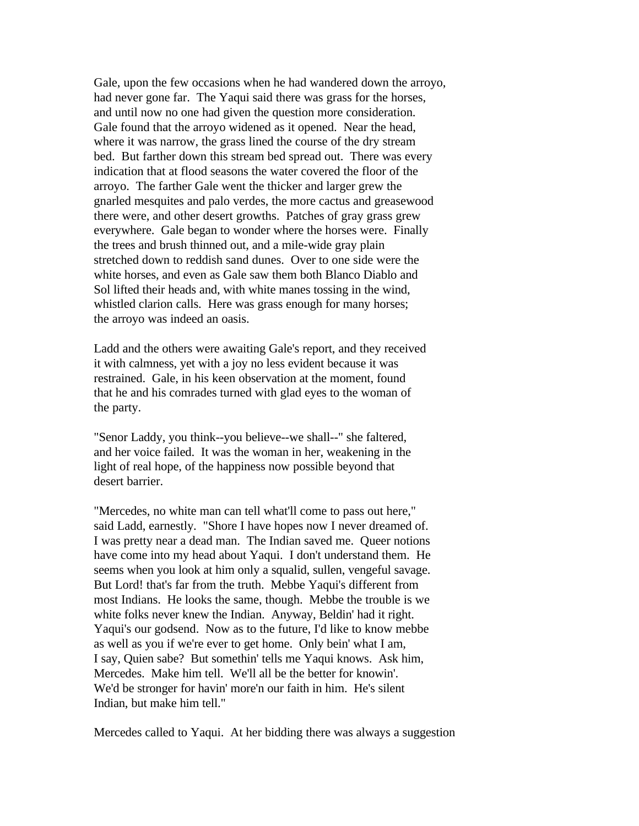Gale, upon the few occasions when he had wandered down the arroyo, had never gone far. The Yaqui said there was grass for the horses, and until now no one had given the question more consideration. Gale found that the arroyo widened as it opened. Near the head, where it was narrow, the grass lined the course of the dry stream bed. But farther down this stream bed spread out. There was every indication that at flood seasons the water covered the floor of the arroyo. The farther Gale went the thicker and larger grew the gnarled mesquites and palo verdes, the more cactus and greasewood there were, and other desert growths. Patches of gray grass grew everywhere. Gale began to wonder where the horses were. Finally the trees and brush thinned out, and a mile-wide gray plain stretched down to reddish sand dunes. Over to one side were the white horses, and even as Gale saw them both Blanco Diablo and Sol lifted their heads and, with white manes tossing in the wind, whistled clarion calls. Here was grass enough for many horses; the arroyo was indeed an oasis.

Ladd and the others were awaiting Gale's report, and they received it with calmness, yet with a joy no less evident because it was restrained. Gale, in his keen observation at the moment, found that he and his comrades turned with glad eyes to the woman of the party.

"Senor Laddy, you think--you believe--we shall--" she faltered, and her voice failed. It was the woman in her, weakening in the light of real hope, of the happiness now possible beyond that desert barrier.

"Mercedes, no white man can tell what'll come to pass out here," said Ladd, earnestly. "Shore I have hopes now I never dreamed of. I was pretty near a dead man. The Indian saved me. Queer notions have come into my head about Yaqui. I don't understand them. He seems when you look at him only a squalid, sullen, vengeful savage. But Lord! that's far from the truth. Mebbe Yaqui's different from most Indians. He looks the same, though. Mebbe the trouble is we white folks never knew the Indian. Anyway, Beldin' had it right. Yaqui's our godsend. Now as to the future, I'd like to know mebbe as well as you if we're ever to get home. Only bein' what I am, I say, Quien sabe? But somethin' tells me Yaqui knows. Ask him, Mercedes. Make him tell. We'll all be the better for knowin'. We'd be stronger for havin' more'n our faith in him. He's silent Indian, but make him tell."

Mercedes called to Yaqui. At her bidding there was always a suggestion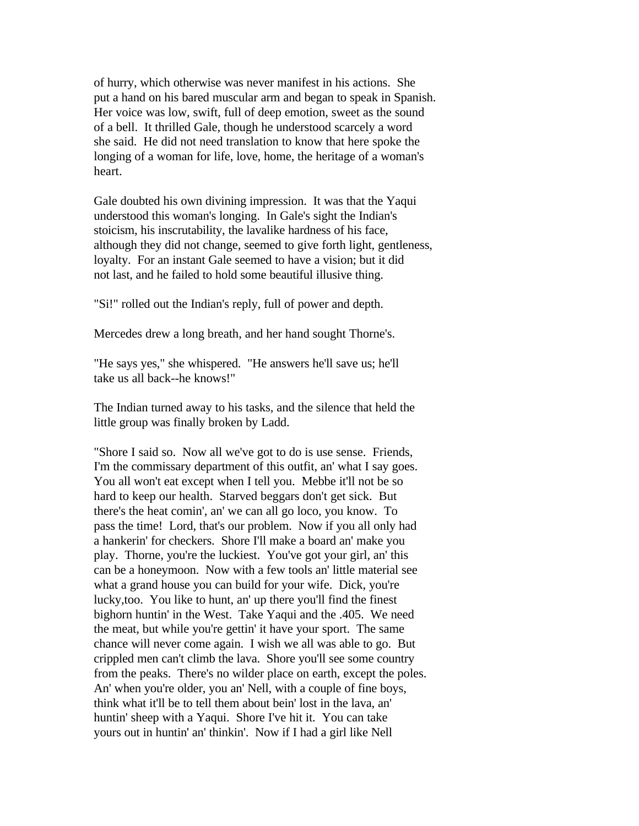of hurry, which otherwise was never manifest in his actions. She put a hand on his bared muscular arm and began to speak in Spanish. Her voice was low, swift, full of deep emotion, sweet as the sound of a bell. It thrilled Gale, though he understood scarcely a word she said. He did not need translation to know that here spoke the longing of a woman for life, love, home, the heritage of a woman's heart.

Gale doubted his own divining impression. It was that the Yaqui understood this woman's longing. In Gale's sight the Indian's stoicism, his inscrutability, the lavalike hardness of his face, although they did not change, seemed to give forth light, gentleness, loyalty. For an instant Gale seemed to have a vision; but it did not last, and he failed to hold some beautiful illusive thing.

"Si!" rolled out the Indian's reply, full of power and depth.

Mercedes drew a long breath, and her hand sought Thorne's.

"He says yes," she whispered. "He answers he'll save us; he'll take us all back--he knows!"

The Indian turned away to his tasks, and the silence that held the little group was finally broken by Ladd.

"Shore I said so. Now all we've got to do is use sense. Friends, I'm the commissary department of this outfit, an' what I say goes. You all won't eat except when I tell you. Mebbe it'll not be so hard to keep our health. Starved beggars don't get sick. But there's the heat comin', an' we can all go loco, you know. To pass the time! Lord, that's our problem. Now if you all only had a hankerin' for checkers. Shore I'll make a board an' make you play. Thorne, you're the luckiest. You've got your girl, an' this can be a honeymoon. Now with a few tools an' little material see what a grand house you can build for your wife. Dick, you're lucky,too. You like to hunt, an' up there you'll find the finest bighorn huntin' in the West. Take Yaqui and the .405. We need the meat, but while you're gettin' it have your sport. The same chance will never come again. I wish we all was able to go. But crippled men can't climb the lava. Shore you'll see some country from the peaks. There's no wilder place on earth, except the poles. An' when you're older, you an' Nell, with a couple of fine boys, think what it'll be to tell them about bein' lost in the lava, an' huntin' sheep with a Yaqui. Shore I've hit it. You can take yours out in huntin' an' thinkin'. Now if I had a girl like Nell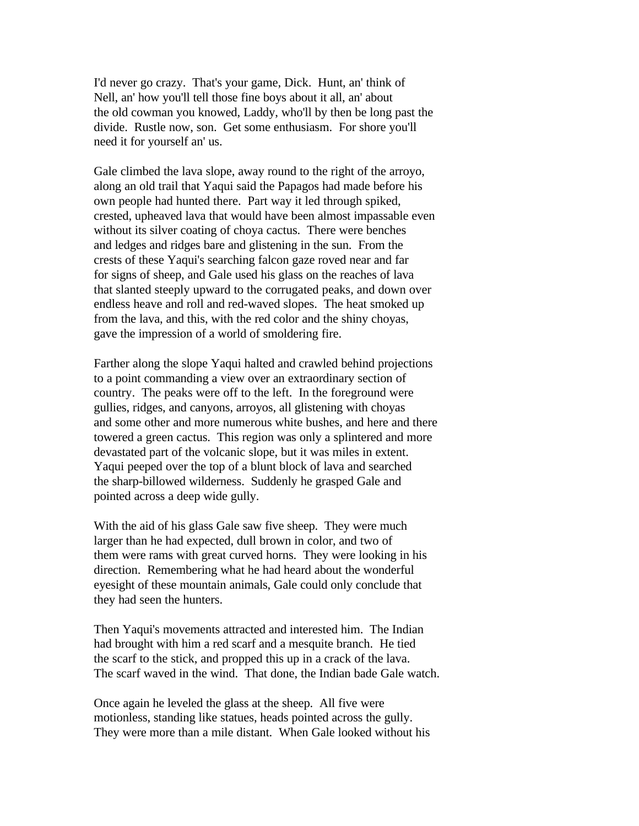I'd never go crazy. That's your game, Dick. Hunt, an' think of Nell, an' how you'll tell those fine boys about it all, an' about the old cowman you knowed, Laddy, who'll by then be long past the divide. Rustle now, son. Get some enthusiasm. For shore you'll need it for yourself an' us.

Gale climbed the lava slope, away round to the right of the arroyo, along an old trail that Yaqui said the Papagos had made before his own people had hunted there. Part way it led through spiked, crested, upheaved lava that would have been almost impassable even without its silver coating of choya cactus. There were benches and ledges and ridges bare and glistening in the sun. From the crests of these Yaqui's searching falcon gaze roved near and far for signs of sheep, and Gale used his glass on the reaches of lava that slanted steeply upward to the corrugated peaks, and down over endless heave and roll and red-waved slopes. The heat smoked up from the lava, and this, with the red color and the shiny choyas, gave the impression of a world of smoldering fire.

Farther along the slope Yaqui halted and crawled behind projections to a point commanding a view over an extraordinary section of country. The peaks were off to the left. In the foreground were gullies, ridges, and canyons, arroyos, all glistening with choyas and some other and more numerous white bushes, and here and there towered a green cactus. This region was only a splintered and more devastated part of the volcanic slope, but it was miles in extent. Yaqui peeped over the top of a blunt block of lava and searched the sharp-billowed wilderness. Suddenly he grasped Gale and pointed across a deep wide gully.

With the aid of his glass Gale saw five sheep. They were much larger than he had expected, dull brown in color, and two of them were rams with great curved horns. They were looking in his direction. Remembering what he had heard about the wonderful eyesight of these mountain animals, Gale could only conclude that they had seen the hunters.

Then Yaqui's movements attracted and interested him. The Indian had brought with him a red scarf and a mesquite branch. He tied the scarf to the stick, and propped this up in a crack of the lava. The scarf waved in the wind. That done, the Indian bade Gale watch.

Once again he leveled the glass at the sheep. All five were motionless, standing like statues, heads pointed across the gully. They were more than a mile distant. When Gale looked without his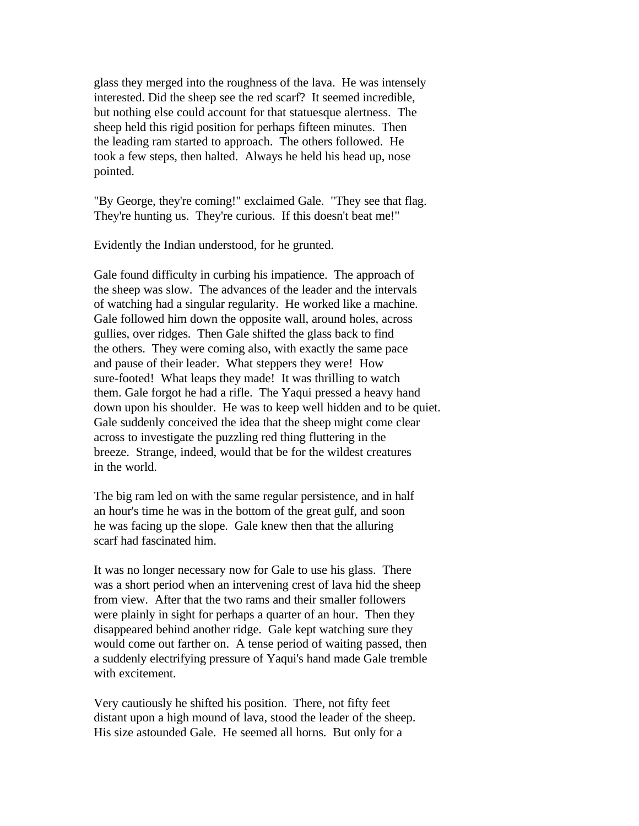glass they merged into the roughness of the lava. He was intensely interested. Did the sheep see the red scarf? It seemed incredible, but nothing else could account for that statuesque alertness. The sheep held this rigid position for perhaps fifteen minutes. Then the leading ram started to approach. The others followed. He took a few steps, then halted. Always he held his head up, nose pointed.

"By George, they're coming!" exclaimed Gale. "They see that flag. They're hunting us. They're curious. If this doesn't beat me!"

Evidently the Indian understood, for he grunted.

Gale found difficulty in curbing his impatience. The approach of the sheep was slow. The advances of the leader and the intervals of watching had a singular regularity. He worked like a machine. Gale followed him down the opposite wall, around holes, across gullies, over ridges. Then Gale shifted the glass back to find the others. They were coming also, with exactly the same pace and pause of their leader. What steppers they were! How sure-footed! What leaps they made! It was thrilling to watch them. Gale forgot he had a rifle. The Yaqui pressed a heavy hand down upon his shoulder. He was to keep well hidden and to be quiet. Gale suddenly conceived the idea that the sheep might come clear across to investigate the puzzling red thing fluttering in the breeze. Strange, indeed, would that be for the wildest creatures in the world.

The big ram led on with the same regular persistence, and in half an hour's time he was in the bottom of the great gulf, and soon he was facing up the slope. Gale knew then that the alluring scarf had fascinated him.

It was no longer necessary now for Gale to use his glass. There was a short period when an intervening crest of lava hid the sheep from view. After that the two rams and their smaller followers were plainly in sight for perhaps a quarter of an hour. Then they disappeared behind another ridge. Gale kept watching sure they would come out farther on. A tense period of waiting passed, then a suddenly electrifying pressure of Yaqui's hand made Gale tremble with excitement.

Very cautiously he shifted his position. There, not fifty feet distant upon a high mound of lava, stood the leader of the sheep. His size astounded Gale. He seemed all horns. But only for a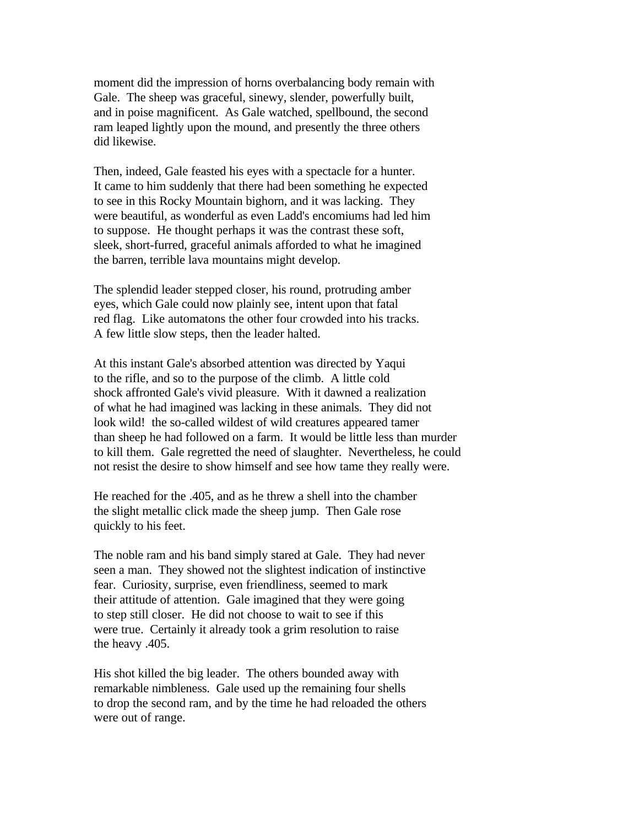moment did the impression of horns overbalancing body remain with Gale. The sheep was graceful, sinewy, slender, powerfully built, and in poise magnificent. As Gale watched, spellbound, the second ram leaped lightly upon the mound, and presently the three others did likewise.

Then, indeed, Gale feasted his eyes with a spectacle for a hunter. It came to him suddenly that there had been something he expected to see in this Rocky Mountain bighorn, and it was lacking. They were beautiful, as wonderful as even Ladd's encomiums had led him to suppose. He thought perhaps it was the contrast these soft, sleek, short-furred, graceful animals afforded to what he imagined the barren, terrible lava mountains might develop.

The splendid leader stepped closer, his round, protruding amber eyes, which Gale could now plainly see, intent upon that fatal red flag. Like automatons the other four crowded into his tracks. A few little slow steps, then the leader halted.

At this instant Gale's absorbed attention was directed by Yaqui to the rifle, and so to the purpose of the climb. A little cold shock affronted Gale's vivid pleasure. With it dawned a realization of what he had imagined was lacking in these animals. They did not look wild! the so-called wildest of wild creatures appeared tamer than sheep he had followed on a farm. It would be little less than murder to kill them. Gale regretted the need of slaughter. Nevertheless, he could not resist the desire to show himself and see how tame they really were.

He reached for the .405, and as he threw a shell into the chamber the slight metallic click made the sheep jump. Then Gale rose quickly to his feet.

The noble ram and his band simply stared at Gale. They had never seen a man. They showed not the slightest indication of instinctive fear. Curiosity, surprise, even friendliness, seemed to mark their attitude of attention. Gale imagined that they were going to step still closer. He did not choose to wait to see if this were true. Certainly it already took a grim resolution to raise the heavy .405.

His shot killed the big leader. The others bounded away with remarkable nimbleness. Gale used up the remaining four shells to drop the second ram, and by the time he had reloaded the others were out of range.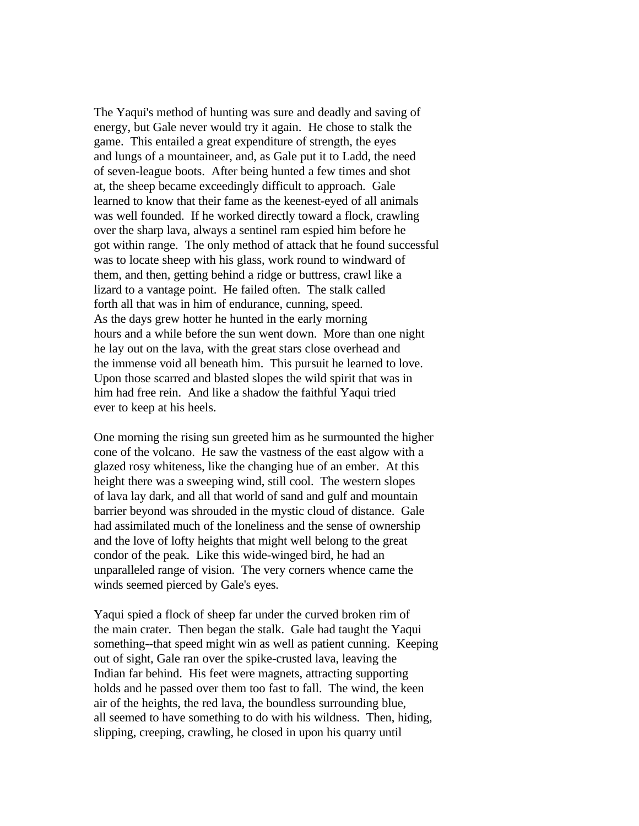The Yaqui's method of hunting was sure and deadly and saving of energy, but Gale never would try it again. He chose to stalk the game. This entailed a great expenditure of strength, the eyes and lungs of a mountaineer, and, as Gale put it to Ladd, the need of seven-league boots. After being hunted a few times and shot at, the sheep became exceedingly difficult to approach. Gale learned to know that their fame as the keenest-eyed of all animals was well founded. If he worked directly toward a flock, crawling over the sharp lava, always a sentinel ram espied him before he got within range. The only method of attack that he found successful was to locate sheep with his glass, work round to windward of them, and then, getting behind a ridge or buttress, crawl like a lizard to a vantage point. He failed often. The stalk called forth all that was in him of endurance, cunning, speed. As the days grew hotter he hunted in the early morning hours and a while before the sun went down. More than one night he lay out on the lava, with the great stars close overhead and the immense void all beneath him. This pursuit he learned to love. Upon those scarred and blasted slopes the wild spirit that was in him had free rein. And like a shadow the faithful Yaqui tried ever to keep at his heels.

One morning the rising sun greeted him as he surmounted the higher cone of the volcano. He saw the vastness of the east algow with a glazed rosy whiteness, like the changing hue of an ember. At this height there was a sweeping wind, still cool. The western slopes of lava lay dark, and all that world of sand and gulf and mountain barrier beyond was shrouded in the mystic cloud of distance. Gale had assimilated much of the loneliness and the sense of ownership and the love of lofty heights that might well belong to the great condor of the peak. Like this wide-winged bird, he had an unparalleled range of vision. The very corners whence came the winds seemed pierced by Gale's eyes.

Yaqui spied a flock of sheep far under the curved broken rim of the main crater. Then began the stalk. Gale had taught the Yaqui something--that speed might win as well as patient cunning. Keeping out of sight, Gale ran over the spike-crusted lava, leaving the Indian far behind. His feet were magnets, attracting supporting holds and he passed over them too fast to fall. The wind, the keen air of the heights, the red lava, the boundless surrounding blue, all seemed to have something to do with his wildness. Then, hiding, slipping, creeping, crawling, he closed in upon his quarry until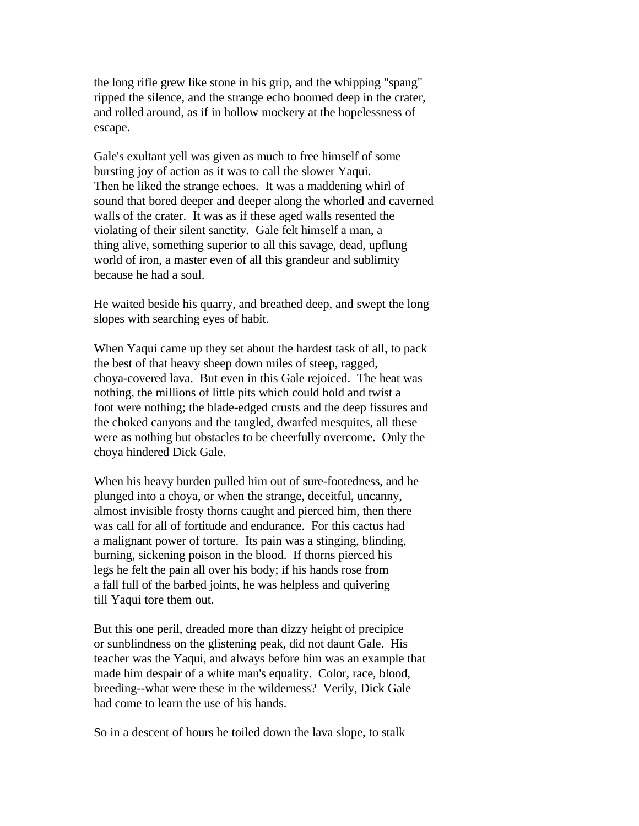the long rifle grew like stone in his grip, and the whipping "spang" ripped the silence, and the strange echo boomed deep in the crater, and rolled around, as if in hollow mockery at the hopelessness of escape.

Gale's exultant yell was given as much to free himself of some bursting joy of action as it was to call the slower Yaqui. Then he liked the strange echoes. It was a maddening whirl of sound that bored deeper and deeper along the whorled and caverned walls of the crater. It was as if these aged walls resented the violating of their silent sanctity. Gale felt himself a man, a thing alive, something superior to all this savage, dead, upflung world of iron, a master even of all this grandeur and sublimity because he had a soul.

He waited beside his quarry, and breathed deep, and swept the long slopes with searching eyes of habit.

When Yaqui came up they set about the hardest task of all, to pack the best of that heavy sheep down miles of steep, ragged, choya-covered lava. But even in this Gale rejoiced. The heat was nothing, the millions of little pits which could hold and twist a foot were nothing; the blade-edged crusts and the deep fissures and the choked canyons and the tangled, dwarfed mesquites, all these were as nothing but obstacles to be cheerfully overcome. Only the choya hindered Dick Gale.

When his heavy burden pulled him out of sure-footedness, and he plunged into a choya, or when the strange, deceitful, uncanny, almost invisible frosty thorns caught and pierced him, then there was call for all of fortitude and endurance. For this cactus had a malignant power of torture. Its pain was a stinging, blinding, burning, sickening poison in the blood. If thorns pierced his legs he felt the pain all over his body; if his hands rose from a fall full of the barbed joints, he was helpless and quivering till Yaqui tore them out.

But this one peril, dreaded more than dizzy height of precipice or sunblindness on the glistening peak, did not daunt Gale. His teacher was the Yaqui, and always before him was an example that made him despair of a white man's equality. Color, race, blood, breeding--what were these in the wilderness? Verily, Dick Gale had come to learn the use of his hands.

So in a descent of hours he toiled down the lava slope, to stalk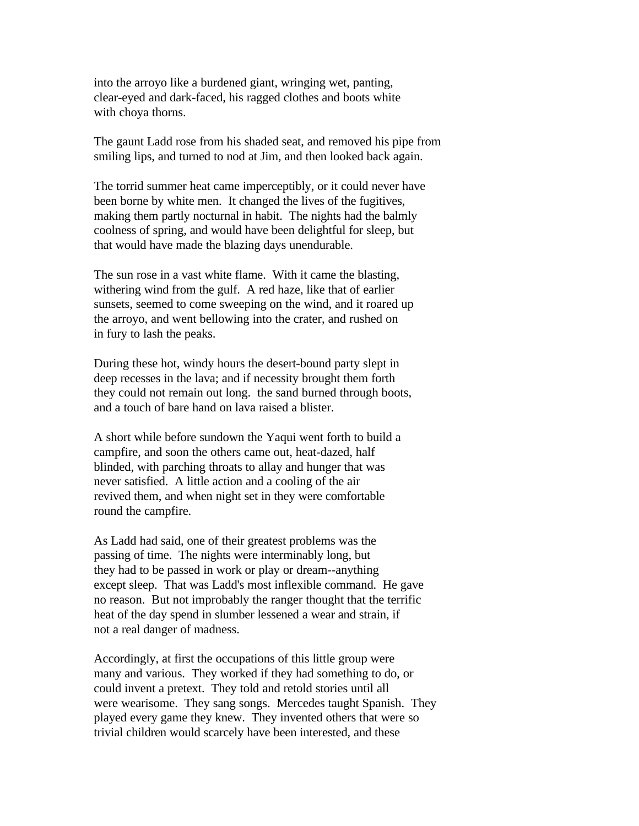into the arroyo like a burdened giant, wringing wet, panting, clear-eyed and dark-faced, his ragged clothes and boots white with choya thorns.

The gaunt Ladd rose from his shaded seat, and removed his pipe from smiling lips, and turned to nod at Jim, and then looked back again.

The torrid summer heat came imperceptibly, or it could never have been borne by white men. It changed the lives of the fugitives, making them partly nocturnal in habit. The nights had the balmly coolness of spring, and would have been delightful for sleep, but that would have made the blazing days unendurable.

The sun rose in a vast white flame. With it came the blasting, withering wind from the gulf. A red haze, like that of earlier sunsets, seemed to come sweeping on the wind, and it roared up the arroyo, and went bellowing into the crater, and rushed on in fury to lash the peaks.

During these hot, windy hours the desert-bound party slept in deep recesses in the lava; and if necessity brought them forth they could not remain out long. the sand burned through boots, and a touch of bare hand on lava raised a blister.

A short while before sundown the Yaqui went forth to build a campfire, and soon the others came out, heat-dazed, half blinded, with parching throats to allay and hunger that was never satisfied. A little action and a cooling of the air revived them, and when night set in they were comfortable round the campfire.

As Ladd had said, one of their greatest problems was the passing of time. The nights were interminably long, but they had to be passed in work or play or dream--anything except sleep. That was Ladd's most inflexible command. He gave no reason. But not improbably the ranger thought that the terrific heat of the day spend in slumber lessened a wear and strain, if not a real danger of madness.

Accordingly, at first the occupations of this little group were many and various. They worked if they had something to do, or could invent a pretext. They told and retold stories until all were wearisome. They sang songs. Mercedes taught Spanish. They played every game they knew. They invented others that were so trivial children would scarcely have been interested, and these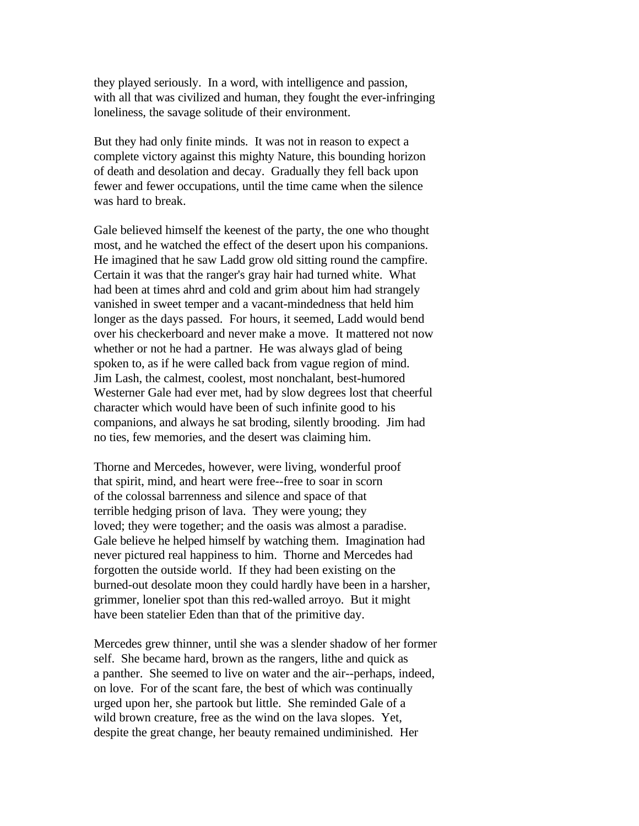they played seriously. In a word, with intelligence and passion, with all that was civilized and human, they fought the ever-infringing loneliness, the savage solitude of their environment.

But they had only finite minds. It was not in reason to expect a complete victory against this mighty Nature, this bounding horizon of death and desolation and decay. Gradually they fell back upon fewer and fewer occupations, until the time came when the silence was hard to break.

Gale believed himself the keenest of the party, the one who thought most, and he watched the effect of the desert upon his companions. He imagined that he saw Ladd grow old sitting round the campfire. Certain it was that the ranger's gray hair had turned white. What had been at times ahrd and cold and grim about him had strangely vanished in sweet temper and a vacant-mindedness that held him longer as the days passed. For hours, it seemed, Ladd would bend over his checkerboard and never make a move. It mattered not now whether or not he had a partner. He was always glad of being spoken to, as if he were called back from vague region of mind. Jim Lash, the calmest, coolest, most nonchalant, best-humored Westerner Gale had ever met, had by slow degrees lost that cheerful character which would have been of such infinite good to his companions, and always he sat broding, silently brooding. Jim had no ties, few memories, and the desert was claiming him.

Thorne and Mercedes, however, were living, wonderful proof that spirit, mind, and heart were free--free to soar in scorn of the colossal barrenness and silence and space of that terrible hedging prison of lava. They were young; they loved; they were together; and the oasis was almost a paradise. Gale believe he helped himself by watching them. Imagination had never pictured real happiness to him. Thorne and Mercedes had forgotten the outside world. If they had been existing on the burned-out desolate moon they could hardly have been in a harsher, grimmer, lonelier spot than this red-walled arroyo. But it might have been statelier Eden than that of the primitive day.

Mercedes grew thinner, until she was a slender shadow of her former self. She became hard, brown as the rangers, lithe and quick as a panther. She seemed to live on water and the air--perhaps, indeed, on love. For of the scant fare, the best of which was continually urged upon her, she partook but little. She reminded Gale of a wild brown creature, free as the wind on the lava slopes. Yet, despite the great change, her beauty remained undiminished. Her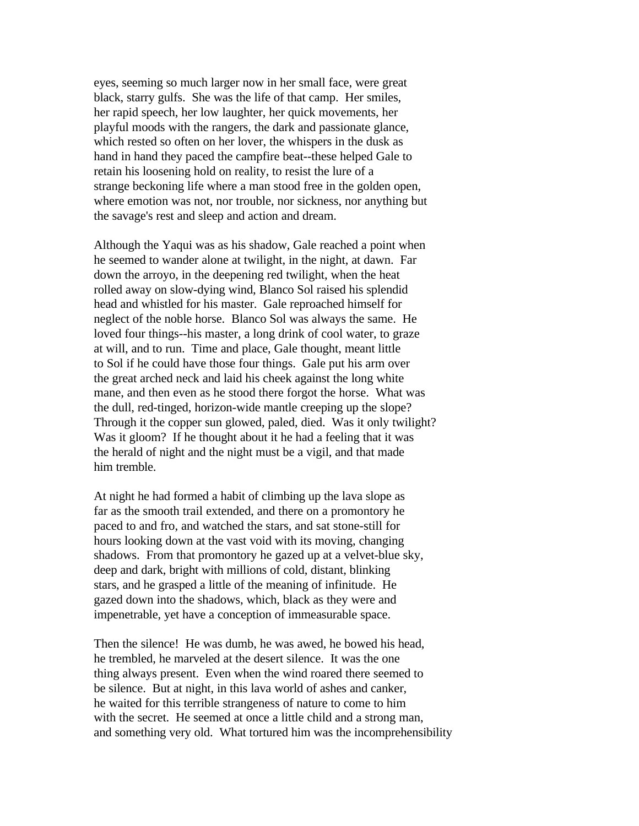eyes, seeming so much larger now in her small face, were great black, starry gulfs. She was the life of that camp. Her smiles, her rapid speech, her low laughter, her quick movements, her playful moods with the rangers, the dark and passionate glance, which rested so often on her lover, the whispers in the dusk as hand in hand they paced the campfire beat--these helped Gale to retain his loosening hold on reality, to resist the lure of a strange beckoning life where a man stood free in the golden open, where emotion was not, nor trouble, nor sickness, nor anything but the savage's rest and sleep and action and dream.

Although the Yaqui was as his shadow, Gale reached a point when he seemed to wander alone at twilight, in the night, at dawn. Far down the arroyo, in the deepening red twilight, when the heat rolled away on slow-dying wind, Blanco Sol raised his splendid head and whistled for his master. Gale reproached himself for neglect of the noble horse. Blanco Sol was always the same. He loved four things--his master, a long drink of cool water, to graze at will, and to run. Time and place, Gale thought, meant little to Sol if he could have those four things. Gale put his arm over the great arched neck and laid his cheek against the long white mane, and then even as he stood there forgot the horse. What was the dull, red-tinged, horizon-wide mantle creeping up the slope? Through it the copper sun glowed, paled, died. Was it only twilight? Was it gloom? If he thought about it he had a feeling that it was the herald of night and the night must be a vigil, and that made him tremble.

At night he had formed a habit of climbing up the lava slope as far as the smooth trail extended, and there on a promontory he paced to and fro, and watched the stars, and sat stone-still for hours looking down at the vast void with its moving, changing shadows. From that promontory he gazed up at a velvet-blue sky, deep and dark, bright with millions of cold, distant, blinking stars, and he grasped a little of the meaning of infinitude. He gazed down into the shadows, which, black as they were and impenetrable, yet have a conception of immeasurable space.

Then the silence! He was dumb, he was awed, he bowed his head, he trembled, he marveled at the desert silence. It was the one thing always present. Even when the wind roared there seemed to be silence. But at night, in this lava world of ashes and canker, he waited for this terrible strangeness of nature to come to him with the secret. He seemed at once a little child and a strong man, and something very old. What tortured him was the incomprehensibility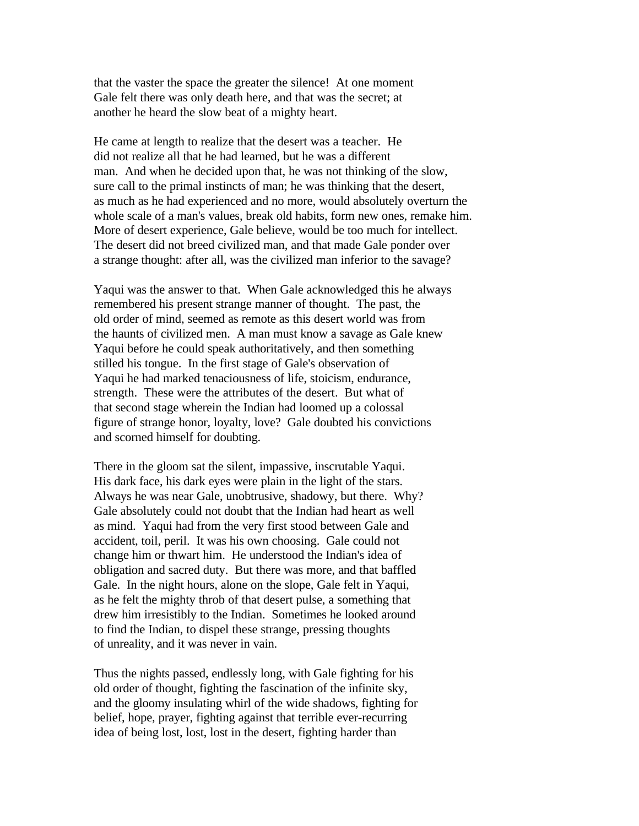that the vaster the space the greater the silence! At one moment Gale felt there was only death here, and that was the secret; at another he heard the slow beat of a mighty heart.

He came at length to realize that the desert was a teacher. He did not realize all that he had learned, but he was a different man. And when he decided upon that, he was not thinking of the slow, sure call to the primal instincts of man; he was thinking that the desert, as much as he had experienced and no more, would absolutely overturn the whole scale of a man's values, break old habits, form new ones, remake him. More of desert experience, Gale believe, would be too much for intellect. The desert did not breed civilized man, and that made Gale ponder over a strange thought: after all, was the civilized man inferior to the savage?

Yaqui was the answer to that. When Gale acknowledged this he always remembered his present strange manner of thought. The past, the old order of mind, seemed as remote as this desert world was from the haunts of civilized men. A man must know a savage as Gale knew Yaqui before he could speak authoritatively, and then something stilled his tongue. In the first stage of Gale's observation of Yaqui he had marked tenaciousness of life, stoicism, endurance, strength. These were the attributes of the desert. But what of that second stage wherein the Indian had loomed up a colossal figure of strange honor, loyalty, love? Gale doubted his convictions and scorned himself for doubting.

There in the gloom sat the silent, impassive, inscrutable Yaqui. His dark face, his dark eyes were plain in the light of the stars. Always he was near Gale, unobtrusive, shadowy, but there. Why? Gale absolutely could not doubt that the Indian had heart as well as mind. Yaqui had from the very first stood between Gale and accident, toil, peril. It was his own choosing. Gale could not change him or thwart him. He understood the Indian's idea of obligation and sacred duty. But there was more, and that baffled Gale. In the night hours, alone on the slope, Gale felt in Yaqui, as he felt the mighty throb of that desert pulse, a something that drew him irresistibly to the Indian. Sometimes he looked around to find the Indian, to dispel these strange, pressing thoughts of unreality, and it was never in vain.

Thus the nights passed, endlessly long, with Gale fighting for his old order of thought, fighting the fascination of the infinite sky, and the gloomy insulating whirl of the wide shadows, fighting for belief, hope, prayer, fighting against that terrible ever-recurring idea of being lost, lost, lost in the desert, fighting harder than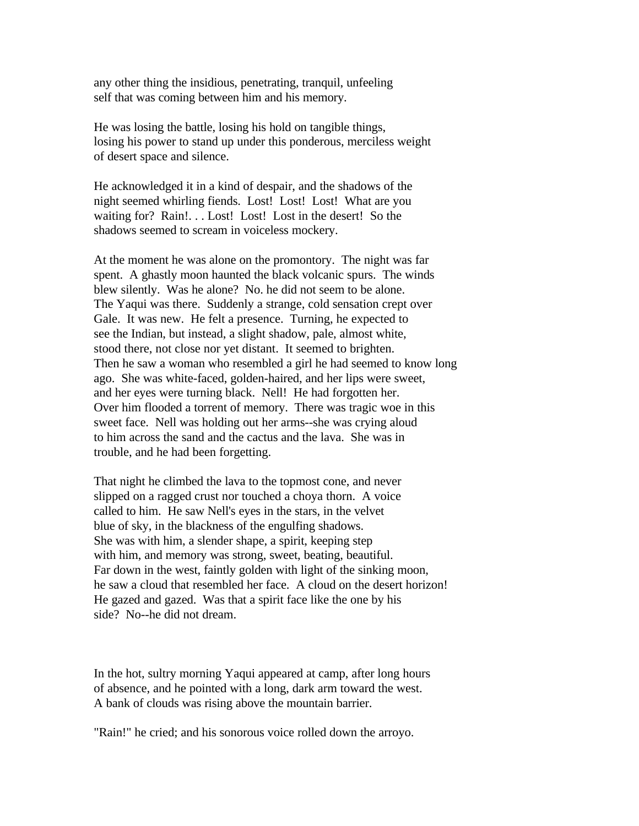any other thing the insidious, penetrating, tranquil, unfeeling self that was coming between him and his memory.

He was losing the battle, losing his hold on tangible things, losing his power to stand up under this ponderous, merciless weight of desert space and silence.

He acknowledged it in a kind of despair, and the shadows of the night seemed whirling fiends. Lost! Lost! Lost! What are you waiting for? Rain!... Lost! Lost! Lost in the desert! So the shadows seemed to scream in voiceless mockery.

At the moment he was alone on the promontory. The night was far spent. A ghastly moon haunted the black volcanic spurs. The winds blew silently. Was he alone? No. he did not seem to be alone. The Yaqui was there. Suddenly a strange, cold sensation crept over Gale. It was new. He felt a presence. Turning, he expected to see the Indian, but instead, a slight shadow, pale, almost white, stood there, not close nor yet distant. It seemed to brighten. Then he saw a woman who resembled a girl he had seemed to know long ago. She was white-faced, golden-haired, and her lips were sweet, and her eyes were turning black. Nell! He had forgotten her. Over him flooded a torrent of memory. There was tragic woe in this sweet face. Nell was holding out her arms--she was crying aloud to him across the sand and the cactus and the lava. She was in trouble, and he had been forgetting.

That night he climbed the lava to the topmost cone, and never slipped on a ragged crust nor touched a choya thorn. A voice called to him. He saw Nell's eyes in the stars, in the velvet blue of sky, in the blackness of the engulfing shadows. She was with him, a slender shape, a spirit, keeping step with him, and memory was strong, sweet, beating, beautiful. Far down in the west, faintly golden with light of the sinking moon, he saw a cloud that resembled her face. A cloud on the desert horizon! He gazed and gazed. Was that a spirit face like the one by his side? No--he did not dream.

In the hot, sultry morning Yaqui appeared at camp, after long hours of absence, and he pointed with a long, dark arm toward the west. A bank of clouds was rising above the mountain barrier.

"Rain!" he cried; and his sonorous voice rolled down the arroyo.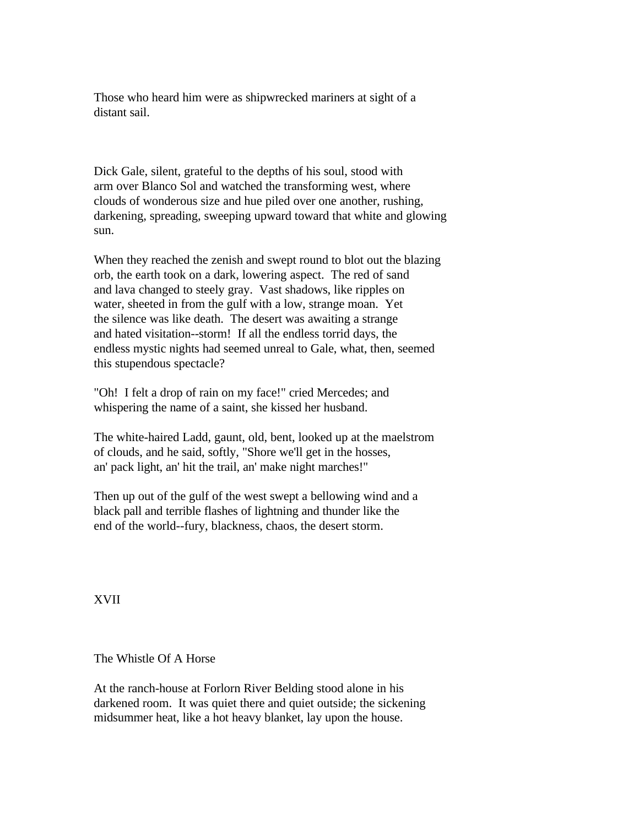Those who heard him were as shipwrecked mariners at sight of a distant sail.

Dick Gale, silent, grateful to the depths of his soul, stood with arm over Blanco Sol and watched the transforming west, where clouds of wonderous size and hue piled over one another, rushing, darkening, spreading, sweeping upward toward that white and glowing sun.

When they reached the zenish and swept round to blot out the blazing orb, the earth took on a dark, lowering aspect. The red of sand and lava changed to steely gray. Vast shadows, like ripples on water, sheeted in from the gulf with a low, strange moan. Yet the silence was like death. The desert was awaiting a strange and hated visitation--storm! If all the endless torrid days, the endless mystic nights had seemed unreal to Gale, what, then, seemed this stupendous spectacle?

"Oh! I felt a drop of rain on my face!" cried Mercedes; and whispering the name of a saint, she kissed her husband.

The white-haired Ladd, gaunt, old, bent, looked up at the maelstrom of clouds, and he said, softly, "Shore we'll get in the hosses, an' pack light, an' hit the trail, an' make night marches!"

Then up out of the gulf of the west swept a bellowing wind and a black pall and terrible flashes of lightning and thunder like the end of the world--fury, blackness, chaos, the desert storm.

XVII

The Whistle Of A Horse

At the ranch-house at Forlorn River Belding stood alone in his darkened room. It was quiet there and quiet outside; the sickening midsummer heat, like a hot heavy blanket, lay upon the house.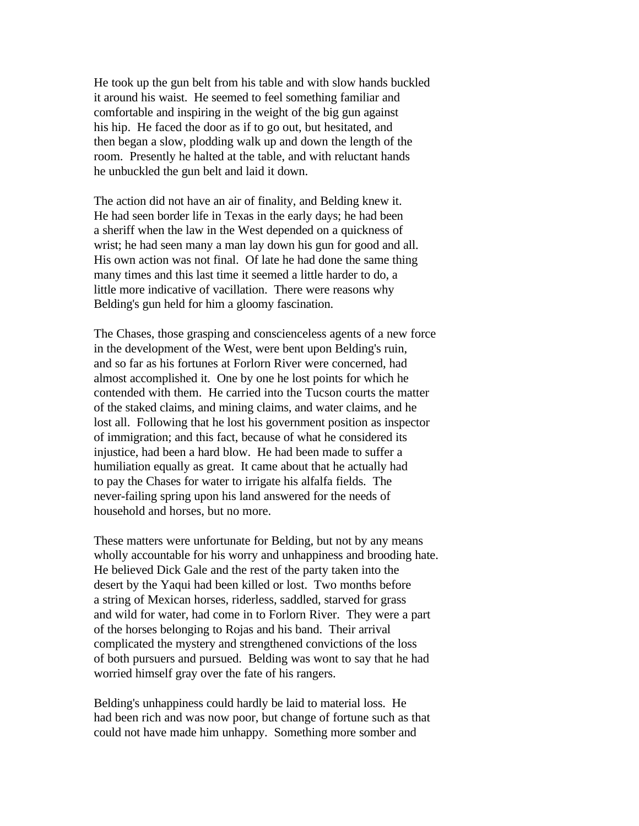He took up the gun belt from his table and with slow hands buckled it around his waist. He seemed to feel something familiar and comfortable and inspiring in the weight of the big gun against his hip. He faced the door as if to go out, but hesitated, and then began a slow, plodding walk up and down the length of the room. Presently he halted at the table, and with reluctant hands he unbuckled the gun belt and laid it down.

The action did not have an air of finality, and Belding knew it. He had seen border life in Texas in the early days; he had been a sheriff when the law in the West depended on a quickness of wrist; he had seen many a man lay down his gun for good and all. His own action was not final. Of late he had done the same thing many times and this last time it seemed a little harder to do, a little more indicative of vacillation. There were reasons why Belding's gun held for him a gloomy fascination.

The Chases, those grasping and conscienceless agents of a new force in the development of the West, were bent upon Belding's ruin, and so far as his fortunes at Forlorn River were concerned, had almost accomplished it. One by one he lost points for which he contended with them. He carried into the Tucson courts the matter of the staked claims, and mining claims, and water claims, and he lost all. Following that he lost his government position as inspector of immigration; and this fact, because of what he considered its injustice, had been a hard blow. He had been made to suffer a humiliation equally as great. It came about that he actually had to pay the Chases for water to irrigate his alfalfa fields. The never-failing spring upon his land answered for the needs of household and horses, but no more.

These matters were unfortunate for Belding, but not by any means wholly accountable for his worry and unhappiness and brooding hate. He believed Dick Gale and the rest of the party taken into the desert by the Yaqui had been killed or lost. Two months before a string of Mexican horses, riderless, saddled, starved for grass and wild for water, had come in to Forlorn River. They were a part of the horses belonging to Rojas and his band. Their arrival complicated the mystery and strengthened convictions of the loss of both pursuers and pursued. Belding was wont to say that he had worried himself gray over the fate of his rangers.

Belding's unhappiness could hardly be laid to material loss. He had been rich and was now poor, but change of fortune such as that could not have made him unhappy. Something more somber and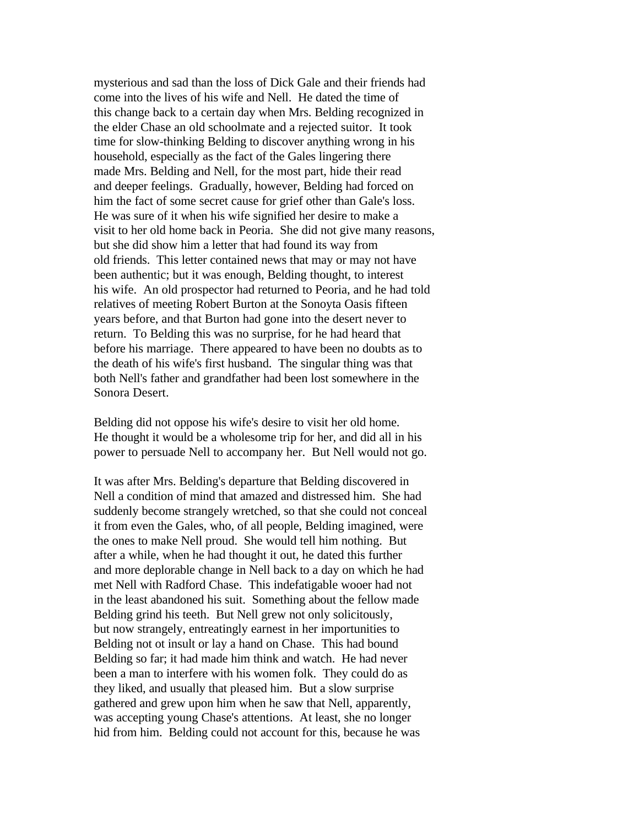mysterious and sad than the loss of Dick Gale and their friends had come into the lives of his wife and Nell. He dated the time of this change back to a certain day when Mrs. Belding recognized in the elder Chase an old schoolmate and a rejected suitor. It took time for slow-thinking Belding to discover anything wrong in his household, especially as the fact of the Gales lingering there made Mrs. Belding and Nell, for the most part, hide their read and deeper feelings. Gradually, however, Belding had forced on him the fact of some secret cause for grief other than Gale's loss. He was sure of it when his wife signified her desire to make a visit to her old home back in Peoria. She did not give many reasons, but she did show him a letter that had found its way from old friends. This letter contained news that may or may not have been authentic; but it was enough, Belding thought, to interest his wife. An old prospector had returned to Peoria, and he had told relatives of meeting Robert Burton at the Sonoyta Oasis fifteen years before, and that Burton had gone into the desert never to return. To Belding this was no surprise, for he had heard that before his marriage. There appeared to have been no doubts as to the death of his wife's first husband. The singular thing was that both Nell's father and grandfather had been lost somewhere in the Sonora Desert.

Belding did not oppose his wife's desire to visit her old home. He thought it would be a wholesome trip for her, and did all in his power to persuade Nell to accompany her. But Nell would not go.

It was after Mrs. Belding's departure that Belding discovered in Nell a condition of mind that amazed and distressed him. She had suddenly become strangely wretched, so that she could not conceal it from even the Gales, who, of all people, Belding imagined, were the ones to make Nell proud. She would tell him nothing. But after a while, when he had thought it out, he dated this further and more deplorable change in Nell back to a day on which he had met Nell with Radford Chase. This indefatigable wooer had not in the least abandoned his suit. Something about the fellow made Belding grind his teeth. But Nell grew not only solicitously, but now strangely, entreatingly earnest in her importunities to Belding not ot insult or lay a hand on Chase. This had bound Belding so far; it had made him think and watch. He had never been a man to interfere with his women folk. They could do as they liked, and usually that pleased him. But a slow surprise gathered and grew upon him when he saw that Nell, apparently, was accepting young Chase's attentions. At least, she no longer hid from him. Belding could not account for this, because he was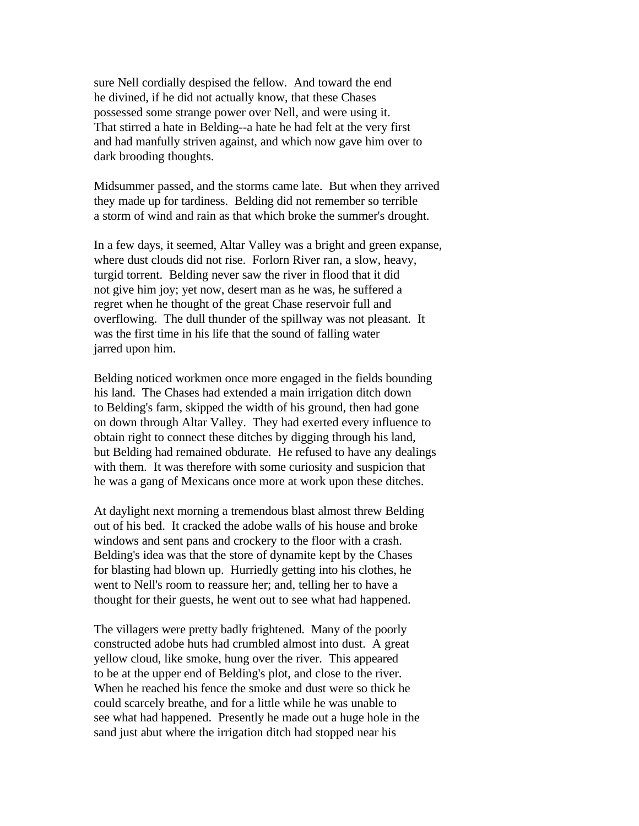sure Nell cordially despised the fellow. And toward the end he divined, if he did not actually know, that these Chases possessed some strange power over Nell, and were using it. That stirred a hate in Belding--a hate he had felt at the very first and had manfully striven against, and which now gave him over to dark brooding thoughts.

Midsummer passed, and the storms came late. But when they arrived they made up for tardiness. Belding did not remember so terrible a storm of wind and rain as that which broke the summer's drought.

In a few days, it seemed, Altar Valley was a bright and green expanse, where dust clouds did not rise. Forlorn River ran, a slow, heavy, turgid torrent. Belding never saw the river in flood that it did not give him joy; yet now, desert man as he was, he suffered a regret when he thought of the great Chase reservoir full and overflowing. The dull thunder of the spillway was not pleasant. It was the first time in his life that the sound of falling water jarred upon him.

Belding noticed workmen once more engaged in the fields bounding his land. The Chases had extended a main irrigation ditch down to Belding's farm, skipped the width of his ground, then had gone on down through Altar Valley. They had exerted every influence to obtain right to connect these ditches by digging through his land, but Belding had remained obdurate. He refused to have any dealings with them. It was therefore with some curiosity and suspicion that he was a gang of Mexicans once more at work upon these ditches.

At daylight next morning a tremendous blast almost threw Belding out of his bed. It cracked the adobe walls of his house and broke windows and sent pans and crockery to the floor with a crash. Belding's idea was that the store of dynamite kept by the Chases for blasting had blown up. Hurriedly getting into his clothes, he went to Nell's room to reassure her; and, telling her to have a thought for their guests, he went out to see what had happened.

The villagers were pretty badly frightened. Many of the poorly constructed adobe huts had crumbled almost into dust. A great yellow cloud, like smoke, hung over the river. This appeared to be at the upper end of Belding's plot, and close to the river. When he reached his fence the smoke and dust were so thick he could scarcely breathe, and for a little while he was unable to see what had happened. Presently he made out a huge hole in the sand just abut where the irrigation ditch had stopped near his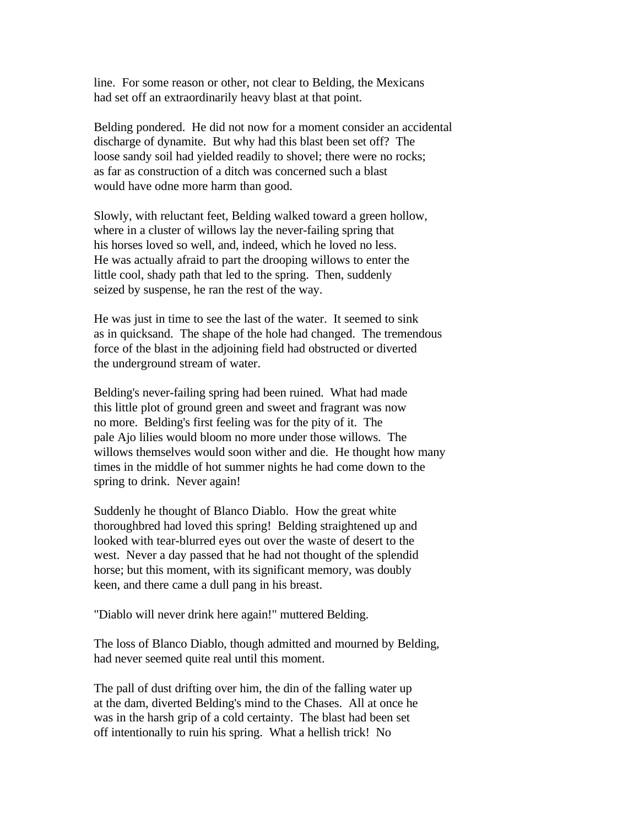line. For some reason or other, not clear to Belding, the Mexicans had set off an extraordinarily heavy blast at that point.

Belding pondered. He did not now for a moment consider an accidental discharge of dynamite. But why had this blast been set off? The loose sandy soil had yielded readily to shovel; there were no rocks; as far as construction of a ditch was concerned such a blast would have odne more harm than good.

Slowly, with reluctant feet, Belding walked toward a green hollow, where in a cluster of willows lay the never-failing spring that his horses loved so well, and, indeed, which he loved no less. He was actually afraid to part the drooping willows to enter the little cool, shady path that led to the spring. Then, suddenly seized by suspense, he ran the rest of the way.

He was just in time to see the last of the water. It seemed to sink as in quicksand. The shape of the hole had changed. The tremendous force of the blast in the adjoining field had obstructed or diverted the underground stream of water.

Belding's never-failing spring had been ruined. What had made this little plot of ground green and sweet and fragrant was now no more. Belding's first feeling was for the pity of it. The pale Ajo lilies would bloom no more under those willows. The willows themselves would soon wither and die. He thought how many times in the middle of hot summer nights he had come down to the spring to drink. Never again!

Suddenly he thought of Blanco Diablo. How the great white thoroughbred had loved this spring! Belding straightened up and looked with tear-blurred eyes out over the waste of desert to the west. Never a day passed that he had not thought of the splendid horse; but this moment, with its significant memory, was doubly keen, and there came a dull pang in his breast.

"Diablo will never drink here again!" muttered Belding.

The loss of Blanco Diablo, though admitted and mourned by Belding, had never seemed quite real until this moment.

The pall of dust drifting over him, the din of the falling water up at the dam, diverted Belding's mind to the Chases. All at once he was in the harsh grip of a cold certainty. The blast had been set off intentionally to ruin his spring. What a hellish trick! No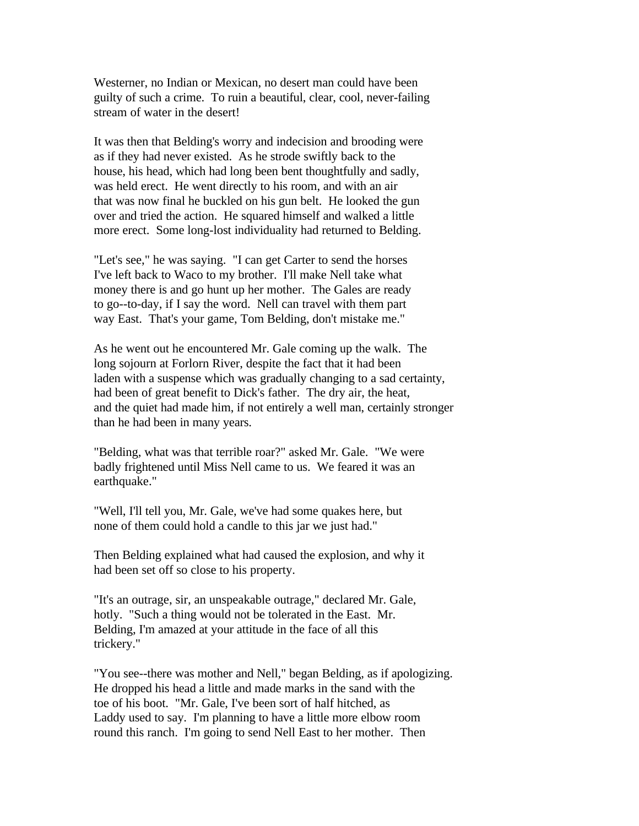Westerner, no Indian or Mexican, no desert man could have been guilty of such a crime. To ruin a beautiful, clear, cool, never-failing stream of water in the desert!

It was then that Belding's worry and indecision and brooding were as if they had never existed. As he strode swiftly back to the house, his head, which had long been bent thoughtfully and sadly, was held erect. He went directly to his room, and with an air that was now final he buckled on his gun belt. He looked the gun over and tried the action. He squared himself and walked a little more erect. Some long-lost individuality had returned to Belding.

"Let's see," he was saying. "I can get Carter to send the horses I've left back to Waco to my brother. I'll make Nell take what money there is and go hunt up her mother. The Gales are ready to go--to-day, if I say the word. Nell can travel with them part way East. That's your game, Tom Belding, don't mistake me."

As he went out he encountered Mr. Gale coming up the walk. The long sojourn at Forlorn River, despite the fact that it had been laden with a suspense which was gradually changing to a sad certainty, had been of great benefit to Dick's father. The dry air, the heat, and the quiet had made him, if not entirely a well man, certainly stronger than he had been in many years.

"Belding, what was that terrible roar?" asked Mr. Gale. "We were badly frightened until Miss Nell came to us. We feared it was an earthquake."

"Well, I'll tell you, Mr. Gale, we've had some quakes here, but none of them could hold a candle to this jar we just had."

Then Belding explained what had caused the explosion, and why it had been set off so close to his property.

"It's an outrage, sir, an unspeakable outrage," declared Mr. Gale, hotly. "Such a thing would not be tolerated in the East. Mr. Belding, I'm amazed at your attitude in the face of all this trickery."

"You see--there was mother and Nell," began Belding, as if apologizing. He dropped his head a little and made marks in the sand with the toe of his boot. "Mr. Gale, I've been sort of half hitched, as Laddy used to say. I'm planning to have a little more elbow room round this ranch. I'm going to send Nell East to her mother. Then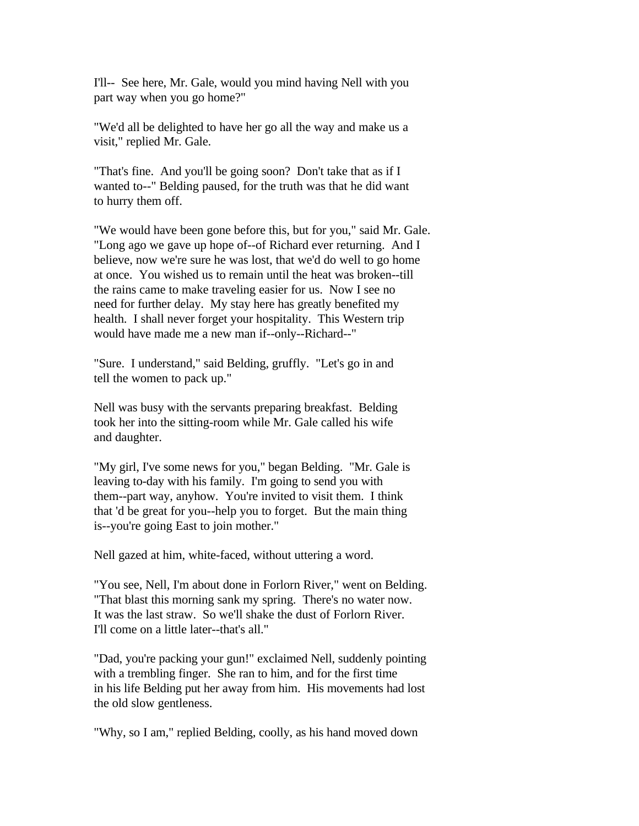I'll-- See here, Mr. Gale, would you mind having Nell with you part way when you go home?"

"We'd all be delighted to have her go all the way and make us a visit," replied Mr. Gale.

"That's fine. And you'll be going soon? Don't take that as if I wanted to--" Belding paused, for the truth was that he did want to hurry them off.

"We would have been gone before this, but for you," said Mr. Gale. "Long ago we gave up hope of--of Richard ever returning. And I believe, now we're sure he was lost, that we'd do well to go home at once. You wished us to remain until the heat was broken--till the rains came to make traveling easier for us. Now I see no need for further delay. My stay here has greatly benefited my health. I shall never forget your hospitality. This Western trip would have made me a new man if--only--Richard--"

"Sure. I understand," said Belding, gruffly. "Let's go in and tell the women to pack up."

Nell was busy with the servants preparing breakfast. Belding took her into the sitting-room while Mr. Gale called his wife and daughter.

"My girl, I've some news for you," began Belding. "Mr. Gale is leaving to-day with his family. I'm going to send you with them--part way, anyhow. You're invited to visit them. I think that 'd be great for you--help you to forget. But the main thing is--you're going East to join mother."

Nell gazed at him, white-faced, without uttering a word.

"You see, Nell, I'm about done in Forlorn River," went on Belding. "That blast this morning sank my spring. There's no water now. It was the last straw. So we'll shake the dust of Forlorn River. I'll come on a little later--that's all."

"Dad, you're packing your gun!" exclaimed Nell, suddenly pointing with a trembling finger. She ran to him, and for the first time in his life Belding put her away from him. His movements had lost the old slow gentleness.

"Why, so I am," replied Belding, coolly, as his hand moved down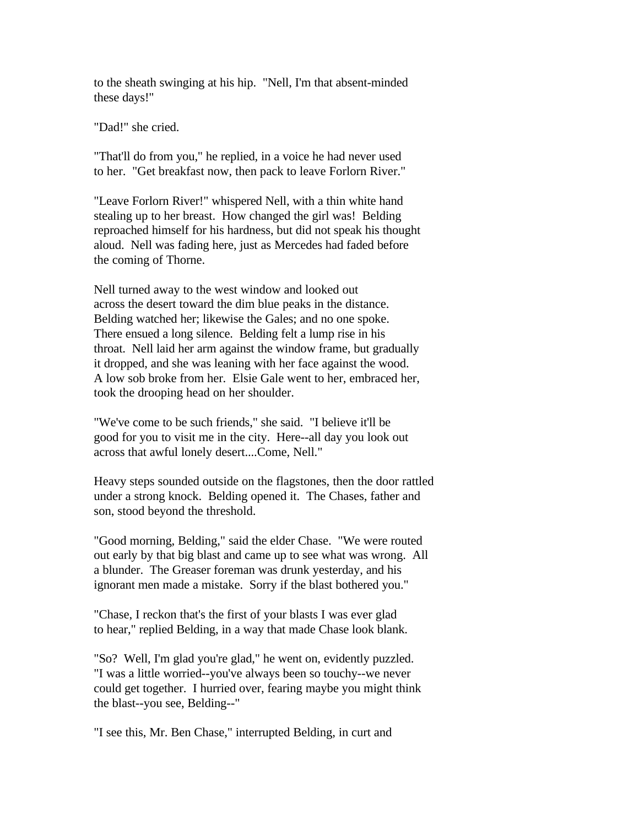to the sheath swinging at his hip. "Nell, I'm that absent-minded these days!"

"Dad!" she cried.

"That'll do from you," he replied, in a voice he had never used to her. "Get breakfast now, then pack to leave Forlorn River."

"Leave Forlorn River!" whispered Nell, with a thin white hand stealing up to her breast. How changed the girl was! Belding reproached himself for his hardness, but did not speak his thought aloud. Nell was fading here, just as Mercedes had faded before the coming of Thorne.

Nell turned away to the west window and looked out across the desert toward the dim blue peaks in the distance. Belding watched her; likewise the Gales; and no one spoke. There ensued a long silence. Belding felt a lump rise in his throat. Nell laid her arm against the window frame, but gradually it dropped, and she was leaning with her face against the wood. A low sob broke from her. Elsie Gale went to her, embraced her, took the drooping head on her shoulder.

"We've come to be such friends," she said. "I believe it'll be good for you to visit me in the city. Here--all day you look out across that awful lonely desert....Come, Nell."

Heavy steps sounded outside on the flagstones, then the door rattled under a strong knock. Belding opened it. The Chases, father and son, stood beyond the threshold.

"Good morning, Belding," said the elder Chase. "We were routed out early by that big blast and came up to see what was wrong. All a blunder. The Greaser foreman was drunk yesterday, and his ignorant men made a mistake. Sorry if the blast bothered you."

"Chase, I reckon that's the first of your blasts I was ever glad to hear," replied Belding, in a way that made Chase look blank.

"So? Well, I'm glad you're glad," he went on, evidently puzzled. "I was a little worried--you've always been so touchy--we never could get together. I hurried over, fearing maybe you might think the blast--you see, Belding--"

"I see this, Mr. Ben Chase," interrupted Belding, in curt and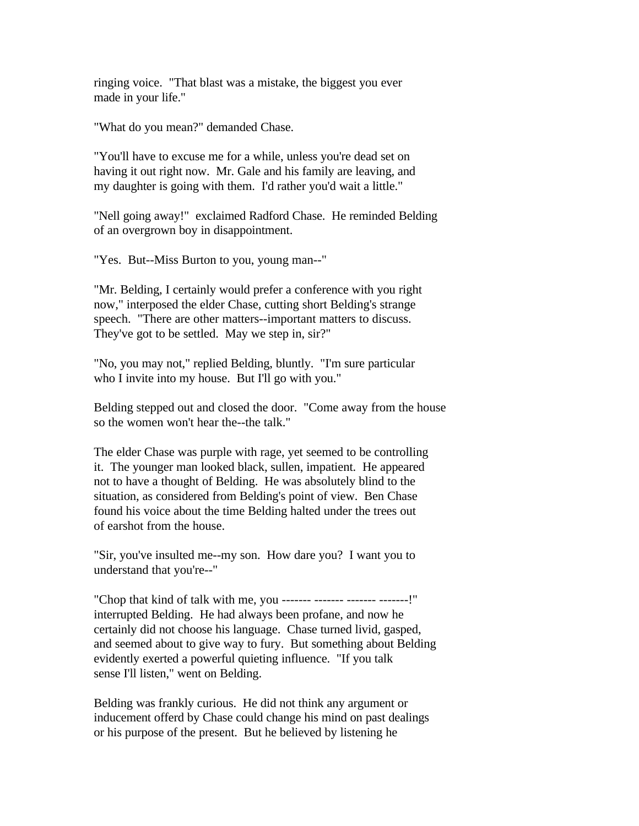ringing voice. "That blast was a mistake, the biggest you ever made in your life."

"What do you mean?" demanded Chase.

"You'll have to excuse me for a while, unless you're dead set on having it out right now. Mr. Gale and his family are leaving, and my daughter is going with them. I'd rather you'd wait a little."

"Nell going away!" exclaimed Radford Chase. He reminded Belding of an overgrown boy in disappointment.

"Yes. But--Miss Burton to you, young man--"

"Mr. Belding, I certainly would prefer a conference with you right now," interposed the elder Chase, cutting short Belding's strange speech. "There are other matters--important matters to discuss. They've got to be settled. May we step in, sir?"

"No, you may not," replied Belding, bluntly. "I'm sure particular who I invite into my house. But I'll go with you."

Belding stepped out and closed the door. "Come away from the house so the women won't hear the--the talk."

The elder Chase was purple with rage, yet seemed to be controlling it. The younger man looked black, sullen, impatient. He appeared not to have a thought of Belding. He was absolutely blind to the situation, as considered from Belding's point of view. Ben Chase found his voice about the time Belding halted under the trees out of earshot from the house.

"Sir, you've insulted me--my son. How dare you? I want you to understand that you're--"

"Chop that kind of talk with me, you ------- ------- ------- -------!" interrupted Belding. He had always been profane, and now he certainly did not choose his language. Chase turned livid, gasped, and seemed about to give way to fury. But something about Belding evidently exerted a powerful quieting influence. "If you talk sense I'll listen," went on Belding.

Belding was frankly curious. He did not think any argument or inducement offerd by Chase could change his mind on past dealings or his purpose of the present. But he believed by listening he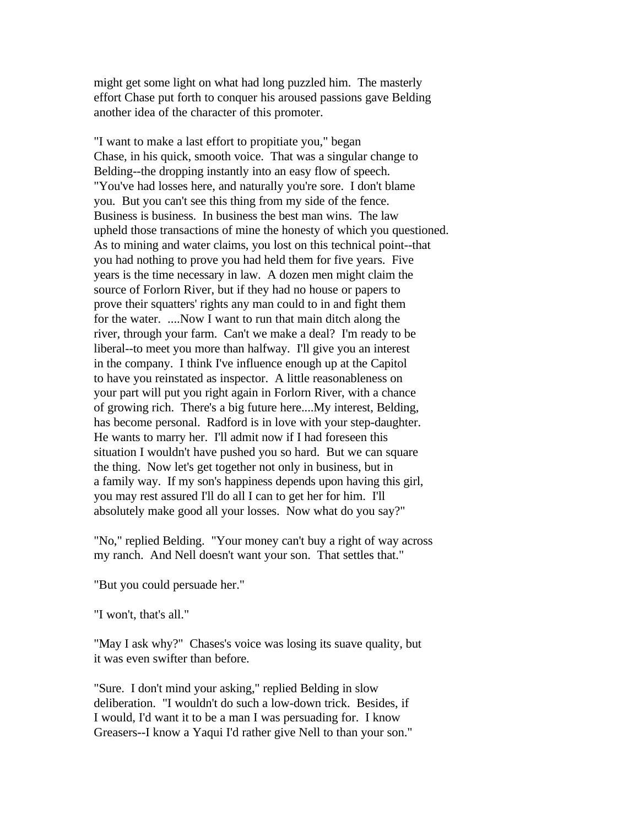might get some light on what had long puzzled him. The masterly effort Chase put forth to conquer his aroused passions gave Belding another idea of the character of this promoter.

"I want to make a last effort to propitiate you," began Chase, in his quick, smooth voice. That was a singular change to Belding--the dropping instantly into an easy flow of speech. "You've had losses here, and naturally you're sore. I don't blame you. But you can't see this thing from my side of the fence. Business is business. In business the best man wins. The law upheld those transactions of mine the honesty of which you questioned. As to mining and water claims, you lost on this technical point--that you had nothing to prove you had held them for five years. Five years is the time necessary in law. A dozen men might claim the source of Forlorn River, but if they had no house or papers to prove their squatters' rights any man could to in and fight them for the water. ....Now I want to run that main ditch along the river, through your farm. Can't we make a deal? I'm ready to be liberal--to meet you more than halfway. I'll give you an interest in the company. I think I've influence enough up at the Capitol to have you reinstated as inspector. A little reasonableness on your part will put you right again in Forlorn River, with a chance of growing rich. There's a big future here....My interest, Belding, has become personal. Radford is in love with your step-daughter. He wants to marry her. I'll admit now if I had foreseen this situation I wouldn't have pushed you so hard. But we can square the thing. Now let's get together not only in business, but in a family way. If my son's happiness depends upon having this girl, you may rest assured I'll do all I can to get her for him. I'll absolutely make good all your losses. Now what do you say?"

"No," replied Belding. "Your money can't buy a right of way across my ranch. And Nell doesn't want your son. That settles that."

"But you could persuade her."

"I won't, that's all."

"May I ask why?" Chases's voice was losing its suave quality, but it was even swifter than before.

"Sure. I don't mind your asking," replied Belding in slow deliberation. "I wouldn't do such a low-down trick. Besides, if I would, I'd want it to be a man I was persuading for. I know Greasers--I know a Yaqui I'd rather give Nell to than your son."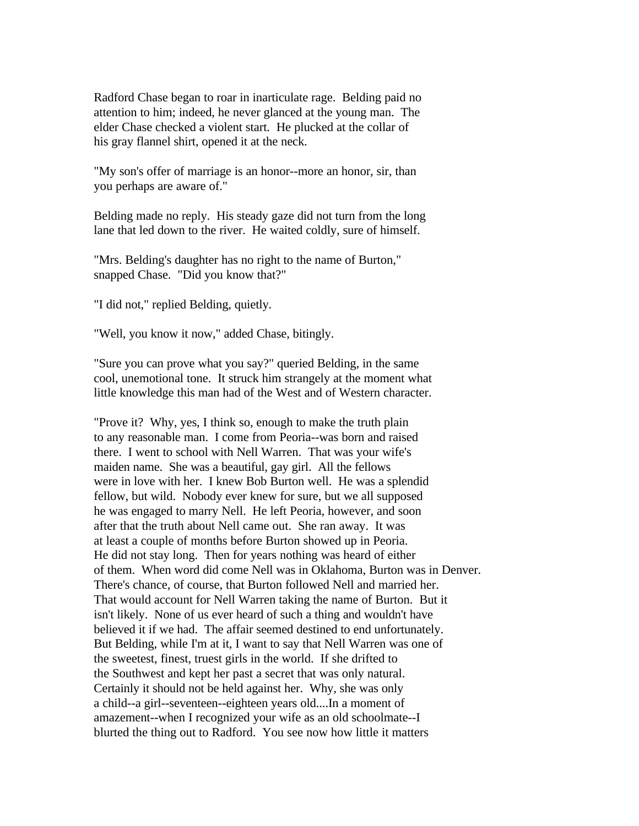Radford Chase began to roar in inarticulate rage. Belding paid no attention to him; indeed, he never glanced at the young man. The elder Chase checked a violent start. He plucked at the collar of his gray flannel shirt, opened it at the neck.

"My son's offer of marriage is an honor--more an honor, sir, than you perhaps are aware of."

Belding made no reply. His steady gaze did not turn from the long lane that led down to the river. He waited coldly, sure of himself.

"Mrs. Belding's daughter has no right to the name of Burton," snapped Chase. "Did you know that?"

"I did not," replied Belding, quietly.

"Well, you know it now," added Chase, bitingly.

"Sure you can prove what you say?" queried Belding, in the same cool, unemotional tone. It struck him strangely at the moment what little knowledge this man had of the West and of Western character.

"Prove it? Why, yes, I think so, enough to make the truth plain to any reasonable man. I come from Peoria--was born and raised there. I went to school with Nell Warren. That was your wife's maiden name. She was a beautiful, gay girl. All the fellows were in love with her. I knew Bob Burton well. He was a splendid fellow, but wild. Nobody ever knew for sure, but we all supposed he was engaged to marry Nell. He left Peoria, however, and soon after that the truth about Nell came out. She ran away. It was at least a couple of months before Burton showed up in Peoria. He did not stay long. Then for years nothing was heard of either of them. When word did come Nell was in Oklahoma, Burton was in Denver. There's chance, of course, that Burton followed Nell and married her. That would account for Nell Warren taking the name of Burton. But it isn't likely. None of us ever heard of such a thing and wouldn't have believed it if we had. The affair seemed destined to end unfortunately. But Belding, while I'm at it, I want to say that Nell Warren was one of the sweetest, finest, truest girls in the world. If she drifted to the Southwest and kept her past a secret that was only natural. Certainly it should not be held against her. Why, she was only a child--a girl--seventeen--eighteen years old....In a moment of amazement--when I recognized your wife as an old schoolmate--I blurted the thing out to Radford. You see now how little it matters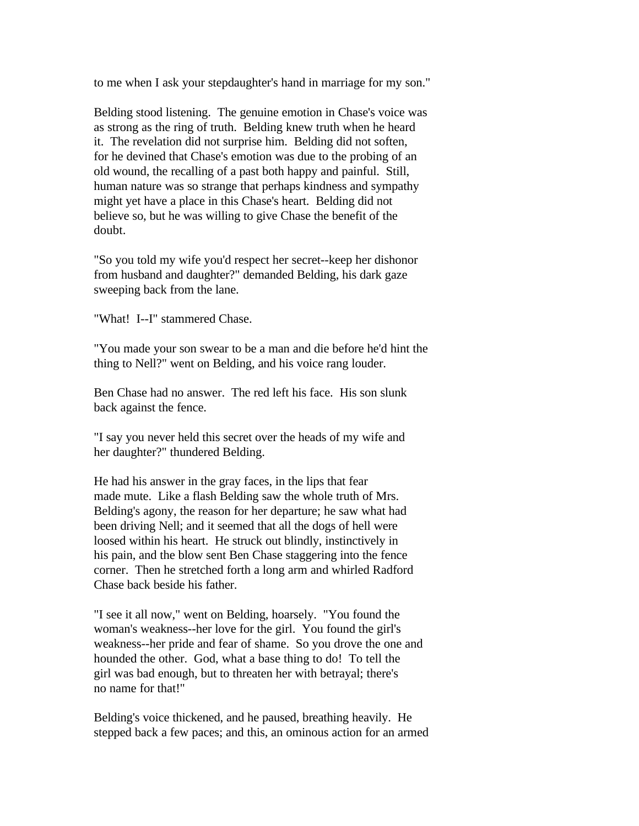to me when I ask your stepdaughter's hand in marriage for my son."

Belding stood listening. The genuine emotion in Chase's voice was as strong as the ring of truth. Belding knew truth when he heard it. The revelation did not surprise him. Belding did not soften, for he devined that Chase's emotion was due to the probing of an old wound, the recalling of a past both happy and painful. Still, human nature was so strange that perhaps kindness and sympathy might yet have a place in this Chase's heart. Belding did not believe so, but he was willing to give Chase the benefit of the doubt.

"So you told my wife you'd respect her secret--keep her dishonor from husband and daughter?" demanded Belding, his dark gaze sweeping back from the lane.

"What! I--I" stammered Chase.

"You made your son swear to be a man and die before he'd hint the thing to Nell?" went on Belding, and his voice rang louder.

Ben Chase had no answer. The red left his face. His son slunk back against the fence.

"I say you never held this secret over the heads of my wife and her daughter?" thundered Belding.

He had his answer in the gray faces, in the lips that fear made mute. Like a flash Belding saw the whole truth of Mrs. Belding's agony, the reason for her departure; he saw what had been driving Nell; and it seemed that all the dogs of hell were loosed within his heart. He struck out blindly, instinctively in his pain, and the blow sent Ben Chase staggering into the fence corner. Then he stretched forth a long arm and whirled Radford Chase back beside his father.

"I see it all now," went on Belding, hoarsely. "You found the woman's weakness--her love for the girl. You found the girl's weakness--her pride and fear of shame. So you drove the one and hounded the other. God, what a base thing to do! To tell the girl was bad enough, but to threaten her with betrayal; there's no name for that!"

Belding's voice thickened, and he paused, breathing heavily. He stepped back a few paces; and this, an ominous action for an armed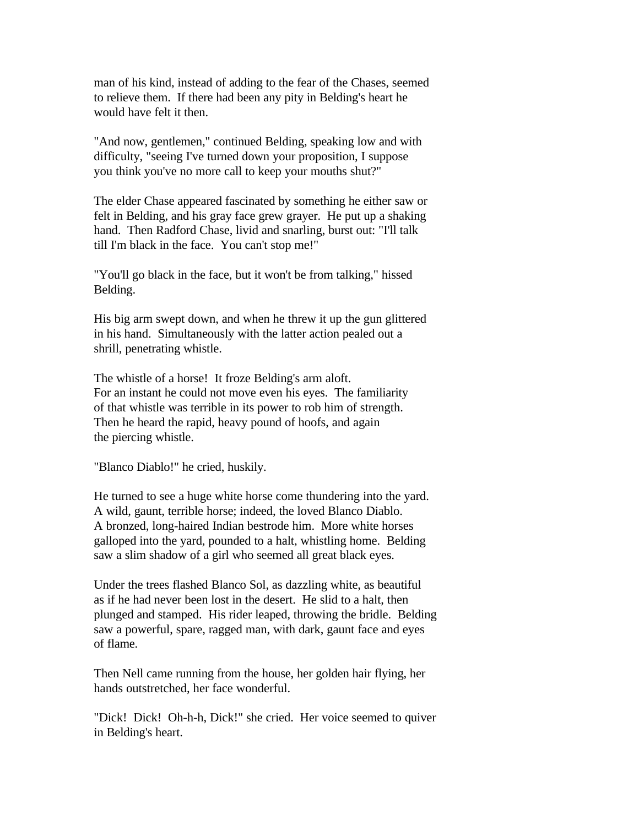man of his kind, instead of adding to the fear of the Chases, seemed to relieve them. If there had been any pity in Belding's heart he would have felt it then.

"And now, gentlemen," continued Belding, speaking low and with difficulty, "seeing I've turned down your proposition, I suppose you think you've no more call to keep your mouths shut?"

The elder Chase appeared fascinated by something he either saw or felt in Belding, and his gray face grew grayer. He put up a shaking hand. Then Radford Chase, livid and snarling, burst out: "I'll talk till I'm black in the face. You can't stop me!"

"You'll go black in the face, but it won't be from talking," hissed Belding.

His big arm swept down, and when he threw it up the gun glittered in his hand. Simultaneously with the latter action pealed out a shrill, penetrating whistle.

The whistle of a horse! It froze Belding's arm aloft. For an instant he could not move even his eyes. The familiarity of that whistle was terrible in its power to rob him of strength. Then he heard the rapid, heavy pound of hoofs, and again the piercing whistle.

"Blanco Diablo!" he cried, huskily.

He turned to see a huge white horse come thundering into the yard. A wild, gaunt, terrible horse; indeed, the loved Blanco Diablo. A bronzed, long-haired Indian bestrode him. More white horses galloped into the yard, pounded to a halt, whistling home. Belding saw a slim shadow of a girl who seemed all great black eyes.

Under the trees flashed Blanco Sol, as dazzling white, as beautiful as if he had never been lost in the desert. He slid to a halt, then plunged and stamped. His rider leaped, throwing the bridle. Belding saw a powerful, spare, ragged man, with dark, gaunt face and eyes of flame.

Then Nell came running from the house, her golden hair flying, her hands outstretched, her face wonderful.

"Dick! Dick! Oh-h-h, Dick!" she cried. Her voice seemed to quiver in Belding's heart.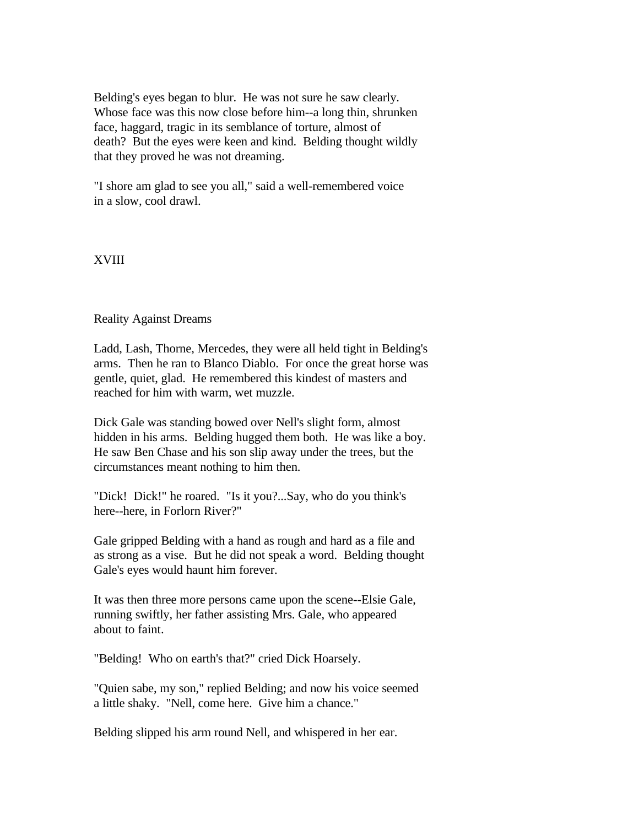Belding's eyes began to blur. He was not sure he saw clearly. Whose face was this now close before him--a long thin, shrunken face, haggard, tragic in its semblance of torture, almost of death? But the eyes were keen and kind. Belding thought wildly that they proved he was not dreaming.

"I shore am glad to see you all," said a well-remembered voice in a slow, cool drawl.

## XVIII

## Reality Against Dreams

Ladd, Lash, Thorne, Mercedes, they were all held tight in Belding's arms. Then he ran to Blanco Diablo. For once the great horse was gentle, quiet, glad. He remembered this kindest of masters and reached for him with warm, wet muzzle.

Dick Gale was standing bowed over Nell's slight form, almost hidden in his arms. Belding hugged them both. He was like a boy. He saw Ben Chase and his son slip away under the trees, but the circumstances meant nothing to him then.

"Dick! Dick!" he roared. "Is it you?...Say, who do you think's here--here, in Forlorn River?"

Gale gripped Belding with a hand as rough and hard as a file and as strong as a vise. But he did not speak a word. Belding thought Gale's eyes would haunt him forever.

It was then three more persons came upon the scene--Elsie Gale, running swiftly, her father assisting Mrs. Gale, who appeared about to faint.

"Belding! Who on earth's that?" cried Dick Hoarsely.

"Quien sabe, my son," replied Belding; and now his voice seemed a little shaky. "Nell, come here. Give him a chance."

Belding slipped his arm round Nell, and whispered in her ear.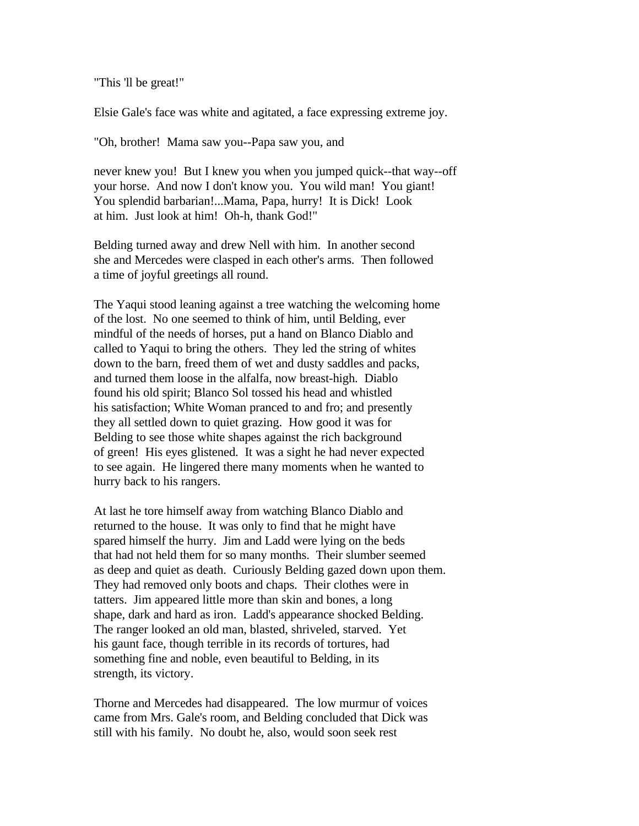"This 'll be great!"

Elsie Gale's face was white and agitated, a face expressing extreme joy.

"Oh, brother! Mama saw you--Papa saw you, and

never knew you! But I knew you when you jumped quick--that way--off your horse. And now I don't know you. You wild man! You giant! You splendid barbarian!...Mama, Papa, hurry! It is Dick! Look at him. Just look at him! Oh-h, thank God!"

Belding turned away and drew Nell with him. In another second she and Mercedes were clasped in each other's arms. Then followed a time of joyful greetings all round.

The Yaqui stood leaning against a tree watching the welcoming home of the lost. No one seemed to think of him, until Belding, ever mindful of the needs of horses, put a hand on Blanco Diablo and called to Yaqui to bring the others. They led the string of whites down to the barn, freed them of wet and dusty saddles and packs, and turned them loose in the alfalfa, now breast-high. Diablo found his old spirit; Blanco Sol tossed his head and whistled his satisfaction; White Woman pranced to and fro; and presently they all settled down to quiet grazing. How good it was for Belding to see those white shapes against the rich background of green! His eyes glistened. It was a sight he had never expected to see again. He lingered there many moments when he wanted to hurry back to his rangers.

At last he tore himself away from watching Blanco Diablo and returned to the house. It was only to find that he might have spared himself the hurry. Jim and Ladd were lying on the beds that had not held them for so many months. Their slumber seemed as deep and quiet as death. Curiously Belding gazed down upon them. They had removed only boots and chaps. Their clothes were in tatters. Jim appeared little more than skin and bones, a long shape, dark and hard as iron. Ladd's appearance shocked Belding. The ranger looked an old man, blasted, shriveled, starved. Yet his gaunt face, though terrible in its records of tortures, had something fine and noble, even beautiful to Belding, in its strength, its victory.

Thorne and Mercedes had disappeared. The low murmur of voices came from Mrs. Gale's room, and Belding concluded that Dick was still with his family. No doubt he, also, would soon seek rest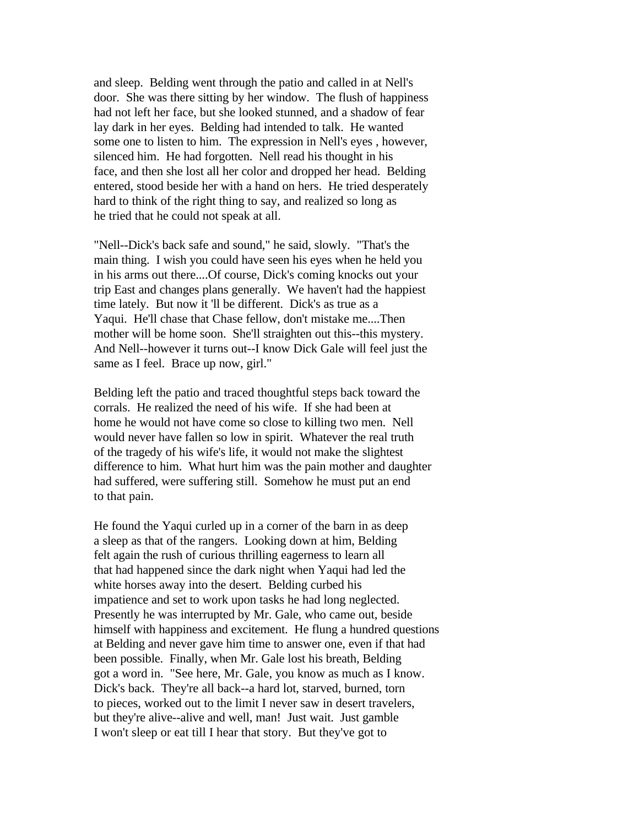and sleep. Belding went through the patio and called in at Nell's door. She was there sitting by her window. The flush of happiness had not left her face, but she looked stunned, and a shadow of fear lay dark in her eyes. Belding had intended to talk. He wanted some one to listen to him. The expression in Nell's eyes , however, silenced him. He had forgotten. Nell read his thought in his face, and then she lost all her color and dropped her head. Belding entered, stood beside her with a hand on hers. He tried desperately hard to think of the right thing to say, and realized so long as he tried that he could not speak at all.

"Nell--Dick's back safe and sound," he said, slowly. "That's the main thing. I wish you could have seen his eyes when he held you in his arms out there....Of course, Dick's coming knocks out your trip East and changes plans generally. We haven't had the happiest time lately. But now it 'll be different. Dick's as true as a Yaqui. He'll chase that Chase fellow, don't mistake me....Then mother will be home soon. She'll straighten out this--this mystery. And Nell--however it turns out--I know Dick Gale will feel just the same as I feel. Brace up now, girl."

Belding left the patio and traced thoughtful steps back toward the corrals. He realized the need of his wife. If she had been at home he would not have come so close to killing two men. Nell would never have fallen so low in spirit. Whatever the real truth of the tragedy of his wife's life, it would not make the slightest difference to him. What hurt him was the pain mother and daughter had suffered, were suffering still. Somehow he must put an end to that pain.

He found the Yaqui curled up in a corner of the barn in as deep a sleep as that of the rangers. Looking down at him, Belding felt again the rush of curious thrilling eagerness to learn all that had happened since the dark night when Yaqui had led the white horses away into the desert. Belding curbed his impatience and set to work upon tasks he had long neglected. Presently he was interrupted by Mr. Gale, who came out, beside himself with happiness and excitement. He flung a hundred questions at Belding and never gave him time to answer one, even if that had been possible. Finally, when Mr. Gale lost his breath, Belding got a word in. "See here, Mr. Gale, you know as much as I know. Dick's back. They're all back--a hard lot, starved, burned, torn to pieces, worked out to the limit I never saw in desert travelers, but they're alive--alive and well, man! Just wait. Just gamble I won't sleep or eat till I hear that story. But they've got to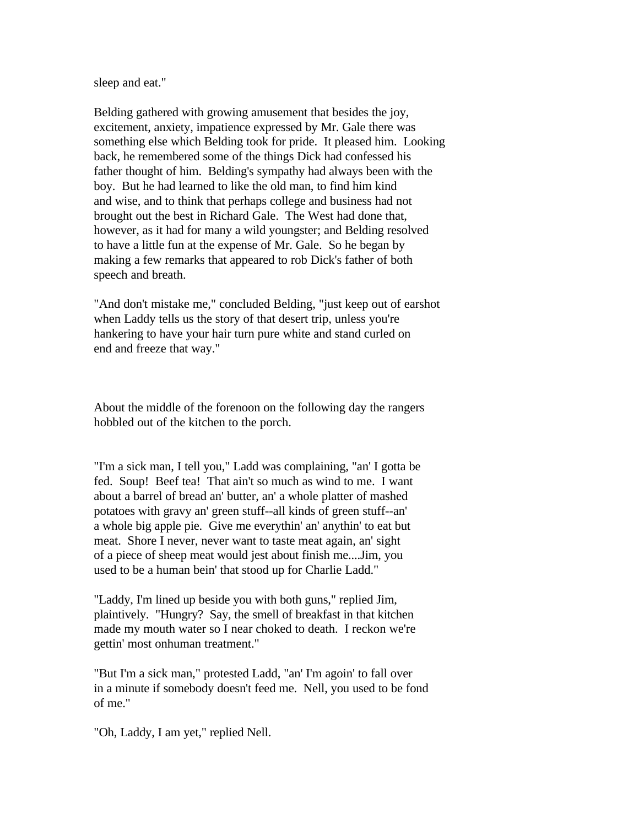sleep and eat."

Belding gathered with growing amusement that besides the joy, excitement, anxiety, impatience expressed by Mr. Gale there was something else which Belding took for pride. It pleased him. Looking back, he remembered some of the things Dick had confessed his father thought of him. Belding's sympathy had always been with the boy. But he had learned to like the old man, to find him kind and wise, and to think that perhaps college and business had not brought out the best in Richard Gale. The West had done that, however, as it had for many a wild youngster; and Belding resolved to have a little fun at the expense of Mr. Gale. So he began by making a few remarks that appeared to rob Dick's father of both speech and breath.

"And don't mistake me," concluded Belding, "just keep out of earshot when Laddy tells us the story of that desert trip, unless you're hankering to have your hair turn pure white and stand curled on end and freeze that way."

About the middle of the forenoon on the following day the rangers hobbled out of the kitchen to the porch.

"I'm a sick man, I tell you," Ladd was complaining, "an' I gotta be fed. Soup! Beef tea! That ain't so much as wind to me. I want about a barrel of bread an' butter, an' a whole platter of mashed potatoes with gravy an' green stuff--all kinds of green stuff--an' a whole big apple pie. Give me everythin' an' anythin' to eat but meat. Shore I never, never want to taste meat again, an' sight of a piece of sheep meat would jest about finish me....Jim, you used to be a human bein' that stood up for Charlie Ladd."

"Laddy, I'm lined up beside you with both guns," replied Jim, plaintively. "Hungry? Say, the smell of breakfast in that kitchen made my mouth water so I near choked to death. I reckon we're gettin' most onhuman treatment."

"But I'm a sick man," protested Ladd, "an' I'm agoin' to fall over in a minute if somebody doesn't feed me. Nell, you used to be fond of me."

"Oh, Laddy, I am yet," replied Nell.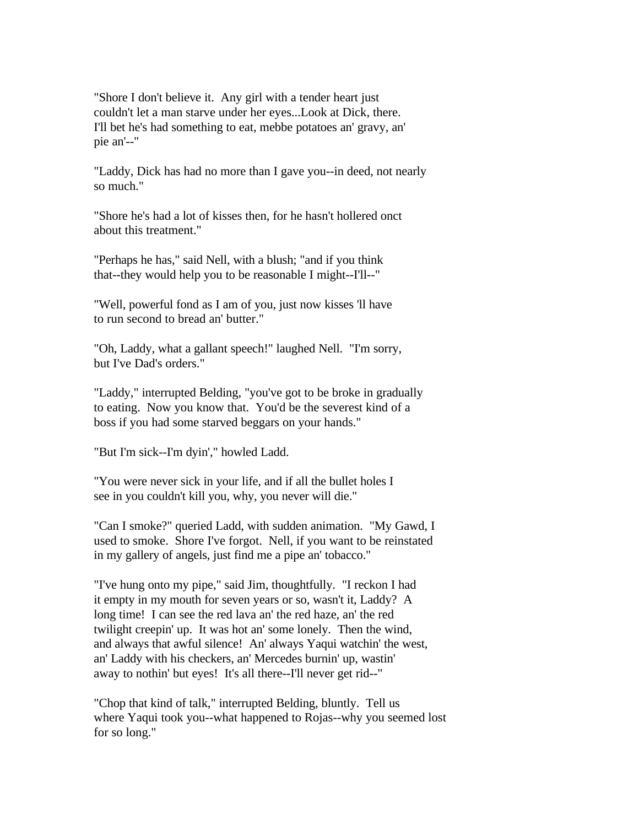"Shore I don't believe it. Any girl with a tender heart just couldn't let a man starve under her eyes...Look at Dick, there. I'll bet he's had something to eat, mebbe potatoes an' gravy, an' pie an'--"

"Laddy, Dick has had no more than I gave you--in deed, not nearly so much."

"Shore he's had a lot of kisses then, for he hasn't hollered onct about this treatment."

"Perhaps he has," said Nell, with a blush; "and if you think that--they would help you to be reasonable I might--I'll--"

"Well, powerful fond as I am of you, just now kisses 'll have to run second to bread an' butter."

"Oh, Laddy, what a gallant speech!" laughed Nell. "I'm sorry, but I've Dad's orders."

"Laddy," interrupted Belding, "you've got to be broke in gradually to eating. Now you know that. You'd be the severest kind of a boss if you had some starved beggars on your hands."

"But I'm sick--I'm dyin'," howled Ladd.

"You were never sick in your life, and if all the bullet holes I see in you couldn't kill you, why, you never will die."

"Can I smoke?" queried Ladd, with sudden animation. "My Gawd, I used to smoke. Shore I've forgot. Nell, if you want to be reinstated in my gallery of angels, just find me a pipe an' tobacco."

"I've hung onto my pipe," said Jim, thoughtfully. "I reckon I had it empty in my mouth for seven years or so, wasn't it, Laddy? A long time! I can see the red lava an' the red haze, an' the red twilight creepin' up. It was hot an' some lonely. Then the wind, and always that awful silence! An' always Yaqui watchin' the west, an' Laddy with his checkers, an' Mercedes burnin' up, wastin' away to nothin' but eyes! It's all there--I'll never get rid--"

"Chop that kind of talk," interrupted Belding, bluntly. Tell us where Yaqui took you--what happened to Rojas--why you seemed lost for so long."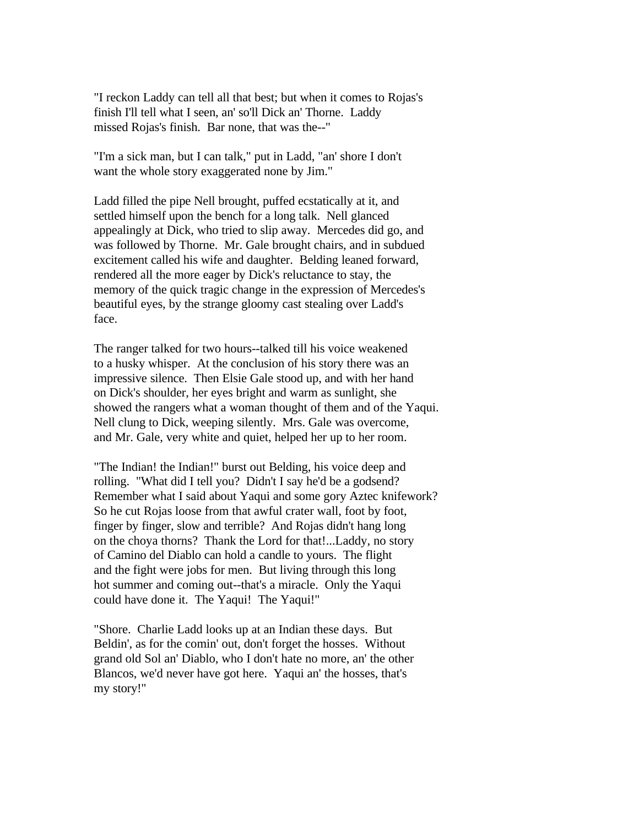"I reckon Laddy can tell all that best; but when it comes to Rojas's finish I'll tell what I seen, an' so'll Dick an' Thorne. Laddy missed Rojas's finish. Bar none, that was the--"

"I'm a sick man, but I can talk," put in Ladd, "an' shore I don't want the whole story exaggerated none by Jim."

Ladd filled the pipe Nell brought, puffed ecstatically at it, and settled himself upon the bench for a long talk. Nell glanced appealingly at Dick, who tried to slip away. Mercedes did go, and was followed by Thorne. Mr. Gale brought chairs, and in subdued excitement called his wife and daughter. Belding leaned forward, rendered all the more eager by Dick's reluctance to stay, the memory of the quick tragic change in the expression of Mercedes's beautiful eyes, by the strange gloomy cast stealing over Ladd's face.

The ranger talked for two hours--talked till his voice weakened to a husky whisper. At the conclusion of his story there was an impressive silence. Then Elsie Gale stood up, and with her hand on Dick's shoulder, her eyes bright and warm as sunlight, she showed the rangers what a woman thought of them and of the Yaqui. Nell clung to Dick, weeping silently. Mrs. Gale was overcome, and Mr. Gale, very white and quiet, helped her up to her room.

"The Indian! the Indian!" burst out Belding, his voice deep and rolling. "What did I tell you? Didn't I say he'd be a godsend? Remember what I said about Yaqui and some gory Aztec knifework? So he cut Rojas loose from that awful crater wall, foot by foot, finger by finger, slow and terrible? And Rojas didn't hang long on the choya thorns? Thank the Lord for that!...Laddy, no story of Camino del Diablo can hold a candle to yours. The flight and the fight were jobs for men. But living through this long hot summer and coming out--that's a miracle. Only the Yaqui could have done it. The Yaqui! The Yaqui!"

"Shore. Charlie Ladd looks up at an Indian these days. But Beldin', as for the comin' out, don't forget the hosses. Without grand old Sol an' Diablo, who I don't hate no more, an' the other Blancos, we'd never have got here. Yaqui an' the hosses, that's my story!"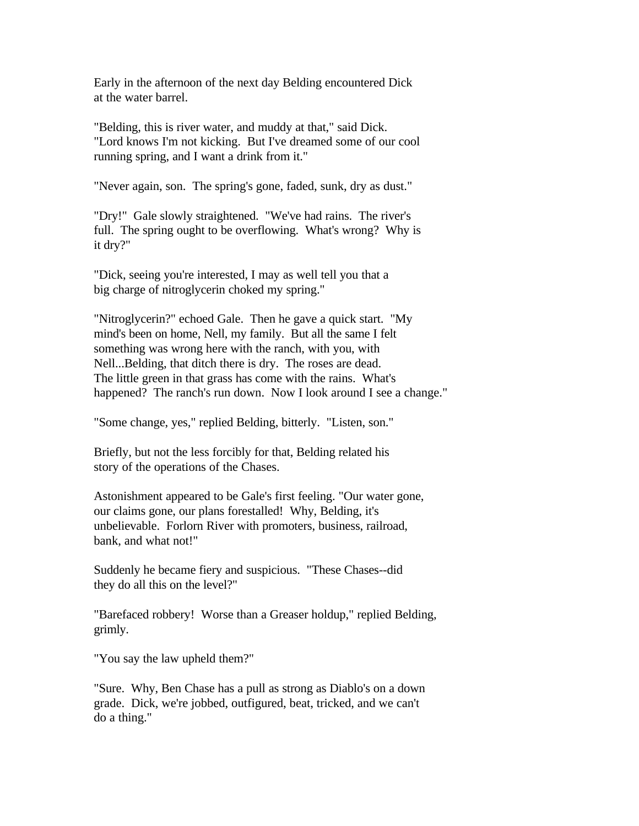Early in the afternoon of the next day Belding encountered Dick at the water barrel.

"Belding, this is river water, and muddy at that," said Dick. "Lord knows I'm not kicking. But I've dreamed some of our cool running spring, and I want a drink from it."

"Never again, son. The spring's gone, faded, sunk, dry as dust."

"Dry!" Gale slowly straightened. "We've had rains. The river's full. The spring ought to be overflowing. What's wrong? Why is it dry?"

"Dick, seeing you're interested, I may as well tell you that a big charge of nitroglycerin choked my spring."

"Nitroglycerin?" echoed Gale. Then he gave a quick start. "My mind's been on home, Nell, my family. But all the same I felt something was wrong here with the ranch, with you, with Nell...Belding, that ditch there is dry. The roses are dead. The little green in that grass has come with the rains. What's happened? The ranch's run down. Now I look around I see a change."

"Some change, yes," replied Belding, bitterly. "Listen, son."

Briefly, but not the less forcibly for that, Belding related his story of the operations of the Chases.

Astonishment appeared to be Gale's first feeling. "Our water gone, our claims gone, our plans forestalled! Why, Belding, it's unbelievable. Forlorn River with promoters, business, railroad, bank, and what not!"

Suddenly he became fiery and suspicious. "These Chases--did they do all this on the level?"

"Barefaced robbery! Worse than a Greaser holdup," replied Belding, grimly.

"You say the law upheld them?"

"Sure. Why, Ben Chase has a pull as strong as Diablo's on a down grade. Dick, we're jobbed, outfigured, beat, tricked, and we can't do a thing."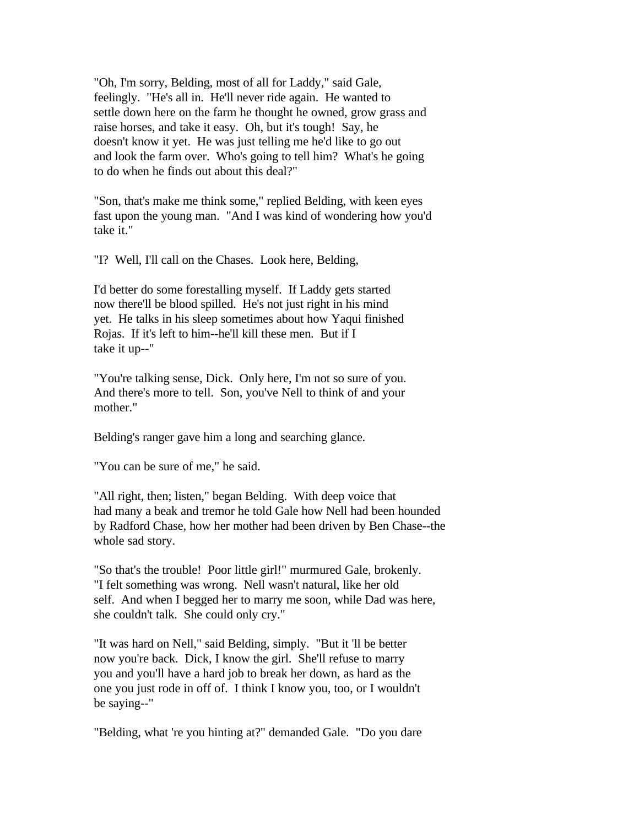"Oh, I'm sorry, Belding, most of all for Laddy," said Gale, feelingly. "He's all in. He'll never ride again. He wanted to settle down here on the farm he thought he owned, grow grass and raise horses, and take it easy. Oh, but it's tough! Say, he doesn't know it yet. He was just telling me he'd like to go out and look the farm over. Who's going to tell him? What's he going to do when he finds out about this deal?"

"Son, that's make me think some," replied Belding, with keen eyes fast upon the young man. "And I was kind of wondering how you'd take it."

"I? Well, I'll call on the Chases. Look here, Belding,

I'd better do some forestalling myself. If Laddy gets started now there'll be blood spilled. He's not just right in his mind yet. He talks in his sleep sometimes about how Yaqui finished Rojas. If it's left to him--he'll kill these men. But if I take it up--"

"You're talking sense, Dick. Only here, I'm not so sure of you. And there's more to tell. Son, you've Nell to think of and your mother."

Belding's ranger gave him a long and searching glance.

"You can be sure of me," he said.

"All right, then; listen," began Belding. With deep voice that had many a beak and tremor he told Gale how Nell had been hounded by Radford Chase, how her mother had been driven by Ben Chase--the whole sad story.

"So that's the trouble! Poor little girl!" murmured Gale, brokenly. "I felt something was wrong. Nell wasn't natural, like her old self. And when I begged her to marry me soon, while Dad was here, she couldn't talk. She could only cry."

"It was hard on Nell," said Belding, simply. "But it 'll be better now you're back. Dick, I know the girl. She'll refuse to marry you and you'll have a hard job to break her down, as hard as the one you just rode in off of. I think I know you, too, or I wouldn't be saying--"

"Belding, what 're you hinting at?" demanded Gale. "Do you dare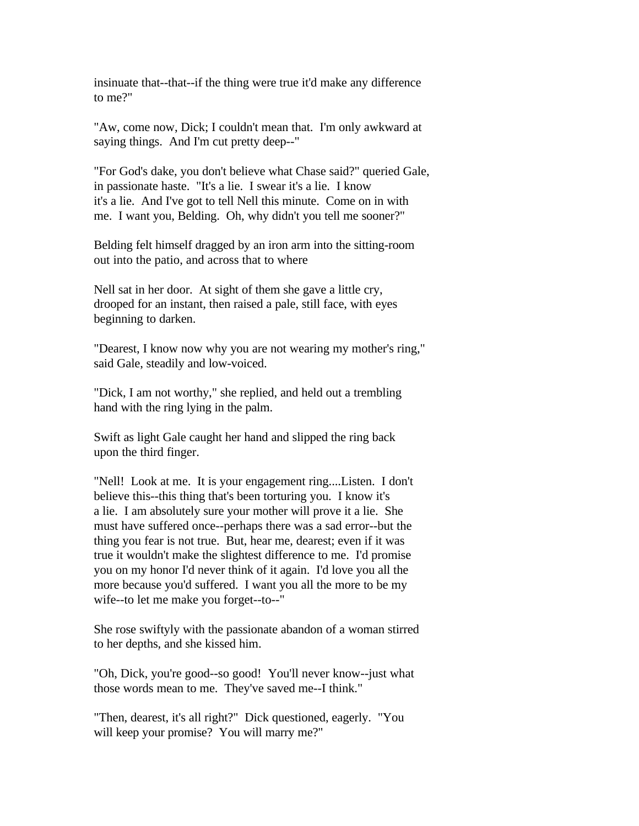insinuate that--that--if the thing were true it'd make any difference to me?"

"Aw, come now, Dick; I couldn't mean that. I'm only awkward at saying things. And I'm cut pretty deep--"

"For God's dake, you don't believe what Chase said?" queried Gale, in passionate haste. "It's a lie. I swear it's a lie. I know it's a lie. And I've got to tell Nell this minute. Come on in with me. I want you, Belding. Oh, why didn't you tell me sooner?"

Belding felt himself dragged by an iron arm into the sitting-room out into the patio, and across that to where

Nell sat in her door. At sight of them she gave a little cry, drooped for an instant, then raised a pale, still face, with eyes beginning to darken.

"Dearest, I know now why you are not wearing my mother's ring," said Gale, steadily and low-voiced.

"Dick, I am not worthy," she replied, and held out a trembling hand with the ring lying in the palm.

Swift as light Gale caught her hand and slipped the ring back upon the third finger.

"Nell! Look at me. It is your engagement ring....Listen. I don't believe this--this thing that's been torturing you. I know it's a lie. I am absolutely sure your mother will prove it a lie. She must have suffered once--perhaps there was a sad error--but the thing you fear is not true. But, hear me, dearest; even if it was true it wouldn't make the slightest difference to me. I'd promise you on my honor I'd never think of it again. I'd love you all the more because you'd suffered. I want you all the more to be my wife--to let me make you forget--to--"

She rose swiftyly with the passionate abandon of a woman stirred to her depths, and she kissed him.

"Oh, Dick, you're good--so good! You'll never know--just what those words mean to me. They've saved me--I think."

"Then, dearest, it's all right?" Dick questioned, eagerly. "You will keep your promise? You will marry me?"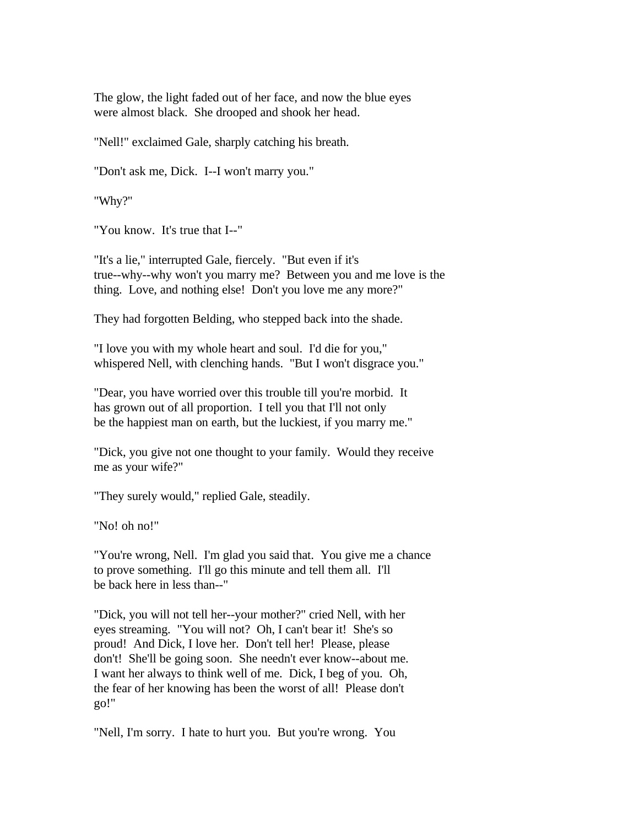The glow, the light faded out of her face, and now the blue eyes were almost black. She drooped and shook her head.

"Nell!" exclaimed Gale, sharply catching his breath.

"Don't ask me, Dick. I--I won't marry you."

"Why?"

"You know. It's true that I--"

"It's a lie," interrupted Gale, fiercely. "But even if it's true--why--why won't you marry me? Between you and me love is the thing. Love, and nothing else! Don't you love me any more?"

They had forgotten Belding, who stepped back into the shade.

"I love you with my whole heart and soul. I'd die for you," whispered Nell, with clenching hands. "But I won't disgrace you."

"Dear, you have worried over this trouble till you're morbid. It has grown out of all proportion. I tell you that I'll not only be the happiest man on earth, but the luckiest, if you marry me."

"Dick, you give not one thought to your family. Would they receive me as your wife?"

"They surely would," replied Gale, steadily.

"No! oh no!"

"You're wrong, Nell. I'm glad you said that. You give me a chance to prove something. I'll go this minute and tell them all. I'll be back here in less than--"

"Dick, you will not tell her--your mother?" cried Nell, with her eyes streaming. "You will not? Oh, I can't bear it! She's so proud! And Dick, I love her. Don't tell her! Please, please don't! She'll be going soon. She needn't ever know--about me. I want her always to think well of me. Dick, I beg of you. Oh, the fear of her knowing has been the worst of all! Please don't go!"

"Nell, I'm sorry. I hate to hurt you. But you're wrong. You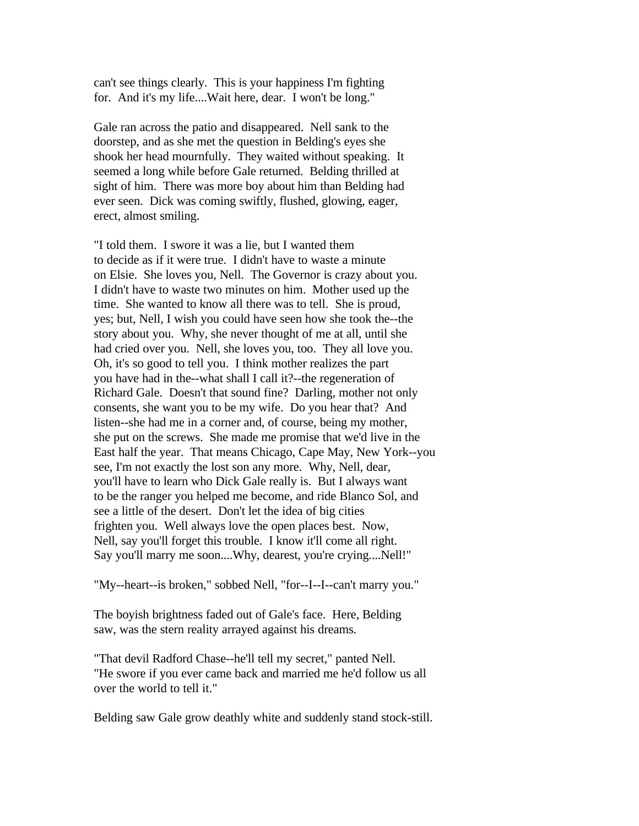can't see things clearly. This is your happiness I'm fighting for. And it's my life....Wait here, dear. I won't be long."

Gale ran across the patio and disappeared. Nell sank to the doorstep, and as she met the question in Belding's eyes she shook her head mournfully. They waited without speaking. It seemed a long while before Gale returned. Belding thrilled at sight of him. There was more boy about him than Belding had ever seen. Dick was coming swiftly, flushed, glowing, eager, erect, almost smiling.

"I told them. I swore it was a lie, but I wanted them to decide as if it were true. I didn't have to waste a minute on Elsie. She loves you, Nell. The Governor is crazy about you. I didn't have to waste two minutes on him. Mother used up the time. She wanted to know all there was to tell. She is proud, yes; but, Nell, I wish you could have seen how she took the--the story about you. Why, she never thought of me at all, until she had cried over you. Nell, she loves you, too. They all love you. Oh, it's so good to tell you. I think mother realizes the part you have had in the--what shall I call it?--the regeneration of Richard Gale. Doesn't that sound fine? Darling, mother not only consents, she want you to be my wife. Do you hear that? And listen--she had me in a corner and, of course, being my mother, she put on the screws. She made me promise that we'd live in the East half the year. That means Chicago, Cape May, New York--you see, I'm not exactly the lost son any more. Why, Nell, dear, you'll have to learn who Dick Gale really is. But I always want to be the ranger you helped me become, and ride Blanco Sol, and see a little of the desert. Don't let the idea of big cities frighten you. Well always love the open places best. Now, Nell, say you'll forget this trouble. I know it'll come all right. Say you'll marry me soon....Why, dearest, you're crying....Nell!"

"My--heart--is broken," sobbed Nell, "for--I--I--can't marry you."

The boyish brightness faded out of Gale's face. Here, Belding saw, was the stern reality arrayed against his dreams.

"That devil Radford Chase--he'll tell my secret," panted Nell. "He swore if you ever came back and married me he'd follow us all over the world to tell it."

Belding saw Gale grow deathly white and suddenly stand stock-still.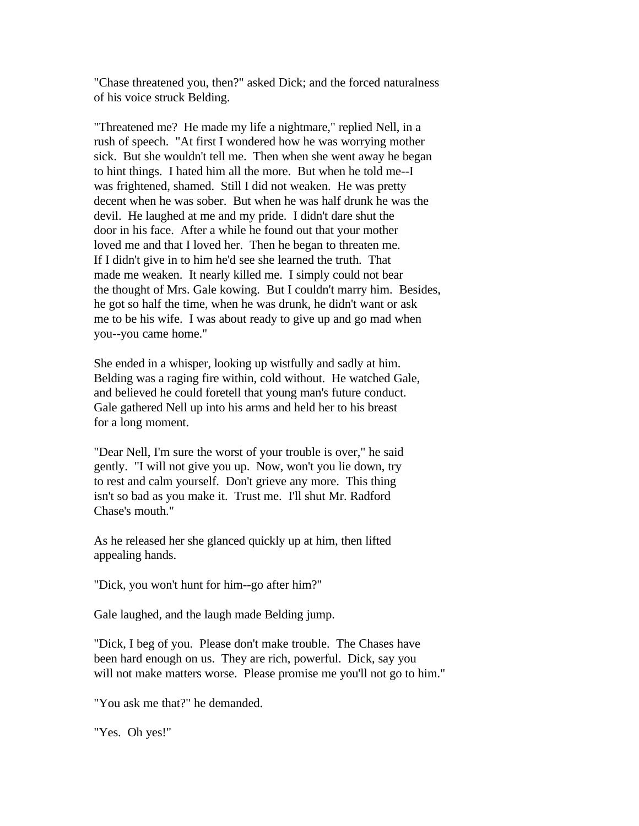"Chase threatened you, then?" asked Dick; and the forced naturalness of his voice struck Belding.

"Threatened me? He made my life a nightmare," replied Nell, in a rush of speech. "At first I wondered how he was worrying mother sick. But she wouldn't tell me. Then when she went away he began to hint things. I hated him all the more. But when he told me--I was frightened, shamed. Still I did not weaken. He was pretty decent when he was sober. But when he was half drunk he was the devil. He laughed at me and my pride. I didn't dare shut the door in his face. After a while he found out that your mother loved me and that I loved her. Then he began to threaten me. If I didn't give in to him he'd see she learned the truth. That made me weaken. It nearly killed me. I simply could not bear the thought of Mrs. Gale kowing. But I couldn't marry him. Besides, he got so half the time, when he was drunk, he didn't want or ask me to be his wife. I was about ready to give up and go mad when you--you came home."

She ended in a whisper, looking up wistfully and sadly at him. Belding was a raging fire within, cold without. He watched Gale, and believed he could foretell that young man's future conduct. Gale gathered Nell up into his arms and held her to his breast for a long moment.

"Dear Nell, I'm sure the worst of your trouble is over," he said gently. "I will not give you up. Now, won't you lie down, try to rest and calm yourself. Don't grieve any more. This thing isn't so bad as you make it. Trust me. I'll shut Mr. Radford Chase's mouth."

As he released her she glanced quickly up at him, then lifted appealing hands.

"Dick, you won't hunt for him--go after him?"

Gale laughed, and the laugh made Belding jump.

"Dick, I beg of you. Please don't make trouble. The Chases have been hard enough on us. They are rich, powerful. Dick, say you will not make matters worse. Please promise me you'll not go to him."

"You ask me that?" he demanded.

"Yes. Oh yes!"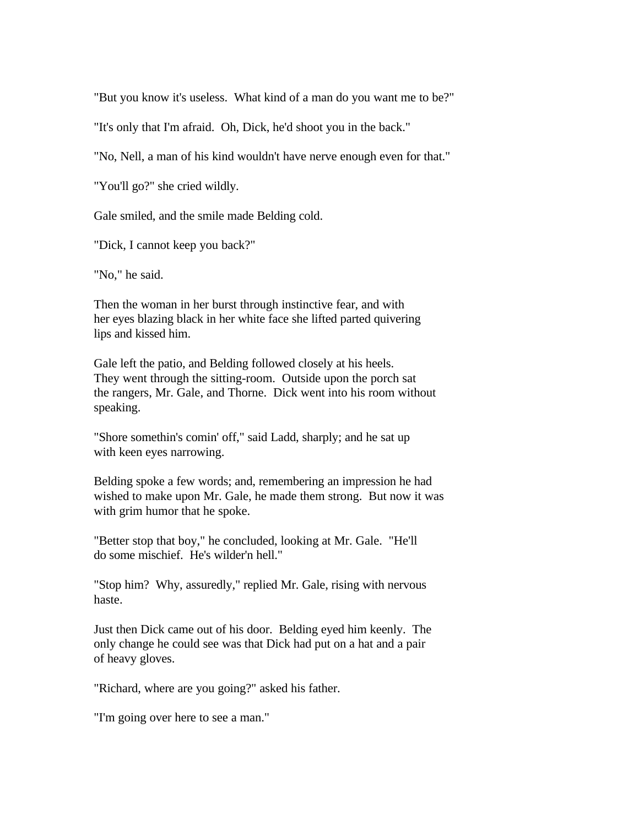"But you know it's useless. What kind of a man do you want me to be?"

"It's only that I'm afraid. Oh, Dick, he'd shoot you in the back."

"No, Nell, a man of his kind wouldn't have nerve enough even for that."

"You'll go?" she cried wildly.

Gale smiled, and the smile made Belding cold.

"Dick, I cannot keep you back?"

"No," he said.

Then the woman in her burst through instinctive fear, and with her eyes blazing black in her white face she lifted parted quivering lips and kissed him.

Gale left the patio, and Belding followed closely at his heels. They went through the sitting-room. Outside upon the porch sat the rangers, Mr. Gale, and Thorne. Dick went into his room without speaking.

"Shore somethin's comin' off," said Ladd, sharply; and he sat up with keen eyes narrowing.

Belding spoke a few words; and, remembering an impression he had wished to make upon Mr. Gale, he made them strong. But now it was with grim humor that he spoke.

"Better stop that boy," he concluded, looking at Mr. Gale. "He'll do some mischief. He's wilder'n hell."

"Stop him? Why, assuredly," replied Mr. Gale, rising with nervous haste.

Just then Dick came out of his door. Belding eyed him keenly. The only change he could see was that Dick had put on a hat and a pair of heavy gloves.

"Richard, where are you going?" asked his father.

"I'm going over here to see a man."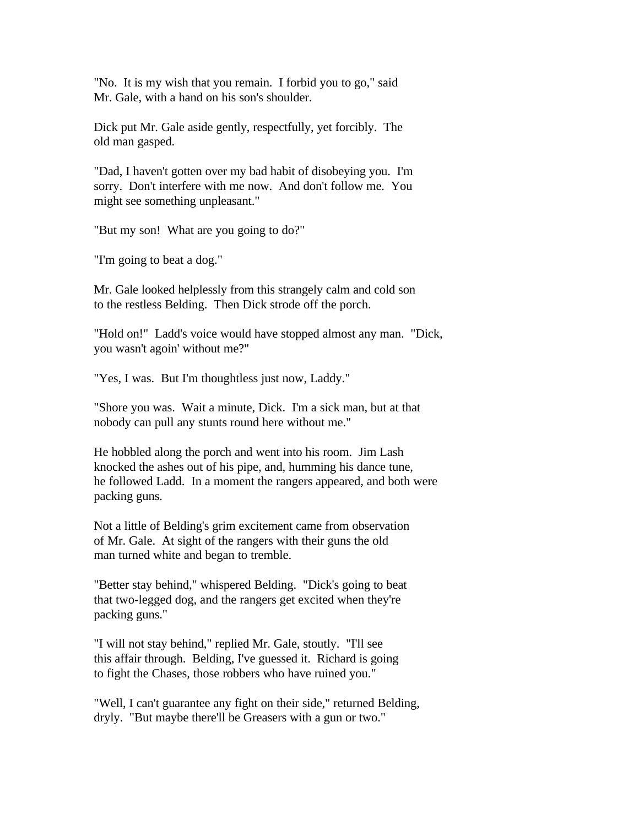"No. It is my wish that you remain. I forbid you to go," said Mr. Gale, with a hand on his son's shoulder.

Dick put Mr. Gale aside gently, respectfully, yet forcibly. The old man gasped.

"Dad, I haven't gotten over my bad habit of disobeying you. I'm sorry. Don't interfere with me now. And don't follow me. You might see something unpleasant."

"But my son! What are you going to do?"

"I'm going to beat a dog."

Mr. Gale looked helplessly from this strangely calm and cold son to the restless Belding. Then Dick strode off the porch.

"Hold on!" Ladd's voice would have stopped almost any man. "Dick, you wasn't agoin' without me?"

"Yes, I was. But I'm thoughtless just now, Laddy."

"Shore you was. Wait a minute, Dick. I'm a sick man, but at that nobody can pull any stunts round here without me."

He hobbled along the porch and went into his room. Jim Lash knocked the ashes out of his pipe, and, humming his dance tune, he followed Ladd. In a moment the rangers appeared, and both were packing guns.

Not a little of Belding's grim excitement came from observation of Mr. Gale. At sight of the rangers with their guns the old man turned white and began to tremble.

"Better stay behind," whispered Belding. "Dick's going to beat that two-legged dog, and the rangers get excited when they're packing guns."

"I will not stay behind," replied Mr. Gale, stoutly. "I'll see this affair through. Belding, I've guessed it. Richard is going to fight the Chases, those robbers who have ruined you."

"Well, I can't guarantee any fight on their side," returned Belding, dryly. "But maybe there'll be Greasers with a gun or two."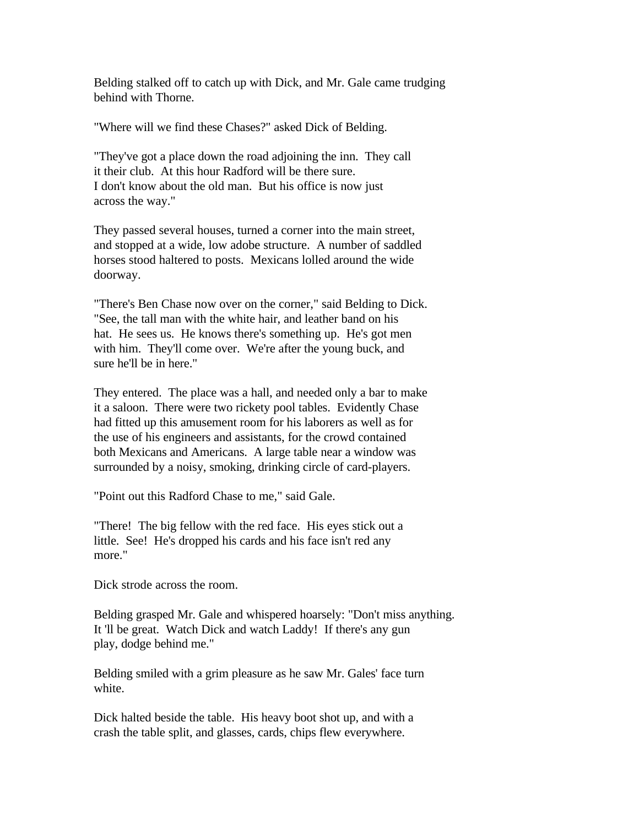Belding stalked off to catch up with Dick, and Mr. Gale came trudging behind with Thorne.

"Where will we find these Chases?" asked Dick of Belding.

"They've got a place down the road adjoining the inn. They call it their club. At this hour Radford will be there sure. I don't know about the old man. But his office is now just across the way."

They passed several houses, turned a corner into the main street, and stopped at a wide, low adobe structure. A number of saddled horses stood haltered to posts. Mexicans lolled around the wide doorway.

"There's Ben Chase now over on the corner," said Belding to Dick. "See, the tall man with the white hair, and leather band on his hat. He sees us. He knows there's something up. He's got men with him. They'll come over. We're after the young buck, and sure he'll be in here."

They entered. The place was a hall, and needed only a bar to make it a saloon. There were two rickety pool tables. Evidently Chase had fitted up this amusement room for his laborers as well as for the use of his engineers and assistants, for the crowd contained both Mexicans and Americans. A large table near a window was surrounded by a noisy, smoking, drinking circle of card-players.

"Point out this Radford Chase to me," said Gale.

"There! The big fellow with the red face. His eyes stick out a little. See! He's dropped his cards and his face isn't red any more."

Dick strode across the room.

Belding grasped Mr. Gale and whispered hoarsely: "Don't miss anything. It 'll be great. Watch Dick and watch Laddy! If there's any gun play, dodge behind me."

Belding smiled with a grim pleasure as he saw Mr. Gales' face turn white.

Dick halted beside the table. His heavy boot shot up, and with a crash the table split, and glasses, cards, chips flew everywhere.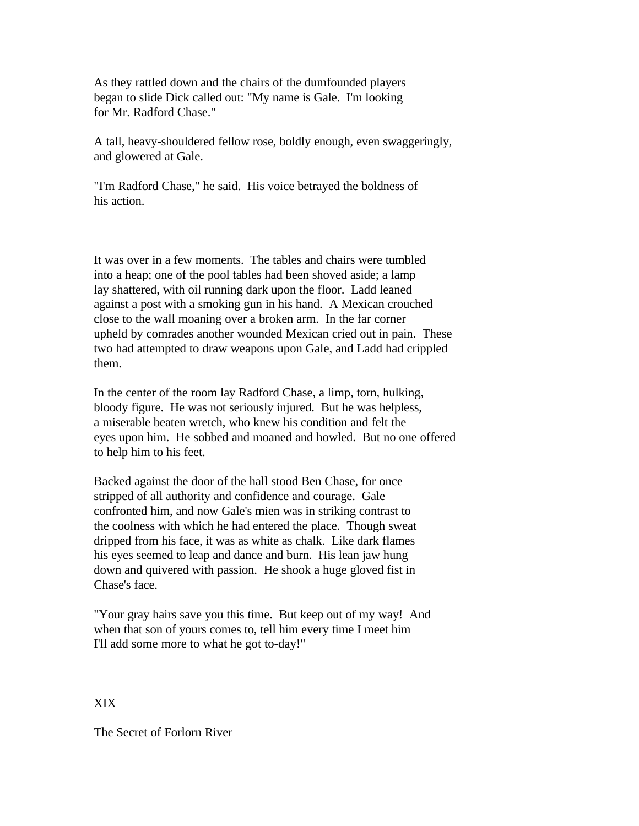As they rattled down and the chairs of the dumfounded players began to slide Dick called out: "My name is Gale. I'm looking for Mr. Radford Chase."

A tall, heavy-shouldered fellow rose, boldly enough, even swaggeringly, and glowered at Gale.

"I'm Radford Chase," he said. His voice betrayed the boldness of his action.

It was over in a few moments. The tables and chairs were tumbled into a heap; one of the pool tables had been shoved aside; a lamp lay shattered, with oil running dark upon the floor. Ladd leaned against a post with a smoking gun in his hand. A Mexican crouched close to the wall moaning over a broken arm. In the far corner upheld by comrades another wounded Mexican cried out in pain. These two had attempted to draw weapons upon Gale, and Ladd had crippled them.

In the center of the room lay Radford Chase, a limp, torn, hulking, bloody figure. He was not seriously injured. But he was helpless, a miserable beaten wretch, who knew his condition and felt the eyes upon him. He sobbed and moaned and howled. But no one offered to help him to his feet.

Backed against the door of the hall stood Ben Chase, for once stripped of all authority and confidence and courage. Gale confronted him, and now Gale's mien was in striking contrast to the coolness with which he had entered the place. Though sweat dripped from his face, it was as white as chalk. Like dark flames his eyes seemed to leap and dance and burn. His lean jaw hung down and quivered with passion. He shook a huge gloved fist in Chase's face.

"Your gray hairs save you this time. But keep out of my way! And when that son of yours comes to, tell him every time I meet him I'll add some more to what he got to-day!"

XIX

The Secret of Forlorn River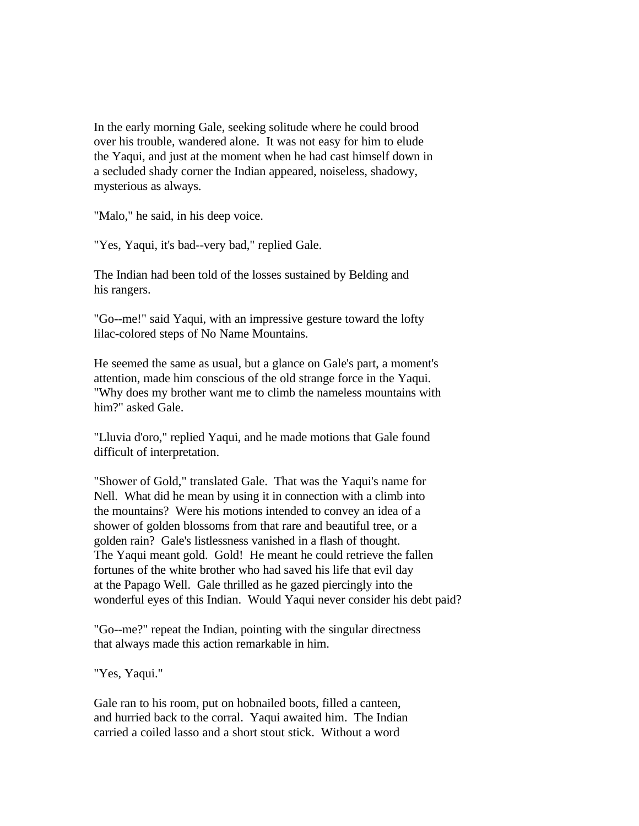In the early morning Gale, seeking solitude where he could brood over his trouble, wandered alone. It was not easy for him to elude the Yaqui, and just at the moment when he had cast himself down in a secluded shady corner the Indian appeared, noiseless, shadowy, mysterious as always.

"Malo," he said, in his deep voice.

"Yes, Yaqui, it's bad--very bad," replied Gale.

The Indian had been told of the losses sustained by Belding and his rangers.

"Go--me!" said Yaqui, with an impressive gesture toward the lofty lilac-colored steps of No Name Mountains.

He seemed the same as usual, but a glance on Gale's part, a moment's attention, made him conscious of the old strange force in the Yaqui. "Why does my brother want me to climb the nameless mountains with him?" asked Gale.

"Lluvia d'oro," replied Yaqui, and he made motions that Gale found difficult of interpretation.

"Shower of Gold," translated Gale. That was the Yaqui's name for Nell. What did he mean by using it in connection with a climb into the mountains? Were his motions intended to convey an idea of a shower of golden blossoms from that rare and beautiful tree, or a golden rain? Gale's listlessness vanished in a flash of thought. The Yaqui meant gold. Gold! He meant he could retrieve the fallen fortunes of the white brother who had saved his life that evil day at the Papago Well. Gale thrilled as he gazed piercingly into the wonderful eyes of this Indian. Would Yaqui never consider his debt paid?

"Go--me?" repeat the Indian, pointing with the singular directness that always made this action remarkable in him.

"Yes, Yaqui."

Gale ran to his room, put on hobnailed boots, filled a canteen, and hurried back to the corral. Yaqui awaited him. The Indian carried a coiled lasso and a short stout stick. Without a word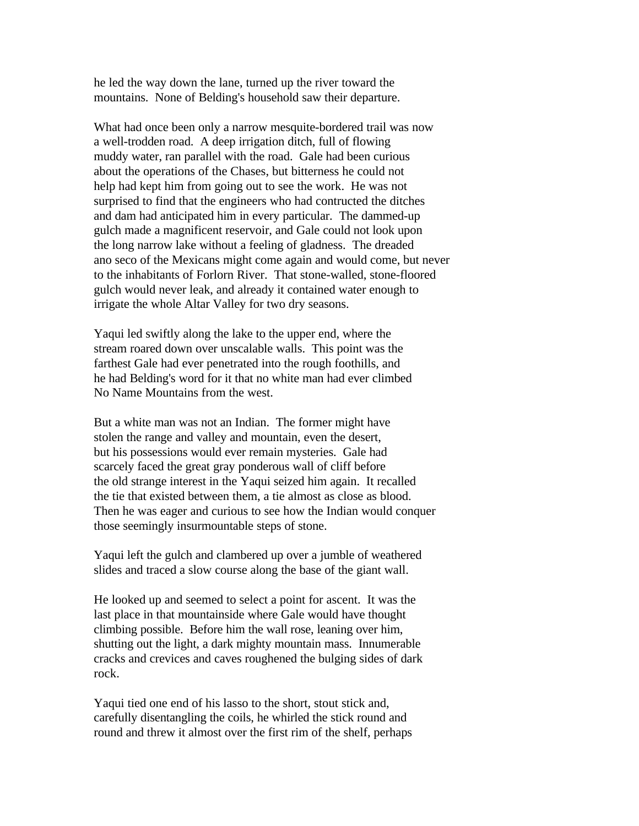he led the way down the lane, turned up the river toward the mountains. None of Belding's household saw their departure.

What had once been only a narrow mesquite-bordered trail was now a well-trodden road. A deep irrigation ditch, full of flowing muddy water, ran parallel with the road. Gale had been curious about the operations of the Chases, but bitterness he could not help had kept him from going out to see the work. He was not surprised to find that the engineers who had contructed the ditches and dam had anticipated him in every particular. The dammed-up gulch made a magnificent reservoir, and Gale could not look upon the long narrow lake without a feeling of gladness. The dreaded ano seco of the Mexicans might come again and would come, but never to the inhabitants of Forlorn River. That stone-walled, stone-floored gulch would never leak, and already it contained water enough to irrigate the whole Altar Valley for two dry seasons.

Yaqui led swiftly along the lake to the upper end, where the stream roared down over unscalable walls. This point was the farthest Gale had ever penetrated into the rough foothills, and he had Belding's word for it that no white man had ever climbed No Name Mountains from the west.

But a white man was not an Indian. The former might have stolen the range and valley and mountain, even the desert, but his possessions would ever remain mysteries. Gale had scarcely faced the great gray ponderous wall of cliff before the old strange interest in the Yaqui seized him again. It recalled the tie that existed between them, a tie almost as close as blood. Then he was eager and curious to see how the Indian would conquer those seemingly insurmountable steps of stone.

Yaqui left the gulch and clambered up over a jumble of weathered slides and traced a slow course along the base of the giant wall.

He looked up and seemed to select a point for ascent. It was the last place in that mountainside where Gale would have thought climbing possible. Before him the wall rose, leaning over him, shutting out the light, a dark mighty mountain mass. Innumerable cracks and crevices and caves roughened the bulging sides of dark rock.

Yaqui tied one end of his lasso to the short, stout stick and, carefully disentangling the coils, he whirled the stick round and round and threw it almost over the first rim of the shelf, perhaps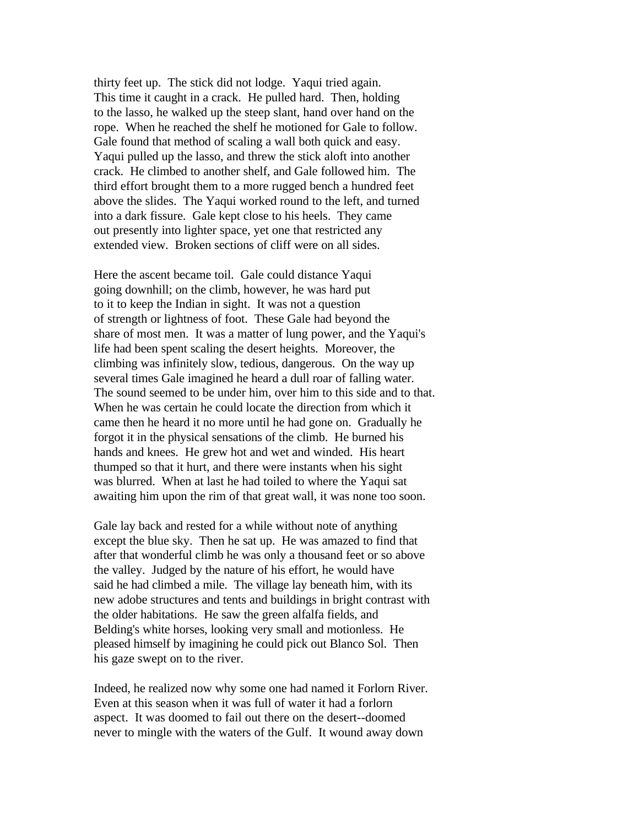thirty feet up. The stick did not lodge. Yaqui tried again. This time it caught in a crack. He pulled hard. Then, holding to the lasso, he walked up the steep slant, hand over hand on the rope. When he reached the shelf he motioned for Gale to follow. Gale found that method of scaling a wall both quick and easy. Yaqui pulled up the lasso, and threw the stick aloft into another crack. He climbed to another shelf, and Gale followed him. The third effort brought them to a more rugged bench a hundred feet above the slides. The Yaqui worked round to the left, and turned into a dark fissure. Gale kept close to his heels. They came out presently into lighter space, yet one that restricted any extended view. Broken sections of cliff were on all sides.

Here the ascent became toil. Gale could distance Yaqui going downhill; on the climb, however, he was hard put to it to keep the Indian in sight. It was not a question of strength or lightness of foot. These Gale had beyond the share of most men. It was a matter of lung power, and the Yaqui's life had been spent scaling the desert heights. Moreover, the climbing was infinitely slow, tedious, dangerous. On the way up several times Gale imagined he heard a dull roar of falling water. The sound seemed to be under him, over him to this side and to that. When he was certain he could locate the direction from which it came then he heard it no more until he had gone on. Gradually he forgot it in the physical sensations of the climb. He burned his hands and knees. He grew hot and wet and winded. His heart thumped so that it hurt, and there were instants when his sight was blurred. When at last he had toiled to where the Yaqui sat awaiting him upon the rim of that great wall, it was none too soon.

Gale lay back and rested for a while without note of anything except the blue sky. Then he sat up. He was amazed to find that after that wonderful climb he was only a thousand feet or so above the valley. Judged by the nature of his effort, he would have said he had climbed a mile. The village lay beneath him, with its new adobe structures and tents and buildings in bright contrast with the older habitations. He saw the green alfalfa fields, and Belding's white horses, looking very small and motionless. He pleased himself by imagining he could pick out Blanco Sol. Then his gaze swept on to the river.

Indeed, he realized now why some one had named it Forlorn River. Even at this season when it was full of water it had a forlorn aspect. It was doomed to fail out there on the desert--doomed never to mingle with the waters of the Gulf. It wound away down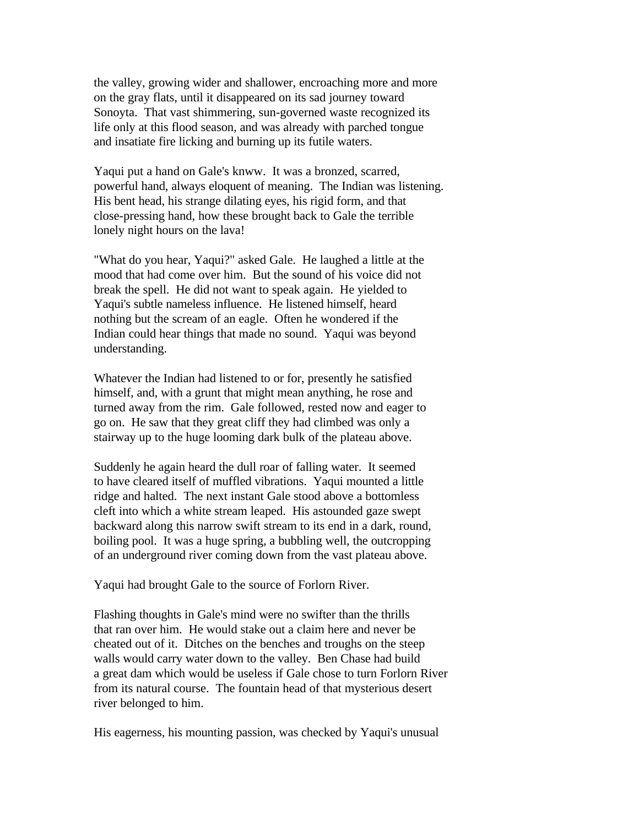the valley, growing wider and shallower, encroaching more and more on the gray flats, until it disappeared on its sad journey toward Sonoyta. That vast shimmering, sun-governed waste recognized its life only at this flood season, and was already with parched tongue and insatiate fire licking and burning up its futile waters.

Yaqui put a hand on Gale's knww. It was a bronzed, scarred, powerful hand, always eloquent of meaning. The Indian was listening. His bent head, his strange dilating eyes, his rigid form, and that close-pressing hand, how these brought back to Gale the terrible lonely night hours on the lava!

"What do you hear, Yaqui?" asked Gale. He laughed a little at the mood that had come over him. But the sound of his voice did not break the spell. He did not want to speak again. He yielded to Yaqui's subtle nameless influence. He listened himself, heard nothing but the scream of an eagle. Often he wondered if the Indian could hear things that made no sound. Yaqui was beyond understanding.

Whatever the Indian had listened to or for, presently he satisfied himself, and, with a grunt that might mean anything, he rose and turned away from the rim. Gale followed, rested now and eager to go on. He saw that they great cliff they had climbed was only a stairway up to the huge looming dark bulk of the plateau above.

Suddenly he again heard the dull roar of falling water. It seemed to have cleared itself of muffled vibrations. Yaqui mounted a little ridge and halted. The next instant Gale stood above a bottomless cleft into which a white stream leaped. His astounded gaze swept backward along this narrow swift stream to its end in a dark, round, boiling pool. It was a huge spring, a bubbling well, the outcropping of an underground river coming down from the vast plateau above.

Yaqui had brought Gale to the source of Forlorn River.

Flashing thoughts in Gale's mind were no swifter than the thrills that ran over him. He would stake out a claim here and never be cheated out of it. Ditches on the benches and troughs on the steep walls would carry water down to the valley. Ben Chase had build a great dam which would be useless if Gale chose to turn Forlorn River from its natural course. The fountain head of that mysterious desert river belonged to him.

His eagerness, his mounting passion, was checked by Yaqui's unusual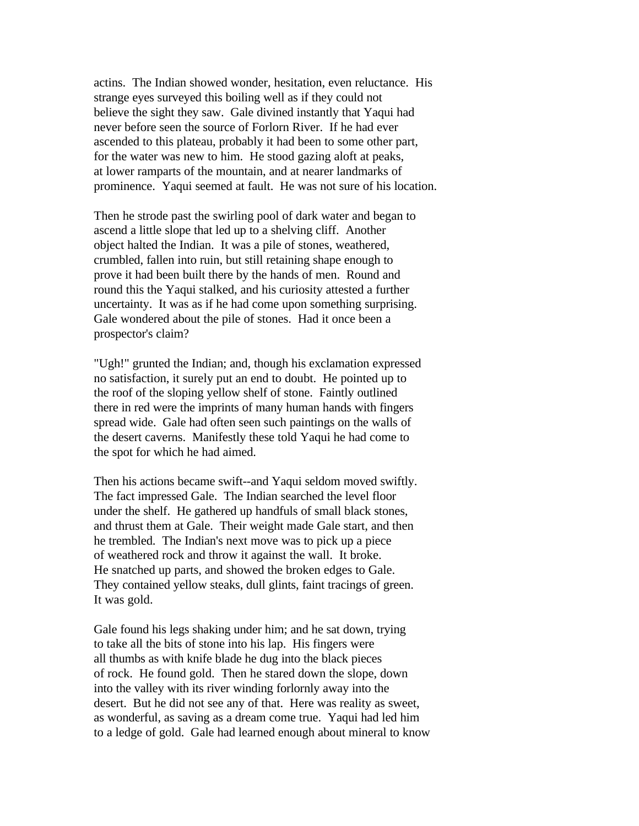actins. The Indian showed wonder, hesitation, even reluctance. His strange eyes surveyed this boiling well as if they could not believe the sight they saw. Gale divined instantly that Yaqui had never before seen the source of Forlorn River. If he had ever ascended to this plateau, probably it had been to some other part, for the water was new to him. He stood gazing aloft at peaks, at lower ramparts of the mountain, and at nearer landmarks of prominence. Yaqui seemed at fault. He was not sure of his location.

Then he strode past the swirling pool of dark water and began to ascend a little slope that led up to a shelving cliff. Another object halted the Indian. It was a pile of stones, weathered, crumbled, fallen into ruin, but still retaining shape enough to prove it had been built there by the hands of men. Round and round this the Yaqui stalked, and his curiosity attested a further uncertainty. It was as if he had come upon something surprising. Gale wondered about the pile of stones. Had it once been a prospector's claim?

"Ugh!" grunted the Indian; and, though his exclamation expressed no satisfaction, it surely put an end to doubt. He pointed up to the roof of the sloping yellow shelf of stone. Faintly outlined there in red were the imprints of many human hands with fingers spread wide. Gale had often seen such paintings on the walls of the desert caverns. Manifestly these told Yaqui he had come to the spot for which he had aimed.

Then his actions became swift--and Yaqui seldom moved swiftly. The fact impressed Gale. The Indian searched the level floor under the shelf. He gathered up handfuls of small black stones, and thrust them at Gale. Their weight made Gale start, and then he trembled. The Indian's next move was to pick up a piece of weathered rock and throw it against the wall. It broke. He snatched up parts, and showed the broken edges to Gale. They contained yellow steaks, dull glints, faint tracings of green. It was gold.

Gale found his legs shaking under him; and he sat down, trying to take all the bits of stone into his lap. His fingers were all thumbs as with knife blade he dug into the black pieces of rock. He found gold. Then he stared down the slope, down into the valley with its river winding forlornly away into the desert. But he did not see any of that. Here was reality as sweet, as wonderful, as saving as a dream come true. Yaqui had led him to a ledge of gold. Gale had learned enough about mineral to know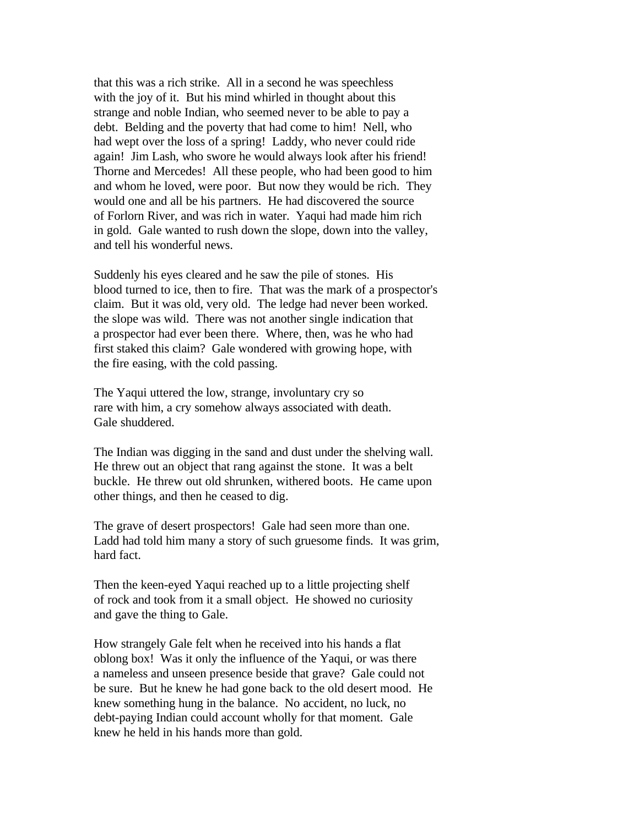that this was a rich strike. All in a second he was speechless with the joy of it. But his mind whirled in thought about this strange and noble Indian, who seemed never to be able to pay a debt. Belding and the poverty that had come to him! Nell, who had wept over the loss of a spring! Laddy, who never could ride again! Jim Lash, who swore he would always look after his friend! Thorne and Mercedes! All these people, who had been good to him and whom he loved, were poor. But now they would be rich. They would one and all be his partners. He had discovered the source of Forlorn River, and was rich in water. Yaqui had made him rich in gold. Gale wanted to rush down the slope, down into the valley, and tell his wonderful news.

Suddenly his eyes cleared and he saw the pile of stones. His blood turned to ice, then to fire. That was the mark of a prospector's claim. But it was old, very old. The ledge had never been worked. the slope was wild. There was not another single indication that a prospector had ever been there. Where, then, was he who had first staked this claim? Gale wondered with growing hope, with the fire easing, with the cold passing.

The Yaqui uttered the low, strange, involuntary cry so rare with him, a cry somehow always associated with death. Gale shuddered.

The Indian was digging in the sand and dust under the shelving wall. He threw out an object that rang against the stone. It was a belt buckle. He threw out old shrunken, withered boots. He came upon other things, and then he ceased to dig.

The grave of desert prospectors! Gale had seen more than one. Ladd had told him many a story of such gruesome finds. It was grim, hard fact.

Then the keen-eyed Yaqui reached up to a little projecting shelf of rock and took from it a small object. He showed no curiosity and gave the thing to Gale.

How strangely Gale felt when he received into his hands a flat oblong box! Was it only the influence of the Yaqui, or was there a nameless and unseen presence beside that grave? Gale could not be sure. But he knew he had gone back to the old desert mood. He knew something hung in the balance. No accident, no luck, no debt-paying Indian could account wholly for that moment. Gale knew he held in his hands more than gold.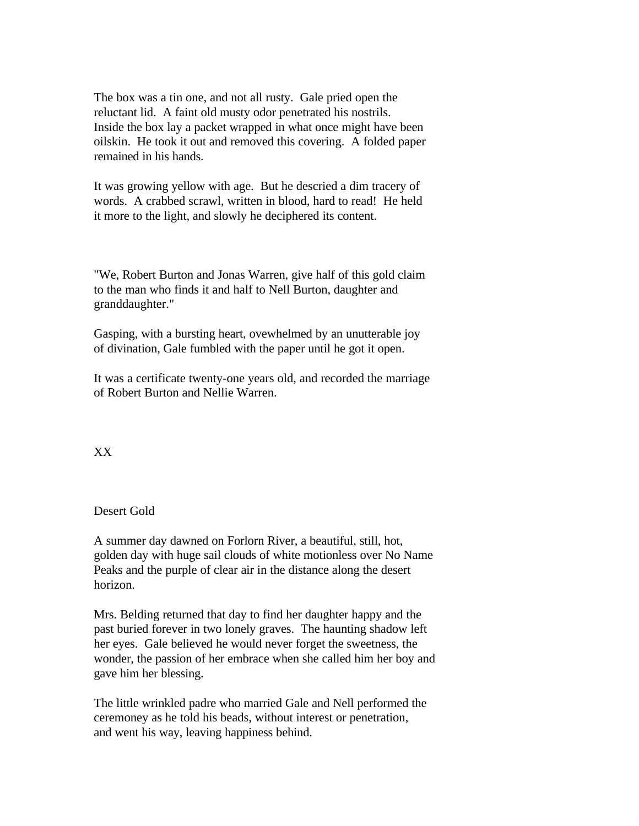The box was a tin one, and not all rusty. Gale pried open the reluctant lid. A faint old musty odor penetrated his nostrils. Inside the box lay a packet wrapped in what once might have been oilskin. He took it out and removed this covering. A folded paper remained in his hands.

It was growing yellow with age. But he descried a dim tracery of words. A crabbed scrawl, written in blood, hard to read! He held it more to the light, and slowly he deciphered its content.

"We, Robert Burton and Jonas Warren, give half of this gold claim to the man who finds it and half to Nell Burton, daughter and granddaughter."

Gasping, with a bursting heart, ovewhelmed by an unutterable joy of divination, Gale fumbled with the paper until he got it open.

It was a certificate twenty-one years old, and recorded the marriage of Robert Burton and Nellie Warren.

XX

## Desert Gold

A summer day dawned on Forlorn River, a beautiful, still, hot, golden day with huge sail clouds of white motionless over No Name Peaks and the purple of clear air in the distance along the desert horizon.

Mrs. Belding returned that day to find her daughter happy and the past buried forever in two lonely graves. The haunting shadow left her eyes. Gale believed he would never forget the sweetness, the wonder, the passion of her embrace when she called him her boy and gave him her blessing.

The little wrinkled padre who married Gale and Nell performed the ceremoney as he told his beads, without interest or penetration, and went his way, leaving happiness behind.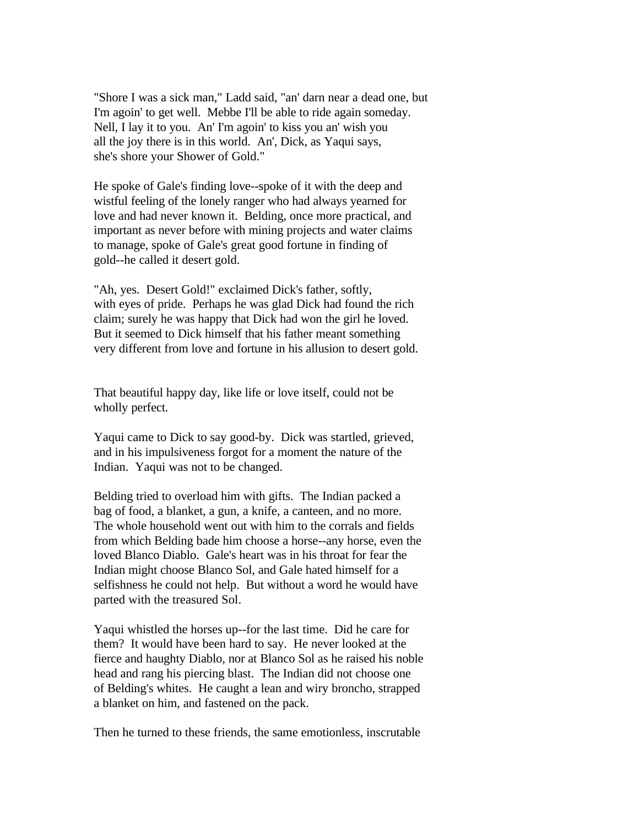"Shore I was a sick man," Ladd said, "an' darn near a dead one, but I'm agoin' to get well. Mebbe I'll be able to ride again someday. Nell, I lay it to you. An' I'm agoin' to kiss you an' wish you all the joy there is in this world. An', Dick, as Yaqui says, she's shore your Shower of Gold."

He spoke of Gale's finding love--spoke of it with the deep and wistful feeling of the lonely ranger who had always yearned for love and had never known it. Belding, once more practical, and important as never before with mining projects and water claims to manage, spoke of Gale's great good fortune in finding of gold--he called it desert gold.

"Ah, yes. Desert Gold!" exclaimed Dick's father, softly, with eyes of pride. Perhaps he was glad Dick had found the rich claim; surely he was happy that Dick had won the girl he loved. But it seemed to Dick himself that his father meant something very different from love and fortune in his allusion to desert gold.

That beautiful happy day, like life or love itself, could not be wholly perfect.

Yaqui came to Dick to say good-by. Dick was startled, grieved, and in his impulsiveness forgot for a moment the nature of the Indian. Yaqui was not to be changed.

Belding tried to overload him with gifts. The Indian packed a bag of food, a blanket, a gun, a knife, a canteen, and no more. The whole household went out with him to the corrals and fields from which Belding bade him choose a horse--any horse, even the loved Blanco Diablo. Gale's heart was in his throat for fear the Indian might choose Blanco Sol, and Gale hated himself for a selfishness he could not help. But without a word he would have parted with the treasured Sol.

Yaqui whistled the horses up--for the last time. Did he care for them? It would have been hard to say. He never looked at the fierce and haughty Diablo, nor at Blanco Sol as he raised his noble head and rang his piercing blast. The Indian did not choose one of Belding's whites. He caught a lean and wiry broncho, strapped a blanket on him, and fastened on the pack.

Then he turned to these friends, the same emotionless, inscrutable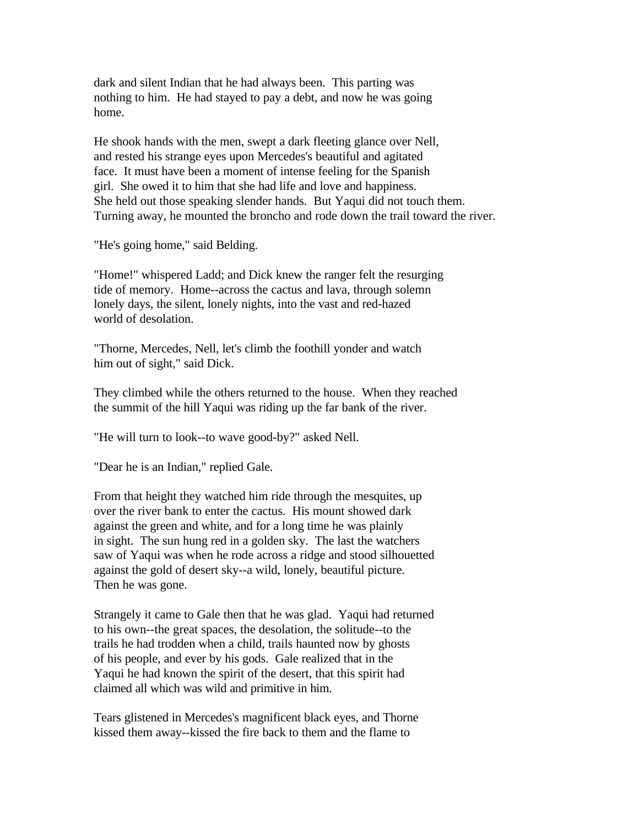dark and silent Indian that he had always been. This parting was nothing to him. He had stayed to pay a debt, and now he was going home.

He shook hands with the men, swept a dark fleeting glance over Nell, and rested his strange eyes upon Mercedes's beautiful and agitated face. It must have been a moment of intense feeling for the Spanish girl. She owed it to him that she had life and love and happiness. She held out those speaking slender hands. But Yaqui did not touch them. Turning away, he mounted the broncho and rode down the trail toward the river.

"He's going home," said Belding.

"Home!" whispered Ladd; and Dick knew the ranger felt the resurging tide of memory. Home--across the cactus and lava, through solemn lonely days, the silent, lonely nights, into the vast and red-hazed world of desolation.

"Thorne, Mercedes, Nell, let's climb the foothill yonder and watch him out of sight," said Dick.

They climbed while the others returned to the house. When they reached the summit of the hill Yaqui was riding up the far bank of the river.

"He will turn to look--to wave good-by?" asked Nell.

"Dear he is an Indian," replied Gale.

From that height they watched him ride through the mesquites, up over the river bank to enter the cactus. His mount showed dark against the green and white, and for a long time he was plainly in sight. The sun hung red in a golden sky. The last the watchers saw of Yaqui was when he rode across a ridge and stood silhouetted against the gold of desert sky--a wild, lonely, beautiful picture. Then he was gone.

Strangely it came to Gale then that he was glad. Yaqui had returned to his own--the great spaces, the desolation, the solitude--to the trails he had trodden when a child, trails haunted now by ghosts of his people, and ever by his gods. Gale realized that in the Yaqui he had known the spirit of the desert, that this spirit had claimed all which was wild and primitive in him.

Tears glistened in Mercedes's magnificent black eyes, and Thorne kissed them away--kissed the fire back to them and the flame to